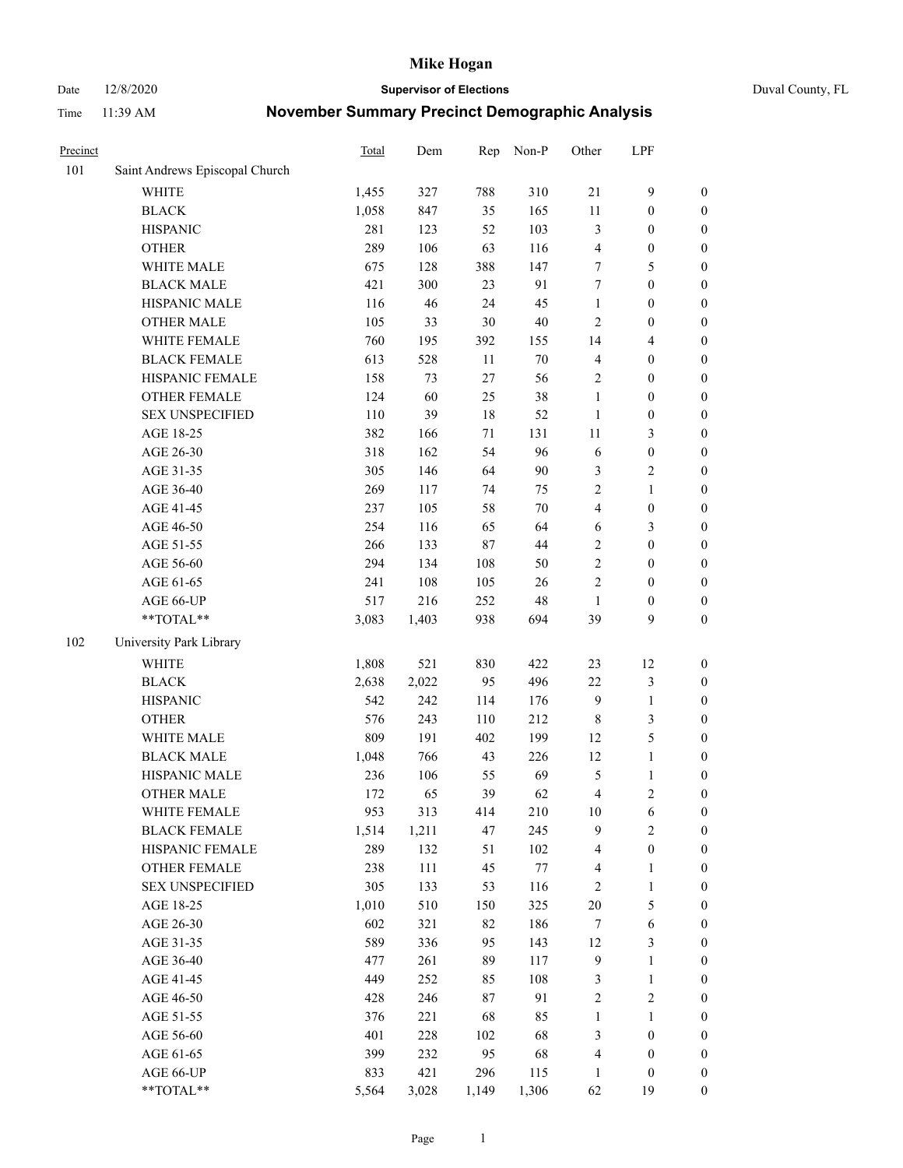#### Date 12/8/2020 **Supervisor of Elections** Duval County, FL

| Precinct |                                | Total | Dem   | Rep   | Non-P  | Other                   | LPF                     |                  |
|----------|--------------------------------|-------|-------|-------|--------|-------------------------|-------------------------|------------------|
| 101      | Saint Andrews Episcopal Church |       |       |       |        |                         |                         |                  |
|          | <b>WHITE</b>                   | 1,455 | 327   | 788   | 310    | 21                      | $\mathbf{9}$            | 0                |
|          | <b>BLACK</b>                   | 1,058 | 847   | 35    | 165    | $11\,$                  | $\boldsymbol{0}$        | $\boldsymbol{0}$ |
|          | <b>HISPANIC</b>                | 281   | 123   | 52    | 103    | 3                       | $\boldsymbol{0}$        | $\boldsymbol{0}$ |
|          | <b>OTHER</b>                   | 289   | 106   | 63    | 116    | 4                       | $\boldsymbol{0}$        | $\boldsymbol{0}$ |
|          | WHITE MALE                     | 675   | 128   | 388   | 147    | 7                       | 5                       | $\boldsymbol{0}$ |
|          | <b>BLACK MALE</b>              | 421   | 300   | 23    | 91     | 7                       | $\boldsymbol{0}$        | $\boldsymbol{0}$ |
|          | HISPANIC MALE                  | 116   | 46    | 24    | 45     | $\mathbf{1}$            | $\boldsymbol{0}$        | $\boldsymbol{0}$ |
|          | <b>OTHER MALE</b>              | 105   | 33    | 30    | $40\,$ | $\mathfrak{2}$          | $\boldsymbol{0}$        | $\boldsymbol{0}$ |
|          | WHITE FEMALE                   | 760   | 195   | 392   | 155    | 14                      | $\overline{\mathbf{4}}$ | $\boldsymbol{0}$ |
|          | <b>BLACK FEMALE</b>            | 613   | 528   | 11    | $70\,$ | $\overline{\mathbf{4}}$ | $\boldsymbol{0}$        | $\boldsymbol{0}$ |
|          | HISPANIC FEMALE                | 158   | 73    | 27    | 56     | $\mathfrak{2}$          | $\boldsymbol{0}$        | $\boldsymbol{0}$ |
|          | OTHER FEMALE                   | 124   | 60    | 25    | 38     | $\mathbf{1}$            | $\boldsymbol{0}$        | $\boldsymbol{0}$ |
|          | <b>SEX UNSPECIFIED</b>         | 110   | 39    | 18    | 52     | $\mathbf{1}$            | $\boldsymbol{0}$        | $\boldsymbol{0}$ |
|          | AGE 18-25                      | 382   | 166   | 71    | 131    | $11\,$                  | $\mathfrak{Z}$          | $\boldsymbol{0}$ |
|          | AGE 26-30                      | 318   | 162   | 54    | 96     | 6                       | $\boldsymbol{0}$        | $\boldsymbol{0}$ |
|          | AGE 31-35                      | 305   | 146   | 64    | 90     | 3                       | $\sqrt{2}$              | $\boldsymbol{0}$ |
|          | AGE 36-40                      | 269   | 117   | 74    | 75     | $\overline{c}$          | $\mathbf{1}$            | $\boldsymbol{0}$ |
|          | AGE 41-45                      | 237   | 105   | 58    | $70\,$ | $\overline{\mathbf{4}}$ | $\boldsymbol{0}$        | $\boldsymbol{0}$ |
|          | AGE 46-50                      | 254   | 116   | 65    | 64     | 6                       | $\mathfrak{Z}$          | $\boldsymbol{0}$ |
|          | AGE 51-55                      | 266   | 133   | 87    | 44     | $\sqrt{2}$              | $\boldsymbol{0}$        | $\boldsymbol{0}$ |
|          | AGE 56-60                      | 294   | 134   | 108   | 50     | $\sqrt{2}$              | $\boldsymbol{0}$        | 0                |
|          | AGE 61-65                      | 241   | 108   | 105   | 26     | $\mathfrak{2}$          | $\boldsymbol{0}$        | $\boldsymbol{0}$ |
|          | AGE 66-UP                      | 517   | 216   | 252   | 48     | $\mathbf{1}$            | $\boldsymbol{0}$        | $\boldsymbol{0}$ |
|          | **TOTAL**                      | 3,083 | 1,403 | 938   | 694    | 39                      | 9                       | $\boldsymbol{0}$ |
| 102      | University Park Library        |       |       |       |        |                         |                         |                  |
|          | <b>WHITE</b>                   | 1,808 | 521   | 830   | 422    | 23                      | 12                      | $\boldsymbol{0}$ |
|          | <b>BLACK</b>                   | 2,638 | 2,022 | 95    | 496    | $22\,$                  | $\mathfrak{Z}$          | $\boldsymbol{0}$ |
|          | <b>HISPANIC</b>                | 542   | 242   | 114   | 176    | 9                       | $\mathbf{1}$            | $\boldsymbol{0}$ |
|          | <b>OTHER</b>                   | 576   | 243   | 110   | 212    | $\,$ 8 $\,$             | $\mathfrak{Z}$          | $\boldsymbol{0}$ |
|          | WHITE MALE                     | 809   | 191   | 402   | 199    | 12                      | $\mathfrak{S}$          | $\boldsymbol{0}$ |
|          | <b>BLACK MALE</b>              | 1,048 | 766   | 43    | 226    | 12                      | $\mathbf{1}$            | $\boldsymbol{0}$ |
|          | HISPANIC MALE                  | 236   | 106   | 55    | 69     | 5                       | $\mathbf{1}$            | 0                |
|          | <b>OTHER MALE</b>              | 172   | 65    | 39    | 62     | 4                       | $\overline{c}$          | $\boldsymbol{0}$ |
|          | WHITE FEMALE                   | 953   | 313   | 414   | 210    | 10                      | 6                       | 0                |
|          | <b>BLACK FEMALE</b>            | 1,514 | 1,211 | 47    | 245    | 9                       | $\sqrt{2}$              | $\boldsymbol{0}$ |
|          | HISPANIC FEMALE                | 289   | 132   | 51    | 102    | 4                       | $\boldsymbol{0}$        | $\overline{0}$   |
|          | OTHER FEMALE                   | 238   | 111   | 45    | 77     | 4                       | $\mathbf{1}$            | $\overline{0}$   |
|          | <b>SEX UNSPECIFIED</b>         | 305   | 133   | 53    | 116    | 2                       | $\mathbf{1}$            | 0                |
|          | AGE 18-25                      | 1,010 | 510   | 150   | 325    | $20\,$                  | $\mathfrak{S}$          | 0                |
|          | AGE 26-30                      | 602   | 321   | 82    | 186    | 7                       | $\sqrt{6}$              | 0                |
|          | AGE 31-35                      | 589   | 336   | 95    | 143    | 12                      | $\mathfrak{Z}$          | 0                |
|          | AGE 36-40                      | 477   | 261   | 89    | 117    | $\overline{9}$          | $\mathbf{1}$            | 0                |
|          | AGE 41-45                      | 449   | 252   | 85    | 108    | 3                       | $\mathbf{1}$            | 0                |
|          | AGE 46-50                      | 428   | 246   | 87    | 91     | $\sqrt{2}$              | $\sqrt{2}$              | 0                |
|          | AGE 51-55                      | 376   | 221   | 68    | 85     | $\mathbf{1}$            | $\mathbf{1}$            | 0                |
|          | AGE 56-60                      | 401   | 228   | 102   | 68     | 3                       | $\boldsymbol{0}$        | 0                |
|          | AGE 61-65                      | 399   | 232   | 95    | 68     | 4                       | $\boldsymbol{0}$        | $\boldsymbol{0}$ |
|          | AGE 66-UP                      | 833   | 421   | 296   | 115    | $\mathbf{1}$            | $\boldsymbol{0}$        | 0                |
|          | **TOTAL**                      | 5,564 | 3,028 | 1,149 | 1,306  | 62                      | 19                      | $\boldsymbol{0}$ |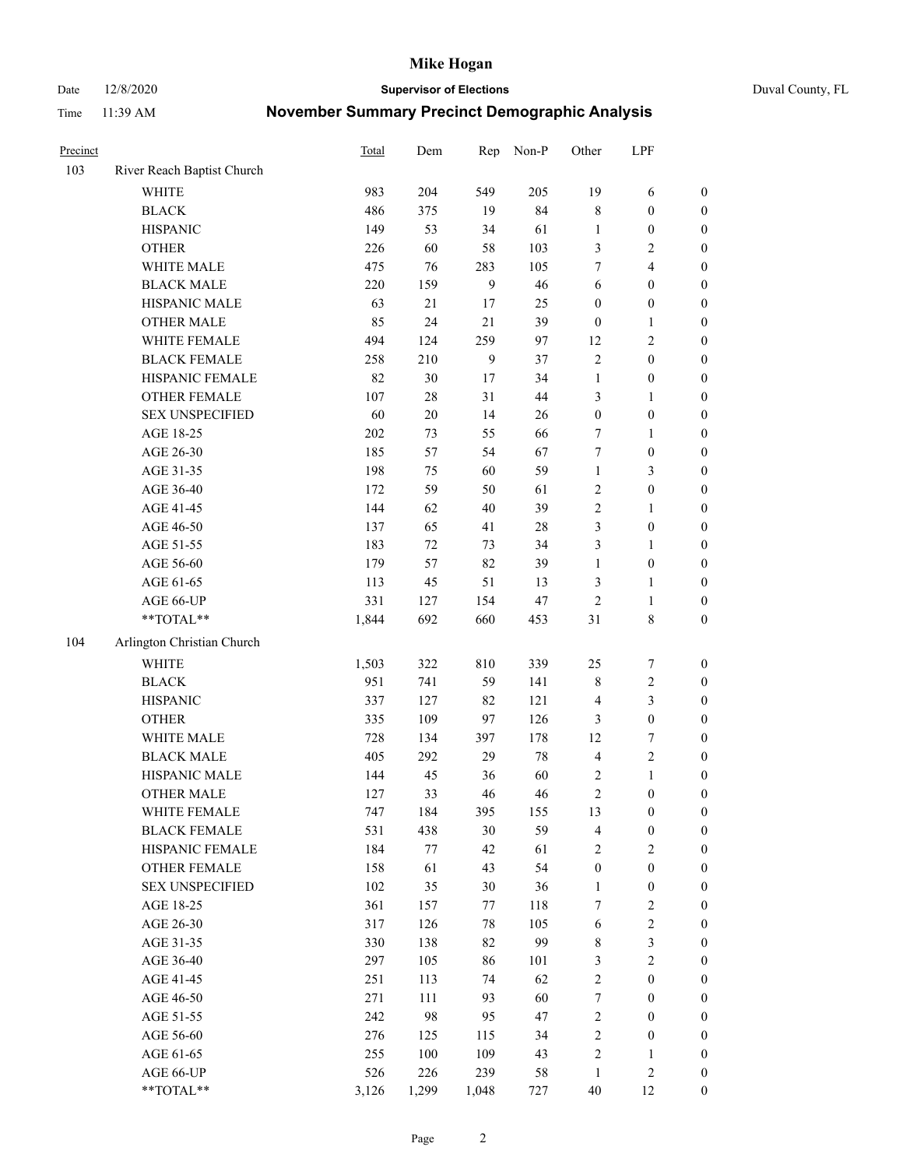Date 12/8/2020 **Supervisor of Elections** Duval County, FL

| Precinct |                            | <b>Total</b> | Dem     | Rep    | Non-P  | Other            | LPF              |                  |
|----------|----------------------------|--------------|---------|--------|--------|------------------|------------------|------------------|
| 103      | River Reach Baptist Church |              |         |        |        |                  |                  |                  |
|          | <b>WHITE</b>               | 983          | 204     | 549    | 205    | 19               | 6                | 0                |
|          | <b>BLACK</b>               | 486          | 375     | 19     | 84     | $\,$ 8 $\,$      | $\boldsymbol{0}$ | $\boldsymbol{0}$ |
|          | <b>HISPANIC</b>            | 149          | 53      | 34     | 61     | $\mathbf{1}$     | $\boldsymbol{0}$ | $\boldsymbol{0}$ |
|          | <b>OTHER</b>               | 226          | 60      | 58     | 103    | 3                | $\mathbf{2}$     | $\boldsymbol{0}$ |
|          | WHITE MALE                 | 475          | 76      | 283    | 105    | 7                | $\overline{4}$   | $\boldsymbol{0}$ |
|          | <b>BLACK MALE</b>          | 220          | 159     | 9      | 46     | 6                | $\boldsymbol{0}$ | $\boldsymbol{0}$ |
|          | HISPANIC MALE              | 63           | 21      | 17     | 25     | $\boldsymbol{0}$ | $\boldsymbol{0}$ | $\boldsymbol{0}$ |
|          | <b>OTHER MALE</b>          | 85           | 24      | 21     | 39     | $\boldsymbol{0}$ | $\mathbf{1}$     | $\boldsymbol{0}$ |
|          | WHITE FEMALE               | 494          | 124     | 259    | 97     | 12               | $\mathbf{2}$     | $\boldsymbol{0}$ |
|          | <b>BLACK FEMALE</b>        | 258          | 210     | 9      | 37     | $\sqrt{2}$       | $\boldsymbol{0}$ | 0                |
|          | HISPANIC FEMALE            | 82           | 30      | 17     | 34     | $\mathbf{1}$     | $\boldsymbol{0}$ | 0                |
|          | <b>OTHER FEMALE</b>        | 107          | 28      | 31     | 44     | 3                | $\mathbf{1}$     | $\boldsymbol{0}$ |
|          | <b>SEX UNSPECIFIED</b>     | 60           | $20\,$  | 14     | 26     | $\boldsymbol{0}$ | $\boldsymbol{0}$ | $\boldsymbol{0}$ |
|          | AGE 18-25                  | 202          | 73      | 55     | 66     | 7                | $\mathbf{1}$     | $\boldsymbol{0}$ |
|          | AGE 26-30                  | 185          | 57      | 54     | 67     | 7                | $\boldsymbol{0}$ | $\boldsymbol{0}$ |
|          | AGE 31-35                  | 198          | 75      | 60     | 59     | $\mathbf{1}$     | $\mathfrak{Z}$   | $\boldsymbol{0}$ |
|          | AGE 36-40                  | 172          | 59      | 50     | 61     | $\overline{c}$   | $\boldsymbol{0}$ | $\boldsymbol{0}$ |
|          | AGE 41-45                  | 144          | 62      | $40\,$ | 39     | $\sqrt{2}$       | $\mathbf{1}$     | $\boldsymbol{0}$ |
|          | AGE 46-50                  | 137          | 65      | 41     | $28\,$ | 3                | $\boldsymbol{0}$ | $\boldsymbol{0}$ |
|          | AGE 51-55                  | 183          | 72      | 73     | 34     | 3                | $\mathbf{1}$     | 0                |
|          | AGE 56-60                  | 179          | 57      | 82     | 39     | $\mathbf{1}$     | $\boldsymbol{0}$ | 0                |
|          | AGE 61-65                  | 113          | 45      | 51     | 13     | 3                | $\mathbf{1}$     | 0                |
|          | AGE 66-UP                  | 331          | 127     | 154    | 47     | $\sqrt{2}$       | $\mathbf{1}$     | $\boldsymbol{0}$ |
|          | $**TOTAL**$                | 1,844        | 692     | 660    | 453    | 31               | $\,$ 8 $\,$      | $\boldsymbol{0}$ |
| 104      | Arlington Christian Church |              |         |        |        |                  |                  |                  |
|          | <b>WHITE</b>               | 1,503        | 322     | 810    | 339    | 25               | $\boldsymbol{7}$ | $\boldsymbol{0}$ |
|          | <b>BLACK</b>               | 951          | 741     | 59     | 141    | $\,$ $\,$        | $\sqrt{2}$       | $\boldsymbol{0}$ |
|          | <b>HISPANIC</b>            | 337          | 127     | 82     | 121    | $\overline{4}$   | 3                | $\boldsymbol{0}$ |
|          | <b>OTHER</b>               | 335          | 109     | 97     | 126    | 3                | $\boldsymbol{0}$ | $\boldsymbol{0}$ |
|          | WHITE MALE                 | 728          | 134     | 397    | 178    | 12               | $\boldsymbol{7}$ | $\boldsymbol{0}$ |
|          | <b>BLACK MALE</b>          | 405          | 292     | 29     | $78\,$ | $\overline{4}$   | $\sqrt{2}$       | $\boldsymbol{0}$ |
|          | HISPANIC MALE              | 144          | 45      | 36     | 60     | 2                | $\mathbf{1}$     | $\boldsymbol{0}$ |
|          | <b>OTHER MALE</b>          | 127          | 33      | 46     | 46     | $\sqrt{2}$       | $\boldsymbol{0}$ | $\boldsymbol{0}$ |
|          | WHITE FEMALE               | 747          | 184     | 395    | 155    | 13               | $\boldsymbol{0}$ | 0                |
|          | <b>BLACK FEMALE</b>        | 531          | 438     | $30\,$ | 59     | 4                | $\boldsymbol{0}$ | $\boldsymbol{0}$ |
|          | HISPANIC FEMALE            | 184          | $77 \,$ | 42     | 61     | $\sqrt{2}$       | $\sqrt{2}$       | $\overline{0}$   |
|          | OTHER FEMALE               | 158          | 61      | 43     | 54     | $\boldsymbol{0}$ | $\boldsymbol{0}$ | $\overline{0}$   |
|          | <b>SEX UNSPECIFIED</b>     | 102          | 35      | $30\,$ | 36     | $\mathbf{1}$     | $\boldsymbol{0}$ | 0                |
|          | AGE 18-25                  | 361          | 157     | 77     | 118    | 7                | $\sqrt{2}$       | 0                |
|          | AGE 26-30                  | 317          | 126     | $78\,$ | 105    | 6                | $\sqrt{2}$       | 0                |
|          | AGE 31-35                  | 330          | 138     | 82     | 99     | $\,$ 8 $\,$      | $\mathfrak{Z}$   | 0                |
|          | AGE 36-40                  | 297          | 105     | 86     | 101    | 3                | $\sqrt{2}$       | 0                |
|          | AGE 41-45                  | 251          | 113     | 74     | 62     | $\sqrt{2}$       | $\boldsymbol{0}$ | 0                |
|          | AGE 46-50                  | 271          | 111     | 93     | 60     | $\boldsymbol{7}$ | $\boldsymbol{0}$ | 0                |
|          | AGE 51-55                  | 242          | 98      | 95     | 47     | $\sqrt{2}$       | $\boldsymbol{0}$ | $\boldsymbol{0}$ |
|          | AGE 56-60                  | 276          | 125     | 115    | 34     | $\sqrt{2}$       | $\boldsymbol{0}$ | $\boldsymbol{0}$ |
|          | AGE 61-65                  | 255          | 100     | 109    | 43     | $\overline{c}$   | $\mathbf{1}$     | $\boldsymbol{0}$ |
|          | AGE 66-UP                  | 526          | 226     | 239    | 58     | $\mathbf{1}$     | $\sqrt{2}$       | $\boldsymbol{0}$ |
|          | **TOTAL**                  | 3,126        | 1,299   | 1,048  | 727    | $40\,$           | 12               | $\boldsymbol{0}$ |
|          |                            |              |         |        |        |                  |                  |                  |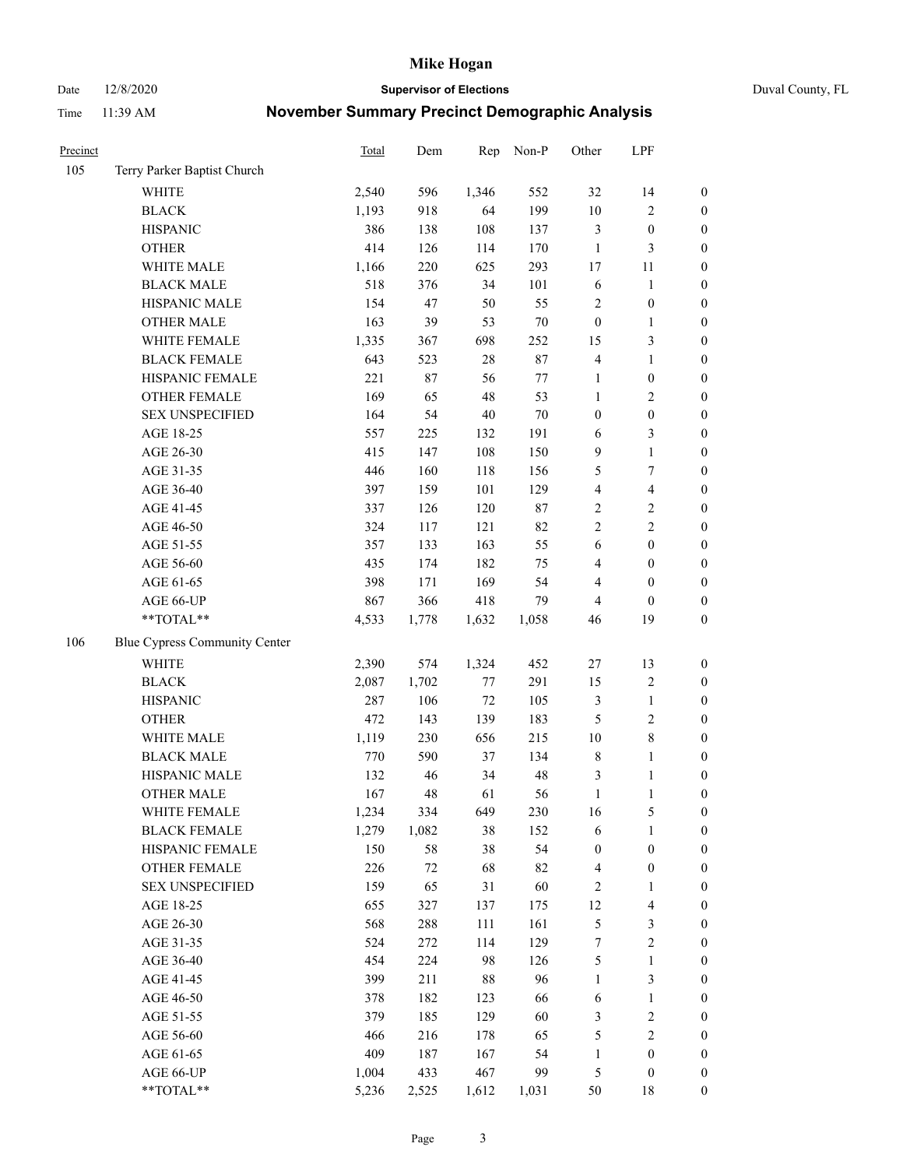Date 12/8/2020 **Supervisor of Elections** Duval County, FL

| Precinct |                               | Total | Dem   | Rep    | Non-P   | Other            | LPF                     |                  |
|----------|-------------------------------|-------|-------|--------|---------|------------------|-------------------------|------------------|
| 105      | Terry Parker Baptist Church   |       |       |        |         |                  |                         |                  |
|          | <b>WHITE</b>                  | 2,540 | 596   | 1,346  | 552     | 32               | 14                      | $\boldsymbol{0}$ |
|          | <b>BLACK</b>                  | 1,193 | 918   | 64     | 199     | $10\,$           | $\sqrt{2}$              | $\boldsymbol{0}$ |
|          | <b>HISPANIC</b>               | 386   | 138   | 108    | 137     | 3                | $\boldsymbol{0}$        | $\boldsymbol{0}$ |
|          | <b>OTHER</b>                  | 414   | 126   | 114    | 170     | $\mathbf{1}$     | $\mathfrak{Z}$          | $\boldsymbol{0}$ |
|          | WHITE MALE                    | 1,166 | 220   | 625    | 293     | 17               | 11                      | $\boldsymbol{0}$ |
|          | <b>BLACK MALE</b>             | 518   | 376   | 34     | 101     | 6                | $\mathbf{1}$            | $\boldsymbol{0}$ |
|          | HISPANIC MALE                 | 154   | 47    | 50     | 55      | $\overline{c}$   | $\boldsymbol{0}$        | $\boldsymbol{0}$ |
|          | <b>OTHER MALE</b>             | 163   | 39    | 53     | $70\,$  | $\boldsymbol{0}$ | $\mathbf{1}$            | $\boldsymbol{0}$ |
|          | WHITE FEMALE                  | 1,335 | 367   | 698    | 252     | 15               | $\mathfrak{Z}$          | $\boldsymbol{0}$ |
|          | <b>BLACK FEMALE</b>           | 643   | 523   | $28\,$ | 87      | $\overline{4}$   | $\mathbf{1}$            | $\boldsymbol{0}$ |
|          | HISPANIC FEMALE               | 221   | 87    | 56     | $77 \,$ | $\mathbf{1}$     | $\boldsymbol{0}$        | 0                |
|          | OTHER FEMALE                  | 169   | 65    | $48\,$ | 53      | $\mathbf{1}$     | $\sqrt{2}$              | $\boldsymbol{0}$ |
|          | <b>SEX UNSPECIFIED</b>        | 164   | 54    | $40\,$ | $70\,$  | $\boldsymbol{0}$ | $\boldsymbol{0}$        | $\boldsymbol{0}$ |
|          | AGE 18-25                     | 557   | 225   | 132    | 191     | 6                | $\mathfrak{Z}$          | $\boldsymbol{0}$ |
|          | AGE 26-30                     | 415   | 147   | 108    | 150     | 9                | $\mathbf{1}$            | $\boldsymbol{0}$ |
|          | AGE 31-35                     | 446   | 160   | 118    | 156     | 5                | $\boldsymbol{7}$        | $\boldsymbol{0}$ |
|          | AGE 36-40                     | 397   | 159   | 101    | 129     | 4                | $\overline{\mathbf{4}}$ | $\boldsymbol{0}$ |
|          | AGE 41-45                     | 337   | 126   | 120    | $87\,$  | $\sqrt{2}$       | $\sqrt{2}$              | $\boldsymbol{0}$ |
|          | AGE 46-50                     | 324   | 117   | 121    | 82      | $\overline{c}$   | $\overline{2}$          | $\boldsymbol{0}$ |
|          | AGE 51-55                     | 357   | 133   | 163    | 55      | 6                | $\boldsymbol{0}$        | $\boldsymbol{0}$ |
|          | AGE 56-60                     | 435   | 174   | 182    | 75      | 4                | $\boldsymbol{0}$        | 0                |
|          | AGE 61-65                     | 398   | 171   | 169    | 54      | 4                | $\boldsymbol{0}$        | $\boldsymbol{0}$ |
|          | AGE 66-UP                     | 867   | 366   | 418    | 79      | $\overline{4}$   | $\boldsymbol{0}$        | $\boldsymbol{0}$ |
|          | $**TOTAL**$                   | 4,533 | 1,778 | 1,632  | 1,058   | 46               | 19                      | $\boldsymbol{0}$ |
| 106      | Blue Cypress Community Center |       |       |        |         |                  |                         |                  |
|          | <b>WHITE</b>                  | 2,390 | 574   | 1,324  | 452     | $27\,$           | 13                      | $\boldsymbol{0}$ |
|          | <b>BLACK</b>                  | 2,087 | 1,702 | 77     | 291     | 15               | $\sqrt{2}$              | $\boldsymbol{0}$ |
|          | <b>HISPANIC</b>               | 287   | 106   | $72\,$ | 105     | 3                | $\mathbf{1}$            | $\boldsymbol{0}$ |
|          | <b>OTHER</b>                  | 472   | 143   | 139    | 183     | 5                | $\sqrt{2}$              | $\boldsymbol{0}$ |
|          | WHITE MALE                    | 1,119 | 230   | 656    | 215     | 10               | $\,$ 8 $\,$             | $\boldsymbol{0}$ |
|          | <b>BLACK MALE</b>             | 770   | 590   | 37     | 134     | $\,$ 8 $\,$      | $\mathbf{1}$            | $\boldsymbol{0}$ |
|          | HISPANIC MALE                 | 132   | 46    | 34     | 48      | $\mathfrak{Z}$   | 1                       | $\boldsymbol{0}$ |
|          | <b>OTHER MALE</b>             | 167   | 48    | 61     | 56      | $\mathbf{1}$     | $\mathbf{1}$            | $\boldsymbol{0}$ |
|          | WHITE FEMALE                  | 1,234 | 334   | 649    | 230     | 16               | 5                       | 0                |
|          | <b>BLACK FEMALE</b>           | 1,279 | 1,082 | 38     | 152     | 6                | $\mathbf{1}$            | $\boldsymbol{0}$ |
|          | HISPANIC FEMALE               | 150   | 58    | 38     | 54      | $\boldsymbol{0}$ | $\boldsymbol{0}$        | $\overline{0}$   |
|          | OTHER FEMALE                  | 226   | 72    | 68     | 82      | $\overline{4}$   | $\boldsymbol{0}$        | 0                |
|          | <b>SEX UNSPECIFIED</b>        | 159   | 65    | 31     | 60      | 2                | $\mathbf{1}$            | 0                |
|          | AGE 18-25                     | 655   | 327   | 137    | 175     | 12               | $\overline{\mathbf{4}}$ | 0                |
|          | AGE 26-30                     | 568   | 288   | 111    | 161     | 5                | $\mathfrak{Z}$          | 0                |
|          | AGE 31-35                     | 524   | 272   | 114    | 129     | 7                | $\sqrt{2}$              | 0                |
|          | AGE 36-40                     | 454   | 224   | 98     | 126     | 5                | $\mathbf{1}$            | 0                |
|          | AGE 41-45                     | 399   | 211   | 88     | 96      | $\mathbf{1}$     | $\mathfrak{Z}$          | 0                |
|          | AGE 46-50                     | 378   | 182   | 123    | 66      | 6                | $\mathbf{1}$            | 0                |
|          | AGE 51-55                     | 379   | 185   | 129    | 60      | 3                | $\sqrt{2}$              | 0                |
|          | AGE 56-60                     | 466   | 216   | 178    | 65      | 5                | $\sqrt{2}$              | 0                |
|          | AGE 61-65                     | 409   | 187   | 167    | 54      | $\mathbf{1}$     | $\boldsymbol{0}$        | $\boldsymbol{0}$ |
|          | AGE 66-UP                     | 1,004 | 433   | 467    | 99      | 5                | $\boldsymbol{0}$        | 0                |
|          | **TOTAL**                     | 5,236 | 2,525 | 1,612  | 1,031   | 50               | 18                      | $\boldsymbol{0}$ |
|          |                               |       |       |        |         |                  |                         |                  |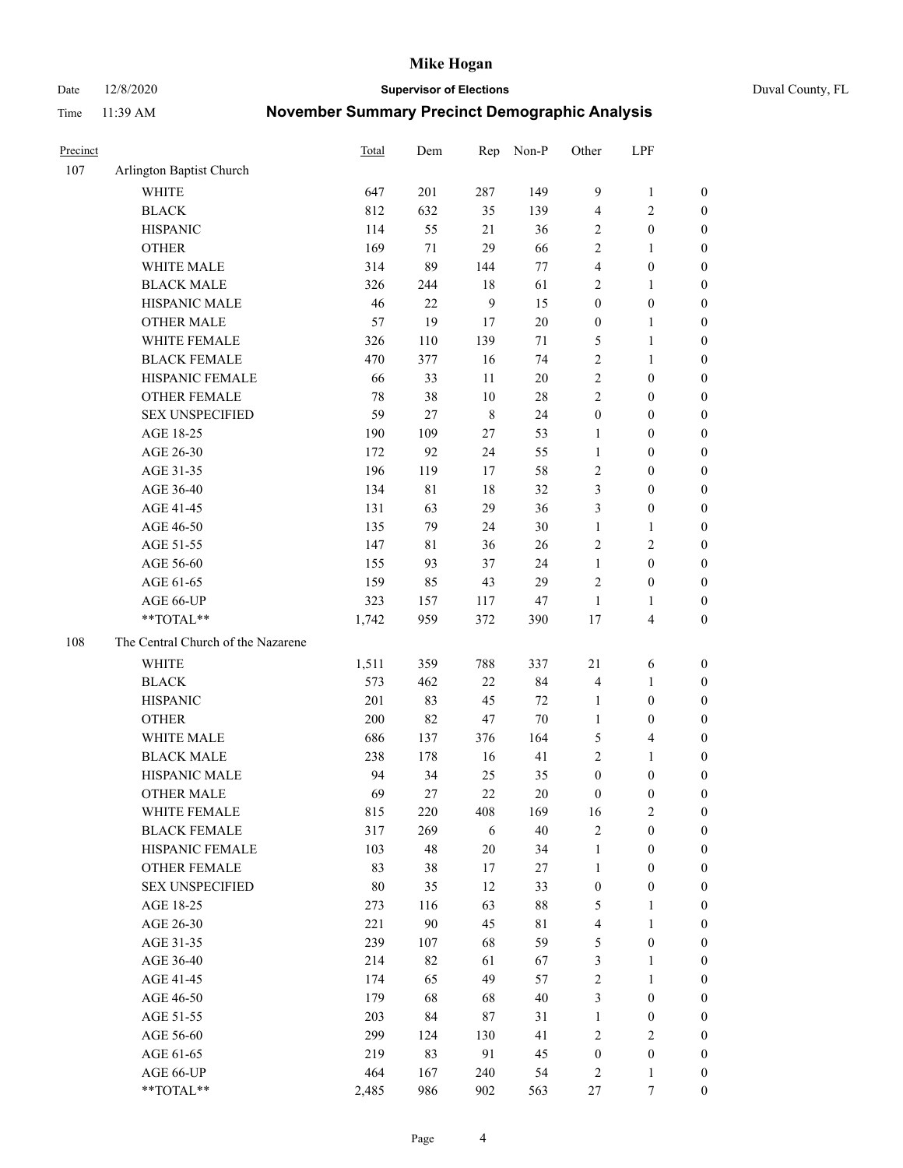Date 12/8/2020 **Supervisor of Elections** Duval County, FL

| 107 | Arlington Baptist Church<br><b>WHITE</b> |        |             |             |           |                  |                                         |                       |
|-----|------------------------------------------|--------|-------------|-------------|-----------|------------------|-----------------------------------------|-----------------------|
|     |                                          |        |             |             |           |                  |                                         |                       |
|     |                                          | 647    | 201         | 287         | 149       | 9                | $\mathbf{1}$                            | 0                     |
|     | <b>BLACK</b>                             | 812    | 632         | 35          | 139       | 4                | $\sqrt{2}$                              | 0                     |
|     | <b>HISPANIC</b>                          | 114    | 55          | 21          | 36        | 2                | $\boldsymbol{0}$                        | $\boldsymbol{0}$      |
|     | <b>OTHER</b>                             | 169    | 71          | 29          | 66        | 2                | 1                                       | $\boldsymbol{0}$      |
|     | WHITE MALE                               | 314    | 89          | 144         | 77        | 4                | $\boldsymbol{0}$                        | $\boldsymbol{0}$      |
|     | <b>BLACK MALE</b>                        | 326    | 244         | 18          | 61        | $\overline{c}$   | $\mathbf{1}$                            | $\boldsymbol{0}$      |
|     | HISPANIC MALE                            | 46     | 22          | 9           | 15        | $\boldsymbol{0}$ | $\boldsymbol{0}$                        | $\boldsymbol{0}$      |
|     | <b>OTHER MALE</b>                        | 57     | 19          | 17          | $20\,$    | $\boldsymbol{0}$ | $\mathbf{1}$                            | $\boldsymbol{0}$      |
|     | WHITE FEMALE                             | 326    | 110         | 139         | $71\,$    | 5                | $\mathbf{1}$                            | $\boldsymbol{0}$      |
|     | <b>BLACK FEMALE</b>                      | 470    | 377         | 16          | 74        | $\sqrt{2}$       | $\mathbf{1}$                            | 0                     |
|     | HISPANIC FEMALE                          | 66     | 33          | 11          | 20        | $\sqrt{2}$       | $\boldsymbol{0}$                        | 0                     |
|     | <b>OTHER FEMALE</b>                      | 78     | 38          | 10          | $28\,$    | $\overline{c}$   | $\boldsymbol{0}$                        | $\boldsymbol{0}$      |
|     | <b>SEX UNSPECIFIED</b>                   | 59     | 27          | $\,$ 8 $\,$ | 24        | $\boldsymbol{0}$ | $\boldsymbol{0}$                        | $\boldsymbol{0}$      |
|     | AGE 18-25                                | 190    | 109         | $27\,$      | 53        | 1                | $\boldsymbol{0}$                        | $\boldsymbol{0}$      |
|     | AGE 26-30                                | 172    | 92          | 24          | 55        | $\mathbf{1}$     | $\boldsymbol{0}$                        | $\boldsymbol{0}$      |
|     | AGE 31-35                                | 196    | 119         | 17          | 58        | $\sqrt{2}$       | $\boldsymbol{0}$                        | $\boldsymbol{0}$      |
|     | AGE 36-40                                | 134    | $8\sqrt{1}$ | 18          | 32        | 3                | $\boldsymbol{0}$                        | $\boldsymbol{0}$      |
|     | AGE 41-45                                | 131    | 63          | 29          | 36        | 3                | $\boldsymbol{0}$                        | $\boldsymbol{0}$      |
|     | AGE 46-50                                | 135    | 79          | 24          | 30        | $\mathbf{1}$     | $\mathbf{1}$                            | $\boldsymbol{0}$      |
|     | AGE 51-55                                | 147    | 81          | 36          | 26        | $\sqrt{2}$       | $\sqrt{2}$                              | $\boldsymbol{0}$      |
|     | AGE 56-60                                | 155    | 93          | 37          | 24        | $\mathbf{1}$     | $\boldsymbol{0}$                        |                       |
|     | AGE 61-65                                | 159    | 85          | 43          | 29        | $\mathbf{2}$     | $\boldsymbol{0}$                        | 0<br>$\boldsymbol{0}$ |
|     | AGE 66-UP                                | 323    |             |             |           | $\mathbf{1}$     |                                         | $\boldsymbol{0}$      |
|     | **TOTAL**                                | 1,742  | 157<br>959  | 117<br>372  | 47<br>390 | $17$             | $\mathbf{1}$<br>$\overline{\mathbf{4}}$ | $\boldsymbol{0}$      |
|     |                                          |        |             |             |           |                  |                                         |                       |
| 108 | The Central Church of the Nazarene       |        |             |             |           |                  |                                         |                       |
|     | <b>WHITE</b>                             | 1,511  | 359         | 788         | 337       | 21               | 6                                       | $\boldsymbol{0}$      |
|     | <b>BLACK</b>                             | 573    | 462         | $22\,$      | 84        | 4                | $\mathbf{1}$                            | $\boldsymbol{0}$      |
|     | <b>HISPANIC</b>                          | 201    | 83          | 45          | 72        | $\mathbf{1}$     | $\boldsymbol{0}$                        | $\boldsymbol{0}$      |
|     | <b>OTHER</b>                             | 200    | 82          | 47          | $70\,$    | $\mathbf{1}$     | $\boldsymbol{0}$                        | $\boldsymbol{0}$      |
|     | WHITE MALE                               | 686    | 137         | 376         | 164       | 5                | $\overline{\mathbf{4}}$                 | $\boldsymbol{0}$      |
|     | <b>BLACK MALE</b>                        | 238    | 178         | 16          | 41        | $\overline{c}$   | $\mathbf{1}$                            | $\boldsymbol{0}$      |
|     | HISPANIC MALE                            | 94     | 34          | 25          | 35        | $\boldsymbol{0}$ | $\boldsymbol{0}$                        | $\boldsymbol{0}$      |
|     | <b>OTHER MALE</b>                        | 69     | 27          | 22          | 20        | $\boldsymbol{0}$ | $\boldsymbol{0}$                        | $\boldsymbol{0}$      |
|     | WHITE FEMALE                             | 815    | 220         | 408         | 169       | 16               | 2                                       | 0                     |
|     | <b>BLACK FEMALE</b>                      | 317    | 269         | 6           | 40        | 2                | $\boldsymbol{0}$                        | $\boldsymbol{0}$      |
|     | HISPANIC FEMALE                          | 103    | 48          | 20          | 34        | $\mathbf{1}$     | $\boldsymbol{0}$                        | $\overline{0}$        |
|     | OTHER FEMALE                             | 83     | 38          | 17          | 27        | $\mathbf{1}$     | $\boldsymbol{0}$                        | $\overline{0}$        |
|     | <b>SEX UNSPECIFIED</b>                   | $80\,$ | 35          | 12          | 33        | $\boldsymbol{0}$ | $\boldsymbol{0}$                        | 0                     |
|     | AGE 18-25                                | 273    | 116         | 63          | $88\,$    | 5                | $\mathbf{1}$                            | $\theta$              |
|     | AGE 26-30                                | 221    | 90          | 45          | 81        | $\overline{4}$   | $\mathbf{1}$                            | 0                     |
|     | AGE 31-35                                | 239    | 107         | 68          | 59        | 5                | $\boldsymbol{0}$                        | 0                     |
|     | AGE 36-40                                | 214    | 82          | 61          | 67        | 3                | $\mathbf{1}$                            | 0                     |
|     | AGE 41-45                                | 174    | 65          | 49          | 57        | 2                | $\mathbf{1}$                            | 0                     |
|     | AGE 46-50                                | 179    | 68          | 68          | 40        | 3                | $\boldsymbol{0}$                        | 0                     |
|     | AGE 51-55                                | 203    | 84          | $87\,$      | 31        | $\mathbf{1}$     | $\boldsymbol{0}$                        | 0                     |
|     | AGE 56-60                                | 299    | 124         | 130         | 41        | $\mathfrak{2}$   | $\overline{2}$                          | $\overline{0}$        |
|     | AGE 61-65                                | 219    | 83          | 91          | 45        | $\boldsymbol{0}$ | $\boldsymbol{0}$                        | $\overline{0}$        |
|     | AGE 66-UP                                | 464    | 167         | 240         | 54        | 2                | $\mathbf{1}$                            | $\boldsymbol{0}$      |
|     | **TOTAL**                                | 2,485  | 986         | 902         | 563       | 27               | 7                                       | $\boldsymbol{0}$      |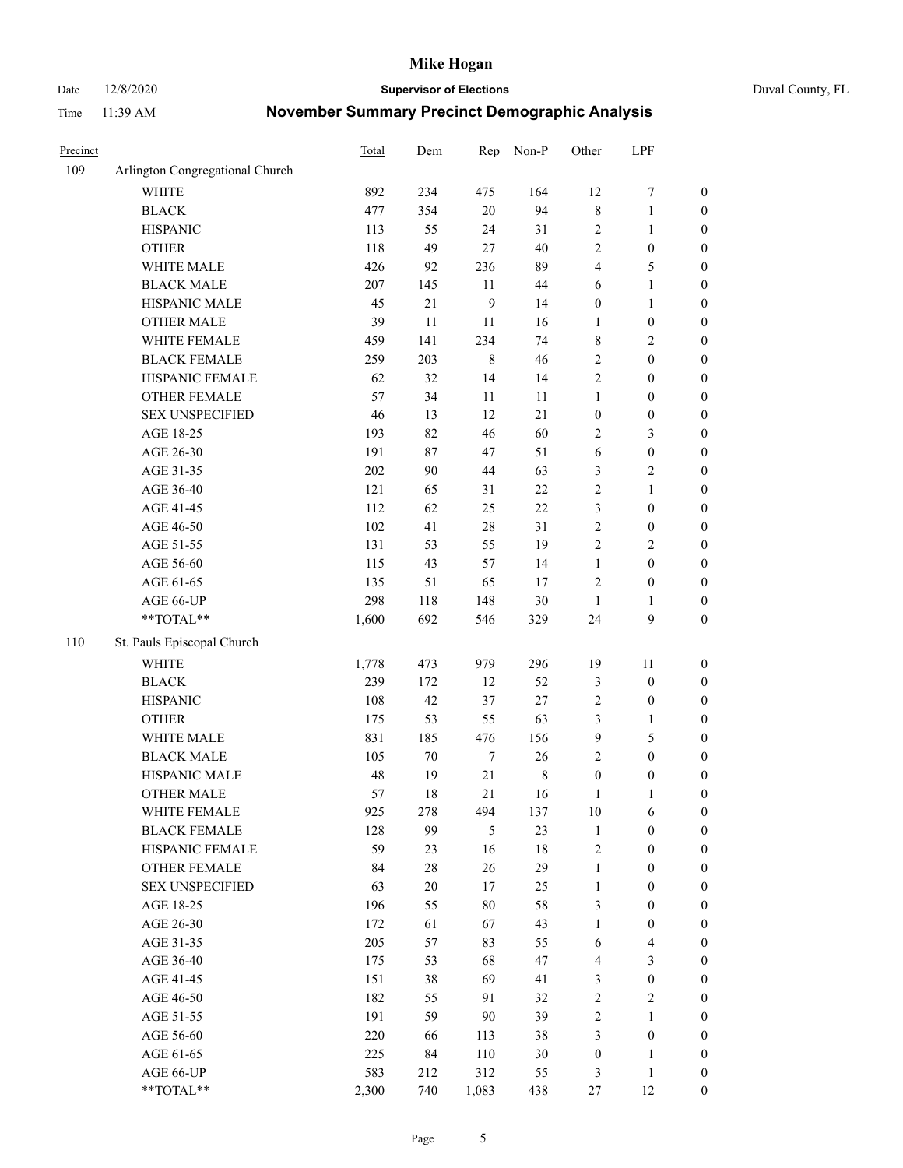Date 12/8/2020 **Supervisor of Elections** Duval County, FL

| Precinct |                                 | Total | Dem    | Rep              | Non-P       | Other            | LPF                     |                  |
|----------|---------------------------------|-------|--------|------------------|-------------|------------------|-------------------------|------------------|
| 109      | Arlington Congregational Church |       |        |                  |             |                  |                         |                  |
|          | <b>WHITE</b>                    | 892   | 234    | 475              | 164         | 12               | $\boldsymbol{7}$        | 0                |
|          | <b>BLACK</b>                    | 477   | 354    | 20               | 94          | $\,$ $\,$        | $\mathbf{1}$            | $\boldsymbol{0}$ |
|          | <b>HISPANIC</b>                 | 113   | 55     | 24               | 31          | $\sqrt{2}$       | $\mathbf{1}$            | $\boldsymbol{0}$ |
|          | <b>OTHER</b>                    | 118   | 49     | $27\,$           | 40          | $\mathfrak{2}$   | $\boldsymbol{0}$        | $\boldsymbol{0}$ |
|          | WHITE MALE                      | 426   | 92     | 236              | 89          | 4                | 5                       | $\boldsymbol{0}$ |
|          | <b>BLACK MALE</b>               | 207   | 145    | 11               | 44          | 6                | $\mathbf{1}$            | $\boldsymbol{0}$ |
|          | HISPANIC MALE                   | 45    | $21\,$ | 9                | 14          | $\boldsymbol{0}$ | $\mathbf{1}$            | $\boldsymbol{0}$ |
|          | <b>OTHER MALE</b>               | 39    | 11     | 11               | 16          | $\mathbf{1}$     | $\boldsymbol{0}$        | $\boldsymbol{0}$ |
|          | WHITE FEMALE                    | 459   | 141    | 234              | 74          | 8                | $\overline{2}$          | $\boldsymbol{0}$ |
|          | <b>BLACK FEMALE</b>             | 259   | 203    | $\,$ 8 $\,$      | 46          | 2                | $\boldsymbol{0}$        | $\boldsymbol{0}$ |
|          | HISPANIC FEMALE                 | 62    | 32     | 14               | 14          | $\sqrt{2}$       | $\boldsymbol{0}$        | $\boldsymbol{0}$ |
|          | OTHER FEMALE                    | 57    | 34     | 11               | 11          | 1                | $\boldsymbol{0}$        | $\boldsymbol{0}$ |
|          | <b>SEX UNSPECIFIED</b>          | 46    | 13     | 12               | 21          | $\boldsymbol{0}$ | $\boldsymbol{0}$        | $\boldsymbol{0}$ |
|          | AGE 18-25                       | 193   | 82     | 46               | 60          | 2                | $\mathfrak{Z}$          | $\boldsymbol{0}$ |
|          | AGE 26-30                       | 191   | 87     | 47               | 51          | 6                | $\boldsymbol{0}$        | $\boldsymbol{0}$ |
|          | AGE 31-35                       | 202   | 90     | 44               | 63          | 3                | $\sqrt{2}$              | $\boldsymbol{0}$ |
|          | AGE 36-40                       | 121   | 65     | 31               | 22          | $\overline{c}$   | $\mathbf{1}$            | $\boldsymbol{0}$ |
|          | AGE 41-45                       | 112   | 62     | 25               | 22          | 3                | $\boldsymbol{0}$        | $\boldsymbol{0}$ |
|          | AGE 46-50                       | 102   | 41     | 28               | 31          | $\sqrt{2}$       | $\boldsymbol{0}$        | $\boldsymbol{0}$ |
|          | AGE 51-55                       | 131   | 53     | 55               | 19          | $\sqrt{2}$       | $\sqrt{2}$              | $\boldsymbol{0}$ |
|          | AGE 56-60                       | 115   | 43     | 57               | 14          | $\mathbf{1}$     | $\boldsymbol{0}$        | 0                |
|          | AGE 61-65                       | 135   | 51     | 65               | 17          | $\mathfrak{2}$   | $\boldsymbol{0}$        | 0                |
|          | AGE 66-UP                       | 298   | 118    | 148              | 30          | $\mathbf{1}$     | $\mathbf{1}$            | $\boldsymbol{0}$ |
|          | **TOTAL**                       | 1,600 | 692    | 546              | 329         | 24               | $\boldsymbol{9}$        | $\boldsymbol{0}$ |
| 110      | St. Pauls Episcopal Church      |       |        |                  |             |                  |                         |                  |
|          | <b>WHITE</b>                    | 1,778 | 473    | 979              | 296         | 19               | 11                      | $\boldsymbol{0}$ |
|          | <b>BLACK</b>                    | 239   | 172    | 12               | 52          | 3                | $\boldsymbol{0}$        | $\boldsymbol{0}$ |
|          | <b>HISPANIC</b>                 | 108   | 42     | 37               | 27          | 2                | $\boldsymbol{0}$        | $\boldsymbol{0}$ |
|          | <b>OTHER</b>                    | 175   | 53     | 55               | 63          | 3                | $\mathbf{1}$            | $\boldsymbol{0}$ |
|          | WHITE MALE                      | 831   | 185    | 476              | 156         | 9                | $\mathfrak{S}$          | $\boldsymbol{0}$ |
|          | <b>BLACK MALE</b>               | 105   | $70\,$ | $\boldsymbol{7}$ | 26          | $\mathbf{2}$     | $\boldsymbol{0}$        | $\boldsymbol{0}$ |
|          | HISPANIC MALE                   | 48    | 19     | $21\,$           | $\,$ 8 $\,$ | $\boldsymbol{0}$ | $\boldsymbol{0}$        | $\boldsymbol{0}$ |
|          | <b>OTHER MALE</b>               | 57    | 18     | 21               | 16          | $\mathbf{1}$     | 1                       | $\boldsymbol{0}$ |
|          | WHITE FEMALE                    | 925   | 278    | 494              | 137         | 10               | 6                       | 0                |
|          | <b>BLACK FEMALE</b>             | 128   | 99     | 5                | 23          | $\mathbf{1}$     | $\boldsymbol{0}$        | $\boldsymbol{0}$ |
|          | HISPANIC FEMALE                 | 59    | 23     | 16               | $18\,$      | $\sqrt{2}$       | $\boldsymbol{0}$        | $\overline{0}$   |
|          | OTHER FEMALE                    | 84    | $28\,$ | 26               | 29          | $\mathbf{1}$     | $\boldsymbol{0}$        | $\overline{0}$   |
|          | <b>SEX UNSPECIFIED</b>          | 63    | $20\,$ | 17               | 25          | $\mathbf{1}$     | $\boldsymbol{0}$        | 0                |
|          | AGE 18-25                       | 196   | 55     | 80               | 58          | 3                | $\boldsymbol{0}$        | $\theta$         |
|          | AGE 26-30                       | 172   | 61     | 67               | 43          | $\mathbf{1}$     | $\boldsymbol{0}$        | 0                |
|          | AGE 31-35                       | 205   | 57     | 83               | 55          | 6                | $\overline{\mathbf{4}}$ | 0                |
|          | AGE 36-40                       | 175   | 53     | 68               | 47          | 4                | $\mathfrak{Z}$          | 0                |
|          | AGE 41-45                       | 151   | 38     | 69               | 41          | 3                | $\boldsymbol{0}$        | 0                |
|          | AGE 46-50                       | 182   | 55     | 91               | 32          | 2                | $\sqrt{2}$              | 0                |
|          | AGE 51-55                       | 191   | 59     | 90               | 39          | 2                | $\mathbf{1}$            | 0                |
|          | AGE 56-60                       | 220   | 66     | 113              | 38          | 3                | $\boldsymbol{0}$        | $\overline{0}$   |
|          | AGE 61-65                       | 225   | 84     | 110              | 30          | $\boldsymbol{0}$ | $\mathbf{1}$            | $\overline{0}$   |
|          | AGE 66-UP                       | 583   | 212    | 312              | 55          | 3                | $\mathbf{1}$            | $\boldsymbol{0}$ |
|          | **TOTAL**                       | 2,300 | 740    | 1,083            | 438         | 27               | 12                      | $\boldsymbol{0}$ |
|          |                                 |       |        |                  |             |                  |                         |                  |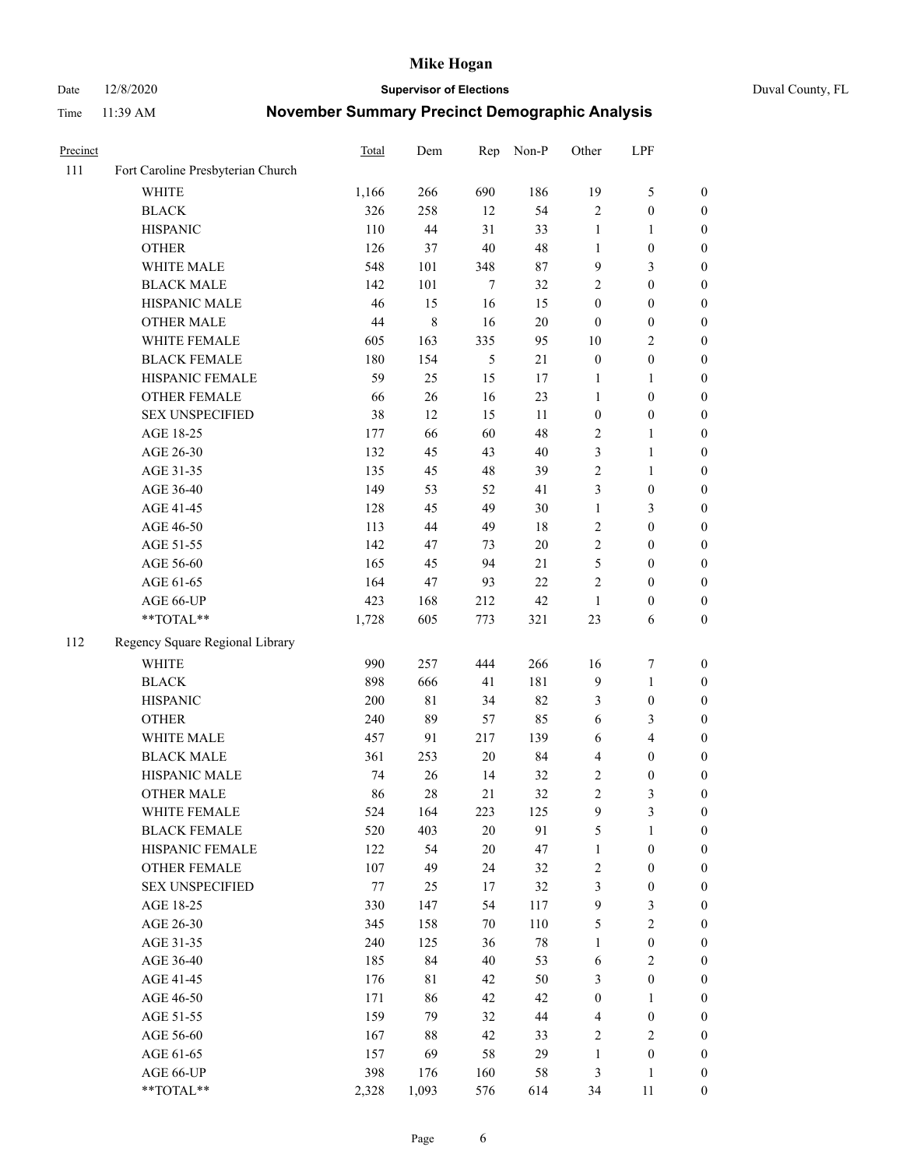Date 12/8/2020 **Supervisor of Elections** Duval County, FL

| Precinct |                                   | Total  | Dem         | Rep    | Non-P  | Other                   | LPF              |                  |
|----------|-----------------------------------|--------|-------------|--------|--------|-------------------------|------------------|------------------|
| 111      | Fort Caroline Presbyterian Church |        |             |        |        |                         |                  |                  |
|          | <b>WHITE</b>                      | 1,166  | 266         | 690    | 186    | 19                      | $\mathfrak{S}$   | 0                |
|          | <b>BLACK</b>                      | 326    | 258         | 12     | 54     | $\sqrt{2}$              | $\boldsymbol{0}$ | 0                |
|          | <b>HISPANIC</b>                   | 110    | 44          | 31     | 33     | $\mathbf{1}$            | $\mathbf{1}$     | $\boldsymbol{0}$ |
|          | <b>OTHER</b>                      | 126    | 37          | 40     | 48     | 1                       | $\boldsymbol{0}$ | $\boldsymbol{0}$ |
|          | WHITE MALE                        | 548    | 101         | 348    | 87     | 9                       | $\mathfrak{Z}$   | $\boldsymbol{0}$ |
|          | <b>BLACK MALE</b>                 | 142    | 101         | $\tau$ | 32     | 2                       | $\boldsymbol{0}$ | $\boldsymbol{0}$ |
|          | HISPANIC MALE                     | 46     | 15          | 16     | 15     | $\boldsymbol{0}$        | $\boldsymbol{0}$ | $\boldsymbol{0}$ |
|          | <b>OTHER MALE</b>                 | $44\,$ | 8           | 16     | $20\,$ | $\boldsymbol{0}$        | $\boldsymbol{0}$ | $\boldsymbol{0}$ |
|          | WHITE FEMALE                      | 605    | 163         | 335    | 95     | $10\,$                  | $\overline{2}$   | $\boldsymbol{0}$ |
|          | <b>BLACK FEMALE</b>               | 180    | 154         | 5      | 21     | $\boldsymbol{0}$        | $\boldsymbol{0}$ | 0                |
|          | HISPANIC FEMALE                   | 59     | 25          | 15     | 17     | 1                       | $\mathbf{1}$     | 0                |
|          | OTHER FEMALE                      | 66     | 26          | 16     | 23     | $\mathbf{1}$            | $\boldsymbol{0}$ | 0                |
|          | <b>SEX UNSPECIFIED</b>            | 38     | 12          | 15     | 11     | $\boldsymbol{0}$        | $\boldsymbol{0}$ | $\boldsymbol{0}$ |
|          | AGE 18-25                         | 177    | 66          | 60     | 48     | $\sqrt{2}$              | 1                | $\boldsymbol{0}$ |
|          | AGE 26-30                         | 132    | 45          | 43     | 40     | 3                       | $\mathbf{1}$     | $\boldsymbol{0}$ |
|          | AGE 31-35                         | 135    | 45          | 48     | 39     | $\sqrt{2}$              | $\mathbf{1}$     | $\boldsymbol{0}$ |
|          | AGE 36-40                         | 149    | 53          | 52     | 41     | 3                       | $\boldsymbol{0}$ | $\boldsymbol{0}$ |
|          | AGE 41-45                         | 128    | 45          | 49     | 30     | $\mathbf{1}$            | 3                | $\boldsymbol{0}$ |
|          | AGE 46-50                         | 113    | 44          | 49     | $18\,$ | 2                       | $\boldsymbol{0}$ | $\boldsymbol{0}$ |
|          | AGE 51-55                         | 142    | 47          | 73     | $20\,$ | 2                       | $\boldsymbol{0}$ | $\boldsymbol{0}$ |
|          | AGE 56-60                         | 165    | 45          | 94     | 21     | 5                       | $\boldsymbol{0}$ | 0                |
|          | AGE 61-65                         | 164    | 47          | 93     | 22     | $\mathbf{2}$            | $\boldsymbol{0}$ | 0                |
|          | AGE 66-UP                         | 423    | 168         | 212    | 42     | $\mathbf{1}$            | $\boldsymbol{0}$ | $\boldsymbol{0}$ |
|          | **TOTAL**                         | 1,728  | 605         | 773    | 321    | 23                      | 6                | $\boldsymbol{0}$ |
| 112      | Regency Square Regional Library   |        |             |        |        |                         |                  |                  |
|          | <b>WHITE</b>                      | 990    | 257         | 444    | 266    | 16                      | $\boldsymbol{7}$ | $\boldsymbol{0}$ |
|          | <b>BLACK</b>                      | 898    | 666         | 41     | 181    | 9                       | $\mathbf{1}$     | $\boldsymbol{0}$ |
|          | <b>HISPANIC</b>                   | 200    | $8\sqrt{1}$ | 34     | 82     | 3                       | $\boldsymbol{0}$ | $\boldsymbol{0}$ |
|          | <b>OTHER</b>                      | 240    | 89          | 57     | 85     | 6                       | 3                | $\boldsymbol{0}$ |
|          | WHITE MALE                        | 457    | 91          | 217    | 139    | 6                       | $\overline{4}$   | $\boldsymbol{0}$ |
|          | <b>BLACK MALE</b>                 | 361    | 253         | $20\,$ | 84     | 4                       | $\boldsymbol{0}$ | $\boldsymbol{0}$ |
|          | HISPANIC MALE                     | 74     | 26          | 14     | 32     | 2                       | $\boldsymbol{0}$ | $\boldsymbol{0}$ |
|          | <b>OTHER MALE</b>                 | 86     | 28          | 21     | 32     | $\overline{c}$          | $\mathfrak{Z}$   | $\boldsymbol{0}$ |
|          | WHITE FEMALE                      | 524    | 164         | 223    | 125    | 9                       | 3                | 0                |
|          | <b>BLACK FEMALE</b>               | 520    | 403         | 20     | 91     | 5                       | $\mathbf{1}$     | $\boldsymbol{0}$ |
|          | HISPANIC FEMALE                   | 122    | 54          | 20     | 47     | $\mathbf{1}$            | $\boldsymbol{0}$ | $\overline{0}$   |
|          | OTHER FEMALE                      | 107    | 49          | 24     | 32     | $\overline{c}$          | $\boldsymbol{0}$ | $\overline{0}$   |
|          | <b>SEX UNSPECIFIED</b>            | 77     | 25          | 17     | 32     | 3                       | $\boldsymbol{0}$ | 0                |
|          | AGE 18-25                         | 330    | 147         | 54     | 117    | 9                       | $\mathfrak{Z}$   | 0                |
|          | AGE 26-30                         | 345    | 158         | 70     | 110    | 5                       | $\sqrt{2}$       | 0                |
|          | AGE 31-35                         | 240    | 125         | 36     | $78\,$ | $\mathbf{1}$            | $\boldsymbol{0}$ | 0                |
|          | AGE 36-40                         | 185    | 84          | 40     | 53     | 6                       | $\sqrt{2}$       | 0                |
|          | AGE 41-45                         | 176    | 81          | 42     | 50     | 3                       | $\boldsymbol{0}$ | 0                |
|          | AGE 46-50                         | 171    | 86          | 42     | 42     | $\boldsymbol{0}$        | $\mathbf{1}$     | 0                |
|          | AGE 51-55                         | 159    | 79          | 32     | 44     | $\overline{\mathbf{4}}$ | $\boldsymbol{0}$ | 0                |
|          | AGE 56-60                         | 167    | 88          | 42     | 33     | $\overline{c}$          | $\sqrt{2}$       | 0                |
|          | AGE 61-65                         | 157    | 69          | 58     | 29     | $\mathbf{1}$            | $\boldsymbol{0}$ | $\overline{0}$   |
|          | AGE 66-UP                         | 398    | 176         | 160    | 58     | 3                       | $\mathbf{1}$     | $\boldsymbol{0}$ |
|          | **TOTAL**                         | 2,328  | 1,093       | 576    | 614    | 34                      | 11               | $\boldsymbol{0}$ |
|          |                                   |        |             |        |        |                         |                  |                  |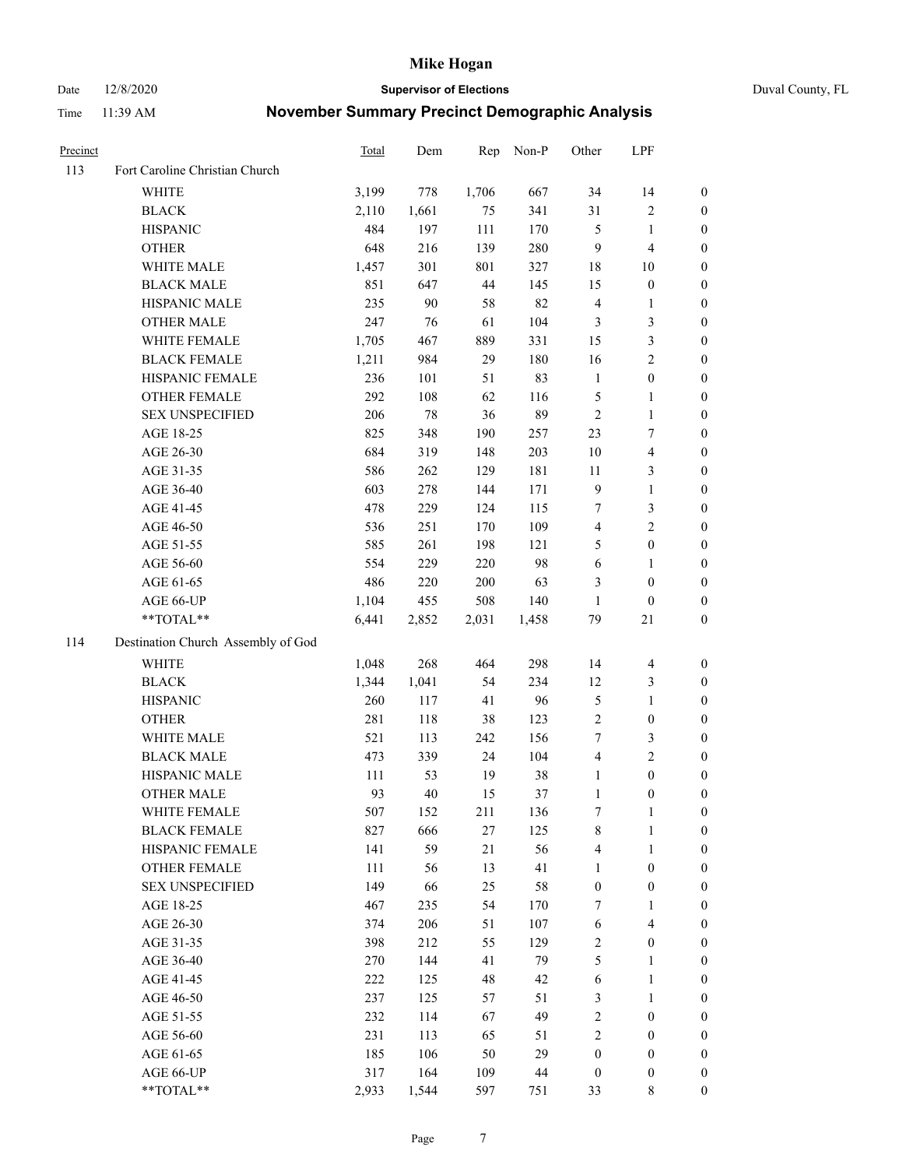Date 12/8/2020 **Supervisor of Elections** Duval County, FL

| Precinct |                                    | Total        | Dem   | Rep   | Non-P | Other            | LPF                     |                                      |
|----------|------------------------------------|--------------|-------|-------|-------|------------------|-------------------------|--------------------------------------|
| 113      | Fort Caroline Christian Church     |              |       |       |       |                  |                         |                                      |
|          | <b>WHITE</b>                       | 3,199        | 778   | 1,706 | 667   | 34               | 14                      | 0                                    |
|          | <b>BLACK</b>                       | 2,110        | 1,661 | 75    | 341   | 31               | $\sqrt{2}$              | 0                                    |
|          | <b>HISPANIC</b>                    | 484          | 197   | 111   | 170   | 5                | $\mathbf{1}$            | $\boldsymbol{0}$                     |
|          | <b>OTHER</b>                       | 648          | 216   | 139   | 280   | 9                | $\overline{\mathbf{4}}$ | $\boldsymbol{0}$                     |
|          | WHITE MALE                         | 1,457        | 301   | 801   | 327   | 18               | 10                      | $\boldsymbol{0}$                     |
|          | <b>BLACK MALE</b>                  | 851          | 647   | 44    | 145   | 15               | $\boldsymbol{0}$        | $\boldsymbol{0}$                     |
|          | HISPANIC MALE                      | 235          | 90    | 58    | 82    | $\overline{4}$   | $\mathbf{1}$            | $\boldsymbol{0}$                     |
|          | <b>OTHER MALE</b>                  | 247          | 76    | 61    | 104   | 3                | $\mathfrak{Z}$          | $\boldsymbol{0}$                     |
|          | WHITE FEMALE                       | 1,705        | 467   | 889   | 331   | 15               | $\mathfrak{Z}$          | $\boldsymbol{0}$                     |
|          | <b>BLACK FEMALE</b>                | 1,211        | 984   | 29    | 180   | 16               | $\sqrt{2}$              | 0                                    |
|          | HISPANIC FEMALE                    | 236          | 101   | 51    | 83    | $\mathbf{1}$     | $\boldsymbol{0}$        | 0                                    |
|          | OTHER FEMALE                       | 292          | 108   | 62    | 116   | 5                | $\mathbf{1}$            | 0                                    |
|          | <b>SEX UNSPECIFIED</b>             | 206          | 78    | 36    | 89    | $\sqrt{2}$       | $\mathbf{1}$            | $\boldsymbol{0}$                     |
|          | AGE 18-25                          | 825          | 348   | 190   | 257   | 23               | $\tau$                  | $\boldsymbol{0}$                     |
|          | AGE 26-30                          | 684          | 319   | 148   | 203   | 10               | $\overline{\mathbf{4}}$ | $\boldsymbol{0}$                     |
|          | AGE 31-35                          | 586          | 262   | 129   | 181   | 11               | $\mathfrak{Z}$          | $\boldsymbol{0}$                     |
|          | AGE 36-40                          | 603          | 278   | 144   | 171   | $\overline{9}$   | $\mathbf{1}$            | $\boldsymbol{0}$                     |
|          | AGE 41-45                          | 478          | 229   | 124   | 115   | $\tau$           | $\mathfrak{Z}$          | $\boldsymbol{0}$                     |
|          | AGE 46-50                          | 536          | 251   | 170   | 109   | $\overline{4}$   | $\overline{2}$          | $\boldsymbol{0}$                     |
|          | AGE 51-55                          | 585          | 261   | 198   | 121   | 5                | $\boldsymbol{0}$        | 0                                    |
|          | AGE 56-60                          | 554          | 229   | 220   | 98    | 6                | $\mathbf{1}$            | 0                                    |
|          | AGE 61-65                          | 486          | 220   | 200   | 63    | 3                | $\boldsymbol{0}$        | 0                                    |
|          | AGE 66-UP                          | 1,104        | 455   | 508   | 140   | $\mathbf{1}$     | $\boldsymbol{0}$        | $\boldsymbol{0}$                     |
|          | $**TOTAL**$                        | 6,441        | 2,852 | 2,031 | 1,458 | 79               | 21                      | $\boldsymbol{0}$                     |
| 114      | Destination Church Assembly of God |              |       |       |       |                  |                         |                                      |
|          | <b>WHITE</b>                       | 1,048        | 268   | 464   | 298   | 14               | $\overline{\mathbf{4}}$ |                                      |
|          |                                    |              | 1,041 | 54    | 234   | 12               | $\mathfrak{Z}$          | $\boldsymbol{0}$<br>$\boldsymbol{0}$ |
|          | <b>BLACK</b><br><b>HISPANIC</b>    | 1,344<br>260 | 117   | 41    | 96    | $\mathfrak{S}$   | $\mathbf{1}$            | $\boldsymbol{0}$                     |
|          | <b>OTHER</b>                       | 281          | 118   | 38    | 123   | $\overline{c}$   | $\boldsymbol{0}$        | $\boldsymbol{0}$                     |
|          | WHITE MALE                         | 521          | 113   | 242   | 156   | $\tau$           | $\mathfrak{Z}$          | $\boldsymbol{0}$                     |
|          | <b>BLACK MALE</b>                  | 473          | 339   | 24    | 104   | $\overline{4}$   | $\overline{2}$          | $\boldsymbol{0}$                     |
|          | HISPANIC MALE                      | 111          | 53    | 19    | 38    | $\mathbf{1}$     | $\boldsymbol{0}$        | 0                                    |
|          | <b>OTHER MALE</b>                  | 93           | 40    | 15    | 37    | $\mathbf{1}$     | $\boldsymbol{0}$        | $\boldsymbol{0}$                     |
|          | WHITE FEMALE                       | 507          | 152   | 211   | 136   | 7                | 1                       | 0                                    |
|          | <b>BLACK FEMALE</b>                | 827          | 666   | 27    | 125   | 8                | $\mathbf{1}$            | $\boldsymbol{0}$                     |
|          | HISPANIC FEMALE                    | 141          | 59    | 21    | 56    | 4                | $\mathbf{1}$            | $\overline{0}$                       |
|          | <b>OTHER FEMALE</b>                | 111          | 56    | 13    | 41    | $\mathbf{1}$     | $\boldsymbol{0}$        | $\overline{0}$                       |
|          | <b>SEX UNSPECIFIED</b>             | 149          | 66    | 25    | 58    | $\boldsymbol{0}$ | $\boldsymbol{0}$        | 0                                    |
|          | AGE 18-25                          | 467          | 235   | 54    | 170   | 7                | $\mathbf{1}$            | $\theta$                             |
|          | AGE 26-30                          | 374          | 206   | 51    | 107   | 6                | $\overline{4}$          | 0                                    |
|          | AGE 31-35                          | 398          | 212   | 55    | 129   | $\sqrt{2}$       | $\boldsymbol{0}$        | 0                                    |
|          | AGE 36-40                          | 270          | 144   | 41    | 79    | 5                | $\mathbf{1}$            | 0                                    |
|          | AGE 41-45                          | 222          | 125   | 48    | 42    | 6                | $\mathbf{1}$            | 0                                    |
|          | AGE 46-50                          | 237          | 125   | 57    | 51    | 3                | $\mathbf{1}$            | 0                                    |
|          | AGE 51-55                          | 232          | 114   | 67    | 49    | $\sqrt{2}$       | $\boldsymbol{0}$        | 0                                    |
|          | AGE 56-60                          | 231          | 113   | 65    | 51    | $\overline{c}$   | $\boldsymbol{0}$        | $\overline{0}$                       |
|          | AGE 61-65                          | 185          | 106   | 50    | 29    | $\boldsymbol{0}$ | $\boldsymbol{0}$        | $\overline{0}$                       |
|          | AGE 66-UP                          | 317          | 164   | 109   | 44    | $\boldsymbol{0}$ | $\boldsymbol{0}$        | $\boldsymbol{0}$                     |
|          | **TOTAL**                          | 2,933        | 1,544 | 597   | 751   | 33               | 8                       | $\boldsymbol{0}$                     |
|          |                                    |              |       |       |       |                  |                         |                                      |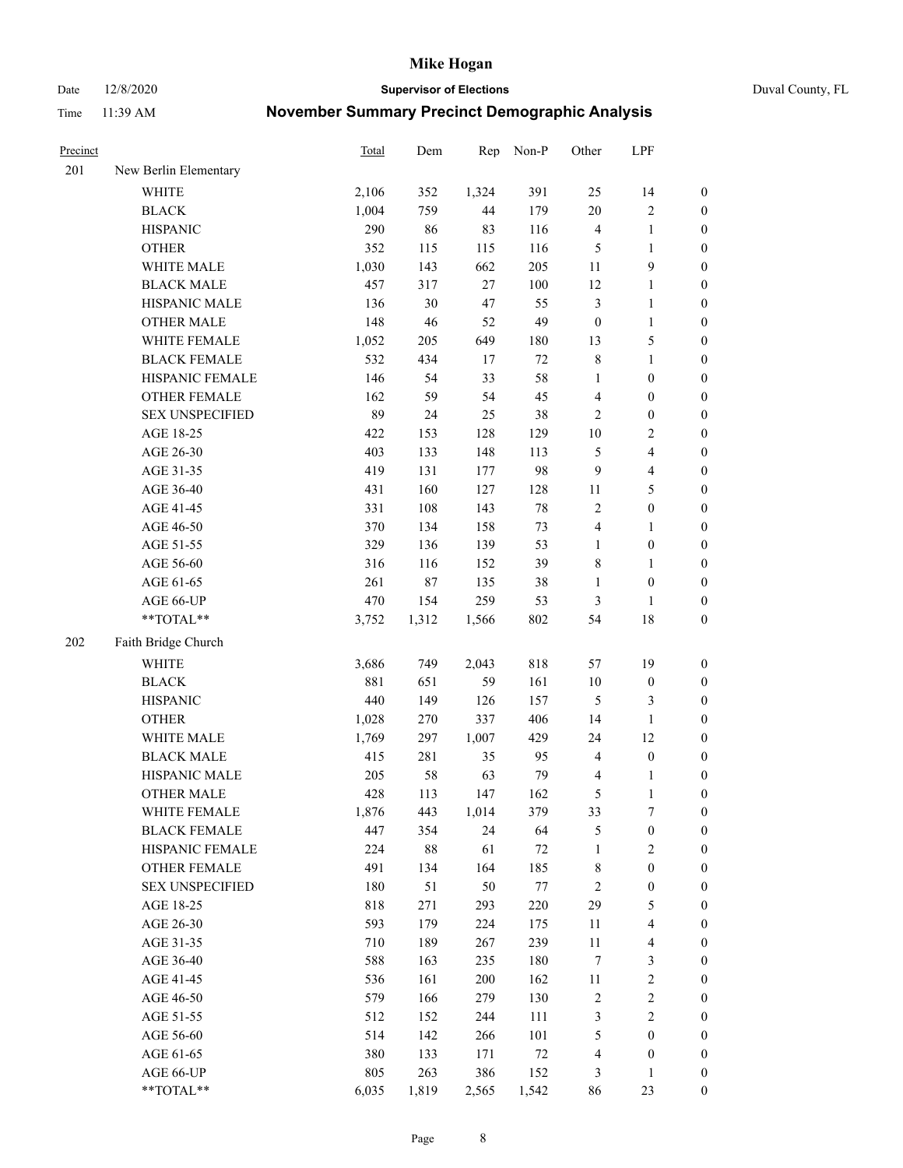Date 12/8/2020 **Supervisor of Elections** Duval County, FL

| Precinct |                        | Total | Dem    | Rep   | Non-P  | Other                   | LPF                     |                  |
|----------|------------------------|-------|--------|-------|--------|-------------------------|-------------------------|------------------|
| 201      | New Berlin Elementary  |       |        |       |        |                         |                         |                  |
|          | <b>WHITE</b>           | 2,106 | 352    | 1,324 | 391    | 25                      | 14                      | 0                |
|          | <b>BLACK</b>           | 1,004 | 759    | 44    | 179    | $20\,$                  | $\sqrt{2}$              | 0                |
|          | <b>HISPANIC</b>        | 290   | 86     | 83    | 116    | $\overline{\mathbf{4}}$ | $\mathbf{1}$            | $\boldsymbol{0}$ |
|          | <b>OTHER</b>           | 352   | 115    | 115   | 116    | 5                       | $\mathbf{1}$            | $\boldsymbol{0}$ |
|          | WHITE MALE             | 1,030 | 143    | 662   | 205    | 11                      | $\mathbf{9}$            | $\boldsymbol{0}$ |
|          | <b>BLACK MALE</b>      | 457   | 317    | 27    | 100    | 12                      | $\mathbf{1}$            | $\boldsymbol{0}$ |
|          | HISPANIC MALE          | 136   | 30     | 47    | 55     | $\mathfrak{Z}$          | $\mathbf{1}$            | $\boldsymbol{0}$ |
|          | <b>OTHER MALE</b>      | 148   | 46     | 52    | 49     | $\boldsymbol{0}$        | $\mathbf{1}$            | $\boldsymbol{0}$ |
|          | WHITE FEMALE           | 1,052 | 205    | 649   | 180    | 13                      | $\mathfrak s$           | $\boldsymbol{0}$ |
|          | <b>BLACK FEMALE</b>    | 532   | 434    | 17    | $72\,$ | 8                       | $\mathbf{1}$            | 0                |
|          | HISPANIC FEMALE        | 146   | 54     | 33    | 58     | $\mathbf{1}$            | $\boldsymbol{0}$        | 0                |
|          | OTHER FEMALE           | 162   | 59     | 54    | 45     | 4                       | $\boldsymbol{0}$        | $\boldsymbol{0}$ |
|          | <b>SEX UNSPECIFIED</b> | 89    | 24     | 25    | 38     | $\sqrt{2}$              | $\boldsymbol{0}$        | $\boldsymbol{0}$ |
|          | AGE 18-25              | 422   | 153    | 128   | 129    | $10\,$                  | $\sqrt{2}$              | $\boldsymbol{0}$ |
|          | AGE 26-30              | 403   | 133    | 148   | 113    | 5                       | $\overline{\mathbf{4}}$ | $\boldsymbol{0}$ |
|          | AGE 31-35              | 419   | 131    | 177   | 98     | 9                       | $\overline{\mathbf{4}}$ | $\boldsymbol{0}$ |
|          | AGE 36-40              | 431   | 160    | 127   | 128    | 11                      | $\mathfrak{S}$          | $\boldsymbol{0}$ |
|          | AGE 41-45              | 331   | 108    | 143   | $78\,$ | $\sqrt{2}$              | $\boldsymbol{0}$        | $\boldsymbol{0}$ |
|          | AGE 46-50              | 370   | 134    | 158   | 73     | 4                       | $\mathbf{1}$            | $\boldsymbol{0}$ |
|          | AGE 51-55              | 329   | 136    | 139   | 53     | $\mathbf{1}$            | $\boldsymbol{0}$        | $\boldsymbol{0}$ |
|          | AGE 56-60              | 316   | 116    | 152   | 39     | 8                       | 1                       | 0                |
|          | AGE 61-65              | 261   | $87\,$ | 135   | 38     | $\mathbf{1}$            | $\boldsymbol{0}$        | $\boldsymbol{0}$ |
|          | AGE 66-UP              | 470   | 154    | 259   | 53     | 3                       | $\mathbf{1}$            | $\boldsymbol{0}$ |
|          | **TOTAL**              | 3,752 | 1,312  | 1,566 | 802    | 54                      | $18\,$                  | $\boldsymbol{0}$ |
| 202      | Faith Bridge Church    |       |        |       |        |                         |                         |                  |
|          | <b>WHITE</b>           | 3,686 | 749    | 2,043 | 818    | 57                      | 19                      | $\boldsymbol{0}$ |
|          | <b>BLACK</b>           | 881   | 651    | 59    | 161    | $10\,$                  | $\boldsymbol{0}$        | $\boldsymbol{0}$ |
|          | <b>HISPANIC</b>        | 440   | 149    | 126   | 157    | 5                       | $\mathfrak{Z}$          | $\boldsymbol{0}$ |
|          | <b>OTHER</b>           | 1,028 | 270    | 337   | 406    | 14                      | $\mathbf{1}$            | $\boldsymbol{0}$ |
|          | WHITE MALE             | 1,769 | 297    | 1,007 | 429    | 24                      | 12                      | $\boldsymbol{0}$ |
|          | <b>BLACK MALE</b>      | 415   | 281    | 35    | 95     | $\overline{\mathbf{4}}$ | $\boldsymbol{0}$        | $\boldsymbol{0}$ |
|          | HISPANIC MALE          | 205   | 58     | 63    | 79     | $\overline{\mathbf{4}}$ | 1                       | 0                |
|          | <b>OTHER MALE</b>      | 428   | 113    | 147   | 162    | 5                       | $\mathbf{1}$            | $\boldsymbol{0}$ |
|          | WHITE FEMALE           | 1,876 | 443    | 1,014 | 379    | 33                      | 7                       | 0                |
|          | <b>BLACK FEMALE</b>    | 447   | 354    | 24    | 64     | 5                       | $\boldsymbol{0}$        | $\boldsymbol{0}$ |
|          | HISPANIC FEMALE        | 224   | $88\,$ | 61    | $72\,$ | $\mathbf{1}$            | $\sqrt{2}$              | $\overline{0}$   |
|          | <b>OTHER FEMALE</b>    | 491   | 134    | 164   | 185    | $\,$ 8 $\,$             | $\boldsymbol{0}$        | $\overline{0}$   |
|          | <b>SEX UNSPECIFIED</b> | 180   | 51     | 50    | 77     | 2                       | $\boldsymbol{0}$        | 0                |
|          | AGE 18-25              | 818   | 271    | 293   | 220    | 29                      | $\mathfrak{S}$          | 0                |
|          | AGE 26-30              | 593   | 179    | 224   | 175    | 11                      | $\overline{\mathbf{4}}$ | 0                |
|          | AGE 31-35              | 710   | 189    | 267   | 239    | 11                      | $\overline{\mathbf{4}}$ | 0                |
|          | AGE 36-40              | 588   | 163    | 235   | 180    | 7                       | $\mathfrak{Z}$          | 0                |
|          | AGE 41-45              | 536   | 161    | 200   | 162    | 11                      | $\sqrt{2}$              | 0                |
|          | AGE 46-50              | 579   | 166    | 279   | 130    | 2                       | $\sqrt{2}$              | 0                |
|          | AGE 51-55              | 512   | 152    | 244   | 111    | 3                       | $\sqrt{2}$              | 0                |
|          | AGE 56-60              | 514   | 142    | 266   | 101    | 5                       | $\boldsymbol{0}$        | 0                |
|          | AGE 61-65              | 380   | 133    | 171   | $72\,$ | 4                       | $\boldsymbol{0}$        | $\boldsymbol{0}$ |
|          | AGE 66-UP              | 805   | 263    | 386   | 152    | 3                       | $\mathbf{1}$            | 0                |
|          | **TOTAL**              | 6,035 | 1,819  | 2,565 | 1,542  | 86                      | 23                      | $\boldsymbol{0}$ |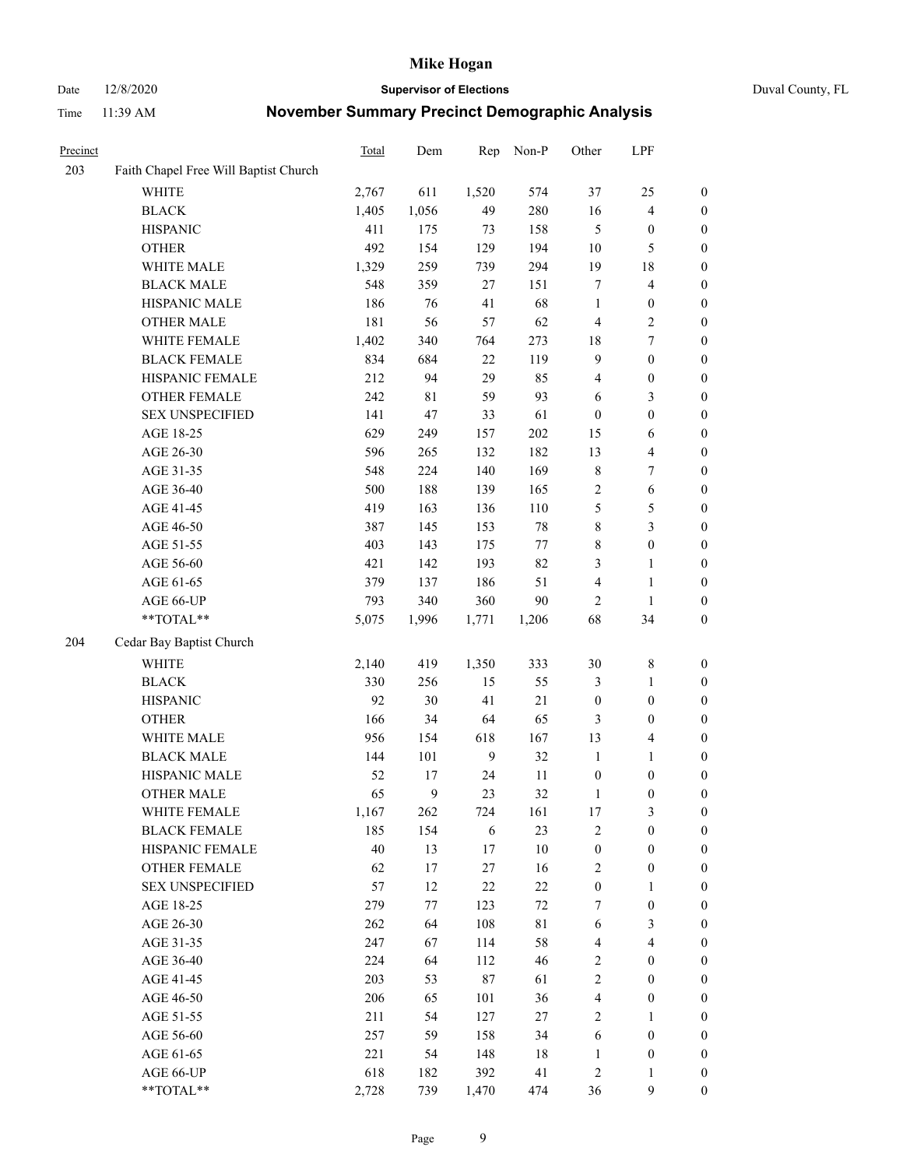#### Date 12/8/2020 **Supervisor of Elections** Duval County, FL

| Precinct |                                       | Total | Dem   | Rep          | Non-P  | Other                   | LPF                     |                  |
|----------|---------------------------------------|-------|-------|--------------|--------|-------------------------|-------------------------|------------------|
| 203      | Faith Chapel Free Will Baptist Church |       |       |              |        |                         |                         |                  |
|          | <b>WHITE</b>                          | 2,767 | 611   | 1,520        | 574    | 37                      | 25                      | $\boldsymbol{0}$ |
|          | <b>BLACK</b>                          | 1,405 | 1,056 | 49           | 280    | 16                      | $\overline{4}$          | $\boldsymbol{0}$ |
|          | <b>HISPANIC</b>                       | 411   | 175   | 73           | 158    | 5                       | $\boldsymbol{0}$        | $\boldsymbol{0}$ |
|          | <b>OTHER</b>                          | 492   | 154   | 129          | 194    | 10                      | $\mathfrak{S}$          | $\boldsymbol{0}$ |
|          | WHITE MALE                            | 1,329 | 259   | 739          | 294    | 19                      | $18\,$                  | $\boldsymbol{0}$ |
|          | <b>BLACK MALE</b>                     | 548   | 359   | 27           | 151    | 7                       | $\overline{\mathbf{4}}$ | $\boldsymbol{0}$ |
|          | HISPANIC MALE                         | 186   | 76    | 41           | 68     | $\mathbf{1}$            | $\boldsymbol{0}$        | $\boldsymbol{0}$ |
|          | <b>OTHER MALE</b>                     | 181   | 56    | 57           | 62     | 4                       | $\overline{2}$          | $\boldsymbol{0}$ |
|          | WHITE FEMALE                          | 1,402 | 340   | 764          | 273    | 18                      | $\boldsymbol{7}$        | $\boldsymbol{0}$ |
|          | <b>BLACK FEMALE</b>                   | 834   | 684   | 22           | 119    | $\overline{9}$          | $\boldsymbol{0}$        | 0                |
|          | HISPANIC FEMALE                       | 212   | 94    | 29           | 85     | 4                       | $\boldsymbol{0}$        | $\boldsymbol{0}$ |
|          | OTHER FEMALE                          | 242   | 81    | 59           | 93     | 6                       | $\mathfrak{Z}$          | $\boldsymbol{0}$ |
|          | <b>SEX UNSPECIFIED</b>                | 141   | 47    | 33           | 61     | $\boldsymbol{0}$        | $\boldsymbol{0}$        | $\boldsymbol{0}$ |
|          | AGE 18-25                             | 629   | 249   | 157          | 202    | 15                      | 6                       | $\boldsymbol{0}$ |
|          | AGE 26-30                             | 596   | 265   | 132          | 182    | 13                      | $\overline{\mathbf{4}}$ | $\boldsymbol{0}$ |
|          | AGE 31-35                             | 548   | 224   | 140          | 169    | $\,$ $\,$               | $\boldsymbol{7}$        | $\boldsymbol{0}$ |
|          | AGE 36-40                             | 500   | 188   | 139          | 165    | $\overline{c}$          | $\sqrt{6}$              | $\boldsymbol{0}$ |
|          | AGE 41-45                             | 419   | 163   | 136          | 110    | 5                       | $\mathfrak s$           | $\boldsymbol{0}$ |
|          | AGE 46-50                             | 387   | 145   | 153          | $78\,$ | 8                       | $\mathfrak{Z}$          | $\boldsymbol{0}$ |
|          | AGE 51-55                             | 403   | 143   | 175          | 77     | 8                       | $\boldsymbol{0}$        | 0                |
|          | AGE 56-60                             | 421   | 142   | 193          | 82     | 3                       | $\mathbf{1}$            | 0                |
|          | AGE 61-65                             | 379   | 137   | 186          | 51     | 4                       | $\mathbf{1}$            | $\boldsymbol{0}$ |
|          | AGE 66-UP                             | 793   | 340   | 360          | 90     | 2                       | $\mathbf{1}$            | $\boldsymbol{0}$ |
|          | $**TOTAL**$                           | 5,075 | 1,996 | 1,771        | 1,206  | 68                      | 34                      | $\boldsymbol{0}$ |
| 204      | Cedar Bay Baptist Church              |       |       |              |        |                         |                         |                  |
|          | <b>WHITE</b>                          | 2,140 | 419   | 1,350        | 333    | 30                      | $\,$ 8 $\,$             | $\boldsymbol{0}$ |
|          | <b>BLACK</b>                          | 330   | 256   | 15           | 55     | 3                       | $\mathbf{1}$            | $\boldsymbol{0}$ |
|          | <b>HISPANIC</b>                       | 92    | 30    | 41           | 21     | $\boldsymbol{0}$        | $\boldsymbol{0}$        | $\boldsymbol{0}$ |
|          | <b>OTHER</b>                          | 166   | 34    | 64           | 65     | 3                       | $\boldsymbol{0}$        | $\boldsymbol{0}$ |
|          | WHITE MALE                            | 956   | 154   | 618          | 167    | 13                      | $\overline{\mathbf{4}}$ | $\boldsymbol{0}$ |
|          | <b>BLACK MALE</b>                     | 144   | 101   | $\mathbf{9}$ | 32     | $\mathbf{1}$            | $\mathbf{1}$            | $\boldsymbol{0}$ |
|          | HISPANIC MALE                         | 52    | 17    | 24           | 11     | $\boldsymbol{0}$        | $\boldsymbol{0}$        | 0                |
|          | <b>OTHER MALE</b>                     | 65    | 9     | 23           | 32     | $\mathbf{1}$            | $\boldsymbol{0}$        | $\boldsymbol{0}$ |
|          | WHITE FEMALE                          | 1,167 | 262   | 724          | 161    | 17                      | 3                       | $\overline{0}$   |
|          | <b>BLACK FEMALE</b>                   | 185   | 154   | 6            | 23     | $\mathbf{2}$            | $\boldsymbol{0}$        | $\boldsymbol{0}$ |
|          | HISPANIC FEMALE                       | 40    | 13    | $17\,$       | $10\,$ | $\boldsymbol{0}$        | $\boldsymbol{0}$        | $\overline{0}$   |
|          | <b>OTHER FEMALE</b>                   | 62    | 17    | $27\,$       | 16     | $\overline{c}$          | $\boldsymbol{0}$        | 0                |
|          | <b>SEX UNSPECIFIED</b>                | 57    | 12    | $22\,$       | $22\,$ | $\boldsymbol{0}$        | $\mathbf{1}$            | 0                |
|          | AGE 18-25                             | 279   | 77    | 123          | $72\,$ | 7                       | $\boldsymbol{0}$        | 0                |
|          | AGE 26-30                             | 262   | 64    | 108          | 81     | 6                       | $\mathfrak{Z}$          | 0                |
|          | AGE 31-35                             | 247   | 67    | 114          | 58     | $\overline{\mathbf{4}}$ | $\overline{4}$          | 0                |
|          | AGE 36-40                             | 224   | 64    | 112          | 46     | 2                       | $\boldsymbol{0}$        | 0                |
|          | AGE 41-45                             | 203   | 53    | $87\,$       | 61     | $\sqrt{2}$              | $\boldsymbol{0}$        | 0                |
|          | AGE 46-50                             | 206   | 65    | 101          | 36     | 4                       | $\boldsymbol{0}$        | 0                |
|          | AGE 51-55                             | 211   | 54    | 127          | $27\,$ | $\mathbf{2}$            | $\mathbf{1}$            | $\boldsymbol{0}$ |
|          | AGE 56-60                             | 257   | 59    | 158          | 34     | 6                       | $\boldsymbol{0}$        | $\boldsymbol{0}$ |
|          | AGE 61-65                             | 221   | 54    | 148          | 18     | $\mathbf{1}$            | $\boldsymbol{0}$        | 0                |
|          | AGE 66-UP                             | 618   | 182   | 392          | 41     | $\overline{c}$          | $\mathbf{1}$            | 0                |
|          | **TOTAL**                             | 2,728 | 739   | 1,470        | 474    | 36                      | $\mathbf{9}$            | $\boldsymbol{0}$ |
|          |                                       |       |       |              |        |                         |                         |                  |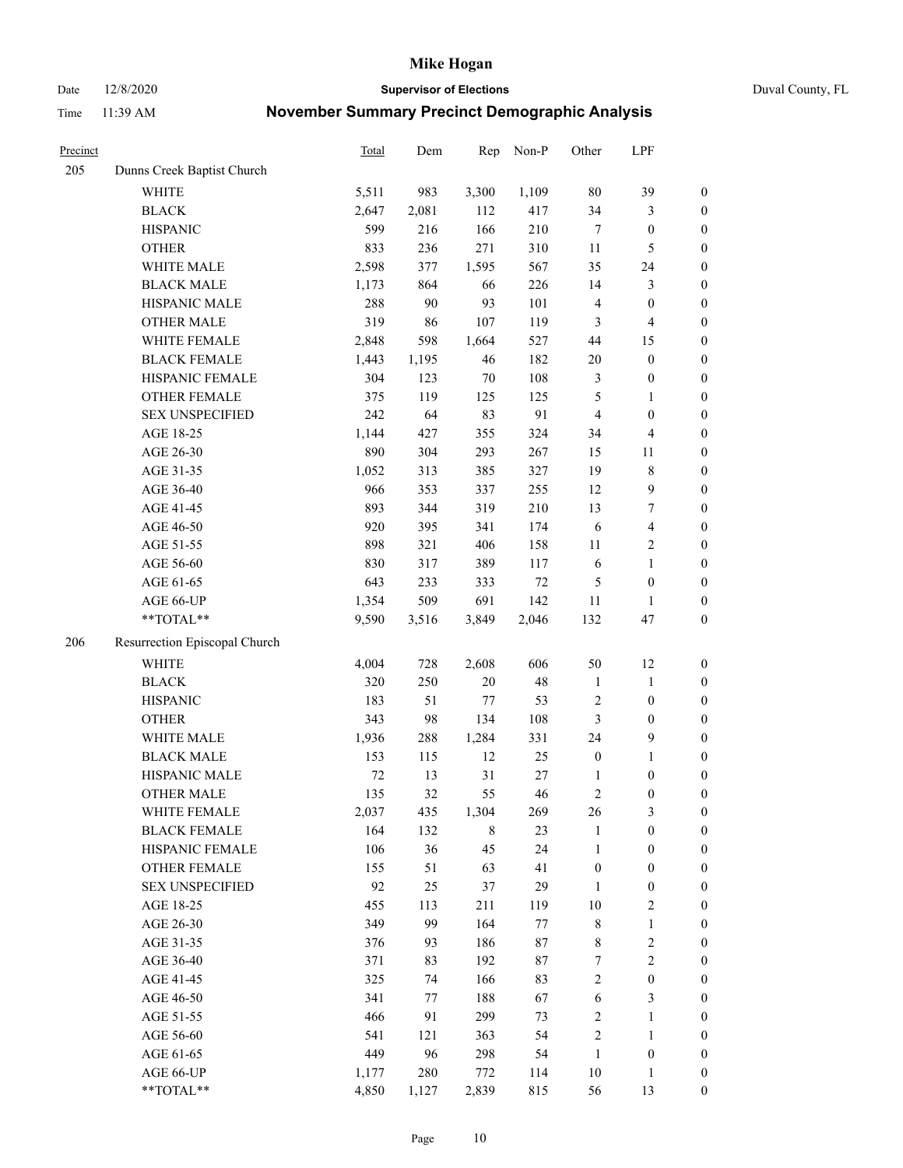Date 12/8/2020 **Supervisor of Elections** Duval County, FL

| Precinct |                               | Total  | Dem   | Rep   | Non-P  | Other            | LPF                     |                  |
|----------|-------------------------------|--------|-------|-------|--------|------------------|-------------------------|------------------|
| 205      | Dunns Creek Baptist Church    |        |       |       |        |                  |                         |                  |
|          | WHITE                         | 5,511  | 983   | 3,300 | 1,109  | $80\,$           | 39                      | $\boldsymbol{0}$ |
|          | <b>BLACK</b>                  | 2,647  | 2,081 | 112   | 417    | 34               | 3                       | $\boldsymbol{0}$ |
|          | <b>HISPANIC</b>               | 599    | 216   | 166   | 210    | $\tau$           | $\boldsymbol{0}$        | $\boldsymbol{0}$ |
|          | <b>OTHER</b>                  | 833    | 236   | 271   | 310    | 11               | 5                       | $\boldsymbol{0}$ |
|          | WHITE MALE                    | 2,598  | 377   | 1,595 | 567    | 35               | 24                      | $\boldsymbol{0}$ |
|          | <b>BLACK MALE</b>             | 1,173  | 864   | 66    | 226    | 14               | $\mathfrak{Z}$          | $\boldsymbol{0}$ |
|          | HISPANIC MALE                 | 288    | 90    | 93    | 101    | 4                | $\boldsymbol{0}$        | $\boldsymbol{0}$ |
|          | <b>OTHER MALE</b>             | 319    | 86    | 107   | 119    | 3                | $\overline{4}$          | $\boldsymbol{0}$ |
|          | WHITE FEMALE                  | 2,848  | 598   | 1,664 | 527    | 44               | 15                      | $\boldsymbol{0}$ |
|          | <b>BLACK FEMALE</b>           | 1,443  | 1,195 | 46    | 182    | $20\,$           | $\boldsymbol{0}$        | $\boldsymbol{0}$ |
|          | HISPANIC FEMALE               | 304    | 123   | 70    | 108    | 3                | $\boldsymbol{0}$        | 0                |
|          | OTHER FEMALE                  | 375    | 119   | 125   | 125    | 5                | $\mathbf{1}$            | $\boldsymbol{0}$ |
|          | <b>SEX UNSPECIFIED</b>        | 242    | 64    | 83    | 91     | $\overline{4}$   | $\boldsymbol{0}$        | $\boldsymbol{0}$ |
|          | AGE 18-25                     | 1,144  | 427   | 355   | 324    | 34               | $\overline{\mathbf{4}}$ | $\boldsymbol{0}$ |
|          | AGE 26-30                     | 890    | 304   | 293   | 267    | 15               | 11                      | $\boldsymbol{0}$ |
|          | AGE 31-35                     | 1,052  | 313   | 385   | 327    | 19               | $\,8\,$                 | $\boldsymbol{0}$ |
|          | AGE 36-40                     | 966    | 353   | 337   | 255    | 12               | $\mathbf{9}$            | $\boldsymbol{0}$ |
|          | AGE 41-45                     | 893    | 344   | 319   | 210    | 13               | $\boldsymbol{7}$        | $\boldsymbol{0}$ |
|          | AGE 46-50                     | 920    | 395   | 341   | 174    | 6                | $\overline{4}$          | $\boldsymbol{0}$ |
|          | AGE 51-55                     | 898    | 321   | 406   | 158    | 11               | $\sqrt{2}$              | $\boldsymbol{0}$ |
|          | AGE 56-60                     | 830    | 317   | 389   | 117    | 6                | $\mathbf{1}$            | 0                |
|          | AGE 61-65                     | 643    | 233   | 333   | $72\,$ | 5                | $\boldsymbol{0}$        | $\boldsymbol{0}$ |
|          | AGE 66-UP                     | 1,354  | 509   | 691   | 142    | 11               | $\mathbf{1}$            | $\boldsymbol{0}$ |
|          | **TOTAL**                     | 9,590  | 3,516 | 3,849 | 2,046  | 132              | 47                      | $\boldsymbol{0}$ |
| 206      | Resurrection Episcopal Church |        |       |       |        |                  |                         |                  |
|          | <b>WHITE</b>                  | 4,004  | 728   | 2,608 | 606    | 50               | 12                      | $\boldsymbol{0}$ |
|          | <b>BLACK</b>                  | 320    | 250   | 20    | 48     | $\mathbf{1}$     | $\mathbf{1}$            | $\boldsymbol{0}$ |
|          | <b>HISPANIC</b>               | 183    | 51    | 77    | 53     | $\overline{c}$   | $\boldsymbol{0}$        | $\boldsymbol{0}$ |
|          | <b>OTHER</b>                  | 343    | 98    | 134   | 108    | 3                | $\boldsymbol{0}$        | $\boldsymbol{0}$ |
|          | WHITE MALE                    | 1,936  | 288   | 1,284 | 331    | 24               | $\mathbf{9}$            | $\boldsymbol{0}$ |
|          | <b>BLACK MALE</b>             | 153    | 115   | 12    | 25     | $\boldsymbol{0}$ | $\mathbf{1}$            | $\boldsymbol{0}$ |
|          | HISPANIC MALE                 | $72\,$ | 13    | 31    | 27     | 1                | $\boldsymbol{0}$        | $\boldsymbol{0}$ |
|          | <b>OTHER MALE</b>             | 135    | 32    | 55    | 46     | 2                | $\boldsymbol{0}$        | $\boldsymbol{0}$ |
|          | WHITE FEMALE                  | 2,037  | 435   | 1,304 | 269    | 26               | 3                       | 0                |
|          | <b>BLACK FEMALE</b>           | 164    | 132   | 8     | 23     | $\mathbf{1}$     | $\boldsymbol{0}$        | $\boldsymbol{0}$ |
|          | HISPANIC FEMALE               | 106    | 36    | 45    | 24     | $\mathbf{1}$     | $\boldsymbol{0}$        | $\overline{0}$   |
|          | OTHER FEMALE                  | 155    | 51    | 63    | 41     | $\boldsymbol{0}$ | $\boldsymbol{0}$        | $\overline{0}$   |
|          | <b>SEX UNSPECIFIED</b>        | 92     | 25    | 37    | 29     | $\mathbf{1}$     | $\boldsymbol{0}$        | 0                |
|          | AGE 18-25                     | 455    | 113   | 211   | 119    | $10\,$           | $\sqrt{2}$              | 0                |
|          | AGE 26-30                     | 349    | 99    | 164   | 77     | $\,$ 8 $\,$      | $\mathbf{1}$            | 0                |
|          | AGE 31-35                     | 376    | 93    | 186   | 87     | 8                | $\sqrt{2}$              | 0                |
|          | AGE 36-40                     | 371    | 83    | 192   | 87     | 7                | $\sqrt{2}$              | 0                |
|          | AGE 41-45                     | 325    | 74    | 166   | 83     | 2                | $\boldsymbol{0}$        | 0                |
|          | AGE 46-50                     | 341    | 77    | 188   | 67     | $\sqrt{6}$       | 3                       | 0                |
|          | AGE 51-55                     | 466    | 91    | 299   | 73     | $\sqrt{2}$       | $\mathbf{1}$            | $\boldsymbol{0}$ |
|          | AGE 56-60                     | 541    | 121   | 363   | 54     | $\sqrt{2}$       | $\mathbf{1}$            | 0                |
|          | AGE 61-65                     | 449    | 96    | 298   | 54     | $\mathbf{1}$     | $\boldsymbol{0}$        | 0                |
|          | AGE 66-UP                     | 1,177  | 280   | 772   | 114    | $10\,$           | $\mathbf{1}$            | 0                |
|          | **TOTAL**                     | 4,850  | 1,127 | 2,839 | 815    | 56               | 13                      | $\boldsymbol{0}$ |
|          |                               |        |       |       |        |                  |                         |                  |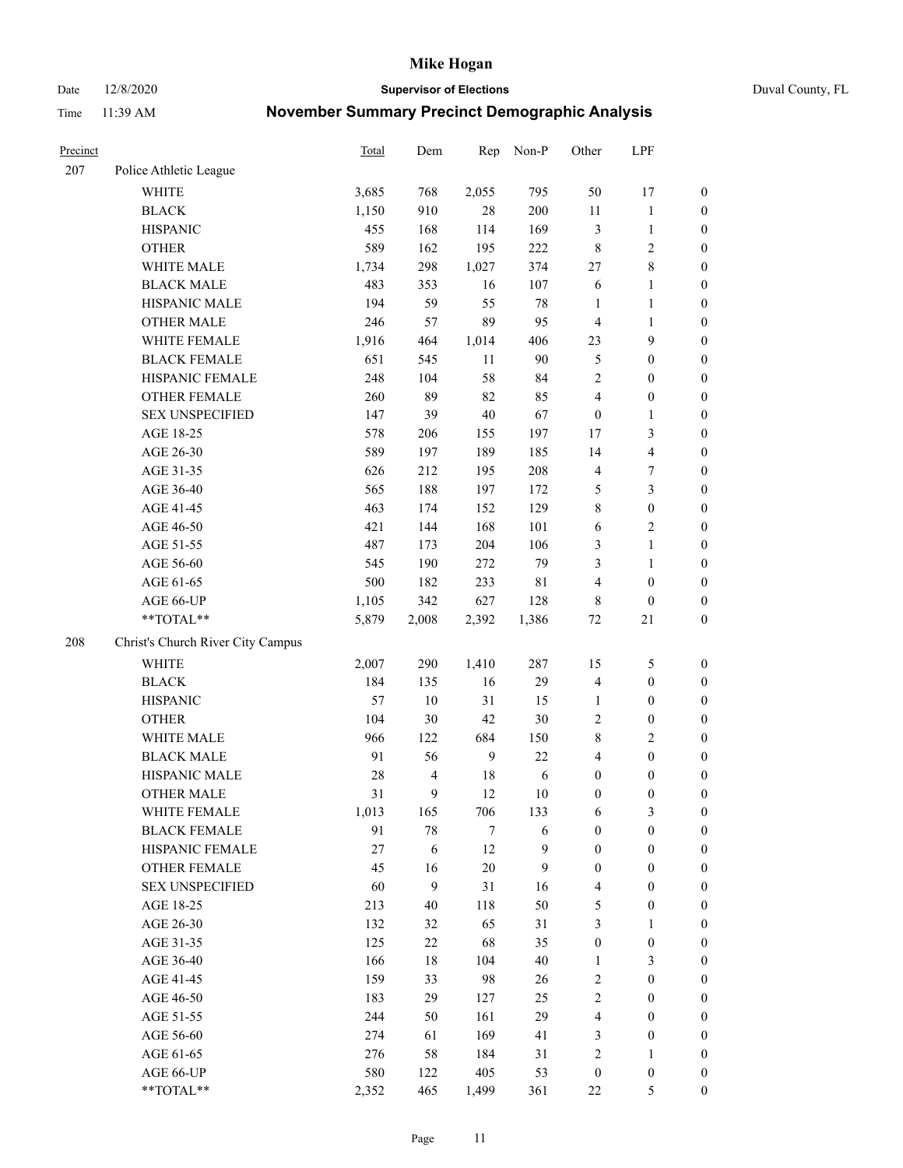Date 12/8/2020 **Supervisor of Elections** Duval County, FL

| Precinct |                                   | Total | Dem                      | Rep    | Non-P            | Other            | LPF                     |                  |
|----------|-----------------------------------|-------|--------------------------|--------|------------------|------------------|-------------------------|------------------|
| 207      | Police Athletic League            |       |                          |        |                  |                  |                         |                  |
|          | <b>WHITE</b>                      | 3,685 | 768                      | 2,055  | 795              | 50               | 17                      | 0                |
|          | <b>BLACK</b>                      | 1,150 | 910                      | 28     | 200              | 11               | $\mathbf{1}$            | $\boldsymbol{0}$ |
|          | <b>HISPANIC</b>                   | 455   | 168                      | 114    | 169              | 3                | $\mathbf{1}$            | $\boldsymbol{0}$ |
|          | <b>OTHER</b>                      | 589   | 162                      | 195    | 222              | 8                | $\mathfrak{2}$          | $\boldsymbol{0}$ |
|          | WHITE MALE                        | 1,734 | 298                      | 1,027  | 374              | 27               | $\,$ 8 $\,$             | $\boldsymbol{0}$ |
|          | <b>BLACK MALE</b>                 | 483   | 353                      | 16     | 107              | 6                | $\mathbf{1}$            | $\boldsymbol{0}$ |
|          | HISPANIC MALE                     | 194   | 59                       | 55     | $78\,$           | $\mathbf{1}$     | $\mathbf{1}$            | $\boldsymbol{0}$ |
|          | <b>OTHER MALE</b>                 | 246   | 57                       | 89     | 95               | 4                | $\mathbf{1}$            | $\boldsymbol{0}$ |
|          | WHITE FEMALE                      | 1,916 | 464                      | 1,014  | 406              | 23               | $\mathbf{9}$            | $\boldsymbol{0}$ |
|          | <b>BLACK FEMALE</b>               | 651   | 545                      | 11     | 90               | 5                | $\boldsymbol{0}$        | $\boldsymbol{0}$ |
|          | HISPANIC FEMALE                   | 248   | 104                      | 58     | 84               | $\overline{2}$   | $\boldsymbol{0}$        | $\boldsymbol{0}$ |
|          | <b>OTHER FEMALE</b>               | 260   | 89                       | 82     | 85               | 4                | $\boldsymbol{0}$        | $\boldsymbol{0}$ |
|          | <b>SEX UNSPECIFIED</b>            | 147   | 39                       | 40     | 67               | $\boldsymbol{0}$ | $\mathbf{1}$            | $\boldsymbol{0}$ |
|          | AGE 18-25                         | 578   | 206                      | 155    | 197              | 17               | $\mathfrak{Z}$          | $\boldsymbol{0}$ |
|          | AGE 26-30                         | 589   | 197                      | 189    | 185              | 14               | $\overline{\mathbf{4}}$ | $\boldsymbol{0}$ |
|          | AGE 31-35                         | 626   | 212                      | 195    | 208              | 4                | $\boldsymbol{7}$        | $\boldsymbol{0}$ |
|          | AGE 36-40                         | 565   | 188                      | 197    | 172              | 5                | $\mathfrak{Z}$          | $\boldsymbol{0}$ |
|          | AGE 41-45                         | 463   | 174                      | 152    | 129              | 8                | $\boldsymbol{0}$        | $\boldsymbol{0}$ |
|          | AGE 46-50                         | 421   | 144                      | 168    | 101              | 6                | $\overline{2}$          | $\boldsymbol{0}$ |
|          | AGE 51-55                         | 487   | 173                      | 204    | 106              | 3                | $\mathbf{1}$            | $\boldsymbol{0}$ |
|          | AGE 56-60                         | 545   | 190                      | 272    | 79               | 3                | $\mathbf{1}$            | 0                |
|          | AGE 61-65                         | 500   | 182                      | 233    | $8\sqrt{1}$      | 4                | $\boldsymbol{0}$        | $\boldsymbol{0}$ |
|          | AGE 66-UP                         | 1,105 | 342                      | 627    | 128              | 8                | $\boldsymbol{0}$        | $\boldsymbol{0}$ |
|          | **TOTAL**                         | 5,879 | 2,008                    | 2,392  | 1,386            | $72\,$           | $21\,$                  | $\boldsymbol{0}$ |
| 208      | Christ's Church River City Campus |       |                          |        |                  |                  |                         |                  |
|          | <b>WHITE</b>                      | 2,007 | 290                      | 1,410  | 287              | 15               | $\mathfrak{S}$          | $\boldsymbol{0}$ |
|          | <b>BLACK</b>                      | 184   | 135                      | 16     | 29               | 4                | $\boldsymbol{0}$        | $\boldsymbol{0}$ |
|          | <b>HISPANIC</b>                   | 57    | 10                       | 31     | 15               | $\mathbf{1}$     | $\boldsymbol{0}$        | $\boldsymbol{0}$ |
|          | <b>OTHER</b>                      | 104   | 30                       | 42     | 30               | 2                | $\boldsymbol{0}$        | $\boldsymbol{0}$ |
|          | WHITE MALE                        | 966   | 122                      | 684    | 150              | 8                | $\overline{2}$          | $\boldsymbol{0}$ |
|          | <b>BLACK MALE</b>                 | 91    | 56                       | 9      | 22               | 4                | $\boldsymbol{0}$        | $\boldsymbol{0}$ |
|          | HISPANIC MALE                     | 28    | $\overline{\mathcal{L}}$ | 18     | $\sqrt{6}$       | $\boldsymbol{0}$ | $\boldsymbol{0}$        | $\boldsymbol{0}$ |
|          | <b>OTHER MALE</b>                 | 31    | 9                        | 12     | $10\,$           | $\boldsymbol{0}$ | $\boldsymbol{0}$        | $\boldsymbol{0}$ |
|          | WHITE FEMALE                      | 1,013 | 165                      | 706    | 133              | 6                | 3                       | 0                |
|          | <b>BLACK FEMALE</b>               | 91    | 78                       | $\tau$ | 6                | $\boldsymbol{0}$ | $\boldsymbol{0}$        | $\boldsymbol{0}$ |
|          | HISPANIC FEMALE                   | 27    | 6                        | 12     | $\boldsymbol{9}$ | $\boldsymbol{0}$ | $\boldsymbol{0}$        | $\overline{0}$   |
|          | OTHER FEMALE                      | 45    | 16                       | 20     | 9                | $\boldsymbol{0}$ | $\boldsymbol{0}$        | $\overline{0}$   |
|          | <b>SEX UNSPECIFIED</b>            | 60    | 9                        | 31     | 16               | 4                | $\boldsymbol{0}$        | 0                |
|          | AGE 18-25                         | 213   | 40                       | 118    | 50               | 5                | $\boldsymbol{0}$        | $\theta$         |
|          | AGE 26-30                         | 132   | 32                       | 65     | 31               | 3                | $\mathbf{1}$            | 0                |
|          | AGE 31-35                         | 125   | 22                       | 68     | 35               | $\boldsymbol{0}$ | $\boldsymbol{0}$        | 0                |
|          | AGE 36-40                         | 166   | $18\,$                   | 104    | 40               | 1                | $\mathfrak{Z}$          | 0                |
|          | AGE 41-45                         | 159   | 33                       | 98     | 26               | 2                | $\boldsymbol{0}$        | 0                |
|          | AGE 46-50                         | 183   | 29                       | 127    | 25               | 2                | $\boldsymbol{0}$        | 0                |
|          | AGE 51-55                         | 244   | 50                       | 161    | 29               | $\overline{4}$   | $\boldsymbol{0}$        | 0                |
|          | AGE 56-60                         | 274   | 61                       | 169    | 41               | 3                | $\boldsymbol{0}$        | $\overline{0}$   |
|          | AGE 61-65                         | 276   | 58                       | 184    | 31               | 2                | 1                       | $\overline{0}$   |
|          | AGE 66-UP                         | 580   | 122                      | 405    | 53               | $\boldsymbol{0}$ | $\boldsymbol{0}$        | 0                |
|          | **TOTAL**                         | 2,352 | 465                      | 1,499  | 361              | $22\,$           | $\mathfrak{S}$          | $\boldsymbol{0}$ |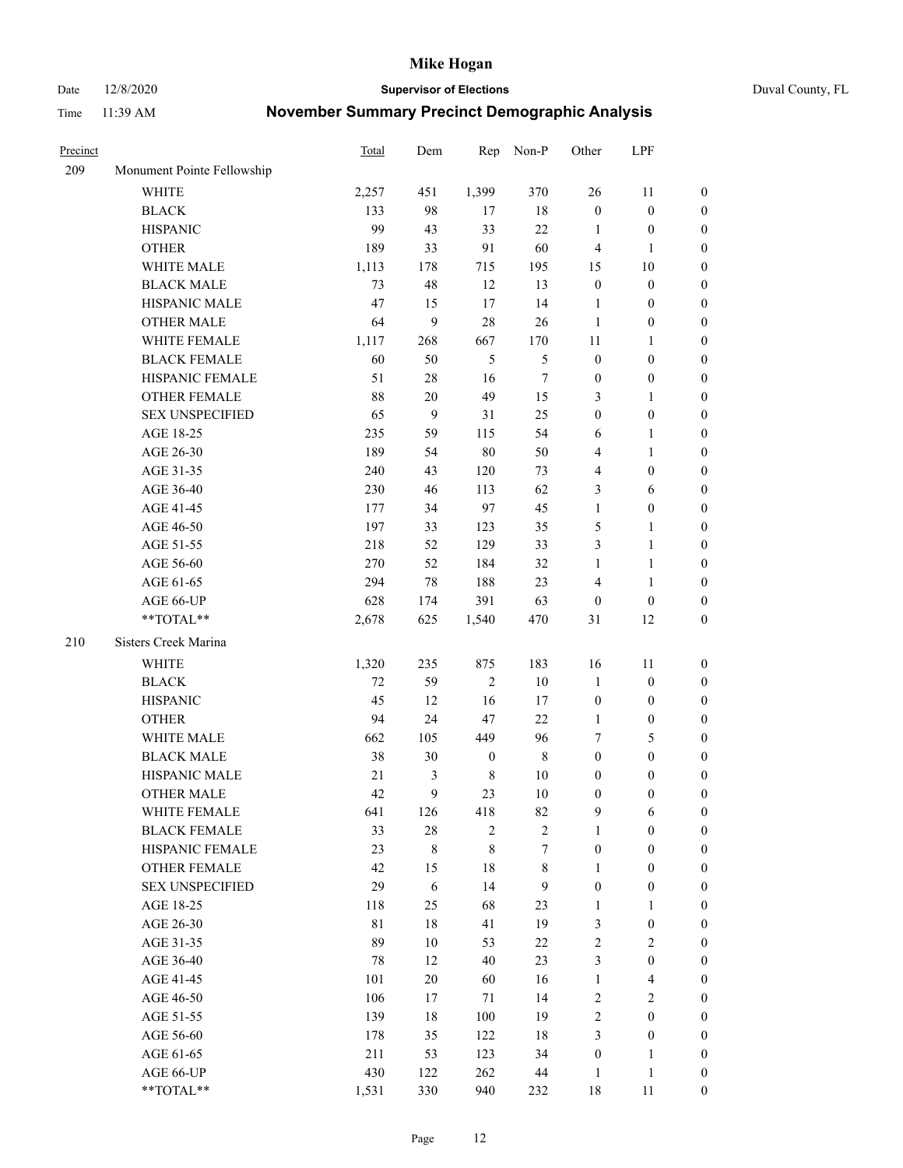Date 12/8/2020 **Supervisor of Elections** Duval County, FL

| Precinct |                            | <b>Total</b> | Dem    | Rep              | Non-P          | Other            | LPF              |                  |
|----------|----------------------------|--------------|--------|------------------|----------------|------------------|------------------|------------------|
| 209      | Monument Pointe Fellowship |              |        |                  |                |                  |                  |                  |
|          | <b>WHITE</b>               | 2,257        | 451    | 1,399            | 370            | 26               | 11               | 0                |
|          | <b>BLACK</b>               | 133          | 98     | 17               | $18\,$         | $\boldsymbol{0}$ | $\boldsymbol{0}$ | 0                |
|          | <b>HISPANIC</b>            | 99           | 43     | 33               | 22             | $\mathbf{1}$     | $\boldsymbol{0}$ | $\boldsymbol{0}$ |
|          | <b>OTHER</b>               | 189          | 33     | 91               | 60             | 4                | 1                | $\boldsymbol{0}$ |
|          | WHITE MALE                 | 1,113        | 178    | 715              | 195            | 15               | $10\,$           | $\boldsymbol{0}$ |
|          | <b>BLACK MALE</b>          | 73           | 48     | 12               | 13             | $\boldsymbol{0}$ | $\boldsymbol{0}$ | $\boldsymbol{0}$ |
|          | HISPANIC MALE              | 47           | 15     | $17\,$           | 14             | $\mathbf{1}$     | $\boldsymbol{0}$ | $\boldsymbol{0}$ |
|          | <b>OTHER MALE</b>          | 64           | 9      | 28               | 26             | $\mathbf{1}$     | $\boldsymbol{0}$ | $\boldsymbol{0}$ |
|          | WHITE FEMALE               | 1,117        | 268    | 667              | 170            | 11               | $\mathbf{1}$     | $\boldsymbol{0}$ |
|          | <b>BLACK FEMALE</b>        | 60           | 50     | $\mathfrak{S}$   | $\mathfrak{S}$ | $\boldsymbol{0}$ | $\boldsymbol{0}$ | 0                |
|          | HISPANIC FEMALE            | 51           | $28\,$ | 16               | $\tau$         | $\boldsymbol{0}$ | $\boldsymbol{0}$ | 0                |
|          | <b>OTHER FEMALE</b>        | 88           | $20\,$ | 49               | 15             | 3                | $\mathbf{1}$     | $\boldsymbol{0}$ |
|          | <b>SEX UNSPECIFIED</b>     | 65           | 9      | 31               | 25             | $\boldsymbol{0}$ | $\boldsymbol{0}$ | $\boldsymbol{0}$ |
|          | AGE 18-25                  | 235          | 59     | 115              | 54             | 6                | 1                | $\boldsymbol{0}$ |
|          | AGE 26-30                  | 189          | 54     | 80               | 50             | 4                | $\mathbf{1}$     | $\boldsymbol{0}$ |
|          | AGE 31-35                  | 240          | 43     | 120              | 73             | 4                | $\boldsymbol{0}$ | $\boldsymbol{0}$ |
|          | AGE 36-40                  | 230          | 46     | 113              | 62             | 3                | 6                | $\boldsymbol{0}$ |
|          | AGE 41-45                  | 177          | 34     | 97               | 45             | $\mathbf{1}$     | $\boldsymbol{0}$ | $\boldsymbol{0}$ |
|          | AGE 46-50                  | 197          | 33     | 123              | 35             | 5                | $\mathbf{1}$     | $\boldsymbol{0}$ |
|          | AGE 51-55                  | 218          | 52     | 129              | 33             | 3                | $\mathbf{1}$     | 0                |
|          | AGE 56-60                  | 270          | 52     | 184              | 32             | $\mathbf{1}$     | $\mathbf{1}$     | 0                |
|          | AGE 61-65                  | 294          | 78     | 188              | 23             | 4                | $\mathbf{1}$     | 0                |
|          | AGE 66-UP                  | 628          | 174    | 391              | 63             | $\boldsymbol{0}$ | $\boldsymbol{0}$ | $\boldsymbol{0}$ |
|          | **TOTAL**                  | 2,678        | 625    | 1,540            | 470            | 31               | 12               | $\boldsymbol{0}$ |
| 210      |                            |              |        |                  |                |                  |                  |                  |
|          | Sisters Creek Marina       |              |        |                  |                |                  |                  |                  |
|          | <b>WHITE</b>               | 1,320        | 235    | 875              | 183            | 16               | 11               | $\boldsymbol{0}$ |
|          | <b>BLACK</b>               | 72           | 59     | $\sqrt{2}$       | $10\,$         | $\mathbf{1}$     | $\boldsymbol{0}$ | $\boldsymbol{0}$ |
|          | <b>HISPANIC</b>            | 45           | 12     | 16               | 17             | $\boldsymbol{0}$ | $\boldsymbol{0}$ | $\boldsymbol{0}$ |
|          | <b>OTHER</b>               | 94           | 24     | 47               | 22             | 1                | $\boldsymbol{0}$ | $\boldsymbol{0}$ |
|          | WHITE MALE                 | 662          | 105    | 449              | 96             | 7                | $\mathfrak{S}$   | $\boldsymbol{0}$ |
|          | <b>BLACK MALE</b>          | 38           | 30     | $\boldsymbol{0}$ | $\,$ 8 $\,$    | $\boldsymbol{0}$ | $\boldsymbol{0}$ | $\boldsymbol{0}$ |
|          | HISPANIC MALE              | $21\,$       | 3      | $\,$ 8 $\,$      | $10\,$         | $\boldsymbol{0}$ | $\boldsymbol{0}$ | $\boldsymbol{0}$ |
|          | OTHER MALE                 | 42           | 9      | 23               | $10\,$         | $\boldsymbol{0}$ | $\boldsymbol{0}$ | $\boldsymbol{0}$ |
|          | WHITE FEMALE               | 641          | 126    | 418              | 82             | 9                | 6                | 0                |
|          | <b>BLACK FEMALE</b>        | 33           | $28\,$ | $\sqrt{2}$       | $\sqrt{2}$     | $\mathbf{1}$     | $\boldsymbol{0}$ | $\overline{0}$   |
|          | HISPANIC FEMALE            | 23           | 8      | $\,$ 8 $\,$      | 7              | $\boldsymbol{0}$ | $\boldsymbol{0}$ | $\overline{0}$   |
|          | OTHER FEMALE               | 42           | 15     | 18               | $\,$ 8 $\,$    | 1                | $\boldsymbol{0}$ | $\overline{0}$   |
|          | <b>SEX UNSPECIFIED</b>     | 29           | 6      | 14               | 9              | $\boldsymbol{0}$ | $\boldsymbol{0}$ | 0                |
|          | AGE 18-25                  | 118          | 25     | 68               | 23             | $\mathbf{1}$     | $\mathbf{1}$     | $\theta$         |
|          | AGE 26-30                  | $8\sqrt{1}$  | $18\,$ | 41               | 19             | 3                | $\boldsymbol{0}$ | 0                |
|          | AGE 31-35                  | 89           | $10\,$ | 53               | $22\,$         | $\overline{c}$   | $\sqrt{2}$       | 0                |
|          | AGE 36-40                  | 78           | 12     | 40               | 23             | 3                | $\boldsymbol{0}$ | 0                |
|          | AGE 41-45                  | 101          | 20     | 60               | 16             | $\mathbf{1}$     | $\overline{4}$   | 0                |
|          | AGE 46-50                  | 106          | 17     | 71               | 14             | 2                | $\sqrt{2}$       | 0                |
|          | AGE 51-55                  | 139          | 18     | 100              | 19             | $\overline{c}$   | $\boldsymbol{0}$ | $\overline{0}$   |
|          | AGE 56-60                  | 178          | 35     | 122              | 18             | 3                | $\boldsymbol{0}$ | $\overline{0}$   |
|          | AGE 61-65                  | 211          | 53     | 123              | 34             | $\boldsymbol{0}$ | $\mathbf{1}$     | $\overline{0}$   |
|          | AGE 66-UP                  | 430          | 122    | 262              | 44             | $\mathbf{1}$     | $\mathbf{1}$     | $\boldsymbol{0}$ |
|          | **TOTAL**                  | 1,531        | 330    | 940              | 232            | 18               | 11               | $\boldsymbol{0}$ |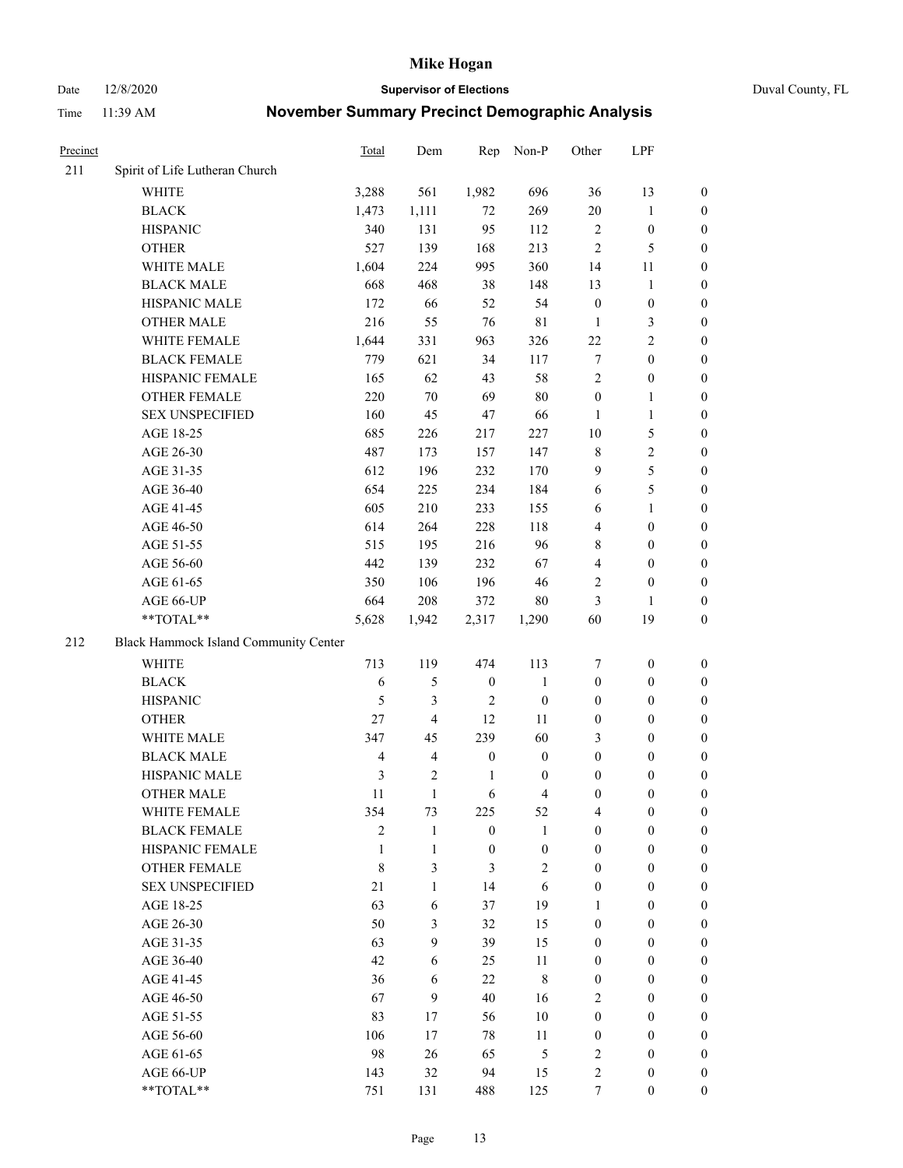Date 12/8/2020 **Supervisor of Elections** Duval County, FL

| Precinct |                                       | Total          | Dem                     | Rep              | Non-P                    | Other            | LPF              |                  |
|----------|---------------------------------------|----------------|-------------------------|------------------|--------------------------|------------------|------------------|------------------|
| 211      | Spirit of Life Lutheran Church        |                |                         |                  |                          |                  |                  |                  |
|          | <b>WHITE</b>                          | 3,288          | 561                     | 1,982            | 696                      | 36               | 13               | 0                |
|          | <b>BLACK</b>                          | 1,473          | 1,111                   | 72               | 269                      | $20\,$           | $\mathbf{1}$     | 0                |
|          | <b>HISPANIC</b>                       | 340            | 131                     | 95               | 112                      | $\sqrt{2}$       | $\boldsymbol{0}$ | $\boldsymbol{0}$ |
|          | <b>OTHER</b>                          | 527            | 139                     | 168              | 213                      | $\overline{2}$   | $\mathfrak{S}$   | $\boldsymbol{0}$ |
|          | WHITE MALE                            | 1,604          | 224                     | 995              | 360                      | 14               | 11               | $\boldsymbol{0}$ |
|          | <b>BLACK MALE</b>                     | 668            | 468                     | 38               | 148                      | 13               | $\mathbf{1}$     | $\boldsymbol{0}$ |
|          | HISPANIC MALE                         | 172            | 66                      | 52               | 54                       | $\boldsymbol{0}$ | $\boldsymbol{0}$ | $\boldsymbol{0}$ |
|          | <b>OTHER MALE</b>                     | 216            | 55                      | 76               | 81                       | $\mathbf{1}$     | $\mathfrak{Z}$   | $\boldsymbol{0}$ |
|          | WHITE FEMALE                          | 1,644          | 331                     | 963              | 326                      | 22               | $\overline{2}$   | $\boldsymbol{0}$ |
|          | <b>BLACK FEMALE</b>                   | 779            | 621                     | 34               | 117                      | 7                | $\boldsymbol{0}$ | 0                |
|          | HISPANIC FEMALE                       | 165            | 62                      | 43               | 58                       | $\mathbf{2}$     | $\boldsymbol{0}$ | 0                |
|          | <b>OTHER FEMALE</b>                   | 220            | 70                      | 69               | $80\,$                   | $\boldsymbol{0}$ | $\mathbf{1}$     | 0                |
|          | <b>SEX UNSPECIFIED</b>                | 160            | 45                      | $47\,$           | 66                       | $\mathbf{1}$     | $\mathbf{1}$     | $\boldsymbol{0}$ |
|          | AGE 18-25                             | 685            | 226                     | 217              | 227                      | 10               | $\mathfrak{S}$   | $\boldsymbol{0}$ |
|          | AGE 26-30                             | 487            | 173                     | 157              | 147                      | 8                | $\sqrt{2}$       | $\boldsymbol{0}$ |
|          | AGE 31-35                             | 612            | 196                     | 232              | 170                      | 9                | $\mathfrak s$    | $\boldsymbol{0}$ |
|          | AGE 36-40                             | 654            | 225                     | 234              | 184                      | 6                | $\mathfrak s$    | $\boldsymbol{0}$ |
|          | AGE 41-45                             | 605            | 210                     | 233              | 155                      | 6                | $\mathbf{1}$     | $\boldsymbol{0}$ |
|          | AGE 46-50                             | 614            | 264                     | 228              | 118                      | 4                | $\boldsymbol{0}$ | $\boldsymbol{0}$ |
|          | AGE 51-55                             | 515            | 195                     | 216              | 96                       | 8                | $\boldsymbol{0}$ | 0                |
|          | AGE 56-60                             | 442            | 139                     | 232              | 67                       | 4                | $\boldsymbol{0}$ | 0                |
|          | AGE 61-65                             | 350            | 106                     | 196              | 46                       | $\overline{2}$   | $\boldsymbol{0}$ | 0                |
|          | AGE 66-UP                             | 664            | 208                     | 372              | 80                       | 3                | $\mathbf{1}$     | $\boldsymbol{0}$ |
|          | $**TOTAL**$                           | 5,628          | 1,942                   | 2,317            | 1,290                    | 60               | 19               | $\boldsymbol{0}$ |
| 212      | Black Hammock Island Community Center |                |                         |                  |                          |                  |                  |                  |
|          | <b>WHITE</b>                          | 713            | 119                     | 474              | 113                      | 7                | $\boldsymbol{0}$ | $\boldsymbol{0}$ |
|          | <b>BLACK</b>                          | $\sqrt{6}$     | 5                       | $\boldsymbol{0}$ | $\mathbf{1}$             | $\boldsymbol{0}$ | $\boldsymbol{0}$ | $\boldsymbol{0}$ |
|          | <b>HISPANIC</b>                       | 5              | 3                       | $\overline{2}$   | $\boldsymbol{0}$         | $\boldsymbol{0}$ | $\boldsymbol{0}$ | $\boldsymbol{0}$ |
|          | <b>OTHER</b>                          | 27             | 4                       | 12               | 11                       | $\boldsymbol{0}$ | $\boldsymbol{0}$ | $\boldsymbol{0}$ |
|          | WHITE MALE                            | 347            | 45                      | 239              | 60                       | 3                | $\boldsymbol{0}$ | $\boldsymbol{0}$ |
|          | <b>BLACK MALE</b>                     | $\overline{4}$ | $\overline{\mathbf{4}}$ | $\boldsymbol{0}$ | $\boldsymbol{0}$         | $\boldsymbol{0}$ | $\boldsymbol{0}$ | $\boldsymbol{0}$ |
|          | HISPANIC MALE                         | $\mathfrak{Z}$ | $\overline{c}$          | $\mathbf{1}$     | $\boldsymbol{0}$         | $\boldsymbol{0}$ | $\boldsymbol{0}$ | 0                |
|          | <b>OTHER MALE</b>                     | 11             | $\mathbf{1}$            | 6                | $\overline{\mathcal{L}}$ | $\boldsymbol{0}$ | $\boldsymbol{0}$ | $\boldsymbol{0}$ |
|          | WHITE FEMALE                          | 354            | 73                      | 225              | 52                       | 4                | $\boldsymbol{0}$ | 0                |
|          | <b>BLACK FEMALE</b>                   | $\overline{c}$ | $\mathbf{1}$            | $\boldsymbol{0}$ | 1                        | $\boldsymbol{0}$ | $\boldsymbol{0}$ | $\overline{0}$   |
|          | HISPANIC FEMALE                       | 1              | $\mathbf{1}$            | $\boldsymbol{0}$ | $\boldsymbol{0}$         | $\boldsymbol{0}$ | $\boldsymbol{0}$ | $\overline{0}$   |
|          | <b>OTHER FEMALE</b>                   | $\,$ 8 $\,$    | 3                       | 3                | 2                        | $\boldsymbol{0}$ | $\boldsymbol{0}$ | $\overline{0}$   |
|          | <b>SEX UNSPECIFIED</b>                | 21             | $\mathbf{1}$            | 14               | 6                        | $\boldsymbol{0}$ | $\boldsymbol{0}$ | $\overline{0}$   |
|          | AGE 18-25                             | 63             | 6                       | 37               | 19                       | 1                | $\boldsymbol{0}$ | $\theta$         |
|          | AGE 26-30                             | 50             | 3                       | 32               | 15                       | $\boldsymbol{0}$ | $\boldsymbol{0}$ | $\overline{0}$   |
|          | AGE 31-35                             | 63             | 9                       | 39               | 15                       | $\boldsymbol{0}$ | $\boldsymbol{0}$ | $\overline{0}$   |
|          | AGE 36-40                             | 42             | 6                       | 25               | 11                       | $\boldsymbol{0}$ | $\boldsymbol{0}$ | 0                |
|          | AGE 41-45                             | 36             | 6                       | 22               | $\,$ 8 $\,$              | $\boldsymbol{0}$ | $\boldsymbol{0}$ | 0                |
|          | AGE 46-50                             | 67             | 9                       | 40               | 16                       | $\overline{2}$   | $\boldsymbol{0}$ | $\overline{0}$   |
|          | AGE 51-55                             | 83             | 17                      | 56               | 10                       | $\boldsymbol{0}$ | $\boldsymbol{0}$ | $\overline{0}$   |
|          | AGE 56-60                             | 106            | 17                      | 78               | 11                       | $\boldsymbol{0}$ | $\boldsymbol{0}$ | $\overline{0}$   |
|          | AGE 61-65                             | 98             | 26                      | 65               | 5                        | 2                | $\boldsymbol{0}$ | $\overline{0}$   |
|          | AGE 66-UP                             | 143            | 32                      | 94               | 15                       | $\mathbf{2}$     | $\boldsymbol{0}$ | $\boldsymbol{0}$ |
|          | **TOTAL**                             | 751            | 131                     | 488              | 125                      | $\boldsymbol{7}$ | $\boldsymbol{0}$ | $\boldsymbol{0}$ |
|          |                                       |                |                         |                  |                          |                  |                  |                  |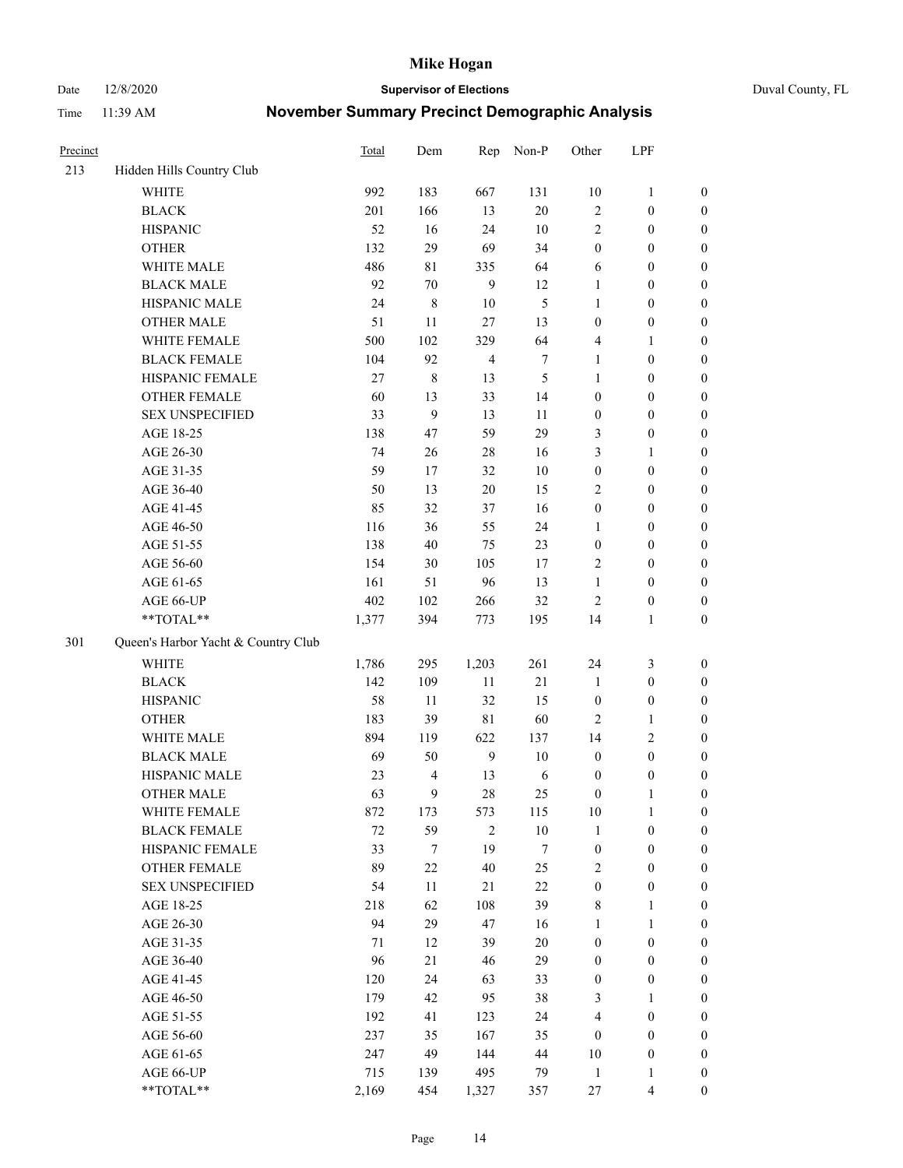Date 12/8/2020 **Supervisor of Elections** Duval County, FL

| Precinct |                                     | Total  | Dem            | Rep                     | Non-P          | Other            | LPF              |                  |
|----------|-------------------------------------|--------|----------------|-------------------------|----------------|------------------|------------------|------------------|
| 213      | Hidden Hills Country Club           |        |                |                         |                |                  |                  |                  |
|          | <b>WHITE</b>                        | 992    | 183            | 667                     | 131            | $10\,$           | $\mathbf{1}$     | 0                |
|          | <b>BLACK</b>                        | 201    | 166            | 13                      | $20\,$         | $\sqrt{2}$       | $\boldsymbol{0}$ | 0                |
|          | <b>HISPANIC</b>                     | 52     | 16             | 24                      | $10\,$         | $\sqrt{2}$       | $\boldsymbol{0}$ | $\boldsymbol{0}$ |
|          | <b>OTHER</b>                        | 132    | 29             | 69                      | 34             | $\boldsymbol{0}$ | $\boldsymbol{0}$ | $\boldsymbol{0}$ |
|          | WHITE MALE                          | 486    | $8\sqrt{1}$    | 335                     | 64             | 6                | $\boldsymbol{0}$ | $\boldsymbol{0}$ |
|          | <b>BLACK MALE</b>                   | 92     | 70             | 9                       | 12             | $\mathbf{1}$     | $\boldsymbol{0}$ | $\boldsymbol{0}$ |
|          | HISPANIC MALE                       | 24     | $\,8\,$        | $10\,$                  | $\mathfrak{S}$ | $\mathbf{1}$     | $\boldsymbol{0}$ | $\boldsymbol{0}$ |
|          | <b>OTHER MALE</b>                   | 51     | $11\,$         | $27\,$                  | 13             | $\boldsymbol{0}$ | $\boldsymbol{0}$ | $\boldsymbol{0}$ |
|          | WHITE FEMALE                        | 500    | 102            | 329                     | 64             | 4                | 1                | $\boldsymbol{0}$ |
|          | <b>BLACK FEMALE</b>                 | 104    | 92             | $\overline{\mathbf{4}}$ | $\tau$         | $\mathbf{1}$     | $\boldsymbol{0}$ | $\boldsymbol{0}$ |
|          | HISPANIC FEMALE                     | 27     | $\,8\,$        | 13                      | $\mathfrak{S}$ | $\mathbf{1}$     | $\boldsymbol{0}$ | 0                |
|          | OTHER FEMALE                        | 60     | 13             | 33                      | 14             | $\boldsymbol{0}$ | $\boldsymbol{0}$ | 0                |
|          | <b>SEX UNSPECIFIED</b>              | 33     | 9              | 13                      | $11\,$         | $\boldsymbol{0}$ | $\boldsymbol{0}$ | $\boldsymbol{0}$ |
|          | AGE 18-25                           | 138    | 47             | 59                      | 29             | 3                | $\boldsymbol{0}$ | $\boldsymbol{0}$ |
|          | AGE 26-30                           | 74     | 26             | $28\,$                  | 16             | 3                | $\mathbf{1}$     | $\boldsymbol{0}$ |
|          | AGE 31-35                           | 59     | 17             | 32                      | $10\,$         | $\boldsymbol{0}$ | $\boldsymbol{0}$ | $\boldsymbol{0}$ |
|          | AGE 36-40                           | 50     | 13             | $20\,$                  | 15             | $\mathbf{2}$     | $\boldsymbol{0}$ | $\boldsymbol{0}$ |
|          | AGE 41-45                           | 85     | 32             | 37                      | 16             | $\boldsymbol{0}$ | $\boldsymbol{0}$ | $\boldsymbol{0}$ |
|          | AGE 46-50                           | 116    | 36             | 55                      | 24             | $\mathbf{1}$     | $\boldsymbol{0}$ | $\boldsymbol{0}$ |
|          | AGE 51-55                           | 138    | $40\,$         | 75                      | 23             | $\boldsymbol{0}$ | $\boldsymbol{0}$ | 0                |
|          | AGE 56-60                           | 154    | 30             | 105                     | 17             | $\sqrt{2}$       | $\boldsymbol{0}$ | 0                |
|          | AGE 61-65                           | 161    | 51             | 96                      | 13             | $\mathbf{1}$     | $\boldsymbol{0}$ | 0                |
|          | AGE 66-UP                           | 402    | 102            | 266                     | 32             | $\sqrt{2}$       | $\boldsymbol{0}$ | $\boldsymbol{0}$ |
|          | **TOTAL**                           | 1,377  | 394            | 773                     | 195            | 14               | $\mathbf{1}$     | $\boldsymbol{0}$ |
| 301      | Queen's Harbor Yacht & Country Club |        |                |                         |                |                  |                  |                  |
|          | <b>WHITE</b>                        | 1,786  | 295            | 1,203                   | 261            | 24               | 3                | $\boldsymbol{0}$ |
|          | <b>BLACK</b>                        | 142    | 109            | 11                      | 21             | $\mathbf{1}$     | $\boldsymbol{0}$ | $\boldsymbol{0}$ |
|          | <b>HISPANIC</b>                     | 58     | 11             | 32                      | 15             | $\boldsymbol{0}$ | $\boldsymbol{0}$ | $\boldsymbol{0}$ |
|          | <b>OTHER</b>                        | 183    | 39             | $8\sqrt{1}$             | 60             | $\mathfrak{2}$   | $\mathbf{1}$     | $\boldsymbol{0}$ |
|          | WHITE MALE                          | 894    | 119            | 622                     | 137            | 14               | $\overline{c}$   | $\boldsymbol{0}$ |
|          | <b>BLACK MALE</b>                   | 69     | 50             | 9                       | $10\,$         | $\boldsymbol{0}$ | $\boldsymbol{0}$ | $\boldsymbol{0}$ |
|          | HISPANIC MALE                       | 23     | $\overline{4}$ | 13                      | 6              | $\boldsymbol{0}$ | $\boldsymbol{0}$ | 0                |
|          | <b>OTHER MALE</b>                   | 63     | $\overline{9}$ | 28                      | 25             | $\boldsymbol{0}$ | 1                | $\boldsymbol{0}$ |
|          | WHITE FEMALE                        | 872    | 173            | 573                     | 115            | 10               | $\mathbf{1}$     | 0                |
|          | <b>BLACK FEMALE</b>                 | $72\,$ | 59             | $\overline{2}$          | $10\,$         | $\mathbf{1}$     | $\boldsymbol{0}$ | 0                |
|          | HISPANIC FEMALE                     | 33     | $\tau$         | 19                      | 7              | $\boldsymbol{0}$ | $\boldsymbol{0}$ | $\overline{0}$   |
|          | OTHER FEMALE                        | 89     | 22             | 40                      | 25             | $\overline{c}$   | $\boldsymbol{0}$ | $\overline{0}$   |
|          | <b>SEX UNSPECIFIED</b>              | 54     | 11             | 21                      | $22\,$         | $\boldsymbol{0}$ | $\boldsymbol{0}$ | 0                |
|          | AGE 18-25                           | 218    | 62             | 108                     | 39             | 8                | $\mathbf{1}$     | 0                |
|          | AGE 26-30                           | 94     | 29             | 47                      | 16             | $\mathbf{1}$     | $\mathbf{1}$     | 0                |
|          | AGE 31-35                           | 71     | 12             | 39                      | $20\,$         | $\boldsymbol{0}$ | $\boldsymbol{0}$ | 0                |
|          | AGE 36-40                           | 96     | 21             | 46                      | 29             | $\boldsymbol{0}$ | $\boldsymbol{0}$ | 0                |
|          | AGE 41-45                           | 120    | 24             | 63                      | 33             | $\boldsymbol{0}$ | $\boldsymbol{0}$ | 0                |
|          | AGE 46-50                           | 179    | 42             | 95                      | 38             | 3                | 1                | $\boldsymbol{0}$ |
|          | AGE 51-55                           | 192    | 41             | 123                     | 24             | 4                | $\boldsymbol{0}$ | $\overline{0}$   |
|          | AGE 56-60                           | 237    | 35             | 167                     | 35             | $\boldsymbol{0}$ | $\boldsymbol{0}$ | $\overline{0}$   |
|          | AGE 61-65                           | 247    | 49             | 144                     | 44             | $10\,$           | $\boldsymbol{0}$ | $\overline{0}$   |
|          | AGE 66-UP                           | 715    | 139            | 495                     | 79             | $\mathbf{1}$     | $\mathbf{1}$     | 0                |
|          | **TOTAL**                           | 2,169  | 454            | 1,327                   | 357            | 27               | $\overline{4}$   | $\overline{0}$   |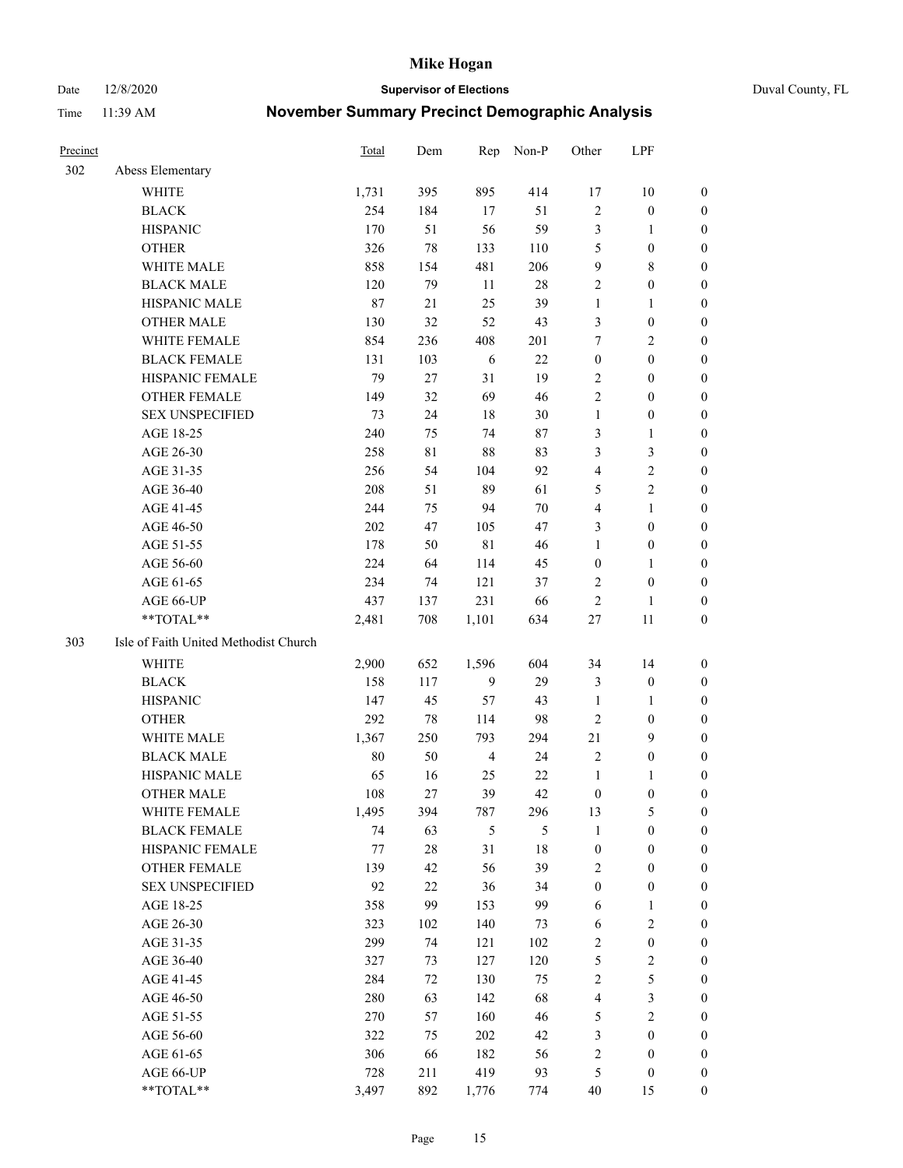Date 12/8/2020 **Supervisor of Elections** Duval County, FL

| Precinct |                                       | Total   | Dem         | Rep            | Non-P  | Other            | LPF              |                  |
|----------|---------------------------------------|---------|-------------|----------------|--------|------------------|------------------|------------------|
| 302      | Abess Elementary                      |         |             |                |        |                  |                  |                  |
|          | <b>WHITE</b>                          | 1,731   | 395         | 895            | 414    | 17               | $10\,$           | 0                |
|          | <b>BLACK</b>                          | 254     | 184         | 17             | 51     | $\sqrt{2}$       | $\boldsymbol{0}$ | 0                |
|          | <b>HISPANIC</b>                       | 170     | 51          | 56             | 59     | 3                | $\mathbf{1}$     | $\boldsymbol{0}$ |
|          | <b>OTHER</b>                          | 326     | $78\,$      | 133            | 110    | 5                | $\boldsymbol{0}$ | $\boldsymbol{0}$ |
|          | WHITE MALE                            | 858     | 154         | 481            | 206    | 9                | $\,$ 8 $\,$      | $\boldsymbol{0}$ |
|          | <b>BLACK MALE</b>                     | 120     | 79          | 11             | 28     | $\overline{c}$   | $\boldsymbol{0}$ | $\boldsymbol{0}$ |
|          | HISPANIC MALE                         | $87\,$  | 21          | 25             | 39     | $\mathbf{1}$     | $\mathbf{1}$     | $\boldsymbol{0}$ |
|          | <b>OTHER MALE</b>                     | 130     | 32          | 52             | 43     | 3                | $\boldsymbol{0}$ | $\boldsymbol{0}$ |
|          | WHITE FEMALE                          | 854     | 236         | 408            | 201    | 7                | $\overline{2}$   | $\boldsymbol{0}$ |
|          | <b>BLACK FEMALE</b>                   | 131     | 103         | 6              | $22\,$ | $\boldsymbol{0}$ | $\boldsymbol{0}$ | 0                |
|          | HISPANIC FEMALE                       | 79      | 27          | 31             | 19     | $\mathfrak{2}$   | $\boldsymbol{0}$ | 0                |
|          | OTHER FEMALE                          | 149     | 32          | 69             | 46     | $\overline{c}$   | $\boldsymbol{0}$ | $\boldsymbol{0}$ |
|          | <b>SEX UNSPECIFIED</b>                | 73      | 24          | 18             | 30     | $\mathbf{1}$     | $\boldsymbol{0}$ | $\boldsymbol{0}$ |
|          | AGE 18-25                             | 240     | 75          | 74             | 87     | 3                | $\mathbf{1}$     | $\boldsymbol{0}$ |
|          | AGE 26-30                             | 258     | $8\sqrt{1}$ | 88             | 83     | 3                | $\mathfrak{Z}$   | $\boldsymbol{0}$ |
|          | AGE 31-35                             | 256     | 54          | 104            | 92     | 4                | $\sqrt{2}$       | $\boldsymbol{0}$ |
|          | AGE 36-40                             | 208     | 51          | 89             | 61     | 5                | $\sqrt{2}$       | $\boldsymbol{0}$ |
|          | AGE 41-45                             | 244     | 75          | 94             | $70\,$ | $\overline{4}$   | $\mathbf{1}$     | $\boldsymbol{0}$ |
|          | AGE 46-50                             | 202     | 47          | 105            | 47     | 3                | $\boldsymbol{0}$ | $\boldsymbol{0}$ |
|          | AGE 51-55                             | 178     | 50          | $8\sqrt{1}$    | 46     | $\mathbf{1}$     | $\boldsymbol{0}$ | 0                |
|          | AGE 56-60                             | 224     | 64          | 114            | 45     | $\boldsymbol{0}$ | $\mathbf{1}$     | 0                |
|          | AGE 61-65                             | 234     | 74          | 121            | 37     | 2                | $\boldsymbol{0}$ | 0                |
|          | AGE 66-UP                             | 437     | 137         | 231            | 66     | $\sqrt{2}$       | $\mathbf{1}$     | $\boldsymbol{0}$ |
|          | **TOTAL**                             | 2,481   | 708         | 1,101          | 634    | $27\,$           | 11               | $\boldsymbol{0}$ |
| 303      | Isle of Faith United Methodist Church |         |             |                |        |                  |                  |                  |
|          | <b>WHITE</b>                          | 2,900   | 652         | 1,596          | 604    | 34               | 14               | $\boldsymbol{0}$ |
|          | <b>BLACK</b>                          | 158     | 117         | $\overline{9}$ | 29     | 3                | $\boldsymbol{0}$ | $\boldsymbol{0}$ |
|          | <b>HISPANIC</b>                       | 147     | 45          | 57             | 43     | $\mathbf{1}$     | $\mathbf{1}$     | $\boldsymbol{0}$ |
|          | <b>OTHER</b>                          | 292     | $78\,$      | 114            | 98     | $\mathfrak{2}$   | $\boldsymbol{0}$ | $\boldsymbol{0}$ |
|          | WHITE MALE                            | 1,367   | 250         | 793            | 294    | 21               | 9                | $\boldsymbol{0}$ |
|          | <b>BLACK MALE</b>                     | $80\,$  | 50          | $\overline{4}$ | 24     | $\mathbf{2}$     | $\boldsymbol{0}$ | $\boldsymbol{0}$ |
|          | HISPANIC MALE                         | 65      | 16          | 25             | 22     | $\mathbf{1}$     | 1                | 0                |
|          | <b>OTHER MALE</b>                     | 108     | 27          | 39             | 42     | $\boldsymbol{0}$ | $\boldsymbol{0}$ | 0                |
|          | WHITE FEMALE                          | 1,495   | 394         | 787            | 296    | 13               | 5                | 0                |
|          | <b>BLACK FEMALE</b>                   | 74      | 63          | $\mathfrak s$  | 5      | $\mathbf{1}$     | $\boldsymbol{0}$ | $\boldsymbol{0}$ |
|          | HISPANIC FEMALE                       | $77 \,$ | $28\,$      | 31             | $18\,$ | $\boldsymbol{0}$ | $\boldsymbol{0}$ | $\overline{0}$   |
|          | <b>OTHER FEMALE</b>                   | 139     | 42          | 56             | 39     | 2                | $\boldsymbol{0}$ | $\overline{0}$   |
|          | <b>SEX UNSPECIFIED</b>                | 92      | 22          | 36             | 34     | $\boldsymbol{0}$ | $\boldsymbol{0}$ | 0                |
|          | AGE 18-25                             | 358     | 99          | 153            | 99     | 6                | $\mathbf{1}$     | $\overline{0}$   |
|          | AGE 26-30                             | 323     | 102         | 140            | 73     | 6                | $\overline{2}$   | 0                |
|          | AGE 31-35                             | 299     | 74          | 121            | 102    | 2                | $\boldsymbol{0}$ | 0                |
|          | AGE 36-40                             | 327     | 73          | 127            | 120    | 5                | $\sqrt{2}$       | 0                |
|          | AGE 41-45                             | 284     | 72          | 130            | 75     | 2                | 5                | 0                |
|          | AGE 46-50                             | 280     | 63          | 142            | 68     | 4                | $\mathfrak{Z}$   | 0                |
|          | AGE 51-55                             | 270     | 57          | 160            | 46     | 5                | $\overline{2}$   | $\overline{0}$   |
|          | AGE 56-60                             | 322     | 75          | 202            | 42     | 3                | $\boldsymbol{0}$ | $\overline{0}$   |
|          | AGE 61-65                             | 306     | 66          | 182            | 56     | $\overline{c}$   | $\boldsymbol{0}$ | $\overline{0}$   |
|          | AGE 66-UP                             | 728     | 211         | 419            | 93     | 5                | $\boldsymbol{0}$ | 0                |
|          | **TOTAL**                             | 3,497   | 892         | 1,776          | 774    | 40               | 15               | $\boldsymbol{0}$ |
|          |                                       |         |             |                |        |                  |                  |                  |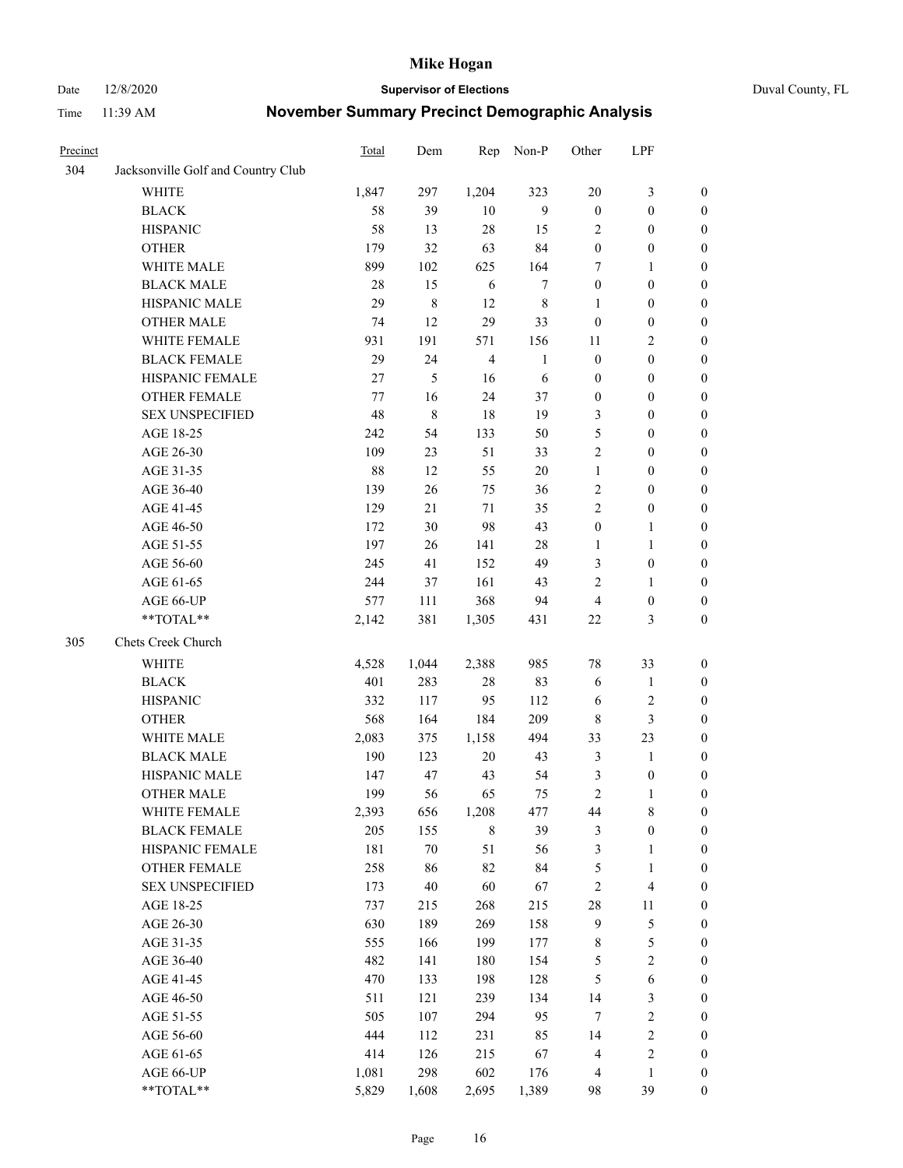Date 12/8/2020 **Supervisor of Elections** Duval County, FL

| Precinct |                                    | Total   | Dem       | Rep            | Non-P        | Other            | LPF                     |                  |
|----------|------------------------------------|---------|-----------|----------------|--------------|------------------|-------------------------|------------------|
| 304      | Jacksonville Golf and Country Club |         |           |                |              |                  |                         |                  |
|          | <b>WHITE</b>                       | 1,847   | 297       | 1,204          | 323          | 20               | $\mathfrak{Z}$          | 0                |
|          | <b>BLACK</b>                       | 58      | 39        | 10             | 9            | $\boldsymbol{0}$ | $\boldsymbol{0}$        | 0                |
|          | <b>HISPANIC</b>                    | 58      | 13        | 28             | 15           | $\overline{2}$   | $\boldsymbol{0}$        | $\boldsymbol{0}$ |
|          | <b>OTHER</b>                       | 179     | 32        | 63             | 84           | $\boldsymbol{0}$ | $\boldsymbol{0}$        | $\boldsymbol{0}$ |
|          | WHITE MALE                         | 899     | 102       | 625            | 164          | 7                | $\mathbf{1}$            | $\boldsymbol{0}$ |
|          | <b>BLACK MALE</b>                  | 28      | 15        | 6              | 7            | $\boldsymbol{0}$ | $\boldsymbol{0}$        | $\boldsymbol{0}$ |
|          | HISPANIC MALE                      | 29      | $\,$ $\,$ | 12             | $\,$ 8 $\,$  | $\mathbf{1}$     | $\boldsymbol{0}$        | $\boldsymbol{0}$ |
|          | <b>OTHER MALE</b>                  | 74      | 12        | 29             | 33           | $\boldsymbol{0}$ | $\boldsymbol{0}$        | $\boldsymbol{0}$ |
|          | WHITE FEMALE                       | 931     | 191       | 571            | 156          | 11               | $\mathbf{2}$            | $\boldsymbol{0}$ |
|          | <b>BLACK FEMALE</b>                | 29      | 24        | $\overline{4}$ | $\mathbf{1}$ | $\boldsymbol{0}$ | $\boldsymbol{0}$        | 0                |
|          | HISPANIC FEMALE                    | 27      | 5         | 16             | 6            | $\boldsymbol{0}$ | $\boldsymbol{0}$        | 0                |
|          | <b>OTHER FEMALE</b>                | $77 \,$ | 16        | 24             | 37           | $\boldsymbol{0}$ | $\boldsymbol{0}$        | 0                |
|          | <b>SEX UNSPECIFIED</b>             | 48      | 8         | 18             | 19           | 3                | $\boldsymbol{0}$        | $\boldsymbol{0}$ |
|          | AGE 18-25                          | 242     | 54        | 133            | 50           | 5                | $\boldsymbol{0}$        | $\boldsymbol{0}$ |
|          | AGE 26-30                          | 109     | 23        | 51             | 33           | 2                | $\boldsymbol{0}$        | $\boldsymbol{0}$ |
|          | AGE 31-35                          | 88      | 12        | 55             | 20           | $\mathbf{1}$     | $\boldsymbol{0}$        | $\boldsymbol{0}$ |
|          | AGE 36-40                          | 139     | 26        | 75             | 36           | 2                | $\boldsymbol{0}$        | $\boldsymbol{0}$ |
|          | AGE 41-45                          | 129     | 21        | 71             | 35           | $\mathfrak{2}$   | $\boldsymbol{0}$        | $\boldsymbol{0}$ |
|          | AGE 46-50                          | 172     | 30        | 98             | 43           | $\boldsymbol{0}$ | $\mathbf{1}$            | $\boldsymbol{0}$ |
|          | AGE 51-55                          | 197     | 26        | 141            | $28\,$       | 1                | $\mathbf{1}$            | 0                |
|          | AGE 56-60                          | 245     | 41        | 152            | 49           | 3                | $\boldsymbol{0}$        | 0                |
|          | AGE 61-65                          | 244     | 37        | 161            | 43           | $\overline{c}$   | $\mathbf{1}$            | 0                |
|          | AGE 66-UP                          | 577     | 111       | 368            | 94           | $\overline{4}$   | $\boldsymbol{0}$        | $\boldsymbol{0}$ |
|          | **TOTAL**                          | 2,142   | 381       | 1,305          | 431          | 22               | $\mathfrak{Z}$          | $\boldsymbol{0}$ |
| 305      | Chets Creek Church                 |         |           |                |              |                  |                         |                  |
|          |                                    |         |           |                |              |                  |                         |                  |
|          | <b>WHITE</b>                       | 4,528   | 1,044     | 2,388          | 985          | 78               | 33                      | $\boldsymbol{0}$ |
|          | <b>BLACK</b>                       | 401     | 283       | $28\,$         | 83           | 6                | $\mathbf{1}$            | $\boldsymbol{0}$ |
|          | <b>HISPANIC</b>                    | 332     | 117       | 95             | 112          | 6                | $\sqrt{2}$              | $\boldsymbol{0}$ |
|          | <b>OTHER</b>                       | 568     | 164       | 184            | 209          | $\,$ 8 $\,$      | $\mathfrak{Z}$          | $\boldsymbol{0}$ |
|          | WHITE MALE                         | 2,083   | 375       | 1,158          | 494          | 33               | 23                      | $\boldsymbol{0}$ |
|          | <b>BLACK MALE</b>                  | 190     | 123       | $20\,$         | 43           | $\mathfrak{Z}$   | $\mathbf{1}$            | $\boldsymbol{0}$ |
|          | HISPANIC MALE                      | 147     | 47        | 43             | 54           | 3                | $\boldsymbol{0}$        | 0                |
|          | <b>OTHER MALE</b>                  | 199     | 56        | 65             | 75           | $\overline{c}$   | $\mathbf{1}$            | $\boldsymbol{0}$ |
|          | WHITE FEMALE                       | 2,393   | 656       | 1,208          | 477          | 44               | 8                       | 0                |
|          | <b>BLACK FEMALE</b>                | 205     | 155       | 8              | 39           | 3                | $\boldsymbol{0}$        | $\boldsymbol{0}$ |
|          | HISPANIC FEMALE                    | 181     | $70\,$    | 51             | 56           | $\mathfrak{Z}$   | $\mathbf{1}$            | $\boldsymbol{0}$ |
|          | OTHER FEMALE                       | 258     | 86        | 82             | 84           | 5                | $\mathbf{1}$            | $\overline{0}$   |
|          | <b>SEX UNSPECIFIED</b>             | 173     | $40\,$    | 60             | 67           | 2                | $\overline{\mathbf{4}}$ | 0                |
|          | AGE 18-25                          | 737     | 215       | 268            | 215          | 28               | $11\,$                  | 0                |
|          | AGE 26-30                          | 630     | 189       | 269            | 158          | $\mathbf{9}$     | $\mathfrak s$           | 0                |
|          | AGE 31-35                          | 555     | 166       | 199            | 177          | $\,$ 8 $\,$      | $\mathfrak s$           | 0                |
|          | AGE 36-40                          | 482     | 141       | 180            | 154          | 5                | $\sqrt{2}$              | 0                |
|          | AGE 41-45                          | 470     | 133       | 198            | 128          | $\mathfrak{S}$   | $\sqrt{6}$              | 0                |
|          | AGE 46-50                          | 511     | 121       | 239            | 134          | 14               | $\mathfrak{Z}$          | 0                |
|          | AGE 51-55                          | 505     | 107       | 294            | 95           | $\tau$           | $\sqrt{2}$              | 0                |
|          | AGE 56-60                          | 444     | 112       | 231            | 85           | 14               | $\sqrt{2}$              | 0                |
|          | AGE 61-65                          | 414     | 126       | 215            | 67           | 4                | $\sqrt{2}$              | $\boldsymbol{0}$ |
|          | AGE 66-UP                          | 1,081   | 298       | 602            | 176          | $\overline{4}$   | $\mathbf{1}$            | $\boldsymbol{0}$ |
|          | **TOTAL**                          | 5,829   | 1,608     | 2,695          | 1,389        | 98               | 39                      | $\boldsymbol{0}$ |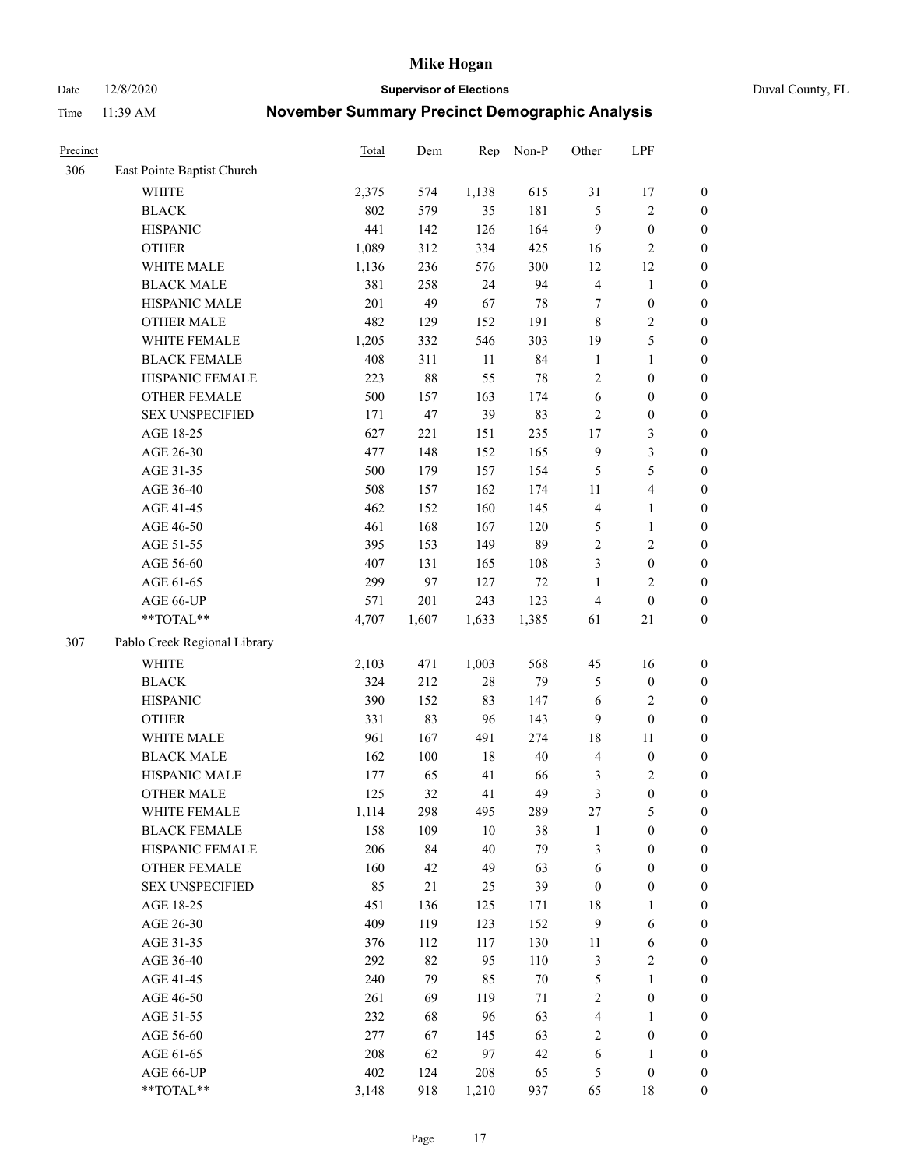Date 12/8/2020 **Supervisor of Elections** Duval County, FL

| Precinct |                              | Total | Dem     | Rep    | Non-P  | Other            | LPF                     |                  |
|----------|------------------------------|-------|---------|--------|--------|------------------|-------------------------|------------------|
| 306      | East Pointe Baptist Church   |       |         |        |        |                  |                         |                  |
|          | <b>WHITE</b>                 | 2,375 | 574     | 1,138  | 615    | 31               | 17                      | $\boldsymbol{0}$ |
|          | <b>BLACK</b>                 | 802   | 579     | 35     | 181    | 5                | $\sqrt{2}$              | $\boldsymbol{0}$ |
|          | <b>HISPANIC</b>              | 441   | 142     | 126    | 164    | 9                | $\boldsymbol{0}$        | $\boldsymbol{0}$ |
|          | <b>OTHER</b>                 | 1,089 | 312     | 334    | 425    | 16               | $\mathfrak{2}$          | $\boldsymbol{0}$ |
|          | WHITE MALE                   | 1,136 | 236     | 576    | 300    | 12               | 12                      | $\boldsymbol{0}$ |
|          | <b>BLACK MALE</b>            | 381   | 258     | 24     | 94     | $\overline{4}$   | $\mathbf{1}$            | $\boldsymbol{0}$ |
|          | HISPANIC MALE                | 201   | 49      | 67     | 78     | 7                | $\boldsymbol{0}$        | $\boldsymbol{0}$ |
|          | <b>OTHER MALE</b>            | 482   | 129     | 152    | 191    | 8                | $\overline{2}$          | $\boldsymbol{0}$ |
|          | WHITE FEMALE                 | 1,205 | 332     | 546    | 303    | 19               | $\mathfrak s$           | $\boldsymbol{0}$ |
|          | <b>BLACK FEMALE</b>          | 408   | 311     | 11     | 84     | $\mathbf{1}$     | $\mathbf{1}$            | $\boldsymbol{0}$ |
|          | HISPANIC FEMALE              | 223   | 88      | 55     | $78\,$ | 2                | $\boldsymbol{0}$        | 0                |
|          | OTHER FEMALE                 | 500   | 157     | 163    | 174    | $\sqrt{6}$       | $\boldsymbol{0}$        | $\boldsymbol{0}$ |
|          | <b>SEX UNSPECIFIED</b>       | 171   | 47      | 39     | 83     | $\sqrt{2}$       | $\boldsymbol{0}$        | $\boldsymbol{0}$ |
|          | AGE 18-25                    | 627   | 221     | 151    | 235    | $17$             | $\mathfrak{Z}$          | $\boldsymbol{0}$ |
|          | AGE 26-30                    | 477   | 148     | 152    | 165    | $\mathbf{9}$     | $\mathfrak{Z}$          | $\boldsymbol{0}$ |
|          | AGE 31-35                    | 500   | 179     | 157    | 154    | 5                | $\mathfrak s$           | $\boldsymbol{0}$ |
|          | AGE 36-40                    | 508   | 157     | 162    | 174    | 11               | $\overline{\mathbf{4}}$ | $\boldsymbol{0}$ |
|          | AGE 41-45                    | 462   | 152     | 160    | 145    | $\overline{4}$   | $\mathbf{1}$            | $\boldsymbol{0}$ |
|          | AGE 46-50                    | 461   | 168     | 167    | 120    | 5                | $\mathbf{1}$            | $\boldsymbol{0}$ |
|          | AGE 51-55                    | 395   | 153     | 149    | 89     | $\sqrt{2}$       | $\sqrt{2}$              | $\boldsymbol{0}$ |
|          | AGE 56-60                    | 407   | 131     | 165    | 108    | 3                | $\boldsymbol{0}$        | 0                |
|          | AGE 61-65                    | 299   | 97      | 127    | $72\,$ | $\mathbf{1}$     | $\mathfrak{2}$          | $\boldsymbol{0}$ |
|          | AGE 66-UP                    | 571   | 201     | 243    | 123    | $\overline{4}$   | $\boldsymbol{0}$        | $\boldsymbol{0}$ |
|          | $**TOTAL**$                  | 4,707 | 1,607   | 1,633  | 1,385  | 61               | 21                      | $\boldsymbol{0}$ |
| 307      | Pablo Creek Regional Library |       |         |        |        |                  |                         |                  |
|          | <b>WHITE</b>                 | 2,103 | 471     | 1,003  | 568    | 45               | 16                      | $\boldsymbol{0}$ |
|          | <b>BLACK</b>                 | 324   | 212     | $28\,$ | 79     | 5                | $\boldsymbol{0}$        | $\boldsymbol{0}$ |
|          | <b>HISPANIC</b>              | 390   | 152     | 83     | 147    | 6                | $\mathfrak{2}$          | $\boldsymbol{0}$ |
|          | <b>OTHER</b>                 | 331   | 83      | 96     | 143    | 9                | $\boldsymbol{0}$        | $\boldsymbol{0}$ |
|          | WHITE MALE                   | 961   | 167     | 491    | 274    | 18               | 11                      | $\boldsymbol{0}$ |
|          | <b>BLACK MALE</b>            | 162   | $100\,$ | 18     | 40     | $\overline{4}$   | $\boldsymbol{0}$        | $\boldsymbol{0}$ |
|          | HISPANIC MALE                | 177   | 65      | 41     | 66     | 3                | $\sqrt{2}$              | $\boldsymbol{0}$ |
|          | <b>OTHER MALE</b>            | 125   | 32      | 41     | 49     | $\mathfrak{Z}$   | $\boldsymbol{0}$        | $\boldsymbol{0}$ |
|          | WHITE FEMALE                 | 1,114 | 298     | 495    | 289    | 27               | 5                       | 0                |
|          | <b>BLACK FEMALE</b>          | 158   | 109     | 10     | 38     | $\mathbf{1}$     | $\boldsymbol{0}$        | $\boldsymbol{0}$ |
|          | HISPANIC FEMALE              | 206   | 84      | 40     | 79     | 3                | $\boldsymbol{0}$        | $\overline{0}$   |
|          | <b>OTHER FEMALE</b>          | 160   | 42      | 49     | 63     | 6                | $\boldsymbol{0}$        | $\overline{0}$   |
|          | <b>SEX UNSPECIFIED</b>       | 85    | 21      | 25     | 39     | $\boldsymbol{0}$ | $\boldsymbol{0}$        | 0                |
|          | AGE 18-25                    | 451   | 136     | 125    | 171    | 18               | $\mathbf{1}$            | $\overline{0}$   |
|          | AGE 26-30                    | 409   | 119     | 123    | 152    | $\overline{9}$   | 6                       | 0                |
|          | AGE 31-35                    | 376   | 112     | 117    | 130    | 11               | 6                       | 0                |
|          | AGE 36-40                    | 292   | 82      | 95     | 110    | $\mathfrak{Z}$   | $\sqrt{2}$              | 0                |
|          | AGE 41-45                    | 240   | 79      | 85     | $70\,$ | $\mathfrak{S}$   | $\mathbf{1}$            | 0                |
|          | AGE 46-50                    | 261   | 69      | 119    | 71     | $\overline{c}$   | $\boldsymbol{0}$        | 0                |
|          | AGE 51-55                    | 232   | 68      | 96     | 63     | 4                | $\mathbf{1}$            | 0                |
|          | AGE 56-60                    | 277   | 67      | 145    | 63     | $\overline{2}$   | $\boldsymbol{0}$        | $\boldsymbol{0}$ |
|          | AGE 61-65                    | 208   | 62      | 97     | 42     | 6                | 1                       | $\boldsymbol{0}$ |
|          | AGE 66-UP                    | 402   | 124     | 208    | 65     | 5                | $\boldsymbol{0}$        | 0                |
|          | **TOTAL**                    | 3,148 | 918     | 1,210  | 937    | 65               | 18                      | $\boldsymbol{0}$ |
|          |                              |       |         |        |        |                  |                         |                  |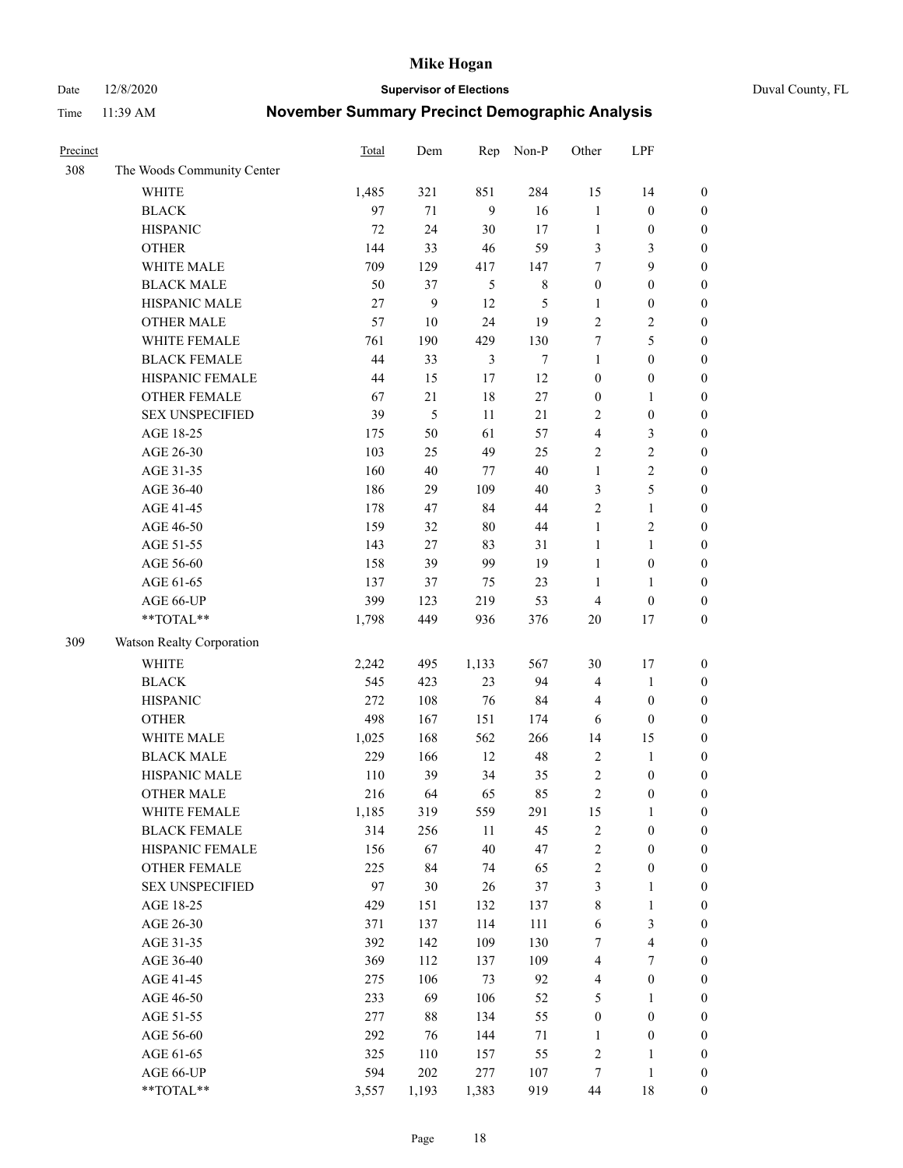Date 12/8/2020 **Supervisor of Elections** Duval County, FL

| Precinct |                            | Total | Dem    | Rep            | Non-P  | Other                   | LPF                     |                  |
|----------|----------------------------|-------|--------|----------------|--------|-------------------------|-------------------------|------------------|
| 308      | The Woods Community Center |       |        |                |        |                         |                         |                  |
|          | <b>WHITE</b>               | 1,485 | 321    | 851            | 284    | 15                      | 14                      | $\boldsymbol{0}$ |
|          | <b>BLACK</b>               | 97    | 71     | 9              | 16     | $\mathbf{1}$            | $\boldsymbol{0}$        | $\boldsymbol{0}$ |
|          | <b>HISPANIC</b>            | 72    | 24     | $30\,$         | 17     | $\mathbf{1}$            | $\boldsymbol{0}$        | $\boldsymbol{0}$ |
|          | <b>OTHER</b>               | 144   | 33     | $46\,$         | 59     | 3                       | 3                       | $\boldsymbol{0}$ |
|          | WHITE MALE                 | 709   | 129    | 417            | 147    | 7                       | 9                       | $\boldsymbol{0}$ |
|          | <b>BLACK MALE</b>          | 50    | 37     | 5              | $8\,$  | $\boldsymbol{0}$        | $\boldsymbol{0}$        | $\boldsymbol{0}$ |
|          | HISPANIC MALE              | 27    | 9      | 12             | 5      | $\mathbf{1}$            | $\boldsymbol{0}$        | $\boldsymbol{0}$ |
|          | <b>OTHER MALE</b>          | 57    | $10\,$ | 24             | 19     | $\mathfrak{2}$          | $\overline{2}$          | $\boldsymbol{0}$ |
|          | WHITE FEMALE               | 761   | 190    | 429            | 130    | 7                       | 5                       | $\boldsymbol{0}$ |
|          | <b>BLACK FEMALE</b>        | 44    | 33     | $\mathfrak{Z}$ | $\tau$ | $\mathbf{1}$            | $\boldsymbol{0}$        | $\boldsymbol{0}$ |
|          | HISPANIC FEMALE            | 44    | 15     | 17             | 12     | $\boldsymbol{0}$        | $\boldsymbol{0}$        | 0                |
|          | <b>OTHER FEMALE</b>        | 67    | 21     | $18\,$         | 27     | $\boldsymbol{0}$        | $\mathbf{1}$            | $\boldsymbol{0}$ |
|          | <b>SEX UNSPECIFIED</b>     | 39    | 5      | 11             | 21     | $\mathfrak{2}$          | $\boldsymbol{0}$        | $\boldsymbol{0}$ |
|          | AGE 18-25                  | 175   | 50     | 61             | 57     | 4                       | $\mathfrak{Z}$          | $\boldsymbol{0}$ |
|          | AGE 26-30                  | 103   | 25     | 49             | 25     | $\overline{c}$          | $\sqrt{2}$              | $\boldsymbol{0}$ |
|          | AGE 31-35                  | 160   | 40     | $77\,$         | 40     | $\mathbf{1}$            | $\sqrt{2}$              | $\boldsymbol{0}$ |
|          | AGE 36-40                  | 186   | 29     | 109            | $40\,$ | 3                       | $\mathfrak s$           | $\boldsymbol{0}$ |
|          | AGE 41-45                  | 178   | 47     | 84             | $44\,$ | $\overline{c}$          | $\mathbf{1}$            | $\boldsymbol{0}$ |
|          | AGE 46-50                  | 159   | 32     | $80\,$         | 44     | $\mathbf{1}$            | $\overline{c}$          | $\boldsymbol{0}$ |
|          | AGE 51-55                  | 143   | 27     | 83             | 31     | $\mathbf{1}$            | $\mathbf{1}$            | $\boldsymbol{0}$ |
|          | AGE 56-60                  | 158   | 39     | 99             | 19     | $\mathbf{1}$            | $\boldsymbol{0}$        | 0                |
|          | AGE 61-65                  | 137   | 37     | 75             | 23     | $\mathbf{1}$            | $\mathbf{1}$            | 0                |
|          | AGE 66-UP                  | 399   | 123    | 219            | 53     | $\overline{4}$          | $\boldsymbol{0}$        | $\boldsymbol{0}$ |
|          | $**TOTAL**$                | 1,798 | 449    | 936            | 376    | $20\,$                  | 17                      | $\boldsymbol{0}$ |
| 309      | Watson Realty Corporation  |       |        |                |        |                         |                         |                  |
|          | <b>WHITE</b>               | 2,242 | 495    | 1,133          | 567    | 30                      | 17                      | $\boldsymbol{0}$ |
|          | <b>BLACK</b>               | 545   | 423    | 23             | 94     | 4                       | $\mathbf{1}$            | $\boldsymbol{0}$ |
|          | <b>HISPANIC</b>            | 272   | 108    | 76             | 84     | $\overline{4}$          | $\boldsymbol{0}$        | $\boldsymbol{0}$ |
|          | <b>OTHER</b>               | 498   | 167    | 151            | 174    | 6                       | $\boldsymbol{0}$        | $\boldsymbol{0}$ |
|          | WHITE MALE                 | 1,025 | 168    | 562            | 266    | 14                      | 15                      | $\boldsymbol{0}$ |
|          | <b>BLACK MALE</b>          | 229   | 166    | 12             | 48     | $\overline{2}$          | $\mathbf{1}$            | $\boldsymbol{0}$ |
|          | HISPANIC MALE              | 110   | 39     | 34             | 35     | $\overline{c}$          | $\boldsymbol{0}$        | $\boldsymbol{0}$ |
|          | <b>OTHER MALE</b>          | 216   | 64     | 65             | 85     | $\overline{c}$          | $\boldsymbol{0}$        | $\boldsymbol{0}$ |
|          | WHITE FEMALE               | 1,185 | 319    | 559            | 291    | 15                      | 1                       | 0                |
|          | <b>BLACK FEMALE</b>        | 314   | 256    | 11             | 45     | $\sqrt{2}$              | $\boldsymbol{0}$        | $\boldsymbol{0}$ |
|          | HISPANIC FEMALE            | 156   | 67     | $40\,$         | 47     | $\sqrt{2}$              | $\boldsymbol{0}$        | $\overline{0}$   |
|          | OTHER FEMALE               | 225   | 84     | 74             | 65     | $\boldsymbol{2}$        | $\boldsymbol{0}$        | $\overline{0}$   |
|          | <b>SEX UNSPECIFIED</b>     | 97    | 30     | 26             | 37     | 3                       | $\mathbf{1}$            | 0                |
|          | AGE 18-25                  | 429   | 151    | 132            | 137    | 8                       | $\mathbf{1}$            | 0                |
|          | AGE 26-30                  | 371   | 137    | 114            | 111    | 6                       | $\mathfrak{Z}$          | 0                |
|          | AGE 31-35                  | 392   | 142    | 109            | 130    | 7                       | $\overline{\mathbf{4}}$ | 0                |
|          | AGE 36-40                  | 369   | 112    | 137            | 109    | 4                       | 7                       | 0                |
|          | AGE 41-45                  | 275   | 106    | 73             | 92     | $\overline{\mathbf{4}}$ | $\boldsymbol{0}$        | 0                |
|          | AGE 46-50                  | 233   | 69     | 106            | 52     | 5                       | $\mathbf{1}$            | 0                |
|          | AGE 51-55                  | 277   | 88     | 134            | 55     | $\boldsymbol{0}$        | $\boldsymbol{0}$        | 0                |
|          | AGE 56-60                  | 292   | 76     | 144            | 71     | 1                       | $\boldsymbol{0}$        | $\boldsymbol{0}$ |
|          | AGE 61-65                  | 325   | 110    | 157            | 55     | $\overline{c}$          | 1                       | $\boldsymbol{0}$ |
|          | AGE 66-UP                  | 594   | 202    | 277            | 107    | 7                       | $\mathbf{1}$            | $\boldsymbol{0}$ |
|          | **TOTAL**                  | 3,557 | 1,193  | 1,383          | 919    | 44                      | 18                      | $\boldsymbol{0}$ |
|          |                            |       |        |                |        |                         |                         |                  |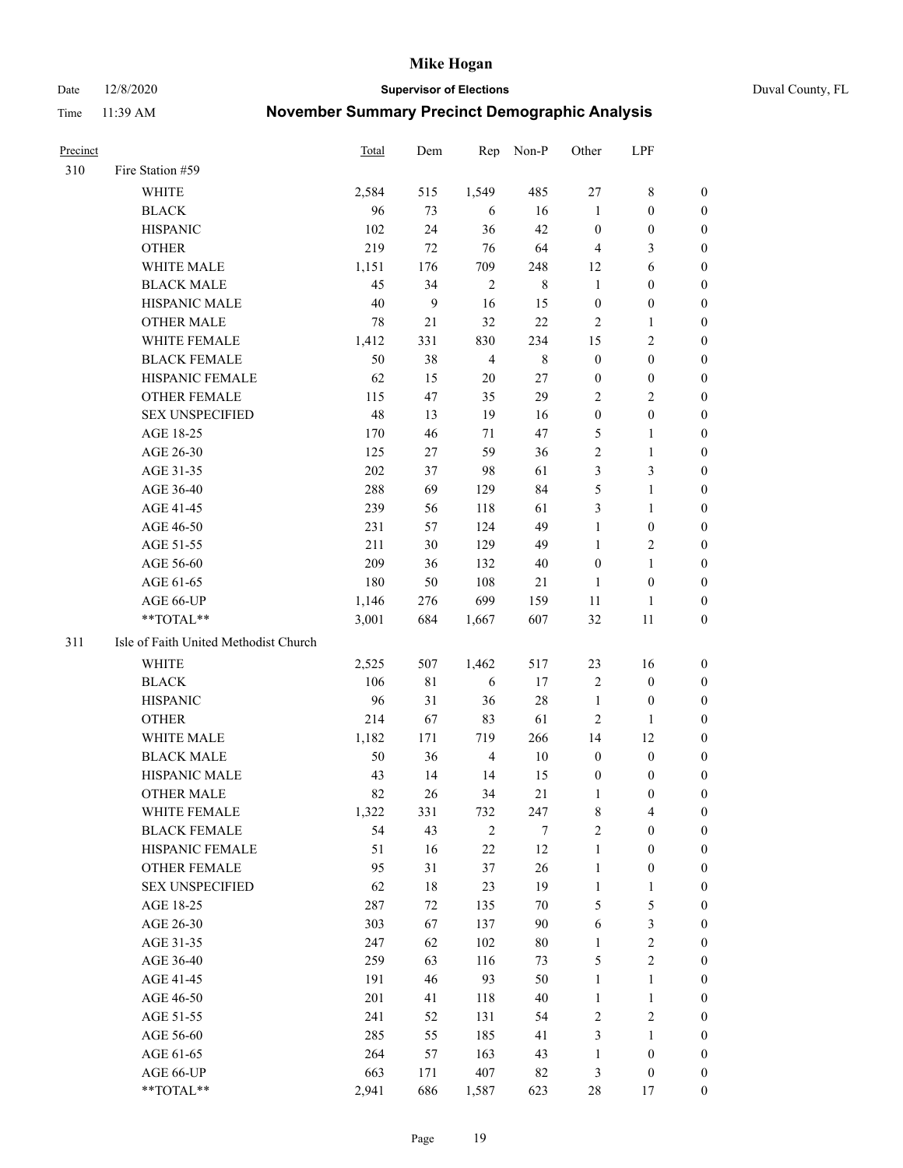Date 12/8/2020 **Supervisor of Elections** Duval County, FL

| <b>Precinct</b> |                                       | Total | Dem          | Rep            | Non-P   | Other            | LPF              |                  |
|-----------------|---------------------------------------|-------|--------------|----------------|---------|------------------|------------------|------------------|
| 310             | Fire Station #59                      |       |              |                |         |                  |                  |                  |
|                 | WHITE                                 | 2,584 | 515          | 1,549          | 485     | 27               | $8\,$            | 0                |
|                 | <b>BLACK</b>                          | 96    | 73           | 6              | 16      | $\mathbf{1}$     | $\boldsymbol{0}$ | 0                |
|                 | <b>HISPANIC</b>                       | 102   | 24           | 36             | 42      | $\boldsymbol{0}$ | $\boldsymbol{0}$ | 0                |
|                 | <b>OTHER</b>                          | 219   | 72           | 76             | 64      | $\overline{4}$   | 3                | $\boldsymbol{0}$ |
|                 | WHITE MALE                            | 1,151 | 176          | 709            | 248     | 12               | 6                | $\boldsymbol{0}$ |
|                 | <b>BLACK MALE</b>                     | 45    | 34           | $\overline{2}$ | $\,8\,$ | $\mathbf{1}$     | $\boldsymbol{0}$ | 0                |
|                 | HISPANIC MALE                         | 40    | $\mathbf{9}$ | 16             | 15      | $\boldsymbol{0}$ | $\boldsymbol{0}$ | 0                |
|                 | <b>OTHER MALE</b>                     | 78    | 21           | 32             | 22      | $\mathbf{2}$     | $\mathbf{1}$     | $\boldsymbol{0}$ |
|                 | WHITE FEMALE                          | 1,412 | 331          | 830            | 234     | 15               | $\mathbf{2}$     | 0                |
|                 | <b>BLACK FEMALE</b>                   | 50    | 38           | $\overline{4}$ | $8\,$   | $\boldsymbol{0}$ | $\boldsymbol{0}$ | 0                |
|                 | HISPANIC FEMALE                       | 62    | 15           | 20             | 27      | $\boldsymbol{0}$ | $\boldsymbol{0}$ | 0                |
|                 | OTHER FEMALE                          | 115   | 47           | 35             | 29      | $\overline{2}$   | $\sqrt{2}$       | 0                |
|                 | <b>SEX UNSPECIFIED</b>                | 48    | 13           | 19             | 16      | $\boldsymbol{0}$ | $\boldsymbol{0}$ | $\boldsymbol{0}$ |
|                 | AGE 18-25                             | 170   | 46           | 71             | 47      | 5                | $\mathbf{1}$     | $\boldsymbol{0}$ |
|                 | AGE 26-30                             | 125   | 27           | 59             | 36      | $\overline{c}$   | $\mathbf{1}$     | $\boldsymbol{0}$ |
|                 | AGE 31-35                             | 202   | 37           | 98             | 61      | 3                | $\mathfrak{Z}$   | $\boldsymbol{0}$ |
|                 | AGE 36-40                             | 288   | 69           | 129            | 84      | 5                | $\mathbf{1}$     | $\boldsymbol{0}$ |
|                 | AGE 41-45                             | 239   | 56           | 118            | 61      | 3                | $\mathbf{1}$     | $\boldsymbol{0}$ |
|                 | AGE 46-50                             | 231   | 57           | 124            | 49      | $\mathbf{1}$     | $\boldsymbol{0}$ | 0                |
|                 | AGE 51-55                             | 211   | 30           | 129            | 49      | $\mathbf{1}$     | $\sqrt{2}$       | 0                |
|                 | AGE 56-60                             | 209   | 36           | 132            | 40      | $\boldsymbol{0}$ | $\mathbf{1}$     | 0                |
|                 | AGE 61-65                             | 180   | 50           | 108            | 21      | $\mathbf{1}$     | $\boldsymbol{0}$ | 0                |
|                 | AGE 66-UP                             | 1,146 | 276          | 699            | 159     | 11               | 1                | 0                |
|                 | $**TOTAL**$                           | 3,001 | 684          | 1,667          | 607     | 32               | 11               | $\boldsymbol{0}$ |
| 311             | Isle of Faith United Methodist Church |       |              |                |         |                  |                  |                  |
|                 | <b>WHITE</b>                          | 2,525 | 507          | 1,462          | 517     | 23               | 16               | $\boldsymbol{0}$ |
|                 | <b>BLACK</b>                          | 106   | 81           | 6              | 17      | $\overline{c}$   | $\boldsymbol{0}$ | $\boldsymbol{0}$ |
|                 | <b>HISPANIC</b>                       | 96    | 31           | 36             | 28      | $\mathbf{1}$     | $\boldsymbol{0}$ | 0                |
|                 | <b>OTHER</b>                          | 214   | 67           | 83             | 61      | $\overline{c}$   | $\mathbf{1}$     | $\boldsymbol{0}$ |
|                 | WHITE MALE                            | 1,182 | 171          | 719            | 266     | 14               | 12               | 0                |
|                 | <b>BLACK MALE</b>                     | 50    | 36           | $\overline{4}$ | $10\,$  | $\boldsymbol{0}$ | $\boldsymbol{0}$ | 0                |
|                 | HISPANIC MALE                         | 43    | 14           | 14             | 15      | $\boldsymbol{0}$ | $\boldsymbol{0}$ | 0                |
|                 | <b>OTHER MALE</b>                     | 82    | 26           | 34             | 21      | 1                | $\boldsymbol{0}$ | 0                |
|                 | WHITE FEMALE                          | 1,322 | 331          | 732            | 247     | 8                | 4                | 0                |
|                 | <b>BLACK FEMALE</b>                   | 54    | 43           | $\mathbf{2}$   | 7       | $\sqrt{2}$       | $\boldsymbol{0}$ | $\overline{0}$   |
|                 | HISPANIC FEMALE                       | 51    | 16           | $22\,$         | 12      | $\mathbf{1}$     | $\boldsymbol{0}$ | $\overline{0}$   |
|                 | OTHER FEMALE                          | 95    | 31           | 37             | 26      | $\mathbf{1}$     | $\boldsymbol{0}$ | $\overline{0}$   |
|                 | <b>SEX UNSPECIFIED</b>                | 62    | 18           | 23             | 19      | $\mathbf{1}$     | $\mathbf{1}$     | 0                |
|                 | AGE 18-25                             | 287   | 72           | 135            | $70\,$  | 5                | $\mathfrak s$    | 0                |
|                 | AGE 26-30                             | 303   | 67           | 137            | 90      | 6                | $\mathfrak{Z}$   | 0                |
|                 | AGE 31-35                             | 247   | 62           | 102            | $80\,$  | $\mathbf{1}$     | $\sqrt{2}$       | 0                |
|                 | AGE 36-40                             | 259   | 63           | 116            | 73      | 5                | $\sqrt{2}$       | 0                |
|                 | AGE 41-45                             | 191   | 46           | 93             | 50      | $\mathbf{1}$     | $\mathbf{1}$     | 0                |
|                 | AGE 46-50                             | 201   | 41           | 118            | 40      | $\mathbf{1}$     | $\mathbf{1}$     | 0                |
|                 | AGE 51-55                             | 241   | 52           | 131            | 54      | $\sqrt{2}$       | $\overline{2}$   | 0                |
|                 | AGE 56-60                             | 285   | 55           | 185            | 41      | 3                | 1                | 0                |
|                 | AGE 61-65                             | 264   | 57           | 163            | 43      | $\mathbf{1}$     | $\boldsymbol{0}$ | $\overline{0}$   |
|                 | AGE 66-UP                             | 663   | 171          | 407            | 82      | 3                | $\boldsymbol{0}$ | 0                |
|                 | **TOTAL**                             | 2,941 | 686          | 1,587          | 623     | 28               | 17               | $\boldsymbol{0}$ |
|                 |                                       |       |              |                |         |                  |                  |                  |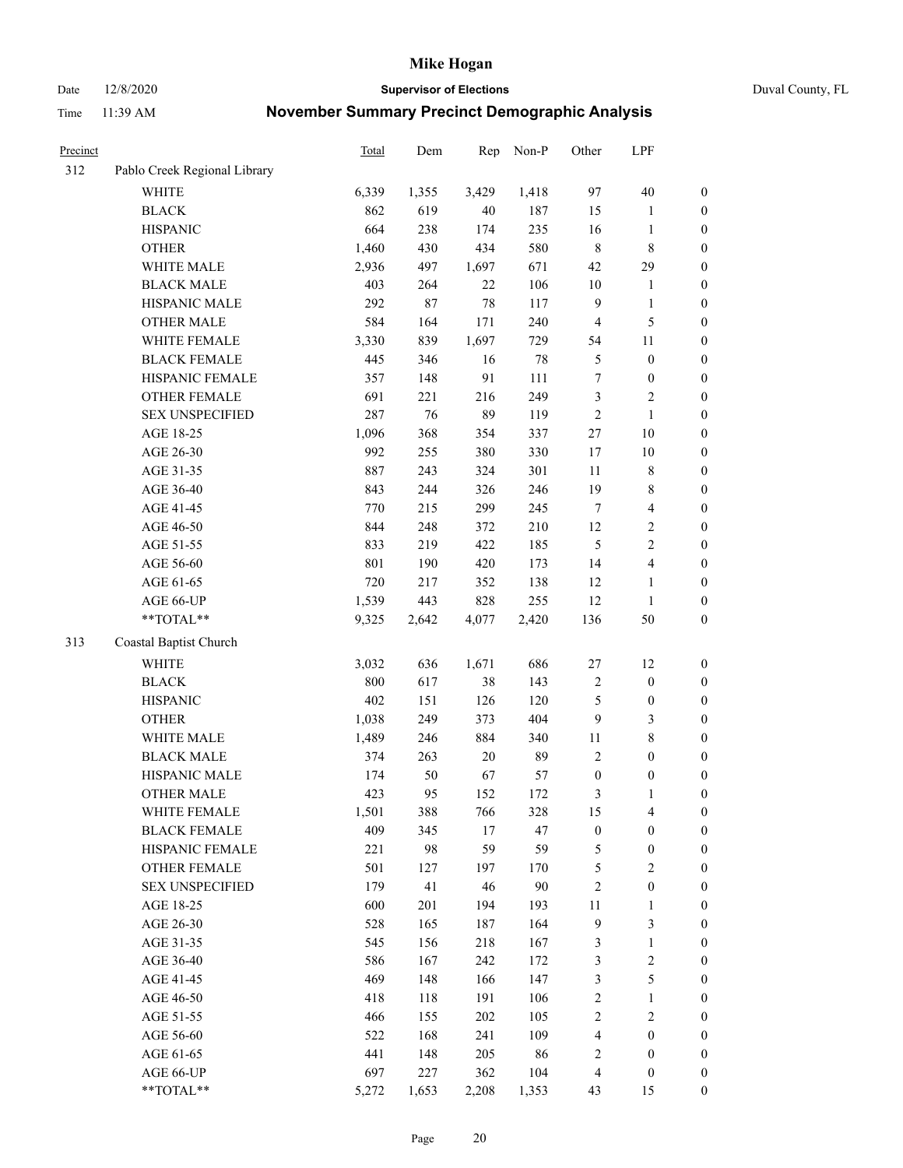Date 12/8/2020 **Supervisor of Elections** Duval County, FL

| Precinct |                              | Total | Dem   | Rep    | Non-P | Other            | LPF              |                  |
|----------|------------------------------|-------|-------|--------|-------|------------------|------------------|------------------|
| 312      | Pablo Creek Regional Library |       |       |        |       |                  |                  |                  |
|          | <b>WHITE</b>                 | 6,339 | 1,355 | 3,429  | 1,418 | 97               | $40\,$           | 0                |
|          | <b>BLACK</b>                 | 862   | 619   | $40\,$ | 187   | 15               | $\mathbf{1}$     | $\boldsymbol{0}$ |
|          | <b>HISPANIC</b>              | 664   | 238   | 174    | 235   | 16               | $\mathbf{1}$     | $\boldsymbol{0}$ |
|          | <b>OTHER</b>                 | 1,460 | 430   | 434    | 580   | $\,$ 8 $\,$      | 8                | $\boldsymbol{0}$ |
|          | WHITE MALE                   | 2,936 | 497   | 1,697  | 671   | 42               | 29               | $\boldsymbol{0}$ |
|          | <b>BLACK MALE</b>            | 403   | 264   | 22     | 106   | 10               | $\mathbf{1}$     | $\boldsymbol{0}$ |
|          | HISPANIC MALE                | 292   | 87    | $78\,$ | 117   | $\mathbf{9}$     | $\mathbf{1}$     | $\boldsymbol{0}$ |
|          | <b>OTHER MALE</b>            | 584   | 164   | 171    | 240   | $\overline{4}$   | $\mathfrak{S}$   | $\boldsymbol{0}$ |
|          | WHITE FEMALE                 | 3,330 | 839   | 1,697  | 729   | 54               | $11\,$           | $\boldsymbol{0}$ |
|          | <b>BLACK FEMALE</b>          | 445   | 346   | 16     | 78    | 5                | $\boldsymbol{0}$ | $\boldsymbol{0}$ |
|          | HISPANIC FEMALE              | 357   | 148   | 91     | 111   | $\boldsymbol{7}$ | $\boldsymbol{0}$ | 0                |
|          | OTHER FEMALE                 | 691   | 221   | 216    | 249   | 3                | $\sqrt{2}$       | $\boldsymbol{0}$ |
|          | <b>SEX UNSPECIFIED</b>       | 287   | 76    | 89     | 119   | $\sqrt{2}$       | $\mathbf{1}$     | $\boldsymbol{0}$ |
|          | AGE 18-25                    | 1,096 | 368   | 354    | 337   | $27\,$           | $10\,$           | $\boldsymbol{0}$ |
|          | AGE 26-30                    | 992   | 255   | 380    | 330   | $17$             | $10\,$           | $\boldsymbol{0}$ |
|          | AGE 31-35                    | 887   | 243   | 324    | 301   | 11               | $\,8\,$          | $\boldsymbol{0}$ |
|          | AGE 36-40                    | 843   | 244   | 326    | 246   | 19               | $8\,$            | $\boldsymbol{0}$ |
|          | AGE 41-45                    | 770   | 215   | 299    | 245   | $\boldsymbol{7}$ | $\overline{4}$   | $\boldsymbol{0}$ |
|          | AGE 46-50                    | 844   | 248   | 372    | 210   | 12               | $\sqrt{2}$       | $\boldsymbol{0}$ |
|          | AGE 51-55                    | 833   | 219   | 422    | 185   | $\mathfrak{S}$   | $\sqrt{2}$       | $\boldsymbol{0}$ |
|          | AGE 56-60                    | 801   | 190   | 420    | 173   | 14               | $\overline{4}$   | 0                |
|          | AGE 61-65                    | 720   | 217   | 352    | 138   | 12               | $\mathbf{1}$     | 0                |
|          | AGE 66-UP                    | 1,539 | 443   | 828    | 255   | 12               | $\mathbf{1}$     | $\boldsymbol{0}$ |
|          | $**TOTAL**$                  | 9,325 | 2,642 | 4,077  | 2,420 | 136              | $50\,$           | $\boldsymbol{0}$ |
| 313      | Coastal Baptist Church       |       |       |        |       |                  |                  |                  |
|          | <b>WHITE</b>                 | 3,032 | 636   | 1,671  | 686   | $27\,$           | 12               | $\boldsymbol{0}$ |
|          | <b>BLACK</b>                 | 800   | 617   | 38     | 143   | 2                | $\boldsymbol{0}$ | $\boldsymbol{0}$ |
|          | <b>HISPANIC</b>              | 402   | 151   | 126    | 120   | 5                | $\boldsymbol{0}$ | $\boldsymbol{0}$ |
|          | <b>OTHER</b>                 | 1,038 | 249   | 373    | 404   | 9                | $\mathfrak{Z}$   | $\boldsymbol{0}$ |
|          | WHITE MALE                   | 1,489 | 246   | 884    | 340   | $11\,$           | $8\,$            | $\boldsymbol{0}$ |
|          | <b>BLACK MALE</b>            | 374   | 263   | $20\,$ | 89    | $\mathbf{2}$     | $\boldsymbol{0}$ | $\boldsymbol{0}$ |
|          | HISPANIC MALE                | 174   | 50    | 67     | 57    | $\boldsymbol{0}$ | $\boldsymbol{0}$ | $\boldsymbol{0}$ |
|          | <b>OTHER MALE</b>            | 423   | 95    | 152    | 172   | 3                | $\mathbf{1}$     | $\boldsymbol{0}$ |
|          | WHITE FEMALE                 | 1,501 | 388   | 766    | 328   | 15               | 4                | 0                |
|          | <b>BLACK FEMALE</b>          | 409   | 345   | 17     | 47    | $\boldsymbol{0}$ | $\boldsymbol{0}$ | $\boldsymbol{0}$ |
|          | HISPANIC FEMALE              | 221   | 98    | 59     | 59    | 5                | $\boldsymbol{0}$ | $\overline{0}$   |
|          | <b>OTHER FEMALE</b>          | 501   | 127   | 197    | 170   | 5                | $\sqrt{2}$       | $\overline{0}$   |
|          | <b>SEX UNSPECIFIED</b>       | 179   | 41    | 46     | 90    | 2                | $\boldsymbol{0}$ | 0                |
|          | AGE 18-25                    | 600   | 201   | 194    | 193   | $11\,$           | $\mathbf{1}$     | 0                |
|          | AGE 26-30                    | 528   | 165   | 187    | 164   | $\overline{9}$   | $\mathfrak{Z}$   | 0                |
|          | AGE 31-35                    | 545   | 156   | 218    | 167   | 3                | $\mathbf{1}$     | 0                |
|          | AGE 36-40                    | 586   | 167   | 242    | 172   | 3                | $\sqrt{2}$       | 0                |
|          | AGE 41-45                    | 469   | 148   | 166    | 147   | 3                | $\mathfrak{S}$   | 0                |
|          | AGE 46-50                    | 418   | 118   | 191    | 106   | 2                | $\mathbf{1}$     | 0                |
|          | AGE 51-55                    | 466   | 155   | 202    | 105   | $\sqrt{2}$       | $\sqrt{2}$       | 0                |
|          | AGE 56-60                    | 522   | 168   | 241    | 109   | 4                | $\boldsymbol{0}$ | $\overline{0}$   |
|          | AGE 61-65                    | 441   | 148   | 205    | 86    | 2                | $\boldsymbol{0}$ | $\overline{0}$   |
|          | AGE 66-UP                    | 697   | 227   | 362    | 104   | $\overline{4}$   | $\boldsymbol{0}$ | 0                |
|          | **TOTAL**                    | 5,272 | 1,653 | 2,208  | 1,353 | 43               | 15               | $\boldsymbol{0}$ |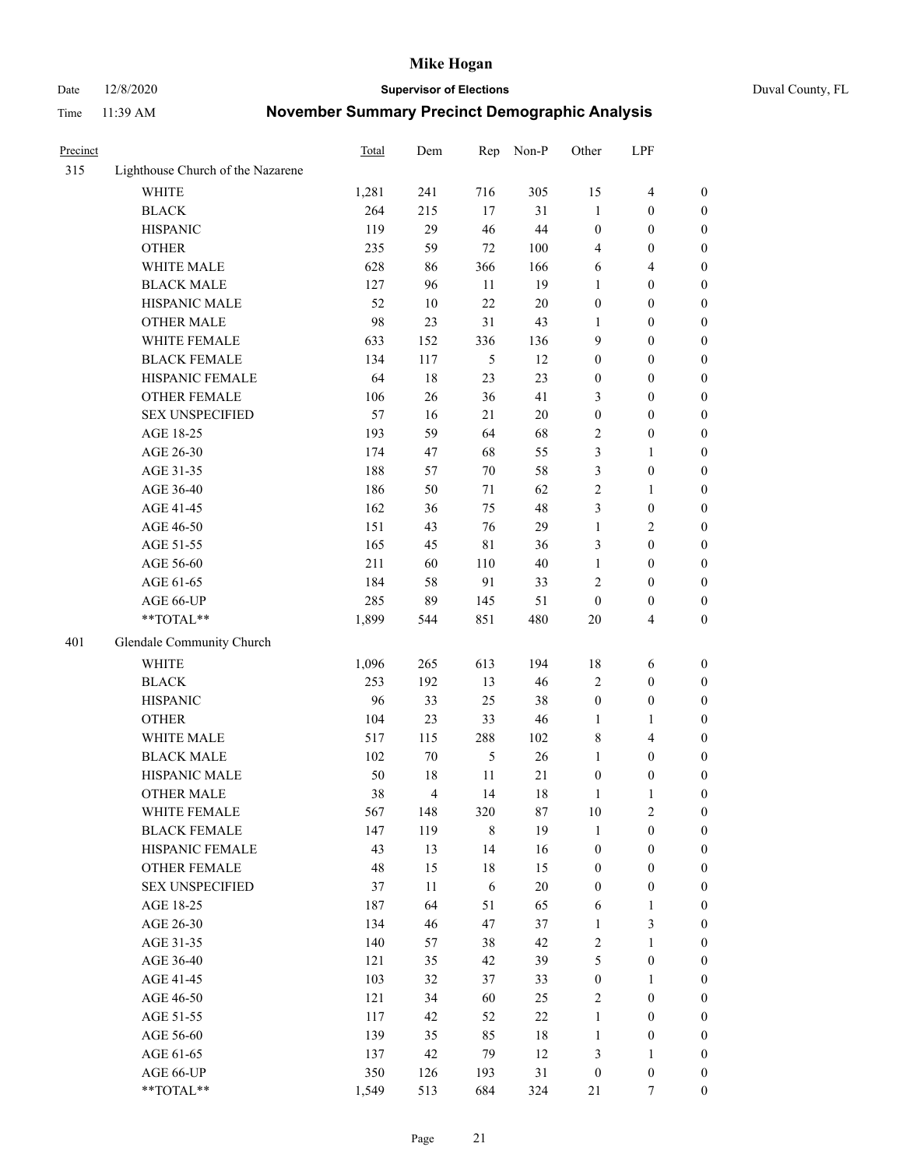Date 12/8/2020 **Supervisor of Elections** Duval County, FL

| Precinct |                                   | Total | Dem            | Rep           | Non-P  | Other            | LPF                     |                  |
|----------|-----------------------------------|-------|----------------|---------------|--------|------------------|-------------------------|------------------|
| 315      | Lighthouse Church of the Nazarene |       |                |               |        |                  |                         |                  |
|          | <b>WHITE</b>                      | 1,281 | 241            | 716           | 305    | 15               | $\overline{\mathbf{4}}$ | 0                |
|          | <b>BLACK</b>                      | 264   | 215            | 17            | 31     | $\mathbf{1}$     | $\boldsymbol{0}$        | 0                |
|          | <b>HISPANIC</b>                   | 119   | 29             | 46            | 44     | $\boldsymbol{0}$ | $\boldsymbol{0}$        | $\boldsymbol{0}$ |
|          | <b>OTHER</b>                      | 235   | 59             | 72            | 100    | 4                | $\boldsymbol{0}$        | $\boldsymbol{0}$ |
|          | WHITE MALE                        | 628   | 86             | 366           | 166    | 6                | $\overline{4}$          | $\boldsymbol{0}$ |
|          | <b>BLACK MALE</b>                 | 127   | 96             | 11            | 19     | $\mathbf{1}$     | $\boldsymbol{0}$        | $\boldsymbol{0}$ |
|          | HISPANIC MALE                     | 52    | 10             | 22            | $20\,$ | $\boldsymbol{0}$ | $\boldsymbol{0}$        | $\boldsymbol{0}$ |
|          | <b>OTHER MALE</b>                 | 98    | 23             | 31            | 43     | $\mathbf{1}$     | $\boldsymbol{0}$        | $\boldsymbol{0}$ |
|          | WHITE FEMALE                      | 633   | 152            | 336           | 136    | 9                | $\boldsymbol{0}$        | $\boldsymbol{0}$ |
|          | <b>BLACK FEMALE</b>               | 134   | 117            | 5             | 12     | $\boldsymbol{0}$ | $\boldsymbol{0}$        | 0                |
|          | HISPANIC FEMALE                   | 64    | 18             | 23            | 23     | 0                | $\boldsymbol{0}$        | 0                |
|          | <b>OTHER FEMALE</b>               | 106   | 26             | 36            | 41     | 3                | $\boldsymbol{0}$        | $\boldsymbol{0}$ |
|          | <b>SEX UNSPECIFIED</b>            | 57    | 16             | 21            | $20\,$ | $\boldsymbol{0}$ | $\boldsymbol{0}$        | $\boldsymbol{0}$ |
|          | AGE 18-25                         | 193   | 59             | 64            | 68     | $\sqrt{2}$       | $\boldsymbol{0}$        | $\boldsymbol{0}$ |
|          | AGE 26-30                         | 174   | 47             | 68            | 55     | 3                | $\mathbf{1}$            | $\boldsymbol{0}$ |
|          | AGE 31-35                         | 188   | 57             | 70            | 58     | 3                | $\boldsymbol{0}$        | $\boldsymbol{0}$ |
|          | AGE 36-40                         | 186   | 50             | 71            | 62     | $\overline{c}$   | $\mathbf{1}$            | $\boldsymbol{0}$ |
|          | AGE 41-45                         | 162   | 36             | 75            | 48     | 3                | $\boldsymbol{0}$        | $\boldsymbol{0}$ |
|          | AGE 46-50                         | 151   | 43             | 76            | 29     | $\mathbf{1}$     | $\overline{2}$          | $\boldsymbol{0}$ |
|          | AGE 51-55                         | 165   | 45             | 81            | 36     | 3                | $\boldsymbol{0}$        | $\boldsymbol{0}$ |
|          | AGE 56-60                         | 211   | 60             | 110           | 40     | $\mathbf{1}$     | $\boldsymbol{0}$        | 0                |
|          | AGE 61-65                         | 184   | 58             | 91            | 33     | $\mathbf{2}$     | $\boldsymbol{0}$        | 0                |
|          | AGE 66-UP                         | 285   | 89             | 145           | 51     | $\boldsymbol{0}$ | $\boldsymbol{0}$        | $\boldsymbol{0}$ |
|          | **TOTAL**                         | 1,899 | 544            | 851           | 480    | $20\,$           | $\overline{\mathbf{4}}$ | $\boldsymbol{0}$ |
| 401      | Glendale Community Church         |       |                |               |        |                  |                         |                  |
|          | <b>WHITE</b>                      | 1,096 | 265            | 613           | 194    | 18               | 6                       | $\boldsymbol{0}$ |
|          | <b>BLACK</b>                      | 253   | 192            | 13            | 46     | 2                | $\boldsymbol{0}$        | $\boldsymbol{0}$ |
|          | <b>HISPANIC</b>                   | 96    | 33             | 25            | 38     | $\boldsymbol{0}$ | $\boldsymbol{0}$        | $\boldsymbol{0}$ |
|          | <b>OTHER</b>                      | 104   | 23             | 33            | 46     | $\mathbf{1}$     | $\mathbf{1}$            | $\boldsymbol{0}$ |
|          | WHITE MALE                        | 517   | 115            | 288           | 102    | 8                | $\overline{4}$          | $\boldsymbol{0}$ |
|          | <b>BLACK MALE</b>                 | 102   | 70             | $\mathfrak s$ | 26     | $\mathbf{1}$     | $\boldsymbol{0}$        | $\boldsymbol{0}$ |
|          | HISPANIC MALE                     | 50    | $18\,$         | 11            | 21     | $\boldsymbol{0}$ | $\boldsymbol{0}$        | 0                |
|          | <b>OTHER MALE</b>                 | 38    | $\overline{4}$ | 14            | 18     | $\mathbf{1}$     | 1                       | $\boldsymbol{0}$ |
|          | WHITE FEMALE                      | 567   | 148            | 320           | 87     | 10               | 2                       | 0                |
|          | <b>BLACK FEMALE</b>               | 147   | 119            | $\,$ 8 $\,$   | 19     | $\mathbf{1}$     | $\boldsymbol{0}$        | $\boldsymbol{0}$ |
|          | HISPANIC FEMALE                   | 43    | 13             | 14            | 16     | $\boldsymbol{0}$ | $\boldsymbol{0}$        | $\overline{0}$   |
|          | OTHER FEMALE                      | 48    | 15             | 18            | 15     | $\boldsymbol{0}$ | $\boldsymbol{0}$        | $\overline{0}$   |
|          | <b>SEX UNSPECIFIED</b>            | 37    | 11             | 6             | $20\,$ | $\boldsymbol{0}$ | $\boldsymbol{0}$        | 0                |
|          | AGE 18-25                         | 187   | 64             | 51            | 65     | 6                | $\mathbf{1}$            | $\theta$         |
|          | AGE 26-30                         | 134   | 46             | 47            | 37     | $\mathbf{1}$     | $\mathfrak{Z}$          | 0                |
|          | AGE 31-35                         | 140   | 57             | 38            | 42     | 2                | $\mathbf{1}$            | 0                |
|          | AGE 36-40                         | 121   | 35             | 42            | 39     | 5                | $\boldsymbol{0}$        | 0                |
|          | AGE 41-45                         | 103   | 32             | 37            | 33     | $\boldsymbol{0}$ | $\mathbf{1}$            | 0                |
|          | AGE 46-50                         | 121   | 34             | 60            | 25     | 2                | $\boldsymbol{0}$        | 0                |
|          | AGE 51-55                         | 117   | 42             | 52            | 22     | $\mathbf{1}$     | $\boldsymbol{0}$        | 0                |
|          | AGE 56-60                         | 139   | 35             | 85            | $18\,$ | $\mathbf{1}$     | $\boldsymbol{0}$        | $\overline{0}$   |
|          | AGE 61-65                         | 137   | 42             | 79            | 12     | 3                | $\mathbf{1}$            | $\overline{0}$   |
|          | AGE 66-UP                         | 350   | 126            | 193           | 31     | $\boldsymbol{0}$ | $\boldsymbol{0}$        | $\boldsymbol{0}$ |
|          | **TOTAL**                         | 1,549 | 513            | 684           | 324    | 21               | 7                       | $\boldsymbol{0}$ |
|          |                                   |       |                |               |        |                  |                         |                  |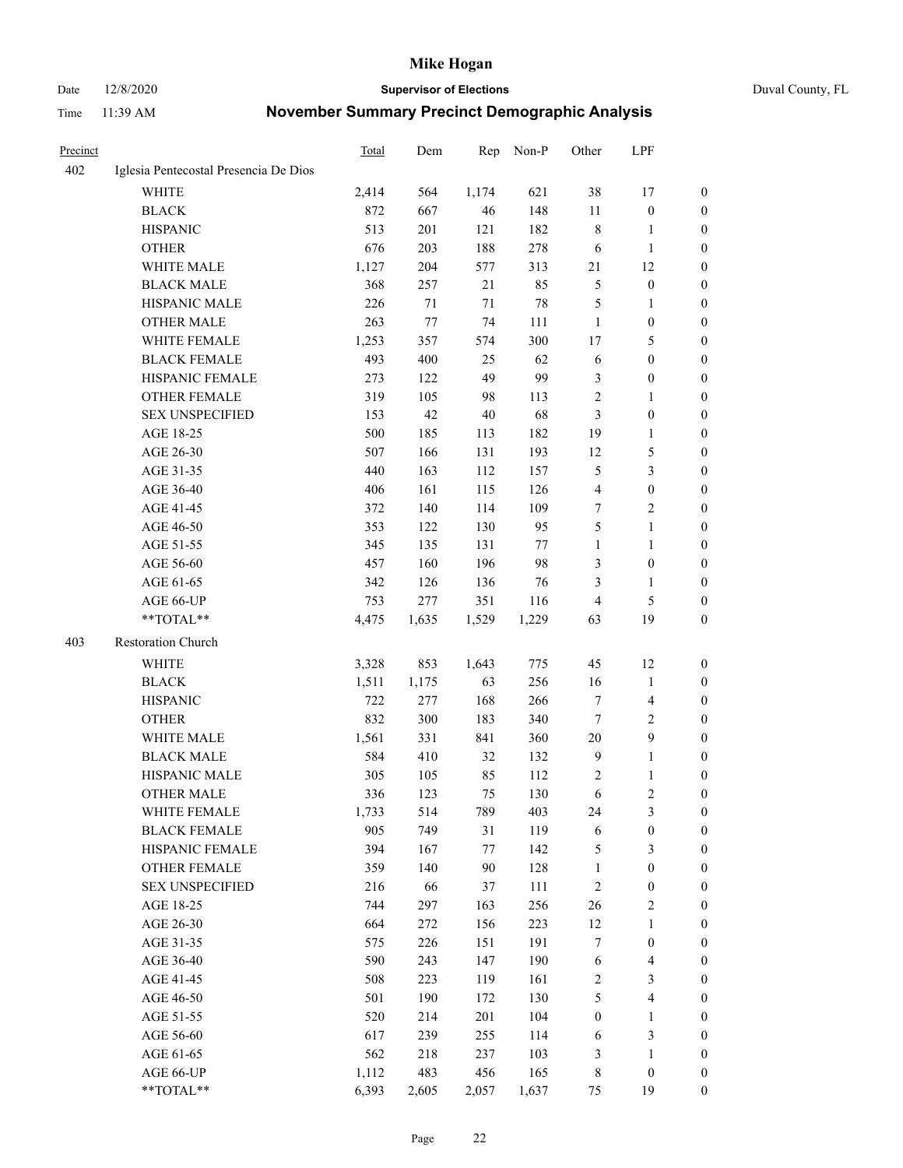Date 12/8/2020 **Supervisor of Elections** Duval County, FL

| Precinct |                                       | Total | Dem   | Rep     | Non-P | Other            | LPF                     |                  |
|----------|---------------------------------------|-------|-------|---------|-------|------------------|-------------------------|------------------|
| 402      | Iglesia Pentecostal Presencia De Dios |       |       |         |       |                  |                         |                  |
|          | <b>WHITE</b>                          | 2,414 | 564   | 1,174   | 621   | 38               | 17                      | 0                |
|          | <b>BLACK</b>                          | 872   | 667   | 46      | 148   | 11               | $\boldsymbol{0}$        | $\boldsymbol{0}$ |
|          | <b>HISPANIC</b>                       | 513   | 201   | 121     | 182   | 8                | 1                       | 0                |
|          | <b>OTHER</b>                          | 676   | 203   | 188     | 278   | 6                | $\mathbf{1}$            | $\boldsymbol{0}$ |
|          | WHITE MALE                            | 1,127 | 204   | 577     | 313   | 21               | 12                      | $\boldsymbol{0}$ |
|          | <b>BLACK MALE</b>                     | 368   | 257   | 21      | 85    | 5                | $\boldsymbol{0}$        | $\boldsymbol{0}$ |
|          | HISPANIC MALE                         | 226   | 71    | $71\,$  | 78    | 5                | $\mathbf{1}$            | $\boldsymbol{0}$ |
|          | <b>OTHER MALE</b>                     | 263   | 77    | 74      | 111   | $\mathbf{1}$     | $\boldsymbol{0}$        | 0                |
|          | <b>WHITE FEMALE</b>                   | 1,253 | 357   | 574     | 300   | 17               | $\mathfrak{S}$          | 0                |
|          | <b>BLACK FEMALE</b>                   | 493   | 400   | 25      | 62    | 6                | $\boldsymbol{0}$        | 0                |
|          | HISPANIC FEMALE                       | 273   | 122   | 49      | 99    | 3                | $\boldsymbol{0}$        | 0                |
|          | OTHER FEMALE                          | 319   | 105   | 98      | 113   | 2                | $\mathbf{1}$            | $\boldsymbol{0}$ |
|          | <b>SEX UNSPECIFIED</b>                | 153   | 42    | $40\,$  | 68    | 3                | $\boldsymbol{0}$        | $\boldsymbol{0}$ |
|          | AGE 18-25                             | 500   | 185   | 113     | 182   | 19               | $\mathbf{1}$            | $\boldsymbol{0}$ |
|          | AGE 26-30                             | 507   | 166   | 131     | 193   | 12               | $\mathfrak{S}$          | $\boldsymbol{0}$ |
|          | AGE 31-35                             | 440   | 163   | 112     | 157   | 5                | $\mathfrak{Z}$          | $\boldsymbol{0}$ |
|          | AGE 36-40                             | 406   | 161   | 115     | 126   | 4                | $\boldsymbol{0}$        | $\overline{0}$   |
|          | AGE 41-45                             | 372   | 140   | 114     | 109   | 7                | $\mathfrak{2}$          | 0                |
|          | AGE 46-50                             | 353   | 122   | 130     | 95    | 5                | $\mathbf{1}$            | 0                |
|          | AGE 51-55                             | 345   | 135   | 131     | 77    | $\mathbf{1}$     | $\mathbf{1}$            | 0                |
|          | AGE 56-60                             | 457   | 160   | 196     | 98    | 3                | $\boldsymbol{0}$        | 0                |
|          | AGE 61-65                             | 342   | 126   | 136     | 76    | 3                | $\mathbf{1}$            | 0                |
|          | AGE 66-UP                             | 753   | 277   | 351     | 116   | 4                | $\mathfrak{S}$          | $\boldsymbol{0}$ |
|          | **TOTAL**                             | 4,475 | 1,635 | 1,529   | 1,229 | 63               | 19                      | $\boldsymbol{0}$ |
| 403      | Restoration Church                    |       |       |         |       |                  |                         |                  |
|          | WHITE                                 | 3,328 | 853   | 1,643   | 775   | 45               | 12                      | $\boldsymbol{0}$ |
|          | <b>BLACK</b>                          | 1,511 | 1,175 | 63      | 256   | 16               | $\mathbf{1}$            | $\boldsymbol{0}$ |
|          | <b>HISPANIC</b>                       | 722   | 277   | 168     | 266   | 7                | $\overline{\mathbf{4}}$ | $\boldsymbol{0}$ |
|          | <b>OTHER</b>                          | 832   | 300   | 183     | 340   | 7                | $\sqrt{2}$              | $\overline{0}$   |
|          | WHITE MALE                            | 1,561 | 331   | 841     | 360   | $20\,$           | $\boldsymbol{9}$        | $\overline{0}$   |
|          | <b>BLACK MALE</b>                     | 584   | 410   | 32      | 132   | $\overline{9}$   | $\mathbf{1}$            | 0                |
|          | HISPANIC MALE                         | 305   | 105   | 85      | 112   | 2                | $\mathbf{1}$            | 0                |
|          | <b>OTHER MALE</b>                     | 336   | 123   | 75      | 130   | 6                | $\sqrt{2}$              | $\boldsymbol{0}$ |
|          | WHITE FEMALE                          | 1,733 | 514   | 789     | 403   | 24               | 3                       | $\boldsymbol{0}$ |
|          | <b>BLACK FEMALE</b>                   | 905   | 749   | 31      | 119   | 6                | $\boldsymbol{0}$        | $\boldsymbol{0}$ |
|          | HISPANIC FEMALE                       | 394   | 167   | $77 \,$ | 142   | 5                | $\mathfrak{Z}$          | $\overline{0}$   |
|          | <b>OTHER FEMALE</b>                   | 359   | 140   | 90      | 128   | $\mathbf{1}$     | $\boldsymbol{0}$        | 0                |
|          | <b>SEX UNSPECIFIED</b>                | 216   | 66    | 37      | 111   | $\sqrt{2}$       | $\boldsymbol{0}$        | 0                |
|          | AGE 18-25                             | 744   | 297   | 163     | 256   | $26\,$           | $\sqrt{2}$              | 0                |
|          | AGE 26-30                             | 664   | 272   | 156     | 223   | 12               | $\mathbf{1}$            | 0                |
|          | AGE 31-35                             | 575   | 226   | 151     | 191   | 7                | $\boldsymbol{0}$        | 0                |
|          | AGE 36-40                             | 590   | 243   | 147     | 190   | 6                | $\overline{4}$          | 0                |
|          | AGE 41-45                             | 508   | 223   | 119     | 161   | $\sqrt{2}$       | $\mathfrak{Z}$          | 0                |
|          | AGE 46-50                             | 501   | 190   | 172     | 130   | 5                | $\overline{\mathbf{4}}$ | 0                |
|          | AGE 51-55                             | 520   | 214   | 201     | 104   | $\boldsymbol{0}$ | $\mathbf{1}$            | $\boldsymbol{0}$ |
|          | AGE 56-60                             | 617   | 239   | 255     | 114   | 6                | $\mathfrak{Z}$          | $\boldsymbol{0}$ |
|          | AGE 61-65                             | 562   | 218   | 237     | 103   | 3                | $\mathbf{1}$            | 0                |
|          | AGE 66-UP                             | 1,112 | 483   | 456     | 165   | $\,$ 8 $\,$      | $\boldsymbol{0}$        | 0                |
|          | **TOTAL**                             | 6,393 | 2,605 | 2,057   | 1,637 | 75               | 19                      | $\boldsymbol{0}$ |
|          |                                       |       |       |         |       |                  |                         |                  |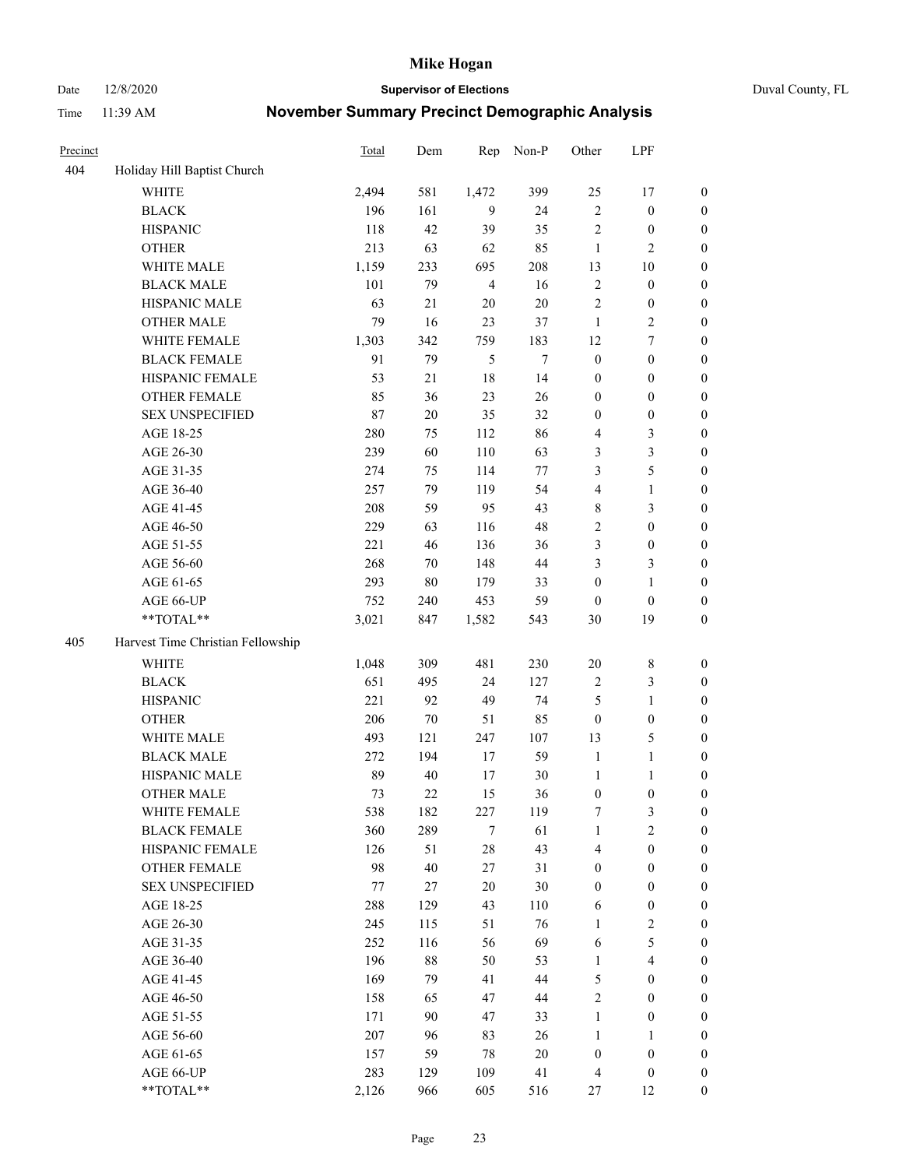Date 12/8/2020 **Supervisor of Elections** Duval County, FL

| Precinct |                                   | <b>Total</b> | Dem    | Rep            | Non-P  | Other            | LPF                     |                  |
|----------|-----------------------------------|--------------|--------|----------------|--------|------------------|-------------------------|------------------|
| 404      | Holiday Hill Baptist Church       |              |        |                |        |                  |                         |                  |
|          | <b>WHITE</b>                      | 2,494        | 581    | 1,472          | 399    | 25               | 17                      | 0                |
|          | <b>BLACK</b>                      | 196          | 161    | 9              | 24     | $\sqrt{2}$       | $\boldsymbol{0}$        | $\boldsymbol{0}$ |
|          | <b>HISPANIC</b>                   | 118          | 42     | 39             | 35     | $\sqrt{2}$       | $\boldsymbol{0}$        | $\boldsymbol{0}$ |
|          | <b>OTHER</b>                      | 213          | 63     | 62             | 85     | $\mathbf{1}$     | $\mathbf{2}$            | $\boldsymbol{0}$ |
|          | WHITE MALE                        | 1,159        | 233    | 695            | 208    | 13               | 10                      | $\boldsymbol{0}$ |
|          | <b>BLACK MALE</b>                 | 101          | 79     | $\overline{4}$ | 16     | $\sqrt{2}$       | $\boldsymbol{0}$        | $\boldsymbol{0}$ |
|          | HISPANIC MALE                     | 63           | 21     | 20             | $20\,$ | $\mathfrak{2}$   | $\boldsymbol{0}$        | $\boldsymbol{0}$ |
|          | <b>OTHER MALE</b>                 | 79           | 16     | 23             | 37     | $\mathbf{1}$     | $\overline{2}$          | $\boldsymbol{0}$ |
|          | WHITE FEMALE                      | 1,303        | 342    | 759            | 183    | 12               | $\boldsymbol{7}$        | $\boldsymbol{0}$ |
|          | <b>BLACK FEMALE</b>               | 91           | 79     | 5              | $\tau$ | $\boldsymbol{0}$ | $\boldsymbol{0}$        | $\boldsymbol{0}$ |
|          | HISPANIC FEMALE                   | 53           | 21     | 18             | 14     | $\boldsymbol{0}$ | $\boldsymbol{0}$        | 0                |
|          | <b>OTHER FEMALE</b>               | 85           | 36     | 23             | 26     | $\boldsymbol{0}$ | $\boldsymbol{0}$        | $\boldsymbol{0}$ |
|          | <b>SEX UNSPECIFIED</b>            | 87           | $20\,$ | 35             | 32     | $\boldsymbol{0}$ | $\boldsymbol{0}$        | $\boldsymbol{0}$ |
|          | AGE 18-25                         | 280          | 75     | 112            | 86     | 4                | $\mathfrak{Z}$          | $\boldsymbol{0}$ |
|          | AGE 26-30                         | 239          | 60     | 110            | 63     | 3                | $\mathfrak{Z}$          | $\boldsymbol{0}$ |
|          | AGE 31-35                         | 274          | 75     | 114            | 77     | 3                | $\mathfrak s$           | $\boldsymbol{0}$ |
|          | AGE 36-40                         | 257          | 79     | 119            | 54     | 4                | $\mathbf{1}$            | $\boldsymbol{0}$ |
|          | AGE 41-45                         | 208          | 59     | 95             | 43     | 8                | $\mathfrak{Z}$          | $\boldsymbol{0}$ |
|          | AGE 46-50                         | 229          | 63     | 116            | 48     | $\overline{c}$   | $\boldsymbol{0}$        | $\boldsymbol{0}$ |
|          | AGE 51-55                         | 221          | 46     | 136            | 36     | 3                | $\boldsymbol{0}$        | $\boldsymbol{0}$ |
|          | AGE 56-60                         | 268          | 70     | 148            | 44     | 3                | $\mathfrak{Z}$          | 0                |
|          | AGE 61-65                         | 293          | 80     | 179            | 33     | $\boldsymbol{0}$ | $\mathbf{1}$            | 0                |
|          | AGE 66-UP                         | 752          | 240    | 453            | 59     | $\boldsymbol{0}$ | $\boldsymbol{0}$        | $\boldsymbol{0}$ |
|          | $**TOTAL**$                       | 3,021        | 847    | 1,582          | 543    | 30               | 19                      | $\boldsymbol{0}$ |
| 405      | Harvest Time Christian Fellowship |              |        |                |        |                  |                         |                  |
|          | <b>WHITE</b>                      | 1,048        | 309    | 481            | 230    | $20\,$           | $\,$ 8 $\,$             | $\boldsymbol{0}$ |
|          | <b>BLACK</b>                      | 651          | 495    | 24             | 127    | $\boldsymbol{2}$ | $\mathfrak{Z}$          | $\boldsymbol{0}$ |
|          | <b>HISPANIC</b>                   | 221          | 92     | 49             | 74     | 5                | $\mathbf{1}$            | $\boldsymbol{0}$ |
|          | <b>OTHER</b>                      | 206          | $70\,$ | 51             | 85     | $\boldsymbol{0}$ | $\boldsymbol{0}$        | $\boldsymbol{0}$ |
|          | WHITE MALE                        | 493          | 121    | 247            | 107    | 13               | $\mathfrak{S}$          | $\boldsymbol{0}$ |
|          | <b>BLACK MALE</b>                 | 272          | 194    | 17             | 59     | $\mathbf{1}$     | $\mathbf{1}$            | $\boldsymbol{0}$ |
|          | HISPANIC MALE                     | 89           | 40     | 17             | 30     | $\mathbf{1}$     | 1                       | 0                |
|          | <b>OTHER MALE</b>                 | 73           | 22     | 15             | 36     | $\boldsymbol{0}$ | $\boldsymbol{0}$        | $\boldsymbol{0}$ |
|          | WHITE FEMALE                      | 538          | 182    | 227            | 119    | 7                | 3                       | 0                |
|          | <b>BLACK FEMALE</b>               | 360          | 289    | 7              | 61     | $\mathbf{1}$     | $\sqrt{2}$              | $\overline{0}$   |
|          | HISPANIC FEMALE                   | 126          | 51     | $28\,$         | 43     | 4                | $\boldsymbol{0}$        | $\overline{0}$   |
|          | OTHER FEMALE                      | 98           | 40     | $27\,$         | 31     | $\boldsymbol{0}$ | $\boldsymbol{0}$        | $\overline{0}$   |
|          | <b>SEX UNSPECIFIED</b>            | 77           | 27     | $20\,$         | 30     | $\boldsymbol{0}$ | $\boldsymbol{0}$        | 0                |
|          | AGE 18-25                         | 288          | 129    | 43             | 110    | 6                | $\boldsymbol{0}$        | 0                |
|          | AGE 26-30                         | 245          | 115    | 51             | 76     | $\mathbf{1}$     | $\sqrt{2}$              | 0                |
|          | AGE 31-35                         | 252          | 116    | 56             | 69     | 6                | $\mathfrak s$           | 0                |
|          | AGE 36-40                         | 196          | 88     | 50             | 53     | $\mathbf{1}$     | $\overline{\mathbf{4}}$ | 0                |
|          | AGE 41-45                         | 169          | 79     | 41             | 44     | 5                | $\boldsymbol{0}$        | 0                |
|          | AGE 46-50                         | 158          | 65     | 47             | 44     | $\sqrt{2}$       | $\boldsymbol{0}$        | 0                |
|          | AGE 51-55                         | 171          | 90     | 47             | 33     | $\mathbf{1}$     | $\boldsymbol{0}$        | 0                |
|          | AGE 56-60                         | 207          | 96     | 83             | 26     | $\mathbf{1}$     | $\mathbf{1}$            | 0                |
|          | AGE 61-65                         | 157          | 59     | 78             | $20\,$ | $\boldsymbol{0}$ | $\boldsymbol{0}$        | $\overline{0}$   |
|          | AGE 66-UP                         | 283          | 129    | 109            | 41     | $\overline{4}$   | $\boldsymbol{0}$        | 0                |
|          | **TOTAL**                         | 2,126        | 966    | 605            | 516    | 27               | 12                      | $\boldsymbol{0}$ |
|          |                                   |              |        |                |        |                  |                         |                  |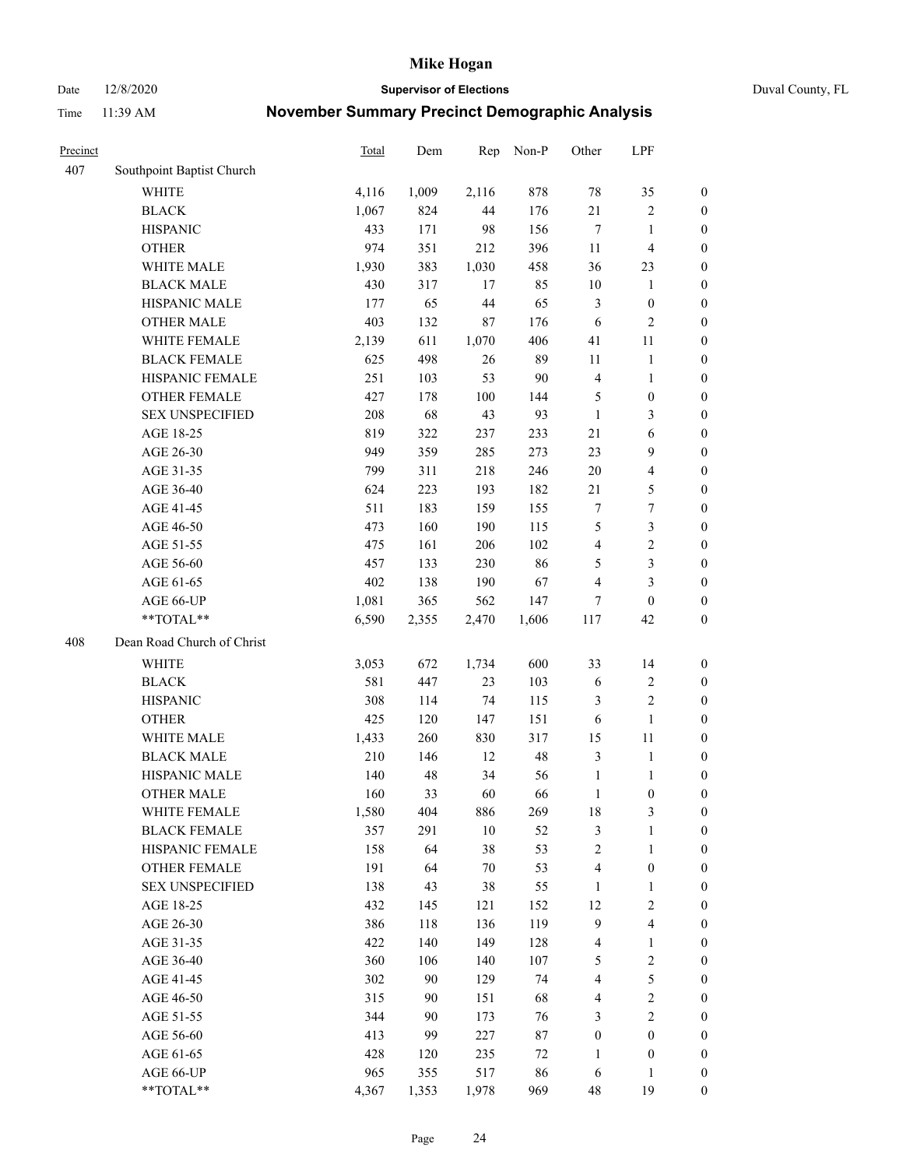Date 12/8/2020 **Supervisor of Elections** Duval County, FL

| Precinct |                                        | Total        | Dem       | Rep         | Non-P      | Other            | LPF                        |                                      |
|----------|----------------------------------------|--------------|-----------|-------------|------------|------------------|----------------------------|--------------------------------------|
| 407      | Southpoint Baptist Church              |              |           |             |            |                  |                            |                                      |
|          | <b>WHITE</b>                           | 4,116        | 1,009     | 2,116       | 878        | 78               | 35                         | 0                                    |
|          | <b>BLACK</b>                           | 1,067        | 824       | 44          | 176        | 21               | $\sqrt{2}$                 | 0                                    |
|          | <b>HISPANIC</b>                        | 433          | 171       | 98          | 156        | $\tau$           | $\mathbf{1}$               | $\boldsymbol{0}$                     |
|          | <b>OTHER</b>                           | 974          | 351       | 212         | 396        | 11               | $\overline{\mathbf{4}}$    | $\boldsymbol{0}$                     |
|          | WHITE MALE                             | 1,930        | 383       | 1,030       | 458        | 36               | 23                         | $\boldsymbol{0}$                     |
|          | <b>BLACK MALE</b>                      | 430          | 317       | 17          | 85         | 10               | $\mathbf{1}$               | $\boldsymbol{0}$                     |
|          | HISPANIC MALE                          | 177          | 65        | 44          | 65         | 3                | $\boldsymbol{0}$           | $\boldsymbol{0}$                     |
|          | <b>OTHER MALE</b>                      | 403          | 132       | $87\,$      | 176        | 6                | $\mathbf{2}$               | $\boldsymbol{0}$                     |
|          | WHITE FEMALE                           | 2,139        | 611       | 1,070       | 406        | 41               | 11                         | $\boldsymbol{0}$                     |
|          | <b>BLACK FEMALE</b>                    | 625          | 498       | 26          | 89         | 11               | $\mathbf{1}$               | 0                                    |
|          | HISPANIC FEMALE                        | 251          | 103       | 53          | 90         | $\overline{4}$   | $\mathbf{1}$               | 0                                    |
|          | OTHER FEMALE                           | 427          | 178       | 100         | 144        | 5                | $\boldsymbol{0}$           | $\boldsymbol{0}$                     |
|          | <b>SEX UNSPECIFIED</b>                 | 208          | 68        | 43          | 93         | $\mathbf{1}$     | 3                          | $\boldsymbol{0}$                     |
|          | AGE 18-25                              | 819          | 322       | 237         | 233        | 21               | 6                          | $\boldsymbol{0}$                     |
|          | AGE 26-30                              | 949          | 359       | 285         | 273        | 23               | 9                          | $\boldsymbol{0}$                     |
|          | AGE 31-35                              | 799          | 311       | 218         | 246        | $20\,$           | $\overline{\mathbf{4}}$    | $\boldsymbol{0}$                     |
|          | AGE 36-40                              | 624          | 223       | 193         | 182        | 21               | $\mathfrak{S}$             | $\boldsymbol{0}$                     |
|          | AGE 41-45                              | 511          | 183       | 159         | 155        | $\boldsymbol{7}$ | $\boldsymbol{7}$           | $\boldsymbol{0}$                     |
|          | AGE 46-50                              | 473          | 160       | 190         | 115        | 5                | $\mathfrak{Z}$             | $\boldsymbol{0}$                     |
|          | AGE 51-55                              | 475          | 161       | 206         | 102        | $\overline{4}$   | $\boldsymbol{2}$           | $\boldsymbol{0}$                     |
|          | AGE 56-60                              | 457          | 133       | 230         | 86         | 5                | $\mathfrak{Z}$             | 0                                    |
|          | AGE 61-65                              | 402          | 138       | 190         | 67         | 4                | $\mathfrak{Z}$             | $\boldsymbol{0}$                     |
|          | AGE 66-UP                              | 1,081        | 365       | 562         | 147        | 7                | $\boldsymbol{0}$           | $\boldsymbol{0}$                     |
|          | **TOTAL**                              | 6,590        | 2,355     | 2,470       | 1,606      | 117              | 42                         | $\boldsymbol{0}$                     |
| 408      | Dean Road Church of Christ             |              |           |             |            |                  |                            |                                      |
|          | <b>WHITE</b>                           |              | 672       |             | 600        | 33               |                            |                                      |
|          | <b>BLACK</b>                           | 3,053<br>581 | 447       | 1,734<br>23 | 103        | 6                | 14                         | $\boldsymbol{0}$                     |
|          | <b>HISPANIC</b>                        | 308          |           | 74          |            |                  | $\sqrt{2}$<br>$\mathbf{2}$ | $\boldsymbol{0}$<br>$\boldsymbol{0}$ |
|          |                                        | 425          | 114       |             | 115<br>151 | 3<br>6           |                            |                                      |
|          | <b>OTHER</b>                           |              | 120       | 147         |            |                  | $\mathbf{1}$               | $\boldsymbol{0}$                     |
|          | WHITE MALE<br><b>BLACK MALE</b>        | 1,433        | 260       | 830         | 317        | 15               | 11                         | $\boldsymbol{0}$                     |
|          |                                        | 210          | 146       | 12          | 48         | $\mathfrak{Z}$   | $\mathbf{1}$               | $\boldsymbol{0}$                     |
|          | HISPANIC MALE                          | 140<br>160   | 48        | 34<br>60    | 56<br>66   | $\mathbf{1}$     | 1<br>$\boldsymbol{0}$      | 0                                    |
|          | <b>OTHER MALE</b>                      |              | 33        |             |            | $\mathbf{1}$     |                            | $\boldsymbol{0}$                     |
|          | WHITE FEMALE                           | 1,580        | 404       | 886         | 269        | 18               | 3                          | 0                                    |
|          | <b>BLACK FEMALE</b><br>HISPANIC FEMALE | 357<br>158   | 291<br>64 | 10<br>38    | 52<br>53   | 3<br>$\sqrt{2}$  | $\mathbf{1}$               | $\boldsymbol{0}$<br>$\overline{0}$   |
|          |                                        |              |           |             |            |                  | $\mathbf{1}$               |                                      |
|          | OTHER FEMALE                           | 191          | 64        | $70\,$      | 53         | 4                | $\boldsymbol{0}$           | $\overline{0}$                       |
|          | <b>SEX UNSPECIFIED</b>                 | 138          | 43        | 38          | 55         | $\mathbf{1}$     | $\mathbf{1}$<br>$\sqrt{2}$ | 0                                    |
|          | AGE 18-25                              | 432          | 145       | 121         | 152        | 12               |                            | 0                                    |
|          | AGE 26-30                              | 386          | 118       | 136         | 119        | 9                | $\overline{\mathbf{4}}$    | 0                                    |
|          | AGE 31-35                              | 422          | 140       | 149         | 128        | 4                | $\mathbf{1}$               | 0                                    |
|          | AGE 36-40                              | 360          | 106       | 140         | 107        | 5                | $\sqrt{2}$                 | 0                                    |
|          | AGE 41-45                              | 302          | 90        | 129         | 74         | $\overline{4}$   | 5                          | 0                                    |
|          | AGE 46-50                              | 315          | 90        | 151         | 68         | 4                | $\sqrt{2}$                 | 0                                    |
|          | AGE 51-55                              | 344          | 90        | 173         | 76         | 3                | $\overline{2}$             | $\overline{0}$                       |
|          | AGE 56-60                              | 413          | 99        | 227         | 87         | $\boldsymbol{0}$ | $\boldsymbol{0}$           | $\overline{0}$                       |
|          | AGE 61-65                              | 428          | 120       | 235         | 72         | 1                | $\boldsymbol{0}$           | $\boldsymbol{0}$                     |
|          | AGE 66-UP                              | 965          | 355       | 517         | 86         | 6                | $\mathbf{1}$               | 0                                    |
|          | **TOTAL**                              | 4,367        | 1,353     | 1,978       | 969        | 48               | 19                         | $\boldsymbol{0}$                     |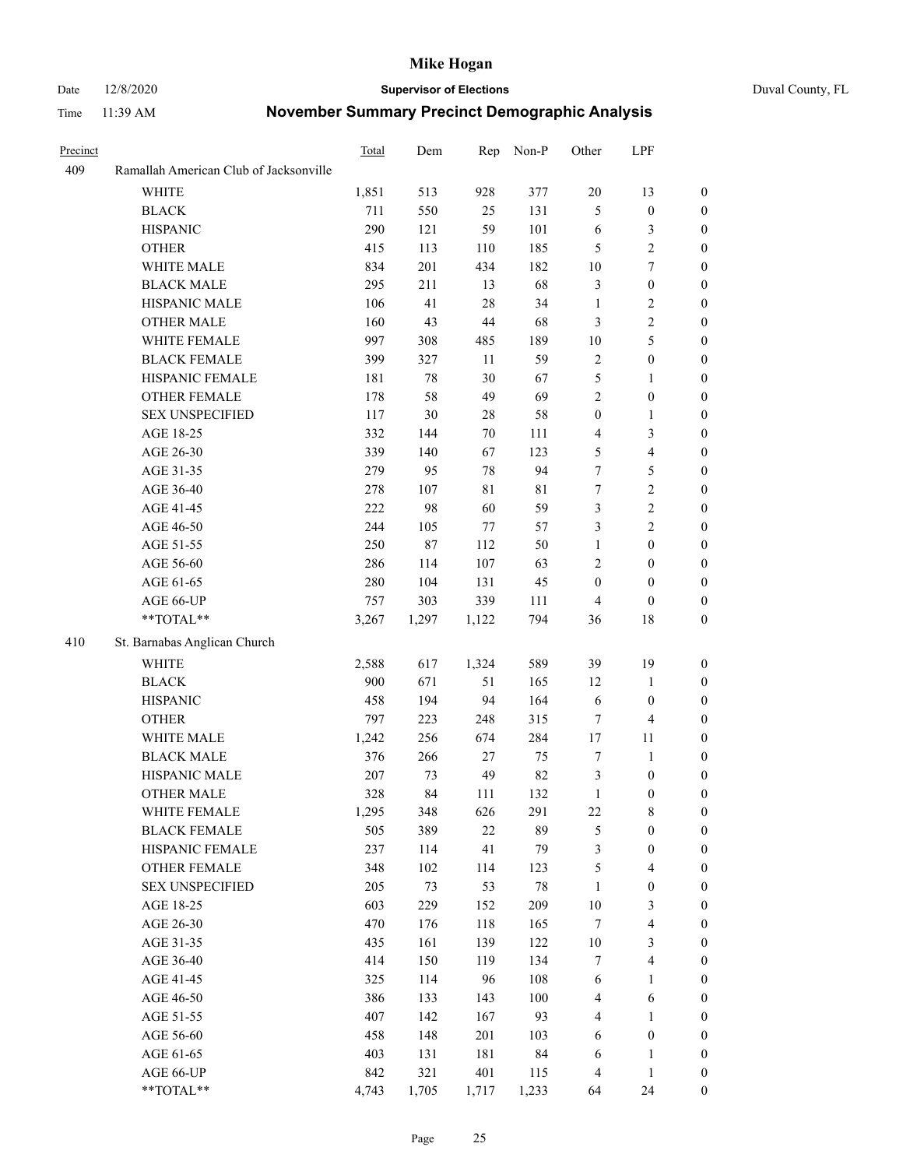#### Date 12/8/2020 **Supervisor of Elections** Duval County, FL

| Precinct |                                        | Total | Dem    |             | Rep Non-P | Other            | LPF                     |                  |
|----------|----------------------------------------|-------|--------|-------------|-----------|------------------|-------------------------|------------------|
| 409      | Ramallah American Club of Jacksonville |       |        |             |           |                  |                         |                  |
|          | <b>WHITE</b>                           | 1,851 | 513    | 928         | 377       | $20\,$           | 13                      | 0                |
|          | <b>BLACK</b>                           | 711   | 550    | 25          | 131       | 5                | $\boldsymbol{0}$        | $\boldsymbol{0}$ |
|          | <b>HISPANIC</b>                        | 290   | 121    | 59          | 101       | 6                | $\mathfrak{Z}$          | $\boldsymbol{0}$ |
|          | <b>OTHER</b>                           | 415   | 113    | 110         | 185       | 5                | $\sqrt{2}$              | $\boldsymbol{0}$ |
|          | WHITE MALE                             | 834   | 201    | 434         | 182       | 10               | $\tau$                  | $\boldsymbol{0}$ |
|          | <b>BLACK MALE</b>                      | 295   | 211    | 13          | 68        | 3                | $\boldsymbol{0}$        | $\boldsymbol{0}$ |
|          | HISPANIC MALE                          | 106   | 41     | 28          | 34        | $\mathbf{1}$     | $\sqrt{2}$              | $\boldsymbol{0}$ |
|          | <b>OTHER MALE</b>                      | 160   | 43     | 44          | 68        | 3                | $\sqrt{2}$              | $\boldsymbol{0}$ |
|          | WHITE FEMALE                           | 997   | 308    | 485         | 189       | $10\,$           | 5                       | $\boldsymbol{0}$ |
|          | <b>BLACK FEMALE</b>                    | 399   | 327    | 11          | 59        | $\sqrt{2}$       | $\boldsymbol{0}$        | 0                |
|          | HISPANIC FEMALE                        | 181   | $78\,$ | 30          | 67        | 5                | $\mathbf{1}$            | $\boldsymbol{0}$ |
|          | OTHER FEMALE                           | 178   | 58     | 49          | 69        | $\mathbf{2}$     | $\boldsymbol{0}$        | $\boldsymbol{0}$ |
|          | <b>SEX UNSPECIFIED</b>                 | 117   | 30     | 28          | 58        | $\boldsymbol{0}$ | $\mathbf{1}$            | $\boldsymbol{0}$ |
|          | AGE 18-25                              | 332   | 144    | 70          | 111       | 4                | $\mathfrak{Z}$          | $\boldsymbol{0}$ |
|          | AGE 26-30                              | 339   | 140    | 67          | 123       | 5                | $\overline{\mathbf{4}}$ | $\boldsymbol{0}$ |
|          | AGE 31-35                              | 279   | 95     | 78          | 94        | $\tau$           | $\mathfrak s$           | $\boldsymbol{0}$ |
|          | AGE 36-40                              | 278   | 107    | $8\sqrt{1}$ | 81        | $\tau$           | $\sqrt{2}$              | $\overline{0}$   |
|          | AGE 41-45                              | 222   | 98     | 60          | 59        | 3                | $\sqrt{2}$              | $\overline{0}$   |
|          | AGE 46-50                              | 244   | 105    | 77          | 57        | 3                | $\overline{2}$          | $\boldsymbol{0}$ |
|          | AGE 51-55                              | 250   | 87     | 112         | 50        | $\mathbf{1}$     | $\boldsymbol{0}$        | 0                |
|          | AGE 56-60                              | 286   | 114    | 107         | 63        | 2                | $\boldsymbol{0}$        | 0                |
|          | AGE 61-65                              | 280   | 104    | 131         | 45        | $\boldsymbol{0}$ | $\boldsymbol{0}$        | $\boldsymbol{0}$ |
|          | AGE 66-UP                              | 757   | 303    | 339         | 111       | 4                | $\boldsymbol{0}$        | $\boldsymbol{0}$ |
|          | **TOTAL**                              | 3,267 | 1,297  | 1,122       | 794       | 36               | 18                      | $\boldsymbol{0}$ |
| 410      | St. Barnabas Anglican Church           |       |        |             |           |                  |                         |                  |
|          | <b>WHITE</b>                           | 2,588 | 617    | 1,324       | 589       | 39               | 19                      | $\boldsymbol{0}$ |
|          | <b>BLACK</b>                           | 900   | 671    | 51          | 165       | 12               | $\mathbf{1}$            | $\boldsymbol{0}$ |
|          | <b>HISPANIC</b>                        | 458   | 194    | 94          | 164       | 6                | $\boldsymbol{0}$        | $\boldsymbol{0}$ |
|          | <b>OTHER</b>                           | 797   | 223    | 248         | 315       | 7                | $\overline{4}$          | $\overline{0}$   |
|          | WHITE MALE                             | 1,242 | 256    | 674         | 284       | $17\,$           | 11                      | $\boldsymbol{0}$ |
|          | <b>BLACK MALE</b>                      | 376   | 266    | 27          | 75        | 7                | $\mathbf{1}$            | 0                |
|          | HISPANIC MALE                          | 207   | 73     | 49          | 82        | 3                | $\boldsymbol{0}$        | 0                |
|          | <b>OTHER MALE</b>                      | 328   | 84     | 111         | 132       | $\mathbf{1}$     | $\boldsymbol{0}$        | $\boldsymbol{0}$ |
|          | WHITE FEMALE                           | 1,295 | 348    | 626         | 291       | 22               | 8                       | $\boldsymbol{0}$ |
|          | <b>BLACK FEMALE</b>                    | 505   | 389    | 22          | 89        | 5                | $\boldsymbol{0}$        | $\boldsymbol{0}$ |
|          | HISPANIC FEMALE                        | 237   | 114    | 41          | 79        | 3                | $\boldsymbol{0}$        | $\overline{0}$   |
|          | <b>OTHER FEMALE</b>                    | 348   | 102    | 114         | 123       | 5                | $\overline{\mathbf{4}}$ | $\overline{0}$   |
|          | <b>SEX UNSPECIFIED</b>                 | 205   | 73     | 53          | $78\,$    | $\mathbf{1}$     | $\boldsymbol{0}$        | 0                |
|          | AGE 18-25                              | 603   | 229    | 152         | 209       | $10\,$           | $\mathfrak{Z}$          | $\overline{0}$   |
|          | AGE 26-30                              | 470   | 176    | 118         | 165       | 7                | $\overline{\mathbf{4}}$ | 0                |
|          | AGE 31-35                              | 435   | 161    | 139         | 122       | $10\,$           | $\mathfrak{Z}$          | 0                |
|          | AGE 36-40                              | 414   | 150    | 119         | 134       | $\tau$           | $\overline{\mathbf{4}}$ | 0                |
|          | AGE 41-45                              | 325   | 114    | 96          | 108       | 6                | $\mathbf{1}$            | 0                |
|          | AGE 46-50                              | 386   | 133    | 143         | 100       | 4                | 6                       | 0                |
|          | AGE 51-55                              | 407   | 142    | 167         | 93        | 4                | $\mathbf{1}$            | $\boldsymbol{0}$ |
|          | AGE 56-60                              | 458   | 148    | 201         | 103       | 6                | $\boldsymbol{0}$        | $\boldsymbol{0}$ |
|          | AGE 61-65                              | 403   | 131    | 181         | 84        | 6                | $\mathbf{1}$            | $\boldsymbol{0}$ |
|          | AGE 66-UP                              | 842   | 321    | 401         | 115       | 4                | $\mathbf{1}$            | 0                |
|          | **TOTAL**                              | 4,743 | 1,705  | 1,717       | 1,233     | 64               | 24                      | $\boldsymbol{0}$ |
|          |                                        |       |        |             |           |                  |                         |                  |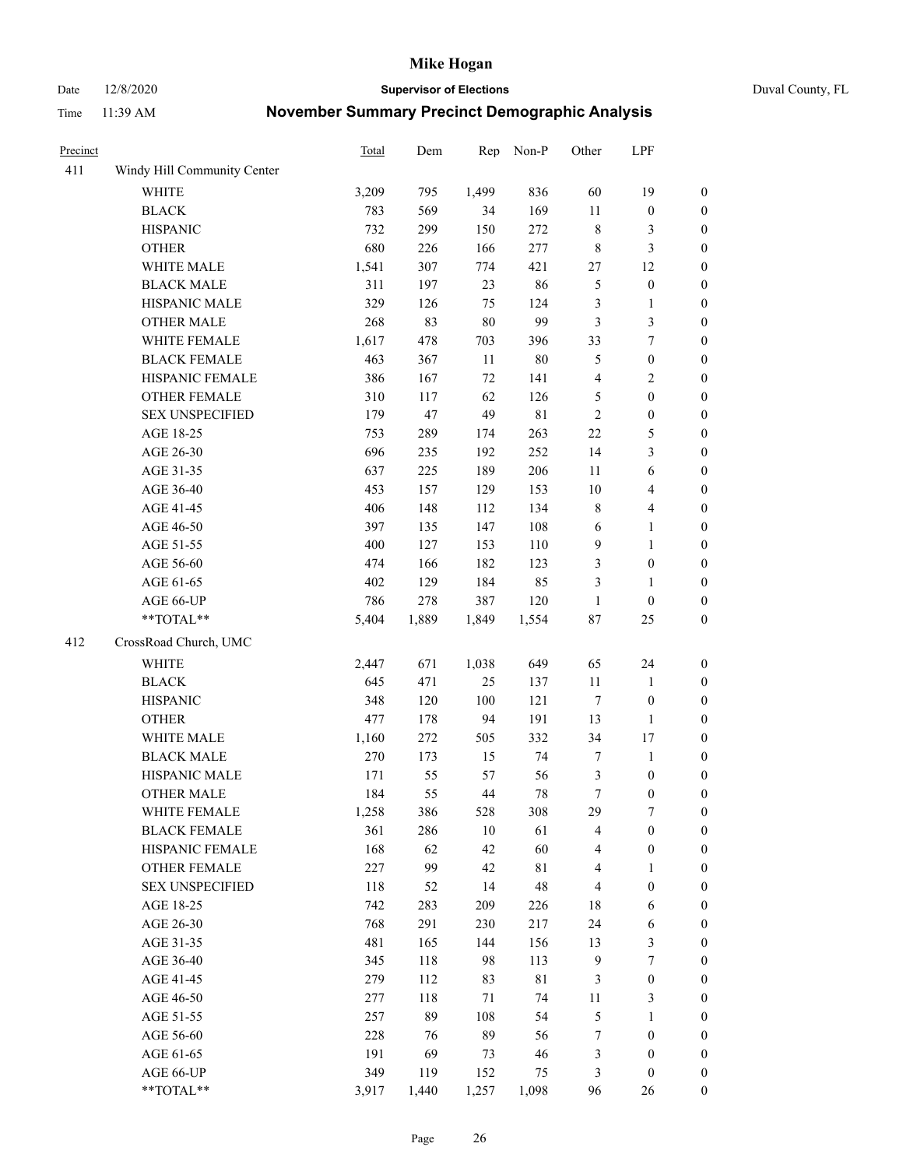Date 12/8/2020 **Supervisor of Elections** Duval County, FL

| Precinct |                             | <b>Total</b> | Dem   | Rep    | Non-P       | Other                   | LPF                     |                  |
|----------|-----------------------------|--------------|-------|--------|-------------|-------------------------|-------------------------|------------------|
| 411      | Windy Hill Community Center |              |       |        |             |                         |                         |                  |
|          | <b>WHITE</b>                | 3,209        | 795   | 1,499  | 836         | 60                      | 19                      | 0                |
|          | <b>BLACK</b>                | 783          | 569   | 34     | 169         | $11\,$                  | $\boldsymbol{0}$        | $\boldsymbol{0}$ |
|          | <b>HISPANIC</b>             | 732          | 299   | 150    | 272         | 8                       | 3                       | $\boldsymbol{0}$ |
|          | <b>OTHER</b>                | 680          | 226   | 166    | 277         | 8                       | $\mathfrak{Z}$          | $\boldsymbol{0}$ |
|          | WHITE MALE                  | 1,541        | 307   | 774    | 421         | 27                      | 12                      | $\boldsymbol{0}$ |
|          | <b>BLACK MALE</b>           | 311          | 197   | 23     | 86          | 5                       | $\boldsymbol{0}$        | $\boldsymbol{0}$ |
|          | HISPANIC MALE               | 329          | 126   | 75     | 124         | 3                       | $\mathbf{1}$            | $\boldsymbol{0}$ |
|          | <b>OTHER MALE</b>           | 268          | 83    | $80\,$ | 99          | 3                       | $\mathfrak{Z}$          | $\boldsymbol{0}$ |
|          | WHITE FEMALE                | 1,617        | 478   | 703    | 396         | 33                      | $\boldsymbol{7}$        | $\boldsymbol{0}$ |
|          | <b>BLACK FEMALE</b>         | 463          | 367   | 11     | $80\,$      | 5                       | $\boldsymbol{0}$        | $\boldsymbol{0}$ |
|          | HISPANIC FEMALE             | 386          | 167   | 72     | 141         | $\overline{\mathbf{4}}$ | $\sqrt{2}$              | $\boldsymbol{0}$ |
|          | <b>OTHER FEMALE</b>         | 310          | 117   | 62     | 126         | 5                       | $\boldsymbol{0}$        | $\boldsymbol{0}$ |
|          | <b>SEX UNSPECIFIED</b>      | 179          | 47    | 49     | $8\sqrt{1}$ | $\mathfrak{2}$          | $\boldsymbol{0}$        | $\boldsymbol{0}$ |
|          | AGE 18-25                   | 753          | 289   | 174    | 263         | $22\,$                  | $\mathfrak{S}$          | $\boldsymbol{0}$ |
|          | AGE 26-30                   | 696          | 235   | 192    | 252         | 14                      | $\mathfrak{Z}$          | $\boldsymbol{0}$ |
|          | AGE 31-35                   | 637          | 225   | 189    | 206         | 11                      | 6                       | $\boldsymbol{0}$ |
|          | AGE 36-40                   | 453          | 157   | 129    | 153         | $10\,$                  | $\overline{\mathbf{4}}$ | $\boldsymbol{0}$ |
|          | AGE 41-45                   | 406          | 148   | 112    | 134         | 8                       | $\overline{4}$          | $\boldsymbol{0}$ |
|          | AGE 46-50                   | 397          | 135   | 147    | 108         | $\sqrt{6}$              | $\mathbf{1}$            | $\boldsymbol{0}$ |
|          | AGE 51-55                   | 400          | 127   | 153    | 110         | $\mathbf{9}$            | $\mathbf{1}$            | $\boldsymbol{0}$ |
|          | AGE 56-60                   | 474          | 166   | 182    | 123         | 3                       | $\boldsymbol{0}$        | 0                |
|          | AGE 61-65                   | 402          | 129   | 184    | 85          | 3                       | $\mathbf{1}$            | $\boldsymbol{0}$ |
|          | AGE 66-UP                   | 786          | 278   | 387    | 120         | $\mathbf{1}$            | $\boldsymbol{0}$        | $\boldsymbol{0}$ |
|          | **TOTAL**                   | 5,404        | 1,889 | 1,849  | 1,554       | $87\,$                  | 25                      | $\boldsymbol{0}$ |
| 412      |                             |              |       |        |             |                         |                         |                  |
|          | CrossRoad Church, UMC       |              |       |        |             |                         |                         |                  |
|          | WHITE                       | 2,447        | 671   | 1,038  | 649         | 65                      | 24                      | $\boldsymbol{0}$ |
|          | <b>BLACK</b>                | 645          | 471   | 25     | 137         | $11\,$                  | $\mathbf{1}$            | $\boldsymbol{0}$ |
|          | <b>HISPANIC</b>             | 348          | 120   | 100    | 121         | 7                       | $\boldsymbol{0}$        | $\boldsymbol{0}$ |
|          | <b>OTHER</b>                | 477          | 178   | 94     | 191         | 13                      | $\mathbf{1}$            | $\boldsymbol{0}$ |
|          | WHITE MALE                  | 1,160        | 272   | 505    | 332         | 34                      | 17                      | $\boldsymbol{0}$ |
|          | <b>BLACK MALE</b>           | 270          | 173   | 15     | 74          | $\tau$                  | $\mathbf{1}$            | $\boldsymbol{0}$ |
|          | HISPANIC MALE               | 171          | 55    | 57     | 56          | 3                       | $\boldsymbol{0}$        | 0                |
|          | <b>OTHER MALE</b>           | 184          | 55    | 44     | 78          | $\boldsymbol{7}$        | $\boldsymbol{0}$        | $\boldsymbol{0}$ |
|          | WHITE FEMALE                | 1,258        | 386   | 528    | 308         | 29                      | 7                       | 0                |
|          | <b>BLACK FEMALE</b>         | 361          | 286   | $10\,$ | 61          | 4                       | $\boldsymbol{0}$        | $\boldsymbol{0}$ |
|          | HISPANIC FEMALE             | 168          | 62    | 42     | 60          | 4                       | $\boldsymbol{0}$        | $\overline{0}$   |
|          | <b>OTHER FEMALE</b>         | 227          | 99    | 42     | $8\sqrt{1}$ | 4                       | $\mathbf{1}$            | $\overline{0}$   |
|          | <b>SEX UNSPECIFIED</b>      | 118          | 52    | 14     | 48          | 4                       | $\boldsymbol{0}$        | 0                |
|          | AGE 18-25                   | 742          | 283   | 209    | 226         | 18                      | 6                       | 0                |
|          | AGE 26-30                   | 768          | 291   | 230    | 217         | 24                      | 6                       | 0                |
|          | AGE 31-35                   | 481          | 165   | 144    | 156         | 13                      | $\mathfrak{Z}$          | 0                |
|          | AGE 36-40                   | 345          | 118   | 98     | 113         | $\overline{9}$          | $\boldsymbol{7}$        | 0                |
|          | AGE 41-45                   | 279          | 112   | 83     | $8\sqrt{1}$ | 3                       | $\boldsymbol{0}$        | 0                |
|          | AGE 46-50                   | 277          | 118   | $71\,$ | 74          | 11                      | 3                       | 0                |
|          | AGE 51-55                   | 257          | 89    | 108    | 54          | 5                       | $\mathbf{1}$            | 0                |
|          | AGE 56-60                   | 228          | 76    | 89     | 56          | 7                       | $\boldsymbol{0}$        | $\overline{0}$   |
|          | AGE 61-65                   | 191          | 69    | 73     | 46          | 3                       | $\boldsymbol{0}$        | $\overline{0}$   |
|          | AGE 66-UP                   | 349          | 119   | 152    | 75          | 3                       | $\boldsymbol{0}$        | 0                |
|          | **TOTAL**                   | 3,917        | 1,440 | 1,257  | 1,098       | 96                      | 26                      | $\boldsymbol{0}$ |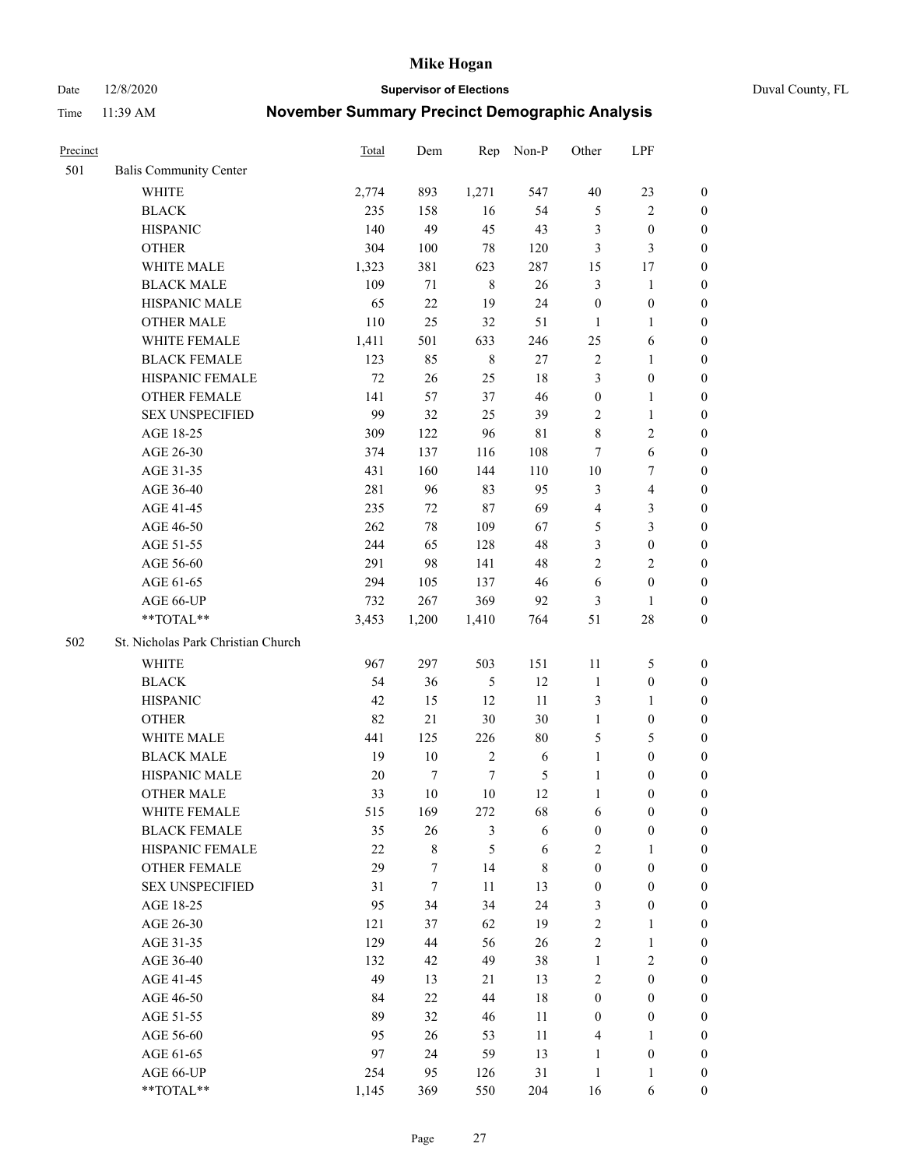Date 12/8/2020 **Supervisor of Elections** Duval County, FL

| Precinct |                                     | Total    | Dem              | Rep              | Non-P            | Other                            | LPF                                  |                                    |
|----------|-------------------------------------|----------|------------------|------------------|------------------|----------------------------------|--------------------------------------|------------------------------------|
| 501      | <b>Balis Community Center</b>       |          |                  |                  |                  |                                  |                                      |                                    |
|          | <b>WHITE</b>                        | 2,774    | 893              | 1,271            | 547              | $40\,$                           | 23                                   | 0                                  |
|          | <b>BLACK</b>                        | 235      | 158              | 16               | 54               | $\mathfrak{S}$                   | $\sqrt{2}$                           | 0                                  |
|          | <b>HISPANIC</b>                     | 140      | 49               | 45               | 43               | 3                                | $\boldsymbol{0}$                     | $\boldsymbol{0}$                   |
|          | <b>OTHER</b>                        | 304      | 100              | $78\,$           | 120              | 3                                | $\mathfrak{Z}$                       | $\boldsymbol{0}$                   |
|          | WHITE MALE                          | 1,323    | 381              | 623              | 287              | 15                               | 17                                   | $\boldsymbol{0}$                   |
|          | <b>BLACK MALE</b>                   | 109      | 71               | $\,8\,$          | 26               | 3                                | $\mathbf{1}$                         | $\boldsymbol{0}$                   |
|          | HISPANIC MALE                       | 65       | 22               | 19               | 24               | $\boldsymbol{0}$                 | $\boldsymbol{0}$                     | $\boldsymbol{0}$                   |
|          | OTHER MALE                          | 110      | 25               | 32               | 51               | $\mathbf{1}$                     | $\mathbf{1}$                         | $\boldsymbol{0}$                   |
|          | WHITE FEMALE                        | 1,411    | 501              | 633              | 246              | 25                               | 6                                    | $\boldsymbol{0}$                   |
|          | <b>BLACK FEMALE</b>                 | 123      | 85               | $\,$ 8 $\,$      | 27               | $\overline{c}$                   | $\mathbf{1}$                         | 0                                  |
|          | HISPANIC FEMALE                     | $72\,$   | 26               | 25               | 18               | 3                                | $\boldsymbol{0}$                     | 0                                  |
|          | <b>OTHER FEMALE</b>                 | 141      | 57               | 37               | 46               | $\boldsymbol{0}$                 | $\mathbf{1}$                         | 0                                  |
|          | <b>SEX UNSPECIFIED</b>              | 99       | 32               | 25               | 39               | $\mathbf{2}$                     | $\mathbf{1}$                         | $\boldsymbol{0}$                   |
|          | AGE 18-25                           | 309      | 122              | 96               | 81               | 8                                | $\sqrt{2}$                           | $\boldsymbol{0}$                   |
|          | AGE 26-30                           | 374      | 137              | 116              | 108              | 7                                | 6                                    | $\boldsymbol{0}$                   |
|          | AGE 31-35                           | 431      | 160              | 144              | 110              | 10                               | $\boldsymbol{7}$                     | $\boldsymbol{0}$                   |
|          | AGE 36-40                           | 281      | 96               | 83               | 95               | 3                                | $\overline{\mathbf{4}}$              | $\boldsymbol{0}$                   |
|          | AGE 41-45                           | 235      | 72               | $87\,$           | 69               | $\overline{4}$                   | $\mathfrak{Z}$                       | $\boldsymbol{0}$                   |
|          | AGE 46-50                           | 262      | $78\,$           | 109              | 67               | 5                                | $\mathfrak{Z}$                       | $\boldsymbol{0}$                   |
|          | AGE 51-55                           | 244      | 65               | 128              | 48               | 3                                | $\boldsymbol{0}$                     | $\boldsymbol{0}$                   |
|          | AGE 56-60                           | 291      | 98               | 141              | 48               | $\overline{c}$                   | $\overline{2}$                       | 0                                  |
|          | AGE 61-65                           | 294      | 105              | 137              | 46               | 6                                | $\boldsymbol{0}$                     | 0                                  |
|          | AGE 66-UP                           | 732      | 267              | 369              | 92               | 3                                | $\mathbf{1}$                         | $\boldsymbol{0}$                   |
|          | $**TOTAL**$                         | 3,453    | 1,200            | 1,410            | 764              | 51                               | $28\,$                               | $\boldsymbol{0}$                   |
| 502      | St. Nicholas Park Christian Church  |          |                  |                  |                  |                                  |                                      |                                    |
|          | <b>WHITE</b>                        |          | 297              |                  | 151              |                                  |                                      |                                    |
|          |                                     | 967      |                  | 503              |                  | 11                               | 5                                    | $\boldsymbol{0}$                   |
|          | <b>BLACK</b>                        | 54       | 36               | $\mathfrak{S}$   | 12               | $\mathbf{1}$                     | $\boldsymbol{0}$                     | $\boldsymbol{0}$                   |
|          | <b>HISPANIC</b>                     | 42       | 15               | 12               | 11               | 3                                | $\mathbf{1}$                         | $\boldsymbol{0}$                   |
|          | <b>OTHER</b>                        | 82       | 21               | $30\,$           | 30               | $\mathbf{1}$                     | $\boldsymbol{0}$                     | $\boldsymbol{0}$                   |
|          | WHITE MALE                          | 441      | 125              | 226              | $80\,$           | 5                                | $\mathfrak{S}$                       | $\boldsymbol{0}$                   |
|          | <b>BLACK MALE</b>                   | 19       | $10\,$           | $\sqrt{2}$       | 6                | $\mathbf{1}$                     | $\boldsymbol{0}$                     | $\boldsymbol{0}$                   |
|          | HISPANIC MALE                       | 20<br>33 | $\tau$<br>$10\,$ | $\tau$<br>$10\,$ | 5<br>12          | $\mathbf{1}$                     | $\boldsymbol{0}$<br>$\boldsymbol{0}$ | 0                                  |
|          | <b>OTHER MALE</b>                   |          |                  |                  |                  | $\mathbf{1}$                     |                                      | 0                                  |
|          | WHITE FEMALE<br><b>BLACK FEMALE</b> | 515      | 169<br>26        | 272              | 68               | 6                                | $\boldsymbol{0}$                     | 0                                  |
|          | HISPANIC FEMALE                     | 35<br>22 | $\,$ $\,$        | 3<br>5           | 6                | $\boldsymbol{0}$<br>$\mathbf{2}$ | $\boldsymbol{0}$<br>$\mathbf{1}$     | $\boldsymbol{0}$<br>$\overline{0}$ |
|          | <b>OTHER FEMALE</b>                 | 29       | 7                | 14               | 6<br>$\,$ 8 $\,$ | $\boldsymbol{0}$                 | $\boldsymbol{0}$                     | $\overline{0}$                     |
|          | <b>SEX UNSPECIFIED</b>              | 31       | $\tau$           | 11               | 13               | $\boldsymbol{0}$                 | $\boldsymbol{0}$                     | $\overline{0}$                     |
|          | AGE 18-25                           | 95       | 34               | 34               | 24               | 3                                | $\boldsymbol{0}$                     | $\theta$                           |
|          | AGE 26-30                           | 121      |                  | 62               | 19               | $\sqrt{2}$                       | $\mathbf{1}$                         | 0                                  |
|          | AGE 31-35                           | 129      | 37<br>44         | 56               | 26               | $\overline{c}$                   | $\mathbf{1}$                         | 0                                  |
|          | AGE 36-40                           | 132      | 42               | 49               | 38               | $\mathbf{1}$                     | $\sqrt{2}$                           | 0                                  |
|          | AGE 41-45                           | 49       | 13               | 21               | 13               | $\mathbf{2}$                     | $\boldsymbol{0}$                     | 0                                  |
|          | AGE 46-50                           | 84       | 22               | 44               | $18\,$           | $\boldsymbol{0}$                 | $\boldsymbol{0}$                     | 0                                  |
|          | AGE 51-55                           | 89       | 32               | 46               | 11               | $\boldsymbol{0}$                 | $\boldsymbol{0}$                     | $\overline{0}$                     |
|          | AGE 56-60                           | 95       | 26               | 53               | 11               | 4                                | $\mathbf{1}$                         | $\overline{0}$                     |
|          | AGE 61-65                           | 97       | 24               | 59               | 13               | $\mathbf{1}$                     | $\boldsymbol{0}$                     | $\overline{0}$                     |
|          | AGE 66-UP                           | 254      | 95               | 126              | 31               | $\mathbf{1}$                     | $\mathbf{1}$                         | $\boldsymbol{0}$                   |
|          | **TOTAL**                           | 1,145    | 369              | 550              | 204              | 16                               | 6                                    | $\boldsymbol{0}$                   |
|          |                                     |          |                  |                  |                  |                                  |                                      |                                    |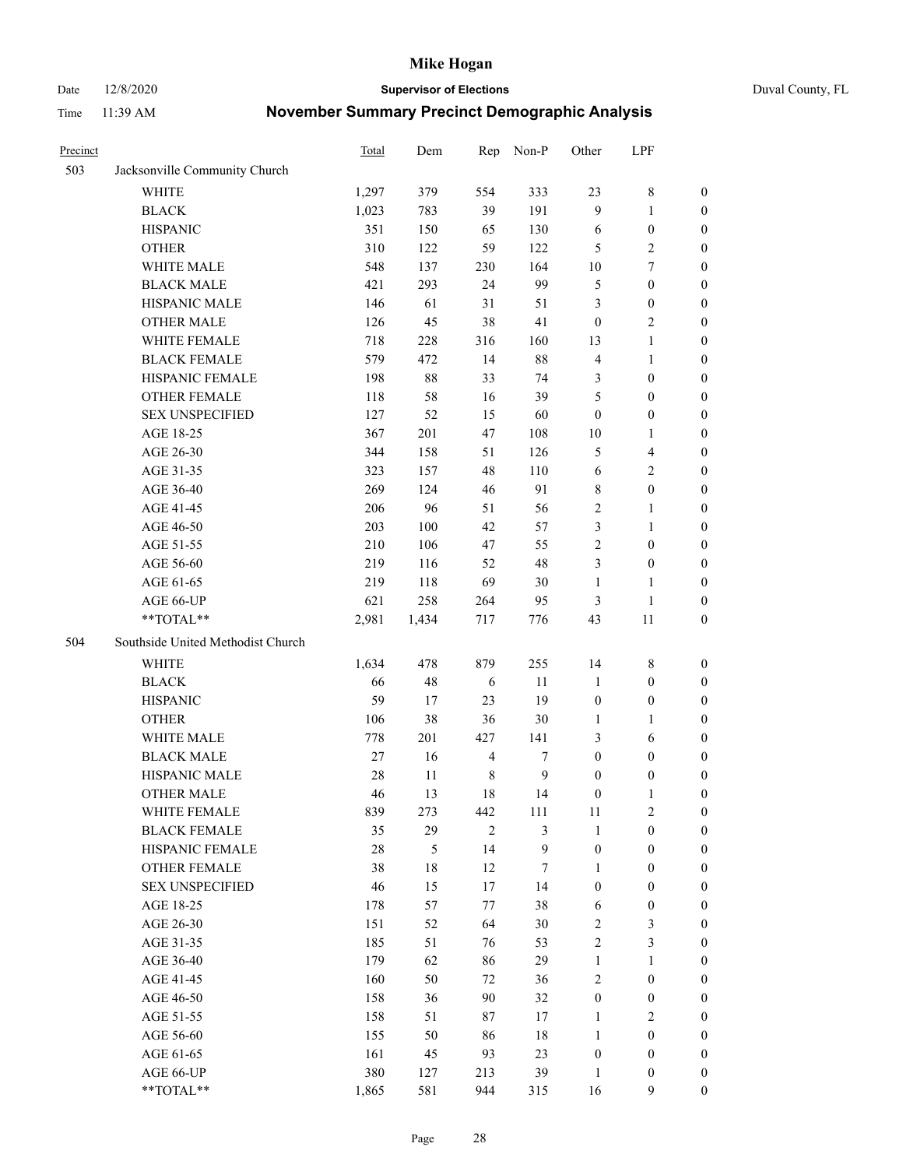Date 12/8/2020 **Supervisor of Elections** Duval County, FL

| Precinct |                                   | Total  | Dem    | Rep            | Non-P        | Other            | LPF                     |                  |
|----------|-----------------------------------|--------|--------|----------------|--------------|------------------|-------------------------|------------------|
| 503      | Jacksonville Community Church     |        |        |                |              |                  |                         |                  |
|          | <b>WHITE</b>                      | 1,297  | 379    | 554            | 333          | 23               | $8\,$                   | 0                |
|          | <b>BLACK</b>                      | 1,023  | 783    | 39             | 191          | 9                | $\mathbf{1}$            | 0                |
|          | <b>HISPANIC</b>                   | 351    | 150    | 65             | 130          | 6                | $\boldsymbol{0}$        | $\boldsymbol{0}$ |
|          | <b>OTHER</b>                      | 310    | 122    | 59             | 122          | 5                | $\sqrt{2}$              | $\boldsymbol{0}$ |
|          | WHITE MALE                        | 548    | 137    | 230            | 164          | 10               | $\tau$                  | $\boldsymbol{0}$ |
|          | <b>BLACK MALE</b>                 | 421    | 293    | 24             | 99           | 5                | $\boldsymbol{0}$        | $\boldsymbol{0}$ |
|          | HISPANIC MALE                     | 146    | 61     | 31             | 51           | 3                | $\boldsymbol{0}$        | $\boldsymbol{0}$ |
|          | <b>OTHER MALE</b>                 | 126    | 45     | 38             | 41           | $\boldsymbol{0}$ | $\overline{2}$          | $\boldsymbol{0}$ |
|          | WHITE FEMALE                      | 718    | 228    | 316            | 160          | 13               | $\mathbf{1}$            | $\boldsymbol{0}$ |
|          | <b>BLACK FEMALE</b>               | 579    | 472    | 14             | $88\,$       | $\overline{4}$   | $\mathbf{1}$            | 0                |
|          | HISPANIC FEMALE                   | 198    | 88     | 33             | 74           | 3                | $\boldsymbol{0}$        | 0                |
|          | <b>OTHER FEMALE</b>               | 118    | 58     | 16             | 39           | 5                | $\boldsymbol{0}$        | 0                |
|          | <b>SEX UNSPECIFIED</b>            | 127    | 52     | 15             | 60           | $\boldsymbol{0}$ | $\boldsymbol{0}$        | $\boldsymbol{0}$ |
|          | AGE 18-25                         | 367    | 201    | 47             | 108          | $10\,$           | $\mathbf{1}$            | $\boldsymbol{0}$ |
|          | AGE 26-30                         | 344    | 158    | 51             | 126          | 5                | $\overline{\mathbf{4}}$ | $\boldsymbol{0}$ |
|          | AGE 31-35                         | 323    | 157    | 48             | 110          | 6                | $\sqrt{2}$              | $\boldsymbol{0}$ |
|          | AGE 36-40                         | 269    | 124    | 46             | 91           | 8                | $\boldsymbol{0}$        | $\boldsymbol{0}$ |
|          | AGE 41-45                         | 206    | 96     | 51             | 56           | $\sqrt{2}$       | $\mathbf{1}$            | $\boldsymbol{0}$ |
|          | AGE 46-50                         | 203    | 100    | 42             | 57           | 3                | $\mathbf{1}$            | $\boldsymbol{0}$ |
|          | AGE 51-55                         | 210    | 106    | 47             | 55           | $\sqrt{2}$       | $\boldsymbol{0}$        | 0                |
|          | AGE 56-60                         | 219    | 116    | 52             | 48           | 3                | $\boldsymbol{0}$        | 0                |
|          | AGE 61-65                         | 219    | 118    | 69             | 30           | $\mathbf{1}$     | $\mathbf{1}$            | 0                |
|          | AGE 66-UP                         | 621    | 258    | 264            | 95           | 3                | $\mathbf{1}$            | $\boldsymbol{0}$ |
|          | **TOTAL**                         | 2,981  | 1,434  | 717            | 776          | 43               | $11\,$                  | $\boldsymbol{0}$ |
| 504      | Southside United Methodist Church |        |        |                |              |                  |                         |                  |
|          | <b>WHITE</b>                      | 1,634  | 478    | 879            | 255          | 14               | $\,$ 8 $\,$             | $\boldsymbol{0}$ |
|          | <b>BLACK</b>                      | 66     | 48     | 6              | 11           | $\mathbf{1}$     | $\boldsymbol{0}$        | $\boldsymbol{0}$ |
|          | <b>HISPANIC</b>                   | 59     | 17     | 23             | 19           | $\boldsymbol{0}$ | $\boldsymbol{0}$        | $\boldsymbol{0}$ |
|          | <b>OTHER</b>                      | 106    | 38     | 36             | 30           | $\mathbf{1}$     | $\mathbf{1}$            | $\boldsymbol{0}$ |
|          | WHITE MALE                        | 778    | 201    | 427            | 141          | 3                | 6                       | $\boldsymbol{0}$ |
|          | <b>BLACK MALE</b>                 | $27\,$ | 16     | $\overline{4}$ | 7            | $\boldsymbol{0}$ | $\boldsymbol{0}$        | 0                |
|          | HISPANIC MALE                     | 28     | $11\,$ | $\,$ 8 $\,$    | $\mathbf{9}$ | $\boldsymbol{0}$ | $\boldsymbol{0}$        | 0                |
|          | <b>OTHER MALE</b>                 | 46     | 13     | 18             | 14           | $\boldsymbol{0}$ | $\mathbf{1}$            | 0                |
|          | WHITE FEMALE                      | 839    | 273    | 442            | 111          | 11               | 2                       | 0                |
|          | <b>BLACK FEMALE</b>               | 35     | 29     | $\overline{2}$ | 3            | $\mathbf{1}$     | $\boldsymbol{0}$        | $\overline{0}$   |
|          | HISPANIC FEMALE                   | 28     | 5      | 14             | 9            | $\boldsymbol{0}$ | $\boldsymbol{0}$        | $\overline{0}$   |
|          | OTHER FEMALE                      | 38     | 18     | 12             | 7            | 1                | $\boldsymbol{0}$        | $\overline{0}$   |
|          | <b>SEX UNSPECIFIED</b>            | 46     | 15     | 17             | 14           | $\boldsymbol{0}$ | $\boldsymbol{0}$        | 0                |
|          | AGE 18-25                         | 178    | 57     | 77             | 38           | 6                | $\boldsymbol{0}$        | 0                |
|          | AGE 26-30                         | 151    | 52     | 64             | 30           | $\mathbf{2}$     | $\mathfrak{Z}$          | 0                |
|          | AGE 31-35                         | 185    | 51     | 76             | 53           | $\overline{c}$   | $\mathfrak{Z}$          | 0                |
|          | AGE 36-40                         | 179    | 62     | 86             | 29           | $\mathbf{1}$     | $\mathbf{1}$            | 0                |
|          | AGE 41-45                         | 160    | 50     | 72             | 36           | $\mathfrak{2}$   | $\boldsymbol{0}$        | 0                |
|          | AGE 46-50                         | 158    | 36     | 90             | 32           | $\boldsymbol{0}$ | $\boldsymbol{0}$        | 0                |
|          | AGE 51-55                         | 158    | 51     | 87             | 17           | $\mathbf{1}$     | $\overline{2}$          | 0                |
|          | AGE 56-60                         | 155    | 50     | 86             | 18           | $\mathbf{1}$     | $\boldsymbol{0}$        | $\overline{0}$   |
|          | AGE 61-65                         | 161    | 45     | 93             | 23           | $\boldsymbol{0}$ | $\boldsymbol{0}$        | $\overline{0}$   |
|          | AGE 66-UP                         | 380    | 127    | 213            | 39           | $\mathbf{1}$     | $\boldsymbol{0}$        | $\boldsymbol{0}$ |
|          | **TOTAL**                         | 1,865  | 581    | 944            | 315          | 16               | 9                       | $\boldsymbol{0}$ |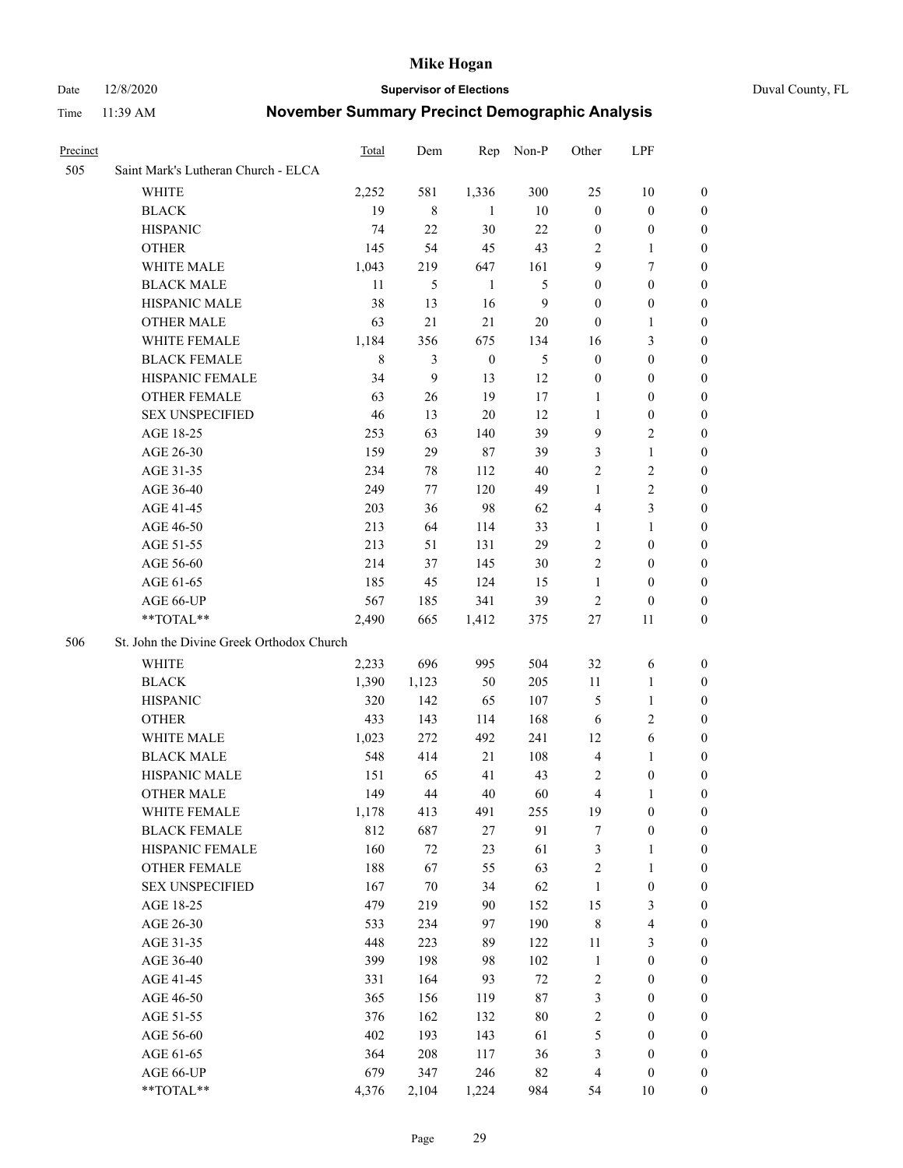Date 12/8/2020 **Supervisor of Elections** Duval County, FL

| <b>Precinct</b> |                                           | <b>Total</b> | Dem          | Rep              | Non-P        | Other            | LPF                     |                  |
|-----------------|-------------------------------------------|--------------|--------------|------------------|--------------|------------------|-------------------------|------------------|
| 505             | Saint Mark's Lutheran Church - ELCA       |              |              |                  |              |                  |                         |                  |
|                 | <b>WHITE</b>                              | 2,252        | 581          | 1,336            | 300          | 25               | 10                      | 0                |
|                 | <b>BLACK</b>                              | 19           | $\,$ 8 $\,$  | 1                | 10           | $\boldsymbol{0}$ | $\boldsymbol{0}$        | 0                |
|                 | <b>HISPANIC</b>                           | 74           | 22           | 30               | 22           | $\boldsymbol{0}$ | $\boldsymbol{0}$        | 0                |
|                 | <b>OTHER</b>                              | 145          | 54           | 45               | 43           | 2                | $\mathbf{1}$            | 0                |
|                 | WHITE MALE                                | 1,043        | 219          | 647              | 161          | 9                | $\tau$                  | $\boldsymbol{0}$ |
|                 | <b>BLACK MALE</b>                         | 11           | 5            | $\mathbf{1}$     | 5            | $\boldsymbol{0}$ | $\boldsymbol{0}$        | 0                |
|                 | HISPANIC MALE                             | 38           | 13           | 16               | $\mathbf{9}$ | $\boldsymbol{0}$ | $\boldsymbol{0}$        | 0                |
|                 | <b>OTHER MALE</b>                         | 63           | 21           | 21               | 20           | $\boldsymbol{0}$ | $\mathbf{1}$            | 0                |
|                 | WHITE FEMALE                              | 1,184        | 356          | 675              | 134          | 16               | $\mathfrak{Z}$          | 0                |
|                 | <b>BLACK FEMALE</b>                       | $\,$ 8 $\,$  | 3            | $\boldsymbol{0}$ | 5            | $\boldsymbol{0}$ | $\boldsymbol{0}$        | 0                |
|                 | HISPANIC FEMALE                           | 34           | $\mathbf{9}$ | 13               | 12           | $\boldsymbol{0}$ | $\boldsymbol{0}$        | 0                |
|                 | OTHER FEMALE                              | 63           | 26           | 19               | 17           | 1                | $\boldsymbol{0}$        | 0                |
|                 | <b>SEX UNSPECIFIED</b>                    | 46           | 13           | $20\,$           | 12           | $\mathbf{1}$     | $\boldsymbol{0}$        | 0                |
|                 | AGE 18-25                                 | 253          | 63           | 140              | 39           | 9                | $\sqrt{2}$              | 0                |
|                 | AGE 26-30                                 | 159          | 29           | $87\,$           | 39           | 3                | $\mathbf{1}$            | $\boldsymbol{0}$ |
|                 | AGE 31-35                                 | 234          | 78           | 112              | 40           | $\sqrt{2}$       | $\sqrt{2}$              | 0                |
|                 | AGE 36-40                                 | 249          | 77           | 120              | 49           | $\mathbf{1}$     | $\sqrt{2}$              | $\boldsymbol{0}$ |
|                 | AGE 41-45                                 | 203          | 36           | 98               | 62           | 4                | $\mathfrak{Z}$          | $\boldsymbol{0}$ |
|                 | AGE 46-50                                 | 213          | 64           | 114              | 33           | 1                | $\mathbf{1}$            | $\boldsymbol{0}$ |
|                 | AGE 51-55                                 | 213          | 51           | 131              | 29           | 2                | $\boldsymbol{0}$        | 0                |
|                 | AGE 56-60                                 | 214          | 37           | 145              | 30           | $\mathbf{2}$     | $\boldsymbol{0}$        | 0                |
|                 | AGE 61-65                                 | 185          | 45           | 124              | 15           | $\mathbf{1}$     | $\boldsymbol{0}$        | 0                |
|                 | AGE 66-UP                                 | 567          | 185          | 341              | 39           | $\overline{c}$   | $\boldsymbol{0}$        | 0                |
|                 | **TOTAL**                                 | 2,490        | 665          | 1,412            | 375          | 27               | 11                      | $\boldsymbol{0}$ |
| 506             | St. John the Divine Greek Orthodox Church |              |              |                  |              |                  |                         |                  |
|                 | <b>WHITE</b>                              | 2,233        | 696          | 995              | 504          | 32               | 6                       | $\boldsymbol{0}$ |
|                 | <b>BLACK</b>                              | 1,390        | 1,123        | 50               | 205          | $11\,$           | $\mathbf{1}$            | $\boldsymbol{0}$ |
|                 | <b>HISPANIC</b>                           | 320          | 142          | 65               | 107          | 5                | $\mathbf{1}$            | $\boldsymbol{0}$ |
|                 | <b>OTHER</b>                              | 433          | 143          | 114              | 168          | 6                | $\mathbf{2}$            | $\boldsymbol{0}$ |
|                 | WHITE MALE                                | 1,023        | 272          | 492              | 241          | 12               | $\sqrt{6}$              | 0                |
|                 | <b>BLACK MALE</b>                         | 548          | 414          | 21               | 108          | $\overline{4}$   | $\mathbf{1}$            | 0                |
|                 | HISPANIC MALE                             | 151          | 65           | 41               | 43           | 2                | $\boldsymbol{0}$        | 0                |
|                 | <b>OTHER MALE</b>                         | 149          | 44           | $40\,$           | 60           | 4                | 1                       | 0                |
|                 | WHITE FEMALE                              | 1,178        | 413          | 491              | 255          | 19               | $\boldsymbol{0}$        | 0                |
|                 | <b>BLACK FEMALE</b>                       | 812          | 687          | 27               | 91           | 7                | $\boldsymbol{0}$        | $\boldsymbol{0}$ |
|                 | HISPANIC FEMALE                           | 160          | $72\,$       | 23               | 61           | $\mathfrak{Z}$   | $\mathbf{1}$            | $\boldsymbol{0}$ |
|                 | OTHER FEMALE                              | 188          | 67           | 55               | 63           | 2                | $\mathbf{1}$            | $\overline{0}$   |
|                 | <b>SEX UNSPECIFIED</b>                    | 167          | $70\,$       | 34               | 62           | $\mathbf{1}$     | $\boldsymbol{0}$        | 0                |
|                 | AGE 18-25                                 | 479          | 219          | 90               | 152          | 15               | $\mathfrak{Z}$          | 0                |
|                 | AGE 26-30                                 | 533          | 234          | 97               | 190          | $\,$ 8 $\,$      | $\overline{\mathbf{4}}$ | 0                |
|                 | AGE 31-35                                 | 448          | 223          | 89               | 122          | $11\,$           | $\mathfrak{Z}$          | 0                |
|                 | AGE 36-40                                 | 399          | 198          | 98               | 102          | $\mathbf{1}$     | $\boldsymbol{0}$        | 0                |
|                 | AGE 41-45                                 | 331          | 164          | 93               | $72\,$       | $\sqrt{2}$       | $\boldsymbol{0}$        | 0                |
|                 | AGE 46-50                                 | 365          | 156          | 119              | $87\,$       | 3                | $\boldsymbol{0}$        | 0                |
|                 | AGE 51-55                                 | 376          | 162          | 132              | $80\,$       | $\sqrt{2}$       | $\boldsymbol{0}$        | $\boldsymbol{0}$ |
|                 | AGE 56-60                                 | 402          | 193          | 143              | 61           | 5                | $\boldsymbol{0}$        | $\boldsymbol{0}$ |
|                 | AGE 61-65                                 | 364          | 208          | 117              | 36           | 3                | $\boldsymbol{0}$        | $\boldsymbol{0}$ |
|                 | AGE 66-UP                                 | 679          | 347          | 246              | 82           | $\overline{4}$   | $\boldsymbol{0}$        | 0                |
|                 | **TOTAL**                                 | 4,376        | 2,104        | 1,224            | 984          | 54               | 10                      | $\boldsymbol{0}$ |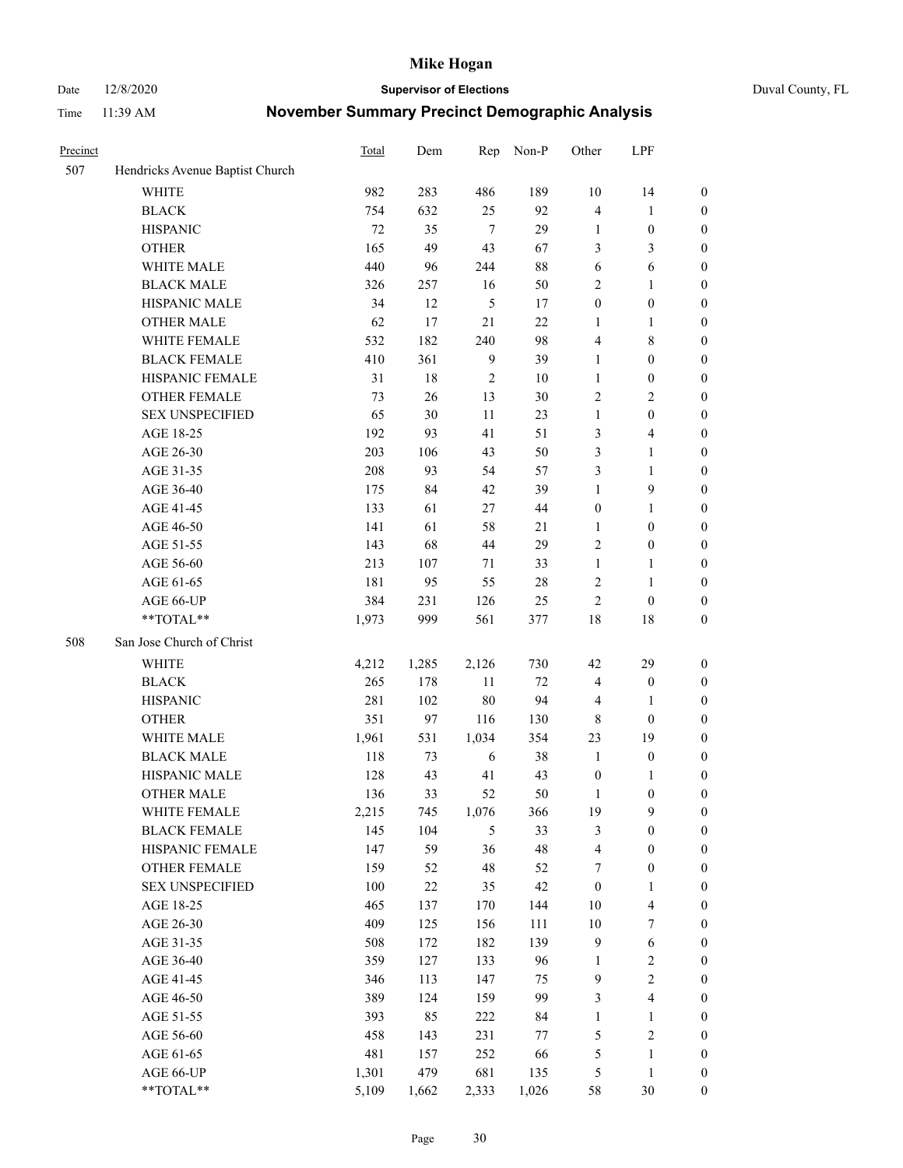Date 12/8/2020 **Supervisor of Elections** Duval County, FL

| Precinct |                                 | Total | Dem    | Rep             | Non-P     | Other            | LPF                          |                                      |
|----------|---------------------------------|-------|--------|-----------------|-----------|------------------|------------------------------|--------------------------------------|
| 507      | Hendricks Avenue Baptist Church |       |        |                 |           |                  |                              |                                      |
|          | <b>WHITE</b>                    | 982   | 283    | 486             | 189       | 10               | 14                           | 0                                    |
|          | <b>BLACK</b>                    | 754   | 632    | 25              | 92        | $\overline{4}$   | $\mathbf{1}$                 | 0                                    |
|          | <b>HISPANIC</b>                 | 72    | 35     | $7\phantom{.0}$ | 29        | $\mathbf{1}$     | $\boldsymbol{0}$             | $\boldsymbol{0}$                     |
|          | <b>OTHER</b>                    | 165   | 49     | 43              | 67        | 3                | 3                            | $\boldsymbol{0}$                     |
|          | WHITE MALE                      | 440   | 96     | 244             | $88\,$    | 6                | 6                            | $\boldsymbol{0}$                     |
|          | <b>BLACK MALE</b>               | 326   | 257    | 16              | 50        | $\overline{c}$   | $\mathbf{1}$                 | $\boldsymbol{0}$                     |
|          | HISPANIC MALE                   | 34    | 12     | $\sqrt{5}$      | 17        | $\boldsymbol{0}$ | $\boldsymbol{0}$             | $\boldsymbol{0}$                     |
|          | <b>OTHER MALE</b>               | 62    | 17     | 21              | 22        | $\mathbf{1}$     | $\mathbf{1}$                 | $\boldsymbol{0}$                     |
|          | WHITE FEMALE                    | 532   | 182    | 240             | 98        | 4                | $\,$ 8 $\,$                  | $\boldsymbol{0}$                     |
|          | <b>BLACK FEMALE</b>             | 410   | 361    | $\overline{9}$  | 39        | $\mathbf{1}$     | $\boldsymbol{0}$             | $\boldsymbol{0}$                     |
|          | HISPANIC FEMALE                 | 31    | 18     | $\overline{2}$  | 10        | $\mathbf{1}$     | $\boldsymbol{0}$             | 0                                    |
|          | <b>OTHER FEMALE</b>             | 73    | 26     | 13              | 30        | $\mathbf{2}$     | $\sqrt{2}$                   | $\boldsymbol{0}$                     |
|          | <b>SEX UNSPECIFIED</b>          | 65    | 30     | 11              | 23        | $\mathbf{1}$     | $\boldsymbol{0}$             | $\boldsymbol{0}$                     |
|          | AGE 18-25                       | 192   | 93     | 41              | 51        | 3                | $\overline{\mathbf{4}}$      | $\boldsymbol{0}$                     |
|          | AGE 26-30                       | 203   | 106    | 43              | 50        | 3                | $\mathbf{1}$                 | $\boldsymbol{0}$                     |
|          | AGE 31-35                       | 208   | 93     | 54              | 57        | 3                | $\mathbf{1}$                 | $\boldsymbol{0}$                     |
|          | AGE 36-40                       | 175   | 84     | 42              | 39        | $\mathbf{1}$     | $\mathbf{9}$                 | $\boldsymbol{0}$                     |
|          | AGE 41-45                       | 133   | 61     | 27              | $44\,$    | $\boldsymbol{0}$ | $\mathbf{1}$                 | $\boldsymbol{0}$                     |
|          | AGE 46-50                       | 141   | 61     | 58              | 21        | $\mathbf{1}$     | $\boldsymbol{0}$             | $\boldsymbol{0}$                     |
|          | AGE 51-55                       | 143   | 68     | 44              | 29        | 2                | $\boldsymbol{0}$             | 0                                    |
|          | AGE 56-60                       | 213   | 107    | 71              | 33        | $\mathbf{1}$     |                              |                                      |
|          | AGE 61-65                       | 181   | 95     | 55              | $28\,$    | $\overline{c}$   | $\mathbf{1}$<br>$\mathbf{1}$ | 0<br>0                               |
|          | AGE 66-UP                       | 384   | 231    |                 |           | $\mathfrak{2}$   | $\boldsymbol{0}$             |                                      |
|          | $**TOTAL**$                     | 1,973 | 999    | 126<br>561      | 25<br>377 | 18               | $18\,$                       | $\boldsymbol{0}$<br>$\boldsymbol{0}$ |
|          |                                 |       |        |                 |           |                  |                              |                                      |
| 508      | San Jose Church of Christ       |       |        |                 |           |                  |                              |                                      |
|          | <b>WHITE</b>                    | 4,212 | 1,285  | 2,126           | 730       | 42               | 29                           | $\boldsymbol{0}$                     |
|          | <b>BLACK</b>                    | 265   | 178    | 11              | $72\,$    | 4                | $\boldsymbol{0}$             | $\boldsymbol{0}$                     |
|          | <b>HISPANIC</b>                 | 281   | 102    | $80\,$          | 94        | $\overline{4}$   | $\mathbf{1}$                 | $\boldsymbol{0}$                     |
|          | <b>OTHER</b>                    | 351   | 97     | 116             | 130       | $\,$ 8 $\,$      | $\boldsymbol{0}$             | $\boldsymbol{0}$                     |
|          | WHITE MALE                      | 1,961 | 531    | 1,034           | 354       | 23               | 19                           | $\boldsymbol{0}$                     |
|          | <b>BLACK MALE</b>               | 118   | 73     | 6               | 38        | $\mathbf{1}$     | $\boldsymbol{0}$             | $\boldsymbol{0}$                     |
|          | HISPANIC MALE                   | 128   | 43     | 41              | 43        | $\boldsymbol{0}$ | 1                            | 0                                    |
|          | <b>OTHER MALE</b>               | 136   | 33     | 52              | 50        | $\mathbf{1}$     | $\boldsymbol{0}$             | $\boldsymbol{0}$                     |
|          | WHITE FEMALE                    | 2,215 | 745    | 1,076           | 366       | 19               | 9                            | 0                                    |
|          | <b>BLACK FEMALE</b>             | 145   | 104    | 5               | 33        | 3                | $\boldsymbol{0}$             | $\boldsymbol{0}$                     |
|          | HISPANIC FEMALE                 | 147   | 59     | 36              | 48        | 4                | $\boldsymbol{0}$             | $\overline{0}$                       |
|          | OTHER FEMALE                    | 159   | 52     | 48              | 52        | 7                | $\boldsymbol{0}$             | $\overline{0}$                       |
|          | <b>SEX UNSPECIFIED</b>          | 100   | $22\,$ | 35              | 42        | $\boldsymbol{0}$ | $\mathbf{1}$                 | 0                                    |
|          | AGE 18-25                       | 465   | 137    | 170             | 144       | 10               | $\overline{\mathbf{4}}$      | 0                                    |
|          | AGE 26-30                       | 409   | 125    | 156             | 111       | $10\,$           | $\boldsymbol{7}$             | 0                                    |
|          | AGE 31-35                       | 508   | 172    | 182             | 139       | $\overline{9}$   | 6                            | 0                                    |
|          | AGE 36-40                       | 359   | 127    | 133             | 96        | $\mathbf{1}$     | $\sqrt{2}$                   | 0                                    |
|          | AGE 41-45                       | 346   | 113    | 147             | 75        | $\overline{9}$   | $\sqrt{2}$                   | 0                                    |
|          | AGE 46-50                       | 389   | 124    | 159             | 99        | 3                | $\overline{\mathbf{4}}$      | 0                                    |
|          | AGE 51-55                       | 393   | 85     | 222             | 84        | $\mathbf{1}$     | $\mathbf{1}$                 | 0                                    |
|          | AGE 56-60                       | 458   | 143    | 231             | $77\,$    | 5                | $\sqrt{2}$                   | $\boldsymbol{0}$                     |
|          | AGE 61-65                       | 481   | 157    | 252             | 66        | 5                | $\mathbf{1}$                 | $\boldsymbol{0}$                     |
|          | AGE 66-UP                       | 1,301 | 479    | 681             | 135       | 5                | $\mathbf{1}$                 | $\boldsymbol{0}$                     |
|          | **TOTAL**                       | 5,109 | 1,662  | 2,333           | 1,026     | 58               | $30\,$                       | $\boldsymbol{0}$                     |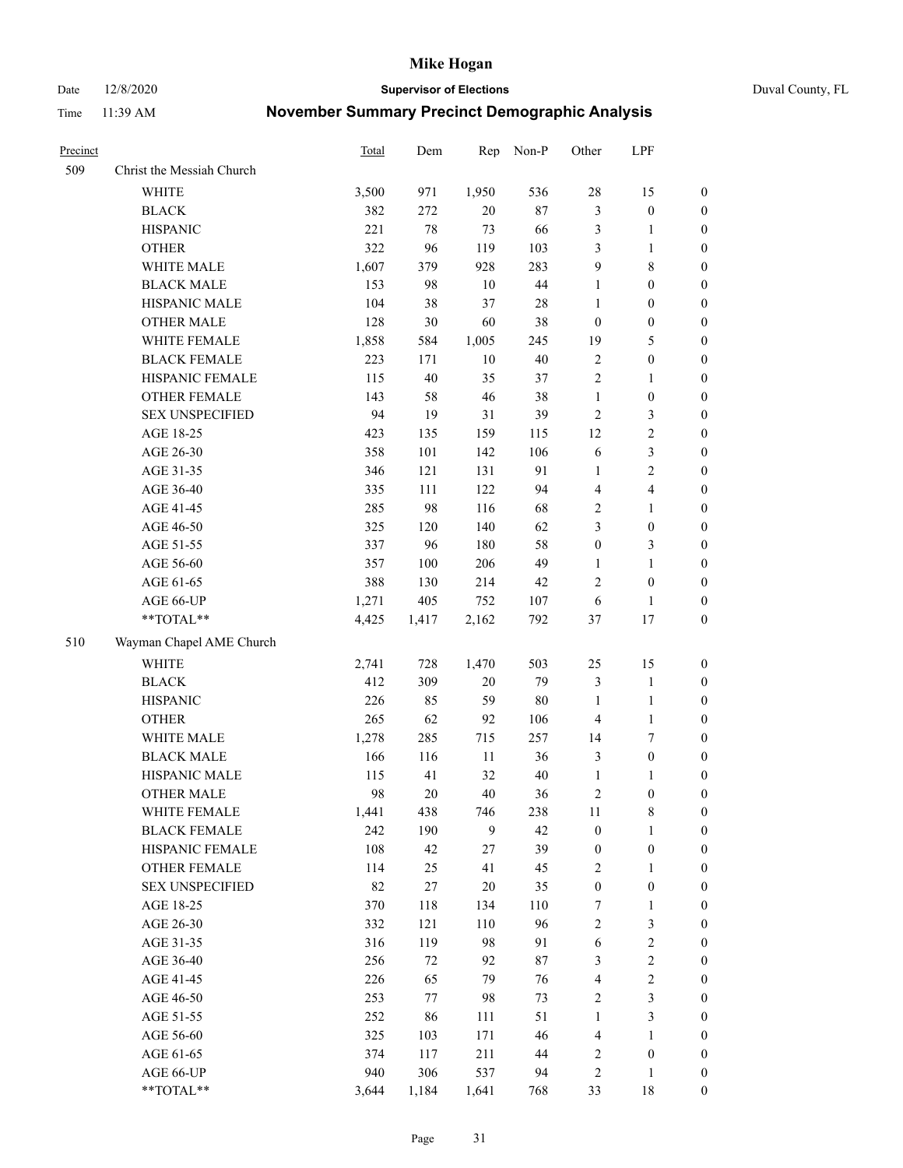Date 12/8/2020 **Supervisor of Elections** Duval County, FL

| Precinct |                           | Total | Dem    | Rep    | Non-P  | Other                   | LPF                     |                  |
|----------|---------------------------|-------|--------|--------|--------|-------------------------|-------------------------|------------------|
| 509      | Christ the Messiah Church |       |        |        |        |                         |                         |                  |
|          | WHITE                     | 3,500 | 971    | 1,950  | 536    | 28                      | 15                      | 0                |
|          | <b>BLACK</b>              | 382   | 272    | $20\,$ | $87\,$ | 3                       | $\boldsymbol{0}$        | 0                |
|          | <b>HISPANIC</b>           | 221   | 78     | 73     | 66     | 3                       | $\mathbf{1}$            | $\boldsymbol{0}$ |
|          | <b>OTHER</b>              | 322   | 96     | 119    | 103    | 3                       | 1                       | $\boldsymbol{0}$ |
|          | WHITE MALE                | 1,607 | 379    | 928    | 283    | 9                       | $8\,$                   | $\boldsymbol{0}$ |
|          | <b>BLACK MALE</b>         | 153   | 98     | 10     | $44\,$ | $\mathbf{1}$            | $\boldsymbol{0}$        | $\boldsymbol{0}$ |
|          | HISPANIC MALE             | 104   | 38     | 37     | $28\,$ | $\mathbf{1}$            | $\boldsymbol{0}$        | $\boldsymbol{0}$ |
|          | <b>OTHER MALE</b>         | 128   | 30     | 60     | 38     | $\boldsymbol{0}$        | $\boldsymbol{0}$        | $\boldsymbol{0}$ |
|          | WHITE FEMALE              | 1,858 | 584    | 1,005  | 245    | 19                      | 5                       | $\boldsymbol{0}$ |
|          | <b>BLACK FEMALE</b>       | 223   | 171    | $10\,$ | 40     | $\sqrt{2}$              | $\boldsymbol{0}$        | 0                |
|          | HISPANIC FEMALE           | 115   | 40     | 35     | 37     | $\sqrt{2}$              | $\mathbf{1}$            | 0                |
|          | OTHER FEMALE              | 143   | 58     | 46     | 38     | $\mathbf{1}$            | $\boldsymbol{0}$        | 0                |
|          | <b>SEX UNSPECIFIED</b>    | 94    | 19     | 31     | 39     | $\sqrt{2}$              | 3                       | $\boldsymbol{0}$ |
|          | AGE 18-25                 | 423   | 135    | 159    | 115    | 12                      | $\sqrt{2}$              | $\boldsymbol{0}$ |
|          | AGE 26-30                 | 358   | 101    | 142    | 106    | 6                       | $\mathfrak{Z}$          | $\boldsymbol{0}$ |
|          | AGE 31-35                 | 346   | 121    | 131    | 91     | $\mathbf{1}$            | $\sqrt{2}$              | $\boldsymbol{0}$ |
|          | AGE 36-40                 | 335   | 111    | 122    | 94     | 4                       | $\overline{\mathbf{4}}$ | $\boldsymbol{0}$ |
|          | AGE 41-45                 | 285   | 98     | 116    | 68     | $\overline{c}$          | $\mathbf{1}$            | $\boldsymbol{0}$ |
|          | AGE 46-50                 | 325   | 120    | 140    | 62     | 3                       | $\boldsymbol{0}$        | $\boldsymbol{0}$ |
|          | AGE 51-55                 | 337   | 96     | 180    | 58     | $\boldsymbol{0}$        | $\mathfrak{Z}$          | 0                |
|          | AGE 56-60                 | 357   | 100    | 206    | 49     | $\mathbf{1}$            | $\mathbf{1}$            | 0                |
|          | AGE 61-65                 | 388   | 130    | 214    | 42     | $\mathfrak{2}$          | $\boldsymbol{0}$        | 0                |
|          | AGE 66-UP                 | 1,271 | 405    | 752    | 107    | 6                       | $\mathbf{1}$            | $\boldsymbol{0}$ |
|          | **TOTAL**                 | 4,425 | 1,417  | 2,162  | 792    | 37                      | $17\,$                  | $\boldsymbol{0}$ |
| 510      | Wayman Chapel AME Church  |       |        |        |        |                         |                         |                  |
|          | <b>WHITE</b>              | 2,741 | 728    | 1,470  | 503    | 25                      | 15                      | $\boldsymbol{0}$ |
|          | <b>BLACK</b>              | 412   | 309    | 20     | 79     | 3                       | $\mathbf{1}$            | $\boldsymbol{0}$ |
|          | <b>HISPANIC</b>           | 226   | 85     | 59     | $80\,$ | $\mathbf{1}$            | $\mathbf{1}$            | $\boldsymbol{0}$ |
|          | <b>OTHER</b>              | 265   | 62     | 92     | 106    | 4                       | $\mathbf{1}$            | $\boldsymbol{0}$ |
|          | WHITE MALE                | 1,278 | 285    | 715    | 257    | 14                      | $\tau$                  | $\boldsymbol{0}$ |
|          | <b>BLACK MALE</b>         | 166   | 116    | $11\,$ | 36     | 3                       | $\boldsymbol{0}$        | $\boldsymbol{0}$ |
|          | HISPANIC MALE             | 115   | 41     | 32     | 40     | $\mathbf{1}$            | $\mathbf{1}$            | 0                |
|          | <b>OTHER MALE</b>         | 98    | $20\,$ | 40     | 36     | 2                       | $\boldsymbol{0}$        | 0                |
|          | WHITE FEMALE              | 1,441 | 438    | 746    | 238    | 11                      | 8                       | 0                |
|          | <b>BLACK FEMALE</b>       | 242   | 190    | 9      | 42     | $\boldsymbol{0}$        | $\mathbf{1}$            | $\boldsymbol{0}$ |
|          | HISPANIC FEMALE           | 108   | 42     | 27     | 39     | $\boldsymbol{0}$        | $\boldsymbol{0}$        | $\overline{0}$   |
|          | OTHER FEMALE              | 114   | 25     | 41     | 45     | $\sqrt{2}$              | $\mathbf{1}$            | $\overline{0}$   |
|          | <b>SEX UNSPECIFIED</b>    | 82    | 27     | 20     | 35     | $\boldsymbol{0}$        | $\boldsymbol{0}$        | 0                |
|          | AGE 18-25                 | 370   | 118    | 134    | 110    | 7                       | $\mathbf{1}$            | 0                |
|          | AGE 26-30                 | 332   | 121    | 110    | 96     | $\overline{c}$          | $\mathfrak{Z}$          | 0                |
|          | AGE 31-35                 | 316   | 119    | 98     | 91     | 6                       | $\sqrt{2}$              | 0                |
|          | AGE 36-40                 | 256   | 72     | 92     | 87     | 3                       | $\sqrt{2}$              | 0                |
|          | AGE 41-45                 | 226   | 65     | 79     | 76     | $\overline{\mathbf{4}}$ | $\sqrt{2}$              | 0                |
|          | AGE 46-50                 | 253   | 77     | 98     | 73     | 2                       | $\mathfrak{Z}$          | 0                |
|          | AGE 51-55                 | 252   | 86     | 111    | 51     | $\mathbf{1}$            | $\mathfrak{Z}$          | $\boldsymbol{0}$ |
|          | AGE 56-60                 | 325   | 103    | 171    | 46     | 4                       | 1                       | $\boldsymbol{0}$ |
|          | AGE 61-65                 | 374   | 117    | 211    | 44     | 2                       | $\boldsymbol{0}$        | $\boldsymbol{0}$ |
|          | AGE 66-UP                 | 940   | 306    | 537    | 94     | 2                       | $\mathbf{1}$            | 0                |
|          | **TOTAL**                 | 3,644 | 1,184  | 1,641  | 768    | 33                      | 18                      | $\boldsymbol{0}$ |
|          |                           |       |        |        |        |                         |                         |                  |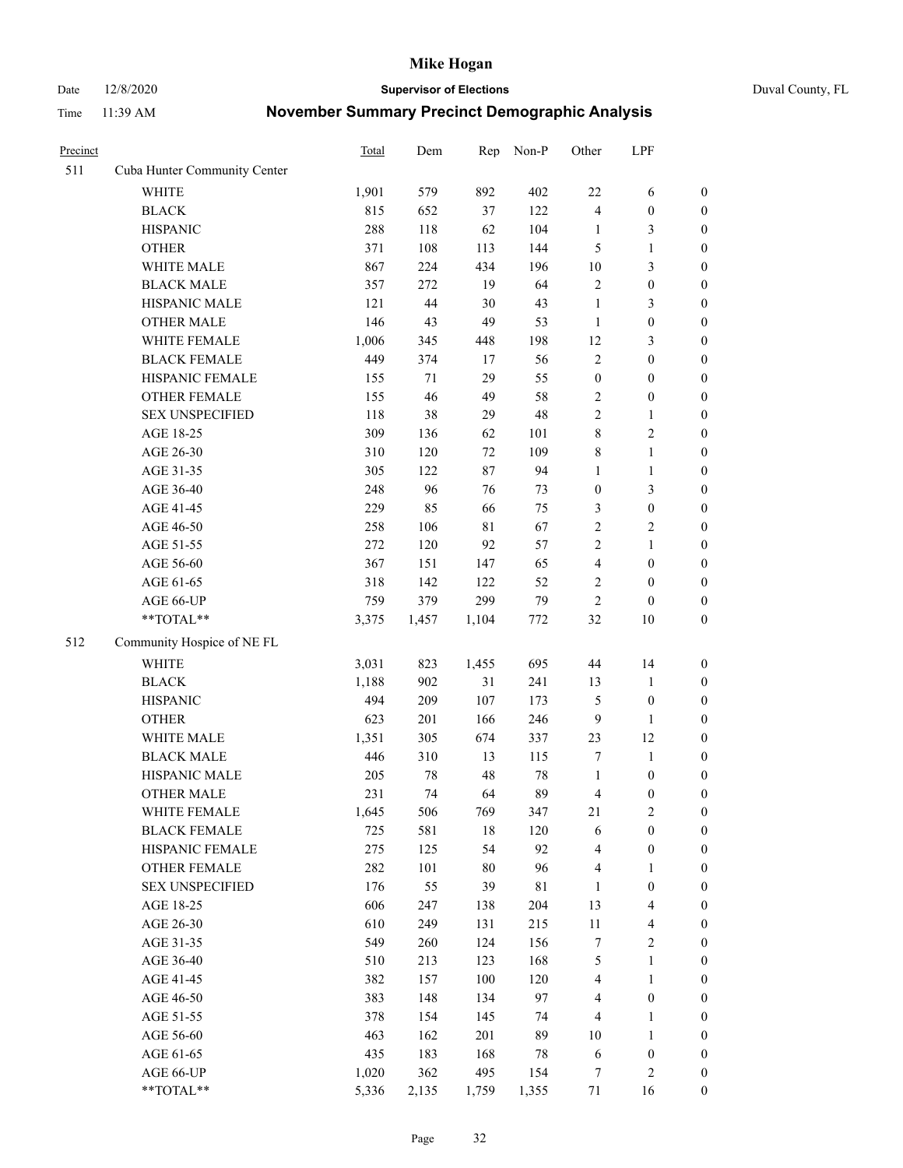Date 12/8/2020 **Supervisor of Elections** Duval County, FL

| Precinct |                              | Total | Dem   | Rep         | Non-P | Other                   | LPF                     |                  |
|----------|------------------------------|-------|-------|-------------|-------|-------------------------|-------------------------|------------------|
| 511      | Cuba Hunter Community Center |       |       |             |       |                         |                         |                  |
|          | <b>WHITE</b>                 | 1,901 | 579   | 892         | 402   | 22                      | 6                       | 0                |
|          | <b>BLACK</b>                 | 815   | 652   | 37          | 122   | $\overline{4}$          | $\boldsymbol{0}$        | 0                |
|          | <b>HISPANIC</b>              | 288   | 118   | 62          | 104   | $\mathbf{1}$            | 3                       | $\boldsymbol{0}$ |
|          | <b>OTHER</b>                 | 371   | 108   | 113         | 144   | 5                       | $\mathbf{1}$            | $\boldsymbol{0}$ |
|          | WHITE MALE                   | 867   | 224   | 434         | 196   | 10                      | $\mathfrak{Z}$          | $\boldsymbol{0}$ |
|          | <b>BLACK MALE</b>            | 357   | 272   | 19          | 64    | $\sqrt{2}$              | $\boldsymbol{0}$        | $\boldsymbol{0}$ |
|          | HISPANIC MALE                | 121   | 44    | 30          | 43    | $\mathbf{1}$            | $\mathfrak{Z}$          | $\boldsymbol{0}$ |
|          | <b>OTHER MALE</b>            | 146   | 43    | 49          | 53    | $\mathbf{1}$            | $\boldsymbol{0}$        | $\boldsymbol{0}$ |
|          | WHITE FEMALE                 | 1,006 | 345   | 448         | 198   | 12                      | $\mathfrak{Z}$          | $\boldsymbol{0}$ |
|          | <b>BLACK FEMALE</b>          | 449   | 374   | 17          | 56    | $\sqrt{2}$              | $\boldsymbol{0}$        | $\boldsymbol{0}$ |
|          | HISPANIC FEMALE              | 155   | 71    | 29          | 55    | $\boldsymbol{0}$        | $\boldsymbol{0}$        | 0                |
|          | OTHER FEMALE                 | 155   | 46    | 49          | 58    | $\overline{c}$          | $\boldsymbol{0}$        | $\boldsymbol{0}$ |
|          | <b>SEX UNSPECIFIED</b>       | 118   | 38    | 29          | 48    | $\overline{2}$          | $\mathbf{1}$            | $\boldsymbol{0}$ |
|          | AGE 18-25                    | 309   | 136   | 62          | 101   | 8                       | $\sqrt{2}$              | $\boldsymbol{0}$ |
|          | AGE 26-30                    | 310   | 120   | 72          | 109   | 8                       | $\mathbf{1}$            | $\boldsymbol{0}$ |
|          | AGE 31-35                    | 305   | 122   | 87          | 94    | $\mathbf{1}$            | $\mathbf{1}$            | $\boldsymbol{0}$ |
|          | AGE 36-40                    | 248   | 96    | 76          | 73    | $\boldsymbol{0}$        | $\mathfrak{Z}$          | $\boldsymbol{0}$ |
|          | AGE 41-45                    | 229   | 85    | 66          | 75    | 3                       | $\boldsymbol{0}$        | $\boldsymbol{0}$ |
|          | AGE 46-50                    | 258   | 106   | $8\sqrt{1}$ | 67    | $\sqrt{2}$              | $\overline{2}$          | $\boldsymbol{0}$ |
|          | AGE 51-55                    | 272   | 120   | 92          | 57    | $\sqrt{2}$              | $\mathbf{1}$            | $\boldsymbol{0}$ |
|          | AGE 56-60                    | 367   | 151   | 147         | 65    | $\overline{\mathbf{4}}$ | $\boldsymbol{0}$        | 0                |
|          | AGE 61-65                    | 318   | 142   | 122         | 52    | 2                       | $\boldsymbol{0}$        | 0                |
|          | AGE 66-UP                    | 759   | 379   | 299         | 79    | $\sqrt{2}$              | $\boldsymbol{0}$        | $\boldsymbol{0}$ |
|          | **TOTAL**                    | 3,375 | 1,457 | 1,104       | 772   | 32                      | $10\,$                  | $\boldsymbol{0}$ |
| 512      | Community Hospice of NE FL   |       |       |             |       |                         |                         |                  |
|          | <b>WHITE</b>                 | 3,031 | 823   | 1,455       | 695   | $44\,$                  | 14                      | $\boldsymbol{0}$ |
|          | <b>BLACK</b>                 | 1,188 | 902   | 31          | 241   | 13                      | $\mathbf{1}$            | $\boldsymbol{0}$ |
|          | <b>HISPANIC</b>              | 494   | 209   | 107         | 173   | 5                       | $\boldsymbol{0}$        | $\boldsymbol{0}$ |
|          | <b>OTHER</b>                 | 623   | 201   | 166         | 246   | $\overline{9}$          | $\mathbf{1}$            | $\boldsymbol{0}$ |
|          | WHITE MALE                   | 1,351 | 305   | 674         | 337   | 23                      | 12                      | $\boldsymbol{0}$ |
|          | <b>BLACK MALE</b>            | 446   | 310   | 13          | 115   | 7                       | $\mathbf{1}$            | $\boldsymbol{0}$ |
|          | HISPANIC MALE                | 205   | 78    | 48          | 78    | $\mathbf{1}$            | $\boldsymbol{0}$        | 0                |
|          | <b>OTHER MALE</b>            | 231   | 74    | 64          | 89    | 4                       | $\boldsymbol{0}$        | $\boldsymbol{0}$ |
|          | WHITE FEMALE                 | 1,645 | 506   | 769         | 347   | 21                      | 2                       | 0                |
|          | <b>BLACK FEMALE</b>          | 725   | 581   | 18          | 120   | 6                       | $\boldsymbol{0}$        | $\boldsymbol{0}$ |
|          | HISPANIC FEMALE              | 275   | 125   | 54          | 92    | 4                       | $\boldsymbol{0}$        | $\overline{0}$   |
|          | OTHER FEMALE                 | 282   | 101   | 80          | 96    | 4                       | $\mathbf{1}$            | $\overline{0}$   |
|          | <b>SEX UNSPECIFIED</b>       | 176   | 55    | 39          | 81    | $\mathbf{1}$            | $\boldsymbol{0}$        | 0                |
|          | AGE 18-25                    | 606   | 247   | 138         | 204   | 13                      | $\overline{\mathbf{4}}$ | 0                |
|          | AGE 26-30                    | 610   | 249   | 131         | 215   | $11\,$                  | $\overline{\mathbf{4}}$ | 0                |
|          | AGE 31-35                    | 549   | 260   | 124         | 156   | 7                       | $\sqrt{2}$              | 0                |
|          | AGE 36-40                    | 510   | 213   | 123         | 168   | 5                       | $\mathbf{1}$            | 0                |
|          | AGE 41-45                    | 382   | 157   | 100         | 120   | $\overline{\mathbf{4}}$ | $\mathbf{1}$            | 0                |
|          | AGE 46-50                    | 383   | 148   | 134         | 97    | 4                       | $\boldsymbol{0}$        | 0                |
|          | AGE 51-55                    | 378   | 154   | 145         | 74    | 4                       | $\mathbf{1}$            | 0                |
|          | AGE 56-60                    | 463   | 162   | 201         | 89    | 10                      | $\mathbf{1}$            | 0                |
|          | AGE 61-65                    | 435   | 183   | 168         | 78    | 6                       | $\boldsymbol{0}$        | 0                |
|          | AGE 66-UP                    | 1,020 | 362   | 495         | 154   | 7                       | $\mathbf{2}$            | 0                |
|          | **TOTAL**                    | 5,336 | 2,135 | 1,759       | 1,355 | 71                      | 16                      | $\boldsymbol{0}$ |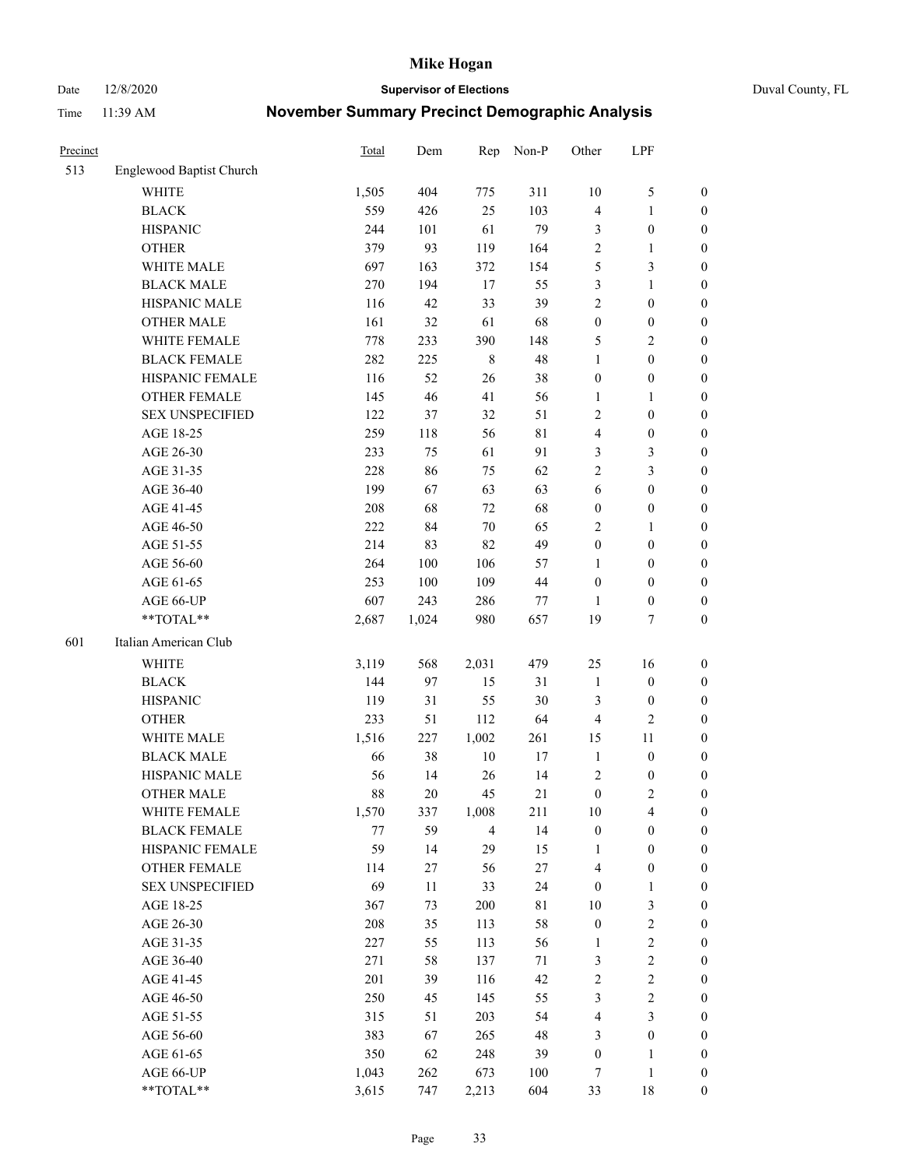Date 12/8/2020 **Supervisor of Elections** Duval County, FL

| Precinct |                          | <b>Total</b> | Dem   | Rep            | Non-P       | Other            | LPF              |                  |
|----------|--------------------------|--------------|-------|----------------|-------------|------------------|------------------|------------------|
| 513      | Englewood Baptist Church |              |       |                |             |                  |                  |                  |
|          | <b>WHITE</b>             | 1,505        | 404   | 775            | 311         | 10               | $\mathfrak{S}$   | 0                |
|          | <b>BLACK</b>             | 559          | 426   | 25             | 103         | 4                | $\mathbf{1}$     | 0                |
|          | <b>HISPANIC</b>          | 244          | 101   | 61             | 79          | 3                | $\boldsymbol{0}$ | $\boldsymbol{0}$ |
|          | <b>OTHER</b>             | 379          | 93    | 119            | 164         | 2                | 1                | $\boldsymbol{0}$ |
|          | WHITE MALE               | 697          | 163   | 372            | 154         | 5                | $\mathfrak{Z}$   | $\boldsymbol{0}$ |
|          | <b>BLACK MALE</b>        | 270          | 194   | 17             | 55          | 3                | $\mathbf{1}$     | $\boldsymbol{0}$ |
|          | HISPANIC MALE            | 116          | 42    | 33             | 39          | 2                | $\boldsymbol{0}$ | $\boldsymbol{0}$ |
|          | <b>OTHER MALE</b>        | 161          | 32    | 61             | 68          | $\boldsymbol{0}$ | $\boldsymbol{0}$ | $\boldsymbol{0}$ |
|          | WHITE FEMALE             | 778          | 233   | 390            | 148         | 5                | $\overline{2}$   | $\boldsymbol{0}$ |
|          | <b>BLACK FEMALE</b>      | 282          | 225   | $\,$ 8 $\,$    | 48          | $\mathbf{1}$     | $\boldsymbol{0}$ | $\boldsymbol{0}$ |
|          | HISPANIC FEMALE          | 116          | 52    | 26             | 38          | $\boldsymbol{0}$ | $\boldsymbol{0}$ | 0                |
|          | <b>OTHER FEMALE</b>      | 145          | 46    | 41             | 56          | $\mathbf{1}$     | $\mathbf{1}$     | $\boldsymbol{0}$ |
|          | <b>SEX UNSPECIFIED</b>   | 122          | 37    | 32             | 51          | 2                | $\boldsymbol{0}$ | $\boldsymbol{0}$ |
|          | AGE 18-25                | 259          | 118   | 56             | $8\sqrt{1}$ | 4                | $\boldsymbol{0}$ | $\boldsymbol{0}$ |
|          | AGE 26-30                | 233          | 75    | 61             | 91          | 3                | $\mathfrak{Z}$   | $\boldsymbol{0}$ |
|          | AGE 31-35                | 228          | 86    | 75             | 62          | $\overline{c}$   | $\mathfrak{Z}$   | $\boldsymbol{0}$ |
|          | AGE 36-40                | 199          | 67    | 63             | 63          | 6                | $\boldsymbol{0}$ | $\boldsymbol{0}$ |
|          | AGE 41-45                | 208          | 68    | 72             | 68          | $\boldsymbol{0}$ | $\boldsymbol{0}$ | $\boldsymbol{0}$ |
|          | AGE 46-50                | 222          | 84    | $70\,$         | 65          | 2                | 1                | $\boldsymbol{0}$ |
|          | AGE 51-55                | 214          | 83    | 82             | 49          | $\boldsymbol{0}$ | $\boldsymbol{0}$ | $\boldsymbol{0}$ |
|          | AGE 56-60                | 264          | 100   | 106            | 57          | 1                | $\boldsymbol{0}$ | 0                |
|          | AGE 61-65                | 253          | 100   | 109            | 44          | $\boldsymbol{0}$ | $\boldsymbol{0}$ | $\boldsymbol{0}$ |
|          | AGE 66-UP                | 607          | 243   | 286            | 77          | 1                | $\boldsymbol{0}$ | $\boldsymbol{0}$ |
|          | **TOTAL**                | 2,687        | 1,024 | 980            | 657         | 19               | $\tau$           | $\boldsymbol{0}$ |
| 601      | Italian American Club    |              |       |                |             |                  |                  |                  |
|          | <b>WHITE</b>             | 3,119        | 568   | 2,031          | 479         | 25               | 16               | $\boldsymbol{0}$ |
|          | <b>BLACK</b>             | 144          | 97    | 15             | 31          | $\mathbf{1}$     | $\boldsymbol{0}$ | $\boldsymbol{0}$ |
|          | <b>HISPANIC</b>          | 119          | 31    | 55             | 30          | 3                | $\boldsymbol{0}$ | $\boldsymbol{0}$ |
|          | <b>OTHER</b>             | 233          | 51    | 112            | 64          | 4                | $\mathfrak{2}$   | $\boldsymbol{0}$ |
|          | WHITE MALE               | 1,516        | 227   | 1,002          | 261         | 15               | 11               | $\boldsymbol{0}$ |
|          | <b>BLACK MALE</b>        | 66           | 38    | $10\,$         | 17          | $\mathbf{1}$     | $\boldsymbol{0}$ | $\boldsymbol{0}$ |
|          | HISPANIC MALE            | 56           | 14    | 26             | 14          | $\sqrt{2}$       | $\boldsymbol{0}$ | 0                |
|          | <b>OTHER MALE</b>        | 88           | 20    | 45             | 21          | $\boldsymbol{0}$ | $\mathfrak{2}$   | $\boldsymbol{0}$ |
|          | WHITE FEMALE             | 1,570        | 337   | 1,008          | 211         | 10               | 4                | 0                |
|          | <b>BLACK FEMALE</b>      | 77           | 59    | $\overline{4}$ | 14          | $\boldsymbol{0}$ | $\boldsymbol{0}$ | $\boldsymbol{0}$ |
|          | HISPANIC FEMALE          | 59           | 14    | 29             | 15          | 1                | $\boldsymbol{0}$ | $\overline{0}$   |
|          | OTHER FEMALE             | 114          | 27    | 56             | $27\,$      | 4                | $\boldsymbol{0}$ | $\overline{0}$   |
|          | <b>SEX UNSPECIFIED</b>   | 69           | 11    | 33             | 24          | $\boldsymbol{0}$ | $\mathbf{1}$     | 0                |
|          | AGE 18-25                | 367          | 73    | 200            | $8\sqrt{1}$ | 10               | $\mathfrak{Z}$   | 0                |
|          | AGE 26-30                | 208          | 35    | 113            | 58          | $\boldsymbol{0}$ | $\sqrt{2}$       | 0                |
|          | AGE 31-35                | 227          | 55    | 113            | 56          | 1                | $\boldsymbol{2}$ | 0                |
|          | AGE 36-40                | 271          | 58    | 137            | 71          | 3                | $\boldsymbol{2}$ | 0                |
|          | AGE 41-45                | 201          | 39    | 116            | 42          | $\overline{c}$   | $\sqrt{2}$       | 0                |
|          | AGE 46-50                | 250          | 45    | 145            | 55          | 3                | $\sqrt{2}$       | 0                |
|          | AGE 51-55                | 315          | 51    | 203            | 54          | 4                | $\mathfrak{Z}$   | $\overline{0}$   |
|          | AGE 56-60                | 383          | 67    | 265            | 48          | 3                | $\boldsymbol{0}$ | $\boldsymbol{0}$ |
|          | AGE 61-65                | 350          | 62    | 248            | 39          | $\boldsymbol{0}$ | 1                | $\boldsymbol{0}$ |
|          | AGE 66-UP                | 1,043        | 262   | 673            | 100         | 7                | $\mathbf{1}$     | 0                |
|          | **TOTAL**                | 3,615        | 747   | 2,213          | 604         | 33               | 18               | $\boldsymbol{0}$ |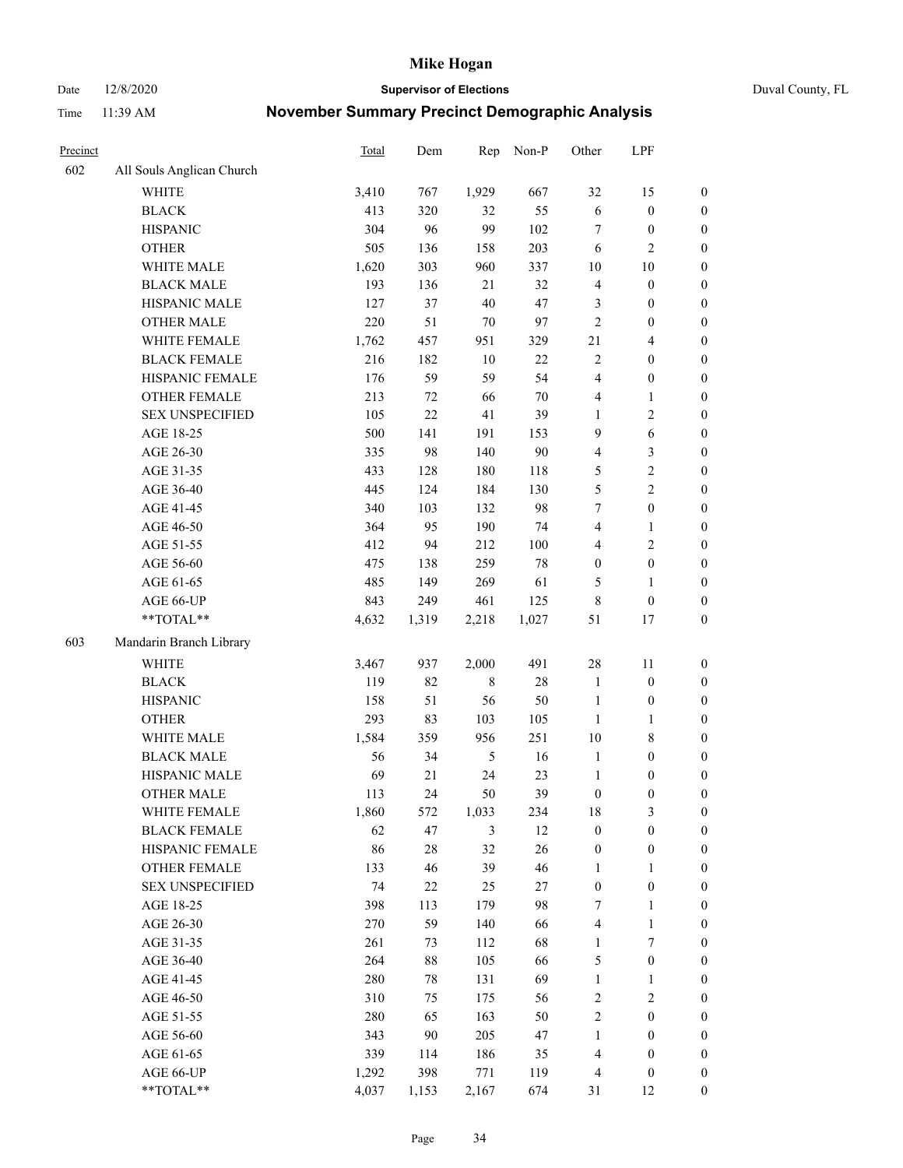Date 12/8/2020 **Supervisor of Elections** Duval County, FL

| Precinct |                           | <b>Total</b> | Dem    | Rep           | Non-P  | Other            | LPF                     |                  |
|----------|---------------------------|--------------|--------|---------------|--------|------------------|-------------------------|------------------|
| 602      | All Souls Anglican Church |              |        |               |        |                  |                         |                  |
|          | <b>WHITE</b>              | 3,410        | 767    | 1,929         | 667    | 32               | 15                      | 0                |
|          | <b>BLACK</b>              | 413          | 320    | 32            | 55     | $\sqrt{6}$       | $\boldsymbol{0}$        | 0                |
|          | <b>HISPANIC</b>           | 304          | 96     | 99            | 102    | 7                | $\boldsymbol{0}$        | $\boldsymbol{0}$ |
|          | <b>OTHER</b>              | 505          | 136    | 158           | 203    | 6                | $\mathfrak{2}$          | $\boldsymbol{0}$ |
|          | WHITE MALE                | 1,620        | 303    | 960           | 337    | 10               | $10\,$                  | $\boldsymbol{0}$ |
|          | <b>BLACK MALE</b>         | 193          | 136    | 21            | 32     | 4                | $\boldsymbol{0}$        | $\boldsymbol{0}$ |
|          | HISPANIC MALE             | 127          | 37     | 40            | 47     | 3                | $\boldsymbol{0}$        | $\boldsymbol{0}$ |
|          | <b>OTHER MALE</b>         | 220          | 51     | $70\,$        | 97     | $\mathfrak{2}$   | $\boldsymbol{0}$        | $\boldsymbol{0}$ |
|          | WHITE FEMALE              | 1,762        | 457    | 951           | 329    | 21               | $\overline{\mathbf{4}}$ | $\boldsymbol{0}$ |
|          | <b>BLACK FEMALE</b>       | 216          | 182    | $10\,$        | $22\,$ | 2                | $\boldsymbol{0}$        | $\boldsymbol{0}$ |
|          | HISPANIC FEMALE           | 176          | 59     | 59            | 54     | $\overline{4}$   | $\boldsymbol{0}$        | $\boldsymbol{0}$ |
|          | <b>OTHER FEMALE</b>       | 213          | 72     | 66            | $70\,$ | 4                | $\mathbf{1}$            | $\boldsymbol{0}$ |
|          | <b>SEX UNSPECIFIED</b>    | 105          | 22     | 41            | 39     | $\mathbf{1}$     | $\sqrt{2}$              | $\boldsymbol{0}$ |
|          | AGE 18-25                 | 500          | 141    | 191           | 153    | 9                | 6                       | $\boldsymbol{0}$ |
|          | AGE 26-30                 | 335          | 98     | 140           | 90     | 4                | $\mathfrak{Z}$          | $\boldsymbol{0}$ |
|          | AGE 31-35                 | 433          | 128    | 180           | 118    | 5                | $\sqrt{2}$              | $\boldsymbol{0}$ |
|          | AGE 36-40                 | 445          | 124    | 184           | 130    | 5                | $\overline{c}$          | $\boldsymbol{0}$ |
|          | AGE 41-45                 | 340          | 103    | 132           | 98     | 7                | $\boldsymbol{0}$        | $\boldsymbol{0}$ |
|          | AGE 46-50                 | 364          | 95     | 190           | 74     | 4                | $\mathbf{1}$            | $\boldsymbol{0}$ |
|          | AGE 51-55                 | 412          | 94     | 212           | 100    | 4                | $\sqrt{2}$              | $\boldsymbol{0}$ |
|          | AGE 56-60                 | 475          | 138    | 259           | 78     | $\boldsymbol{0}$ | $\boldsymbol{0}$        | 0                |
|          | AGE 61-65                 | 485          | 149    | 269           | 61     | 5                | $\mathbf{1}$            | $\boldsymbol{0}$ |
|          | AGE 66-UP                 | 843          | 249    | 461           | 125    | 8                | $\boldsymbol{0}$        | $\boldsymbol{0}$ |
|          | **TOTAL**                 | 4,632        | 1,319  | 2,218         | 1,027  | 51               | $17\,$                  | $\boldsymbol{0}$ |
| 603      | Mandarin Branch Library   |              |        |               |        |                  |                         |                  |
|          | WHITE                     | 3,467        | 937    | 2,000         | 491    | $28\,$           | 11                      | $\boldsymbol{0}$ |
|          | <b>BLACK</b>              | 119          | 82     | $\,$ 8 $\,$   | $28\,$ | $\mathbf{1}$     | $\boldsymbol{0}$        | $\boldsymbol{0}$ |
|          | <b>HISPANIC</b>           | 158          | 51     | 56            | 50     | $\mathbf{1}$     | $\boldsymbol{0}$        | $\boldsymbol{0}$ |
|          | <b>OTHER</b>              | 293          | 83     | 103           | 105    | $\mathbf{1}$     | $\mathbf{1}$            | $\boldsymbol{0}$ |
|          | WHITE MALE                | 1,584        | 359    | 956           | 251    | $10\,$           | $8\,$                   | $\boldsymbol{0}$ |
|          | <b>BLACK MALE</b>         | 56           | 34     | $\mathfrak s$ | 16     | $\mathbf{1}$     | $\boldsymbol{0}$        | $\boldsymbol{0}$ |
|          | HISPANIC MALE             | 69           | 21     | 24            | 23     | $\mathbf{1}$     | $\boldsymbol{0}$        | $\boldsymbol{0}$ |
|          | OTHER MALE                | 113          | 24     | 50            | 39     | $\boldsymbol{0}$ | $\boldsymbol{0}$        | $\boldsymbol{0}$ |
|          | WHITE FEMALE              | 1,860        | 572    | 1,033         | 234    | 18               | 3                       | 0                |
|          | <b>BLACK FEMALE</b>       | 62           | 47     | 3             | 12     | $\boldsymbol{0}$ | $\boldsymbol{0}$        | $\boldsymbol{0}$ |
|          | HISPANIC FEMALE           | 86           | $28\,$ | 32            | 26     | $\boldsymbol{0}$ | $\boldsymbol{0}$        | $\overline{0}$   |
|          | OTHER FEMALE              | 133          | 46     | 39            | 46     | $\mathbf{1}$     | $\mathbf{1}$            | $\overline{0}$   |
|          | <b>SEX UNSPECIFIED</b>    | 74           | $22\,$ | 25            | $27\,$ | $\boldsymbol{0}$ | $\boldsymbol{0}$        | 0                |
|          | AGE 18-25                 | 398          | 113    | 179           | 98     | 7                | $\mathbf{1}$            | 0                |
|          | AGE 26-30                 | 270          | 59     | 140           | 66     | 4                | $\mathbf{1}$            | 0                |
|          | AGE 31-35                 | 261          | 73     | 112           | 68     | $\mathbf{1}$     | $\boldsymbol{7}$        | 0                |
|          | AGE 36-40                 | 264          | 88     | 105           | 66     | 5                | $\boldsymbol{0}$        | 0                |
|          | AGE 41-45                 | 280          | 78     | 131           | 69     | $\mathbf{1}$     | $\mathbf{1}$            | 0                |
|          | AGE 46-50                 | 310          | 75     | 175           | 56     | 2                | $\sqrt{2}$              | 0                |
|          | AGE 51-55                 | 280          | 65     | 163           | 50     | $\overline{c}$   | $\boldsymbol{0}$        | 0                |
|          | AGE 56-60                 | 343          | 90     | 205           | 47     | 1                | $\boldsymbol{0}$        | $\boldsymbol{0}$ |
|          | AGE 61-65                 | 339          | 114    | 186           | 35     | 4                | $\boldsymbol{0}$        | $\boldsymbol{0}$ |
|          | AGE 66-UP                 | 1,292        | 398    | 771           | 119    | 4                | $\boldsymbol{0}$        | 0                |
|          | **TOTAL**                 | 4,037        | 1,153  | 2,167         | 674    | 31               | 12                      | $\boldsymbol{0}$ |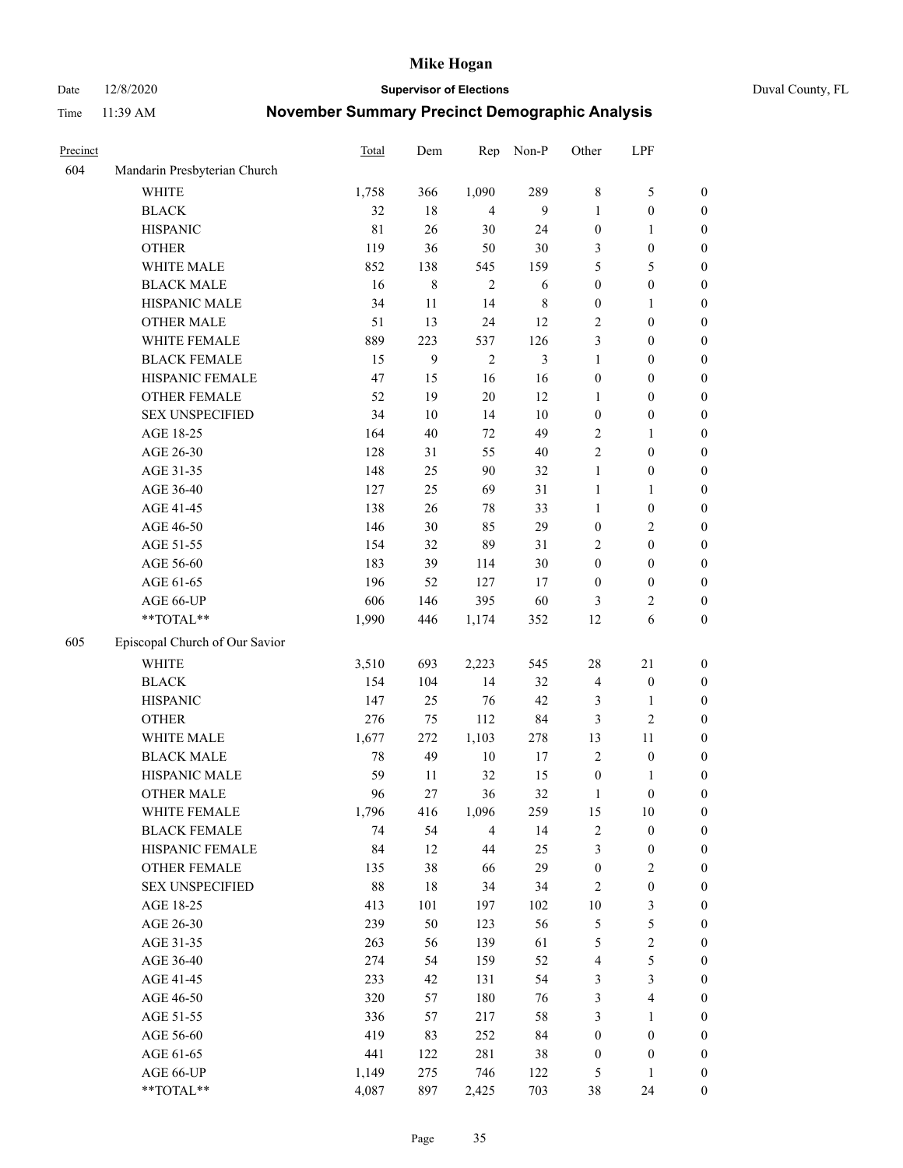Date 12/8/2020 **Supervisor of Elections** Duval County, FL

| Precinct |                                | Total       | Dem    | Rep            | Non-P       | Other            | LPF                     |                  |
|----------|--------------------------------|-------------|--------|----------------|-------------|------------------|-------------------------|------------------|
| 604      | Mandarin Presbyterian Church   |             |        |                |             |                  |                         |                  |
|          | <b>WHITE</b>                   | 1,758       | 366    | 1,090          | 289         | $\,$ 8 $\,$      | $\mathfrak{S}$          | 0                |
|          | <b>BLACK</b>                   | 32          | 18     | 4              | 9           | $\mathbf{1}$     | $\boldsymbol{0}$        | 0                |
|          | <b>HISPANIC</b>                | $8\sqrt{1}$ | 26     | 30             | 24          | $\boldsymbol{0}$ | $\mathbf{1}$            | $\boldsymbol{0}$ |
|          | <b>OTHER</b>                   | 119         | 36     | 50             | $30\,$      | 3                | $\boldsymbol{0}$        | $\boldsymbol{0}$ |
|          | WHITE MALE                     | 852         | 138    | 545            | 159         | 5                | 5                       | $\boldsymbol{0}$ |
|          | <b>BLACK MALE</b>              | 16          | 8      | $\overline{2}$ | 6           | $\boldsymbol{0}$ | $\boldsymbol{0}$        | $\boldsymbol{0}$ |
|          | HISPANIC MALE                  | 34          | 11     | 14             | $\,$ 8 $\,$ | $\boldsymbol{0}$ | $\mathbf{1}$            | $\boldsymbol{0}$ |
|          | <b>OTHER MALE</b>              | 51          | 13     | 24             | 12          | $\overline{c}$   | $\boldsymbol{0}$        | $\boldsymbol{0}$ |
|          | WHITE FEMALE                   | 889         | 223    | 537            | 126         | 3                | $\boldsymbol{0}$        | $\boldsymbol{0}$ |
|          | <b>BLACK FEMALE</b>            | 15          | 9      | $\sqrt{2}$     | 3           | $\mathbf{1}$     | $\boldsymbol{0}$        | 0                |
|          | HISPANIC FEMALE                | 47          | 15     | 16             | 16          | $\boldsymbol{0}$ | $\boldsymbol{0}$        | 0                |
|          | OTHER FEMALE                   | 52          | 19     | $20\,$         | 12          | $\mathbf{1}$     | $\boldsymbol{0}$        | 0                |
|          | <b>SEX UNSPECIFIED</b>         | 34          | $10\,$ | 14             | 10          | $\boldsymbol{0}$ | $\boldsymbol{0}$        | $\boldsymbol{0}$ |
|          | AGE 18-25                      | 164         | 40     | 72             | 49          | $\overline{c}$   | $\mathbf{1}$            | $\boldsymbol{0}$ |
|          | AGE 26-30                      | 128         | 31     | 55             | 40          | $\overline{c}$   | $\boldsymbol{0}$        | $\boldsymbol{0}$ |
|          | AGE 31-35                      | 148         | 25     | 90             | 32          | $\mathbf{1}$     | $\boldsymbol{0}$        | $\boldsymbol{0}$ |
|          | AGE 36-40                      | 127         | 25     | 69             | 31          | $\mathbf{1}$     | $\mathbf{1}$            | $\boldsymbol{0}$ |
|          | AGE 41-45                      | 138         | 26     | $78\,$         | 33          | $\mathbf{1}$     | $\boldsymbol{0}$        | $\boldsymbol{0}$ |
|          | AGE 46-50                      | 146         | 30     | 85             | 29          | $\boldsymbol{0}$ | $\mathfrak{2}$          | $\boldsymbol{0}$ |
|          | AGE 51-55                      | 154         | 32     | 89             | 31          | 2                | $\boldsymbol{0}$        | $\boldsymbol{0}$ |
|          | AGE 56-60                      | 183         | 39     | 114            | 30          | $\boldsymbol{0}$ | $\boldsymbol{0}$        | 0                |
|          | AGE 61-65                      | 196         | 52     | 127            | 17          | $\boldsymbol{0}$ | $\boldsymbol{0}$        | 0                |
|          | AGE 66-UP                      | 606         | 146    | 395            | 60          | 3                | $\overline{c}$          | 0                |
|          | **TOTAL**                      | 1,990       | 446    | 1,174          | 352         | 12               | 6                       | $\boldsymbol{0}$ |
| 605      | Episcopal Church of Our Savior |             |        |                |             |                  |                         |                  |
|          | <b>WHITE</b>                   | 3,510       | 693    | 2,223          | 545         | 28               | $21\,$                  | $\boldsymbol{0}$ |
|          | <b>BLACK</b>                   | 154         | 104    | 14             | 32          | 4                | $\boldsymbol{0}$        | $\boldsymbol{0}$ |
|          | <b>HISPANIC</b>                | 147         | 25     | 76             | 42          | 3                | $\mathbf{1}$            | $\boldsymbol{0}$ |
|          | <b>OTHER</b>                   | 276         | 75     | 112            | 84          | 3                | $\sqrt{2}$              | $\boldsymbol{0}$ |
|          | WHITE MALE                     | 1,677       | 272    | 1,103          | 278         | 13               | 11                      | $\boldsymbol{0}$ |
|          | <b>BLACK MALE</b>              | 78          | 49     | $10\,$         | $17\,$      | $\overline{2}$   | $\boldsymbol{0}$        | $\boldsymbol{0}$ |
|          | HISPANIC MALE                  | 59          | 11     | 32             | 15          | $\boldsymbol{0}$ | 1                       | 0                |
|          | <b>OTHER MALE</b>              | 96          | 27     | 36             | 32          | 1                | $\boldsymbol{0}$        | 0                |
|          | WHITE FEMALE                   | 1,796       | 416    | 1,096          | 259         | 15               | 10                      | 0                |
|          | <b>BLACK FEMALE</b>            | 74          | 54     | $\overline{4}$ | 14          | $\sqrt{2}$       | $\boldsymbol{0}$        | $\boldsymbol{0}$ |
|          | HISPANIC FEMALE                | 84          | 12     | $44\,$         | 25          | 3                | $\boldsymbol{0}$        | $\boldsymbol{0}$ |
|          | <b>OTHER FEMALE</b>            | 135         | 38     | 66             | 29          | $\boldsymbol{0}$ | $\sqrt{2}$              | $\overline{0}$   |
|          | <b>SEX UNSPECIFIED</b>         | 88          | 18     | 34             | 34          | $\overline{c}$   | $\boldsymbol{0}$        | 0                |
|          | AGE 18-25                      | 413         | 101    | 197            | 102         | $10\,$           | $\mathfrak{Z}$          | $\overline{0}$   |
|          | AGE 26-30                      | 239         | 50     | 123            | 56          | 5                | $\mathfrak s$           | 0                |
|          | AGE 31-35                      | 263         | 56     | 139            | 61          | 5                | $\sqrt{2}$              | 0                |
|          | AGE 36-40                      | 274         | 54     | 159            | 52          | 4                | 5                       | 0                |
|          | AGE 41-45                      | 233         | 42     | 131            | 54          | 3                | $\mathfrak{Z}$          | 0                |
|          | AGE 46-50                      | 320         | 57     | 180            | 76          | $\mathfrak{Z}$   | $\overline{\mathbf{4}}$ | 0                |
|          | AGE 51-55                      | 336         | 57     | 217            | 58          | 3                | $\mathbf{1}$            | $\boldsymbol{0}$ |
|          | AGE 56-60                      | 419         | 83     | 252            | 84          | $\boldsymbol{0}$ | $\boldsymbol{0}$        | $\boldsymbol{0}$ |
|          | AGE 61-65                      | 441         | 122    | 281            | 38          | $\boldsymbol{0}$ | $\boldsymbol{0}$        | $\boldsymbol{0}$ |
|          | AGE 66-UP                      | 1,149       | 275    | 746            | 122         | 5                | $\mathbf{1}$            | $\boldsymbol{0}$ |
|          | **TOTAL**                      | 4,087       | 897    | 2,425          | 703         | 38               | 24                      | $\boldsymbol{0}$ |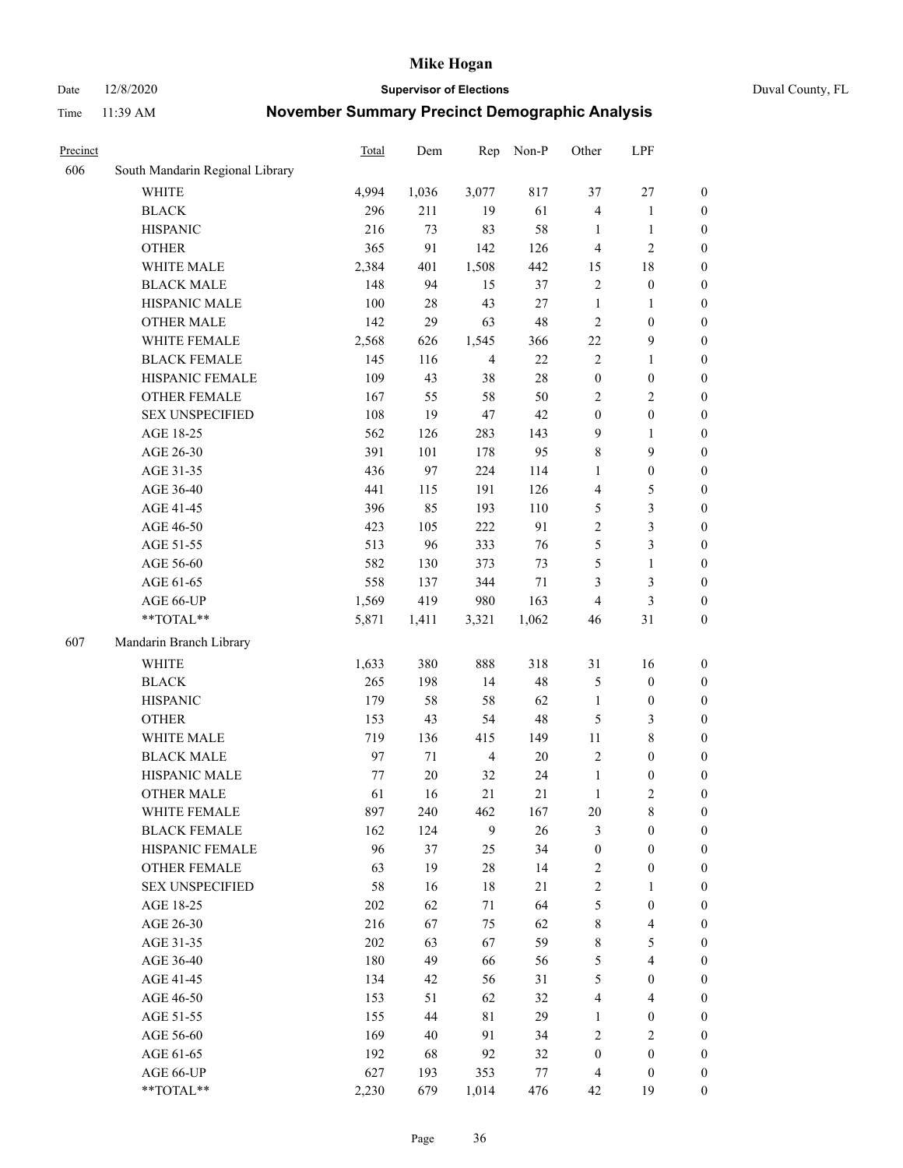Date 12/8/2020 **Supervisor of Elections** Duval County, FL

| Precinct |                                 | Total   | Dem    | Rep            | Non-P  | Other            | LPF                     |                  |
|----------|---------------------------------|---------|--------|----------------|--------|------------------|-------------------------|------------------|
| 606      | South Mandarin Regional Library |         |        |                |        |                  |                         |                  |
|          | <b>WHITE</b>                    | 4,994   | 1,036  | 3,077          | 817    | 37               | $27\,$                  | 0                |
|          | <b>BLACK</b>                    | 296     | 211    | 19             | 61     | 4                | $\mathbf{1}$            | 0                |
|          | <b>HISPANIC</b>                 | 216     | 73     | 83             | 58     | 1                | $\mathbf{1}$            | $\boldsymbol{0}$ |
|          | <b>OTHER</b>                    | 365     | 91     | 142            | 126    | 4                | $\mathfrak{2}$          | $\boldsymbol{0}$ |
|          | WHITE MALE                      | 2,384   | 401    | 1,508          | 442    | 15               | $18\,$                  | $\boldsymbol{0}$ |
|          | <b>BLACK MALE</b>               | 148     | 94     | 15             | 37     | $\sqrt{2}$       | $\boldsymbol{0}$        | $\boldsymbol{0}$ |
|          | HISPANIC MALE                   | 100     | 28     | 43             | 27     | $\mathbf{1}$     | $\mathbf{1}$            | $\boldsymbol{0}$ |
|          | <b>OTHER MALE</b>               | 142     | 29     | 63             | 48     | $\mathfrak{2}$   | $\boldsymbol{0}$        | $\boldsymbol{0}$ |
|          | WHITE FEMALE                    | 2,568   | 626    | 1,545          | 366    | $22\,$           | $\mathbf{9}$            | $\boldsymbol{0}$ |
|          | <b>BLACK FEMALE</b>             | 145     | 116    | $\overline{4}$ | $22\,$ | $\sqrt{2}$       | $\mathbf{1}$            | $\boldsymbol{0}$ |
|          | HISPANIC FEMALE                 | 109     | 43     | 38             | $28\,$ | $\boldsymbol{0}$ | $\boldsymbol{0}$        | 0                |
|          | <b>OTHER FEMALE</b>             | 167     | 55     | 58             | 50     | $\overline{2}$   | $\sqrt{2}$              | 0                |
|          | <b>SEX UNSPECIFIED</b>          | 108     | 19     | 47             | 42     | $\boldsymbol{0}$ | $\boldsymbol{0}$        | $\boldsymbol{0}$ |
|          | AGE 18-25                       | 562     | 126    | 283            | 143    | 9                | $\mathbf{1}$            | $\boldsymbol{0}$ |
|          | AGE 26-30                       | 391     | 101    | 178            | 95     | 8                | 9                       | $\boldsymbol{0}$ |
|          | AGE 31-35                       | 436     | 97     | 224            | 114    | $\mathbf{1}$     | $\boldsymbol{0}$        | $\boldsymbol{0}$ |
|          | AGE 36-40                       | 441     | 115    | 191            | 126    | 4                | $\mathfrak{S}$          | $\boldsymbol{0}$ |
|          | AGE 41-45                       | 396     | 85     | 193            | 110    | 5                | $\mathfrak{Z}$          | $\boldsymbol{0}$ |
|          | AGE 46-50                       | 423     | 105    | 222            | 91     | $\overline{c}$   | $\mathfrak{Z}$          | $\boldsymbol{0}$ |
|          | AGE 51-55                       | 513     | 96     | 333            | 76     | 5                | $\mathfrak{Z}$          | $\boldsymbol{0}$ |
|          | AGE 56-60                       | 582     | 130    | 373            | 73     | 5                | $\mathbf{1}$            | 0                |
|          | AGE 61-65                       | 558     | 137    | 344            | $71\,$ | 3                | $\mathfrak{Z}$          | 0                |
|          | AGE 66-UP                       | 1,569   | 419    | 980            | 163    | $\overline{4}$   | $\mathfrak{Z}$          | $\boldsymbol{0}$ |
|          | $**TOTAL**$                     | 5,871   | 1,411  | 3,321          | 1,062  | 46               | $31\,$                  | $\boldsymbol{0}$ |
| 607      | Mandarin Branch Library         |         |        |                |        |                  |                         |                  |
|          | <b>WHITE</b>                    | 1,633   | 380    | 888            | 318    | 31               | 16                      | $\boldsymbol{0}$ |
|          | <b>BLACK</b>                    | 265     | 198    | 14             | 48     | 5                | $\boldsymbol{0}$        | $\boldsymbol{0}$ |
|          | <b>HISPANIC</b>                 | 179     | 58     | 58             | 62     | $\mathbf{1}$     | $\boldsymbol{0}$        | $\boldsymbol{0}$ |
|          | <b>OTHER</b>                    | 153     | 43     | 54             | 48     | 5                | $\mathfrak{Z}$          | $\boldsymbol{0}$ |
|          | WHITE MALE                      | 719     | 136    | 415            | 149    | $11\,$           | $8\,$                   | $\boldsymbol{0}$ |
|          | <b>BLACK MALE</b>               | 97      | 71     | $\overline{4}$ | 20     | $\overline{c}$   | $\boldsymbol{0}$        | $\boldsymbol{0}$ |
|          | HISPANIC MALE                   | 77      | $20\,$ | 32             | 24     | $\mathbf{1}$     | $\boldsymbol{0}$        | $\boldsymbol{0}$ |
|          | <b>OTHER MALE</b>               | 61      | 16     | 21             | 21     | $\mathbf{1}$     | $\mathbf{2}$            | $\boldsymbol{0}$ |
|          | WHITE FEMALE                    | 897     | 240    | 462            | 167    | 20               | 8                       | 0                |
|          | <b>BLACK FEMALE</b>             | 162     | 124    | 9              | 26     | 3                | $\boldsymbol{0}$        | $\boldsymbol{0}$ |
|          | HISPANIC FEMALE                 | 96      | 37     | 25             | 34     | $\boldsymbol{0}$ | $\boldsymbol{0}$        | $\overline{0}$   |
|          | OTHER FEMALE                    | 63      | 19     | $28\,$         | 14     | $\boldsymbol{2}$ | $\boldsymbol{0}$        | $\overline{0}$   |
|          | <b>SEX UNSPECIFIED</b>          | 58      | 16     | $18\,$         | 21     | 2                | $\mathbf{1}$            | 0                |
|          | AGE 18-25                       | 202     | 62     | 71             | 64     | 5                | $\boldsymbol{0}$        | 0                |
|          | AGE 26-30                       | 216     | 67     | 75             | 62     | 8                | $\overline{\mathbf{4}}$ | 0                |
|          | AGE 31-35                       | $202\,$ | 63     | 67             | 59     | 8                | $\mathfrak{S}$          | 0                |
|          | AGE 36-40                       | 180     | 49     | 66             | 56     | 5                | $\overline{\mathbf{4}}$ | 0                |
|          | AGE 41-45                       | 134     | 42     | 56             | 31     | 5                | $\boldsymbol{0}$        | 0                |
|          | AGE 46-50                       | 153     | 51     | 62             | 32     | 4                | $\overline{4}$          | 0                |
|          | AGE 51-55                       | 155     | 44     | 81             | 29     | 1                | $\boldsymbol{0}$        | $\boldsymbol{0}$ |
|          | AGE 56-60                       | 169     | 40     | 91             | 34     | $\overline{c}$   | $\sqrt{2}$              | $\overline{0}$   |
|          | AGE 61-65                       | 192     | 68     | 92             | 32     | $\boldsymbol{0}$ | $\boldsymbol{0}$        | $\boldsymbol{0}$ |
|          | AGE 66-UP                       | 627     | 193    | 353            | 77     | $\overline{4}$   | $\boldsymbol{0}$        | 0                |
|          | **TOTAL**                       | 2,230   | 679    | 1,014          | 476    | 42               | 19                      | $\boldsymbol{0}$ |
|          |                                 |         |        |                |        |                  |                         |                  |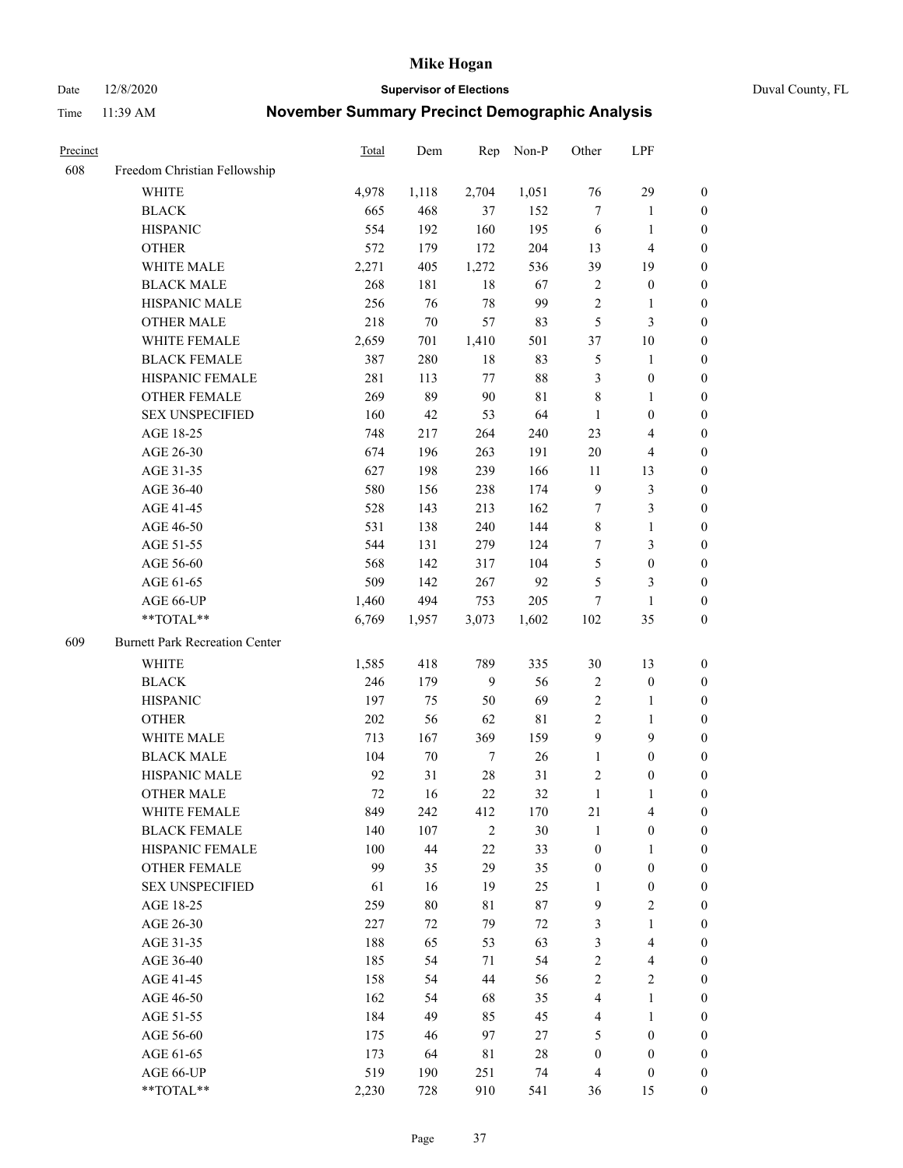Date 12/8/2020 **Supervisor of Elections** Duval County, FL

| Precinct |                                       | <b>Total</b> | Dem    | Rep            | Non-P       | Other            | LPF                     |                  |
|----------|---------------------------------------|--------------|--------|----------------|-------------|------------------|-------------------------|------------------|
| 608      | Freedom Christian Fellowship          |              |        |                |             |                  |                         |                  |
|          | <b>WHITE</b>                          | 4,978        | 1,118  | 2,704          | 1,051       | 76               | 29                      | 0                |
|          | <b>BLACK</b>                          | 665          | 468    | 37             | 152         | $\tau$           | $\mathbf{1}$            | 0                |
|          | <b>HISPANIC</b>                       | 554          | 192    | 160            | 195         | 6                | $\mathbf{1}$            | $\boldsymbol{0}$ |
|          | <b>OTHER</b>                          | 572          | 179    | 172            | 204         | 13               | $\overline{\mathbf{4}}$ | $\boldsymbol{0}$ |
|          | WHITE MALE                            | 2,271        | 405    | 1,272          | 536         | 39               | 19                      | $\boldsymbol{0}$ |
|          | <b>BLACK MALE</b>                     | 268          | 181    | 18             | 67          | 2                | $\boldsymbol{0}$        | $\boldsymbol{0}$ |
|          | HISPANIC MALE                         | 256          | 76     | $78\,$         | 99          | $\sqrt{2}$       | $\mathbf{1}$            | $\boldsymbol{0}$ |
|          | <b>OTHER MALE</b>                     | 218          | $70\,$ | 57             | 83          | 5                | $\mathfrak{Z}$          | $\boldsymbol{0}$ |
|          | WHITE FEMALE                          | 2,659        | 701    | 1,410          | 501         | 37               | $10\,$                  | $\boldsymbol{0}$ |
|          | <b>BLACK FEMALE</b>                   | 387          | 280    | 18             | 83          | 5                | $\mathbf{1}$            | 0                |
|          | HISPANIC FEMALE                       | 281          | 113    | 77             | $88\,$      | 3                | $\boldsymbol{0}$        | 0                |
|          | OTHER FEMALE                          | 269          | 89     | $90\,$         | $8\sqrt{1}$ | $\,$ 8 $\,$      | $\mathbf{1}$            | 0                |
|          | <b>SEX UNSPECIFIED</b>                | 160          | 42     | 53             | 64          | $\mathbf{1}$     | $\boldsymbol{0}$        | $\boldsymbol{0}$ |
|          | AGE 18-25                             | 748          | 217    | 264            | 240         | 23               | $\overline{\mathbf{4}}$ | $\boldsymbol{0}$ |
|          | AGE 26-30                             | 674          | 196    | 263            | 191         | 20               | $\overline{\mathbf{4}}$ | $\boldsymbol{0}$ |
|          | AGE 31-35                             | 627          | 198    | 239            | 166         | 11               | 13                      | $\boldsymbol{0}$ |
|          | AGE 36-40                             | 580          | 156    | 238            | 174         | $\overline{9}$   | $\mathfrak{Z}$          | $\boldsymbol{0}$ |
|          | AGE 41-45                             | 528          | 143    | 213            | 162         | $\tau$           | $\mathfrak{Z}$          | $\boldsymbol{0}$ |
|          | AGE 46-50                             | 531          | 138    | 240            | 144         | 8                | $\mathbf{1}$            | $\boldsymbol{0}$ |
|          | AGE 51-55                             | 544          | 131    | 279            | 124         | 7                | $\mathfrak{Z}$          | 0                |
|          | AGE 56-60                             | 568          | 142    | 317            | 104         | 5                | $\boldsymbol{0}$        | 0                |
|          | AGE 61-65                             | 509          | 142    | 267            | 92          | 5                | 3                       | 0                |
|          | AGE 66-UP                             | 1,460        | 494    | 753            | 205         | 7                | $\mathbf{1}$            | $\boldsymbol{0}$ |
|          | **TOTAL**                             | 6,769        | 1,957  | 3,073          | 1,602       | 102              | 35                      | $\boldsymbol{0}$ |
| 609      | <b>Burnett Park Recreation Center</b> |              |        |                |             |                  |                         |                  |
|          | <b>WHITE</b>                          | 1,585        | 418    | 789            | 335         | $30\,$           | 13                      | $\boldsymbol{0}$ |
|          | <b>BLACK</b>                          | 246          | 179    | 9              | 56          | 2                | $\boldsymbol{0}$        | $\boldsymbol{0}$ |
|          | <b>HISPANIC</b>                       | 197          | 75     | 50             | 69          | 2                | $\mathbf{1}$            | $\boldsymbol{0}$ |
|          | <b>OTHER</b>                          | 202          | 56     | 62             | 81          | $\mathfrak{2}$   | $\mathbf{1}$            | $\boldsymbol{0}$ |
|          | WHITE MALE                            | 713          | 167    | 369            | 159         | 9                | 9                       | $\boldsymbol{0}$ |
|          | <b>BLACK MALE</b>                     | 104          | $70\,$ | 7              | 26          | $\mathbf{1}$     | $\boldsymbol{0}$        | $\boldsymbol{0}$ |
|          | HISPANIC MALE                         | 92           | 31     | $28\,$         | 31          | 2                | $\boldsymbol{0}$        | 0                |
|          | <b>OTHER MALE</b>                     | 72           | 16     | 22             | 32          | $\mathbf{1}$     | 1                       | 0                |
|          | WHITE FEMALE                          | 849          | 242    | 412            | 170         | 21               | 4                       | 0                |
|          | <b>BLACK FEMALE</b>                   | 140          | 107    | $\overline{2}$ | 30          | $\mathbf{1}$     | $\boldsymbol{0}$        | $\boldsymbol{0}$ |
|          | HISPANIC FEMALE                       | 100          | 44     | $22\,$         | 33          | $\boldsymbol{0}$ | $\mathbf{1}$            | $\overline{0}$   |
|          | <b>OTHER FEMALE</b>                   | 99           | 35     | 29             | 35          | $\boldsymbol{0}$ | $\boldsymbol{0}$        | $\overline{0}$   |
|          | <b>SEX UNSPECIFIED</b>                | 61           | 16     | 19             | 25          | $\mathbf{1}$     | $\boldsymbol{0}$        | 0                |
|          | AGE 18-25                             | 259          | 80     | $8\sqrt{1}$    | 87          | 9                | $\sqrt{2}$              | 0                |
|          | AGE 26-30                             | 227          | 72     | 79             | $72\,$      | 3                | $\mathbf{1}$            | 0                |
|          | AGE 31-35                             | 188          | 65     | 53             | 63          | 3                | $\overline{\mathbf{4}}$ | 0                |
|          | AGE 36-40                             | 185          | 54     | 71             | 54          | $\overline{c}$   | $\overline{\mathbf{4}}$ | 0                |
|          | AGE 41-45                             | 158          | 54     | 44             | 56          | $\mathfrak{2}$   | $\overline{2}$          | 0                |
|          | AGE 46-50                             | 162          | 54     | 68             | 35          | 4                | $\mathbf{1}$            | 0                |
|          | AGE 51-55                             | 184          | 49     | 85             | 45          | $\overline{4}$   | $\mathbf{1}$            | 0                |
|          | AGE 56-60                             | 175          | 46     | 97             | 27          | 5                | $\boldsymbol{0}$        | 0                |
|          | AGE 61-65                             | 173          | 64     | 81             | 28          | $\boldsymbol{0}$ | $\boldsymbol{0}$        | $\overline{0}$   |
|          | AGE 66-UP                             | 519          | 190    | 251            | 74          | $\overline{4}$   | $\boldsymbol{0}$        | 0                |
|          | **TOTAL**                             | 2,230        | 728    | 910            | 541         | 36               | 15                      | $\boldsymbol{0}$ |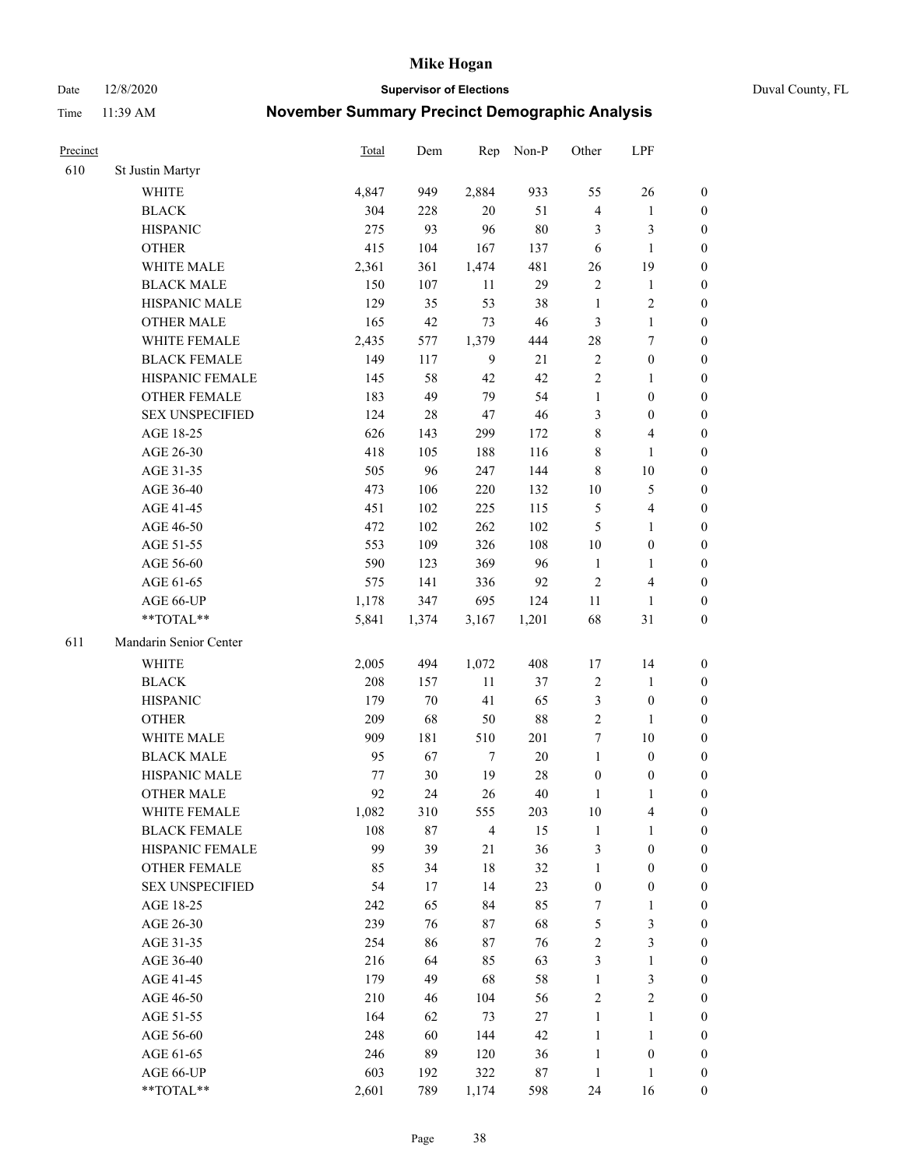Date 12/8/2020 **Supervisor of Elections** Duval County, FL

| Precinct |                        | Total | Dem    | Rep            | Non-P  | Other            | LPF                     |                  |
|----------|------------------------|-------|--------|----------------|--------|------------------|-------------------------|------------------|
| 610      | St Justin Martyr       |       |        |                |        |                  |                         |                  |
|          | <b>WHITE</b>           | 4,847 | 949    | 2,884          | 933    | 55               | 26                      | 0                |
|          | <b>BLACK</b>           | 304   | 228    | 20             | 51     | 4                | $\mathbf{1}$            | 0                |
|          | <b>HISPANIC</b>        | 275   | 93     | 96             | $80\,$ | 3                | 3                       | $\boldsymbol{0}$ |
|          | <b>OTHER</b>           | 415   | 104    | 167            | 137    | 6                | $\mathbf{1}$            | $\boldsymbol{0}$ |
|          | WHITE MALE             | 2,361 | 361    | 1,474          | 481    | 26               | 19                      | $\boldsymbol{0}$ |
|          | <b>BLACK MALE</b>      | 150   | 107    | 11             | 29     | $\sqrt{2}$       | $\mathbf{1}$            | $\boldsymbol{0}$ |
|          | HISPANIC MALE          | 129   | 35     | 53             | 38     | $\mathbf{1}$     | $\sqrt{2}$              | $\boldsymbol{0}$ |
|          | <b>OTHER MALE</b>      | 165   | 42     | 73             | 46     | 3                | $\mathbf{1}$            | $\boldsymbol{0}$ |
|          | WHITE FEMALE           | 2,435 | 577    | 1,379          | 444    | 28               | $\boldsymbol{7}$        | $\boldsymbol{0}$ |
|          | <b>BLACK FEMALE</b>    | 149   | 117    | $\mathbf{9}$   | 21     | $\sqrt{2}$       | $\boldsymbol{0}$        | 0                |
|          | HISPANIC FEMALE        | 145   | 58     | 42             | 42     | $\sqrt{2}$       | $\mathbf{1}$            | 0                |
|          | <b>OTHER FEMALE</b>    | 183   | 49     | 79             | 54     | $\mathbf{1}$     | $\boldsymbol{0}$        | $\boldsymbol{0}$ |
|          | <b>SEX UNSPECIFIED</b> | 124   | $28\,$ | 47             | 46     | 3                | $\boldsymbol{0}$        | $\boldsymbol{0}$ |
|          | AGE 18-25              | 626   | 143    | 299            | 172    | $\,$ $\,$        | $\overline{\mathbf{4}}$ | $\boldsymbol{0}$ |
|          | AGE 26-30              | 418   | 105    | 188            | 116    | 8                | $\mathbf{1}$            | $\boldsymbol{0}$ |
|          | AGE 31-35              | 505   | 96     | 247            | 144    | $\,8\,$          | $10\,$                  | $\boldsymbol{0}$ |
|          | AGE 36-40              | 473   | 106    | 220            | 132    | $10\,$           | $\mathfrak{S}$          | $\boldsymbol{0}$ |
|          | AGE 41-45              | 451   | 102    | 225            | 115    | 5                | $\overline{\mathbf{4}}$ | $\boldsymbol{0}$ |
|          | AGE 46-50              | 472   | 102    | 262            | 102    | 5                | $\mathbf{1}$            | $\boldsymbol{0}$ |
|          | AGE 51-55              | 553   | 109    | 326            | 108    | $10\,$           | $\boldsymbol{0}$        | 0                |
|          | AGE 56-60              | 590   | 123    | 369            | 96     | $\mathbf{1}$     | $\mathbf{1}$            | 0                |
|          | AGE 61-65              | 575   | 141    | 336            | 92     | $\sqrt{2}$       | $\overline{\mathbf{4}}$ | 0                |
|          | AGE 66-UP              | 1,178 | 347    | 695            | 124    | 11               | $\mathbf{1}$            | $\boldsymbol{0}$ |
|          | **TOTAL**              | 5,841 | 1,374  | 3,167          | 1,201  | 68               | $31\,$                  | $\boldsymbol{0}$ |
| 611      | Mandarin Senior Center |       |        |                |        |                  |                         |                  |
|          | <b>WHITE</b>           | 2,005 | 494    | 1,072          | 408    | 17               | 14                      | $\boldsymbol{0}$ |
|          | <b>BLACK</b>           | 208   | 157    | $11\,$         | 37     | $\boldsymbol{2}$ | $\mathbf{1}$            | $\boldsymbol{0}$ |
|          | <b>HISPANIC</b>        | 179   | 70     | 41             | 65     | 3                | $\boldsymbol{0}$        | $\boldsymbol{0}$ |
|          | <b>OTHER</b>           | 209   | 68     | 50             | $88\,$ | $\overline{c}$   | $\mathbf{1}$            | $\boldsymbol{0}$ |
|          | WHITE MALE             | 909   | 181    | 510            | 201    | 7                | $10\,$                  | $\boldsymbol{0}$ |
|          | <b>BLACK MALE</b>      | 95    | 67     | $\tau$         | $20\,$ | $\mathbf{1}$     | $\boldsymbol{0}$        | $\boldsymbol{0}$ |
|          | HISPANIC MALE          | 77    | 30     | 19             | $28\,$ | $\boldsymbol{0}$ | $\boldsymbol{0}$        | 0                |
|          | <b>OTHER MALE</b>      | 92    | 24     | 26             | 40     | $\mathbf{1}$     | $\mathbf{1}$            | $\boldsymbol{0}$ |
|          | WHITE FEMALE           | 1,082 | 310    | 555            | 203    | 10               | 4                       | 0                |
|          | <b>BLACK FEMALE</b>    | 108   | 87     | $\overline{4}$ | 15     | $\mathbf{1}$     | $\mathbf{1}$            | $\overline{0}$   |
|          | HISPANIC FEMALE        | 99    | 39     | 21             | 36     | 3                | $\boldsymbol{0}$        | $\overline{0}$   |
|          | OTHER FEMALE           | 85    | 34     | 18             | 32     | $\mathbf{1}$     | $\boldsymbol{0}$        | 0                |
|          | <b>SEX UNSPECIFIED</b> | 54    | 17     | 14             | 23     | $\boldsymbol{0}$ | $\boldsymbol{0}$        | 0                |
|          | AGE 18-25              | 242   | 65     | 84             | 85     | 7                | $\mathbf{1}$            | 0                |
|          | AGE 26-30              | 239   | 76     | 87             | 68     | 5                | $\mathfrak{Z}$          | 0                |
|          | AGE 31-35              | 254   | 86     | 87             | 76     | $\overline{c}$   | $\mathfrak{Z}$          | 0                |
|          | AGE 36-40              | 216   | 64     | 85             | 63     | 3                | $\mathbf{1}$            | 0                |
|          | AGE 41-45              | 179   | 49     | 68             | 58     | $\mathbf{1}$     | $\mathfrak{Z}$          | 0                |
|          | AGE 46-50              | 210   | 46     | 104            | 56     | $\sqrt{2}$       | $\sqrt{2}$              | 0                |
|          | AGE 51-55              | 164   | 62     | 73             | 27     | $\mathbf{1}$     | $\mathbf{1}$            | 0                |
|          | AGE 56-60              | 248   | 60     | 144            | 42     | $\mathbf{1}$     | $\mathbf{1}$            | 0                |
|          | AGE 61-65              | 246   | 89     | 120            | 36     | $\mathbf{1}$     | $\boldsymbol{0}$        | 0                |
|          | AGE 66-UP              | 603   | 192    | 322            | 87     | $\mathbf{1}$     | $\mathbf{1}$            | 0                |
|          | **TOTAL**              | 2,601 | 789    | 1,174          | 598    | 24               | 16                      | $\boldsymbol{0}$ |
|          |                        |       |        |                |        |                  |                         |                  |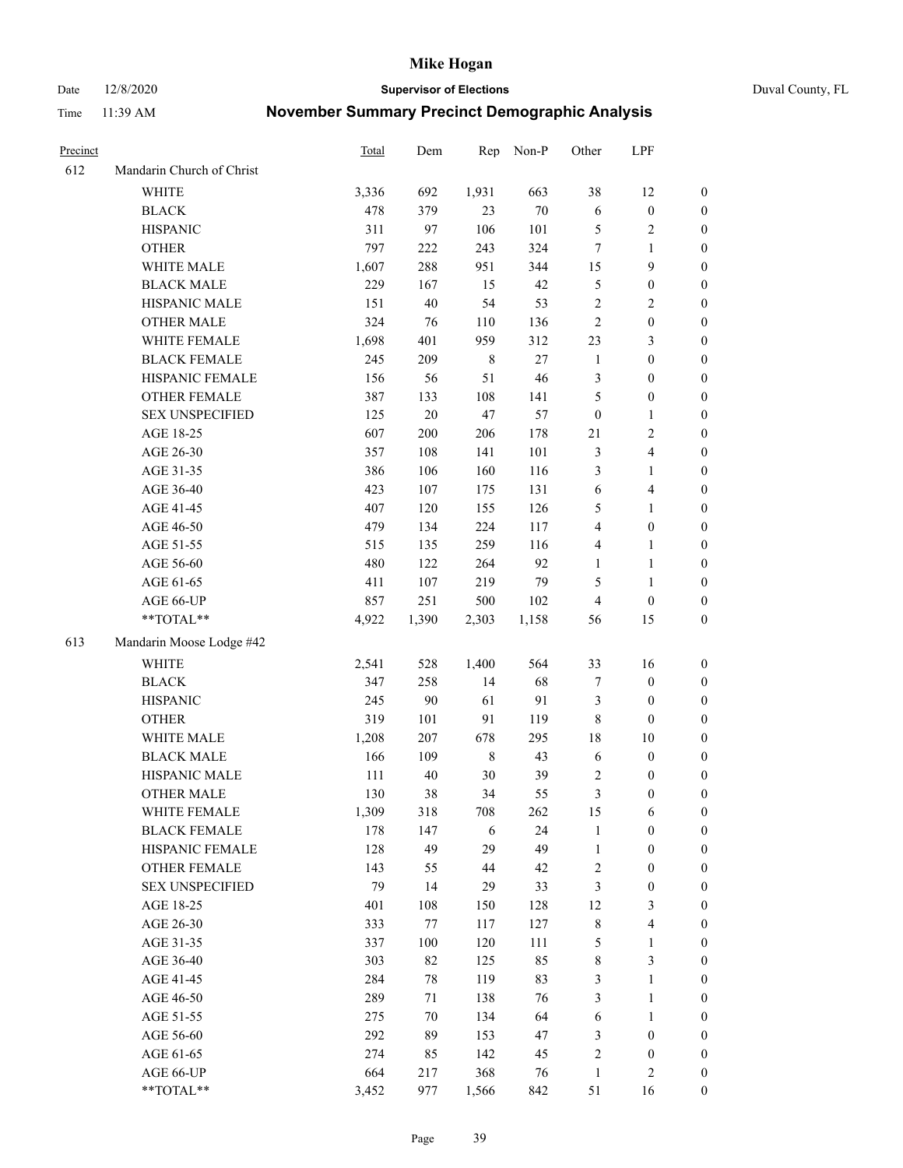Date 12/8/2020 **Supervisor of Elections** Duval County, FL

| Precinct |                           | Total   | Dem    | Rep         | Non-P  | Other            | LPF                     |                  |
|----------|---------------------------|---------|--------|-------------|--------|------------------|-------------------------|------------------|
| 612      | Mandarin Church of Christ |         |        |             |        |                  |                         |                  |
|          | <b>WHITE</b>              | 3,336   | 692    | 1,931       | 663    | 38               | 12                      | 0                |
|          | <b>BLACK</b>              | 478     | 379    | 23          | $70\,$ | $\sqrt{6}$       | $\boldsymbol{0}$        | 0                |
|          | <b>HISPANIC</b>           | 311     | 97     | 106         | 101    | 5                | $\sqrt{2}$              | $\boldsymbol{0}$ |
|          | <b>OTHER</b>              | 797     | 222    | 243         | 324    | 7                | 1                       | $\boldsymbol{0}$ |
|          | WHITE MALE                | 1,607   | 288    | 951         | 344    | 15               | 9                       | $\boldsymbol{0}$ |
|          | <b>BLACK MALE</b>         | 229     | 167    | 15          | 42     | 5                | $\boldsymbol{0}$        | $\boldsymbol{0}$ |
|          | HISPANIC MALE             | 151     | $40\,$ | 54          | 53     | $\sqrt{2}$       | $\sqrt{2}$              | $\boldsymbol{0}$ |
|          | <b>OTHER MALE</b>         | 324     | 76     | 110         | 136    | $\mathbf{2}$     | $\boldsymbol{0}$        | $\boldsymbol{0}$ |
|          | WHITE FEMALE              | 1,698   | 401    | 959         | 312    | 23               | $\mathfrak{Z}$          | $\boldsymbol{0}$ |
|          | <b>BLACK FEMALE</b>       | 245     | 209    | $\,$ 8 $\,$ | 27     | $\mathbf{1}$     | $\boldsymbol{0}$        | 0                |
|          | HISPANIC FEMALE           | 156     | 56     | 51          | 46     | 3                | $\boldsymbol{0}$        | 0                |
|          | OTHER FEMALE              | 387     | 133    | 108         | 141    | 5                | $\boldsymbol{0}$        | $\boldsymbol{0}$ |
|          | <b>SEX UNSPECIFIED</b>    | 125     | $20\,$ | 47          | 57     | $\boldsymbol{0}$ | $\mathbf{1}$            | $\boldsymbol{0}$ |
|          | AGE 18-25                 | 607     | 200    | 206         | 178    | 21               | $\sqrt{2}$              | $\boldsymbol{0}$ |
|          | AGE 26-30                 | 357     | 108    | 141         | 101    | 3                | $\overline{\mathbf{4}}$ | $\boldsymbol{0}$ |
|          | AGE 31-35                 | 386     | 106    | 160         | 116    | 3                | $\mathbf{1}$            | $\boldsymbol{0}$ |
|          | AGE 36-40                 | 423     | 107    | 175         | 131    | $\sqrt{6}$       | $\overline{\mathbf{4}}$ | $\boldsymbol{0}$ |
|          | AGE 41-45                 | 407     | 120    | 155         | 126    | 5                | $\mathbf{1}$            | $\boldsymbol{0}$ |
|          | AGE 46-50                 | 479     | 134    | 224         | 117    | $\overline{4}$   | $\boldsymbol{0}$        | $\boldsymbol{0}$ |
|          | AGE 51-55                 | 515     | 135    | 259         | 116    | $\overline{4}$   | $\mathbf{1}$            | 0                |
|          | AGE 56-60                 | 480     | 122    | 264         | 92     | $\mathbf{1}$     | $\mathbf{1}$            | 0                |
|          | AGE 61-65                 | 411     | 107    | 219         | 79     | 5                | $\mathbf{1}$            | 0                |
|          | AGE 66-UP                 | 857     | 251    | 500         | 102    | $\overline{4}$   | $\boldsymbol{0}$        | $\boldsymbol{0}$ |
|          | **TOTAL**                 | 4,922   | 1,390  | 2,303       | 1,158  | 56               | 15                      | $\boldsymbol{0}$ |
| 613      | Mandarin Moose Lodge #42  |         |        |             |        |                  |                         |                  |
|          | <b>WHITE</b>              | 2,541   | 528    | 1,400       | 564    | 33               | 16                      | $\boldsymbol{0}$ |
|          | <b>BLACK</b>              | 347     | 258    | 14          | 68     | 7                | $\boldsymbol{0}$        | $\boldsymbol{0}$ |
|          | <b>HISPANIC</b>           | 245     | $90\,$ | 61          | 91     | 3                | $\boldsymbol{0}$        | $\boldsymbol{0}$ |
|          | <b>OTHER</b>              | 319     | 101    | 91          | 119    | $\,$ 8 $\,$      | $\boldsymbol{0}$        | $\boldsymbol{0}$ |
|          | WHITE MALE                | 1,208   | 207    | 678         | 295    | 18               | $10\,$                  | $\boldsymbol{0}$ |
|          | <b>BLACK MALE</b>         | 166     | 109    | $\,$ 8 $\,$ | 43     | $\sqrt{6}$       | $\boldsymbol{0}$        | $\boldsymbol{0}$ |
|          | HISPANIC MALE             | $111\,$ | 40     | 30          | 39     | $\overline{c}$   | $\boldsymbol{0}$        | 0                |
|          | <b>OTHER MALE</b>         | 130     | 38     | 34          | 55     | 3                | $\boldsymbol{0}$        | $\boldsymbol{0}$ |
|          | WHITE FEMALE              | 1,309   | 318    | 708         | 262    | 15               | 6                       | 0                |
|          | <b>BLACK FEMALE</b>       | 178     | 147    | 6           | 24     | $\mathbf{1}$     | $\boldsymbol{0}$        | $\boldsymbol{0}$ |
|          | HISPANIC FEMALE           | 128     | 49     | 29          | 49     | $\mathbf{1}$     | $\boldsymbol{0}$        | $\overline{0}$   |
|          | OTHER FEMALE              | 143     | 55     | 44          | 42     | $\sqrt{2}$       | $\boldsymbol{0}$        | $\overline{0}$   |
|          | <b>SEX UNSPECIFIED</b>    | 79      | 14     | 29          | 33     | 3                | $\boldsymbol{0}$        | 0                |
|          | AGE 18-25                 | 401     | 108    | 150         | 128    | 12               | $\mathfrak{Z}$          | 0                |
|          | AGE 26-30                 | 333     | 77     | 117         | 127    | $\,$ 8 $\,$      | $\overline{\mathbf{4}}$ | 0                |
|          | AGE 31-35                 | 337     | 100    | 120         | 111    | 5                | $\mathbf{1}$            | 0                |
|          | AGE 36-40                 | 303     | 82     | 125         | 85     | $\,$ 8 $\,$      | $\mathfrak{Z}$          | 0                |
|          | AGE 41-45                 | 284     | 78     | 119         | 83     | 3                | $\mathbf{1}$            | 0                |
|          | AGE 46-50                 | 289     | 71     | 138         | 76     | 3                | $\mathbf{1}$            | 0                |
|          | AGE 51-55                 | 275     | 70     | 134         | 64     | 6                | $\mathbf{1}$            | 0                |
|          | AGE 56-60                 | 292     | 89     | 153         | 47     | 3                | $\boldsymbol{0}$        | 0                |
|          | AGE 61-65                 | 274     | 85     | 142         | 45     | $\overline{c}$   | $\boldsymbol{0}$        | 0                |
|          | AGE 66-UP                 | 664     | 217    | 368         | 76     | $\mathbf{1}$     | $\mathfrak{2}$          | 0                |
|          | **TOTAL**                 | 3,452   | 977    | 1,566       | 842    | 51               | 16                      | $\boldsymbol{0}$ |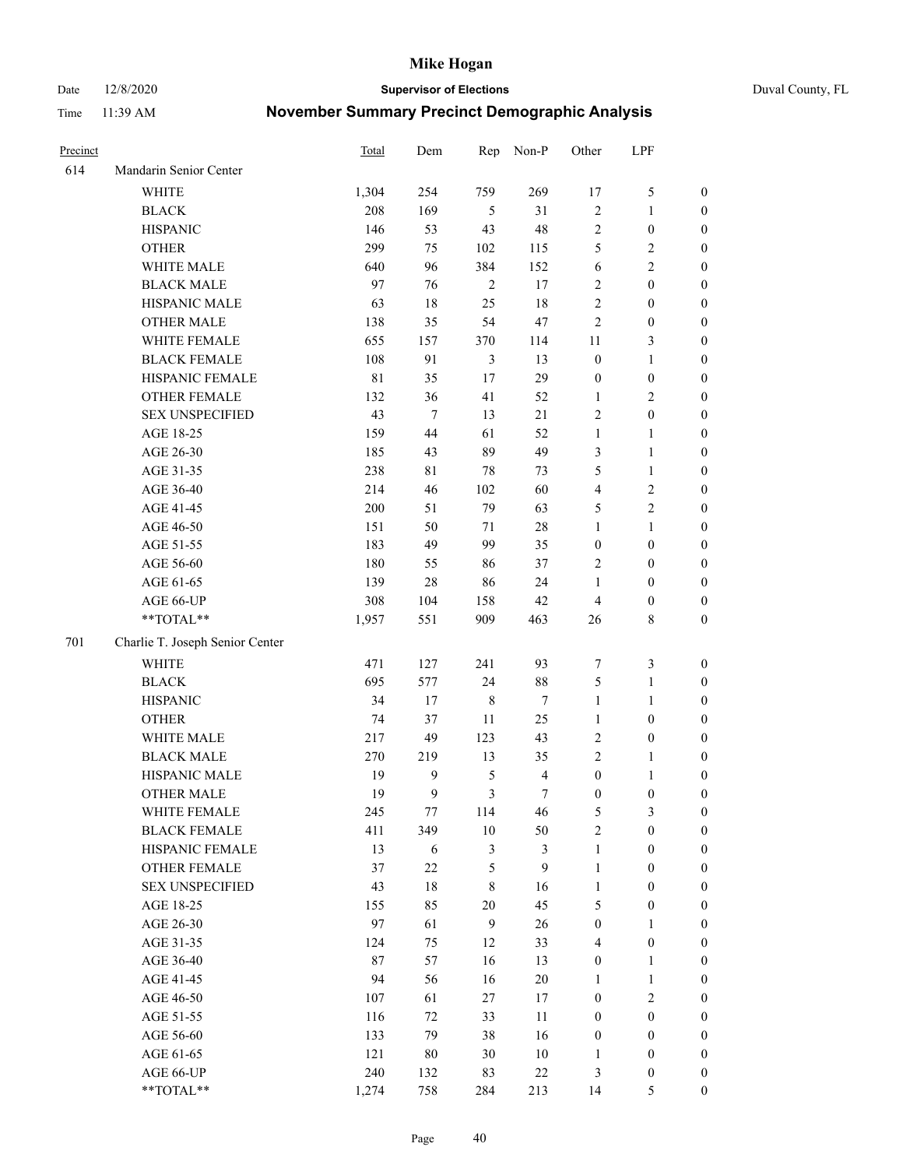Date 12/8/2020 **Supervisor of Elections** Duval County, FL

| Precinct |                                 | <b>Total</b> | Dem    | Rep            | Non-P                   | Other            | LPF              |                  |
|----------|---------------------------------|--------------|--------|----------------|-------------------------|------------------|------------------|------------------|
| 614      | Mandarin Senior Center          |              |        |                |                         |                  |                  |                  |
|          | <b>WHITE</b>                    | 1,304        | 254    | 759            | 269                     | 17               | $\mathfrak s$    | 0                |
|          | <b>BLACK</b>                    | 208          | 169    | 5              | 31                      | $\sqrt{2}$       | $\mathbf{1}$     | $\boldsymbol{0}$ |
|          | <b>HISPANIC</b>                 | 146          | 53     | 43             | 48                      | $\overline{c}$   | $\boldsymbol{0}$ | $\boldsymbol{0}$ |
|          | <b>OTHER</b>                    | 299          | 75     | 102            | 115                     | 5                | $\sqrt{2}$       | $\boldsymbol{0}$ |
|          | WHITE MALE                      | 640          | 96     | 384            | 152                     | 6                | $\sqrt{2}$       | $\boldsymbol{0}$ |
|          | <b>BLACK MALE</b>               | 97           | 76     | $\sqrt{2}$     | 17                      | 2                | $\boldsymbol{0}$ | $\boldsymbol{0}$ |
|          | HISPANIC MALE                   | 63           | 18     | 25             | 18                      | $\overline{c}$   | $\boldsymbol{0}$ | $\boldsymbol{0}$ |
|          | <b>OTHER MALE</b>               | 138          | 35     | 54             | 47                      | $\mathbf{2}$     | $\boldsymbol{0}$ | $\boldsymbol{0}$ |
|          | WHITE FEMALE                    | 655          | 157    | 370            | 114                     | 11               | $\mathfrak{Z}$   | $\boldsymbol{0}$ |
|          | <b>BLACK FEMALE</b>             | 108          | 91     | 3              | 13                      | $\boldsymbol{0}$ | $\mathbf{1}$     | $\boldsymbol{0}$ |
|          | HISPANIC FEMALE                 | 81           | 35     | 17             | 29                      | $\boldsymbol{0}$ | $\boldsymbol{0}$ | 0                |
|          | <b>OTHER FEMALE</b>             | 132          | 36     | 41             | 52                      | $\mathbf{1}$     | $\sqrt{2}$       | $\boldsymbol{0}$ |
|          | <b>SEX UNSPECIFIED</b>          | 43           | $\tau$ | 13             | 21                      | $\overline{c}$   | $\boldsymbol{0}$ | $\boldsymbol{0}$ |
|          | AGE 18-25                       | 159          | 44     | 61             | 52                      | $\mathbf{1}$     | $\mathbf{1}$     | $\boldsymbol{0}$ |
|          | AGE 26-30                       | 185          | 43     | 89             | 49                      | 3                | $\mathbf{1}$     | $\boldsymbol{0}$ |
|          | AGE 31-35                       | 238          | 81     | 78             | 73                      | 5                | $\mathbf{1}$     | $\boldsymbol{0}$ |
|          | AGE 36-40                       | 214          | 46     | 102            | 60                      | 4                | $\sqrt{2}$       | $\boldsymbol{0}$ |
|          | AGE 41-45                       | 200          | 51     | 79             | 63                      | 5                | $\overline{c}$   | $\boldsymbol{0}$ |
|          | AGE 46-50                       | 151          | 50     | $71\,$         | $28\,$                  | $\mathbf{1}$     | $\mathbf{1}$     | $\boldsymbol{0}$ |
|          | AGE 51-55                       | 183          | 49     | 99             | 35                      | $\boldsymbol{0}$ | $\boldsymbol{0}$ | $\boldsymbol{0}$ |
|          | AGE 56-60                       | 180          | 55     | 86             | 37                      | $\overline{2}$   | $\boldsymbol{0}$ | 0                |
|          | AGE 61-65                       | 139          | $28\,$ | 86             | 24                      | $\mathbf{1}$     | $\boldsymbol{0}$ | 0                |
|          | AGE 66-UP                       | 308          | 104    | 158            | 42                      | 4                | $\boldsymbol{0}$ | $\boldsymbol{0}$ |
|          | $**TOTAL**$                     | 1,957        | 551    | 909            | 463                     | 26               | $\,$ 8 $\,$      | $\boldsymbol{0}$ |
| 701      | Charlie T. Joseph Senior Center |              |        |                |                         |                  |                  |                  |
|          | <b>WHITE</b>                    | 471          | 127    | 241            | 93                      | 7                | $\mathfrak{Z}$   | $\boldsymbol{0}$ |
|          | <b>BLACK</b>                    | 695          | 577    | 24             | $88\,$                  | 5                | $\mathbf{1}$     | $\boldsymbol{0}$ |
|          | <b>HISPANIC</b>                 | 34           | 17     | 8              | 7                       | $\mathbf{1}$     | $\mathbf{1}$     | $\boldsymbol{0}$ |
|          | <b>OTHER</b>                    | 74           | 37     | $11\,$         | 25                      | $\mathbf{1}$     | $\boldsymbol{0}$ | $\boldsymbol{0}$ |
|          | WHITE MALE                      | 217          | 49     | 123            | 43                      | $\overline{c}$   | $\boldsymbol{0}$ | $\boldsymbol{0}$ |
|          | <b>BLACK MALE</b>               | 270          | 219    | 13             | 35                      | $\overline{c}$   | $\mathbf{1}$     | $\boldsymbol{0}$ |
|          | HISPANIC MALE                   | 19           | 9      | $\mathfrak{S}$ | $\overline{\mathbf{4}}$ | $\boldsymbol{0}$ | 1                | 0                |
|          | <b>OTHER MALE</b>               | 19           | 9      | 3              | $\tau$                  | $\boldsymbol{0}$ | $\boldsymbol{0}$ | $\boldsymbol{0}$ |
|          | WHITE FEMALE                    | 245          | 77     | 114            | 46                      | 5                | 3                | 0                |
|          | <b>BLACK FEMALE</b>             | 411          | 349    | $10\,$         | 50                      | $\overline{c}$   | $\boldsymbol{0}$ | $\overline{0}$   |
|          | HISPANIC FEMALE                 | 13           | 6      | 3              | $\mathfrak{Z}$          | $\mathbf{1}$     | $\boldsymbol{0}$ | $\overline{0}$   |
|          | <b>OTHER FEMALE</b>             | 37           | $22\,$ | 5              | 9                       | $\mathbf{1}$     | $\boldsymbol{0}$ | $\overline{0}$   |
|          | <b>SEX UNSPECIFIED</b>          | 43           | 18     | 8              | 16                      | $\mathbf{1}$     | $\boldsymbol{0}$ | 0                |
|          | AGE 18-25                       | 155          | 85     | $20\,$         | 45                      | 5                | $\boldsymbol{0}$ | $\theta$         |
|          | AGE 26-30                       | 97           | 61     | $\mathbf{9}$   | $26\,$                  | $\boldsymbol{0}$ | $\mathbf{1}$     | 0                |
|          | AGE 31-35                       | 124          | 75     | 12             | 33                      | 4                | $\boldsymbol{0}$ | 0                |
|          | AGE 36-40                       | 87           | 57     | 16             | 13                      | $\boldsymbol{0}$ | $\mathbf{1}$     | 0                |
|          | AGE 41-45                       | 94           | 56     | 16             | $20\,$                  | $\mathbf{1}$     | $\mathbf{1}$     | 0                |
|          | AGE 46-50                       | 107          | 61     | 27             | 17                      | $\boldsymbol{0}$ | $\sqrt{2}$       | 0                |
|          | AGE 51-55                       | 116          | 72     | 33             | 11                      | $\boldsymbol{0}$ | $\boldsymbol{0}$ | $\overline{0}$   |
|          | AGE 56-60                       | 133          | 79     | 38             | 16                      | $\boldsymbol{0}$ | $\boldsymbol{0}$ | $\overline{0}$   |
|          | AGE 61-65                       | 121          | $80\,$ | 30             | $10\,$                  | 1                | $\boldsymbol{0}$ | $\overline{0}$   |
|          | AGE 66-UP                       | 240          | 132    | 83             | $22\,$                  | 3                | $\boldsymbol{0}$ | 0                |
|          | **TOTAL**                       | 1,274        | 758    | 284            | 213                     | 14               | $\mathfrak s$    | $\boldsymbol{0}$ |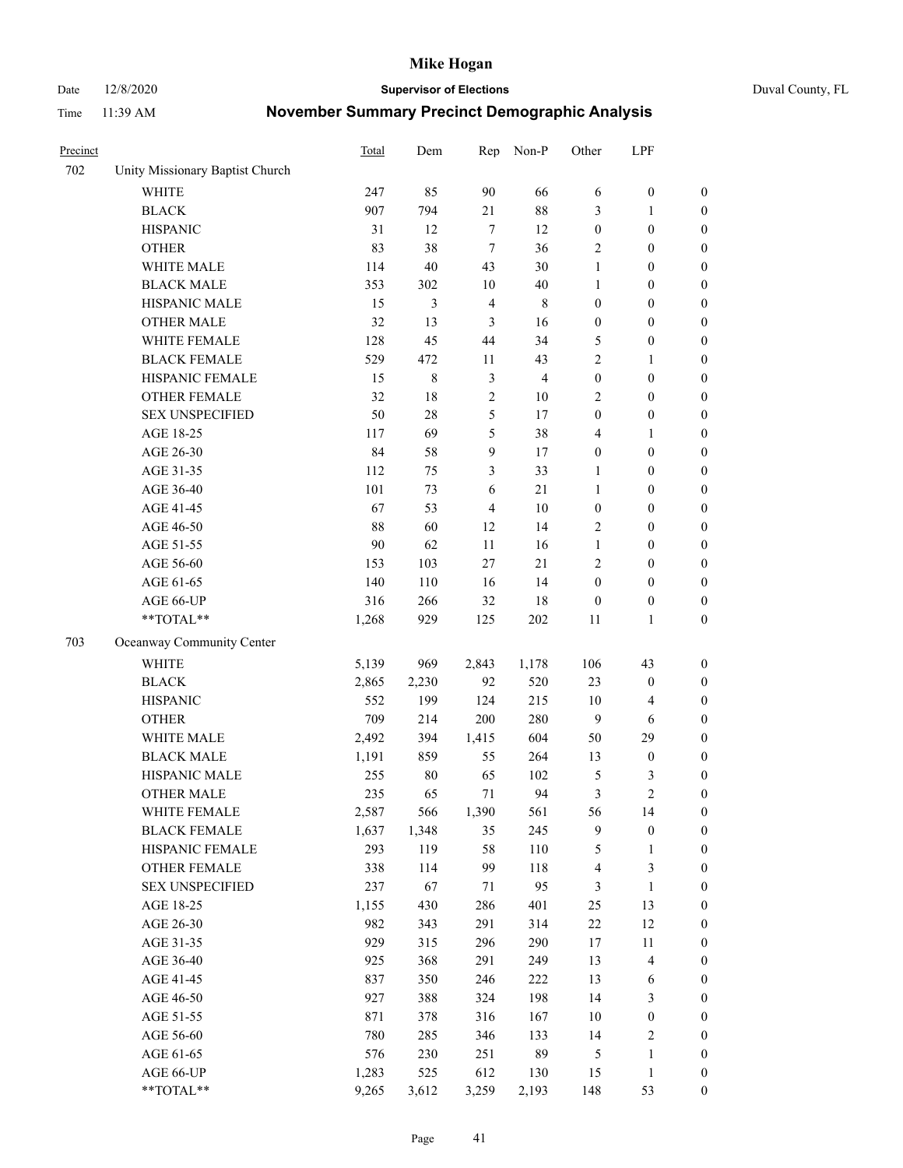Date 12/8/2020 **Supervisor of Elections** Duval County, FL

| Precinct |                                 | <b>Total</b> | Dem         | Rep            | Non-P          | Other                    | LPF                     |                  |
|----------|---------------------------------|--------------|-------------|----------------|----------------|--------------------------|-------------------------|------------------|
| 702      | Unity Missionary Baptist Church |              |             |                |                |                          |                         |                  |
|          | <b>WHITE</b>                    | 247          | 85          | 90             | 66             | 6                        | $\boldsymbol{0}$        | 0                |
|          | <b>BLACK</b>                    | 907          | 794         | 21             | $88\,$         | 3                        | $\mathbf{1}$            | $\boldsymbol{0}$ |
|          | <b>HISPANIC</b>                 | 31           | 12          | $\tau$         | 12             | $\boldsymbol{0}$         | $\boldsymbol{0}$        | $\boldsymbol{0}$ |
|          | <b>OTHER</b>                    | 83           | 38          | $\tau$         | 36             | 2                        | $\boldsymbol{0}$        | $\boldsymbol{0}$ |
|          | WHITE MALE                      | 114          | 40          | 43             | 30             | $\mathbf{1}$             | $\boldsymbol{0}$        | $\boldsymbol{0}$ |
|          | <b>BLACK MALE</b>               | 353          | 302         | 10             | $40\,$         | $\mathbf{1}$             | $\boldsymbol{0}$        | $\boldsymbol{0}$ |
|          | HISPANIC MALE                   | 15           | 3           | $\overline{4}$ | $\,$ 8 $\,$    | $\boldsymbol{0}$         | $\boldsymbol{0}$        | $\boldsymbol{0}$ |
|          | <b>OTHER MALE</b>               | 32           | 13          | $\mathfrak{Z}$ | 16             | $\boldsymbol{0}$         | $\boldsymbol{0}$        | $\boldsymbol{0}$ |
|          | WHITE FEMALE                    | 128          | 45          | 44             | 34             | 5                        | $\boldsymbol{0}$        | $\boldsymbol{0}$ |
|          | <b>BLACK FEMALE</b>             | 529          | 472         | 11             | 43             | 2                        | $\mathbf{1}$            | $\boldsymbol{0}$ |
|          | HISPANIC FEMALE                 | 15           | $\,$ 8 $\,$ | $\mathfrak{Z}$ | $\overline{4}$ | $\boldsymbol{0}$         | $\boldsymbol{0}$        | $\boldsymbol{0}$ |
|          | <b>OTHER FEMALE</b>             | 32           | $18\,$      | $\sqrt{2}$     | 10             | 2                        | $\boldsymbol{0}$        | $\boldsymbol{0}$ |
|          | <b>SEX UNSPECIFIED</b>          | 50           | 28          | 5              | 17             | $\boldsymbol{0}$         | $\boldsymbol{0}$        | $\boldsymbol{0}$ |
|          | AGE 18-25                       | 117          | 69          | 5              | 38             | 4                        | 1                       | $\boldsymbol{0}$ |
|          | AGE 26-30                       | 84           | 58          | 9              | 17             | $\boldsymbol{0}$         | $\boldsymbol{0}$        | $\boldsymbol{0}$ |
|          | AGE 31-35                       | 112          | 75          | 3              | 33             | $\mathbf{1}$             | $\boldsymbol{0}$        | $\boldsymbol{0}$ |
|          | AGE 36-40                       | 101          | 73          | 6              | 21             | $\mathbf{1}$             | $\boldsymbol{0}$        | $\boldsymbol{0}$ |
|          | AGE 41-45                       | 67           | 53          | $\overline{4}$ | $10\,$         | $\boldsymbol{0}$         | $\boldsymbol{0}$        | $\boldsymbol{0}$ |
|          | AGE 46-50                       | 88           | 60          | 12             | 14             | 2                        | $\boldsymbol{0}$        | $\boldsymbol{0}$ |
|          | AGE 51-55                       | 90           | 62          | 11             | 16             | $\mathbf{1}$             | $\boldsymbol{0}$        | $\boldsymbol{0}$ |
|          | AGE 56-60                       | 153          | 103         | 27             | 21             | $\overline{2}$           | $\boldsymbol{0}$        | $\boldsymbol{0}$ |
|          | AGE 61-65                       | 140          | 110         | 16             | 14             | $\boldsymbol{0}$         | $\boldsymbol{0}$        | $\boldsymbol{0}$ |
|          | AGE 66-UP                       | 316          | 266         | 32             | 18             | $\boldsymbol{0}$         | $\boldsymbol{0}$        | $\boldsymbol{0}$ |
|          | **TOTAL**                       | 1,268        | 929         | 125            | 202            | 11                       | $\mathbf{1}$            | $\boldsymbol{0}$ |
| 703      | Oceanway Community Center       |              |             |                |                |                          |                         |                  |
|          | WHITE                           | 5,139        | 969         | 2,843          | 1,178          | 106                      | 43                      | $\boldsymbol{0}$ |
|          | <b>BLACK</b>                    | 2,865        | 2,230       | 92             | 520            | 23                       | $\boldsymbol{0}$        | $\boldsymbol{0}$ |
|          | <b>HISPANIC</b>                 | 552          | 199         | 124            | 215            | 10                       | $\overline{\mathbf{4}}$ | $\boldsymbol{0}$ |
|          | <b>OTHER</b>                    | 709          | 214         | 200            | 280            | $\overline{9}$           | 6                       | $\boldsymbol{0}$ |
|          | WHITE MALE                      | 2,492        | 394         | 1,415          | 604            | 50                       | 29                      | $\boldsymbol{0}$ |
|          | <b>BLACK MALE</b>               | 1,191        | 859         | 55             | 264            | 13                       | $\boldsymbol{0}$        | $\boldsymbol{0}$ |
|          | HISPANIC MALE                   | 255          | $80\,$      | 65             | 102            | 5                        | 3                       | $\boldsymbol{0}$ |
|          | <b>OTHER MALE</b>               | 235          | 65          | 71             | 94             | 3                        | $\overline{c}$          | $\boldsymbol{0}$ |
|          | WHITE FEMALE                    | 2,587        | 566         | 1,390          | 561            | 56                       | 14                      | 0                |
|          | <b>BLACK FEMALE</b>             | 1,637        | 1,348       | 35             | 245            | 9                        | $\boldsymbol{0}$        | $\boldsymbol{0}$ |
|          | HISPANIC FEMALE                 | 293          | 119         | 58             | $110\,$        | 5                        | $\mathbf{1}$            | $\boldsymbol{0}$ |
|          | <b>OTHER FEMALE</b>             | 338          | 114         | 99             | 118            | $\overline{\mathcal{A}}$ | $\mathfrak{Z}$          | $\overline{0}$   |
|          | <b>SEX UNSPECIFIED</b>          | 237          | 67          | 71             | 95             | 3                        | $\mathbf{1}$            | 0                |
|          | AGE 18-25                       | 1,155        | 430         | 286            | 401            | $25\,$                   | 13                      | 0                |
|          | AGE 26-30                       | 982          | 343         | 291            | 314            | $22\,$                   | 12                      | 0                |
|          | AGE 31-35                       | 929          | 315         | 296            | 290            | 17                       | 11                      | 0                |
|          | AGE 36-40                       | 925          | 368         | 291            | 249            | 13                       | $\overline{\mathbf{4}}$ | 0                |
|          | AGE 41-45                       | 837          | 350         | 246            | 222            | 13                       | 6                       | 0                |
|          | AGE 46-50                       | 927          | 388         | 324            | 198            | 14                       | 3                       | 0                |
|          | AGE 51-55                       | 871          | 378         | 316            | 167            | 10                       | $\boldsymbol{0}$        | 0                |
|          | AGE 56-60                       | 780          | 285         | 346            | 133            | 14                       | $\sqrt{2}$              | 0                |
|          | AGE 61-65                       | 576          | 230         | 251            | 89             | 5                        | $\mathbf{1}$            | $\boldsymbol{0}$ |
|          | AGE 66-UP                       | 1,283        | 525         | 612            | 130            | 15                       | $\mathbf{1}$            | 0                |
|          | **TOTAL**                       | 9,265        | 3,612       | 3,259          | 2,193          | 148                      | 53                      | $\boldsymbol{0}$ |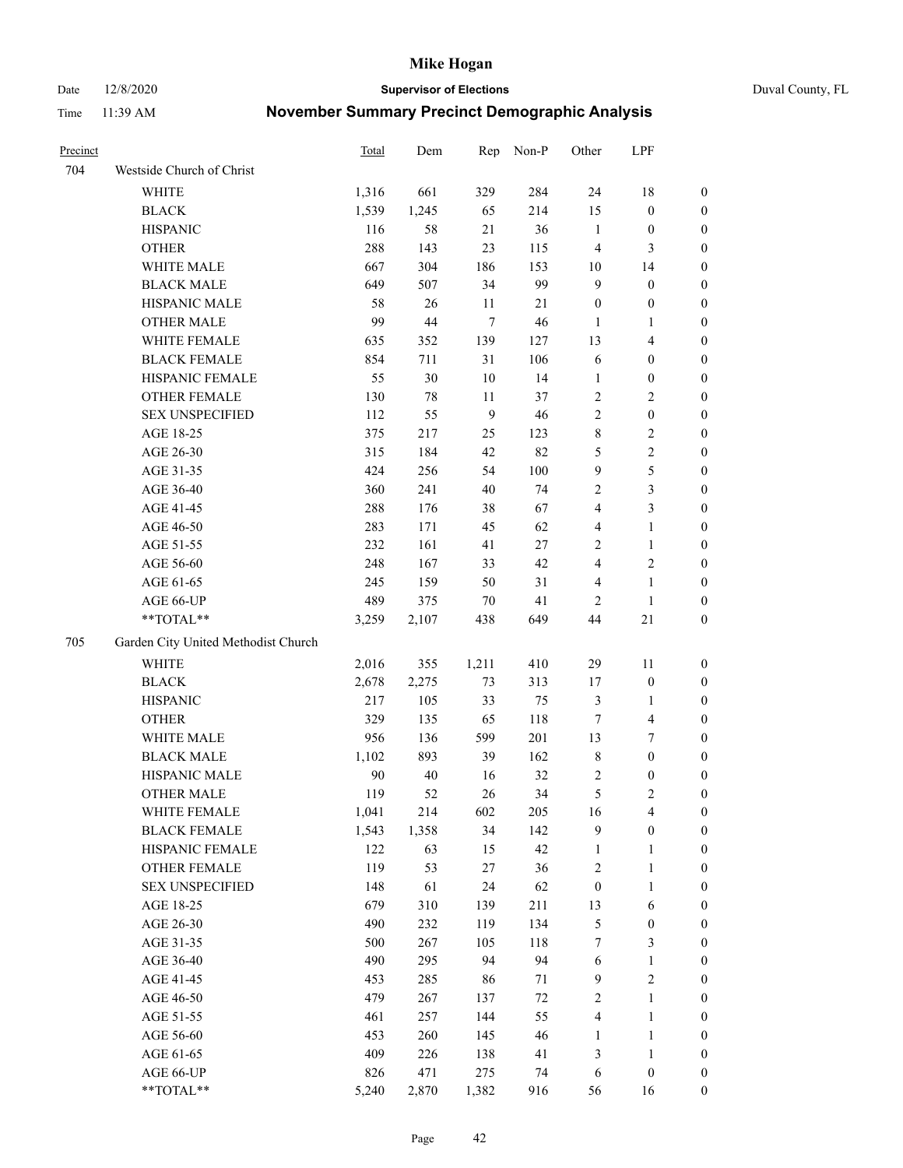Date 12/8/2020 **Supervisor of Elections** Duval County, FL

| Precinct |                                     | Total | Dem    | Rep    | Non-P  | Other                   | LPF                     |                  |
|----------|-------------------------------------|-------|--------|--------|--------|-------------------------|-------------------------|------------------|
| 704      | Westside Church of Christ           |       |        |        |        |                         |                         |                  |
|          | <b>WHITE</b>                        | 1,316 | 661    | 329    | 284    | 24                      | 18                      | 0                |
|          | <b>BLACK</b>                        | 1,539 | 1,245  | 65     | 214    | 15                      | $\boldsymbol{0}$        | 0                |
|          | <b>HISPANIC</b>                     | 116   | 58     | $21\,$ | 36     | $\mathbf{1}$            | $\boldsymbol{0}$        | 0                |
|          | <b>OTHER</b>                        | 288   | 143    | 23     | 115    | 4                       | 3                       | $\boldsymbol{0}$ |
|          | WHITE MALE                          | 667   | 304    | 186    | 153    | 10                      | 14                      | $\boldsymbol{0}$ |
|          | <b>BLACK MALE</b>                   | 649   | 507    | 34     | 99     | $\mathbf{9}$            | $\boldsymbol{0}$        | $\boldsymbol{0}$ |
|          | HISPANIC MALE                       | 58    | 26     | 11     | $21\,$ | $\boldsymbol{0}$        | $\boldsymbol{0}$        | $\boldsymbol{0}$ |
|          | <b>OTHER MALE</b>                   | 99    | 44     | $\tau$ | 46     | $\mathbf{1}$            | $\mathbf{1}$            | $\boldsymbol{0}$ |
|          | WHITE FEMALE                        | 635   | 352    | 139    | 127    | 13                      | $\overline{\mathbf{4}}$ | $\boldsymbol{0}$ |
|          | <b>BLACK FEMALE</b>                 | 854   | 711    | 31     | 106    | 6                       | $\boldsymbol{0}$        | 0                |
|          | HISPANIC FEMALE                     | 55    | 30     | 10     | 14     | $\mathbf{1}$            | $\boldsymbol{0}$        | 0                |
|          | OTHER FEMALE                        | 130   | $78\,$ | 11     | 37     | $\sqrt{2}$              | $\overline{c}$          | 0                |
|          | <b>SEX UNSPECIFIED</b>              | 112   | 55     | 9      | 46     | $\sqrt{2}$              | $\boldsymbol{0}$        | $\boldsymbol{0}$ |
|          | AGE 18-25                           | 375   | 217    | 25     | 123    | 8                       | $\sqrt{2}$              | $\boldsymbol{0}$ |
|          | AGE 26-30                           | 315   | 184    | 42     | 82     | 5                       | $\sqrt{2}$              | $\boldsymbol{0}$ |
|          | AGE 31-35                           | 424   | 256    | 54     | 100    | 9                       | $\mathfrak s$           | $\boldsymbol{0}$ |
|          | AGE 36-40                           | 360   | 241    | 40     | 74     | 2                       | $\mathfrak{Z}$          | $\boldsymbol{0}$ |
|          | AGE 41-45                           | 288   | 176    | 38     | 67     | $\overline{4}$          | $\mathfrak{Z}$          | $\boldsymbol{0}$ |
|          | AGE 46-50                           | 283   | 171    | 45     | 62     | $\overline{\mathbf{4}}$ | $\mathbf{1}$            | $\boldsymbol{0}$ |
|          | AGE 51-55                           | 232   | 161    | 41     | 27     | $\overline{c}$          | $\mathbf{1}$            | 0                |
|          | AGE 56-60                           | 248   | 167    | 33     | 42     | $\overline{\mathbf{4}}$ | $\sqrt{2}$              | 0                |
|          | AGE 61-65                           | 245   | 159    | 50     | 31     | 4                       | $\mathbf{1}$            | 0                |
|          | AGE 66-UP                           | 489   | 375    | $70\,$ | 41     | $\overline{2}$          | $\mathbf{1}$            | 0                |
|          | **TOTAL**                           | 3,259 | 2,107  | 438    | 649    | 44                      | $21\,$                  | $\boldsymbol{0}$ |
| 705      | Garden City United Methodist Church |       |        |        |        |                         |                         |                  |
|          | <b>WHITE</b>                        | 2,016 | 355    | 1,211  | 410    | 29                      | 11                      | $\boldsymbol{0}$ |
|          | <b>BLACK</b>                        | 2,678 | 2,275  | 73     | 313    | 17                      | $\boldsymbol{0}$        | $\boldsymbol{0}$ |
|          | <b>HISPANIC</b>                     | 217   | 105    | 33     | 75     | 3                       | $\mathbf{1}$            | $\boldsymbol{0}$ |
|          | <b>OTHER</b>                        | 329   | 135    | 65     | 118    | 7                       | $\overline{\mathbf{4}}$ | $\boldsymbol{0}$ |
|          | WHITE MALE                          | 956   | 136    | 599    | 201    | 13                      | $\boldsymbol{7}$        | $\boldsymbol{0}$ |
|          | <b>BLACK MALE</b>                   | 1,102 | 893    | 39     | 162    | $\,$ 8 $\,$             | $\boldsymbol{0}$        | $\boldsymbol{0}$ |
|          | HISPANIC MALE                       | 90    | $40\,$ | 16     | 32     | $\overline{c}$          | $\boldsymbol{0}$        | 0                |
|          | <b>OTHER MALE</b>                   | 119   | 52     | 26     | 34     | $\mathfrak s$           | $\mathfrak{2}$          | 0                |
|          | WHITE FEMALE                        | 1,041 | 214    | 602    | 205    | 16                      | 4                       | 0                |
|          | <b>BLACK FEMALE</b>                 | 1,543 | 1,358  | 34     | 142    | 9                       | $\boldsymbol{0}$        | $\boldsymbol{0}$ |
|          | HISPANIC FEMALE                     | 122   | 63     | 15     | 42     | $\mathbf{1}$            | $\mathbf{1}$            | $\boldsymbol{0}$ |
|          | OTHER FEMALE                        | 119   | 53     | $27\,$ | 36     | 2                       | $\mathbf{1}$            | $\overline{0}$   |
|          | <b>SEX UNSPECIFIED</b>              | 148   | 61     | 24     | 62     | $\boldsymbol{0}$        | $\mathbf{1}$            | 0                |
|          | AGE 18-25                           | 679   | 310    | 139    | 211    | 13                      | 6                       | 0                |
|          | AGE 26-30                           | 490   | 232    | 119    | 134    | 5                       | $\boldsymbol{0}$        | 0                |
|          | AGE 31-35                           | 500   | 267    | 105    | 118    | 7                       | $\mathfrak{Z}$          | 0                |
|          | AGE 36-40                           | 490   | 295    | 94     | 94     | 6                       | $\mathbf{1}$            | 0                |
|          | AGE 41-45                           | 453   | 285    | 86     | 71     | $\mathbf{9}$            | $\sqrt{2}$              | 0                |
|          | AGE 46-50                           | 479   | 267    | 137    | $72\,$ | 2                       | $\mathbf{1}$            | 0                |
|          | AGE 51-55                           | 461   | 257    | 144    | 55     | 4                       | $\mathbf{1}$            | 0                |
|          | AGE 56-60                           | 453   | 260    | 145    | 46     | 1                       | $\mathbf{1}$            | 0                |
|          | AGE 61-65                           | 409   | 226    | 138    | 41     | 3                       | $\mathbf{1}$            | $\boldsymbol{0}$ |
|          | AGE 66-UP                           | 826   | 471    | 275    | 74     | 6                       | $\boldsymbol{0}$        | $\boldsymbol{0}$ |
|          | **TOTAL**                           | 5,240 | 2,870  | 1,382  | 916    | 56                      | 16                      | $\boldsymbol{0}$ |
|          |                                     |       |        |        |        |                         |                         |                  |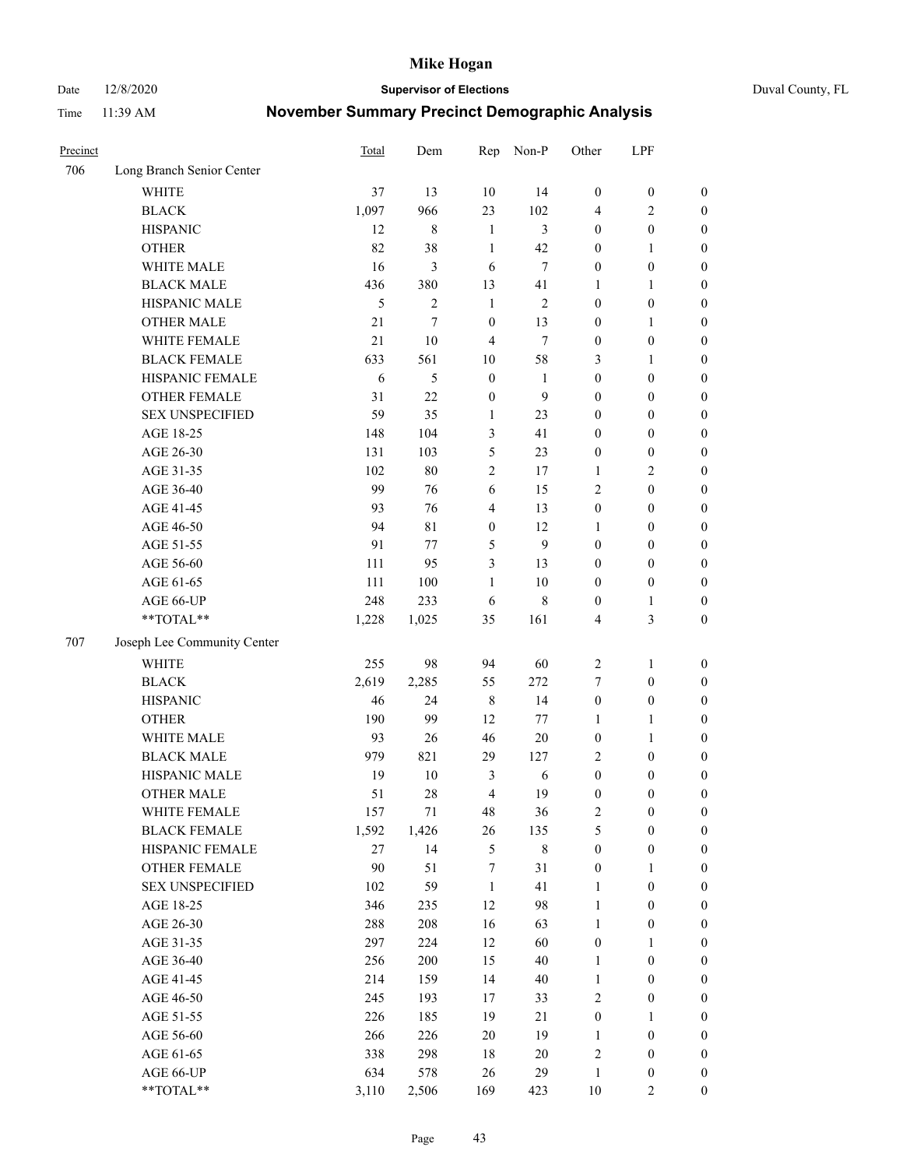Date 12/8/2020 **Supervisor of Elections** Duval County, FL

| Precinct |                             | Total | Dem            | Rep              | Non-P          | Other            | LPF              |                  |
|----------|-----------------------------|-------|----------------|------------------|----------------|------------------|------------------|------------------|
| 706      | Long Branch Senior Center   |       |                |                  |                |                  |                  |                  |
|          | <b>WHITE</b>                | 37    | 13             | 10               | 14             | $\boldsymbol{0}$ | $\boldsymbol{0}$ | $\boldsymbol{0}$ |
|          | <b>BLACK</b>                | 1,097 | 966            | 23               | 102            | 4                | $\overline{c}$   | $\boldsymbol{0}$ |
|          | <b>HISPANIC</b>             | 12    | $\,8\,$        | $\mathbf{1}$     | 3              | $\boldsymbol{0}$ | $\boldsymbol{0}$ | $\boldsymbol{0}$ |
|          | <b>OTHER</b>                | 82    | 38             | $\mathbf{1}$     | 42             | $\boldsymbol{0}$ | 1                | $\boldsymbol{0}$ |
|          | WHITE MALE                  | 16    | 3              | 6                | 7              | $\boldsymbol{0}$ | $\boldsymbol{0}$ | $\boldsymbol{0}$ |
|          | <b>BLACK MALE</b>           | 436   | 380            | 13               | 41             | 1                | 1                | $\boldsymbol{0}$ |
|          | HISPANIC MALE               | 5     | $\overline{c}$ | $\mathbf{1}$     | $\mathfrak{2}$ | $\boldsymbol{0}$ | $\boldsymbol{0}$ | $\boldsymbol{0}$ |
|          | <b>OTHER MALE</b>           | 21    | 7              | $\boldsymbol{0}$ | 13             | $\boldsymbol{0}$ | $\mathbf{1}$     | $\boldsymbol{0}$ |
|          | WHITE FEMALE                | 21    | $10\,$         | $\overline{4}$   | $\tau$         | $\boldsymbol{0}$ | $\boldsymbol{0}$ | $\boldsymbol{0}$ |
|          | <b>BLACK FEMALE</b>         | 633   | 561            | 10               | 58             | 3                | $\mathbf{1}$     | $\boldsymbol{0}$ |
|          | HISPANIC FEMALE             | 6     | 5              | $\boldsymbol{0}$ | $\mathbf{1}$   | $\boldsymbol{0}$ | $\boldsymbol{0}$ | 0                |
|          | <b>OTHER FEMALE</b>         | 31    | 22             | $\mathbf{0}$     | 9              | $\boldsymbol{0}$ | $\boldsymbol{0}$ | $\boldsymbol{0}$ |
|          | <b>SEX UNSPECIFIED</b>      | 59    | 35             | $\mathbf{1}$     | 23             | $\boldsymbol{0}$ | $\boldsymbol{0}$ | $\boldsymbol{0}$ |
|          | AGE 18-25                   | 148   | 104            | 3                | 41             | $\boldsymbol{0}$ | $\boldsymbol{0}$ | $\boldsymbol{0}$ |
|          | AGE 26-30                   | 131   | 103            | 5                | 23             | $\boldsymbol{0}$ | $\boldsymbol{0}$ | $\boldsymbol{0}$ |
|          | AGE 31-35                   | 102   | 80             | $\sqrt{2}$       | 17             | $\mathbf{1}$     | $\sqrt{2}$       | $\boldsymbol{0}$ |
|          | AGE 36-40                   | 99    | 76             | 6                | 15             | 2                | $\boldsymbol{0}$ | $\boldsymbol{0}$ |
|          | AGE 41-45                   | 93    | 76             | $\overline{4}$   | 13             | $\boldsymbol{0}$ | $\boldsymbol{0}$ | $\boldsymbol{0}$ |
|          | AGE 46-50                   | 94    | 81             | $\boldsymbol{0}$ | 12             | 1                | $\boldsymbol{0}$ | $\boldsymbol{0}$ |
|          | AGE 51-55                   | 91    | 77             | 5                | 9              | $\boldsymbol{0}$ | $\boldsymbol{0}$ | $\boldsymbol{0}$ |
|          | AGE 56-60                   | 111   | 95             | 3                | 13             | $\boldsymbol{0}$ | $\boldsymbol{0}$ | 0                |
|          | AGE 61-65                   | 111   | 100            | $\mathbf{1}$     | 10             | $\boldsymbol{0}$ | $\boldsymbol{0}$ | 0                |
|          | AGE 66-UP                   | 248   | 233            | 6                | $8\,$          | $\boldsymbol{0}$ | $\mathbf{1}$     | $\boldsymbol{0}$ |
|          | **TOTAL**                   | 1,228 | 1,025          | 35               | 161            | 4                | $\mathfrak{Z}$   | $\boldsymbol{0}$ |
| 707      | Joseph Lee Community Center |       |                |                  |                |                  |                  |                  |
|          | <b>WHITE</b>                | 255   | 98             | 94               | 60             | $\sqrt{2}$       | $\mathbf{1}$     | $\boldsymbol{0}$ |
|          | <b>BLACK</b>                | 2,619 | 2,285          | 55               | 272            | 7                | $\boldsymbol{0}$ | $\boldsymbol{0}$ |
|          | <b>HISPANIC</b>             | 46    | 24             | $\,$ 8 $\,$      | 14             | $\boldsymbol{0}$ | $\boldsymbol{0}$ | $\boldsymbol{0}$ |
|          | <b>OTHER</b>                | 190   | 99             | 12               | 77             | $\mathbf{1}$     | $\mathbf{1}$     | $\boldsymbol{0}$ |
|          | WHITE MALE                  | 93    | 26             | 46               | $20\,$         | $\boldsymbol{0}$ | $\mathbf{1}$     | $\boldsymbol{0}$ |
|          | <b>BLACK MALE</b>           | 979   | 821            | 29               | 127            | 2                | $\boldsymbol{0}$ | $\boldsymbol{0}$ |
|          | HISPANIC MALE               | 19    | 10             | 3                | $\sqrt{6}$     | $\boldsymbol{0}$ | $\boldsymbol{0}$ | $\boldsymbol{0}$ |
|          | OTHER MALE                  | 51    | 28             | $\overline{4}$   | 19             | $\boldsymbol{0}$ | $\boldsymbol{0}$ | $\boldsymbol{0}$ |
|          | WHITE FEMALE                | 157   | 71             | 48               | 36             | 2                | $\boldsymbol{0}$ | 0                |
|          | <b>BLACK FEMALE</b>         | 1,592 | 1,426          | 26               | 135            | 5                | $\boldsymbol{0}$ | $\boldsymbol{0}$ |
|          | HISPANIC FEMALE             | 27    | 14             | 5                | $8\,$          | $\boldsymbol{0}$ | $\boldsymbol{0}$ | $\overline{0}$   |
|          | <b>OTHER FEMALE</b>         | 90    | 51             | 7                | 31             | $\boldsymbol{0}$ | $\mathbf{1}$     | $\overline{0}$   |
|          | <b>SEX UNSPECIFIED</b>      | 102   | 59             | $\mathbf{1}$     | 41             | $\mathbf{1}$     | $\boldsymbol{0}$ | 0                |
|          | AGE 18-25                   | 346   | 235            | 12               | 98             | $\mathbf{1}$     | $\boldsymbol{0}$ | 0                |
|          | AGE 26-30                   | 288   | 208            | 16               | 63             | $\mathbf{1}$     | $\boldsymbol{0}$ | 0                |
|          | AGE 31-35                   | 297   | 224            | 12               | 60             | $\boldsymbol{0}$ | 1                | 0                |
|          | AGE 36-40                   | 256   | 200            | 15               | $40\,$         | $\mathbf{1}$     | $\boldsymbol{0}$ | 0                |
|          | AGE 41-45                   | 214   | 159            | 14               | $40\,$         | $\mathbf{1}$     | $\boldsymbol{0}$ | 0                |
|          | AGE 46-50                   | 245   | 193            | 17               | 33             | 2                | $\boldsymbol{0}$ | 0                |
|          | AGE 51-55                   | 226   | 185            | 19               | 21             | $\boldsymbol{0}$ | 1                | $\boldsymbol{0}$ |
|          | AGE 56-60                   | 266   | 226            | 20               | 19             | 1                | $\boldsymbol{0}$ | $\boldsymbol{0}$ |
|          | AGE 61-65                   | 338   | 298            | 18               | 20             | 2                | $\boldsymbol{0}$ | $\boldsymbol{0}$ |
|          | AGE 66-UP                   | 634   | 578            | 26               | 29             | $\mathbf{1}$     | $\boldsymbol{0}$ | 0                |
|          | **TOTAL**                   | 3,110 | 2,506          | 169              | 423            | $10\,$           | $\mathbf{2}$     | $\boldsymbol{0}$ |
|          |                             |       |                |                  |                |                  |                  |                  |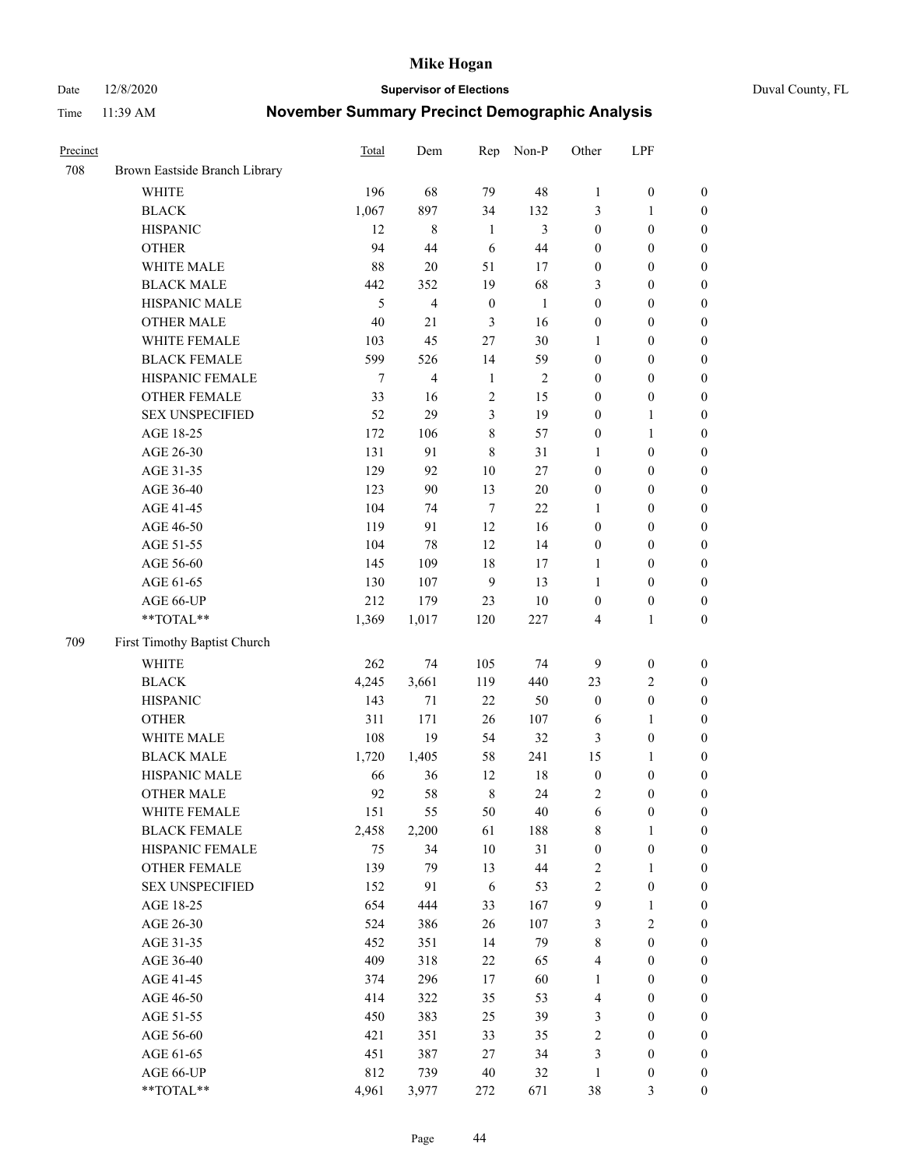Date 12/8/2020 **Supervisor of Elections** Duval County, FL

| Precinct |                               | <b>Total</b> | Dem            | Rep              | Non-P        | Other                   | LPF              |                  |
|----------|-------------------------------|--------------|----------------|------------------|--------------|-------------------------|------------------|------------------|
| 708      | Brown Eastside Branch Library |              |                |                  |              |                         |                  |                  |
|          | <b>WHITE</b>                  | 196          | 68             | 79               | 48           | $\mathbf{1}$            | $\boldsymbol{0}$ | 0                |
|          | <b>BLACK</b>                  | 1,067        | 897            | 34               | 132          | 3                       | $\mathbf{1}$     | $\boldsymbol{0}$ |
|          | <b>HISPANIC</b>               | 12           | $\,$ 8 $\,$    | $\mathbf{1}$     | 3            | $\boldsymbol{0}$        | $\boldsymbol{0}$ | $\boldsymbol{0}$ |
|          | <b>OTHER</b>                  | 94           | 44             | 6                | 44           | $\boldsymbol{0}$        | $\boldsymbol{0}$ | $\boldsymbol{0}$ |
|          | WHITE MALE                    | 88           | 20             | 51               | 17           | $\boldsymbol{0}$        | $\boldsymbol{0}$ | $\boldsymbol{0}$ |
|          | <b>BLACK MALE</b>             | 442          | 352            | 19               | 68           | 3                       | $\boldsymbol{0}$ | $\boldsymbol{0}$ |
|          | HISPANIC MALE                 | 5            | $\overline{4}$ | $\boldsymbol{0}$ | $\mathbf{1}$ | $\boldsymbol{0}$        | $\boldsymbol{0}$ | $\boldsymbol{0}$ |
|          | <b>OTHER MALE</b>             | 40           | 21             | $\mathfrak{Z}$   | 16           | $\boldsymbol{0}$        | $\boldsymbol{0}$ | $\boldsymbol{0}$ |
|          | WHITE FEMALE                  | 103          | 45             | 27               | $30\,$       | 1                       | $\boldsymbol{0}$ | $\boldsymbol{0}$ |
|          | <b>BLACK FEMALE</b>           | 599          | 526            | 14               | 59           | $\boldsymbol{0}$        | $\boldsymbol{0}$ | $\boldsymbol{0}$ |
|          | HISPANIC FEMALE               | 7            | $\overline{4}$ | $\mathbf{1}$     | $\sqrt{2}$   | $\boldsymbol{0}$        | $\boldsymbol{0}$ | $\boldsymbol{0}$ |
|          | <b>OTHER FEMALE</b>           | 33           | 16             | $\sqrt{2}$       | 15           | $\boldsymbol{0}$        | $\boldsymbol{0}$ | $\boldsymbol{0}$ |
|          | <b>SEX UNSPECIFIED</b>        | 52           | 29             | 3                | 19           | $\boldsymbol{0}$        | $\mathbf{1}$     | $\boldsymbol{0}$ |
|          | AGE 18-25                     | 172          | 106            | $\,8\,$          | 57           | $\boldsymbol{0}$        | $\mathbf{1}$     | $\boldsymbol{0}$ |
|          | AGE 26-30                     | 131          | 91             | $\,8\,$          | 31           | 1                       | $\boldsymbol{0}$ | $\boldsymbol{0}$ |
|          | AGE 31-35                     | 129          | 92             | 10               | 27           | $\boldsymbol{0}$        | $\boldsymbol{0}$ | $\boldsymbol{0}$ |
|          | AGE 36-40                     | 123          | 90             | 13               | $20\,$       | $\boldsymbol{0}$        | $\boldsymbol{0}$ | $\boldsymbol{0}$ |
|          | AGE 41-45                     | 104          | 74             | $\overline{7}$   | 22           | $\mathbf{1}$            | $\boldsymbol{0}$ | $\boldsymbol{0}$ |
|          | AGE 46-50                     | 119          | 91             | 12               | 16           | $\boldsymbol{0}$        | $\boldsymbol{0}$ | $\boldsymbol{0}$ |
|          | AGE 51-55                     | 104          | 78             | 12               | 14           | $\boldsymbol{0}$        | $\boldsymbol{0}$ | $\boldsymbol{0}$ |
|          | AGE 56-60                     | 145          | 109            | 18               | 17           | 1                       | $\boldsymbol{0}$ | 0                |
|          | AGE 61-65                     | 130          | 107            | 9                | 13           | 1                       | $\boldsymbol{0}$ | $\boldsymbol{0}$ |
|          | AGE 66-UP                     | 212          | 179            | 23               | $10\,$       | $\boldsymbol{0}$        | $\boldsymbol{0}$ | $\boldsymbol{0}$ |
|          | **TOTAL**                     | 1,369        | 1,017          | 120              | 227          | 4                       | $\mathbf{1}$     | $\boldsymbol{0}$ |
| 709      | First Timothy Baptist Church  |              |                |                  |              |                         |                  |                  |
|          | WHITE                         | 262          | 74             | 105              | 74           | 9                       | $\boldsymbol{0}$ | $\boldsymbol{0}$ |
|          | <b>BLACK</b>                  | 4,245        | 3,661          | 119              | 440          | 23                      | $\sqrt{2}$       | $\boldsymbol{0}$ |
|          | <b>HISPANIC</b>               | 143          | 71             | 22               | 50           | $\boldsymbol{0}$        | $\boldsymbol{0}$ | $\boldsymbol{0}$ |
|          | <b>OTHER</b>                  | 311          | 171            | 26               | 107          | 6                       | $\mathbf{1}$     | $\boldsymbol{0}$ |
|          | WHITE MALE                    | 108          | 19             | 54               | 32           | 3                       | $\boldsymbol{0}$ | $\boldsymbol{0}$ |
|          | <b>BLACK MALE</b>             | 1,720        | 1,405          | 58               | 241          | 15                      | $\mathbf{1}$     | $\boldsymbol{0}$ |
|          | HISPANIC MALE                 | 66           | 36             | 12               | 18           | $\boldsymbol{0}$        | $\boldsymbol{0}$ | $\boldsymbol{0}$ |
|          | OTHER MALE                    | 92           | 58             | $\,$ 8 $\,$      | 24           | 2                       | $\boldsymbol{0}$ | $\boldsymbol{0}$ |
|          | WHITE FEMALE                  | 151          | 55             | 50               | 40           | 6                       | $\boldsymbol{0}$ | 0                |
|          | <b>BLACK FEMALE</b>           | 2,458        | 2,200          | 61               | 188          | 8                       | $\mathbf{1}$     | $\boldsymbol{0}$ |
|          | HISPANIC FEMALE               | 75           | 34             | $10\,$           | 31           | $\boldsymbol{0}$        | $\boldsymbol{0}$ | $\overline{0}$   |
|          | OTHER FEMALE                  | 139          | 79             | 13               | $44\,$       | $\overline{\mathbf{c}}$ | $\mathbf{1}$     | $\overline{0}$   |
|          | <b>SEX UNSPECIFIED</b>        | 152          | 91             | 6                | 53           | 2                       | $\boldsymbol{0}$ | 0                |
|          | AGE 18-25                     | 654          | 444            | 33               | 167          | 9                       | $\mathbf{1}$     | $\overline{0}$   |
|          | AGE 26-30                     | 524          | 386            | 26               | 107          | 3                       | $\overline{2}$   | 0                |
|          | AGE 31-35                     | 452          | 351            | 14               | 79           | 8                       | $\boldsymbol{0}$ | 0                |
|          | AGE 36-40                     | 409          | 318            | $22\,$           | 65           | 4                       | $\boldsymbol{0}$ | 0                |
|          | AGE 41-45                     | 374          | 296            | 17               | 60           | $\mathbf{1}$            | $\boldsymbol{0}$ | 0                |
|          | AGE 46-50                     | 414          | 322            | 35               | 53           | 4                       | $\boldsymbol{0}$ | 0                |
|          | AGE 51-55                     | 450          | 383            | 25               | 39           | 3                       | $\boldsymbol{0}$ | $\boldsymbol{0}$ |
|          | AGE 56-60                     | 421          | 351            | 33               | 35           | 2                       | $\boldsymbol{0}$ | $\boldsymbol{0}$ |
|          | AGE 61-65                     | 451          | 387            | 27               | 34           | 3                       | $\boldsymbol{0}$ | $\boldsymbol{0}$ |
|          | AGE 66-UP                     | 812          | 739            | 40               | 32           | $\mathbf{1}$            | $\boldsymbol{0}$ | 0                |
|          | **TOTAL**                     | 4,961        | 3,977          | 272              | 671          | 38                      | $\mathfrak{Z}$   | $\boldsymbol{0}$ |
|          |                               |              |                |                  |              |                         |                  |                  |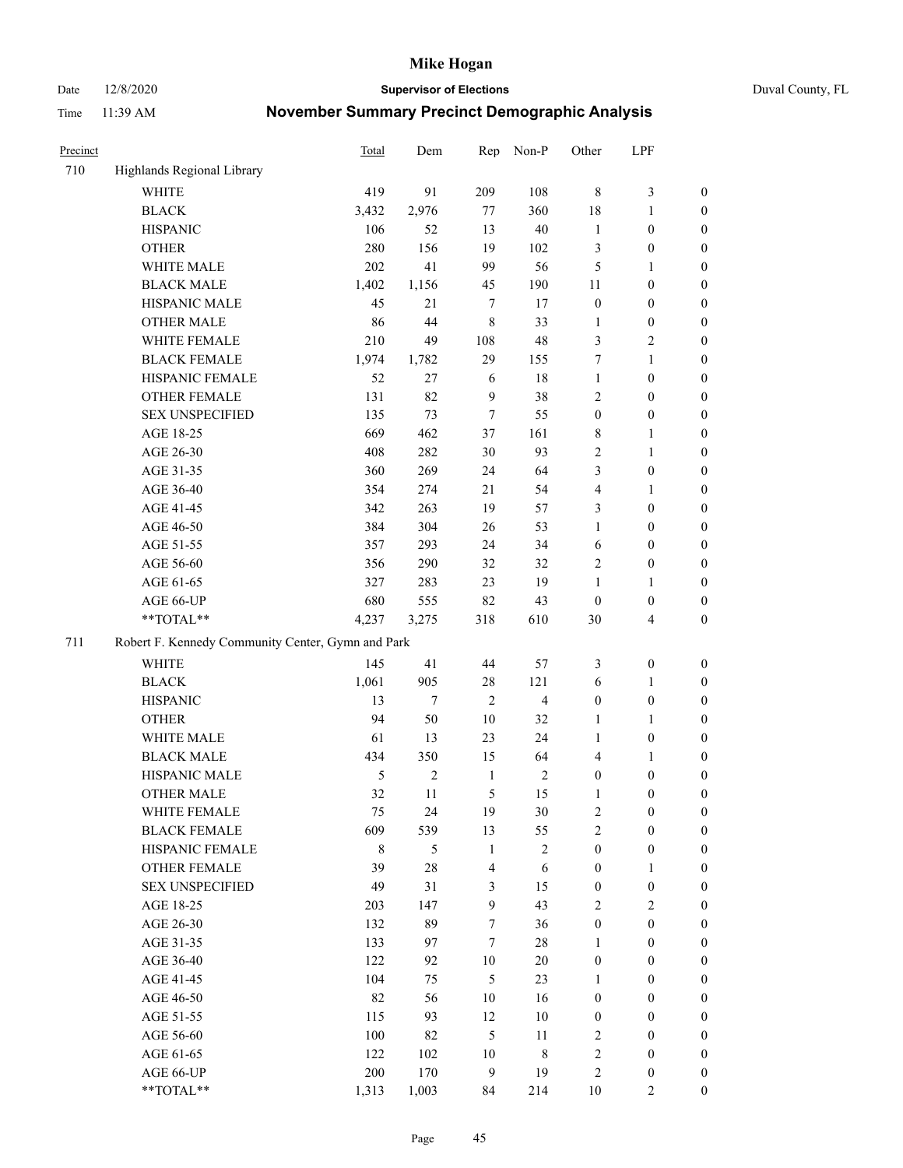Date 12/8/2020 **Supervisor of Elections** Duval County, FL

| Precinct |                                                   | <b>Total</b> | Dem            | Rep                     | Non-P                   | Other            | LPF                     |                  |  |  |
|----------|---------------------------------------------------|--------------|----------------|-------------------------|-------------------------|------------------|-------------------------|------------------|--|--|
| 710      | Highlands Regional Library                        |              |                |                         |                         |                  |                         |                  |  |  |
|          | <b>WHITE</b>                                      | 419          | 91             | 209                     | 108                     | $\,8\,$          | $\mathfrak{Z}$          | 0                |  |  |
|          | <b>BLACK</b>                                      | 3,432        | 2,976          | 77                      | 360                     | 18               | $\mathbf{1}$            | 0                |  |  |
|          | <b>HISPANIC</b>                                   | 106          | 52             | 13                      | 40                      | $\mathbf{1}$     | $\boldsymbol{0}$        | $\boldsymbol{0}$ |  |  |
|          | <b>OTHER</b>                                      | 280          | 156            | 19                      | 102                     | 3                | $\boldsymbol{0}$        | $\boldsymbol{0}$ |  |  |
|          | WHITE MALE                                        | 202          | 41             | 99                      | 56                      | 5                | $\mathbf{1}$            | $\boldsymbol{0}$ |  |  |
|          | <b>BLACK MALE</b>                                 | 1,402        | 1,156          | 45                      | 190                     | 11               | $\boldsymbol{0}$        | $\boldsymbol{0}$ |  |  |
|          | HISPANIC MALE                                     | 45           | 21             | $\tau$                  | 17                      | $\boldsymbol{0}$ | $\boldsymbol{0}$        | $\boldsymbol{0}$ |  |  |
|          | <b>OTHER MALE</b>                                 | 86           | 44             | $\,8\,$                 | 33                      | $\mathbf{1}$     | $\boldsymbol{0}$        | $\boldsymbol{0}$ |  |  |
|          | WHITE FEMALE                                      | 210          | 49             | 108                     | 48                      | 3                | $\mathfrak{2}$          | $\boldsymbol{0}$ |  |  |
|          | <b>BLACK FEMALE</b>                               | 1,974        | 1,782          | 29                      | 155                     | 7                | $\mathbf{1}$            | $\boldsymbol{0}$ |  |  |
|          | HISPANIC FEMALE                                   | 52           | 27             | 6                       | 18                      | $\mathbf{1}$     | $\boldsymbol{0}$        | 0                |  |  |
|          | <b>OTHER FEMALE</b>                               | 131          | 82             | 9                       | 38                      | $\mathfrak{2}$   | $\boldsymbol{0}$        | 0                |  |  |
|          | <b>SEX UNSPECIFIED</b>                            | 135          | 73             | 7                       | 55                      | $\boldsymbol{0}$ | $\boldsymbol{0}$        | $\boldsymbol{0}$ |  |  |
|          | AGE 18-25                                         | 669          | 462            | 37                      | 161                     | 8                | $\mathbf{1}$            | $\boldsymbol{0}$ |  |  |
|          | AGE 26-30                                         | 408          | 282            | 30                      | 93                      | 2                | $\mathbf{1}$            | $\boldsymbol{0}$ |  |  |
|          | AGE 31-35                                         | 360          | 269            | 24                      | 64                      | 3                | $\boldsymbol{0}$        | $\boldsymbol{0}$ |  |  |
|          | AGE 36-40                                         | 354          | 274            | 21                      | 54                      | 4                | $\mathbf{1}$            | $\boldsymbol{0}$ |  |  |
|          | AGE 41-45                                         | 342          | 263            | 19                      | 57                      | 3                | $\boldsymbol{0}$        | $\boldsymbol{0}$ |  |  |
|          | AGE 46-50                                         | 384          | 304            | 26                      | 53                      | $\mathbf{1}$     | $\boldsymbol{0}$        | $\boldsymbol{0}$ |  |  |
|          | AGE 51-55                                         | 357          | 293            | 24                      | 34                      | 6                | $\boldsymbol{0}$        | $\boldsymbol{0}$ |  |  |
|          | AGE 56-60                                         | 356          | 290            | 32                      | 32                      | $\overline{c}$   | $\boldsymbol{0}$        | 0                |  |  |
|          | AGE 61-65                                         | 327          | 283            | 23                      | 19                      | 1                | $\mathbf{1}$            | 0                |  |  |
|          | AGE 66-UP                                         | 680          | 555            | 82                      | 43                      | $\boldsymbol{0}$ | $\boldsymbol{0}$        | $\boldsymbol{0}$ |  |  |
|          | $**TOTAL**$                                       | 4,237        | 3,275          | 318                     | 610                     | 30               | $\overline{\mathbf{4}}$ | $\boldsymbol{0}$ |  |  |
| 711      | Robert F. Kennedy Community Center, Gymn and Park |              |                |                         |                         |                  |                         |                  |  |  |
|          | WHITE                                             | 145          | 41             | 44                      | 57                      | 3                | $\boldsymbol{0}$        | $\boldsymbol{0}$ |  |  |
|          | <b>BLACK</b>                                      | 1,061        | 905            | $28\,$                  | 121                     | 6                | $\mathbf{1}$            | $\boldsymbol{0}$ |  |  |
|          | <b>HISPANIC</b>                                   | 13           | $\tau$         | $\overline{2}$          | $\overline{\mathbf{4}}$ | $\boldsymbol{0}$ | $\boldsymbol{0}$        | $\boldsymbol{0}$ |  |  |
|          | <b>OTHER</b>                                      | 94           | 50             | 10                      | 32                      | $\mathbf{1}$     | $\mathbf{1}$            | $\boldsymbol{0}$ |  |  |
|          | WHITE MALE                                        | 61           | 13             | 23                      | 24                      | $\mathbf{1}$     | $\boldsymbol{0}$        | $\boldsymbol{0}$ |  |  |
|          | <b>BLACK MALE</b>                                 | 434          | 350            | 15                      | 64                      | 4                | $\mathbf{1}$            | $\boldsymbol{0}$ |  |  |
|          | HISPANIC MALE                                     | 5            | $\overline{c}$ | $\mathbf{1}$            | $\sqrt{2}$              | $\boldsymbol{0}$ | $\boldsymbol{0}$        | $\boldsymbol{0}$ |  |  |
|          | <b>OTHER MALE</b>                                 | 32           | 11             | 5                       | 15                      | 1                | $\boldsymbol{0}$        | $\boldsymbol{0}$ |  |  |
|          | WHITE FEMALE                                      | 75           | 24             | 19                      | 30                      | 2                | $\boldsymbol{0}$        | 0                |  |  |
|          | <b>BLACK FEMALE</b>                               | 609          | 539            | 13                      | 55                      | $\sqrt{2}$       | $\boldsymbol{0}$        | $\boldsymbol{0}$ |  |  |
|          | HISPANIC FEMALE                                   | $\,$ 8 $\,$  | 5              | $\mathbf{1}$            | $\overline{c}$          | $\boldsymbol{0}$ | $\boldsymbol{0}$        | $\overline{0}$   |  |  |
|          | OTHER FEMALE                                      | 39           | 28             | $\overline{\mathbf{4}}$ | 6                       | $\boldsymbol{0}$ | $\mathbf{1}$            | $\boldsymbol{0}$ |  |  |
|          | <b>SEX UNSPECIFIED</b>                            | 49           | 31             | $\mathfrak{Z}$          | 15                      | $\boldsymbol{0}$ | $\boldsymbol{0}$        | $\overline{0}$   |  |  |
|          | AGE 18-25                                         | 203          | 147            | $\mathbf{9}$            | 43                      | $\mathfrak{2}$   | $\sqrt{2}$              | $\overline{0}$   |  |  |
|          | AGE 26-30                                         | 132          | 89             | $\boldsymbol{7}$        | 36                      | $\boldsymbol{0}$ | $\boldsymbol{0}$        | $\overline{0}$   |  |  |
|          | AGE 31-35                                         | 133          | 97             | $\tau$                  | $28\,$                  | $\mathbf{1}$     | $\boldsymbol{0}$        | 0                |  |  |
|          | AGE 36-40                                         | 122          | 92             | $10\,$                  | $20\,$                  | $\boldsymbol{0}$ | $\boldsymbol{0}$        | 0                |  |  |
|          | AGE 41-45                                         | 104          | 75             | $\mathfrak{H}$          | 23                      | $\mathbf{1}$     | $\boldsymbol{0}$        | 0                |  |  |
|          | AGE 46-50                                         | 82           | 56             | 10                      | 16                      | $\boldsymbol{0}$ | $\boldsymbol{0}$        | 0                |  |  |
|          | AGE 51-55                                         | 115          | 93             | 12                      | 10                      | $\boldsymbol{0}$ | $\boldsymbol{0}$        | $\boldsymbol{0}$ |  |  |
|          | AGE 56-60                                         | 100          | 82             | 5                       | 11                      | 2                | $\boldsymbol{0}$        | $\boldsymbol{0}$ |  |  |
|          | AGE 61-65                                         | 122          | 102            | 10                      | 8                       | $\overline{c}$   | $\boldsymbol{0}$        | $\boldsymbol{0}$ |  |  |
|          | AGE 66-UP                                         | 200          | 170            | $\boldsymbol{9}$        | 19                      | 2                | $\boldsymbol{0}$        | $\boldsymbol{0}$ |  |  |
|          | **TOTAL**                                         | 1,313        | 1,003          | 84                      | 214                     | 10               | $\mathbf{2}$            | $\boldsymbol{0}$ |  |  |
|          |                                                   |              |                |                         |                         |                  |                         |                  |  |  |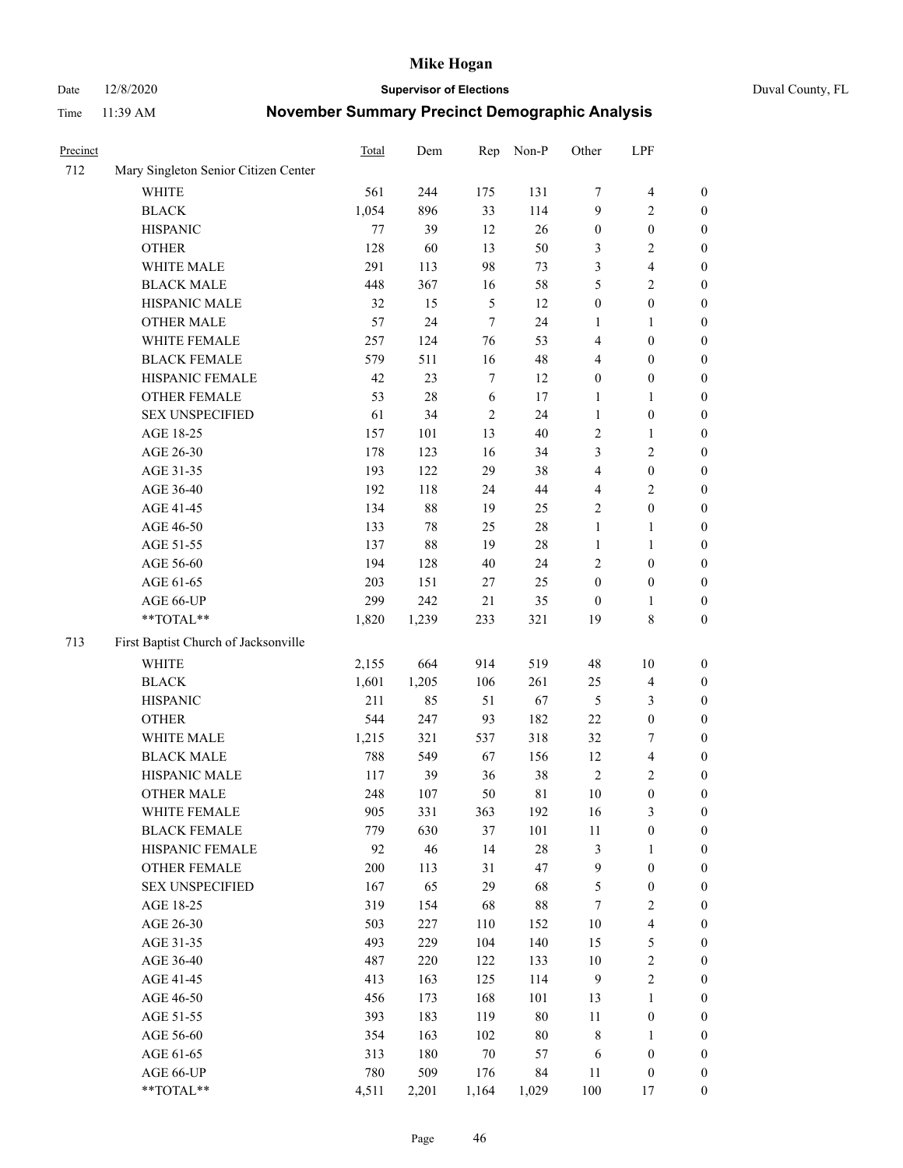Date 12/8/2020 **Supervisor of Elections** Duval County, FL

| Precinct |                                      | Total | Dem    | Rep           | Non-P  | Other            | LPF                     |                  |
|----------|--------------------------------------|-------|--------|---------------|--------|------------------|-------------------------|------------------|
| 712      | Mary Singleton Senior Citizen Center |       |        |               |        |                  |                         |                  |
|          | WHITE                                | 561   | 244    | 175           | 131    | 7                | $\overline{\mathbf{4}}$ | 0                |
|          | <b>BLACK</b>                         | 1,054 | 896    | 33            | 114    | 9                | $\overline{c}$          | 0                |
|          | <b>HISPANIC</b>                      | 77    | 39     | 12            | 26     | $\boldsymbol{0}$ | $\boldsymbol{0}$        | $\boldsymbol{0}$ |
|          | <b>OTHER</b>                         | 128   | 60     | 13            | 50     | 3                | $\sqrt{2}$              | $\boldsymbol{0}$ |
|          | WHITE MALE                           | 291   | 113    | 98            | 73     | 3                | $\overline{\mathbf{4}}$ | $\boldsymbol{0}$ |
|          | <b>BLACK MALE</b>                    | 448   | 367    | 16            | 58     | 5                | $\sqrt{2}$              | $\boldsymbol{0}$ |
|          | HISPANIC MALE                        | 32    | 15     | $\mathfrak s$ | 12     | $\boldsymbol{0}$ | $\boldsymbol{0}$        | $\boldsymbol{0}$ |
|          | <b>OTHER MALE</b>                    | 57    | 24     | $\tau$        | 24     | $\mathbf{1}$     | $\mathbf{1}$            | $\boldsymbol{0}$ |
|          | WHITE FEMALE                         | 257   | 124    | 76            | 53     | 4                | $\boldsymbol{0}$        | $\boldsymbol{0}$ |
|          | <b>BLACK FEMALE</b>                  | 579   | 511    | 16            | 48     | 4                | $\boldsymbol{0}$        | 0                |
|          | HISPANIC FEMALE                      | 42    | 23     | $\tau$        | 12     | $\boldsymbol{0}$ | $\boldsymbol{0}$        | 0                |
|          | OTHER FEMALE                         | 53    | 28     | 6             | 17     | $\mathbf{1}$     | $\mathbf{1}$            | 0                |
|          | <b>SEX UNSPECIFIED</b>               | 61    | 34     | $\sqrt{2}$    | 24     | $\mathbf{1}$     | $\boldsymbol{0}$        | $\boldsymbol{0}$ |
|          | AGE 18-25                            | 157   | 101    | 13            | 40     | $\sqrt{2}$       | $\mathbf{1}$            | $\boldsymbol{0}$ |
|          | AGE 26-30                            | 178   | 123    | 16            | 34     | 3                | $\sqrt{2}$              | $\boldsymbol{0}$ |
|          | AGE 31-35                            | 193   | 122    | 29            | 38     | 4                | $\boldsymbol{0}$        | $\boldsymbol{0}$ |
|          | AGE 36-40                            | 192   | 118    | 24            | 44     | 4                | $\sqrt{2}$              | $\boldsymbol{0}$ |
|          | AGE 41-45                            | 134   | 88     | 19            | 25     | $\mathfrak{2}$   | $\boldsymbol{0}$        | $\boldsymbol{0}$ |
|          | AGE 46-50                            | 133   | $78\,$ | 25            | $28\,$ | $\mathbf{1}$     | $\mathbf{1}$            | $\boldsymbol{0}$ |
|          | AGE 51-55                            | 137   | $88\,$ | 19            | $28\,$ | 1                | $\mathbf{1}$            | 0                |
|          | AGE 56-60                            | 194   | 128    | 40            | 24     | $\overline{2}$   | $\boldsymbol{0}$        | 0                |
|          | AGE 61-65                            | 203   | 151    | 27            | 25     | $\boldsymbol{0}$ | $\boldsymbol{0}$        | 0                |
|          | AGE 66-UP                            | 299   | 242    | $21\,$        | 35     | $\boldsymbol{0}$ | $\mathbf{1}$            | 0                |
|          | **TOTAL**                            | 1,820 | 1,239  | 233           | 321    | 19               | $\,$ 8 $\,$             | $\boldsymbol{0}$ |
| 713      | First Baptist Church of Jacksonville |       |        |               |        |                  |                         |                  |
|          | <b>WHITE</b>                         | 2,155 | 664    | 914           | 519    | 48               | 10                      | $\boldsymbol{0}$ |
|          | <b>BLACK</b>                         | 1,601 | 1,205  | 106           | 261    | 25               | $\overline{4}$          | $\boldsymbol{0}$ |
|          | <b>HISPANIC</b>                      | 211   | 85     | 51            | 67     | 5                | $\mathfrak{Z}$          | $\boldsymbol{0}$ |
|          | <b>OTHER</b>                         | 544   | 247    | 93            | 182    | 22               | $\boldsymbol{0}$        | $\boldsymbol{0}$ |
|          | WHITE MALE                           | 1,215 | 321    | 537           | 318    | 32               | $\tau$                  | $\boldsymbol{0}$ |
|          | <b>BLACK MALE</b>                    | 788   | 549    | 67            | 156    | 12               | $\overline{\mathbf{4}}$ | $\boldsymbol{0}$ |
|          | HISPANIC MALE                        | 117   | 39     | 36            | 38     | $\sqrt{2}$       | $\sqrt{2}$              | $\boldsymbol{0}$ |
|          | <b>OTHER MALE</b>                    | 248   | 107    | 50            | 81     | 10               | $\boldsymbol{0}$        | 0                |
|          | WHITE FEMALE                         | 905   | 331    | 363           | 192    | 16               | 3                       | 0                |
|          | <b>BLACK FEMALE</b>                  | 779   | 630    | 37            | 101    | 11               | $\boldsymbol{0}$        | $\boldsymbol{0}$ |
|          | HISPANIC FEMALE                      | 92    | 46     | 14            | 28     | 3                | $\mathbf{1}$            | $\overline{0}$   |
|          | OTHER FEMALE                         | 200   | 113    | 31            | 47     | 9                | $\boldsymbol{0}$        | $\overline{0}$   |
|          | <b>SEX UNSPECIFIED</b>               | 167   | 65     | 29            | 68     | 5                | $\boldsymbol{0}$        | 0                |
|          | AGE 18-25                            | 319   | 154    | 68            | $88\,$ | 7                | $\sqrt{2}$              | 0                |
|          | AGE 26-30                            | 503   | 227    | 110           | 152    | $10\,$           | $\overline{\mathbf{4}}$ | 0                |
|          | AGE 31-35                            | 493   | 229    | 104           | 140    | 15               | $\mathfrak s$           | 0                |
|          | AGE 36-40                            | 487   | 220    | 122           | 133    | $10\,$           | $\sqrt{2}$              | 0                |
|          | AGE 41-45                            | 413   | 163    | 125           | 114    | $\overline{9}$   | $\sqrt{2}$              | 0                |
|          | AGE 46-50                            | 456   | 173    | 168           | 101    | 13               | $\mathbf{1}$            | 0                |
|          | AGE 51-55                            | 393   | 183    | 119           | $80\,$ | 11               | $\boldsymbol{0}$        | 0                |
|          | AGE 56-60                            | 354   | 163    | 102           | $80\,$ | 8                | $\mathbf{1}$            | 0                |
|          | AGE 61-65                            | 313   | 180    | $70\,$        | 57     | 6                | $\boldsymbol{0}$        | $\boldsymbol{0}$ |
|          | AGE 66-UP                            | 780   | 509    | 176           | 84     | 11               | $\boldsymbol{0}$        | 0                |
|          | **TOTAL**                            | 4,511 | 2,201  | 1,164         | 1,029  | 100              | 17                      | $\boldsymbol{0}$ |
|          |                                      |       |        |               |        |                  |                         |                  |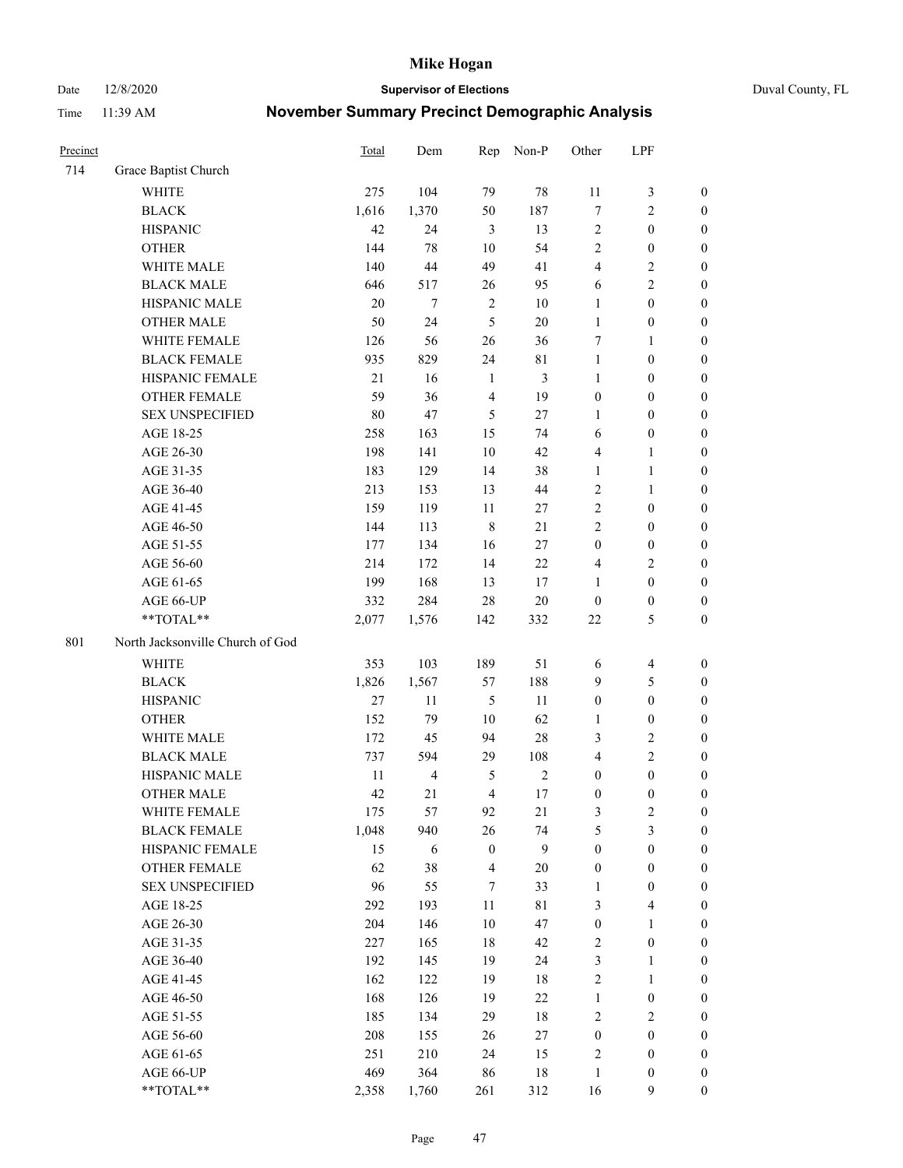Date 12/8/2020 **Supervisor of Elections** Duval County, FL

| Precinct |                                  | <b>Total</b> | Dem            | Rep                     | Non-P          | Other            | LPF                     |                  |
|----------|----------------------------------|--------------|----------------|-------------------------|----------------|------------------|-------------------------|------------------|
| 714      | Grace Baptist Church             |              |                |                         |                |                  |                         |                  |
|          | <b>WHITE</b>                     | 275          | 104            | 79                      | $78\,$         | 11               | $\mathfrak{Z}$          | 0                |
|          | <b>BLACK</b>                     | 1,616        | 1,370          | 50                      | 187            | $\boldsymbol{7}$ | $\sqrt{2}$              | $\boldsymbol{0}$ |
|          | <b>HISPANIC</b>                  | 42           | 24             | 3                       | 13             | $\sqrt{2}$       | $\boldsymbol{0}$        | $\boldsymbol{0}$ |
|          | <b>OTHER</b>                     | 144          | 78             | 10                      | 54             | $\mathfrak{2}$   | $\boldsymbol{0}$        | $\boldsymbol{0}$ |
|          | WHITE MALE                       | 140          | 44             | 49                      | 41             | 4                | $\sqrt{2}$              | $\boldsymbol{0}$ |
|          | <b>BLACK MALE</b>                | 646          | 517            | 26                      | 95             | 6                | $\sqrt{2}$              | $\boldsymbol{0}$ |
|          | HISPANIC MALE                    | 20           | 7              | $\sqrt{2}$              | $10\,$         | 1                | $\boldsymbol{0}$        | $\boldsymbol{0}$ |
|          | <b>OTHER MALE</b>                | 50           | 24             | 5                       | $20\,$         | $\mathbf{1}$     | $\boldsymbol{0}$        | $\boldsymbol{0}$ |
|          | WHITE FEMALE                     | 126          | 56             | 26                      | 36             | 7                | $\mathbf{1}$            | $\boldsymbol{0}$ |
|          | <b>BLACK FEMALE</b>              | 935          | 829            | 24                      | $8\sqrt{1}$    | $\mathbf{1}$     | $\boldsymbol{0}$        | 0                |
|          | HISPANIC FEMALE                  | $21\,$       | 16             | $\mathbf{1}$            | $\mathfrak{Z}$ | $\mathbf{1}$     | $\boldsymbol{0}$        | 0                |
|          | OTHER FEMALE                     | 59           | 36             | $\overline{4}$          | 19             | $\boldsymbol{0}$ | $\boldsymbol{0}$        | $\boldsymbol{0}$ |
|          | <b>SEX UNSPECIFIED</b>           | 80           | 47             | 5                       | 27             | $\mathbf{1}$     | $\boldsymbol{0}$        | $\boldsymbol{0}$ |
|          | AGE 18-25                        | 258          | 163            | 15                      | 74             | 6                | $\boldsymbol{0}$        | $\boldsymbol{0}$ |
|          | AGE 26-30                        | 198          | 141            | 10                      | 42             | 4                | $\mathbf{1}$            | $\boldsymbol{0}$ |
|          | AGE 31-35                        | 183          | 129            | 14                      | 38             | $\mathbf{1}$     | $\mathbf{1}$            | $\boldsymbol{0}$ |
|          | AGE 36-40                        | 213          | 153            | 13                      | 44             | 2                | $\mathbf{1}$            | $\boldsymbol{0}$ |
|          | AGE 41-45                        | 159          | 119            | $11\,$                  | $27\,$         | $\overline{2}$   | $\boldsymbol{0}$        | $\boldsymbol{0}$ |
|          | AGE 46-50                        | 144          | 113            | $\,8\,$                 | 21             | $\overline{2}$   | $\boldsymbol{0}$        | $\boldsymbol{0}$ |
|          | AGE 51-55                        | 177          | 134            | 16                      | $27\,$         | $\boldsymbol{0}$ | $\boldsymbol{0}$        | $\boldsymbol{0}$ |
|          | AGE 56-60                        | 214          | 172            | 14                      | 22             | 4                | $\sqrt{2}$              | 0                |
|          | AGE 61-65                        | 199          | 168            | 13                      | 17             | 1                | $\boldsymbol{0}$        | 0                |
|          | AGE 66-UP                        | 332          | 284            | 28                      | $20\,$         | $\boldsymbol{0}$ | $\boldsymbol{0}$        | $\boldsymbol{0}$ |
|          | **TOTAL**                        | 2,077        | 1,576          | 142                     | 332            | $22\,$           | $\mathfrak{S}$          | $\boldsymbol{0}$ |
| 801      | North Jacksonville Church of God |              |                |                         |                |                  |                         |                  |
|          | <b>WHITE</b>                     | 353          | 103            | 189                     | 51             | 6                | $\overline{4}$          | $\boldsymbol{0}$ |
|          | <b>BLACK</b>                     | 1,826        | 1,567          | 57                      | 188            | 9                | $\mathfrak{S}$          | $\boldsymbol{0}$ |
|          | <b>HISPANIC</b>                  | 27           | 11             | $\mathfrak{H}$          | 11             | $\boldsymbol{0}$ | $\boldsymbol{0}$        | $\boldsymbol{0}$ |
|          | <b>OTHER</b>                     | 152          | 79             | 10                      | 62             | $\mathbf{1}$     | $\boldsymbol{0}$        | $\boldsymbol{0}$ |
|          | WHITE MALE                       | 172          | 45             | 94                      | $28\,$         | 3                | $\overline{2}$          | $\overline{0}$   |
|          | <b>BLACK MALE</b>                | 737          | 594            | 29                      | 108            | $\overline{4}$   | $\overline{2}$          | $\boldsymbol{0}$ |
|          | HISPANIC MALE                    | 11           | $\overline{4}$ | 5                       | $\sqrt{2}$     | $\boldsymbol{0}$ | $\boldsymbol{0}$        | $\boldsymbol{0}$ |
|          | OTHER MALE                       | 42           | 21             | $\overline{4}$          | 17             | $\boldsymbol{0}$ | $\boldsymbol{0}$        | $\boldsymbol{0}$ |
|          | WHITE FEMALE                     | 175          | 57             | 92                      | 21             | 3                | 2                       | 0                |
|          | <b>BLACK FEMALE</b>              | 1,048        | 940            | 26                      | 74             | 5                | $\mathfrak{Z}$          | $\boldsymbol{0}$ |
|          | HISPANIC FEMALE                  | 15           | 6              | $\boldsymbol{0}$        | $\mathbf{9}$   | $\boldsymbol{0}$ | $\boldsymbol{0}$        | $\overline{0}$   |
|          | <b>OTHER FEMALE</b>              | 62           | 38             | $\overline{\mathbf{4}}$ | $20\,$         | $\boldsymbol{0}$ | $\boldsymbol{0}$        | $\overline{0}$   |
|          | <b>SEX UNSPECIFIED</b>           | 96           | 55             | 7                       | 33             | $\mathbf{1}$     | $\boldsymbol{0}$        | 0                |
|          | AGE 18-25                        | 292          | 193            | $11\,$                  | $8\sqrt{1}$    | 3                | $\overline{\mathbf{4}}$ | 0                |
|          | AGE 26-30                        | 204          | 146            | 10                      | 47             | $\boldsymbol{0}$ | $\mathbf{1}$            | 0                |
|          | AGE 31-35                        | 227          | 165            | 18                      | 42             | 2                | $\boldsymbol{0}$        | 0                |
|          | AGE 36-40                        | 192          | 145            | 19                      | 24             | 3                | 1                       | 0                |
|          | AGE 41-45                        | 162          | 122            | 19                      | 18             | $\overline{c}$   | $\mathbf{1}$            | 0                |
|          | AGE 46-50                        | 168          | 126            | 19                      | $22\,$         | $\mathbf{1}$     | $\boldsymbol{0}$        | 0                |
|          | AGE 51-55                        | 185          | 134            | 29                      | 18             | 2                | $\sqrt{2}$              | 0                |
|          | AGE 56-60                        | 208          | 155            | 26                      | $27\,$         | $\boldsymbol{0}$ | $\boldsymbol{0}$        | $\boldsymbol{0}$ |
|          | AGE 61-65                        | 251          | 210            | 24                      | 15             | 2                | $\boldsymbol{0}$        | $\boldsymbol{0}$ |
|          | AGE 66-UP                        | 469          | 364            | 86                      | 18             | $\mathbf{1}$     | $\boldsymbol{0}$        | 0                |
|          | **TOTAL**                        | 2,358        | 1,760          | 261                     | 312            | 16               | 9                       | $\boldsymbol{0}$ |
|          |                                  |              |                |                         |                |                  |                         |                  |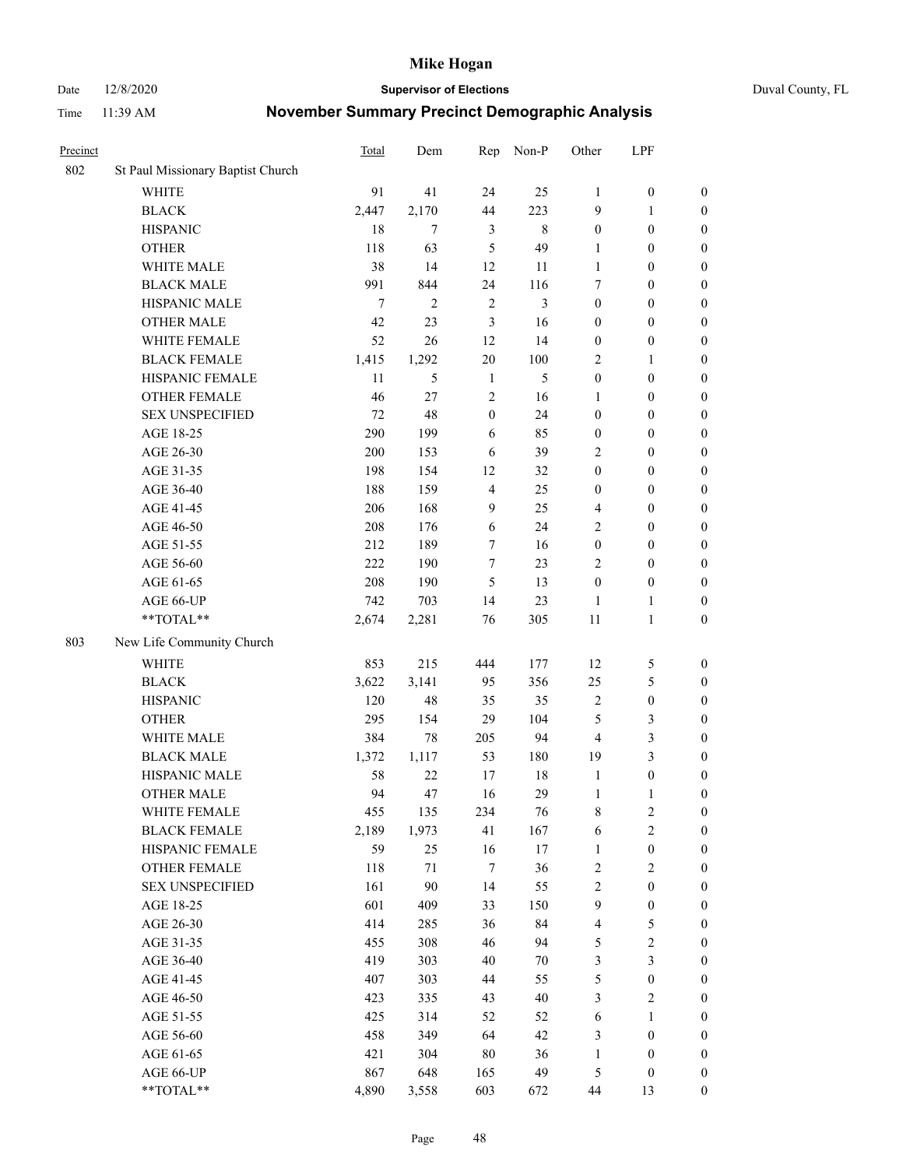Date 12/8/2020 **Supervisor of Elections** Duval County, FL

| Precinct |                                   | <b>Total</b> | Dem          | Rep              | Non-P   | Other                   | LPF              |                  |
|----------|-----------------------------------|--------------|--------------|------------------|---------|-------------------------|------------------|------------------|
| 802      | St Paul Missionary Baptist Church |              |              |                  |         |                         |                  |                  |
|          | <b>WHITE</b>                      | 91           | 41           | 24               | 25      | 1                       | $\boldsymbol{0}$ | 0                |
|          | $\operatorname{BLACK}$            | 2,447        | 2,170        | 44               | 223     | 9                       | $\mathbf{1}$     | $\boldsymbol{0}$ |
|          | <b>HISPANIC</b>                   | 18           | $\tau$       | 3                | $\,8\,$ | $\boldsymbol{0}$        | $\boldsymbol{0}$ | $\boldsymbol{0}$ |
|          | <b>OTHER</b>                      | 118          | 63           | 5                | 49      | 1                       | $\boldsymbol{0}$ | $\boldsymbol{0}$ |
|          | WHITE MALE                        | 38           | 14           | 12               | 11      | 1                       | $\boldsymbol{0}$ | $\boldsymbol{0}$ |
|          | <b>BLACK MALE</b>                 | 991          | 844          | 24               | 116     | 7                       | $\boldsymbol{0}$ | $\boldsymbol{0}$ |
|          | HISPANIC MALE                     | $\tau$       | $\mathbf{2}$ | $\sqrt{2}$       | 3       | $\boldsymbol{0}$        | $\boldsymbol{0}$ | $\boldsymbol{0}$ |
|          | <b>OTHER MALE</b>                 | 42           | 23           | 3                | 16      | $\boldsymbol{0}$        | $\boldsymbol{0}$ | $\boldsymbol{0}$ |
|          | WHITE FEMALE                      | 52           | 26           | 12               | 14      | $\boldsymbol{0}$        | $\boldsymbol{0}$ | $\boldsymbol{0}$ |
|          | <b>BLACK FEMALE</b>               | 1,415        | 1,292        | 20               | 100     | 2                       | $\mathbf{1}$     | $\boldsymbol{0}$ |
|          | HISPANIC FEMALE                   | 11           | 5            | $\mathbf{1}$     | 5       | $\boldsymbol{0}$        | $\boldsymbol{0}$ | 0                |
|          | <b>OTHER FEMALE</b>               | 46           | 27           | $\mathfrak{2}$   | 16      | 1                       | $\boldsymbol{0}$ | $\boldsymbol{0}$ |
|          | <b>SEX UNSPECIFIED</b>            | 72           | 48           | $\boldsymbol{0}$ | 24      | $\boldsymbol{0}$        | $\boldsymbol{0}$ | $\boldsymbol{0}$ |
|          | AGE 18-25                         | 290          | 199          | 6                | 85      | $\boldsymbol{0}$        | $\boldsymbol{0}$ | $\boldsymbol{0}$ |
|          | AGE 26-30                         | 200          | 153          | 6                | 39      | 2                       | $\boldsymbol{0}$ | $\boldsymbol{0}$ |
|          | AGE 31-35                         | 198          | 154          | 12               | 32      | $\boldsymbol{0}$        | $\boldsymbol{0}$ | $\boldsymbol{0}$ |
|          | AGE 36-40                         | 188          | 159          | $\overline{4}$   | 25      | $\boldsymbol{0}$        | $\boldsymbol{0}$ | $\boldsymbol{0}$ |
|          | AGE 41-45                         | 206          | 168          | 9                | 25      | 4                       | $\boldsymbol{0}$ | $\boldsymbol{0}$ |
|          | AGE 46-50                         | 208          | 176          | 6                | 24      | 2                       | $\boldsymbol{0}$ | $\boldsymbol{0}$ |
|          | AGE 51-55                         | 212          | 189          | 7                | 16      | $\boldsymbol{0}$        | $\boldsymbol{0}$ | $\boldsymbol{0}$ |
|          | AGE 56-60                         | 222          | 190          | $\tau$           | 23      | $\mathfrak{2}$          | $\boldsymbol{0}$ | 0                |
|          | AGE 61-65                         | 208          | 190          | 5                | 13      | $\boldsymbol{0}$        | $\boldsymbol{0}$ | $\boldsymbol{0}$ |
|          | AGE 66-UP                         | 742          | 703          | 14               | 23      | $\mathbf{1}$            | $\mathbf{1}$     | $\boldsymbol{0}$ |
|          | **TOTAL**                         | 2,674        | 2,281        | 76               | 305     | $11\,$                  | $\mathbf{1}$     | $\boldsymbol{0}$ |
| 803      | New Life Community Church         |              |              |                  |         |                         |                  |                  |
|          | <b>WHITE</b>                      | 853          | 215          | 444              | 177     | 12                      | $\mathfrak{S}$   | $\boldsymbol{0}$ |
|          | <b>BLACK</b>                      | 3,622        | 3,141        | 95               | 356     | 25                      | $\mathfrak{S}$   | $\boldsymbol{0}$ |
|          | <b>HISPANIC</b>                   | 120          | 48           | 35               | 35      | $\mathfrak{2}$          | $\boldsymbol{0}$ | $\boldsymbol{0}$ |
|          | <b>OTHER</b>                      | 295          | 154          | 29               | 104     | 5                       | $\mathfrak{Z}$   | $\boldsymbol{0}$ |
|          | WHITE MALE                        | 384          | 78           | 205              | 94      | $\overline{4}$          | $\mathfrak{Z}$   | $\boldsymbol{0}$ |
|          | <b>BLACK MALE</b>                 | 1,372        | 1,117        | 53               | 180     | 19                      | $\mathfrak{Z}$   | $\overline{0}$   |
|          | HISPANIC MALE                     | 58           | 22           | 17               | $18\,$  | $\mathbf{1}$            | $\boldsymbol{0}$ | $\boldsymbol{0}$ |
|          | <b>OTHER MALE</b>                 | 94           | 47           | 16               | 29      | $\mathbf{1}$            | $\mathbf{1}$     | $\boldsymbol{0}$ |
|          | WHITE FEMALE                      | 455          | 135          | 234              | 76      | 8                       | 2                | 0                |
|          | <b>BLACK FEMALE</b>               | 2,189        | 1,973        | 41               | 167     | 6                       | $\sqrt{2}$       | $\boldsymbol{0}$ |
|          | HISPANIC FEMALE                   | 59           | 25           | 16               | $17\,$  | $\mathbf{1}$            | $\boldsymbol{0}$ | $\overline{0}$   |
|          | OTHER FEMALE                      | 118          | 71           | 7                | 36      | $\overline{c}$          | $\sqrt{2}$       | $\overline{0}$   |
|          | <b>SEX UNSPECIFIED</b>            | 161          | 90           | 14               | 55      | 2                       | $\boldsymbol{0}$ | $\overline{0}$   |
|          | AGE 18-25                         | 601          | 409          | 33               | 150     | 9                       | $\boldsymbol{0}$ | $\overline{0}$   |
|          | AGE 26-30                         | 414          | 285          | 36               | 84      | $\overline{\mathbf{4}}$ | $\mathfrak{S}$   | 0                |
|          | AGE 31-35                         | 455          | 308          | 46               | 94      | 5                       | $\sqrt{2}$       | 0                |
|          | AGE 36-40                         | 419          | 303          | 40               | 70      | 3                       | $\mathfrak{Z}$   | 0                |
|          | AGE 41-45                         | 407          | 303          | 44               | 55      | 5                       | $\boldsymbol{0}$ | 0                |
|          | AGE 46-50                         | 423          | 335          | 43               | 40      | 3                       | $\sqrt{2}$       | 0                |
|          | AGE 51-55                         | 425          | 314          | 52               | 52      | 6                       | $\mathbf{1}$     | $\boldsymbol{0}$ |
|          | AGE 56-60                         | 458          | 349          | 64               | 42      | 3                       | $\boldsymbol{0}$ | $\overline{0}$   |
|          | AGE 61-65                         | 421          | 304          | 80               | 36      | $\mathbf{1}$            | $\boldsymbol{0}$ | $\boldsymbol{0}$ |
|          | AGE 66-UP                         | 867          | 648          | 165              | 49      | 5                       | $\boldsymbol{0}$ | $\boldsymbol{0}$ |
|          | **TOTAL**                         | 4,890        | 3,558        | 603              | 672     | 44                      | 13               | $\boldsymbol{0}$ |
|          |                                   |              |              |                  |         |                         |                  |                  |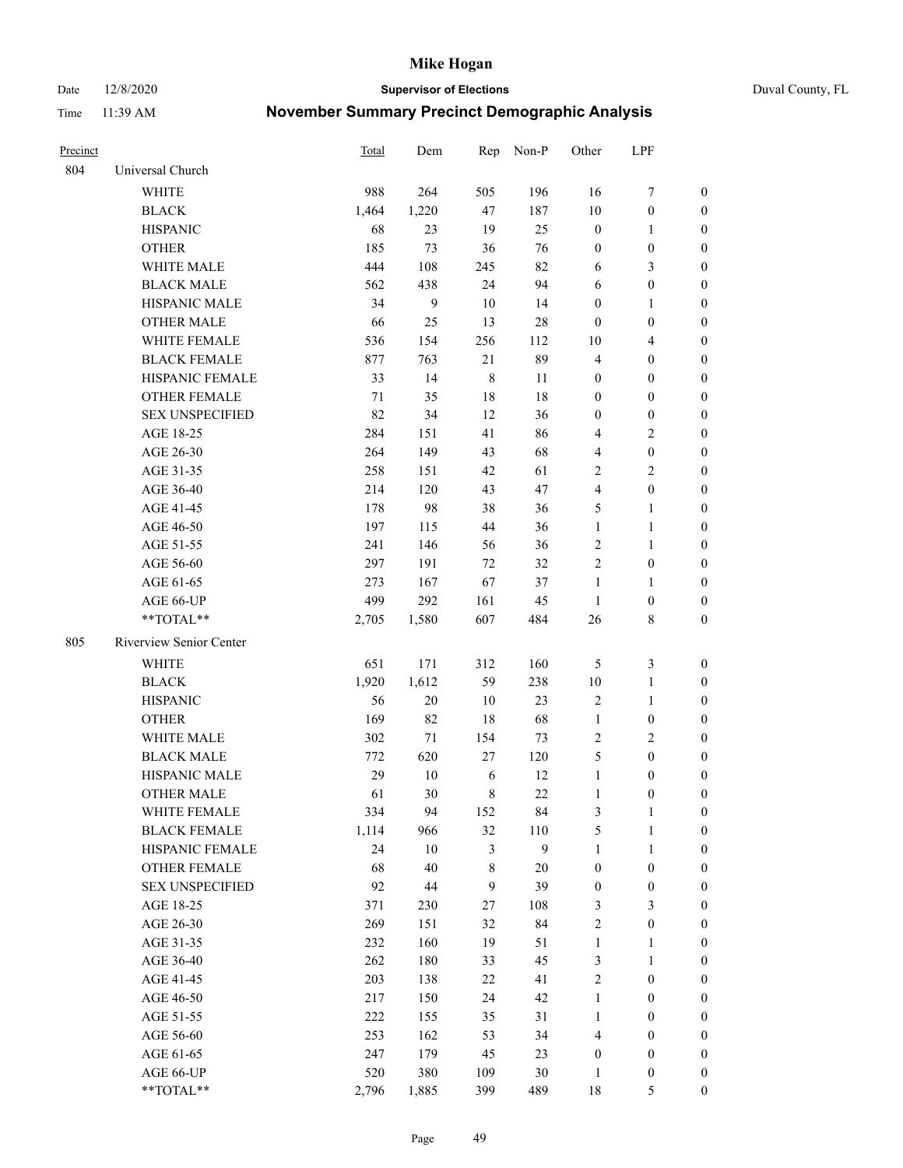Date 12/8/2020 **Supervisor of Elections** Duval County, FL

| Precinct |                         | Total | Dem    |              | Rep Non-P    | Other            | LPF              |                  |
|----------|-------------------------|-------|--------|--------------|--------------|------------------|------------------|------------------|
| 804      | Universal Church        |       |        |              |              |                  |                  |                  |
|          | <b>WHITE</b>            | 988   | 264    | 505          | 196          | 16               | $\boldsymbol{7}$ | 0                |
|          | <b>BLACK</b>            | 1,464 | 1,220  | 47           | 187          | $10\,$           | $\boldsymbol{0}$ | 0                |
|          | <b>HISPANIC</b>         | 68    | 23     | 19           | 25           | $\boldsymbol{0}$ | $\mathbf{1}$     | 0                |
|          | <b>OTHER</b>            | 185   | 73     | 36           | 76           | $\boldsymbol{0}$ | $\boldsymbol{0}$ | $\boldsymbol{0}$ |
|          | WHITE MALE              | 444   | 108    | 245          | 82           | 6                | $\mathfrak{Z}$   | $\boldsymbol{0}$ |
|          | <b>BLACK MALE</b>       | 562   | 438    | 24           | 94           | 6                | $\boldsymbol{0}$ | $\boldsymbol{0}$ |
|          | HISPANIC MALE           | 34    | 9      | 10           | 14           | $\boldsymbol{0}$ | $\mathbf{1}$     | $\boldsymbol{0}$ |
|          | <b>OTHER MALE</b>       | 66    | 25     | 13           | 28           | $\boldsymbol{0}$ | $\boldsymbol{0}$ | $\boldsymbol{0}$ |
|          | WHITE FEMALE            | 536   | 154    | 256          | 112          | 10               | $\overline{4}$   | $\boldsymbol{0}$ |
|          | <b>BLACK FEMALE</b>     | 877   | 763    | 21           | 89           | 4                | $\boldsymbol{0}$ | $\boldsymbol{0}$ |
|          | HISPANIC FEMALE         | 33    | 14     | $\,8\,$      | 11           | 0                | $\boldsymbol{0}$ | 0                |
|          | <b>OTHER FEMALE</b>     | 71    | 35     | 18           | 18           | $\boldsymbol{0}$ | $\boldsymbol{0}$ | 0                |
|          | <b>SEX UNSPECIFIED</b>  | 82    | 34     | 12           | 36           | $\boldsymbol{0}$ | $\boldsymbol{0}$ | $\boldsymbol{0}$ |
|          | AGE 18-25               | 284   | 151    | 41           | 86           | 4                | $\sqrt{2}$       | $\boldsymbol{0}$ |
|          | AGE 26-30               | 264   | 149    | 43           | 68           | 4                | $\boldsymbol{0}$ | $\boldsymbol{0}$ |
|          | AGE 31-35               | 258   | 151    | 42           | 61           | $\overline{c}$   | $\sqrt{2}$       | $\boldsymbol{0}$ |
|          | AGE 36-40               | 214   | 120    | 43           | 47           | 4                | $\boldsymbol{0}$ | $\boldsymbol{0}$ |
|          | AGE 41-45               | 178   | 98     | 38           | 36           | 5                | $\mathbf{1}$     | $\boldsymbol{0}$ |
|          | AGE 46-50               | 197   | 115    | 44           | 36           | $\mathbf{1}$     | $\mathbf{1}$     | $\boldsymbol{0}$ |
|          | AGE 51-55               | 241   | 146    | 56           | 36           | 2                | $\mathbf{1}$     | 0                |
|          | AGE 56-60               | 297   | 191    | 72           | 32           | $\mathfrak{2}$   | $\boldsymbol{0}$ | 0                |
|          | AGE 61-65               | 273   | 167    | 67           | 37           | $\mathbf{1}$     | $\mathbf{1}$     | 0                |
|          | AGE 66-UP               | 499   | 292    | 161          | 45           | $\mathbf{1}$     | $\boldsymbol{0}$ | 0                |
|          | **TOTAL**               | 2,705 | 1,580  | 607          | 484          | 26               | $\,$ 8 $\,$      | $\boldsymbol{0}$ |
| 805      | Riverview Senior Center |       |        |              |              |                  |                  |                  |
|          | <b>WHITE</b>            | 651   | 171    | 312          | 160          | 5                | $\mathfrak{Z}$   | $\boldsymbol{0}$ |
|          | <b>BLACK</b>            | 1,920 | 1,612  | 59           | 238          | $10\,$           | $\mathbf{1}$     | $\boldsymbol{0}$ |
|          | <b>HISPANIC</b>         | 56    | $20\,$ | 10           | 23           | 2                | $\mathbf{1}$     | $\boldsymbol{0}$ |
|          | <b>OTHER</b>            | 169   | 82     | 18           | 68           | $\mathbf{1}$     | $\boldsymbol{0}$ | $\boldsymbol{0}$ |
|          | <b>WHITE MALE</b>       | 302   | 71     | 154          | 73           | $\mathfrak{2}$   | $\overline{2}$   | $\overline{0}$   |
|          | <b>BLACK MALE</b>       | 772   | 620    | 27           | 120          | 5                | $\boldsymbol{0}$ | $\boldsymbol{0}$ |
|          | HISPANIC MALE           | 29    | $10\,$ | 6            | 12           | $\mathbf{1}$     | $\boldsymbol{0}$ | 0                |
|          | <b>OTHER MALE</b>       | 61    | 30     | 8            | 22           | $\mathbf{1}$     | $\boldsymbol{0}$ | 0                |
|          | WHITE FEMALE            | 334   | 94     | 152          | 84           | 3                | 1                | 0                |
|          | <b>BLACK FEMALE</b>     | 1,114 | 966    | 32           | 110          | 5                | $\mathbf{1}$     | $\boldsymbol{0}$ |
|          | HISPANIC FEMALE         | 24    | $10\,$ | 3            | $\mathbf{9}$ | $\mathbf{1}$     | $\mathbf{1}$     | $\overline{0}$   |
|          | OTHER FEMALE            | 68    | 40     | 8            | $20\,$       | $\boldsymbol{0}$ | $\boldsymbol{0}$ | $\overline{0}$   |
|          | <b>SEX UNSPECIFIED</b>  | 92    | 44     | $\mathbf{9}$ | 39           | $\boldsymbol{0}$ | $\boldsymbol{0}$ | 0                |
|          | AGE 18-25               | 371   | 230    | 27           | 108          | 3                | $\mathfrak{Z}$   | 0                |
|          | AGE 26-30               | 269   | 151    | 32           | 84           | 2                | $\boldsymbol{0}$ | 0                |
|          | AGE 31-35               | 232   | 160    | 19           | 51           | $\mathbf{1}$     | 1                | 0                |
|          | AGE 36-40               | 262   | 180    | 33           | 45           | 3                | $\mathbf{1}$     | 0                |
|          | AGE 41-45               | 203   | 138    | 22           | 41           | 2                | $\boldsymbol{0}$ | 0                |
|          | AGE 46-50               | 217   | 150    | 24           | 42           | $\mathbf{1}$     | $\boldsymbol{0}$ | 0                |
|          | AGE 51-55               | 222   | 155    | 35           | 31           | $\mathbf{1}$     | $\boldsymbol{0}$ | 0                |
|          | AGE 56-60               | 253   | 162    | 53           | 34           | 4                | $\boldsymbol{0}$ | $\boldsymbol{0}$ |
|          | AGE 61-65               | 247   | 179    | 45           | 23           | $\boldsymbol{0}$ | $\boldsymbol{0}$ | 0                |
|          | AGE 66-UP               | 520   | 380    | 109          | $30\,$       | $\mathbf{1}$     | $\boldsymbol{0}$ | 0                |
|          | **TOTAL**               | 2,796 | 1,885  | 399          | 489          | $18\,$           | $\mathfrak{S}$   | $\boldsymbol{0}$ |
|          |                         |       |        |              |              |                  |                  |                  |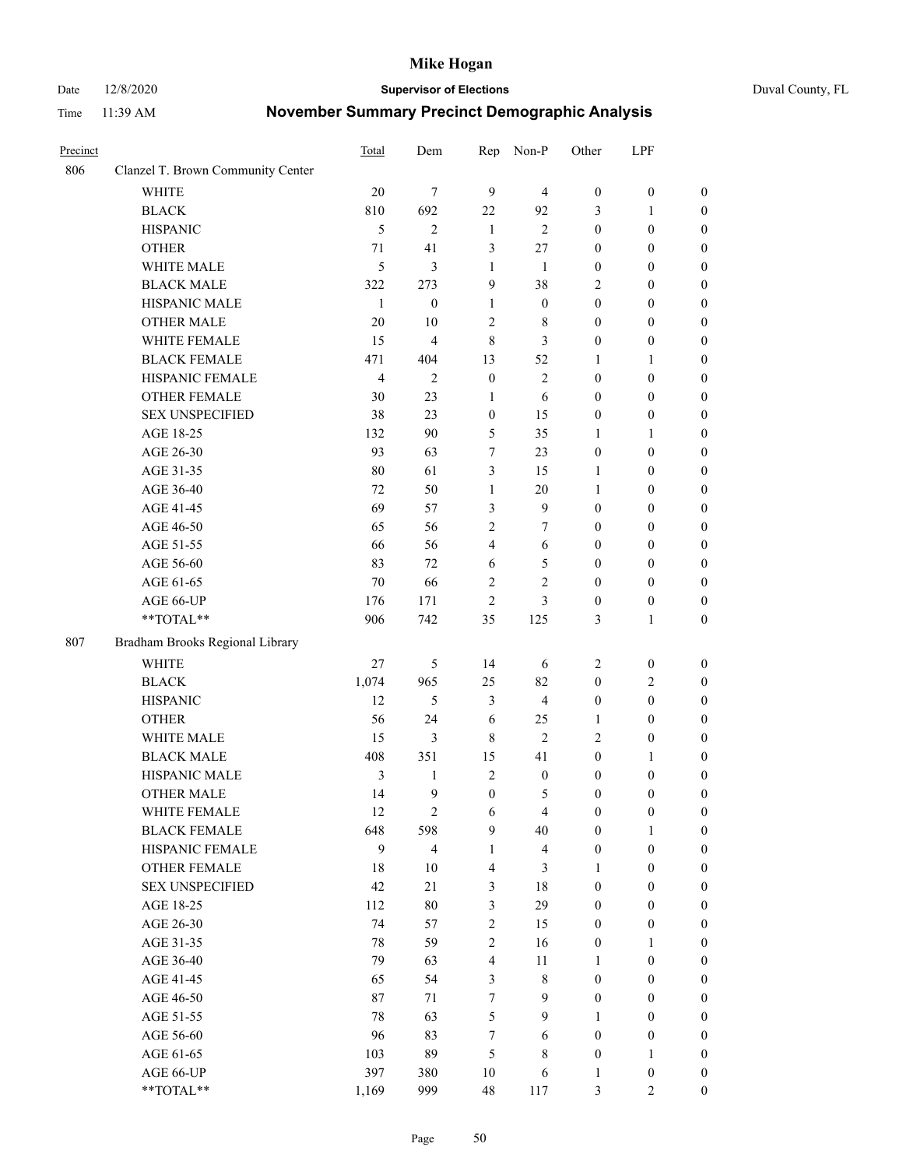#### Date 12/8/2020 **Supervisor of Elections** Duval County, FL

| Precinct |                                   | Total          | Dem                     | Rep                     | Non-P                   | Other            | LPF              |                  |
|----------|-----------------------------------|----------------|-------------------------|-------------------------|-------------------------|------------------|------------------|------------------|
| 806      | Clanzel T. Brown Community Center |                |                         |                         |                         |                  |                  |                  |
|          | <b>WHITE</b>                      | 20             | $\tau$                  | 9                       | $\overline{4}$          | $\boldsymbol{0}$ | $\boldsymbol{0}$ | $\boldsymbol{0}$ |
|          | <b>BLACK</b>                      | 810            | 692                     | 22                      | 92                      | 3                | 1                | $\boldsymbol{0}$ |
|          | <b>HISPANIC</b>                   | 5              | $\overline{2}$          | $\mathbf{1}$            | $\overline{2}$          | $\boldsymbol{0}$ | $\boldsymbol{0}$ | $\boldsymbol{0}$ |
|          | <b>OTHER</b>                      | 71             | 41                      | 3                       | $27\,$                  | $\boldsymbol{0}$ | $\boldsymbol{0}$ | $\boldsymbol{0}$ |
|          | WHITE MALE                        | 5              | 3                       | $\mathbf{1}$            | 1                       | $\boldsymbol{0}$ | $\boldsymbol{0}$ | $\boldsymbol{0}$ |
|          | <b>BLACK MALE</b>                 | 322            | 273                     | 9                       | 38                      | 2                | $\boldsymbol{0}$ | $\boldsymbol{0}$ |
|          | HISPANIC MALE                     | $\mathbf{1}$   | $\boldsymbol{0}$        | $\mathbf{1}$            | $\boldsymbol{0}$        | $\boldsymbol{0}$ | $\boldsymbol{0}$ | $\boldsymbol{0}$ |
|          | <b>OTHER MALE</b>                 | 20             | $10\,$                  | $\mathfrak{2}$          | 8                       | $\boldsymbol{0}$ | $\boldsymbol{0}$ | $\boldsymbol{0}$ |
|          | WHITE FEMALE                      | 15             | $\overline{\mathbf{4}}$ | $\,$ 8 $\,$             | 3                       | $\boldsymbol{0}$ | $\boldsymbol{0}$ | $\boldsymbol{0}$ |
|          | <b>BLACK FEMALE</b>               | 471            | 404                     | 13                      | 52                      | 1                | 1                | 0                |
|          | HISPANIC FEMALE                   | $\overline{4}$ | $\mathfrak{2}$          | $\boldsymbol{0}$        | $\sqrt{2}$              | $\boldsymbol{0}$ | $\boldsymbol{0}$ | $\boldsymbol{0}$ |
|          | <b>OTHER FEMALE</b>               | 30             | 23                      | $\mathbf{1}$            | 6                       | $\boldsymbol{0}$ | $\boldsymbol{0}$ | $\boldsymbol{0}$ |
|          | <b>SEX UNSPECIFIED</b>            | 38             | 23                      | $\boldsymbol{0}$        | 15                      | $\boldsymbol{0}$ | $\boldsymbol{0}$ | $\boldsymbol{0}$ |
|          | AGE 18-25                         | 132            | 90                      | 5                       | 35                      | 1                | $\mathbf{1}$     | $\boldsymbol{0}$ |
|          | AGE 26-30                         | 93             | 63                      | 7                       | 23                      | $\boldsymbol{0}$ | $\boldsymbol{0}$ | $\boldsymbol{0}$ |
|          | AGE 31-35                         | $80\,$         | 61                      | 3                       | 15                      | 1                | $\boldsymbol{0}$ | $\boldsymbol{0}$ |
|          | AGE 36-40                         | 72             | 50                      | $\mathbf{1}$            | $20\,$                  | $\mathbf{1}$     | $\boldsymbol{0}$ | $\boldsymbol{0}$ |
|          | AGE 41-45                         | 69             | 57                      | 3                       | $\mathbf{9}$            | $\boldsymbol{0}$ | $\boldsymbol{0}$ | $\boldsymbol{0}$ |
|          | AGE 46-50                         | 65             | 56                      | $\sqrt{2}$              | 7                       | $\boldsymbol{0}$ | $\boldsymbol{0}$ | $\boldsymbol{0}$ |
|          | AGE 51-55                         | 66             | 56                      | $\overline{4}$          | 6                       | $\boldsymbol{0}$ | $\boldsymbol{0}$ | 0                |
|          | AGE 56-60                         | 83             | 72                      | 6                       | $\mathfrak{S}$          | $\boldsymbol{0}$ | $\boldsymbol{0}$ | $\boldsymbol{0}$ |
|          | AGE 61-65                         | 70             | 66                      | $\mathfrak{2}$          | $\mathfrak{2}$          | $\boldsymbol{0}$ | $\boldsymbol{0}$ | $\boldsymbol{0}$ |
|          | AGE 66-UP                         | 176            | 171                     | $\mathfrak{2}$          | 3                       | $\boldsymbol{0}$ | $\boldsymbol{0}$ | $\boldsymbol{0}$ |
|          | **TOTAL**                         | 906            | 742                     | 35                      | 125                     | 3                | $\mathbf{1}$     | $\boldsymbol{0}$ |
| 807      | Bradham Brooks Regional Library   |                |                         |                         |                         |                  |                  |                  |
|          | <b>WHITE</b>                      | 27             | $\mathfrak{S}$          | 14                      | 6                       | 2                | $\boldsymbol{0}$ | $\boldsymbol{0}$ |
|          | <b>BLACK</b>                      | 1,074          | 965                     | 25                      | 82                      | $\boldsymbol{0}$ | $\mathfrak{2}$   | $\boldsymbol{0}$ |
|          | <b>HISPANIC</b>                   | 12             | 5                       | 3                       | $\overline{4}$          | $\boldsymbol{0}$ | $\boldsymbol{0}$ | $\boldsymbol{0}$ |
|          | <b>OTHER</b>                      | 56             | 24                      | 6                       | 25                      | $\mathbf{1}$     | $\boldsymbol{0}$ | $\boldsymbol{0}$ |
|          | WHITE MALE                        | 15             | 3                       | 8                       | $\overline{2}$          | 2                | $\boldsymbol{0}$ | $\boldsymbol{0}$ |
|          | <b>BLACK MALE</b>                 | 408            | 351                     | 15                      | 41                      | $\boldsymbol{0}$ | 1                | $\boldsymbol{0}$ |
|          | HISPANIC MALE                     | 3              | 1                       | $\overline{2}$          | $\boldsymbol{0}$        | $\boldsymbol{0}$ | $\boldsymbol{0}$ | 0                |
|          | <b>OTHER MALE</b>                 | 14             | 9                       | $\boldsymbol{0}$        | 5                       | $\boldsymbol{0}$ | $\boldsymbol{0}$ | $\boldsymbol{0}$ |
|          | WHITE FEMALE                      | 12             | 2                       | 6                       | $\overline{4}$          | 0                | $\boldsymbol{0}$ | $\boldsymbol{0}$ |
|          | <b>BLACK FEMALE</b>               | 648            | 598                     | 9                       | 40                      | $\boldsymbol{0}$ | 1                | $\overline{0}$   |
|          | HISPANIC FEMALE                   | 9              | $\overline{4}$          | $\mathbf{1}$            | $\overline{\mathbf{4}}$ | $\boldsymbol{0}$ | $\boldsymbol{0}$ | $\overline{0}$   |
|          | <b>OTHER FEMALE</b>               | $18\,$         | $10\,$                  | $\overline{\mathbf{4}}$ | 3                       | 1                | $\boldsymbol{0}$ | $\overline{0}$   |
|          | <b>SEX UNSPECIFIED</b>            | 42             | 21                      | 3                       | 18                      | $\boldsymbol{0}$ | $\boldsymbol{0}$ | $\overline{0}$   |
|          | AGE 18-25                         | 112            | $80\,$                  | 3                       | 29                      | $\boldsymbol{0}$ | $\boldsymbol{0}$ | $\overline{0}$   |
|          | AGE 26-30                         | 74             | 57                      | $\sqrt{2}$              | 15                      | $\boldsymbol{0}$ | $\boldsymbol{0}$ | 0                |
|          | AGE 31-35                         | 78             | 59                      | $\sqrt{2}$              | 16                      | $\boldsymbol{0}$ | $\mathbf{1}$     | 0                |
|          | AGE 36-40                         | 79             | 63                      | $\overline{4}$          | 11                      | $\mathbf{1}$     | $\boldsymbol{0}$ | 0                |
|          | AGE 41-45                         | 65             | 54                      | 3                       | $8\,$                   | $\boldsymbol{0}$ | $\boldsymbol{0}$ | 0                |
|          | AGE 46-50                         | 87             | 71                      | 7                       | 9                       | $\boldsymbol{0}$ | $\boldsymbol{0}$ | $\overline{0}$   |
|          | AGE 51-55                         | 78             | 63                      | 5                       | 9                       | 1                | $\boldsymbol{0}$ | $\boldsymbol{0}$ |
|          | AGE 56-60                         | 96             | 83                      | 7                       | 6                       | $\boldsymbol{0}$ | $\boldsymbol{0}$ | $\boldsymbol{0}$ |
|          | AGE 61-65                         | 103            | 89                      | 5                       | $8\,$                   | $\boldsymbol{0}$ | $\mathbf{1}$     | $\boldsymbol{0}$ |
|          | AGE 66-UP                         | 397            | 380                     | 10                      | 6                       | $\mathbf{1}$     | $\boldsymbol{0}$ | $\boldsymbol{0}$ |
|          | **TOTAL**                         | 1,169          | 999                     | 48                      | 117                     | 3                | $\mathfrak{2}$   | $\overline{0}$   |
|          |                                   |                |                         |                         |                         |                  |                  |                  |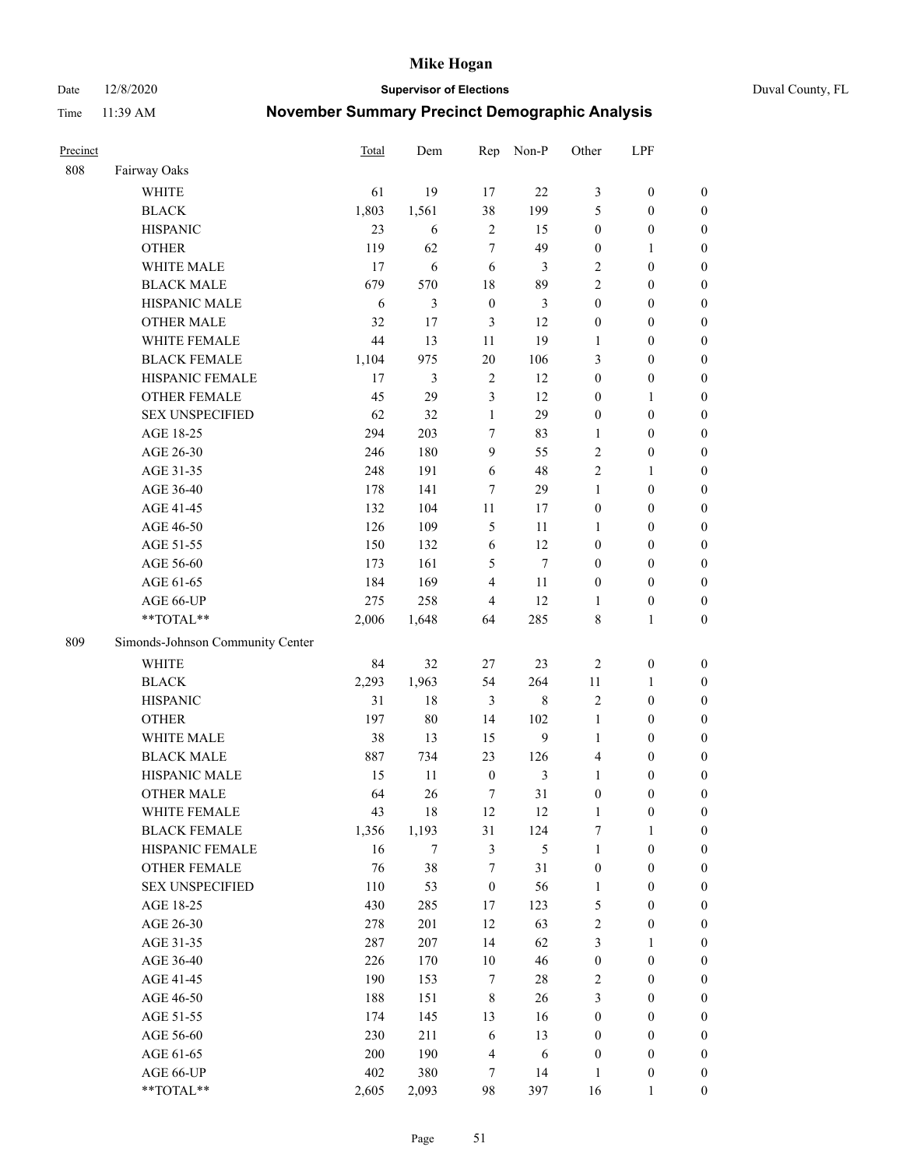Date 12/8/2020 **Supervisor of Elections** Duval County, FL

| Precinct |                                  | <b>Total</b> | Dem    | Rep              | Non-P          | Other            | LPF              |                  |
|----------|----------------------------------|--------------|--------|------------------|----------------|------------------|------------------|------------------|
| 808      | Fairway Oaks                     |              |        |                  |                |                  |                  |                  |
|          | <b>WHITE</b>                     | 61           | 19     | 17               | 22             | 3                | $\boldsymbol{0}$ | 0                |
|          | <b>BLACK</b>                     | 1,803        | 1,561  | 38               | 199            | 5                | $\boldsymbol{0}$ | $\boldsymbol{0}$ |
|          | <b>HISPANIC</b>                  | 23           | 6      | $\sqrt{2}$       | 15             | $\boldsymbol{0}$ | $\boldsymbol{0}$ | $\boldsymbol{0}$ |
|          | <b>OTHER</b>                     | 119          | 62     | 7                | 49             | $\boldsymbol{0}$ | 1                | $\boldsymbol{0}$ |
|          | WHITE MALE                       | 17           | 6      | 6                | 3              | 2                | $\boldsymbol{0}$ | $\boldsymbol{0}$ |
|          | <b>BLACK MALE</b>                | 679          | 570    | 18               | 89             | $\overline{c}$   | $\boldsymbol{0}$ | $\boldsymbol{0}$ |
|          | HISPANIC MALE                    | 6            | 3      | $\boldsymbol{0}$ | 3              | $\boldsymbol{0}$ | $\boldsymbol{0}$ | $\boldsymbol{0}$ |
|          | <b>OTHER MALE</b>                | 32           | 17     | $\mathfrak{Z}$   | 12             | $\boldsymbol{0}$ | $\boldsymbol{0}$ | $\boldsymbol{0}$ |
|          | WHITE FEMALE                     | 44           | 13     | 11               | 19             | 1                | $\boldsymbol{0}$ | $\boldsymbol{0}$ |
|          | <b>BLACK FEMALE</b>              | 1,104        | 975    | 20               | 106            | 3                | $\boldsymbol{0}$ | $\boldsymbol{0}$ |
|          | HISPANIC FEMALE                  | 17           | 3      | $\sqrt{2}$       | 12             | $\boldsymbol{0}$ | $\boldsymbol{0}$ | $\boldsymbol{0}$ |
|          | <b>OTHER FEMALE</b>              | 45           | 29     | $\mathfrak{Z}$   | 12             | $\boldsymbol{0}$ | $\mathbf{1}$     | $\boldsymbol{0}$ |
|          | <b>SEX UNSPECIFIED</b>           | 62           | 32     | $\mathbf{1}$     | 29             | $\boldsymbol{0}$ | $\boldsymbol{0}$ | $\boldsymbol{0}$ |
|          | AGE 18-25                        | 294          | 203    | 7                | 83             | 1                | $\boldsymbol{0}$ | $\boldsymbol{0}$ |
|          | AGE 26-30                        | 246          | 180    | 9                | 55             | 2                | $\boldsymbol{0}$ | $\boldsymbol{0}$ |
|          | AGE 31-35                        | 248          | 191    | 6                | 48             | $\overline{c}$   | $\mathbf{1}$     | $\boldsymbol{0}$ |
|          | AGE 36-40                        | 178          | 141    | 7                | 29             | $\mathbf{1}$     | $\boldsymbol{0}$ | $\boldsymbol{0}$ |
|          | AGE 41-45                        | 132          | 104    | $11\,$           | 17             | $\boldsymbol{0}$ | $\boldsymbol{0}$ | $\boldsymbol{0}$ |
|          | AGE 46-50                        | 126          | 109    | 5                | 11             | 1                | $\boldsymbol{0}$ | $\boldsymbol{0}$ |
|          | AGE 51-55                        | 150          | 132    | 6                | 12             | $\boldsymbol{0}$ | $\boldsymbol{0}$ | $\boldsymbol{0}$ |
|          | AGE 56-60                        | 173          | 161    | 5                | $\tau$         | $\boldsymbol{0}$ | $\boldsymbol{0}$ | 0                |
|          | AGE 61-65                        | 184          | 169    | $\overline{4}$   | 11             | $\boldsymbol{0}$ | $\boldsymbol{0}$ | $\boldsymbol{0}$ |
|          | AGE 66-UP                        | 275          | 258    | $\overline{4}$   | 12             | 1                | $\boldsymbol{0}$ | $\boldsymbol{0}$ |
|          | **TOTAL**                        | 2,006        | 1,648  | 64               | 285            | 8                | $\mathbf{1}$     | $\boldsymbol{0}$ |
| 809      | Simonds-Johnson Community Center |              |        |                  |                |                  |                  |                  |
|          | <b>WHITE</b>                     | 84           | 32     | 27               | 23             | $\sqrt{2}$       | $\boldsymbol{0}$ | $\boldsymbol{0}$ |
|          | <b>BLACK</b>                     | 2,293        | 1,963  | 54               | 264            | $11\,$           | $\mathbf{1}$     | $\boldsymbol{0}$ |
|          | <b>HISPANIC</b>                  | 31           | 18     | $\mathfrak{Z}$   | $\,8\,$        | 2                | $\boldsymbol{0}$ | $\boldsymbol{0}$ |
|          | <b>OTHER</b>                     | 197          | $80\,$ | 14               | 102            | $\mathbf{1}$     | $\boldsymbol{0}$ | $\boldsymbol{0}$ |
|          | WHITE MALE                       | 38           | 13     | 15               | 9              | $\mathbf{1}$     | $\boldsymbol{0}$ | $\boldsymbol{0}$ |
|          | <b>BLACK MALE</b>                | 887          | 734    | 23               | 126            | 4                | $\boldsymbol{0}$ | $\boldsymbol{0}$ |
|          | HISPANIC MALE                    | 15           | 11     | $\boldsymbol{0}$ | $\mathfrak{Z}$ | $\mathbf{1}$     | $\boldsymbol{0}$ | $\boldsymbol{0}$ |
|          | OTHER MALE                       | 64           | 26     | 7                | 31             | $\boldsymbol{0}$ | $\boldsymbol{0}$ | $\boldsymbol{0}$ |
|          | WHITE FEMALE                     | 43           | 18     | 12               | 12             | 1                | $\boldsymbol{0}$ | 0                |
|          | <b>BLACK FEMALE</b>              | 1,356        | 1,193  | 31               | 124            | 7                | $\mathbf{1}$     | $\boldsymbol{0}$ |
|          | HISPANIC FEMALE                  | 16           | $\tau$ | 3                | $\mathfrak{S}$ | $\mathbf{1}$     | $\boldsymbol{0}$ | $\overline{0}$   |
|          | OTHER FEMALE                     | 76           | 38     | 7                | 31             | $\boldsymbol{0}$ | $\boldsymbol{0}$ | $\overline{0}$   |
|          | <b>SEX UNSPECIFIED</b>           | 110          | 53     | $\boldsymbol{0}$ | 56             | $\mathbf{1}$     | $\boldsymbol{0}$ | $\overline{0}$   |
|          | AGE 18-25                        | 430          | 285    | 17               | 123            | 5                | $\boldsymbol{0}$ | $\overline{0}$   |
|          | AGE 26-30                        | 278          | 201    | 12               | 63             | 2                | $\boldsymbol{0}$ | 0                |
|          | AGE 31-35                        | 287          | 207    | 14               | 62             | 3                | 1                | 0                |
|          | AGE 36-40                        | 226          | 170    | 10               | 46             | $\boldsymbol{0}$ | $\boldsymbol{0}$ | 0                |
|          | AGE 41-45                        | 190          | 153    | $\tau$           | $28\,$         | 2                | $\boldsymbol{0}$ | 0                |
|          | AGE 46-50                        | 188          | 151    | $\,$ 8 $\,$      | 26             | 3                | $\boldsymbol{0}$ | 0                |
|          | AGE 51-55                        | 174          | 145    | 13               | 16             | $\boldsymbol{0}$ | $\boldsymbol{0}$ | $\boldsymbol{0}$ |
|          | AGE 56-60                        | 230          | 211    | 6                | 13             | $\boldsymbol{0}$ | $\boldsymbol{0}$ | $\boldsymbol{0}$ |
|          | AGE 61-65                        | 200          | 190    | 4                | 6              | $\boldsymbol{0}$ | $\boldsymbol{0}$ | $\overline{0}$   |
|          | AGE 66-UP                        | 402          | 380    | 7                | 14             | $\mathbf{1}$     | $\boldsymbol{0}$ | 0                |
|          | **TOTAL**                        | 2,605        | 2,093  | 98               | 397            | 16               | $\mathbf{1}$     | $\boldsymbol{0}$ |
|          |                                  |              |        |                  |                |                  |                  |                  |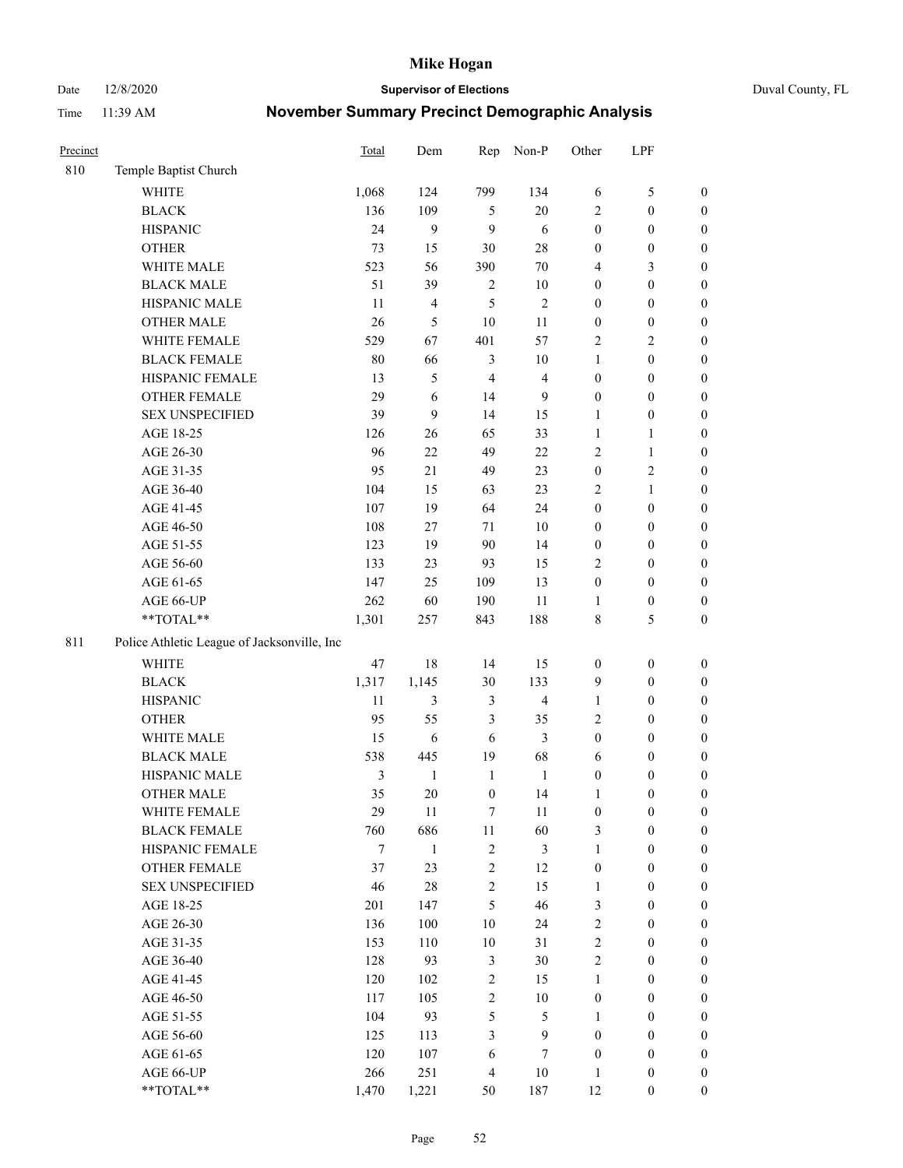#### Date 12/8/2020 **Supervisor of Elections** Duval County, FL

| Precinct |                                             | <b>Total</b>   | Dem                     | Rep              | Non-P                   | Other            | LPF              |                  |
|----------|---------------------------------------------|----------------|-------------------------|------------------|-------------------------|------------------|------------------|------------------|
| 810      | Temple Baptist Church                       |                |                         |                  |                         |                  |                  |                  |
|          | <b>WHITE</b>                                | 1,068          | 124                     | 799              | 134                     | 6                | $\mathfrak{S}$   | 0                |
|          | <b>BLACK</b>                                | 136            | 109                     | 5                | 20                      | 2                | $\boldsymbol{0}$ | $\boldsymbol{0}$ |
|          | <b>HISPANIC</b>                             | 24             | 9                       | 9                | 6                       | $\boldsymbol{0}$ | $\boldsymbol{0}$ | $\boldsymbol{0}$ |
|          | <b>OTHER</b>                                | 73             | 15                      | 30               | $28\,$                  | $\boldsymbol{0}$ | $\boldsymbol{0}$ | $\boldsymbol{0}$ |
|          | WHITE MALE                                  | 523            | 56                      | 390              | 70                      | 4                | $\mathfrak{Z}$   | $\boldsymbol{0}$ |
|          | <b>BLACK MALE</b>                           | 51             | 39                      | $\sqrt{2}$       | $10\,$                  | $\boldsymbol{0}$ | $\boldsymbol{0}$ | $\boldsymbol{0}$ |
|          | HISPANIC MALE                               | 11             | $\overline{\mathbf{4}}$ | 5                | $\sqrt{2}$              | $\boldsymbol{0}$ | $\boldsymbol{0}$ | $\boldsymbol{0}$ |
|          | OTHER MALE                                  | 26             | 5                       | 10               | 11                      | $\boldsymbol{0}$ | $\boldsymbol{0}$ | $\boldsymbol{0}$ |
|          | WHITE FEMALE                                | 529            | 67                      | 401              | 57                      | 2                | $\overline{2}$   | $\boldsymbol{0}$ |
|          | <b>BLACK FEMALE</b>                         | 80             | 66                      | $\mathfrak{Z}$   | $10\,$                  | $\mathbf{1}$     | $\boldsymbol{0}$ | $\boldsymbol{0}$ |
|          | HISPANIC FEMALE                             | 13             | 5                       | $\overline{4}$   | $\overline{4}$          | $\boldsymbol{0}$ | $\boldsymbol{0}$ | $\boldsymbol{0}$ |
|          | <b>OTHER FEMALE</b>                         | 29             | 6                       | 14               | 9                       | $\boldsymbol{0}$ | $\boldsymbol{0}$ | $\boldsymbol{0}$ |
|          | <b>SEX UNSPECIFIED</b>                      | 39             | 9                       | 14               | 15                      | $\mathbf{1}$     | $\boldsymbol{0}$ | $\boldsymbol{0}$ |
|          | AGE 18-25                                   | 126            | 26                      | 65               | 33                      | $\mathbf{1}$     | 1                | $\boldsymbol{0}$ |
|          | AGE 26-30                                   | 96             | $22\,$                  | 49               | $22\,$                  | 2                | $\mathbf{1}$     | $\boldsymbol{0}$ |
|          | AGE 31-35                                   | 95             | 21                      | 49               | 23                      | $\boldsymbol{0}$ | $\sqrt{2}$       | $\boldsymbol{0}$ |
|          | AGE 36-40                                   | 104            | 15                      | 63               | 23                      | 2                | $\mathbf{1}$     | $\boldsymbol{0}$ |
|          | AGE 41-45                                   | 107            | 19                      | 64               | 24                      | $\boldsymbol{0}$ | $\boldsymbol{0}$ | $\boldsymbol{0}$ |
|          | AGE 46-50                                   | 108            | 27                      | 71               | $10\,$                  | $\boldsymbol{0}$ | $\boldsymbol{0}$ | $\boldsymbol{0}$ |
|          | AGE 51-55                                   | 123            | 19                      | 90               | 14                      | $\boldsymbol{0}$ | $\boldsymbol{0}$ | $\boldsymbol{0}$ |
|          | AGE 56-60                                   | 133            | 23                      | 93               | 15                      | 2                | $\boldsymbol{0}$ | 0                |
|          | AGE 61-65                                   | 147            | 25                      | 109              | 13                      | $\boldsymbol{0}$ | $\boldsymbol{0}$ | 0                |
|          | AGE 66-UP                                   | 262            | 60                      | 190              | 11                      | 1                | $\boldsymbol{0}$ | $\boldsymbol{0}$ |
|          | **TOTAL**                                   | 1,301          | 257                     | 843              | 188                     | 8                | $\mathfrak{S}$   | $\boldsymbol{0}$ |
| 811      | Police Athletic League of Jacksonville, Inc |                |                         |                  |                         |                  |                  |                  |
|          | WHITE                                       | 47             | $18\,$                  | 14               | 15                      | $\boldsymbol{0}$ | $\boldsymbol{0}$ | $\boldsymbol{0}$ |
|          | <b>BLACK</b>                                | 1,317          | 1,145                   | 30               | 133                     | 9                | $\boldsymbol{0}$ | $\boldsymbol{0}$ |
|          | <b>HISPANIC</b>                             | 11             | 3                       | $\mathfrak{Z}$   | $\overline{\mathbf{4}}$ | $\mathbf{1}$     | $\boldsymbol{0}$ | $\boldsymbol{0}$ |
|          | <b>OTHER</b>                                | 95             | 55                      | 3                | 35                      | 2                | $\boldsymbol{0}$ | $\boldsymbol{0}$ |
|          | WHITE MALE                                  | 15             | $\sqrt{6}$              | 6                | 3                       | $\boldsymbol{0}$ | $\boldsymbol{0}$ | $\boldsymbol{0}$ |
|          | <b>BLACK MALE</b>                           | 538            | 445                     | 19               | 68                      | 6                | $\boldsymbol{0}$ | $\boldsymbol{0}$ |
|          | HISPANIC MALE                               | $\mathfrak{Z}$ | $\mathbf{1}$            | $\mathbf{1}$     | $\mathbf{1}$            | $\boldsymbol{0}$ | $\boldsymbol{0}$ | $\boldsymbol{0}$ |
|          | OTHER MALE                                  | 35             | 20                      | $\boldsymbol{0}$ | 14                      | $\mathbf{1}$     | $\boldsymbol{0}$ | $\boldsymbol{0}$ |
|          | WHITE FEMALE                                | 29             | 11                      | 7                | 11                      | 0                | $\boldsymbol{0}$ | 0                |
|          | <b>BLACK FEMALE</b>                         | 760            | 686                     | $11\,$           | 60                      | 3                | $\boldsymbol{0}$ | $\boldsymbol{0}$ |
|          | HISPANIC FEMALE                             | 7              | $\mathbf{1}$            | $\sqrt{2}$       | 3                       | $\mathbf{1}$     | $\boldsymbol{0}$ | $\overline{0}$   |
|          | OTHER FEMALE                                | 37             | 23                      | $\boldsymbol{2}$ | 12                      | $\boldsymbol{0}$ | $\boldsymbol{0}$ | $\overline{0}$   |
|          | <b>SEX UNSPECIFIED</b>                      | 46             | $28\,$                  | $\sqrt{2}$       | 15                      | $\mathbf{1}$     | $\boldsymbol{0}$ | $\overline{0}$   |
|          | AGE 18-25                                   | 201            | 147                     | $\mathfrak s$    | 46                      | 3                | $\boldsymbol{0}$ | $\overline{0}$   |
|          | AGE 26-30                                   | 136            | 100                     | $10\,$           | 24                      | $\overline{c}$   | $\boldsymbol{0}$ | $\overline{0}$   |
|          | AGE 31-35                                   | 153            | 110                     | $10\,$           | 31                      | $\overline{2}$   | $\boldsymbol{0}$ | 0                |
|          | AGE 36-40                                   | 128            | 93                      | 3                | $30\,$                  | 2                | $\boldsymbol{0}$ | 0                |
|          | AGE 41-45                                   | 120            | 102                     | $\sqrt{2}$       | 15                      | $\mathbf{1}$     | $\boldsymbol{0}$ | 0                |
|          | AGE 46-50                                   | 117            | 105                     | $\sqrt{2}$       | $10\,$                  | $\boldsymbol{0}$ | $\boldsymbol{0}$ | 0                |
|          | AGE 51-55                                   | 104            | 93                      | 5                | $\mathfrak{S}$          | $\mathbf{1}$     | $\boldsymbol{0}$ | $\boldsymbol{0}$ |
|          | AGE 56-60                                   | 125            | 113                     | 3                | $\mathbf{9}$            | $\boldsymbol{0}$ | $\boldsymbol{0}$ | $\overline{0}$   |
|          | AGE 61-65                                   | 120            | 107                     | 6                | $\tau$                  | $\boldsymbol{0}$ | $\boldsymbol{0}$ | $\overline{0}$   |
|          | AGE 66-UP                                   | 266            | 251                     | $\overline{4}$   | $10\,$                  | $\mathbf{1}$     | $\boldsymbol{0}$ | 0                |
|          | **TOTAL**                                   | 1,470          | 1,221                   | 50               | 187                     | 12               | $\boldsymbol{0}$ | $\boldsymbol{0}$ |
|          |                                             |                |                         |                  |                         |                  |                  |                  |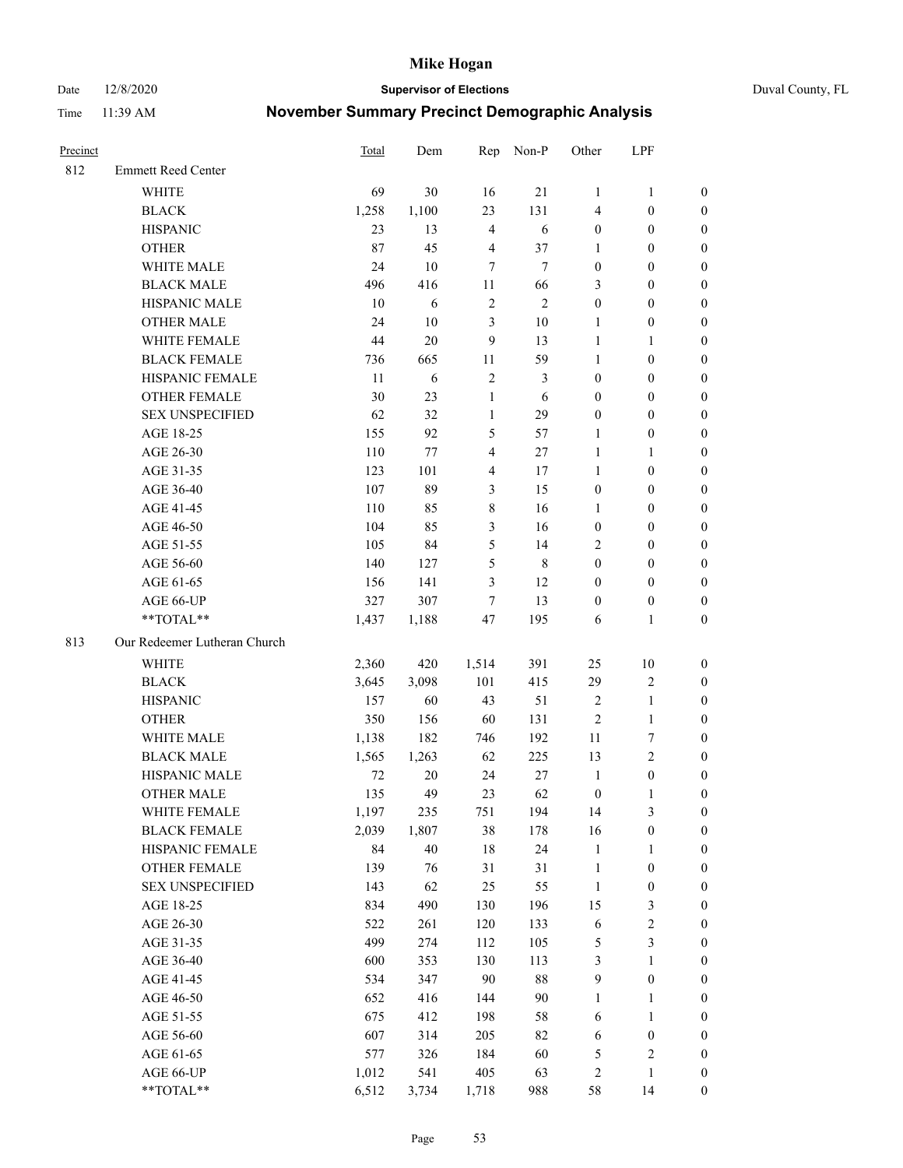Date 12/8/2020 **Supervisor of Elections** Duval County, FL

| Precinct |                              | Total  | Dem    |                  | Rep Non-P    | Other                   | LPF              |                  |
|----------|------------------------------|--------|--------|------------------|--------------|-------------------------|------------------|------------------|
| 812      | <b>Emmett Reed Center</b>    |        |        |                  |              |                         |                  |                  |
|          | <b>WHITE</b>                 | 69     | 30     | 16               | 21           | $\mathbf{1}$            | $\mathbf{1}$     | 0                |
|          | <b>BLACK</b>                 | 1,258  | 1,100  | 23               | 131          | 4                       | $\boldsymbol{0}$ | 0                |
|          | <b>HISPANIC</b>              | 23     | 13     | $\overline{4}$   | $\sqrt{6}$   | $\boldsymbol{0}$        | $\boldsymbol{0}$ | $\boldsymbol{0}$ |
|          | <b>OTHER</b>                 | 87     | 45     | $\overline{4}$   | 37           | 1                       | $\boldsymbol{0}$ | $\boldsymbol{0}$ |
|          | WHITE MALE                   | 24     | 10     | $\tau$           | $\tau$       | $\boldsymbol{0}$        | $\boldsymbol{0}$ | $\boldsymbol{0}$ |
|          | <b>BLACK MALE</b>            | 496    | 416    | 11               | 66           | 3                       | $\boldsymbol{0}$ | $\boldsymbol{0}$ |
|          | HISPANIC MALE                | 10     | 6      | $\overline{c}$   | $\mathbf{2}$ | $\boldsymbol{0}$        | $\boldsymbol{0}$ | $\boldsymbol{0}$ |
|          | <b>OTHER MALE</b>            | 24     | $10\,$ | 3                | $10\,$       | $\mathbf{1}$            | $\boldsymbol{0}$ | $\boldsymbol{0}$ |
|          | WHITE FEMALE                 | $44\,$ | $20\,$ | $\boldsymbol{9}$ | 13           | $\mathbf{1}$            | 1                | $\boldsymbol{0}$ |
|          | <b>BLACK FEMALE</b>          | 736    | 665    | 11               | 59           | $\mathbf{1}$            | $\boldsymbol{0}$ | 0                |
|          | HISPANIC FEMALE              | 11     | 6      | $\sqrt{2}$       | 3            | $\boldsymbol{0}$        | $\boldsymbol{0}$ | 0                |
|          | <b>OTHER FEMALE</b>          | 30     | 23     | $\mathbf{1}$     | 6            | $\boldsymbol{0}$        | $\boldsymbol{0}$ | $\boldsymbol{0}$ |
|          | <b>SEX UNSPECIFIED</b>       | 62     | 32     | $\mathbf{1}$     | 29           | $\boldsymbol{0}$        | $\boldsymbol{0}$ | $\boldsymbol{0}$ |
|          | AGE 18-25                    | 155    | 92     | 5                | 57           | 1                       | $\boldsymbol{0}$ | $\boldsymbol{0}$ |
|          | AGE 26-30                    | 110    | 77     | 4                | $27\,$       | $\mathbf{1}$            | $\mathbf{1}$     | $\boldsymbol{0}$ |
|          | AGE 31-35                    | 123    | 101    | 4                | 17           | $\mathbf{1}$            | $\boldsymbol{0}$ | $\boldsymbol{0}$ |
|          | AGE 36-40                    | 107    | 89     | 3                | 15           | $\boldsymbol{0}$        | $\boldsymbol{0}$ | $\boldsymbol{0}$ |
|          | AGE 41-45                    | 110    | 85     | $\,$ $\,$        | 16           | $\mathbf{1}$            | $\boldsymbol{0}$ | $\boldsymbol{0}$ |
|          | AGE 46-50                    | 104    | 85     | 3                | 16           | $\boldsymbol{0}$        | $\boldsymbol{0}$ | $\boldsymbol{0}$ |
|          | AGE 51-55                    | 105    | 84     | 5                | 14           | 2                       | $\boldsymbol{0}$ | $\boldsymbol{0}$ |
|          | AGE 56-60                    | 140    | 127    | 5                | $\,$ 8 $\,$  | $\boldsymbol{0}$        | $\boldsymbol{0}$ | 0                |
|          | AGE 61-65                    | 156    | 141    | 3                | 12           | $\boldsymbol{0}$        | $\boldsymbol{0}$ | 0                |
|          | AGE 66-UP                    | 327    | 307    | 7                | 13           | $\boldsymbol{0}$        | $\boldsymbol{0}$ | $\boldsymbol{0}$ |
|          | **TOTAL**                    | 1,437  | 1,188  | 47               | 195          | 6                       | $\mathbf{1}$     | $\boldsymbol{0}$ |
| 813      | Our Redeemer Lutheran Church |        |        |                  |              |                         |                  |                  |
|          | <b>WHITE</b>                 | 2,360  | 420    | 1,514            | 391          | 25                      | 10               | $\boldsymbol{0}$ |
|          | <b>BLACK</b>                 | 3,645  | 3,098  | 101              | 415          | 29                      | $\sqrt{2}$       | $\boldsymbol{0}$ |
|          | <b>HISPANIC</b>              | 157    | 60     | 43               | 51           | 2                       | $\mathbf{1}$     | $\boldsymbol{0}$ |
|          | <b>OTHER</b>                 | 350    | 156    | 60               | 131          | $\overline{c}$          | $\mathbf{1}$     | $\boldsymbol{0}$ |
|          | WHITE MALE                   | 1,138  | 182    | 746              | 192          | $11\,$                  | $\boldsymbol{7}$ | $\overline{0}$   |
|          | <b>BLACK MALE</b>            | 1,565  | 1,263  | 62               | 225          | 13                      | $\overline{c}$   | $\overline{0}$   |
|          | HISPANIC MALE                | $72\,$ | $20\,$ | 24               | 27           | $\mathbf{1}$            | $\boldsymbol{0}$ | 0                |
|          | <b>OTHER MALE</b>            | 135    | 49     | 23               | 62           | $\boldsymbol{0}$        | $\mathbf{1}$     | 0                |
|          | WHITE FEMALE                 | 1,197  | 235    | 751              | 194          | 14                      | 3                | 0                |
|          | <b>BLACK FEMALE</b>          | 2,039  | 1,807  | 38               | 178          | 16                      | $\boldsymbol{0}$ | 0                |
|          | HISPANIC FEMALE              | 84     | $40\,$ | 18               | 24           | $\mathbf{1}$            | 1                | 0                |
|          | OTHER FEMALE                 | 139    | 76     | 31               | $31\,$       | $\mathbf{1}$            | $\boldsymbol{0}$ | 0                |
|          | <b>SEX UNSPECIFIED</b>       | 143    | 62     | 25               | 55           | $\mathbf{1}$            | $\boldsymbol{0}$ | 0                |
|          | AGE 18-25                    | 834    | 490    | 130              | 196          | 15                      | $\mathfrak z$    | 0                |
|          | AGE 26-30                    | 522    | 261    | 120              | 133          | 6                       | $\sqrt{2}$       | 0                |
|          | AGE 31-35                    | 499    | 274    | 112              | 105          | 5                       | $\mathfrak{Z}$   | 0                |
|          | AGE 36-40                    | 600    | 353    | 130              | 113          | 3                       | $\mathbf{1}$     | 0                |
|          | AGE 41-45                    | 534    | 347    | 90               | $88\,$       | 9                       | $\boldsymbol{0}$ | 0                |
|          | AGE 46-50                    | 652    | 416    | 144              | 90           | $\mathbf{1}$            | 1                | 0                |
|          | AGE 51-55                    | 675    | 412    | 198              | 58           | 6                       | $\mathbf{1}$     | 0                |
|          | AGE 56-60                    | 607    | 314    | 205              | 82           | 6                       | $\boldsymbol{0}$ | 0                |
|          | AGE 61-65                    | 577    | 326    | 184              | 60           | 5                       | $\sqrt{2}$       | 0                |
|          | AGE 66-UP                    | 1,012  | 541    | 405              | 63           | $\overline{\mathbf{c}}$ | $\mathbf{1}$     | 0                |
|          | **TOTAL**                    | 6,512  | 3,734  | 1,718            | 988          | 58                      | 14               | $\boldsymbol{0}$ |
|          |                              |        |        |                  |              |                         |                  |                  |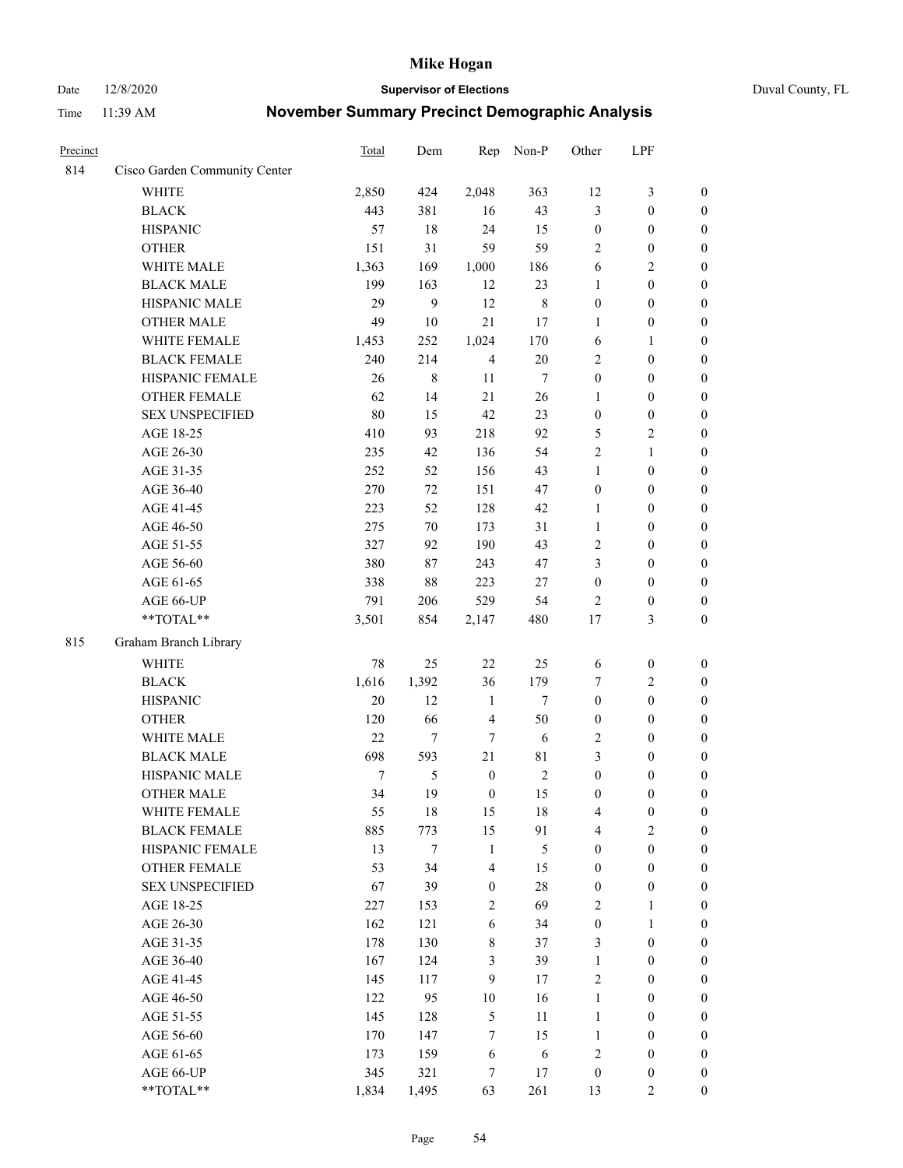#### Date 12/8/2020 **Supervisor of Elections** Duval County, FL

| Precinct |                               | Total  | Dem    | Rep              | Non-P       | Other            | LPF              |                  |
|----------|-------------------------------|--------|--------|------------------|-------------|------------------|------------------|------------------|
| 814      | Cisco Garden Community Center |        |        |                  |             |                  |                  |                  |
|          | <b>WHITE</b>                  | 2,850  | 424    | 2,048            | 363         | 12               | $\mathfrak{Z}$   | $\boldsymbol{0}$ |
|          | <b>BLACK</b>                  | 443    | 381    | 16               | 43          | 3                | $\boldsymbol{0}$ | $\boldsymbol{0}$ |
|          | <b>HISPANIC</b>               | 57     | 18     | 24               | 15          | $\boldsymbol{0}$ | $\boldsymbol{0}$ | $\boldsymbol{0}$ |
|          | <b>OTHER</b>                  | 151    | 31     | 59               | 59          | $\overline{c}$   | $\boldsymbol{0}$ | $\boldsymbol{0}$ |
|          | WHITE MALE                    | 1,363  | 169    | 1,000            | 186         | 6                | $\sqrt{2}$       | $\boldsymbol{0}$ |
|          | <b>BLACK MALE</b>             | 199    | 163    | 12               | 23          | $\mathbf{1}$     | $\boldsymbol{0}$ | $\boldsymbol{0}$ |
|          | HISPANIC MALE                 | 29     | 9      | 12               | $\,$ 8 $\,$ | $\boldsymbol{0}$ | $\boldsymbol{0}$ | $\boldsymbol{0}$ |
|          | <b>OTHER MALE</b>             | 49     | $10\,$ | 21               | 17          | $\mathbf{1}$     | $\boldsymbol{0}$ | $\boldsymbol{0}$ |
|          | WHITE FEMALE                  | 1,453  | 252    | 1,024            | 170         | 6                | $\mathbf{1}$     | $\boldsymbol{0}$ |
|          | <b>BLACK FEMALE</b>           | 240    | 214    | $\overline{4}$   | $20\,$      | $\sqrt{2}$       | $\boldsymbol{0}$ | $\boldsymbol{0}$ |
|          | HISPANIC FEMALE               | 26     | 8      | 11               | $\tau$      | $\boldsymbol{0}$ | $\boldsymbol{0}$ | 0                |
|          | <b>OTHER FEMALE</b>           | 62     | 14     | 21               | 26          | $\mathbf{1}$     | $\boldsymbol{0}$ | $\boldsymbol{0}$ |
|          | <b>SEX UNSPECIFIED</b>        | 80     | 15     | 42               | 23          | $\boldsymbol{0}$ | $\boldsymbol{0}$ | $\boldsymbol{0}$ |
|          | AGE 18-25                     | 410    | 93     | 218              | 92          | 5                | $\sqrt{2}$       | $\boldsymbol{0}$ |
|          | AGE 26-30                     | 235    | 42     | 136              | 54          | 2                | $\mathbf{1}$     | $\boldsymbol{0}$ |
|          | AGE 31-35                     | 252    | 52     | 156              | 43          | $\mathbf{1}$     | $\boldsymbol{0}$ | $\boldsymbol{0}$ |
|          | AGE 36-40                     | 270    | 72     | 151              | 47          | $\boldsymbol{0}$ | $\boldsymbol{0}$ | $\boldsymbol{0}$ |
|          | AGE 41-45                     | 223    | 52     | 128              | 42          | $\mathbf{1}$     | $\boldsymbol{0}$ | $\boldsymbol{0}$ |
|          | AGE 46-50                     | 275    | 70     | 173              | 31          | $\mathbf{1}$     | $\boldsymbol{0}$ | $\boldsymbol{0}$ |
|          | AGE 51-55                     | 327    | 92     | 190              | 43          | $\sqrt{2}$       | $\boldsymbol{0}$ | $\boldsymbol{0}$ |
|          | AGE 56-60                     | 380    | 87     | 243              | 47          | 3                | $\boldsymbol{0}$ | 0                |
|          | AGE 61-65                     | 338    | 88     | 223              | 27          | $\boldsymbol{0}$ | $\boldsymbol{0}$ | 0                |
|          | AGE 66-UP                     | 791    | 206    | 529              | 54          | $\overline{2}$   | $\boldsymbol{0}$ | $\boldsymbol{0}$ |
|          | $**TOTAL**$                   | 3,501  | 854    | 2,147            | 480         | 17               | $\mathfrak{Z}$   | $\boldsymbol{0}$ |
| 815      | Graham Branch Library         |        |        |                  |             |                  |                  |                  |
|          | WHITE                         | $78\,$ | 25     | $22\,$           | 25          | 6                | $\boldsymbol{0}$ | $\boldsymbol{0}$ |
|          | <b>BLACK</b>                  | 1,616  | 1,392  | 36               | 179         | 7                | $\sqrt{2}$       | $\boldsymbol{0}$ |
|          | <b>HISPANIC</b>               | 20     | 12     | $\mathbf{1}$     | $\tau$      | $\boldsymbol{0}$ | $\boldsymbol{0}$ | $\boldsymbol{0}$ |
|          | <b>OTHER</b>                  | 120    | 66     | $\overline{4}$   | 50          | $\boldsymbol{0}$ | $\boldsymbol{0}$ | $\boldsymbol{0}$ |
|          | WHITE MALE                    | 22     | $\tau$ | $\tau$           | 6           | $\mathbf{2}$     | $\boldsymbol{0}$ | $\boldsymbol{0}$ |
|          | <b>BLACK MALE</b>             | 698    | 593    | 21               | 81          | 3                | $\boldsymbol{0}$ | $\boldsymbol{0}$ |
|          | HISPANIC MALE                 | $\tau$ | 5      | $\boldsymbol{0}$ | $\sqrt{2}$  | $\boldsymbol{0}$ | $\boldsymbol{0}$ | $\boldsymbol{0}$ |
|          | <b>OTHER MALE</b>             | 34     | 19     | $\boldsymbol{0}$ | 15          | $\boldsymbol{0}$ | $\boldsymbol{0}$ | $\boldsymbol{0}$ |
|          | WHITE FEMALE                  | 55     | 18     | 15               | 18          | 4                | $\boldsymbol{0}$ | 0                |
|          | <b>BLACK FEMALE</b>           | 885    | 773    | 15               | 91          | 4                | $\overline{2}$   | $\overline{0}$   |
|          | HISPANIC FEMALE               | 13     | $\tau$ | $\mathbf{1}$     | 5           | $\boldsymbol{0}$ | $\boldsymbol{0}$ | $\overline{0}$   |
|          | <b>OTHER FEMALE</b>           | 53     | 34     | $\overline{4}$   | 15          | $\boldsymbol{0}$ | $\boldsymbol{0}$ | $\overline{0}$   |
|          | <b>SEX UNSPECIFIED</b>        | 67     | 39     | $\boldsymbol{0}$ | 28          | $\boldsymbol{0}$ | $\boldsymbol{0}$ | $\overline{0}$   |
|          | AGE 18-25                     | 227    | 153    | $\sqrt{2}$       | 69          | $\overline{c}$   | $\mathbf{1}$     | $\overline{0}$   |
|          | AGE 26-30                     | 162    | 121    | $\sqrt{6}$       | 34          | $\boldsymbol{0}$ | $\mathbf{1}$     | $\overline{0}$   |
|          | AGE 31-35                     | 178    | 130    | $8\,$            | 37          | 3                | $\boldsymbol{0}$ | 0                |
|          | AGE 36-40                     | 167    | 124    | $\mathfrak{Z}$   | 39          | $\mathbf{1}$     | $\boldsymbol{0}$ | 0                |
|          | AGE 41-45                     | 145    | 117    | 9                | 17          | $\mathbf{2}$     | $\boldsymbol{0}$ | 0                |
|          | AGE 46-50                     | 122    | 95     | $10\,$           | 16          | $\mathbf{1}$     | $\boldsymbol{0}$ | 0                |
|          | AGE 51-55                     | 145    | 128    | $\mathfrak s$    | 11          | $\mathbf{1}$     | $\boldsymbol{0}$ | $\boldsymbol{0}$ |
|          | AGE 56-60                     | 170    | 147    | $\tau$           | 15          | $\mathbf{1}$     | $\boldsymbol{0}$ | $\boldsymbol{0}$ |
|          | AGE 61-65                     | 173    | 159    | 6                | 6           | 2                | $\boldsymbol{0}$ | $\boldsymbol{0}$ |
|          | AGE 66-UP                     | 345    | 321    | 7                | 17          | $\boldsymbol{0}$ | $\boldsymbol{0}$ | $\boldsymbol{0}$ |
|          | **TOTAL**                     | 1,834  | 1,495  | 63               | 261         | 13               | $\overline{2}$   | $\boldsymbol{0}$ |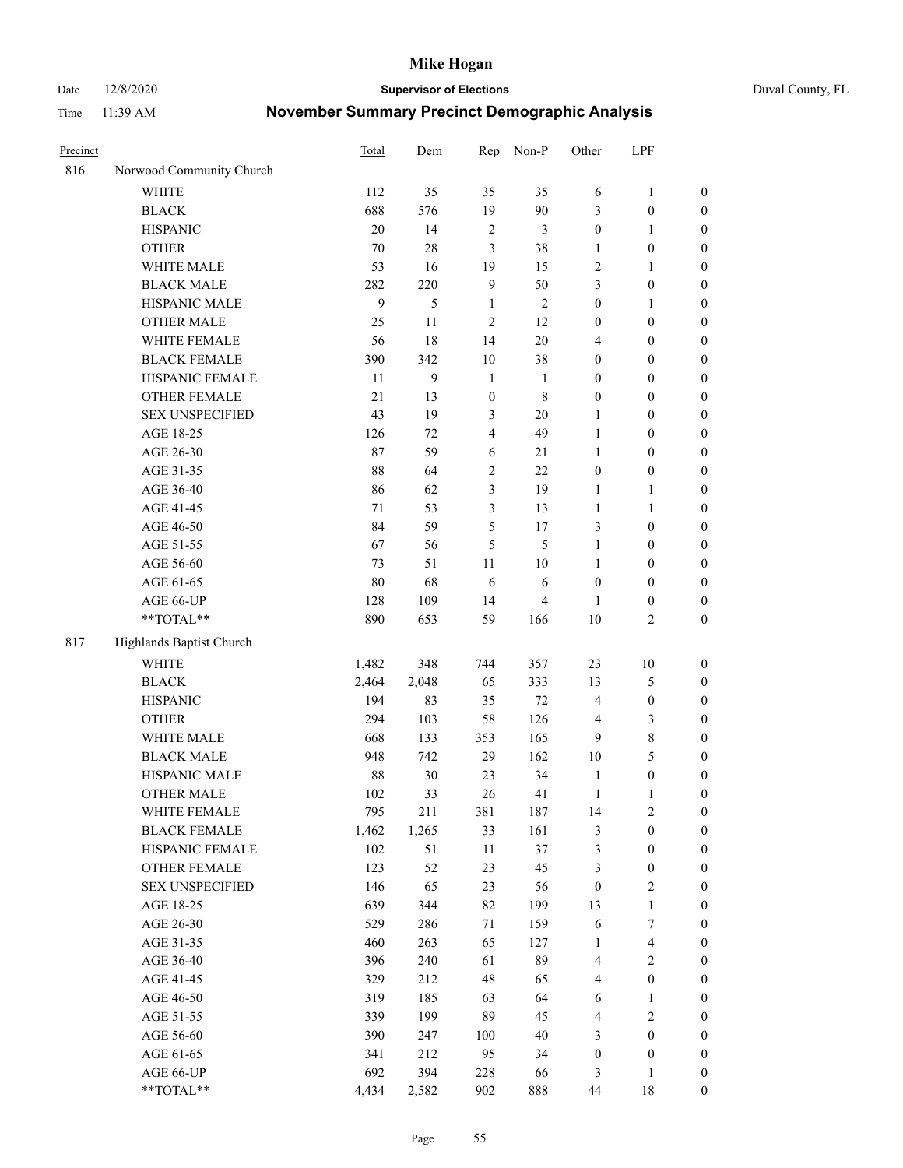Date 12/8/2020 **Supervisor of Elections** Duval County, FL

| Precinct |                          | <b>Total</b> | Dem          | Rep                     | Non-P          | Other            | LPF              |                  |
|----------|--------------------------|--------------|--------------|-------------------------|----------------|------------------|------------------|------------------|
| 816      | Norwood Community Church |              |              |                         |                |                  |                  |                  |
|          | <b>WHITE</b>             | 112          | 35           | 35                      | 35             | 6                | $\mathbf{1}$     | 0                |
|          | <b>BLACK</b>             | 688          | 576          | 19                      | 90             | 3                | $\boldsymbol{0}$ | $\boldsymbol{0}$ |
|          | <b>HISPANIC</b>          | 20           | 14           | $\sqrt{2}$              | $\mathfrak{Z}$ | $\boldsymbol{0}$ | $\mathbf{1}$     | $\boldsymbol{0}$ |
|          | <b>OTHER</b>             | $70\,$       | $28\,$       | 3                       | 38             | 1                | $\boldsymbol{0}$ | $\boldsymbol{0}$ |
|          | WHITE MALE               | 53           | 16           | 19                      | 15             | 2                | $\mathbf{1}$     | $\boldsymbol{0}$ |
|          | <b>BLACK MALE</b>        | 282          | 220          | $\mathbf{9}$            | 50             | 3                | $\boldsymbol{0}$ | $\boldsymbol{0}$ |
|          | HISPANIC MALE            | $\mathbf{9}$ | 5            | $\mathbf{1}$            | $\sqrt{2}$     | $\boldsymbol{0}$ | $\mathbf{1}$     | $\boldsymbol{0}$ |
|          | <b>OTHER MALE</b>        | 25           | 11           | $\overline{c}$          | 12             | $\boldsymbol{0}$ | $\boldsymbol{0}$ | $\boldsymbol{0}$ |
|          | WHITE FEMALE             | 56           | 18           | 14                      | $20\,$         | 4                | $\boldsymbol{0}$ | $\boldsymbol{0}$ |
|          | <b>BLACK FEMALE</b>      | 390          | 342          | $10\,$                  | 38             | $\boldsymbol{0}$ | $\boldsymbol{0}$ | $\boldsymbol{0}$ |
|          | HISPANIC FEMALE          | 11           | $\mathbf{9}$ | $\mathbf{1}$            | $\mathbf{1}$   | $\boldsymbol{0}$ | $\boldsymbol{0}$ | $\boldsymbol{0}$ |
|          | <b>OTHER FEMALE</b>      | 21           | 13           | $\boldsymbol{0}$        | $\,$ 8 $\,$    | $\boldsymbol{0}$ | $\boldsymbol{0}$ | $\boldsymbol{0}$ |
|          | <b>SEX UNSPECIFIED</b>   | 43           | 19           | $\mathfrak{Z}$          | $20\,$         | $\mathbf{1}$     | $\boldsymbol{0}$ | $\boldsymbol{0}$ |
|          | AGE 18-25                | 126          | 72           | $\overline{\mathbf{4}}$ | 49             | $\mathbf{1}$     | $\boldsymbol{0}$ | $\boldsymbol{0}$ |
|          | AGE 26-30                | 87           | 59           | 6                       | $21\,$         | $\mathbf{1}$     | $\boldsymbol{0}$ | $\boldsymbol{0}$ |
|          | AGE 31-35                | 88           | 64           | $\sqrt{2}$              | 22             | $\boldsymbol{0}$ | $\boldsymbol{0}$ | $\boldsymbol{0}$ |
|          | AGE 36-40                | 86           | 62           | 3                       | 19             | $\mathbf{1}$     | $\mathbf{1}$     | $\boldsymbol{0}$ |
|          | AGE 41-45                | 71           | 53           | 3                       | 13             | $\mathbf{1}$     | $\mathbf{1}$     | $\boldsymbol{0}$ |
|          | AGE 46-50                | 84           | 59           | 5                       | 17             | 3                | $\boldsymbol{0}$ | $\boldsymbol{0}$ |
|          | AGE 51-55                | 67           | 56           | 5                       | 5              | $\mathbf{1}$     | $\boldsymbol{0}$ | $\boldsymbol{0}$ |
|          | AGE 56-60                | 73           | 51           | 11                      | 10             | $\mathbf{1}$     | $\boldsymbol{0}$ | 0                |
|          | AGE 61-65                | $80\,$       | 68           | 6                       | 6              | $\boldsymbol{0}$ | $\boldsymbol{0}$ | 0                |
|          | AGE 66-UP                | 128          | 109          | 14                      | $\overline{4}$ | 1                | $\boldsymbol{0}$ | $\boldsymbol{0}$ |
|          | **TOTAL**                | 890          | 653          | 59                      | 166            | 10               | $\sqrt{2}$       | $\boldsymbol{0}$ |
| 817      | Highlands Baptist Church |              |              |                         |                |                  |                  |                  |
|          | <b>WHITE</b>             | 1,482        | 348          | 744                     | 357            | 23               | $10\,$           | $\boldsymbol{0}$ |
|          | <b>BLACK</b>             | 2,464        | 2,048        | 65                      | 333            | 13               | $\mathfrak s$    | $\boldsymbol{0}$ |
|          | <b>HISPANIC</b>          | 194          | 83           | 35                      | $72\,$         | 4                | $\boldsymbol{0}$ | $\boldsymbol{0}$ |
|          | <b>OTHER</b>             | 294          | 103          | 58                      | 126            | 4                | $\mathfrak{Z}$   | $\boldsymbol{0}$ |
|          | WHITE MALE               | 668          | 133          | 353                     | 165            | 9                | $\,$ 8 $\,$      | $\boldsymbol{0}$ |
|          | <b>BLACK MALE</b>        | 948          | 742          | 29                      | 162            | $10\,$           | 5                | $\boldsymbol{0}$ |
|          | HISPANIC MALE            | 88           | $30\,$       | 23                      | 34             | $\mathbf{1}$     | $\boldsymbol{0}$ | $\boldsymbol{0}$ |
|          | <b>OTHER MALE</b>        | 102          | 33           | 26                      | 41             | $\mathbf{1}$     | $\mathbf{1}$     | $\boldsymbol{0}$ |
|          | WHITE FEMALE             | 795          | 211          | 381                     | 187            | 14               | $\overline{c}$   | 0                |
|          | <b>BLACK FEMALE</b>      | 1,462        | 1,265        | 33                      | 161            | 3                | $\boldsymbol{0}$ | $\boldsymbol{0}$ |
|          | HISPANIC FEMALE          | 102          | 51           | $11\,$                  | 37             | 3                | $\boldsymbol{0}$ | $\overline{0}$   |
|          | OTHER FEMALE             | 123          | 52           | 23                      | 45             | 3                | $\boldsymbol{0}$ | $\overline{0}$   |
|          | <b>SEX UNSPECIFIED</b>   | 146          | 65           | 23                      | 56             | $\boldsymbol{0}$ | $\mathfrak{2}$   | 0                |
|          | AGE 18-25                | 639          | 344          | 82                      | 199            | 13               | $\mathbf{1}$     | 0                |
|          | AGE 26-30                | 529          | 286          | 71                      | 159            | 6                | $\boldsymbol{7}$ | 0                |
|          | AGE 31-35                | 460          | 263          | 65                      | 127            | $\mathbf{1}$     | $\overline{4}$   | 0                |
|          | AGE 36-40                | 396          | 240          | 61                      | 89             | 4                | $\sqrt{2}$       | 0                |
|          | AGE 41-45                | 329          | 212          | 48                      | 65             | 4                | $\boldsymbol{0}$ | 0                |
|          | AGE 46-50                | 319          | 185          | 63                      | 64             | 6                | 1                | 0                |
|          | AGE 51-55                | 339          | 199          | 89                      | 45             | 4                | $\sqrt{2}$       | 0                |
|          | AGE 56-60                | 390          | 247          | 100                     | $40\,$         | 3                | $\boldsymbol{0}$ | $\boldsymbol{0}$ |
|          | AGE 61-65                | 341          | 212          | 95                      | 34             | $\boldsymbol{0}$ | $\boldsymbol{0}$ | $\boldsymbol{0}$ |
|          | AGE 66-UP                | 692          | 394          | 228                     | 66             | 3                | $\mathbf{1}$     | 0                |
|          | **TOTAL**                | 4,434        | 2,582        | 902                     | 888            | 44               | 18               | $\boldsymbol{0}$ |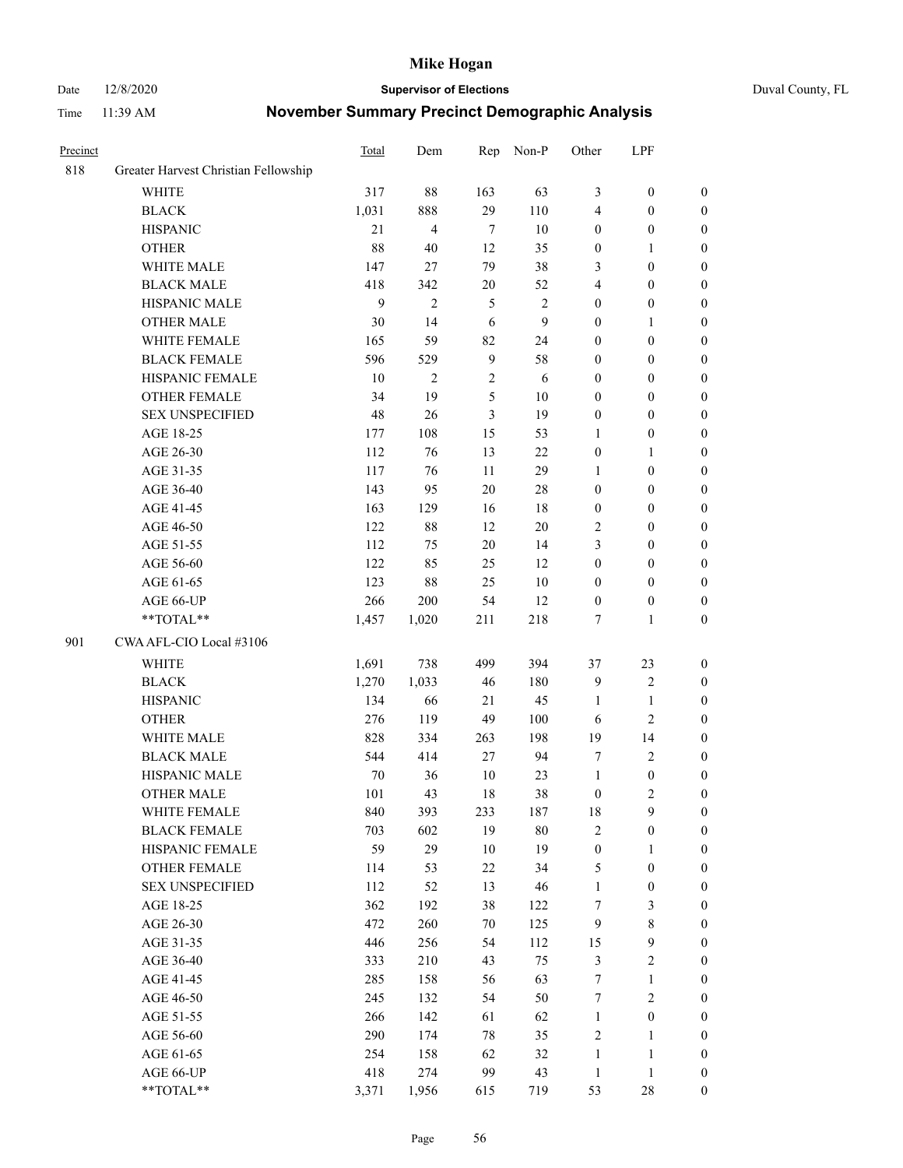Date 12/8/2020 **Supervisor of Elections** Duval County, FL

| Precinct |                                      | Total        | Dem            | Rep           | Non-P        | Other            | LPF              |                  |
|----------|--------------------------------------|--------------|----------------|---------------|--------------|------------------|------------------|------------------|
| 818      | Greater Harvest Christian Fellowship |              |                |               |              |                  |                  |                  |
|          | <b>WHITE</b>                         | 317          | 88             | 163           | 63           | 3                | $\boldsymbol{0}$ | 0                |
|          | <b>BLACK</b>                         | 1,031        | 888            | 29            | 110          | 4                | $\boldsymbol{0}$ | 0                |
|          | <b>HISPANIC</b>                      | 21           | $\overline{4}$ | $\tau$        | $10\,$       | $\boldsymbol{0}$ | $\boldsymbol{0}$ | $\boldsymbol{0}$ |
|          | <b>OTHER</b>                         | 88           | 40             | 12            | 35           | $\boldsymbol{0}$ | 1                | $\boldsymbol{0}$ |
|          | WHITE MALE                           | 147          | 27             | 79            | 38           | 3                | $\boldsymbol{0}$ | $\boldsymbol{0}$ |
|          | <b>BLACK MALE</b>                    | 418          | 342            | 20            | 52           | 4                | $\boldsymbol{0}$ | $\boldsymbol{0}$ |
|          | HISPANIC MALE                        | $\mathbf{9}$ | $\overline{2}$ | $\mathfrak s$ | $\sqrt{2}$   | $\boldsymbol{0}$ | $\boldsymbol{0}$ | $\boldsymbol{0}$ |
|          | <b>OTHER MALE</b>                    | 30           | 14             | 6             | $\mathbf{9}$ | $\boldsymbol{0}$ | $\mathbf{1}$     | $\boldsymbol{0}$ |
|          | WHITE FEMALE                         | 165          | 59             | 82            | 24           | $\boldsymbol{0}$ | $\boldsymbol{0}$ | $\boldsymbol{0}$ |
|          | <b>BLACK FEMALE</b>                  | 596          | 529            | $\mathbf{9}$  | 58           | $\boldsymbol{0}$ | $\boldsymbol{0}$ | 0                |
|          | HISPANIC FEMALE                      | 10           | $\mathbf{2}$   | $\sqrt{2}$    | 6            | $\boldsymbol{0}$ | $\boldsymbol{0}$ | 0                |
|          | <b>OTHER FEMALE</b>                  | 34           | 19             | 5             | $10\,$       | $\boldsymbol{0}$ | $\boldsymbol{0}$ | $\boldsymbol{0}$ |
|          | <b>SEX UNSPECIFIED</b>               | 48           | 26             | 3             | 19           | $\boldsymbol{0}$ | $\boldsymbol{0}$ | $\boldsymbol{0}$ |
|          | AGE 18-25                            | 177          | 108            | 15            | 53           | 1                | $\boldsymbol{0}$ | $\boldsymbol{0}$ |
|          | AGE 26-30                            | 112          | 76             | 13            | $22\,$       | $\boldsymbol{0}$ | $\mathbf{1}$     | $\boldsymbol{0}$ |
|          | AGE 31-35                            | 117          | 76             | 11            | 29           | $\mathbf{1}$     | $\boldsymbol{0}$ | $\boldsymbol{0}$ |
|          | AGE 36-40                            | 143          | 95             | 20            | $28\,$       | $\boldsymbol{0}$ | $\boldsymbol{0}$ | $\boldsymbol{0}$ |
|          | AGE 41-45                            | 163          | 129            | 16            | $18\,$       | $\boldsymbol{0}$ | $\boldsymbol{0}$ | $\boldsymbol{0}$ |
|          | AGE 46-50                            | 122          | $88\,$         | 12            | $20\,$       | 2                | $\boldsymbol{0}$ | $\boldsymbol{0}$ |
|          | AGE 51-55                            | 112          | 75             | 20            | 14           | 3                | $\boldsymbol{0}$ | $\boldsymbol{0}$ |
|          | AGE 56-60                            | 122          | 85             | 25            | 12           | $\boldsymbol{0}$ | $\boldsymbol{0}$ | 0                |
|          | AGE 61-65                            | 123          | $88\,$         | 25            | $10\,$       | $\boldsymbol{0}$ | $\boldsymbol{0}$ | 0                |
|          | AGE 66-UP                            | 266          | 200            | 54            | 12           | $\boldsymbol{0}$ | $\boldsymbol{0}$ | $\boldsymbol{0}$ |
|          | **TOTAL**                            | 1,457        | 1,020          | 211           | 218          | 7                | $\mathbf{1}$     | $\boldsymbol{0}$ |
| 901      | CWA AFL-CIO Local #3106              |              |                |               |              |                  |                  |                  |
|          | <b>WHITE</b>                         | 1,691        | 738            | 499           | 394          | 37               | 23               | $\boldsymbol{0}$ |
|          | <b>BLACK</b>                         | 1,270        | 1,033          | 46            | 180          | 9                | $\sqrt{2}$       | $\boldsymbol{0}$ |
|          | <b>HISPANIC</b>                      | 134          | 66             | 21            | 45           | $\mathbf{1}$     | $\mathbf{1}$     | $\boldsymbol{0}$ |
|          | <b>OTHER</b>                         | 276          | 119            | 49            | 100          | 6                | $\overline{c}$   | $\boldsymbol{0}$ |
|          | WHITE MALE                           | 828          | 334            | 263           | 198          | 19               | 14               | $\boldsymbol{0}$ |
|          | <b>BLACK MALE</b>                    | 544          | 414            | 27            | 94           | 7                | $\overline{2}$   | $\boldsymbol{0}$ |
|          | HISPANIC MALE                        | $70\,$       | 36             | 10            | 23           | $\mathbf{1}$     | $\boldsymbol{0}$ | 0                |
|          | <b>OTHER MALE</b>                    | 101          | 43             | 18            | 38           | $\boldsymbol{0}$ | $\mathbf{2}$     | $\boldsymbol{0}$ |
|          | WHITE FEMALE                         | 840          | 393            | 233           | 187          | 18               | 9                | 0                |
|          | <b>BLACK FEMALE</b>                  | 703          | 602            | 19            | $80\,$       | 2                | $\boldsymbol{0}$ | $\boldsymbol{0}$ |
|          | HISPANIC FEMALE                      | 59           | 29             | 10            | 19           | $\boldsymbol{0}$ | $\mathbf{1}$     | $\overline{0}$   |
|          | OTHER FEMALE                         | 114          | 53             | $22\,$        | 34           | 5                | $\boldsymbol{0}$ | $\overline{0}$   |
|          | <b>SEX UNSPECIFIED</b>               | 112          | 52             | 13            | 46           | $\mathbf{1}$     | $\boldsymbol{0}$ | 0                |
|          | AGE 18-25                            | 362          | 192            | 38            | 122          | 7                | $\mathfrak{Z}$   | 0                |
|          | AGE 26-30                            | 472          | 260            | 70            | 125          | $\boldsymbol{9}$ | $\,$ 8 $\,$      | 0                |
|          | AGE 31-35                            | 446          | 256            | 54            | 112          | 15               | $\boldsymbol{9}$ | 0                |
|          | AGE 36-40                            | 333          | 210            | 43            | 75           | $\mathfrak{Z}$   | $\sqrt{2}$       | 0                |
|          | AGE 41-45                            | 285          | 158            | 56            | 63           | $\boldsymbol{7}$ | $\mathbf{1}$     | 0                |
|          | AGE 46-50                            | 245          | 132            | 54            | 50           | 7                | $\sqrt{2}$       | 0                |
|          | AGE 51-55                            | 266          | 142            | 61            | 62           | $\mathbf{1}$     | $\boldsymbol{0}$ | 0                |
|          | AGE 56-60                            | 290          | 174            | 78            | 35           | $\sqrt{2}$       | $\mathbf{1}$     | $\boldsymbol{0}$ |
|          | AGE 61-65                            | 254          | 158            | 62            | 32           | $\mathbf{1}$     | $\mathbf{1}$     | $\boldsymbol{0}$ |
|          | AGE 66-UP                            | 418          | 274            | 99            | 43           | $\mathbf{1}$     | $\mathbf{1}$     | $\boldsymbol{0}$ |
|          | **TOTAL**                            | 3,371        | 1,956          | 615           | 719          | 53               | $28\,$           | $\boldsymbol{0}$ |
|          |                                      |              |                |               |              |                  |                  |                  |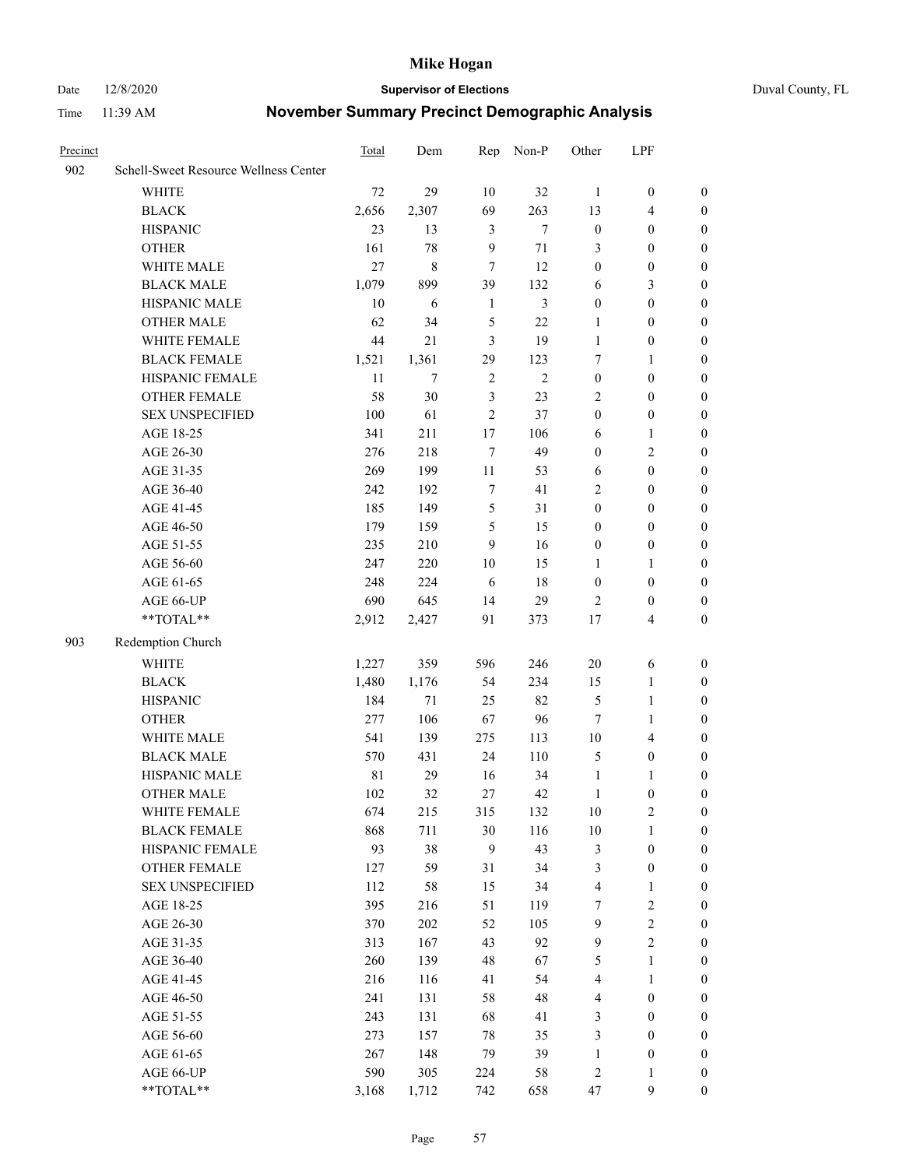#### Date 12/8/2020 **Supervisor of Elections** Duval County, FL

| Precinct |                                       | Total       | Dem         | Rep            | Non-P      | Other            | LPF              |                  |
|----------|---------------------------------------|-------------|-------------|----------------|------------|------------------|------------------|------------------|
| 902      | Schell-Sweet Resource Wellness Center |             |             |                |            |                  |                  |                  |
|          | <b>WHITE</b>                          | 72          | 29          | 10             | 32         | $\mathbf{1}$     | $\boldsymbol{0}$ | $\boldsymbol{0}$ |
|          | <b>BLACK</b>                          | 2,656       | 2,307       | 69             | 263        | 13               | $\overline{4}$   | $\boldsymbol{0}$ |
|          | <b>HISPANIC</b>                       | 23          | 13          | 3              | $\tau$     | $\boldsymbol{0}$ | $\boldsymbol{0}$ | $\boldsymbol{0}$ |
|          | <b>OTHER</b>                          | 161         | 78          | 9              | $71\,$     | 3                | $\boldsymbol{0}$ | $\boldsymbol{0}$ |
|          | WHITE MALE                            | 27          | $\,$ 8 $\,$ | 7              | 12         | $\boldsymbol{0}$ | $\boldsymbol{0}$ | $\boldsymbol{0}$ |
|          | <b>BLACK MALE</b>                     | 1,079       | 899         | 39             | 132        | 6                | $\mathfrak{Z}$   | $\boldsymbol{0}$ |
|          | HISPANIC MALE                         | 10          | 6           | $\mathbf{1}$   | 3          | $\boldsymbol{0}$ | $\boldsymbol{0}$ | $\boldsymbol{0}$ |
|          | <b>OTHER MALE</b>                     | 62          | 34          | 5              | 22         | $\mathbf{1}$     | $\boldsymbol{0}$ | $\boldsymbol{0}$ |
|          | WHITE FEMALE                          | 44          | $21\,$      | $\mathfrak{Z}$ | 19         | $\mathbf{1}$     | $\boldsymbol{0}$ | 0                |
|          | <b>BLACK FEMALE</b>                   | 1,521       | 1,361       | 29             | 123        | 7                | $\mathbf{1}$     | 0                |
|          | HISPANIC FEMALE                       | 11          | 7           | $\sqrt{2}$     | $\sqrt{2}$ | $\boldsymbol{0}$ | $\boldsymbol{0}$ | $\boldsymbol{0}$ |
|          | OTHER FEMALE                          | 58          | 30          | $\mathfrak{Z}$ | 23         | $\overline{2}$   | $\boldsymbol{0}$ | $\boldsymbol{0}$ |
|          | <b>SEX UNSPECIFIED</b>                | 100         | 61          | $\overline{2}$ | 37         | $\boldsymbol{0}$ | $\boldsymbol{0}$ | $\boldsymbol{0}$ |
|          | AGE 18-25                             | 341         | 211         | $17$           | 106        | 6                | $\mathbf{1}$     | $\boldsymbol{0}$ |
|          | AGE 26-30                             | 276         | 218         | $\tau$         | 49         | $\boldsymbol{0}$ | $\sqrt{2}$       | $\boldsymbol{0}$ |
|          | AGE 31-35                             | 269         | 199         | 11             | 53         | $\sqrt{6}$       | $\boldsymbol{0}$ | $\boldsymbol{0}$ |
|          | AGE 36-40                             | 242         | 192         | 7              | 41         | 2                | $\boldsymbol{0}$ | $\boldsymbol{0}$ |
|          | AGE 41-45                             | 185         | 149         | $\mathfrak s$  | 31         | $\boldsymbol{0}$ | $\boldsymbol{0}$ | $\boldsymbol{0}$ |
|          | AGE 46-50                             | 179         | 159         | 5              | 15         | $\boldsymbol{0}$ | $\boldsymbol{0}$ | $\boldsymbol{0}$ |
|          | AGE 51-55                             | 235         | 210         | 9              | 16         | $\boldsymbol{0}$ | $\boldsymbol{0}$ | 0                |
|          | AGE 56-60                             | 247         | 220         | 10             | 15         | 1                | $\mathbf{1}$     | $\boldsymbol{0}$ |
|          | AGE 61-65                             | 248         | 224         | 6              | $18\,$     | $\boldsymbol{0}$ | $\boldsymbol{0}$ | $\boldsymbol{0}$ |
|          | AGE 66-UP                             | 690         | 645         | 14             | 29         | $\overline{2}$   | $\boldsymbol{0}$ | $\boldsymbol{0}$ |
|          | **TOTAL**                             | 2,912       | 2,427       | 91             | 373        | 17               | $\overline{4}$   | $\boldsymbol{0}$ |
| 903      | Redemption Church                     |             |             |                |            |                  |                  |                  |
|          | <b>WHITE</b>                          | 1,227       | 359         | 596            | 246        | $20\,$           | 6                | $\boldsymbol{0}$ |
|          | <b>BLACK</b>                          | 1,480       | 1,176       | 54             | 234        | 15               | $\mathbf{1}$     | $\boldsymbol{0}$ |
|          | <b>HISPANIC</b>                       | 184         | 71          | 25             | 82         | 5                | $\mathbf{1}$     | $\boldsymbol{0}$ |
|          | <b>OTHER</b>                          | 277         | 106         | 67             | 96         | $\tau$           | $\mathbf{1}$     | $\boldsymbol{0}$ |
|          | WHITE MALE                            | 541         | 139         | 275            | 113        | $10\,$           | $\overline{4}$   | 0                |
|          | <b>BLACK MALE</b>                     | 570         | 431         | 24             | 110        | 5                | $\boldsymbol{0}$ | $\boldsymbol{0}$ |
|          | HISPANIC MALE                         | $8\sqrt{1}$ | 29          | 16             | 34         | $\mathbf{1}$     | $\mathbf{1}$     | 0                |
|          | <b>OTHER MALE</b>                     | 102         | 32          | 27             | 42         | $\mathbf{1}$     | $\boldsymbol{0}$ | $\boldsymbol{0}$ |
|          | WHITE FEMALE                          | 674         | 215         | 315            | 132        | 10               | $\sqrt{2}$       | 0                |
|          | <b>BLACK FEMALE</b>                   | 868         | 711         | 30             | 116        | $10\,$           | $\mathbf{1}$     | $\overline{0}$   |
|          | HISPANIC FEMALE                       | 93          | 38          | 9              | 43         | 3                | $\boldsymbol{0}$ | $\overline{0}$   |
|          | <b>OTHER FEMALE</b>                   | 127         | 59          | 31             | 34         | 3                | $\boldsymbol{0}$ | 0                |
|          | <b>SEX UNSPECIFIED</b>                | 112         | 58          | 15             | 34         | 4                | $\mathbf{1}$     | $\overline{0}$   |
|          | AGE 18-25                             | 395         | 216         | 51             | 119        | $\boldsymbol{7}$ | $\sqrt{2}$       | 0                |
|          | AGE 26-30                             | 370         | 202         | 52             | 105        | $\mathbf{9}$     | $\sqrt{2}$       | 0                |
|          | AGE 31-35                             | 313         | 167         | 43             | 92         | $\boldsymbol{9}$ | $\sqrt{2}$       | 0                |
|          | AGE 36-40                             | 260         | 139         | 48             | 67         | 5                | $\mathbf{1}$     | 0                |
|          | AGE 41-45                             | 216         | 116         | 41             | 54         | 4                | $\mathbf{1}$     | 0                |
|          | AGE 46-50                             | 241         | 131         | 58             | 48         | $\overline{4}$   | $\boldsymbol{0}$ | $\overline{0}$   |
|          | AGE 51-55                             | 243         | 131         | 68             | 41         | 3                | $\boldsymbol{0}$ | $\boldsymbol{0}$ |
|          | AGE 56-60                             | 273         | 157         | 78             | 35         | 3                | $\boldsymbol{0}$ | $\overline{0}$   |
|          | AGE 61-65                             | 267         | 148         | 79             | 39         | $\mathbf{1}$     | $\boldsymbol{0}$ | 0                |
|          | AGE 66-UP                             | 590         | 305         | 224            | 58         | 2                | $\mathbf{1}$     | $\boldsymbol{0}$ |
|          | **TOTAL**                             | 3,168       | 1,712       | 742            | 658        | 47               | 9                | $\boldsymbol{0}$ |
|          |                                       |             |             |                |            |                  |                  |                  |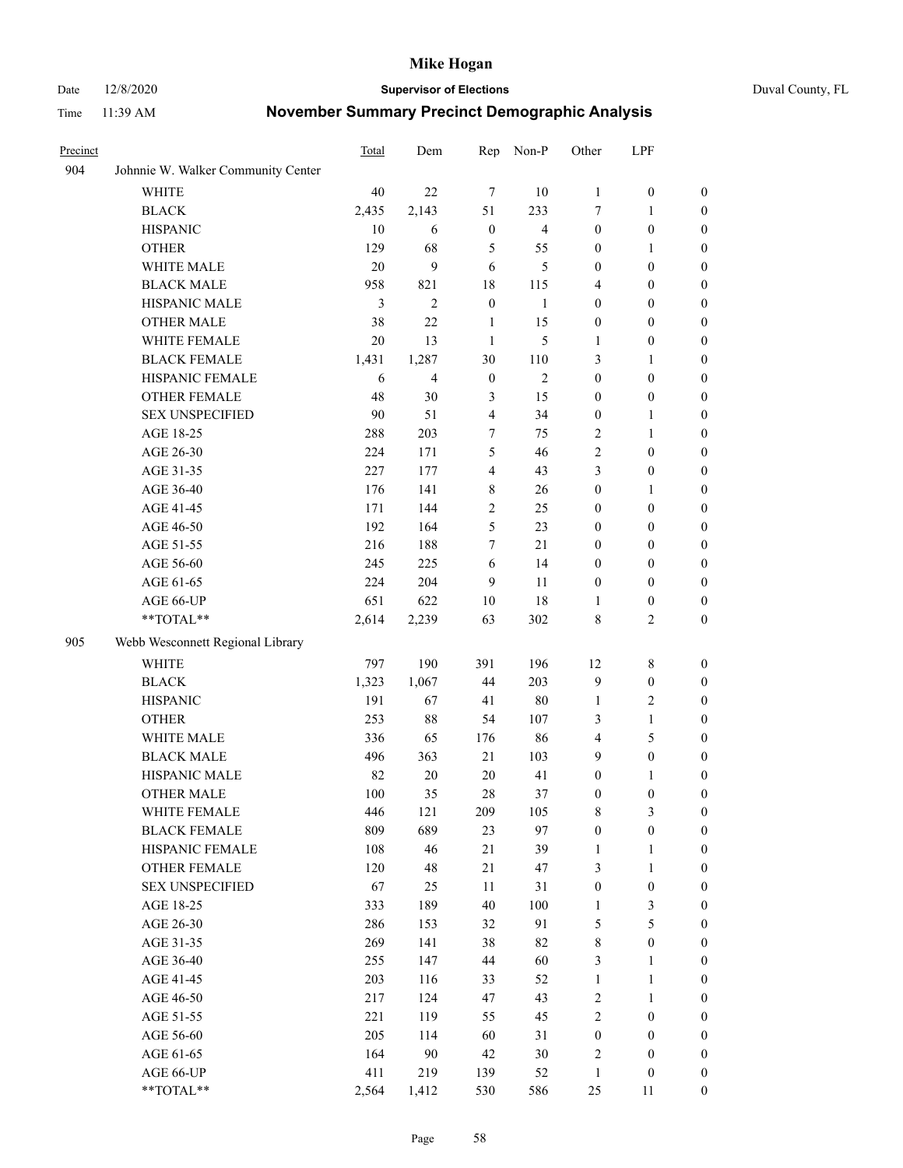#### Date 12/8/2020 **Supervisor of Elections** Duval County, FL

| Precinct |                                    | Total | Dem            | Rep              | Non-P          | Other            | LPF              |                  |
|----------|------------------------------------|-------|----------------|------------------|----------------|------------------|------------------|------------------|
| 904      | Johnnie W. Walker Community Center |       |                |                  |                |                  |                  |                  |
|          | <b>WHITE</b>                       | 40    | 22             | $\tau$           | 10             | $\mathbf{1}$     | $\boldsymbol{0}$ | $\boldsymbol{0}$ |
|          | <b>BLACK</b>                       | 2,435 | 2,143          | 51               | 233            | 7                | $\mathbf{1}$     | $\boldsymbol{0}$ |
|          | <b>HISPANIC</b>                    | 10    | 6              | $\boldsymbol{0}$ | $\overline{4}$ | $\boldsymbol{0}$ | $\boldsymbol{0}$ | $\boldsymbol{0}$ |
|          | <b>OTHER</b>                       | 129   | 68             | 5                | 55             | $\boldsymbol{0}$ | 1                | $\boldsymbol{0}$ |
|          | WHITE MALE                         | 20    | 9              | 6                | 5              | $\boldsymbol{0}$ | $\boldsymbol{0}$ | $\boldsymbol{0}$ |
|          | <b>BLACK MALE</b>                  | 958   | 821            | 18               | 115            | 4                | $\boldsymbol{0}$ | $\boldsymbol{0}$ |
|          | HISPANIC MALE                      | 3     | $\overline{2}$ | $\boldsymbol{0}$ | $\mathbf{1}$   | $\boldsymbol{0}$ | $\boldsymbol{0}$ | $\boldsymbol{0}$ |
|          | <b>OTHER MALE</b>                  | 38    | 22             | 1                | 15             | $\boldsymbol{0}$ | $\boldsymbol{0}$ | 0                |
|          | WHITE FEMALE                       | 20    | 13             | $\mathbf{1}$     | 5              | 1                | $\boldsymbol{0}$ | 0                |
|          | <b>BLACK FEMALE</b>                | 1,431 | 1,287          | 30               | 110            | 3                | $\mathbf{1}$     | 0                |
|          | HISPANIC FEMALE                    | 6     | 4              | $\boldsymbol{0}$ | 2              | $\boldsymbol{0}$ | $\boldsymbol{0}$ | $\boldsymbol{0}$ |
|          | OTHER FEMALE                       | 48    | 30             | $\mathfrak{Z}$   | 15             | $\boldsymbol{0}$ | $\boldsymbol{0}$ | $\boldsymbol{0}$ |
|          | <b>SEX UNSPECIFIED</b>             | 90    | 51             | $\overline{4}$   | 34             | $\boldsymbol{0}$ | $\mathbf{1}$     | $\boldsymbol{0}$ |
|          | AGE 18-25                          | 288   | 203            | 7                | 75             | 2                | $\mathbf{1}$     | $\boldsymbol{0}$ |
|          | AGE 26-30                          | 224   | 171            | 5                | 46             | $\sqrt{2}$       | $\boldsymbol{0}$ | $\boldsymbol{0}$ |
|          | AGE 31-35                          | 227   | 177            | $\overline{4}$   | 43             | 3                | $\boldsymbol{0}$ | $\boldsymbol{0}$ |
|          | AGE 36-40                          | 176   | 141            | 8                | 26             | $\boldsymbol{0}$ | $\mathbf{1}$     | $\boldsymbol{0}$ |
|          | AGE 41-45                          | 171   | 144            | $\mathbf{2}$     | 25             | $\boldsymbol{0}$ | $\boldsymbol{0}$ | $\boldsymbol{0}$ |
|          | AGE 46-50                          | 192   | 164            | 5                | 23             | $\boldsymbol{0}$ | $\boldsymbol{0}$ | $\boldsymbol{0}$ |
|          | AGE 51-55                          | 216   | 188            | $\overline{7}$   | 21             | $\boldsymbol{0}$ | $\boldsymbol{0}$ | 0                |
|          | AGE 56-60                          | 245   | 225            | 6                | 14             | $\boldsymbol{0}$ | $\boldsymbol{0}$ | $\boldsymbol{0}$ |
|          | AGE 61-65                          | 224   | 204            | 9                | 11             | $\boldsymbol{0}$ | $\boldsymbol{0}$ | $\boldsymbol{0}$ |
|          | AGE 66-UP                          | 651   | 622            | 10               | 18             | 1                | $\boldsymbol{0}$ | $\boldsymbol{0}$ |
|          | **TOTAL**                          | 2,614 | 2,239          | 63               | 302            | 8                | $\mathbf{2}$     | $\boldsymbol{0}$ |
| 905      | Webb Wesconnett Regional Library   |       |                |                  |                |                  |                  |                  |
|          | <b>WHITE</b>                       | 797   | 190            | 391              | 196            | 12               | $8\,$            | $\boldsymbol{0}$ |
|          | <b>BLACK</b>                       | 1,323 | 1,067          | 44               | 203            | 9                | $\boldsymbol{0}$ | $\boldsymbol{0}$ |
|          | <b>HISPANIC</b>                    | 191   | 67             | 41               | $80\,$         | $\mathbf{1}$     | $\sqrt{2}$       | $\boldsymbol{0}$ |
|          | <b>OTHER</b>                       | 253   | 88             | 54               | 107            | 3                | $\mathbf{1}$     | $\boldsymbol{0}$ |
|          | WHITE MALE                         | 336   | 65             | 176              | 86             | 4                | $\mathfrak s$    | $\boldsymbol{0}$ |
|          | <b>BLACK MALE</b>                  | 496   | 363            | 21               | 103            | 9                | $\boldsymbol{0}$ | $\boldsymbol{0}$ |
|          | HISPANIC MALE                      | 82    | $20\,$         | $20\,$           | 41             | $\boldsymbol{0}$ | 1                | 0                |
|          | <b>OTHER MALE</b>                  | 100   | 35             | 28               | 37             | $\boldsymbol{0}$ | $\boldsymbol{0}$ | $\boldsymbol{0}$ |
|          | WHITE FEMALE                       | 446   | 121            | 209              | 105            | 8                | $\mathfrak{Z}$   | $\boldsymbol{0}$ |
|          | <b>BLACK FEMALE</b>                | 809   | 689            | 23               | 97             | $\boldsymbol{0}$ | $\boldsymbol{0}$ | $\overline{0}$   |
|          | HISPANIC FEMALE                    | 108   | 46             | 21               | 39             | $\mathbf{1}$     | $\mathbf{1}$     | $\overline{0}$   |
|          | <b>OTHER FEMALE</b>                | 120   | 48             | 21               | 47             | 3                | $\mathbf{1}$     | 0                |
|          | <b>SEX UNSPECIFIED</b>             | 67    | 25             | $11\,$           | 31             | $\boldsymbol{0}$ | $\boldsymbol{0}$ | $\theta$         |
|          | AGE 18-25                          | 333   | 189            | 40               | 100            | $\mathbf{1}$     | $\mathfrak{Z}$   | 0                |
|          | AGE 26-30                          | 286   | 153            | 32               | 91             | 5                | $\mathfrak s$    | 0                |
|          | AGE 31-35                          | 269   | 141            | 38               | 82             | $\,$ $\,$        | $\boldsymbol{0}$ | 0                |
|          | AGE 36-40                          | 255   | 147            | 44               | 60             | 3                | $\mathbf{1}$     | 0                |
|          | AGE 41-45                          | 203   | 116            | 33               | 52             | $\mathbf{1}$     | $\mathbf{1}$     | 0                |
|          | AGE 46-50                          | 217   | 124            | 47               | 43             | $\sqrt{2}$       | $\mathbf{1}$     | 0                |
|          | AGE 51-55                          | 221   | 119            | 55               | 45             | $\sqrt{2}$       | $\boldsymbol{0}$ | $\boldsymbol{0}$ |
|          | AGE 56-60                          | 205   | 114            | 60               | 31             | $\boldsymbol{0}$ | $\boldsymbol{0}$ | $\overline{0}$   |
|          | AGE 61-65                          | 164   | 90             | 42               | 30             | 2                | $\boldsymbol{0}$ | $\boldsymbol{0}$ |
|          | AGE 66-UP                          | 411   | 219            | 139              | 52             | $\mathbf{1}$     | $\boldsymbol{0}$ | $\boldsymbol{0}$ |
|          | **TOTAL**                          | 2,564 | 1,412          | 530              | 586            | 25               | 11               | $\boldsymbol{0}$ |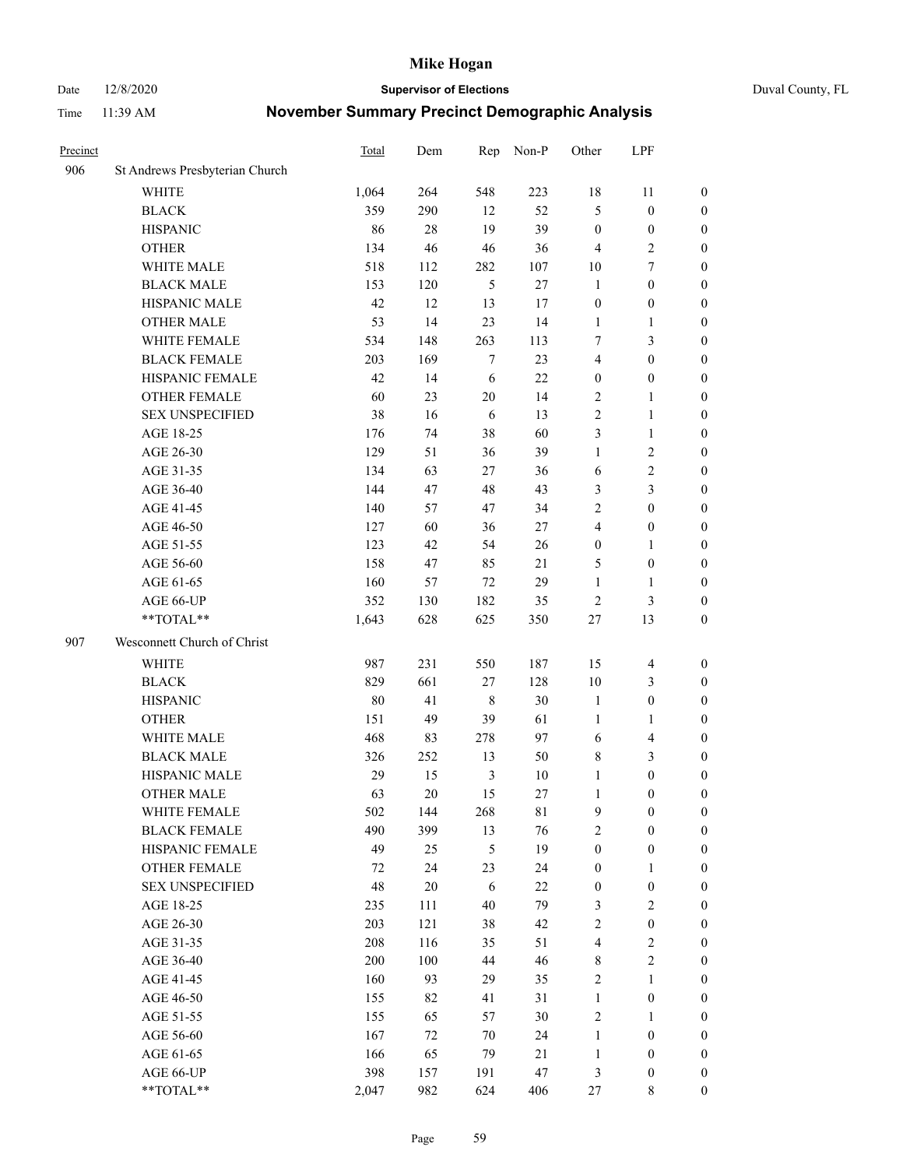Date 12/8/2020 **Supervisor of Elections** Duval County, FL

| Precinct |                                | Total | Dem    | Rep            | Non-P | Other            | LPF                     |                  |
|----------|--------------------------------|-------|--------|----------------|-------|------------------|-------------------------|------------------|
| 906      | St Andrews Presbyterian Church |       |        |                |       |                  |                         |                  |
|          | <b>WHITE</b>                   | 1,064 | 264    | 548            | 223   | 18               | 11                      | 0                |
|          | <b>BLACK</b>                   | 359   | 290    | 12             | 52    | 5                | $\boldsymbol{0}$        | 0                |
|          | <b>HISPANIC</b>                | 86    | 28     | 19             | 39    | $\boldsymbol{0}$ | $\boldsymbol{0}$        | $\boldsymbol{0}$ |
|          | <b>OTHER</b>                   | 134   | 46     | $46\,$         | 36    | $\overline{4}$   | $\sqrt{2}$              | $\boldsymbol{0}$ |
|          | WHITE MALE                     | 518   | 112    | 282            | 107   | 10               | $\tau$                  | $\boldsymbol{0}$ |
|          | <b>BLACK MALE</b>              | 153   | 120    | 5              | 27    | $\mathbf{1}$     | $\boldsymbol{0}$        | $\boldsymbol{0}$ |
|          | HISPANIC MALE                  | 42    | 12     | 13             | 17    | $\boldsymbol{0}$ | $\boldsymbol{0}$        | $\boldsymbol{0}$ |
|          | <b>OTHER MALE</b>              | 53    | 14     | 23             | 14    | $\mathbf{1}$     | $\mathbf{1}$            | $\boldsymbol{0}$ |
|          | WHITE FEMALE                   | 534   | 148    | 263            | 113   | 7                | $\mathfrak{Z}$          | $\boldsymbol{0}$ |
|          | <b>BLACK FEMALE</b>            | 203   | 169    | $\tau$         | 23    | 4                | $\boldsymbol{0}$        | 0                |
|          | HISPANIC FEMALE                | 42    | 14     | 6              | 22    | $\boldsymbol{0}$ | $\boldsymbol{0}$        | 0                |
|          | <b>OTHER FEMALE</b>            | 60    | 23     | 20             | 14    | $\overline{2}$   | $\mathbf{1}$            | 0                |
|          | <b>SEX UNSPECIFIED</b>         | 38    | 16     | 6              | 13    | $\mathbf{2}$     | $\mathbf{1}$            | $\boldsymbol{0}$ |
|          | AGE 18-25                      | 176   | 74     | 38             | 60    | 3                | $\mathbf{1}$            | $\boldsymbol{0}$ |
|          | AGE 26-30                      | 129   | 51     | 36             | 39    | $\mathbf{1}$     | $\sqrt{2}$              | $\boldsymbol{0}$ |
|          | AGE 31-35                      | 134   | 63     | $27\,$         | 36    | 6                | $\sqrt{2}$              | $\boldsymbol{0}$ |
|          | AGE 36-40                      | 144   | 47     | 48             | 43    | 3                | $\mathfrak{Z}$          | $\boldsymbol{0}$ |
|          | AGE 41-45                      | 140   | 57     | 47             | 34    | $\mathbf{2}$     | $\boldsymbol{0}$        | $\boldsymbol{0}$ |
|          | AGE 46-50                      | 127   | 60     | 36             | 27    | 4                | $\boldsymbol{0}$        | $\boldsymbol{0}$ |
|          | AGE 51-55                      | 123   | 42     | 54             | 26    | $\boldsymbol{0}$ | $\mathbf{1}$            | $\boldsymbol{0}$ |
|          | AGE 56-60                      | 158   | 47     | 85             | 21    | 5                | $\boldsymbol{0}$        | 0                |
|          | AGE 61-65                      | 160   | 57     | 72             | 29    | $\mathbf{1}$     | $\mathbf{1}$            | 0                |
|          | AGE 66-UP                      | 352   | 130    | 182            | 35    | $\sqrt{2}$       | $\mathfrak{Z}$          | $\boldsymbol{0}$ |
|          | $**TOTAL**$                    | 1,643 | 628    | 625            | 350   | $27\,$           | 13                      | $\boldsymbol{0}$ |
| 907      | Wesconnett Church of Christ    |       |        |                |       |                  |                         |                  |
|          | <b>WHITE</b>                   | 987   | 231    | 550            | 187   | 15               | $\overline{\mathbf{4}}$ | $\boldsymbol{0}$ |
|          | <b>BLACK</b>                   | 829   | 661    | $27\,$         | 128   | 10               | $\mathfrak{Z}$          | $\boldsymbol{0}$ |
|          | <b>HISPANIC</b>                | 80    | 41     | $\,$ 8 $\,$    | 30    | $\mathbf{1}$     | $\boldsymbol{0}$        | $\boldsymbol{0}$ |
|          | <b>OTHER</b>                   | 151   | 49     | 39             | 61    | $\mathbf{1}$     | $\mathbf{1}$            | $\boldsymbol{0}$ |
|          | WHITE MALE                     | 468   | 83     | 278            | 97    | 6                | $\overline{\mathbf{4}}$ | $\boldsymbol{0}$ |
|          | <b>BLACK MALE</b>              | 326   | 252    | 13             | 50    | 8                | $\mathfrak{Z}$          | $\boldsymbol{0}$ |
|          | HISPANIC MALE                  | 29    | 15     | $\mathfrak{Z}$ | 10    | $\mathbf{1}$     | $\boldsymbol{0}$        | $\boldsymbol{0}$ |
|          | <b>OTHER MALE</b>              | 63    | 20     | 15             | 27    | $\mathbf{1}$     | $\boldsymbol{0}$        | 0                |
|          | WHITE FEMALE                   | 502   | 144    | 268            | 81    | 9                | $\boldsymbol{0}$        | 0                |
|          | <b>BLACK FEMALE</b>            | 490   | 399    | 13             | 76    | 2                | $\boldsymbol{0}$        | $\boldsymbol{0}$ |
|          | HISPANIC FEMALE                | 49    | 25     | 5              | 19    | $\boldsymbol{0}$ | $\boldsymbol{0}$        | $\overline{0}$   |
|          | OTHER FEMALE                   | 72    | 24     | 23             | 24    | $\boldsymbol{0}$ | $\mathbf{1}$            | $\overline{0}$   |
|          | <b>SEX UNSPECIFIED</b>         | 48    | $20\,$ | 6              | 22    | $\boldsymbol{0}$ | $\boldsymbol{0}$        | 0                |
|          | AGE 18-25                      | 235   | 111    | 40             | 79    | 3                | $\sqrt{2}$              | 0                |
|          | AGE 26-30                      | 203   | 121    | 38             | 42    | $\sqrt{2}$       | $\boldsymbol{0}$        | 0                |
|          | AGE 31-35                      | 208   | 116    | 35             | 51    | 4                | $\sqrt{2}$              | 0                |
|          | AGE 36-40                      | 200   | 100    | 44             | 46    | 8                | $\sqrt{2}$              | 0                |
|          | AGE 41-45                      | 160   | 93     | 29             | 35    | $\sqrt{2}$       | $\mathbf{1}$            | 0                |
|          | AGE 46-50                      | 155   | 82     | 41             | 31    | $\mathbf{1}$     | $\boldsymbol{0}$        | 0                |
|          | AGE 51-55                      | 155   | 65     | 57             | 30    | $\sqrt{2}$       | $\mathbf{1}$            | 0                |
|          | AGE 56-60                      | 167   | 72     | $70\,$         | 24    | $\mathbf{1}$     | $\boldsymbol{0}$        | $\overline{0}$   |
|          | AGE 61-65                      | 166   | 65     | 79             | 21    | $\mathbf{1}$     | $\boldsymbol{0}$        | $\overline{0}$   |
|          | AGE 66-UP                      | 398   | 157    | 191            | 47    | 3                | $\boldsymbol{0}$        | 0                |
|          | **TOTAL**                      | 2,047 | 982    | 624            | 406   | 27               | 8                       | $\boldsymbol{0}$ |
|          |                                |       |        |                |       |                  |                         |                  |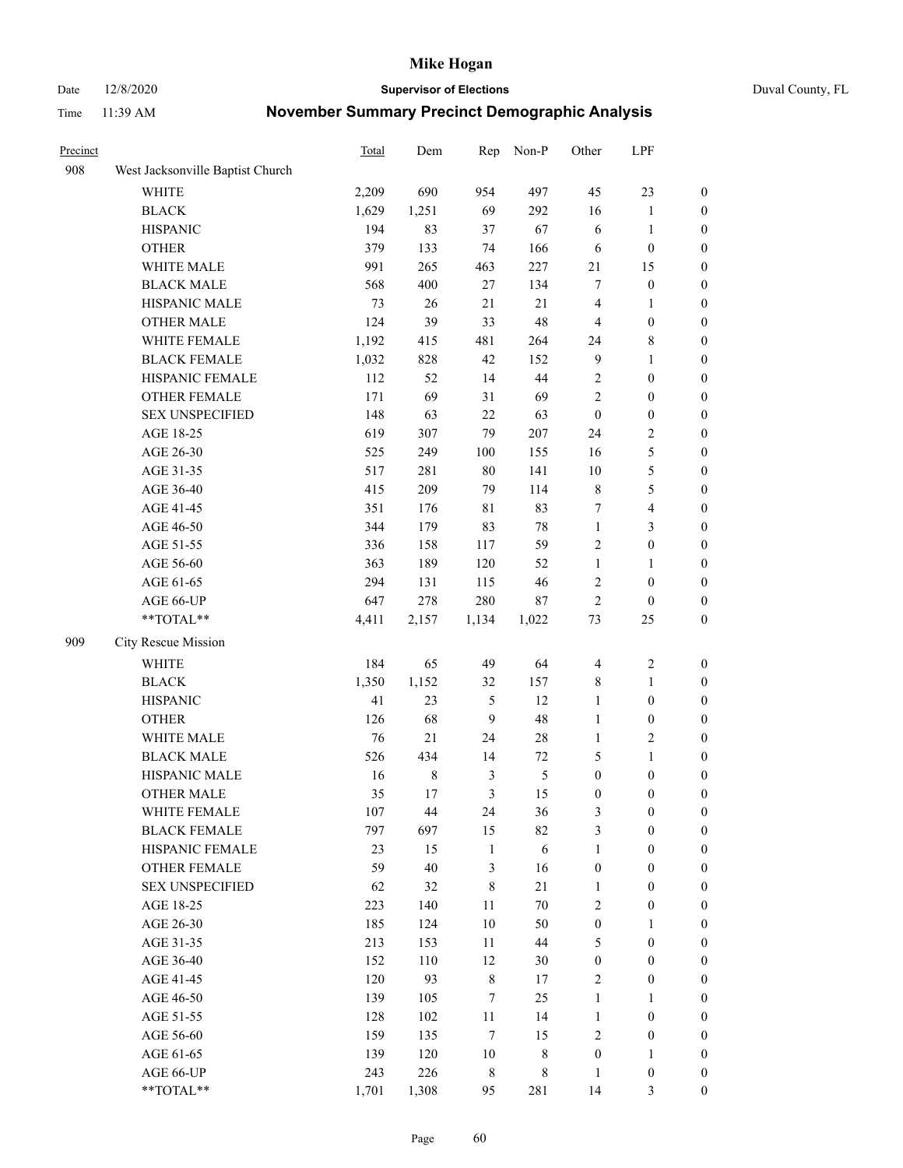#### Date 12/8/2020 **Supervisor of Elections** Duval County, FL

| Precinct |                                  | Total | Dem         | Rep            | Non-P      | Other            | LPF                     |                  |
|----------|----------------------------------|-------|-------------|----------------|------------|------------------|-------------------------|------------------|
| 908      | West Jacksonville Baptist Church |       |             |                |            |                  |                         |                  |
|          | <b>WHITE</b>                     | 2,209 | 690         | 954            | 497        | 45               | 23                      | 0                |
|          | <b>BLACK</b>                     | 1,629 | 1,251       | 69             | 292        | 16               | $\mathbf{1}$            | 0                |
|          | <b>HISPANIC</b>                  | 194   | 83          | 37             | 67         | 6                | $\mathbf{1}$            | $\boldsymbol{0}$ |
|          | <b>OTHER</b>                     | 379   | 133         | 74             | 166        | 6                | $\boldsymbol{0}$        | $\boldsymbol{0}$ |
|          | WHITE MALE                       | 991   | 265         | 463            | 227        | 21               | 15                      | $\boldsymbol{0}$ |
|          | <b>BLACK MALE</b>                | 568   | 400         | $27\,$         | 134        | 7                | $\boldsymbol{0}$        | $\boldsymbol{0}$ |
|          | HISPANIC MALE                    | 73    | 26          | $21\,$         | 21         | 4                | $\mathbf{1}$            | $\boldsymbol{0}$ |
|          | <b>OTHER MALE</b>                | 124   | 39          | 33             | 48         | $\overline{4}$   | $\boldsymbol{0}$        | $\boldsymbol{0}$ |
|          | WHITE FEMALE                     | 1,192 | 415         | 481            | 264        | 24               | $8\,$                   | $\boldsymbol{0}$ |
|          | <b>BLACK FEMALE</b>              | 1,032 | 828         | 42             | 152        | $\overline{9}$   | $\mathbf{1}$            | $\boldsymbol{0}$ |
|          | HISPANIC FEMALE                  | 112   | 52          | 14             | 44         | $\sqrt{2}$       | $\boldsymbol{0}$        | 0                |
|          | <b>OTHER FEMALE</b>              | 171   | 69          | 31             | 69         | $\mathfrak{2}$   | $\boldsymbol{0}$        | 0                |
|          | <b>SEX UNSPECIFIED</b>           | 148   | 63          | 22             | 63         | $\boldsymbol{0}$ | $\boldsymbol{0}$        | $\boldsymbol{0}$ |
|          | AGE 18-25                        | 619   | 307         | 79             | 207        | 24               | $\sqrt{2}$              | $\boldsymbol{0}$ |
|          | AGE 26-30                        | 525   | 249         | 100            | 155        | 16               | $\mathfrak{S}$          | $\boldsymbol{0}$ |
|          | AGE 31-35                        | 517   | 281         | 80             | 141        | 10               | $\mathfrak s$           | $\boldsymbol{0}$ |
|          | AGE 36-40                        | 415   | 209         | 79             | 114        | $\,$ $\,$        | $\mathfrak{S}$          | $\boldsymbol{0}$ |
|          | AGE 41-45                        | 351   | 176         | $8\sqrt{1}$    | 83         | 7                | $\overline{\mathbf{4}}$ | $\boldsymbol{0}$ |
|          | AGE 46-50                        | 344   | 179         | 83             | $78\,$     | $\mathbf{1}$     | $\mathfrak{Z}$          | $\boldsymbol{0}$ |
|          | AGE 51-55                        | 336   | 158         | 117            | 59         | $\sqrt{2}$       | $\boldsymbol{0}$        | $\boldsymbol{0}$ |
|          | AGE 56-60                        | 363   | 189         | 120            | 52         | $\mathbf{1}$     | $\mathbf{1}$            | 0                |
|          | AGE 61-65                        | 294   | 131         | 115            | 46         | $\overline{c}$   | $\boldsymbol{0}$        | 0                |
|          | AGE 66-UP                        | 647   | 278         | 280            | $87\,$     | $\sqrt{2}$       | $\boldsymbol{0}$        | $\boldsymbol{0}$ |
|          | $**TOTAL**$                      | 4,411 | 2,157       | 1,134          | 1,022      | 73               | 25                      | $\boldsymbol{0}$ |
| 909      | City Rescue Mission              |       |             |                |            |                  |                         |                  |
|          | <b>WHITE</b>                     | 184   | 65          | 49             | 64         | $\overline{4}$   | $\boldsymbol{2}$        | $\boldsymbol{0}$ |
|          | <b>BLACK</b>                     | 1,350 | 1,152       | 32             | 157        | 8                | $\mathbf{1}$            | $\boldsymbol{0}$ |
|          | <b>HISPANIC</b>                  | 41    | 23          | $\mathfrak{S}$ | 12         | $\mathbf{1}$     | $\boldsymbol{0}$        | $\boldsymbol{0}$ |
|          | <b>OTHER</b>                     | 126   | 68          | 9              | 48         | $\mathbf{1}$     | $\boldsymbol{0}$        | $\boldsymbol{0}$ |
|          | WHITE MALE                       | 76    | 21          | 24             | $28\,$     | $\mathbf{1}$     | $\overline{2}$          | $\boldsymbol{0}$ |
|          | <b>BLACK MALE</b>                | 526   | 434         | 14             | $72\,$     | 5                | $\mathbf{1}$            | $\boldsymbol{0}$ |
|          | HISPANIC MALE                    | 16    | $\,$ 8 $\,$ | $\mathfrak{Z}$ | 5          | $\boldsymbol{0}$ | $\boldsymbol{0}$        | 0                |
|          | <b>OTHER MALE</b>                | 35    | 17          | 3              | 15         | $\boldsymbol{0}$ | $\boldsymbol{0}$        | $\boldsymbol{0}$ |
|          | WHITE FEMALE                     | 107   | 44          | 24             | 36         | 3                | $\boldsymbol{0}$        | 0                |
|          | <b>BLACK FEMALE</b>              | 797   | 697         | 15             | 82         | 3                | $\boldsymbol{0}$        | $\boldsymbol{0}$ |
|          | HISPANIC FEMALE                  | 23    | 15          | $\mathbf{1}$   | $\sqrt{6}$ | $\mathbf{1}$     | $\boldsymbol{0}$        | $\overline{0}$   |
|          | OTHER FEMALE                     | 59    | 40          | $\mathfrak{Z}$ | 16         | $\boldsymbol{0}$ | $\boldsymbol{0}$        | $\overline{0}$   |
|          | <b>SEX UNSPECIFIED</b>           | 62    | 32          | $\,8\,$        | 21         | $\mathbf{1}$     | $\boldsymbol{0}$        | $\overline{0}$   |
|          | AGE 18-25                        | 223   | 140         | 11             | $70\,$     | $\mathbf{2}$     | $\boldsymbol{0}$        | $\overline{0}$   |
|          | AGE 26-30                        | 185   | 124         | 10             | 50         | $\boldsymbol{0}$ | $\mathbf{1}$            | $\overline{0}$   |
|          | AGE 31-35                        | 213   | 153         | 11             | 44         | 5                | $\boldsymbol{0}$        | 0                |
|          | AGE 36-40                        | 152   | 110         | 12             | 30         | $\boldsymbol{0}$ | $\boldsymbol{0}$        | 0                |
|          | AGE 41-45                        | 120   | 93          | $\,$ 8 $\,$    | 17         | $\sqrt{2}$       | $\boldsymbol{0}$        | 0                |
|          | AGE 46-50                        | 139   | 105         | $\tau$         | 25         | $\mathbf{1}$     | $\mathbf{1}$            | 0                |
|          | AGE 51-55                        | 128   | 102         | $11\,$         | 14         | $\mathbf{1}$     | $\boldsymbol{0}$        | $\overline{0}$   |
|          | AGE 56-60                        | 159   | 135         | $\tau$         | 15         | $\overline{c}$   | $\boldsymbol{0}$        | $\boldsymbol{0}$ |
|          | AGE 61-65                        | 139   | 120         | 10             | 8          | $\boldsymbol{0}$ | $\mathbf{1}$            | $\boldsymbol{0}$ |
|          | AGE 66-UP                        | 243   | 226         | $\,$ 8 $\,$    | 8          | $\mathbf{1}$     | $\boldsymbol{0}$        | $\boldsymbol{0}$ |
|          | **TOTAL**                        | 1,701 | 1,308       | 95             | 281        | 14               | $\mathfrak{Z}$          | $\boldsymbol{0}$ |
|          |                                  |       |             |                |            |                  |                         |                  |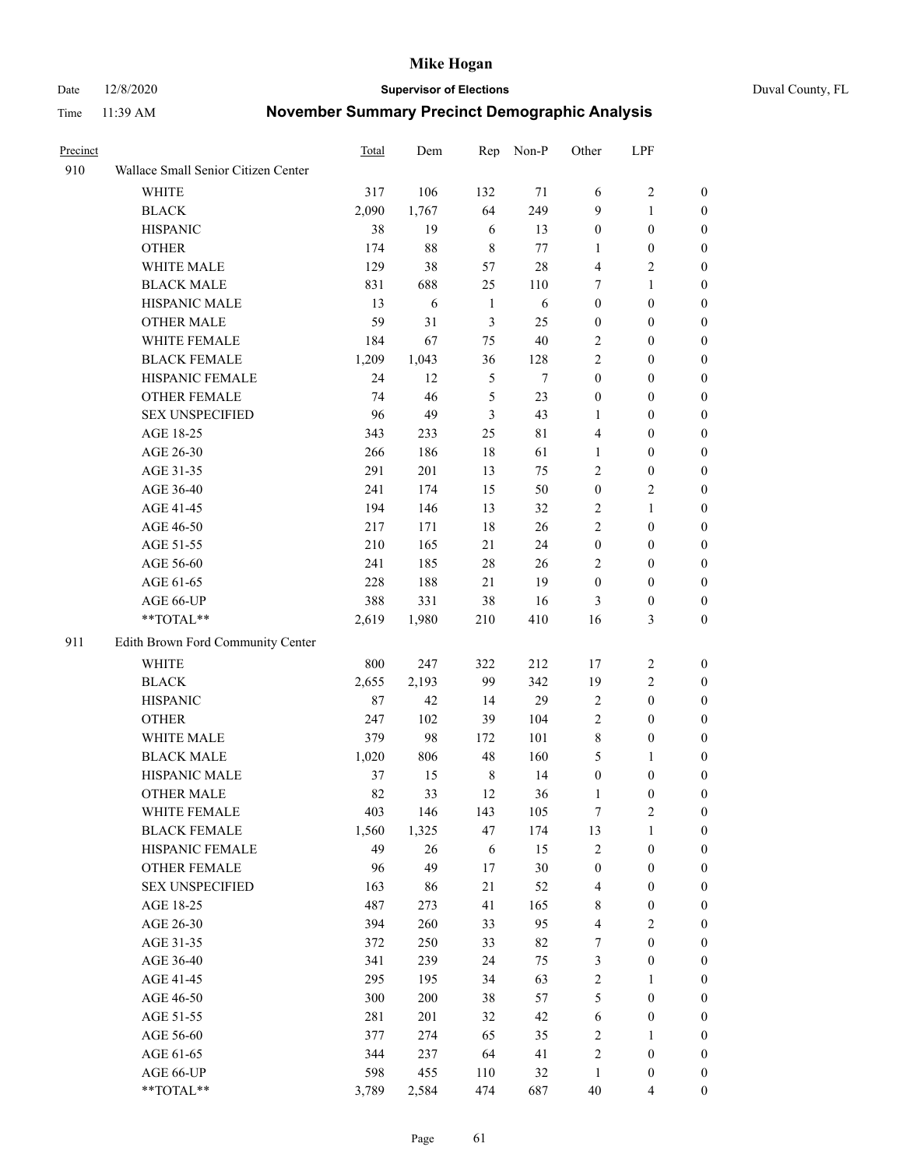Date 12/8/2020 **Supervisor of Elections** Duval County, FL

| Precinct |                                     | <b>Total</b> | Dem   | Rep          | Non-P  | Other                   | LPF              |                  |
|----------|-------------------------------------|--------------|-------|--------------|--------|-------------------------|------------------|------------------|
| 910      | Wallace Small Senior Citizen Center |              |       |              |        |                         |                  |                  |
|          | <b>WHITE</b>                        | 317          | 106   | 132          | 71     | 6                       | $\sqrt{2}$       | 0                |
|          | <b>BLACK</b>                        | 2,090        | 1,767 | 64           | 249    | 9                       | $\mathbf{1}$     | 0                |
|          | <b>HISPANIC</b>                     | 38           | 19    | 6            | 13     | $\boldsymbol{0}$        | $\boldsymbol{0}$ | $\boldsymbol{0}$ |
|          | <b>OTHER</b>                        | 174          | 88    | $\,8\,$      | 77     | 1                       | $\boldsymbol{0}$ | $\boldsymbol{0}$ |
|          | WHITE MALE                          | 129          | 38    | 57           | $28\,$ | 4                       | $\sqrt{2}$       | $\boldsymbol{0}$ |
|          | <b>BLACK MALE</b>                   | 831          | 688   | 25           | 110    | 7                       | $\mathbf{1}$     | $\boldsymbol{0}$ |
|          | HISPANIC MALE                       | 13           | 6     | $\mathbf{1}$ | 6      | $\boldsymbol{0}$        | $\boldsymbol{0}$ | $\boldsymbol{0}$ |
|          | <b>OTHER MALE</b>                   | 59           | 31    | 3            | 25     | $\boldsymbol{0}$        | $\boldsymbol{0}$ | $\boldsymbol{0}$ |
|          | WHITE FEMALE                        | 184          | 67    | 75           | $40\,$ | 2                       | $\boldsymbol{0}$ | $\boldsymbol{0}$ |
|          | <b>BLACK FEMALE</b>                 | 1,209        | 1,043 | 36           | 128    | 2                       | $\boldsymbol{0}$ | 0                |
|          | HISPANIC FEMALE                     | 24           | 12    | 5            | 7      | $\boldsymbol{0}$        | $\boldsymbol{0}$ | 0                |
|          | <b>OTHER FEMALE</b>                 | 74           | 46    | 5            | 23     | $\boldsymbol{0}$        | $\boldsymbol{0}$ | 0                |
|          | <b>SEX UNSPECIFIED</b>              | 96           | 49    | 3            | 43     | $\mathbf{1}$            | $\boldsymbol{0}$ | $\boldsymbol{0}$ |
|          | AGE 18-25                           | 343          | 233   | 25           | 81     | 4                       | $\boldsymbol{0}$ | $\boldsymbol{0}$ |
|          | AGE 26-30                           | 266          | 186   | 18           | 61     | $\mathbf{1}$            | $\boldsymbol{0}$ | $\boldsymbol{0}$ |
|          | AGE 31-35                           | 291          | 201   | 13           | 75     | $\mathfrak{2}$          | $\boldsymbol{0}$ | $\boldsymbol{0}$ |
|          | AGE 36-40                           | 241          | 174   | 15           | 50     | $\boldsymbol{0}$        | $\sqrt{2}$       | $\boldsymbol{0}$ |
|          | AGE 41-45                           | 194          | 146   | 13           | 32     | 2                       | $\mathbf{1}$     | $\boldsymbol{0}$ |
|          | AGE 46-50                           | 217          | 171   | 18           | 26     | $\mathbf{2}$            | $\boldsymbol{0}$ | $\boldsymbol{0}$ |
|          | AGE 51-55                           | 210          | 165   | 21           | 24     | $\boldsymbol{0}$        | $\boldsymbol{0}$ | 0                |
|          | AGE 56-60                           | 241          | 185   | 28           | 26     | $\overline{2}$          | $\boldsymbol{0}$ | 0                |
|          | AGE 61-65                           | 228          | 188   | 21           | 19     | $\boldsymbol{0}$        | $\boldsymbol{0}$ | 0                |
|          | AGE 66-UP                           | 388          | 331   | 38           | 16     | 3                       | $\boldsymbol{0}$ | $\boldsymbol{0}$ |
|          | **TOTAL**                           | 2,619        | 1,980 | 210          | 410    | 16                      | $\mathfrak{Z}$   | $\boldsymbol{0}$ |
| 911      | Edith Brown Ford Community Center   |              |       |              |        |                         |                  |                  |
|          | <b>WHITE</b>                        | 800          | 247   | 322          | 212    | 17                      | $\sqrt{2}$       | $\boldsymbol{0}$ |
|          | <b>BLACK</b>                        | 2,655        | 2,193 | 99           | 342    | 19                      | $\sqrt{2}$       | $\boldsymbol{0}$ |
|          | <b>HISPANIC</b>                     | 87           | 42    | 14           | 29     | $\sqrt{2}$              | $\boldsymbol{0}$ | $\boldsymbol{0}$ |
|          | <b>OTHER</b>                        | 247          | 102   | 39           | 104    | 2                       | $\boldsymbol{0}$ | $\boldsymbol{0}$ |
|          | WHITE MALE                          | 379          | 98    | 172          | 101    | 8                       | $\boldsymbol{0}$ | $\boldsymbol{0}$ |
|          | <b>BLACK MALE</b>                   | 1,020        | 806   | 48           | 160    | 5                       | $\mathbf{1}$     | $\boldsymbol{0}$ |
|          | HISPANIC MALE                       | 37           | 15    | $\,$ 8 $\,$  | 14     | $\boldsymbol{0}$        | $\boldsymbol{0}$ | 0                |
|          | <b>OTHER MALE</b>                   | 82           | 33    | 12           | 36     | 1                       | $\boldsymbol{0}$ | 0                |
|          | WHITE FEMALE                        | 403          | 146   | 143          | 105    | 7                       | 2                | 0                |
|          | <b>BLACK FEMALE</b>                 | 1,560        | 1,325 | 47           | 174    | 13                      | $\mathbf{1}$     | $\boldsymbol{0}$ |
|          | HISPANIC FEMALE                     | 49           | 26    | 6            | 15     | $\overline{c}$          | $\boldsymbol{0}$ | $\overline{0}$   |
|          | OTHER FEMALE                        | 96           | 49    | 17           | 30     | $\boldsymbol{0}$        | $\boldsymbol{0}$ | $\overline{0}$   |
|          | <b>SEX UNSPECIFIED</b>              | 163          | 86    | 21           | 52     | 4                       | $\boldsymbol{0}$ | 0                |
|          | AGE 18-25                           | 487          | 273   | 41           | 165    | $\,$ 8 $\,$             | $\boldsymbol{0}$ | $\theta$         |
|          | AGE 26-30                           | 394          | 260   | 33           | 95     | $\overline{\mathbf{4}}$ | $\overline{2}$   | 0                |
|          | AGE 31-35                           | 372          | 250   | 33           | 82     | 7                       | $\boldsymbol{0}$ | 0                |
|          | AGE 36-40                           | 341          | 239   | 24           | 75     | 3                       | $\boldsymbol{0}$ | 0                |
|          | AGE 41-45                           | 295          | 195   | 34           | 63     | 2                       | $\mathbf{1}$     | 0                |
|          | AGE 46-50                           | 300          | 200   | 38           | 57     | 5                       | $\boldsymbol{0}$ | 0                |
|          | AGE 51-55                           | 281          | 201   | 32           | 42     | 6                       | $\boldsymbol{0}$ | 0                |
|          | AGE 56-60                           | 377          | 274   | 65           | 35     | $\sqrt{2}$              | 1                | $\boldsymbol{0}$ |
|          | AGE 61-65                           | 344          | 237   | 64           | 41     | 2                       | $\boldsymbol{0}$ | $\overline{0}$   |
|          | AGE 66-UP                           | 598          | 455   | 110          | 32     | $\mathbf{1}$            | $\boldsymbol{0}$ | 0                |
|          | **TOTAL**                           | 3,789        | 2,584 | 474          | 687    | $40\,$                  | $\overline{4}$   | $\boldsymbol{0}$ |
|          |                                     |              |       |              |        |                         |                  |                  |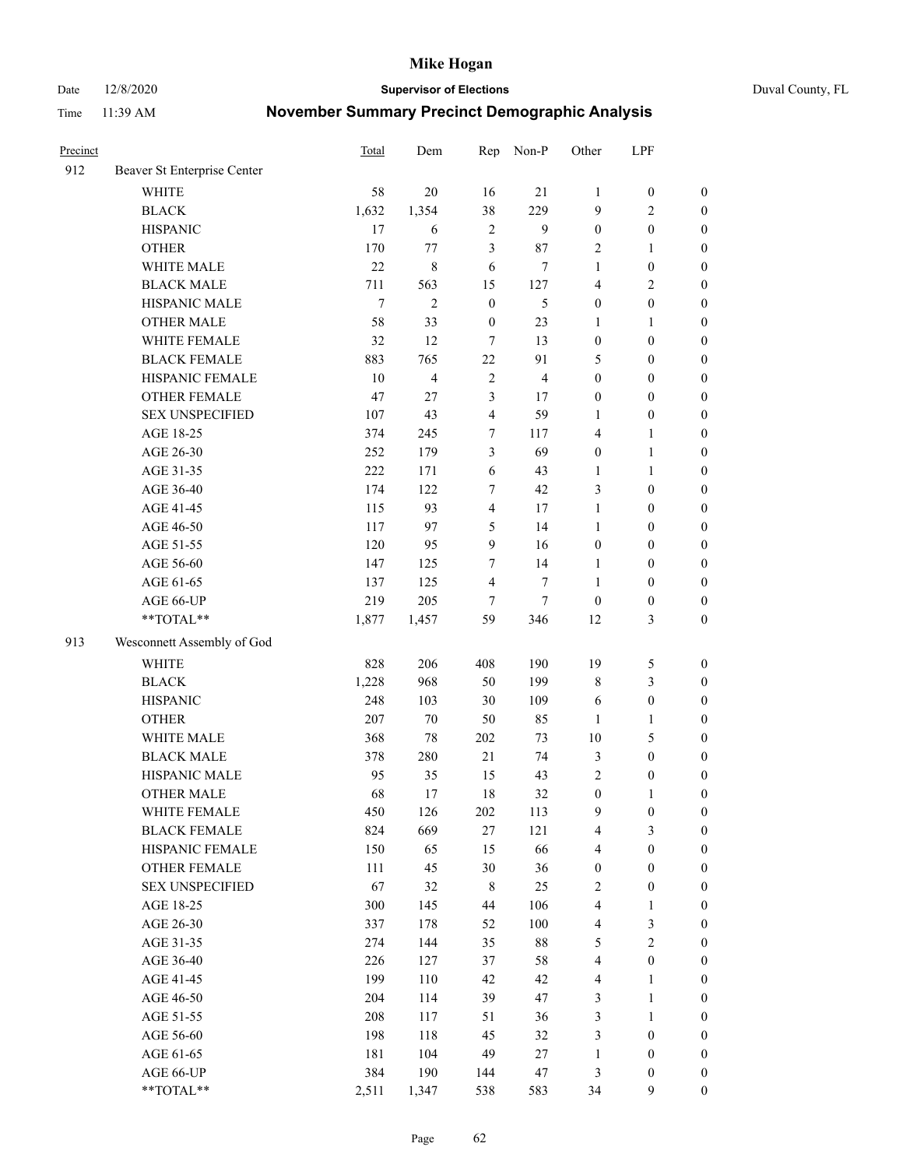Date 12/8/2020 **Supervisor of Elections** Duval County, FL

| Precinct |                             | <b>Total</b> | Dem            | Rep              | Non-P          | Other                   | LPF              |                  |
|----------|-----------------------------|--------------|----------------|------------------|----------------|-------------------------|------------------|------------------|
| 912      | Beaver St Enterprise Center |              |                |                  |                |                         |                  |                  |
|          | <b>WHITE</b>                | 58           | 20             | 16               | 21             | 1                       | $\boldsymbol{0}$ | $\boldsymbol{0}$ |
|          | <b>BLACK</b>                | 1,632        | 1,354          | 38               | 229            | 9                       | $\overline{2}$   | $\boldsymbol{0}$ |
|          | <b>HISPANIC</b>             | 17           | 6              | $\overline{2}$   | 9              | $\boldsymbol{0}$        | $\boldsymbol{0}$ | $\boldsymbol{0}$ |
|          | <b>OTHER</b>                | 170          | 77             | 3                | 87             | $\overline{2}$          | 1                | $\boldsymbol{0}$ |
|          | WHITE MALE                  | 22           | 8              | 6                | $\tau$         | 1                       | $\boldsymbol{0}$ | $\boldsymbol{0}$ |
|          | <b>BLACK MALE</b>           | 711          | 563            | 15               | 127            | 4                       | $\mathbf{2}$     | $\boldsymbol{0}$ |
|          | HISPANIC MALE               | $\tau$       | $\mathbf{2}$   | $\mathbf{0}$     | 5              | $\boldsymbol{0}$        | $\boldsymbol{0}$ | $\boldsymbol{0}$ |
|          | <b>OTHER MALE</b>           | 58           | 33             | $\boldsymbol{0}$ | 23             | $\mathbf{1}$            | $\mathbf{1}$     | $\boldsymbol{0}$ |
|          | WHITE FEMALE                | 32           | 12             | 7                | 13             | $\boldsymbol{0}$        | $\boldsymbol{0}$ | $\boldsymbol{0}$ |
|          | <b>BLACK FEMALE</b>         | 883          | 765            | 22               | 91             | 5                       | $\boldsymbol{0}$ | $\boldsymbol{0}$ |
|          | HISPANIC FEMALE             | 10           | $\overline{4}$ | $\sqrt{2}$       | $\overline{4}$ | $\boldsymbol{0}$        | $\boldsymbol{0}$ | $\boldsymbol{0}$ |
|          | <b>OTHER FEMALE</b>         | 47           | 27             | $\mathfrak{Z}$   | 17             | $\boldsymbol{0}$        | $\boldsymbol{0}$ | $\boldsymbol{0}$ |
|          | <b>SEX UNSPECIFIED</b>      | 107          | 43             | $\overline{4}$   | 59             | $\mathbf{1}$            | $\boldsymbol{0}$ | $\boldsymbol{0}$ |
|          | AGE 18-25                   | 374          | 245            | 7                | 117            | 4                       | $\mathbf{1}$     | $\boldsymbol{0}$ |
|          | AGE 26-30                   | 252          | 179            | 3                | 69             | $\boldsymbol{0}$        | $\mathbf{1}$     | $\boldsymbol{0}$ |
|          | AGE 31-35                   | 222          | 171            | 6                | 43             | $\mathbf{1}$            | $\mathbf{1}$     | $\boldsymbol{0}$ |
|          | AGE 36-40                   | 174          | 122            | 7                | 42             | 3                       | $\boldsymbol{0}$ | $\boldsymbol{0}$ |
|          | AGE 41-45                   | 115          | 93             | $\overline{4}$   | 17             | $\mathbf{1}$            | $\boldsymbol{0}$ | $\boldsymbol{0}$ |
|          | AGE 46-50                   | 117          | 97             | 5                | 14             | $\mathbf{1}$            | $\boldsymbol{0}$ | $\boldsymbol{0}$ |
|          | AGE 51-55                   | 120          | 95             | 9                | 16             | $\boldsymbol{0}$        | $\boldsymbol{0}$ | $\boldsymbol{0}$ |
|          | AGE 56-60                   | 147          | 125            | $\tau$           | 14             | 1                       | $\boldsymbol{0}$ | 0                |
|          | AGE 61-65                   | 137          | 125            | $\overline{4}$   | $\tau$         | $\mathbf{1}$            | $\boldsymbol{0}$ | $\boldsymbol{0}$ |
|          | AGE 66-UP                   | 219          | 205            | $\tau$           | $\tau$         | $\boldsymbol{0}$        | $\boldsymbol{0}$ | $\boldsymbol{0}$ |
|          | **TOTAL**                   | 1,877        | 1,457          | 59               | 346            | 12                      | $\mathfrak{Z}$   | $\boldsymbol{0}$ |
| 913      | Wesconnett Assembly of God  |              |                |                  |                |                         |                  |                  |
|          | <b>WHITE</b>                | 828          | 206            | 408              | 190            | 19                      | 5                | $\boldsymbol{0}$ |
|          | <b>BLACK</b>                | 1,228        | 968            | 50               | 199            | 8                       | $\mathfrak{Z}$   | $\boldsymbol{0}$ |
|          | <b>HISPANIC</b>             | 248          | 103            | 30               | 109            | 6                       | $\boldsymbol{0}$ | $\boldsymbol{0}$ |
|          | <b>OTHER</b>                | 207          | $70\,$         | 50               | 85             | $\mathbf{1}$            | $\mathbf{1}$     | $\boldsymbol{0}$ |
|          | WHITE MALE                  | 368          | $78\,$         | 202              | 73             | 10                      | $\mathfrak{S}$   | $\boldsymbol{0}$ |
|          | <b>BLACK MALE</b>           | 378          | 280            | 21               | 74             | 3                       | $\boldsymbol{0}$ | $\boldsymbol{0}$ |
|          | HISPANIC MALE               | 95           | 35             | 15               | 43             | $\sqrt{2}$              | $\boldsymbol{0}$ | $\boldsymbol{0}$ |
|          | OTHER MALE                  | 68           | 17             | 18               | 32             | $\boldsymbol{0}$        | $\mathbf{1}$     | $\boldsymbol{0}$ |
|          | WHITE FEMALE                | 450          | 126            | 202              | 113            | 9                       | $\boldsymbol{0}$ | 0                |
|          | <b>BLACK FEMALE</b>         | 824          | 669            | 27               | 121            | 4                       | 3                | $\boldsymbol{0}$ |
|          | HISPANIC FEMALE             | 150          | 65             | 15               | 66             | 4                       | $\boldsymbol{0}$ | $\overline{0}$   |
|          | OTHER FEMALE                | 111          | 45             | 30               | 36             | $\boldsymbol{0}$        | $\boldsymbol{0}$ | $\overline{0}$   |
|          | <b>SEX UNSPECIFIED</b>      | 67           | 32             | $\,$ 8 $\,$      | 25             | 2                       | $\boldsymbol{0}$ | 0                |
|          | AGE 18-25                   | 300          | 145            | 44               | 106            | 4                       | $\mathbf{1}$     | $\overline{0}$   |
|          | AGE 26-30                   | 337          | 178            | 52               | 100            | 4                       | $\mathfrak{Z}$   | 0                |
|          | AGE 31-35                   | 274          | 144            | 35               | $88\,$         | 5                       | $\sqrt{2}$       | 0                |
|          | AGE 36-40                   | 226          | 127            | 37               | 58             | 4                       | $\boldsymbol{0}$ | 0                |
|          | AGE 41-45                   | 199          | 110            | 42               | 42             | $\overline{\mathbf{4}}$ | $\mathbf{1}$     | 0                |
|          | AGE 46-50                   | 204          | 114            | 39               | 47             | 3                       | $\mathbf{1}$     | 0                |
|          | AGE 51-55                   | 208          | 117            | 51               | 36             | 3                       | $\mathbf{1}$     | 0                |
|          | AGE 56-60                   | 198          | 118            | 45               | 32             | 3                       | $\boldsymbol{0}$ | $\overline{0}$   |
|          | AGE 61-65                   | 181          | 104            | 49               | 27             | $\mathbf{1}$            | $\boldsymbol{0}$ | $\boldsymbol{0}$ |
|          | AGE 66-UP                   | 384          | 190            | 144              | $47\,$         | 3                       | $\boldsymbol{0}$ | 0                |
|          | **TOTAL**                   | 2,511        | 1,347          | 538              | 583            | 34                      | 9                | $\boldsymbol{0}$ |
|          |                             |              |                |                  |                |                         |                  |                  |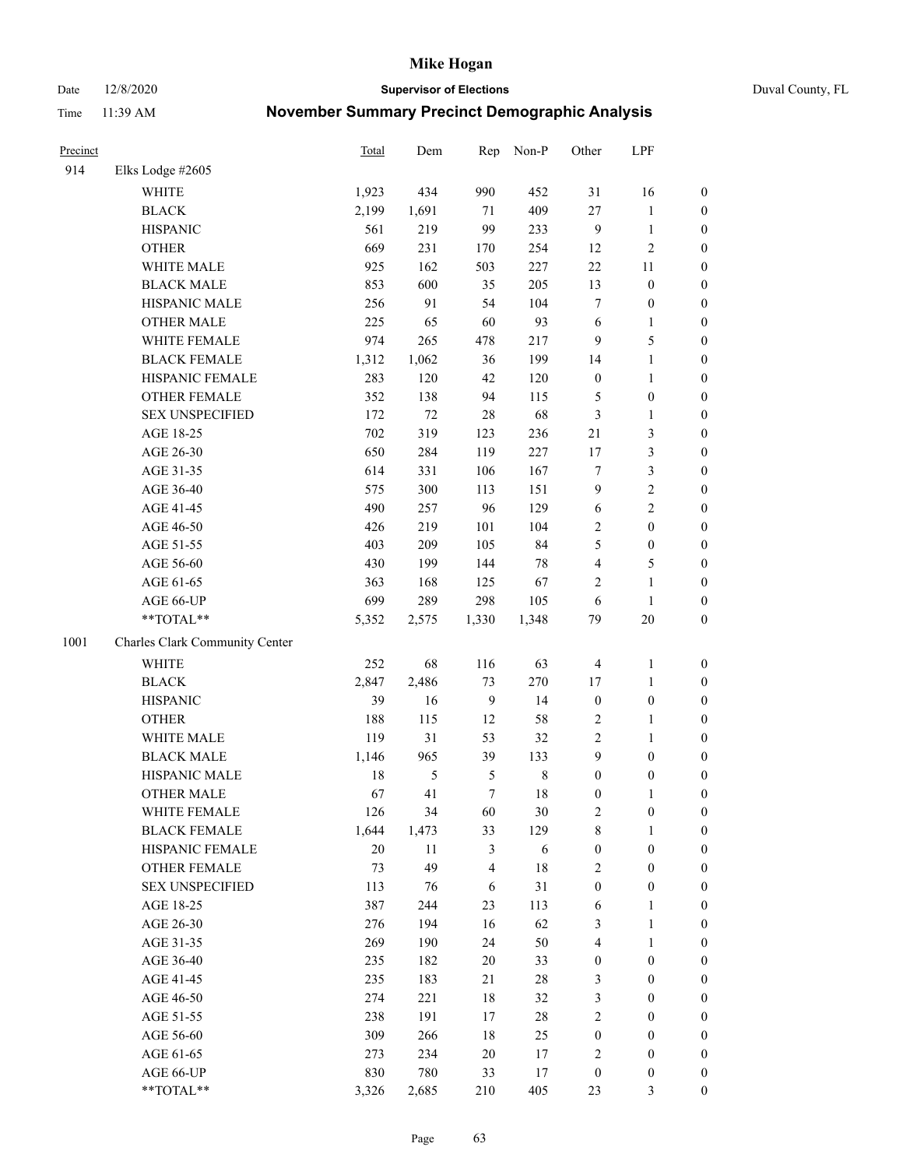Date 12/8/2020 **Supervisor of Elections** Duval County, FL

| Precinct |                                | <b>Total</b> | Dem            | Rep              | Non-P       | Other            | LPF              |                  |
|----------|--------------------------------|--------------|----------------|------------------|-------------|------------------|------------------|------------------|
| 914      | Elks Lodge #2605               |              |                |                  |             |                  |                  |                  |
|          | <b>WHITE</b>                   | 1,923        | 434            | 990              | 452         | 31               | 16               | 0                |
|          | <b>BLACK</b>                   | 2,199        | 1,691          | 71               | 409         | 27               | $\mathbf{1}$     | 0                |
|          | <b>HISPANIC</b>                | 561          | 219            | 99               | 233         | 9                | $\mathbf{1}$     | $\boldsymbol{0}$ |
|          | <b>OTHER</b>                   | 669          | 231            | 170              | 254         | 12               | $\sqrt{2}$       | $\boldsymbol{0}$ |
|          | WHITE MALE                     | 925          | 162            | 503              | 227         | $22\,$           | 11               | $\boldsymbol{0}$ |
|          | <b>BLACK MALE</b>              | 853          | 600            | 35               | 205         | 13               | $\boldsymbol{0}$ | $\boldsymbol{0}$ |
|          | HISPANIC MALE                  | 256          | 91             | 54               | 104         | 7                | $\boldsymbol{0}$ | $\boldsymbol{0}$ |
|          | <b>OTHER MALE</b>              | 225          | 65             | 60               | 93          | 6                | $\mathbf{1}$     | $\boldsymbol{0}$ |
|          | WHITE FEMALE                   | 974          | 265            | 478              | 217         | 9                | 5                | $\boldsymbol{0}$ |
|          | <b>BLACK FEMALE</b>            | 1,312        | 1,062          | 36               | 199         | 14               | $\mathbf{1}$     | 0                |
|          | HISPANIC FEMALE                | 283          | 120            | 42               | 120         | $\boldsymbol{0}$ | $\mathbf{1}$     | 0                |
|          | <b>OTHER FEMALE</b>            | 352          | 138            | 94               | 115         | 5                | $\boldsymbol{0}$ | $\boldsymbol{0}$ |
|          | <b>SEX UNSPECIFIED</b>         | 172          | 72             | 28               | 68          | 3                | $\mathbf{1}$     | $\boldsymbol{0}$ |
|          | AGE 18-25                      | 702          | 319            | 123              | 236         | 21               | $\mathfrak{Z}$   | $\boldsymbol{0}$ |
|          | AGE 26-30                      | 650          | 284            | 119              | 227         | 17               | $\mathfrak{Z}$   | $\boldsymbol{0}$ |
|          | AGE 31-35                      | 614          | 331            | 106              | 167         | $\boldsymbol{7}$ | $\mathfrak{Z}$   | $\boldsymbol{0}$ |
|          | AGE 36-40                      | 575          | 300            | 113              | 151         | 9                | $\sqrt{2}$       | $\boldsymbol{0}$ |
|          | AGE 41-45                      | 490          | 257            | 96               | 129         | $\sqrt{6}$       | $\overline{c}$   | $\boldsymbol{0}$ |
|          | AGE 46-50                      | 426          | 219            | 101              | 104         | $\overline{2}$   | $\boldsymbol{0}$ | $\boldsymbol{0}$ |
|          | AGE 51-55                      | 403          | 209            | 105              | 84          | 5                | $\boldsymbol{0}$ | $\boldsymbol{0}$ |
|          | AGE 56-60                      | 430          | 199            | 144              | $78\,$      | 4                | $\mathfrak s$    | 0                |
|          | AGE 61-65                      | 363          | 168            | 125              | 67          | 2                | $\mathbf{1}$     | $\boldsymbol{0}$ |
|          | AGE 66-UP                      | 699          | 289            | 298              | 105         | 6                | $\mathbf{1}$     | $\boldsymbol{0}$ |
|          | **TOTAL**                      | 5,352        | 2,575          | 1,330            | 1,348       | 79               | 20               | $\boldsymbol{0}$ |
| 1001     | Charles Clark Community Center |              |                |                  |             |                  |                  |                  |
|          | <b>WHITE</b>                   | 252          | 68             | 116              | 63          | 4                | $\mathbf{1}$     | $\boldsymbol{0}$ |
|          | <b>BLACK</b>                   | 2,847        | 2,486          | 73               | 270         | 17               | $\mathbf{1}$     | $\boldsymbol{0}$ |
|          | <b>HISPANIC</b>                | 39           | 16             | $\overline{9}$   | 14          | $\boldsymbol{0}$ | $\boldsymbol{0}$ | $\boldsymbol{0}$ |
|          | <b>OTHER</b>                   | 188          | 115            | 12               | 58          | 2                | $\mathbf{1}$     | $\boldsymbol{0}$ |
|          | WHITE MALE                     | 119          | 31             | 53               | 32          | $\overline{c}$   | $\mathbf{1}$     | $\boldsymbol{0}$ |
|          | <b>BLACK MALE</b>              | 1,146        | 965            | 39               | 133         | 9                | $\boldsymbol{0}$ | $\boldsymbol{0}$ |
|          | HISPANIC MALE                  | 18           | $\mathfrak{S}$ | $\mathfrak{S}$   | $\,$ 8 $\,$ | $\boldsymbol{0}$ | $\boldsymbol{0}$ | 0                |
|          | <b>OTHER MALE</b>              | 67           | 41             | $\boldsymbol{7}$ | 18          | $\boldsymbol{0}$ | $\mathbf{1}$     | $\boldsymbol{0}$ |
|          | WHITE FEMALE                   | 126          | 34             | 60               | 30          | 2                | 0                | 0                |
|          | <b>BLACK FEMALE</b>            | 1,644        | 1,473          | 33               | 129         | 8                | $\mathbf{1}$     | $\boldsymbol{0}$ |
|          | HISPANIC FEMALE                | $20\,$       | 11             | 3                | 6           | $\boldsymbol{0}$ | $\boldsymbol{0}$ | $\overline{0}$   |
|          | OTHER FEMALE                   | 73           | 49             | 4                | 18          | 2                | $\boldsymbol{0}$ | $\overline{0}$   |
|          | <b>SEX UNSPECIFIED</b>         | 113          | 76             | 6                | 31          | $\boldsymbol{0}$ | $\boldsymbol{0}$ | 0                |
|          | AGE 18-25                      | 387          | 244            | 23               | 113         | 6                | $\mathbf{1}$     | 0                |
|          | AGE 26-30                      | 276          | 194            | 16               | 62          | 3                | $\mathbf{1}$     | 0                |
|          | AGE 31-35                      | 269          | 190            | 24               | 50          | 4                | $\mathbf{1}$     | 0                |
|          | AGE 36-40                      | 235          | 182            | $20\,$           | 33          | $\boldsymbol{0}$ | $\boldsymbol{0}$ | 0                |
|          | AGE 41-45                      | 235          | 183            | 21               | $28\,$      | 3                | $\boldsymbol{0}$ | 0                |
|          | AGE 46-50                      | 274          | 221            | 18               | 32          | 3                | $\boldsymbol{0}$ | 0                |
|          | AGE 51-55                      | 238          | 191            | 17               | $28\,$      | 2                | $\boldsymbol{0}$ | 0                |
|          | AGE 56-60                      | 309          | 266            | 18               | 25          | $\boldsymbol{0}$ | $\boldsymbol{0}$ | $\overline{0}$   |
|          | AGE 61-65                      | 273          | 234            | 20               | 17          | 2                | $\boldsymbol{0}$ | $\overline{0}$   |
|          | AGE 66-UP                      | 830          | 780            | 33               | 17          | $\boldsymbol{0}$ | $\boldsymbol{0}$ | 0                |
|          | **TOTAL**                      | 3,326        | 2,685          | 210              | 405         | 23               | 3                | $\boldsymbol{0}$ |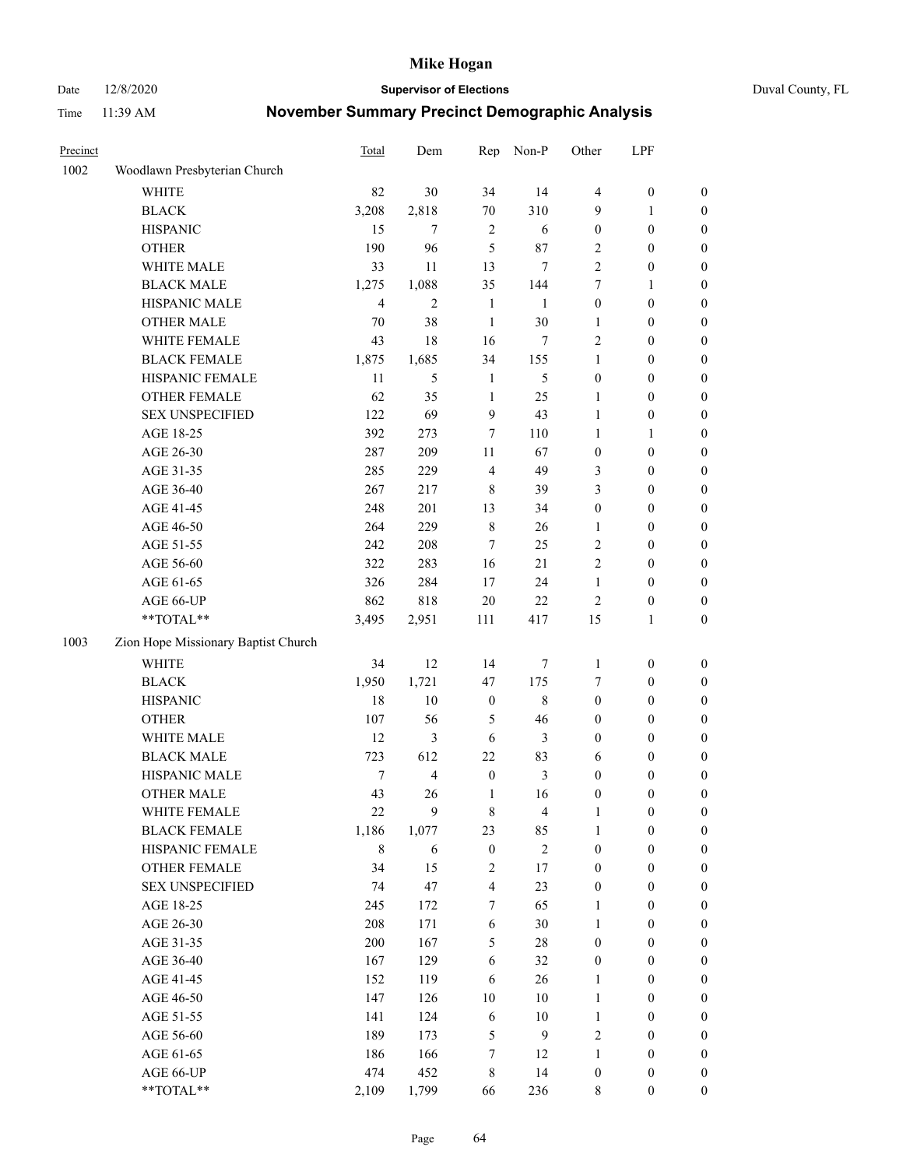Date 12/8/2020 **Supervisor of Elections** Duval County, FL

| Precinct |                                     | <b>Total</b> | Dem            | Rep                     | Non-P          | Other            | LPF              |                  |
|----------|-------------------------------------|--------------|----------------|-------------------------|----------------|------------------|------------------|------------------|
| 1002     | Woodlawn Presbyterian Church        |              |                |                         |                |                  |                  |                  |
|          | <b>WHITE</b>                        | 82           | 30             | 34                      | 14             | $\overline{4}$   | $\boldsymbol{0}$ | 0                |
|          | <b>BLACK</b>                        | 3,208        | 2,818          | 70                      | 310            | 9                | 1                | 0                |
|          | <b>HISPANIC</b>                     | 15           | 7              | $\overline{2}$          | 6              | $\boldsymbol{0}$ | $\boldsymbol{0}$ | $\boldsymbol{0}$ |
|          | <b>OTHER</b>                        | 190          | 96             | 5                       | 87             | 2                | $\boldsymbol{0}$ | $\boldsymbol{0}$ |
|          | WHITE MALE                          | 33           | 11             | 13                      | 7              | 2                | $\boldsymbol{0}$ | $\boldsymbol{0}$ |
|          | <b>BLACK MALE</b>                   | 1,275        | 1,088          | 35                      | 144            | 7                | 1                | $\boldsymbol{0}$ |
|          | HISPANIC MALE                       | 4            | $\mathfrak{2}$ | $\mathbf{1}$            | 1              | 0                | $\boldsymbol{0}$ | $\boldsymbol{0}$ |
|          | <b>OTHER MALE</b>                   | 70           | 38             | $\mathbf{1}$            | 30             | 1                | $\boldsymbol{0}$ | $\boldsymbol{0}$ |
|          | WHITE FEMALE                        | 43           | 18             | 16                      | 7              | $\overline{c}$   | $\boldsymbol{0}$ | $\boldsymbol{0}$ |
|          | <b>BLACK FEMALE</b>                 | 1,875        | 1,685          | 34                      | 155            | 1                | $\boldsymbol{0}$ | $\boldsymbol{0}$ |
|          | HISPANIC FEMALE                     | 11           | 5              | $\mathbf{1}$            | 5              | $\boldsymbol{0}$ | $\boldsymbol{0}$ | 0                |
|          | OTHER FEMALE                        | 62           | 35             | $\mathbf{1}$            | 25             | $\mathbf{1}$     | $\boldsymbol{0}$ | $\boldsymbol{0}$ |
|          | <b>SEX UNSPECIFIED</b>              | 122          | 69             | 9                       | 43             | $\mathbf{1}$     | $\boldsymbol{0}$ | $\boldsymbol{0}$ |
|          | AGE 18-25                           | 392          | 273            | 7                       | 110            | $\mathbf{1}$     | 1                | $\boldsymbol{0}$ |
|          | AGE 26-30                           | 287          | 209            | $11\,$                  | 67             | $\boldsymbol{0}$ | $\boldsymbol{0}$ | $\boldsymbol{0}$ |
|          | AGE 31-35                           | 285          | 229            | $\overline{4}$          | 49             | 3                | $\boldsymbol{0}$ | $\boldsymbol{0}$ |
|          | AGE 36-40                           | 267          | 217            | 8                       | 39             | 3                | $\boldsymbol{0}$ | $\boldsymbol{0}$ |
|          | AGE 41-45                           | 248          | 201            | 13                      | 34             | $\boldsymbol{0}$ | $\boldsymbol{0}$ | $\boldsymbol{0}$ |
|          | AGE 46-50                           | 264          | 229            | $\,$ 8 $\,$             | 26             | 1                | $\boldsymbol{0}$ | $\boldsymbol{0}$ |
|          | AGE 51-55                           | 242          | 208            | 7                       | 25             | 2                | $\boldsymbol{0}$ | $\boldsymbol{0}$ |
|          | AGE 56-60                           | 322          | 283            | 16                      | 21             | $\overline{c}$   | $\boldsymbol{0}$ | 0                |
|          | AGE 61-65                           | 326          | 284            | 17                      | 24             | $\mathbf{1}$     | $\boldsymbol{0}$ | 0                |
|          | AGE 66-UP                           | 862          | 818            | $20\,$                  | 22             | 2                | $\boldsymbol{0}$ | $\boldsymbol{0}$ |
|          | $**TOTAL**$                         | 3,495        | 2,951          | 111                     | 417            | 15               | $\mathbf{1}$     | $\boldsymbol{0}$ |
| 1003     | Zion Hope Missionary Baptist Church |              |                |                         |                |                  |                  |                  |
|          | WHITE                               | 34           | 12             | 14                      | 7              | $\mathbf{1}$     | $\boldsymbol{0}$ | $\boldsymbol{0}$ |
|          | <b>BLACK</b>                        | 1,950        | 1,721          | 47                      | 175            | 7                | $\boldsymbol{0}$ | $\boldsymbol{0}$ |
|          | <b>HISPANIC</b>                     | 18           | 10             | $\boldsymbol{0}$        | $\,$ 8 $\,$    | $\boldsymbol{0}$ | $\boldsymbol{0}$ | $\boldsymbol{0}$ |
|          | <b>OTHER</b>                        | 107          | 56             | 5                       | 46             | 0                | $\boldsymbol{0}$ | $\boldsymbol{0}$ |
|          | WHITE MALE                          | 12           | 3              | $\sqrt{6}$              | $\mathfrak{Z}$ | 0                | $\boldsymbol{0}$ | $\boldsymbol{0}$ |
|          | <b>BLACK MALE</b>                   | 723          | 612            | 22                      | 83             | 6                | $\boldsymbol{0}$ | $\boldsymbol{0}$ |
|          | HISPANIC MALE                       | 7            | $\overline{4}$ | $\boldsymbol{0}$        | $\mathfrak{Z}$ | $\boldsymbol{0}$ | $\boldsymbol{0}$ | 0                |
|          | <b>OTHER MALE</b>                   | 43           | 26             | $\mathbf{1}$            | 16             | $\boldsymbol{0}$ | $\boldsymbol{0}$ | $\boldsymbol{0}$ |
|          | WHITE FEMALE                        | 22           | 9              | 8                       | 4              | 1                | 0                | 0                |
|          | <b>BLACK FEMALE</b>                 | 1,186        | 1,077          | 23                      | 85             | 1                | $\boldsymbol{0}$ | $\boldsymbol{0}$ |
|          | HISPANIC FEMALE                     | 8            | 6              | $\boldsymbol{0}$        | $\sqrt{2}$     | $\boldsymbol{0}$ | $\boldsymbol{0}$ | $\overline{0}$   |
|          | OTHER FEMALE                        | 34           | 15             | $\overline{\mathbf{c}}$ | 17             | $\boldsymbol{0}$ | $\boldsymbol{0}$ | $\overline{0}$   |
|          | <b>SEX UNSPECIFIED</b>              | 74           | 47             | 4                       | 23             | 0                | $\boldsymbol{0}$ | $\overline{0}$   |
|          | AGE 18-25                           | 245          | 172            | 7                       | 65             | $\mathbf{1}$     | $\boldsymbol{0}$ | $\overline{0}$   |
|          | AGE 26-30                           | 208          | 171            | 6                       | 30             | $\mathbf{1}$     | $\boldsymbol{0}$ | 0                |
|          | AGE 31-35                           | 200          | 167            | 5                       | 28             | 0                | $\boldsymbol{0}$ | 0                |
|          | AGE 36-40                           | 167          | 129            | 6                       | 32             | 0                | $\boldsymbol{0}$ | 0                |
|          | AGE 41-45                           | 152          | 119            | 6                       | 26             | $\mathbf{1}$     | $\boldsymbol{0}$ | 0                |
|          | AGE 46-50                           | 147          | 126            | 10                      | 10             | $\mathbf{1}$     | $\boldsymbol{0}$ | 0                |
|          | AGE 51-55                           | 141          | 124            | $\sqrt{6}$              | 10             | $\mathbf{1}$     | $\boldsymbol{0}$ | $\boldsymbol{0}$ |
|          | AGE 56-60                           | 189          | 173            | 5                       | 9              | 2                | $\boldsymbol{0}$ | $\boldsymbol{0}$ |
|          | AGE 61-65                           | 186          | 166            | $\boldsymbol{7}$        | 12             | 1                | $\boldsymbol{0}$ | $\boldsymbol{0}$ |
|          | AGE 66-UP                           | 474          | 452            | 8                       | 14             | $\boldsymbol{0}$ | $\boldsymbol{0}$ | $\boldsymbol{0}$ |
|          | **TOTAL**                           | 2,109        | 1,799          | 66                      | 236            | 8                | $\boldsymbol{0}$ | $\boldsymbol{0}$ |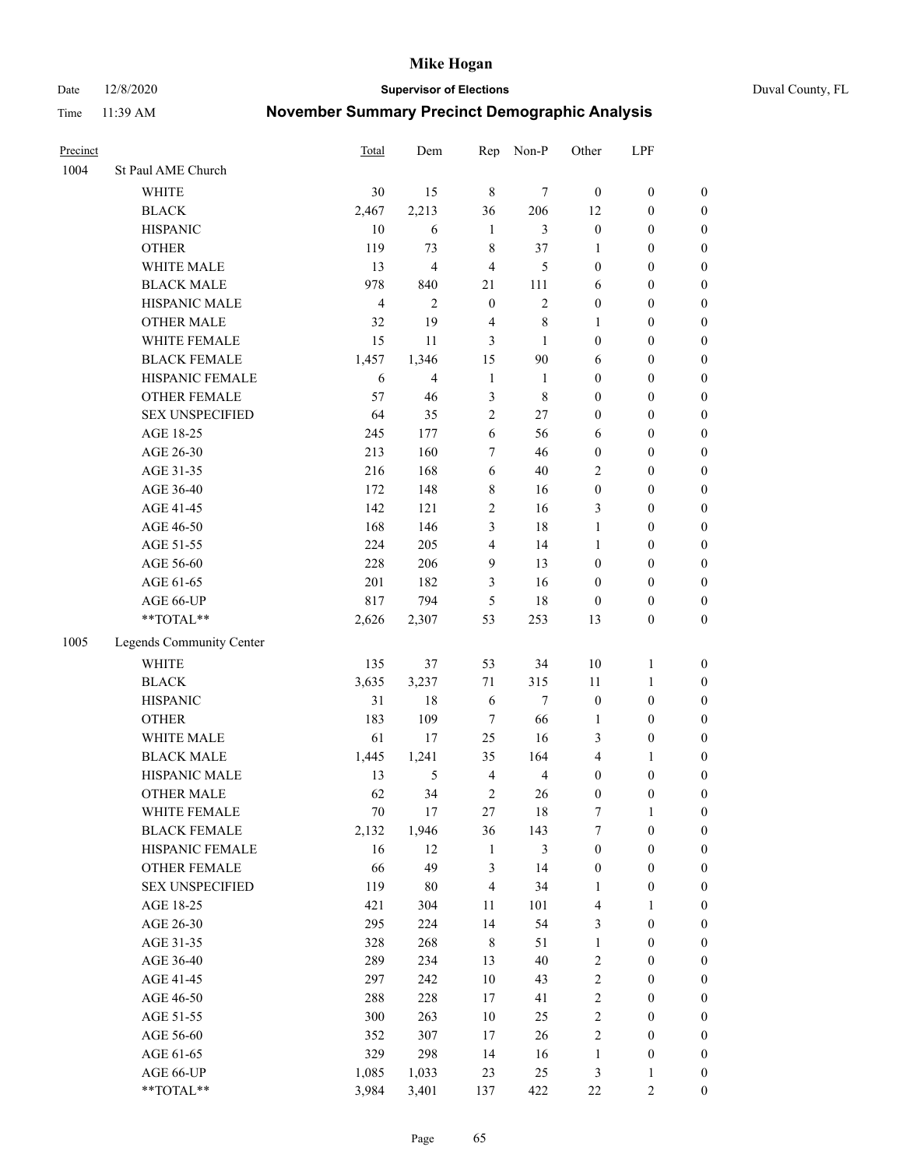Date 12/8/2020 **Supervisor of Elections** Duval County, FL

| Precinct |                          | <b>Total</b>   | Dem                     | Rep                     | Non-P          | Other            | LPF              |                  |
|----------|--------------------------|----------------|-------------------------|-------------------------|----------------|------------------|------------------|------------------|
| 1004     | St Paul AME Church       |                |                         |                         |                |                  |                  |                  |
|          | <b>WHITE</b>             | 30             | 15                      | $\,8\,$                 | 7              | $\boldsymbol{0}$ | $\boldsymbol{0}$ | 0                |
|          | <b>BLACK</b>             | 2,467          | 2,213                   | 36                      | 206            | 12               | $\boldsymbol{0}$ | $\boldsymbol{0}$ |
|          | <b>HISPANIC</b>          | 10             | 6                       | $\mathbf{1}$            | 3              | $\boldsymbol{0}$ | $\boldsymbol{0}$ | $\boldsymbol{0}$ |
|          | <b>OTHER</b>             | 119            | 73                      | 8                       | 37             | 1                | $\boldsymbol{0}$ | $\boldsymbol{0}$ |
|          | WHITE MALE               | 13             | $\overline{\mathbf{4}}$ | 4                       | 5              | $\boldsymbol{0}$ | $\boldsymbol{0}$ | $\boldsymbol{0}$ |
|          | <b>BLACK MALE</b>        | 978            | 840                     | 21                      | 111            | 6                | $\boldsymbol{0}$ | $\boldsymbol{0}$ |
|          | HISPANIC MALE            | $\overline{4}$ | $\mathfrak{2}$          | $\mathbf{0}$            | $\overline{c}$ | $\boldsymbol{0}$ | $\boldsymbol{0}$ | $\boldsymbol{0}$ |
|          | <b>OTHER MALE</b>        | 32             | 19                      | $\overline{4}$          | $\,$ 8 $\,$    | $\mathbf{1}$     | $\boldsymbol{0}$ | $\boldsymbol{0}$ |
|          | WHITE FEMALE             | 15             | 11                      | 3                       | 1              | $\boldsymbol{0}$ | $\boldsymbol{0}$ | $\boldsymbol{0}$ |
|          | <b>BLACK FEMALE</b>      | 1,457          | 1,346                   | 15                      | $90\,$         | 6                | $\boldsymbol{0}$ | $\boldsymbol{0}$ |
|          | HISPANIC FEMALE          | 6              | $\overline{4}$          | $\mathbf{1}$            | $\mathbf{1}$   | $\boldsymbol{0}$ | $\boldsymbol{0}$ | 0                |
|          | <b>OTHER FEMALE</b>      | 57             | 46                      | 3                       | $\,$ 8 $\,$    | $\boldsymbol{0}$ | $\boldsymbol{0}$ | $\boldsymbol{0}$ |
|          | <b>SEX UNSPECIFIED</b>   | 64             | 35                      | $\mathfrak{2}$          | 27             | $\boldsymbol{0}$ | $\boldsymbol{0}$ | $\boldsymbol{0}$ |
|          | AGE 18-25                | 245            | 177                     | 6                       | 56             | 6                | $\boldsymbol{0}$ | $\boldsymbol{0}$ |
|          | AGE 26-30                | 213            | 160                     | 7                       | 46             | $\boldsymbol{0}$ | $\boldsymbol{0}$ | $\boldsymbol{0}$ |
|          | AGE 31-35                | 216            | 168                     | 6                       | 40             | $\overline{c}$   | $\boldsymbol{0}$ | $\boldsymbol{0}$ |
|          | AGE 36-40                | 172            | 148                     | 8                       | 16             | $\boldsymbol{0}$ | $\boldsymbol{0}$ | $\boldsymbol{0}$ |
|          | AGE 41-45                | 142            | 121                     | 2                       | 16             | 3                | $\boldsymbol{0}$ | $\boldsymbol{0}$ |
|          | AGE 46-50                | 168            | 146                     | 3                       | 18             | $\mathbf{1}$     | $\boldsymbol{0}$ | $\boldsymbol{0}$ |
|          | AGE 51-55                | 224            | 205                     | $\overline{\mathbf{4}}$ | 14             | $\mathbf{1}$     | $\boldsymbol{0}$ | $\boldsymbol{0}$ |
|          | AGE 56-60                | 228            | 206                     | 9                       | 13             | $\boldsymbol{0}$ | $\boldsymbol{0}$ | 0                |
|          | AGE 61-65                | 201            | 182                     | 3                       | 16             | $\boldsymbol{0}$ | $\boldsymbol{0}$ | 0                |
|          | AGE 66-UP                | 817            | 794                     | 5                       | 18             | $\boldsymbol{0}$ | $\boldsymbol{0}$ | $\boldsymbol{0}$ |
|          | **TOTAL**                | 2,626          | 2,307                   | 53                      | 253            | 13               | $\boldsymbol{0}$ | $\boldsymbol{0}$ |
| 1005     | Legends Community Center |                |                         |                         |                |                  |                  |                  |
|          | <b>WHITE</b>             | 135            | 37                      | 53                      | 34             | $10\,$           | $\mathbf{1}$     | $\boldsymbol{0}$ |
|          | <b>BLACK</b>             | 3,635          | 3,237                   | 71                      | 315            | 11               | $\mathbf{1}$     | $\boldsymbol{0}$ |
|          | <b>HISPANIC</b>          | 31             | 18                      | $\sqrt{6}$              | $\tau$         | $\boldsymbol{0}$ | $\boldsymbol{0}$ | $\boldsymbol{0}$ |
|          | <b>OTHER</b>             | 183            | 109                     | 7                       | 66             | $\mathbf{1}$     | $\boldsymbol{0}$ | $\boldsymbol{0}$ |
|          | WHITE MALE               | 61             | 17                      | 25                      | 16             | 3                | $\boldsymbol{0}$ | $\boldsymbol{0}$ |
|          | <b>BLACK MALE</b>        | 1,445          | 1,241                   | 35                      | 164            | 4                | 1                | $\boldsymbol{0}$ |
|          | HISPANIC MALE            | 13             | $\mathfrak{S}$          | $\overline{4}$          | $\overline{4}$ | $\boldsymbol{0}$ | $\boldsymbol{0}$ | $\boldsymbol{0}$ |
|          | <b>OTHER MALE</b>        | 62             | 34                      | $\mathfrak{2}$          | 26             | $\boldsymbol{0}$ | $\boldsymbol{0}$ | $\boldsymbol{0}$ |
|          | WHITE FEMALE             | 70             | 17                      | 27                      | 18             | 7                | 1                | 0                |
|          | <b>BLACK FEMALE</b>      | 2,132          | 1,946                   | 36                      | 143            | 7                | $\boldsymbol{0}$ | $\boldsymbol{0}$ |
|          | HISPANIC FEMALE          | 16             | 12                      | $\mathbf{1}$            | 3              | $\boldsymbol{0}$ | $\boldsymbol{0}$ | $\overline{0}$   |
|          | OTHER FEMALE             | 66             | 49                      | 3                       | 14             | $\boldsymbol{0}$ | $\boldsymbol{0}$ | $\overline{0}$   |
|          | <b>SEX UNSPECIFIED</b>   | 119            | $80\,$                  | $\overline{\mathbf{4}}$ | 34             | $\mathbf{1}$     | $\boldsymbol{0}$ | 0                |
|          | AGE 18-25                | 421            | 304                     | $11\,$                  | 101            | 4                | $\mathbf{1}$     | $\overline{0}$   |
|          | AGE 26-30                | 295            | 224                     | 14                      | 54             | 3                | $\boldsymbol{0}$ | 0                |
|          | AGE 31-35                | 328            | 268                     | $\,$ 8 $\,$             | 51             | $\mathbf{1}$     | $\boldsymbol{0}$ | 0                |
|          | AGE 36-40                | 289            | 234                     | 13                      | $40\,$         | 2                | $\boldsymbol{0}$ | 0                |
|          | AGE 41-45                | 297            | 242                     | 10                      | 43             | $\overline{c}$   | $\boldsymbol{0}$ | 0                |
|          | AGE 46-50                | 288            | 228                     | 17                      | 41             | 2                | $\boldsymbol{0}$ | 0                |
|          | AGE 51-55                | 300            | 263                     | $10\,$                  | 25             | $\overline{c}$   | $\boldsymbol{0}$ | $\boldsymbol{0}$ |
|          | AGE 56-60                | 352            | 307                     | 17                      | 26             | 2                | $\boldsymbol{0}$ | $\boldsymbol{0}$ |
|          | AGE 61-65                | 329            | 298                     | 14                      | 16             | $\mathbf{1}$     | $\boldsymbol{0}$ | $\boldsymbol{0}$ |
|          | AGE 66-UP                | 1,085          | 1,033                   | 23                      | 25             | 3                | $\mathbf{1}$     | $\boldsymbol{0}$ |
|          | **TOTAL**                | 3,984          | 3,401                   | 137                     | 422            | 22               | $\mathfrak{2}$   | $\boldsymbol{0}$ |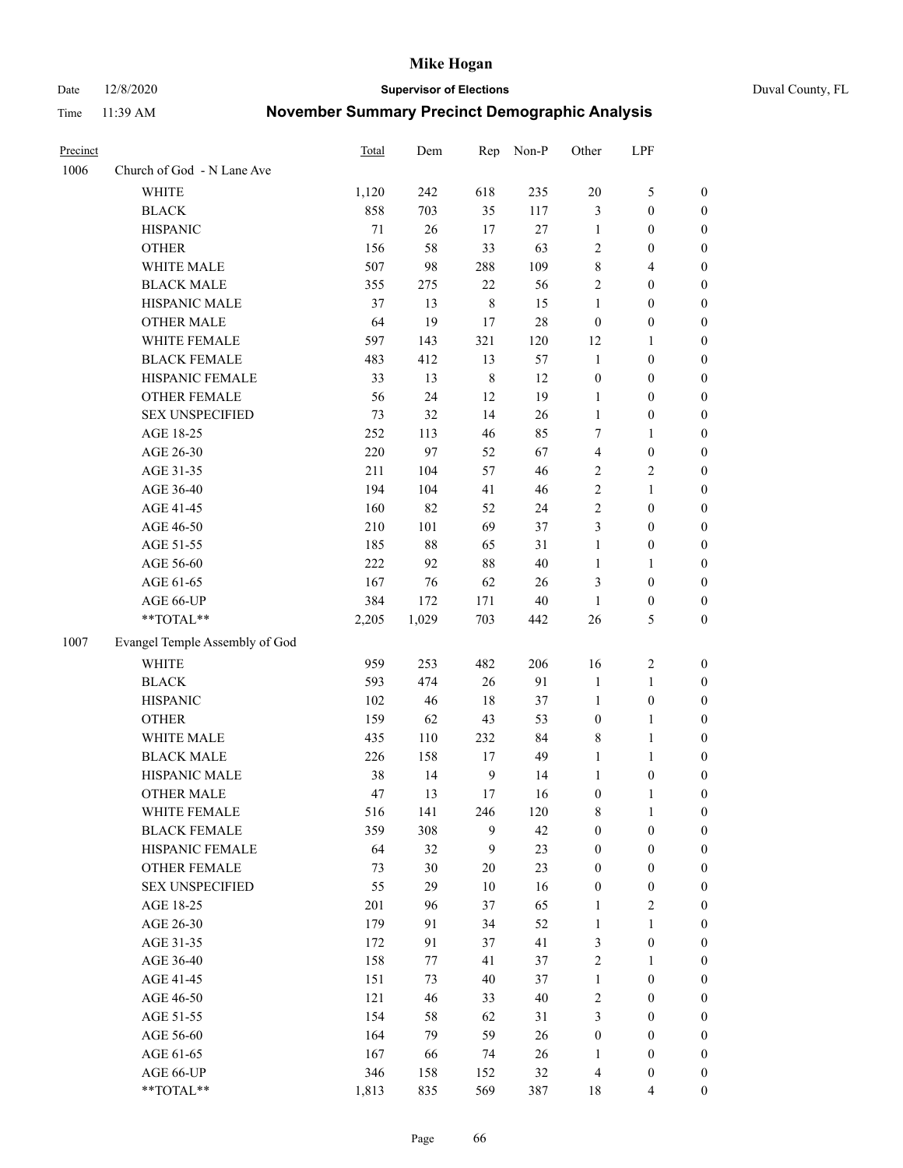Date 12/8/2020 **Supervisor of Elections** Duval County, FL

| Precinct |                                | Total | Dem    | Rep          | Non-P  | Other            | LPF              |                  |
|----------|--------------------------------|-------|--------|--------------|--------|------------------|------------------|------------------|
| 1006     | Church of God - N Lane Ave     |       |        |              |        |                  |                  |                  |
|          | <b>WHITE</b>                   | 1,120 | 242    | 618          | 235    | $20\,$           | $\mathfrak s$    | 0                |
|          | <b>BLACK</b>                   | 858   | 703    | 35           | 117    | 3                | $\boldsymbol{0}$ | 0                |
|          | <b>HISPANIC</b>                | 71    | 26     | 17           | 27     | $\mathbf{1}$     | $\boldsymbol{0}$ | $\boldsymbol{0}$ |
|          | <b>OTHER</b>                   | 156   | 58     | 33           | 63     | 2                | 0                | $\boldsymbol{0}$ |
|          | WHITE MALE                     | 507   | 98     | 288          | 109    | 8                | $\overline{4}$   | $\boldsymbol{0}$ |
|          | <b>BLACK MALE</b>              | 355   | 275    | 22           | 56     | $\overline{c}$   | $\boldsymbol{0}$ | $\boldsymbol{0}$ |
|          | HISPANIC MALE                  | 37    | 13     | $\,$ 8 $\,$  | 15     | $\mathbf{1}$     | $\boldsymbol{0}$ | $\boldsymbol{0}$ |
|          | <b>OTHER MALE</b>              | 64    | 19     | 17           | $28\,$ | $\boldsymbol{0}$ | $\boldsymbol{0}$ | $\boldsymbol{0}$ |
|          | WHITE FEMALE                   | 597   | 143    | 321          | 120    | 12               | 1                | $\boldsymbol{0}$ |
|          | <b>BLACK FEMALE</b>            | 483   | 412    | 13           | 57     | $\mathbf{1}$     | $\boldsymbol{0}$ | 0                |
|          | HISPANIC FEMALE                | 33    | 13     | $\,$ 8 $\,$  | 12     | $\boldsymbol{0}$ | $\boldsymbol{0}$ | 0                |
|          | <b>OTHER FEMALE</b>            | 56    | 24     | 12           | 19     | $\mathbf{1}$     | $\boldsymbol{0}$ | 0                |
|          | <b>SEX UNSPECIFIED</b>         | 73    | 32     | 14           | 26     | $\mathbf{1}$     | $\boldsymbol{0}$ | $\boldsymbol{0}$ |
|          | AGE 18-25                      | 252   | 113    | 46           | 85     | 7                | 1                | $\boldsymbol{0}$ |
|          | AGE 26-30                      | 220   | 97     | 52           | 67     | 4                | $\boldsymbol{0}$ | $\boldsymbol{0}$ |
|          | AGE 31-35                      | 211   | 104    | 57           | 46     | 2                | $\sqrt{2}$       | $\boldsymbol{0}$ |
|          | AGE 36-40                      | 194   | 104    | 41           | 46     | $\overline{c}$   | $\mathbf{1}$     | $\boldsymbol{0}$ |
|          | AGE 41-45                      | 160   | 82     | 52           | 24     | 2                | $\boldsymbol{0}$ | $\boldsymbol{0}$ |
|          | AGE 46-50                      | 210   | 101    | 69           | 37     | 3                | $\boldsymbol{0}$ | $\boldsymbol{0}$ |
|          | AGE 51-55                      | 185   | $88\,$ | 65           | 31     | $\mathbf{1}$     | $\boldsymbol{0}$ | $\boldsymbol{0}$ |
|          | AGE 56-60                      | 222   | 92     | $88\,$       | 40     | $\mathbf{1}$     | 1                | 0                |
|          | AGE 61-65                      | 167   | 76     | 62           | 26     | 3                | $\boldsymbol{0}$ | 0                |
|          | AGE 66-UP                      | 384   | 172    | 171          | $40\,$ | $\mathbf{1}$     | $\boldsymbol{0}$ | 0                |
|          | **TOTAL**                      | 2,205 | 1,029  | 703          | 442    | 26               | $\mathfrak s$    | $\boldsymbol{0}$ |
| 1007     | Evangel Temple Assembly of God |       |        |              |        |                  |                  |                  |
|          | <b>WHITE</b>                   | 959   | 253    | 482          | 206    | 16               | $\sqrt{2}$       | $\boldsymbol{0}$ |
|          | <b>BLACK</b>                   | 593   | 474    | 26           | 91     | $\mathbf{1}$     | $\mathbf{1}$     | $\boldsymbol{0}$ |
|          | <b>HISPANIC</b>                | 102   | 46     | 18           | 37     | $\mathbf{1}$     | $\boldsymbol{0}$ | $\boldsymbol{0}$ |
|          | <b>OTHER</b>                   | 159   | 62     | 43           | 53     | $\boldsymbol{0}$ | $\mathbf{1}$     | $\boldsymbol{0}$ |
|          | WHITE MALE                     | 435   | 110    | 232          | 84     | 8                | $\mathbf{1}$     | $\boldsymbol{0}$ |
|          | <b>BLACK MALE</b>              | 226   | 158    | 17           | 49     | $\mathbf{1}$     | 1                | $\boldsymbol{0}$ |
|          | HISPANIC MALE                  | 38    | 14     | $\mathbf{9}$ | 14     | 1                | $\boldsymbol{0}$ | 0                |
|          | <b>OTHER MALE</b>              | 47    | 13     | 17           | 16     | $\boldsymbol{0}$ | $\mathbf{1}$     | 0                |
|          | WHITE FEMALE                   | 516   | 141    | 246          | 120    | 8                | 1                | 0                |
|          | <b>BLACK FEMALE</b>            | 359   | 308    | 9            | 42     | $\boldsymbol{0}$ | $\boldsymbol{0}$ | $\overline{0}$   |
|          | HISPANIC FEMALE                | 64    | 32     | 9            | 23     | $\boldsymbol{0}$ | $\boldsymbol{0}$ | $\overline{0}$   |
|          | OTHER FEMALE                   | 73    | 30     | $20\,$       | 23     | $\boldsymbol{0}$ | $\boldsymbol{0}$ | $\overline{0}$   |
|          | <b>SEX UNSPECIFIED</b>         | 55    | 29     | 10           | 16     | $\boldsymbol{0}$ | $\boldsymbol{0}$ | 0                |
|          | AGE 18-25                      | 201   | 96     | 37           | 65     | $\mathbf{1}$     | $\sqrt{2}$       | 0                |
|          | AGE 26-30                      | 179   | 91     | 34           | 52     | $\mathbf{1}$     | $\mathbf{1}$     | 0                |
|          | AGE 31-35                      | 172   | 91     | 37           | 41     | 3                | $\boldsymbol{0}$ | 0                |
|          | AGE 36-40                      | 158   | 77     | 41           | 37     | 2                | 1                | 0                |
|          | AGE 41-45                      | 151   | 73     | 40           | 37     | $\mathbf{1}$     | $\boldsymbol{0}$ | 0                |
|          | AGE 46-50                      | 121   | 46     | 33           | $40\,$ | 2                | $\boldsymbol{0}$ | 0                |
|          | AGE 51-55                      | 154   | 58     | 62           | 31     | 3                | $\boldsymbol{0}$ | $\overline{0}$   |
|          | AGE 56-60                      | 164   | 79     | 59           | 26     | $\boldsymbol{0}$ | $\boldsymbol{0}$ | $\overline{0}$   |
|          | AGE 61-65                      | 167   | 66     | 74           | 26     | 1                | $\boldsymbol{0}$ | $\overline{0}$   |
|          | AGE 66-UP                      | 346   | 158    | 152          | $32\,$ | 4                | $\boldsymbol{0}$ | 0                |
|          | **TOTAL**                      | 1,813 | 835    | 569          | 387    | 18               | $\overline{4}$   | $\boldsymbol{0}$ |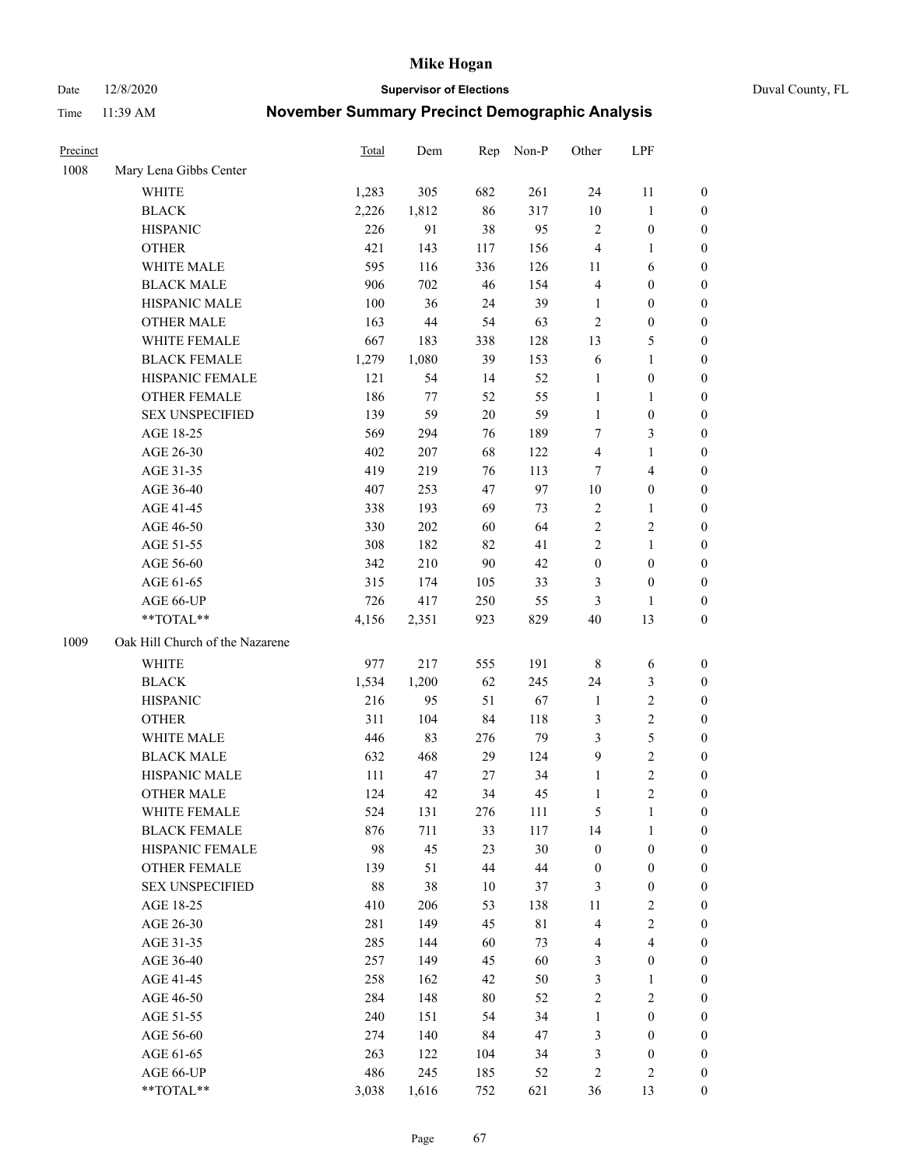Date 12/8/2020 **Supervisor of Elections** Duval County, FL

| Precinct |                                    | Total | Dem   | Rep | Non-P       | Other            | LPF                             |                  |
|----------|------------------------------------|-------|-------|-----|-------------|------------------|---------------------------------|------------------|
| 1008     | Mary Lena Gibbs Center             |       |       |     |             |                  |                                 |                  |
|          | <b>WHITE</b>                       | 1,283 | 305   | 682 | 261         | 24               | 11                              | 0                |
|          | <b>BLACK</b>                       | 2,226 | 1,812 | 86  | 317         | $10\,$           | $\mathbf{1}$                    | 0                |
|          | <b>HISPANIC</b>                    | 226   | 91    | 38  | 95          | $\mathbf{2}$     | $\boldsymbol{0}$                | $\boldsymbol{0}$ |
|          | <b>OTHER</b>                       | 421   | 143   | 117 | 156         | 4                | 1                               | $\boldsymbol{0}$ |
|          | WHITE MALE                         | 595   | 116   | 336 | 126         | 11               | 6                               | $\boldsymbol{0}$ |
|          | <b>BLACK MALE</b>                  | 906   | 702   | 46  | 154         | 4                | $\boldsymbol{0}$                | $\boldsymbol{0}$ |
|          | HISPANIC MALE                      | 100   | 36    | 24  | 39          | $\mathbf{1}$     | $\boldsymbol{0}$                | $\boldsymbol{0}$ |
|          | <b>OTHER MALE</b>                  | 163   | 44    | 54  | 63          | $\mathbf{2}$     | $\boldsymbol{0}$                | $\boldsymbol{0}$ |
|          | WHITE FEMALE                       | 667   | 183   | 338 | 128         | 13               | $\mathfrak{S}$                  | $\boldsymbol{0}$ |
|          | <b>BLACK FEMALE</b>                | 1,279 | 1,080 | 39  | 153         | 6                | $\mathbf{1}$                    | 0                |
|          | HISPANIC FEMALE                    | 121   | 54    | 14  | 52          | 1                | $\boldsymbol{0}$                | 0                |
|          | <b>OTHER FEMALE</b>                | 186   | 77    | 52  | 55          | $\mathbf{1}$     | $\mathbf{1}$                    | 0                |
|          | <b>SEX UNSPECIFIED</b>             | 139   | 59    | 20  | 59          | $\mathbf{1}$     | $\boldsymbol{0}$                | $\boldsymbol{0}$ |
|          | AGE 18-25                          | 569   | 294   | 76  | 189         | 7                | $\mathfrak{Z}$                  | $\boldsymbol{0}$ |
|          | AGE 26-30                          | 402   | 207   | 68  | 122         | 4                | $\mathbf{1}$                    | $\boldsymbol{0}$ |
|          | AGE 31-35                          | 419   | 219   | 76  | 113         | 7                | $\overline{\mathbf{4}}$         | $\boldsymbol{0}$ |
|          | AGE 36-40                          | 407   | 253   | 47  | 97          | $10\,$           | $\boldsymbol{0}$                | $\boldsymbol{0}$ |
|          | AGE 41-45                          | 338   | 193   | 69  | 73          | $\sqrt{2}$       | $\mathbf{1}$                    | $\boldsymbol{0}$ |
|          | AGE 46-50                          | 330   | 202   | 60  | 64          | $\overline{2}$   | $\sqrt{2}$                      | $\boldsymbol{0}$ |
|          | AGE 51-55                          | 308   | 182   | 82  | 41          | 2                | $\mathbf{1}$                    | 0                |
|          | AGE 56-60                          | 342   | 210   | 90  | 42          | $\boldsymbol{0}$ | $\boldsymbol{0}$                | 0                |
|          | AGE 61-65                          | 315   | 174   | 105 | 33          | 3                | $\boldsymbol{0}$                | 0                |
|          | AGE 66-UP                          | 726   | 417   | 250 | 55          | 3                | 1                               | $\boldsymbol{0}$ |
|          | **TOTAL**                          | 4,156 | 2,351 | 923 | 829         | 40               | 13                              | $\boldsymbol{0}$ |
| 1009     | Oak Hill Church of the Nazarene    |       |       |     |             |                  |                                 |                  |
|          | <b>WHITE</b>                       | 977   | 217   | 555 | 191         |                  |                                 |                  |
|          | <b>BLACK</b>                       | 1,534 | 1,200 | 62  | 245         | 8                | 6<br>$\mathfrak{Z}$             | $\boldsymbol{0}$ |
|          | <b>HISPANIC</b>                    | 216   | 95    | 51  | 67          | 24               | $\sqrt{2}$                      | $\boldsymbol{0}$ |
|          |                                    |       |       |     |             | $\mathbf{1}$     |                                 | $\boldsymbol{0}$ |
|          | <b>OTHER</b>                       | 311   | 104   | 84  | 118         | 3                | $\sqrt{2}$                      | $\boldsymbol{0}$ |
|          | WHITE MALE                         | 446   | 83    | 276 | 79          | 3                | $\mathfrak s$<br>$\overline{2}$ | $\boldsymbol{0}$ |
|          | <b>BLACK MALE</b>                  | 632   | 468   | 29  | 124         | $\boldsymbol{9}$ |                                 | $\boldsymbol{0}$ |
|          | HISPANIC MALE<br><b>OTHER MALE</b> | 111   | 47    | 27  | 34          | $\mathbf{1}$     | $\sqrt{2}$<br>$\overline{c}$    | 0                |
|          |                                    | 124   | 42    | 34  | 45          | $\mathbf{1}$     |                                 | $\boldsymbol{0}$ |
|          | WHITE FEMALE                       | 524   | 131   | 276 | 111         | 5                | 1                               | 0                |
|          | <b>BLACK FEMALE</b>                | 876   | 711   | 33  | 117         | 14               | $\mathbf{1}$                    | $\boldsymbol{0}$ |
|          | HISPANIC FEMALE                    | 98    | 45    | 23  | 30          | $\boldsymbol{0}$ | $\boldsymbol{0}$                | $\overline{0}$   |
|          | OTHER FEMALE                       | 139   | 51    | 44  | $44\,$      | $\boldsymbol{0}$ | $\boldsymbol{0}$                | $\overline{0}$   |
|          | <b>SEX UNSPECIFIED</b>             | 88    | 38    | 10  | 37          | 3                | $\boldsymbol{0}$                | 0                |
|          | AGE 18-25                          | 410   | 206   | 53  | 138         | 11               | $\sqrt{2}$                      | 0                |
|          | AGE 26-30                          | 281   | 149   | 45  | $8\sqrt{1}$ | 4                | $\sqrt{2}$                      | 0                |
|          | AGE 31-35                          | 285   | 144   | 60  | 73          | 4                | $\overline{4}$                  | 0                |
|          | AGE 36-40                          | 257   | 149   | 45  | 60          | 3                | $\boldsymbol{0}$                | 0                |
|          | AGE 41-45                          | 258   | 162   | 42  | 50          | 3                | $\mathbf{1}$                    | 0                |
|          | AGE 46-50                          | 284   | 148   | 80  | 52          | 2                | $\sqrt{2}$                      | 0                |
|          | AGE 51-55                          | 240   | 151   | 54  | 34          | $\mathbf{1}$     | $\boldsymbol{0}$                | 0                |
|          | AGE 56-60                          | 274   | 140   | 84  | 47          | 3                | $\boldsymbol{0}$                | 0                |
|          | AGE 61-65                          | 263   | 122   | 104 | 34          | 3                | $\boldsymbol{0}$                | $\overline{0}$   |
|          | AGE 66-UP                          | 486   | 245   | 185 | 52          | 2                | $\sqrt{2}$                      | 0                |
|          | **TOTAL**                          | 3,038 | 1,616 | 752 | 621         | 36               | 13                              | $\boldsymbol{0}$ |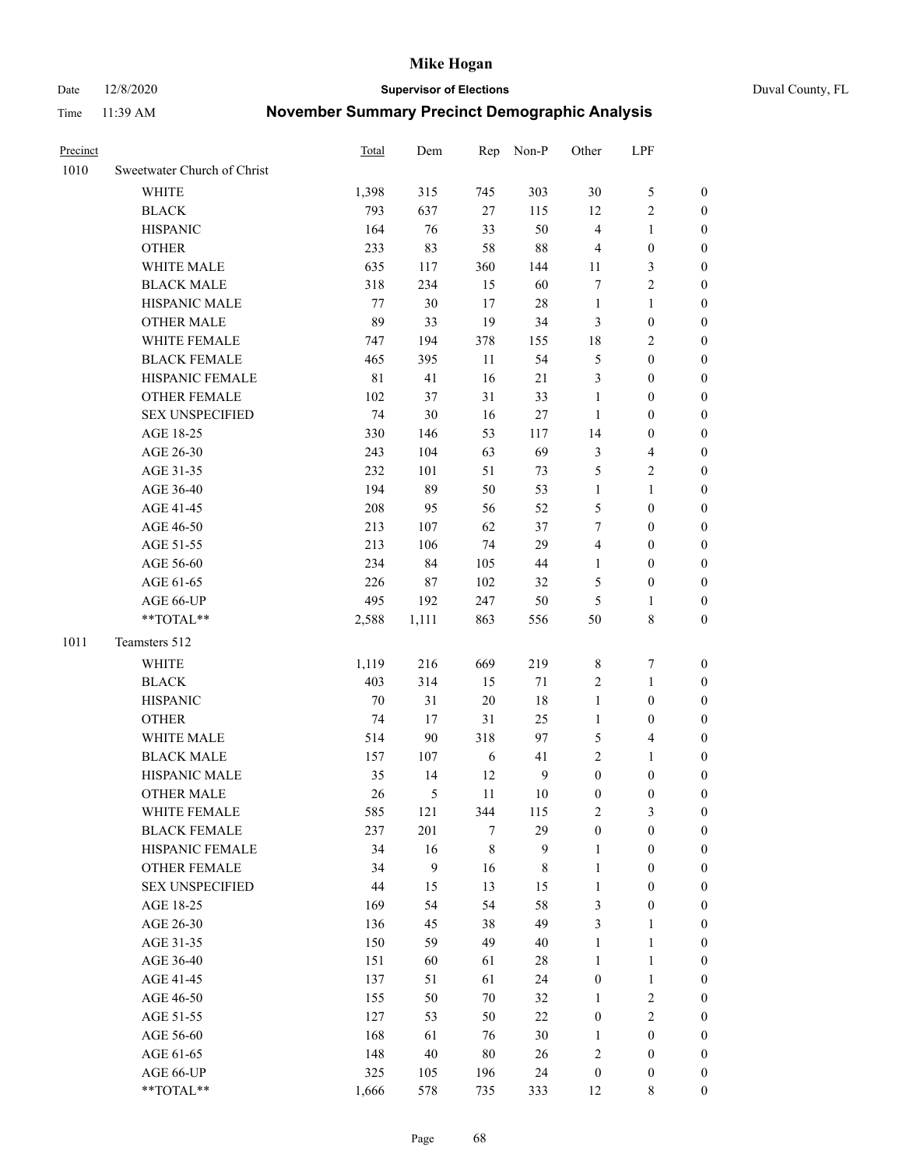Date 12/8/2020 **Supervisor of Elections** Duval County, FL

| Precinct |                             | Total       | Dem    | Rep     | Non-P          | Other            | LPF                     |                  |
|----------|-----------------------------|-------------|--------|---------|----------------|------------------|-------------------------|------------------|
| 1010     | Sweetwater Church of Christ |             |        |         |                |                  |                         |                  |
|          | <b>WHITE</b>                | 1,398       | 315    | 745     | 303            | 30               | $\mathfrak{S}$          | 0                |
|          | <b>BLACK</b>                | 793         | 637    | $27\,$  | 115            | 12               | $\sqrt{2}$              | 0                |
|          | <b>HISPANIC</b>             | 164         | 76     | 33      | 50             | $\overline{4}$   | $\mathbf{1}$            | $\boldsymbol{0}$ |
|          | <b>OTHER</b>                | 233         | 83     | 58      | $88\,$         | 4                | $\boldsymbol{0}$        | $\boldsymbol{0}$ |
|          | WHITE MALE                  | 635         | 117    | 360     | 144            | 11               | $\mathfrak{Z}$          | $\boldsymbol{0}$ |
|          | <b>BLACK MALE</b>           | 318         | 234    | 15      | 60             | 7                | $\sqrt{2}$              | $\boldsymbol{0}$ |
|          | HISPANIC MALE               | 77          | 30     | 17      | 28             | $\mathbf{1}$     | $\mathbf{1}$            | $\boldsymbol{0}$ |
|          | <b>OTHER MALE</b>           | 89          | 33     | 19      | 34             | 3                | $\boldsymbol{0}$        | $\boldsymbol{0}$ |
|          | WHITE FEMALE                | 747         | 194    | 378     | 155            | 18               | $\overline{2}$          | $\boldsymbol{0}$ |
|          | <b>BLACK FEMALE</b>         | 465         | 395    | 11      | 54             | 5                | $\boldsymbol{0}$        | 0                |
|          | HISPANIC FEMALE             | $8\sqrt{1}$ | 41     | 16      | 21             | 3                | $\boldsymbol{0}$        | 0                |
|          | OTHER FEMALE                | 102         | 37     | 31      | 33             | $\mathbf{1}$     | $\boldsymbol{0}$        | 0                |
|          | <b>SEX UNSPECIFIED</b>      | 74          | 30     | 16      | $27\,$         | $\mathbf{1}$     | $\boldsymbol{0}$        | $\boldsymbol{0}$ |
|          | AGE 18-25                   | 330         | 146    | 53      | 117            | 14               | $\boldsymbol{0}$        | $\boldsymbol{0}$ |
|          | AGE 26-30                   | 243         | 104    | 63      | 69             | 3                | $\overline{\mathbf{4}}$ | $\boldsymbol{0}$ |
|          | AGE 31-35                   | 232         | 101    | 51      | 73             | 5                | $\sqrt{2}$              | $\boldsymbol{0}$ |
|          | AGE 36-40                   | 194         | 89     | 50      | 53             | $\mathbf{1}$     | $\mathbf{1}$            | $\boldsymbol{0}$ |
|          | AGE 41-45                   | 208         | 95     | 56      | 52             | 5                | $\boldsymbol{0}$        | $\boldsymbol{0}$ |
|          | AGE 46-50                   | 213         | 107    | 62      | 37             | 7                | $\boldsymbol{0}$        | $\boldsymbol{0}$ |
|          | AGE 51-55                   | 213         | 106    | 74      | 29             | $\overline{4}$   | $\boldsymbol{0}$        | $\boldsymbol{0}$ |
|          | AGE 56-60                   | 234         | 84     | 105     | 44             | $\mathbf{1}$     | $\boldsymbol{0}$        | 0                |
|          | AGE 61-65                   | 226         | 87     | 102     | 32             | 5                | $\boldsymbol{0}$        | 0                |
|          | AGE 66-UP                   | 495         | 192    | 247     | 50             | 5                | $\mathbf{1}$            | 0                |
|          | **TOTAL**                   | 2,588       | 1,111  | 863     | 556            | 50               | $8\,$                   | $\boldsymbol{0}$ |
| 1011     | Teamsters 512               |             |        |         |                |                  |                         |                  |
|          | <b>WHITE</b>                | 1,119       | 216    | 669     | 219            | 8                | $\boldsymbol{7}$        | $\boldsymbol{0}$ |
|          | <b>BLACK</b>                | 403         | 314    | 15      | 71             | $\sqrt{2}$       | $\mathbf{1}$            | $\boldsymbol{0}$ |
|          | <b>HISPANIC</b>             | 70          | 31     | 20      | 18             | $\mathbf{1}$     | $\boldsymbol{0}$        | $\boldsymbol{0}$ |
|          | <b>OTHER</b>                | 74          | 17     | 31      | 25             | $\mathbf{1}$     | $\boldsymbol{0}$        | $\boldsymbol{0}$ |
|          | WHITE MALE                  | 514         | 90     | 318     | 97             | 5                | $\overline{\mathbf{4}}$ | $\boldsymbol{0}$ |
|          | <b>BLACK MALE</b>           | 157         | 107    | 6       | 41             | $\overline{c}$   | $\mathbf{1}$            | $\boldsymbol{0}$ |
|          | HISPANIC MALE               | 35          | 14     | 12      | $\overline{9}$ | $\boldsymbol{0}$ | $\boldsymbol{0}$        | 0                |
|          | <b>OTHER MALE</b>           | 26          | 5      | 11      | 10             | $\boldsymbol{0}$ | $\boldsymbol{0}$        | 0                |
|          | WHITE FEMALE                | 585         | 121    | 344     | 115            | 2                | 3                       | 0                |
|          | <b>BLACK FEMALE</b>         | 237         | 201    | 7       | 29             | $\boldsymbol{0}$ | $\boldsymbol{0}$        | $\overline{0}$   |
|          | HISPANIC FEMALE             | 34          | 16     | $\,8\,$ | $\mathbf{9}$   | $\mathbf{1}$     | $\boldsymbol{0}$        | $\overline{0}$   |
|          | OTHER FEMALE                | 34          | 9      | 16      | 8              | $\mathbf{1}$     | $\boldsymbol{0}$        | $\overline{0}$   |
|          | <b>SEX UNSPECIFIED</b>      | 44          | 15     | 13      | 15             | $\mathbf{1}$     | $\boldsymbol{0}$        | 0                |
|          | AGE 18-25                   | 169         | 54     | 54      | 58             | 3                | $\boldsymbol{0}$        | 0                |
|          | AGE 26-30                   | 136         | 45     | 38      | 49             | 3                | $\mathbf{1}$            | 0                |
|          | AGE 31-35                   | 150         | 59     | 49      | 40             | $\mathbf{1}$     | $\mathbf{1}$            | 0                |
|          | AGE 36-40                   | 151         | 60     | 61      | $28\,$         | $\mathbf{1}$     | $\mathbf{1}$            | 0                |
|          | AGE 41-45                   | 137         | 51     | 61      | 24             | $\boldsymbol{0}$ | $\mathbf{1}$            | 0                |
|          | AGE 46-50                   | 155         | 50     | 70      | 32             | $\mathbf{1}$     | $\sqrt{2}$              | 0                |
|          | AGE 51-55                   | 127         | 53     | 50      | 22             | $\boldsymbol{0}$ | $\sqrt{2}$              | 0                |
|          | AGE 56-60                   | 168         | 61     | 76      | 30             | 1                | $\boldsymbol{0}$        | $\overline{0}$   |
|          | AGE 61-65                   | 148         | $40\,$ | 80      | 26             | 2                | $\boldsymbol{0}$        | $\overline{0}$   |
|          | AGE 66-UP                   | 325         | 105    | 196     | 24             | $\boldsymbol{0}$ | $\boldsymbol{0}$        | 0                |
|          | **TOTAL**                   | 1,666       | 578    | 735     | 333            | 12               | 8                       | $\boldsymbol{0}$ |
|          |                             |             |        |         |                |                  |                         |                  |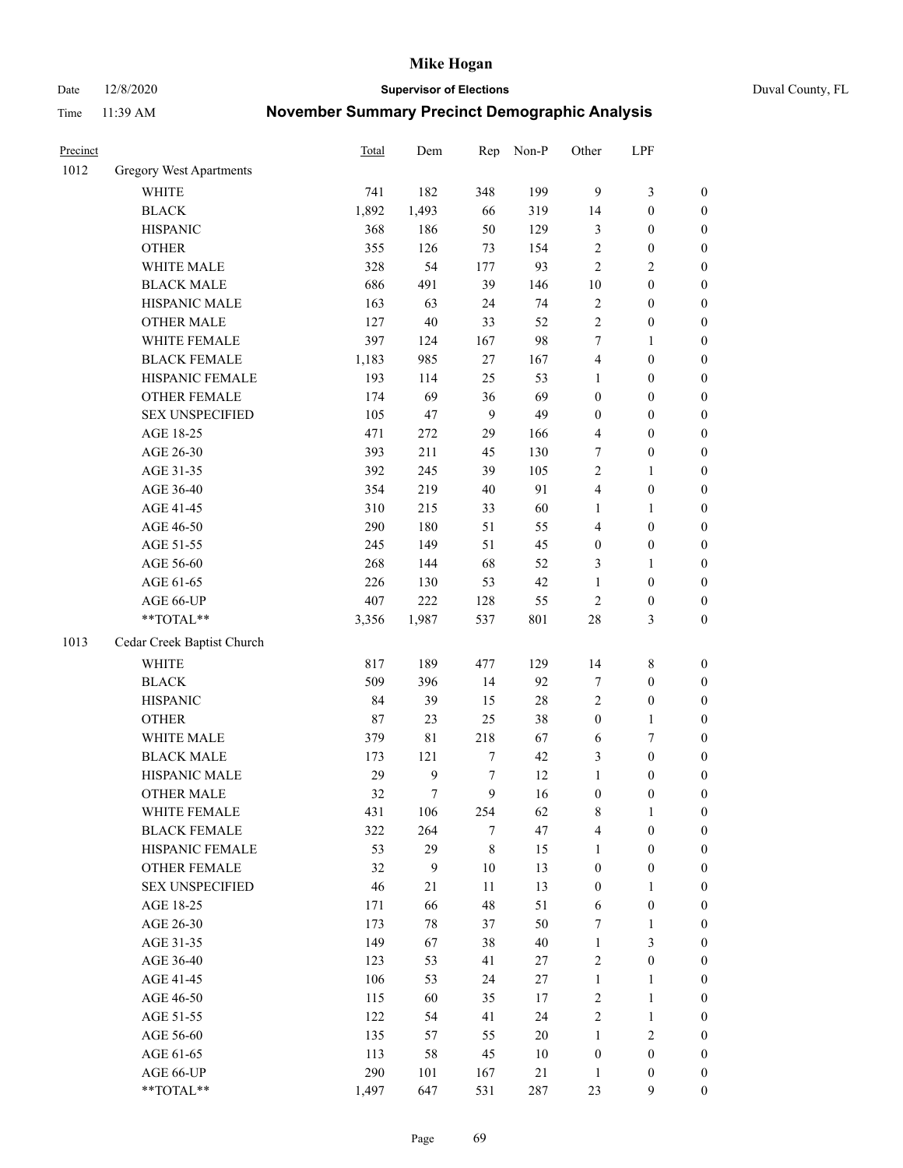Date 12/8/2020 **Supervisor of Elections** Duval County, FL

| Precinct |                            | <b>Total</b> | Dem         | Rep              | Non-P  | Other            | LPF              |                  |
|----------|----------------------------|--------------|-------------|------------------|--------|------------------|------------------|------------------|
| 1012     | Gregory West Apartments    |              |             |                  |        |                  |                  |                  |
|          | <b>WHITE</b>               | 741          | 182         | 348              | 199    | $\overline{9}$   | $\mathfrak{Z}$   | 0                |
|          | <b>BLACK</b>               | 1,892        | 1,493       | 66               | 319    | 14               | $\boldsymbol{0}$ | $\boldsymbol{0}$ |
|          | <b>HISPANIC</b>            | 368          | 186         | 50               | 129    | 3                | $\boldsymbol{0}$ | $\boldsymbol{0}$ |
|          | <b>OTHER</b>               | 355          | 126         | 73               | 154    | 2                | $\boldsymbol{0}$ | $\boldsymbol{0}$ |
|          | WHITE MALE                 | 328          | 54          | 177              | 93     | 2                | $\sqrt{2}$       | $\boldsymbol{0}$ |
|          | <b>BLACK MALE</b>          | 686          | 491         | 39               | 146    | $10\,$           | $\boldsymbol{0}$ | $\boldsymbol{0}$ |
|          | HISPANIC MALE              | 163          | 63          | 24               | 74     | 2                | $\boldsymbol{0}$ | $\boldsymbol{0}$ |
|          | <b>OTHER MALE</b>          | 127          | $40\,$      | 33               | 52     | $\overline{c}$   | $\boldsymbol{0}$ | $\boldsymbol{0}$ |
|          | WHITE FEMALE               | 397          | 124         | 167              | 98     | 7                | 1                | $\boldsymbol{0}$ |
|          | <b>BLACK FEMALE</b>        | 1,183        | 985         | $27\,$           | 167    | 4                | $\boldsymbol{0}$ | $\boldsymbol{0}$ |
|          | HISPANIC FEMALE            | 193          | 114         | 25               | 53     | $\mathbf{1}$     | $\boldsymbol{0}$ | $\boldsymbol{0}$ |
|          | <b>OTHER FEMALE</b>        | 174          | 69          | 36               | 69     | $\boldsymbol{0}$ | $\boldsymbol{0}$ | $\boldsymbol{0}$ |
|          | <b>SEX UNSPECIFIED</b>     | 105          | 47          | 9                | 49     | $\boldsymbol{0}$ | $\boldsymbol{0}$ | $\boldsymbol{0}$ |
|          | AGE 18-25                  | 471          | 272         | 29               | 166    | 4                | $\boldsymbol{0}$ | $\boldsymbol{0}$ |
|          | AGE 26-30                  | 393          | 211         | 45               | 130    | 7                | $\boldsymbol{0}$ | $\boldsymbol{0}$ |
|          | AGE 31-35                  | 392          | 245         | 39               | 105    | $\overline{c}$   | $\mathbf{1}$     | $\boldsymbol{0}$ |
|          | AGE 36-40                  | 354          | 219         | $40\,$           | 91     | 4                | $\boldsymbol{0}$ | $\boldsymbol{0}$ |
|          | AGE 41-45                  | 310          | 215         | 33               | 60     | $\mathbf{1}$     | $\mathbf{1}$     | $\boldsymbol{0}$ |
|          | AGE 46-50                  | 290          | 180         | 51               | 55     | 4                | $\boldsymbol{0}$ | $\boldsymbol{0}$ |
|          | AGE 51-55                  | 245          | 149         | 51               | 45     | $\boldsymbol{0}$ | $\boldsymbol{0}$ | $\boldsymbol{0}$ |
|          | AGE 56-60                  | 268          | 144         | 68               | 52     | 3                | 1                | 0                |
|          | AGE 61-65                  | 226          | 130         | 53               | 42     | $\mathbf{1}$     | $\boldsymbol{0}$ | $\boldsymbol{0}$ |
|          | AGE 66-UP                  | 407          | 222         | 128              | 55     | $\sqrt{2}$       | $\boldsymbol{0}$ | $\boldsymbol{0}$ |
|          | **TOTAL**                  | 3,356        | 1,987       | 537              | 801    | $28\,$           | $\mathfrak{Z}$   | $\boldsymbol{0}$ |
| 1013     | Cedar Creek Baptist Church |              |             |                  |        |                  |                  |                  |
|          | <b>WHITE</b>               | 817          | 189         | 477              | 129    | 14               | $\,$ $\,$        | $\boldsymbol{0}$ |
|          | <b>BLACK</b>               | 509          | 396         | 14               | 92     | 7                | $\boldsymbol{0}$ | $\boldsymbol{0}$ |
|          | <b>HISPANIC</b>            | 84           | 39          | 15               | $28\,$ | 2                | $\boldsymbol{0}$ | $\boldsymbol{0}$ |
|          | <b>OTHER</b>               | 87           | 23          | 25               | 38     | $\boldsymbol{0}$ | $\mathbf{1}$     | $\boldsymbol{0}$ |
|          | WHITE MALE                 | 379          | $8\sqrt{1}$ | 218              | 67     | 6                | 7                | $\boldsymbol{0}$ |
|          | <b>BLACK MALE</b>          | 173          | 121         | $\boldsymbol{7}$ | 42     | 3                | $\boldsymbol{0}$ | $\boldsymbol{0}$ |
|          | HISPANIC MALE              | 29           | 9           | 7                | 12     | $\mathbf{1}$     | $\boldsymbol{0}$ | $\boldsymbol{0}$ |
|          | <b>OTHER MALE</b>          | 32           | $\tau$      | 9                | 16     | $\boldsymbol{0}$ | $\boldsymbol{0}$ | $\boldsymbol{0}$ |
|          | WHITE FEMALE               | 431          | 106         | 254              | 62     | 8                | 1                | 0                |
|          | <b>BLACK FEMALE</b>        | 322          | 264         | 7                | 47     | 4                | $\boldsymbol{0}$ | $\overline{0}$   |
|          | HISPANIC FEMALE            | 53           | 29          | $\,$ $\,$        | 15     | $\mathbf{1}$     | $\boldsymbol{0}$ | $\overline{0}$   |
|          | OTHER FEMALE               | 32           | 9           | $10\,$           | 13     | $\boldsymbol{0}$ | $\boldsymbol{0}$ | 0                |
|          | <b>SEX UNSPECIFIED</b>     | 46           | 21          | 11               | 13     | $\boldsymbol{0}$ | $\mathbf{1}$     | 0                |
|          | AGE 18-25                  | 171          | 66          | 48               | 51     | 6                | $\boldsymbol{0}$ | 0                |
|          | AGE 26-30                  | 173          | $78\,$      | 37               | 50     | 7                | $\mathbf{1}$     | 0                |
|          | AGE 31-35                  | 149          | 67          | 38               | $40\,$ | $\mathbf{1}$     | $\mathfrak{Z}$   | 0                |
|          | AGE 36-40                  | 123          | 53          | 41               | 27     | 2                | $\boldsymbol{0}$ | 0                |
|          | AGE 41-45                  | 106          | 53          | 24               | 27     | $\mathbf{1}$     | $\mathbf{1}$     | 0                |
|          | AGE 46-50                  | 115          | 60          | 35               | 17     | 2                | $\mathbf{1}$     | 0                |
|          | AGE 51-55                  | 122          | 54          | 41               | 24     | $\overline{c}$   | $\mathbf{1}$     | 0                |
|          | AGE 56-60                  | 135          | 57          | 55               | $20\,$ | $\mathbf{1}$     | $\sqrt{2}$       | 0                |
|          | AGE 61-65                  | 113          | 58          | 45               | 10     | $\boldsymbol{0}$ | $\boldsymbol{0}$ | 0                |
|          | AGE 66-UP                  | 290          | 101         | 167              | 21     | $\mathbf{1}$     | $\boldsymbol{0}$ | 0                |
|          | **TOTAL**                  | 1,497        | 647         | 531              | 287    | 23               | 9                | $\boldsymbol{0}$ |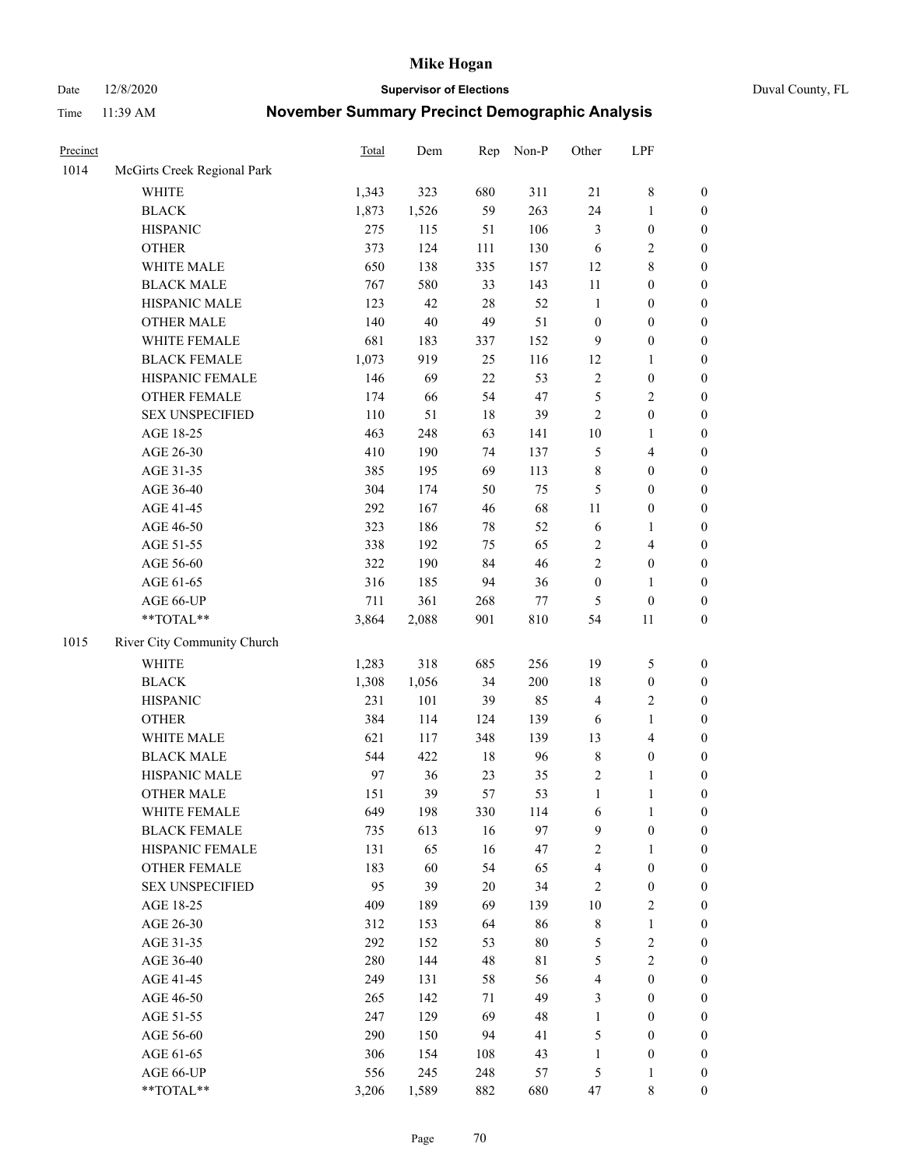Date 12/8/2020 **Supervisor of Elections** Duval County, FL

| Precinct |                             | <b>Total</b> | Dem    | Rep    | Non-P       | Other                   | LPF              |                  |
|----------|-----------------------------|--------------|--------|--------|-------------|-------------------------|------------------|------------------|
| 1014     | McGirts Creek Regional Park |              |        |        |             |                         |                  |                  |
|          | <b>WHITE</b>                | 1,343        | 323    | 680    | 311         | 21                      | $\,$ 8 $\,$      | 0                |
|          | <b>BLACK</b>                | 1,873        | 1,526  | 59     | 263         | 24                      | $\mathbf{1}$     | $\boldsymbol{0}$ |
|          | <b>HISPANIC</b>             | 275          | 115    | 51     | 106         | 3                       | $\boldsymbol{0}$ | $\boldsymbol{0}$ |
|          | <b>OTHER</b>                | 373          | 124    | 111    | 130         | 6                       | $\sqrt{2}$       | $\boldsymbol{0}$ |
|          | WHITE MALE                  | 650          | 138    | 335    | 157         | 12                      | $\,$ 8 $\,$      | $\boldsymbol{0}$ |
|          | <b>BLACK MALE</b>           | 767          | 580    | 33     | 143         | $11\,$                  | $\boldsymbol{0}$ | $\boldsymbol{0}$ |
|          | HISPANIC MALE               | 123          | 42     | 28     | 52          | $\mathbf{1}$            | $\boldsymbol{0}$ | $\boldsymbol{0}$ |
|          | <b>OTHER MALE</b>           | 140          | $40\,$ | 49     | 51          | $\boldsymbol{0}$        | $\boldsymbol{0}$ | $\boldsymbol{0}$ |
|          | WHITE FEMALE                | 681          | 183    | 337    | 152         | $\mathbf{9}$            | $\boldsymbol{0}$ | $\boldsymbol{0}$ |
|          | <b>BLACK FEMALE</b>         | 1,073        | 919    | 25     | 116         | 12                      | $\mathbf{1}$     | $\boldsymbol{0}$ |
|          | HISPANIC FEMALE             | 146          | 69     | 22     | 53          | $\sqrt{2}$              | $\boldsymbol{0}$ | $\boldsymbol{0}$ |
|          | <b>OTHER FEMALE</b>         | 174          | 66     | 54     | 47          | 5                       | $\sqrt{2}$       | $\boldsymbol{0}$ |
|          | <b>SEX UNSPECIFIED</b>      | 110          | 51     | $18\,$ | 39          | $\overline{2}$          | $\boldsymbol{0}$ | $\boldsymbol{0}$ |
|          | AGE 18-25                   | 463          | 248    | 63     | 141         | $10\,$                  | 1                | $\boldsymbol{0}$ |
|          | AGE 26-30                   | 410          | 190    | 74     | 137         | 5                       | $\overline{4}$   | $\boldsymbol{0}$ |
|          | AGE 31-35                   | 385          | 195    | 69     | 113         | $\,$ $\,$               | $\boldsymbol{0}$ | $\boldsymbol{0}$ |
|          | AGE 36-40                   | 304          | 174    | 50     | 75          | 5                       | $\boldsymbol{0}$ | $\boldsymbol{0}$ |
|          | AGE 41-45                   | 292          | 167    | 46     | 68          | $11\,$                  | $\boldsymbol{0}$ | $\boldsymbol{0}$ |
|          | AGE 46-50                   | 323          | 186    | $78\,$ | 52          | $\sqrt{6}$              | 1                | $\boldsymbol{0}$ |
|          | AGE 51-55                   | 338          | 192    | 75     | 65          | 2                       | $\overline{4}$   | $\boldsymbol{0}$ |
|          | AGE 56-60                   | 322          | 190    | 84     | 46          | $\overline{2}$          | $\boldsymbol{0}$ | 0                |
|          | AGE 61-65                   | 316          | 185    | 94     | 36          | $\boldsymbol{0}$        | $\mathbf{1}$     | $\boldsymbol{0}$ |
|          | AGE 66-UP                   | 711          | 361    | 268    | $77\,$      | 5                       | $\boldsymbol{0}$ | $\boldsymbol{0}$ |
|          | $**TOTAL**$                 | 3,864        | 2,088  | 901    | $810\,$     | 54                      | 11               | $\boldsymbol{0}$ |
| 1015     | River City Community Church |              |        |        |             |                         |                  |                  |
|          | <b>WHITE</b>                | 1,283        | 318    | 685    | 256         | 19                      | 5                | $\boldsymbol{0}$ |
|          | <b>BLACK</b>                | 1,308        | 1,056  | 34     | 200         | 18                      | $\boldsymbol{0}$ | $\boldsymbol{0}$ |
|          | <b>HISPANIC</b>             | 231          | 101    | 39     | 85          | 4                       | $\sqrt{2}$       | $\boldsymbol{0}$ |
|          | <b>OTHER</b>                | 384          | 114    | 124    | 139         | 6                       | $\mathbf{1}$     | $\boldsymbol{0}$ |
|          | WHITE MALE                  | 621          | 117    | 348    | 139         | 13                      | $\overline{4}$   | $\boldsymbol{0}$ |
|          | <b>BLACK MALE</b>           | 544          | 422    | $18\,$ | 96          | 8                       | $\boldsymbol{0}$ | $\boldsymbol{0}$ |
|          | HISPANIC MALE               | 97           | 36     | 23     | 35          | 2                       | 1                | $\boldsymbol{0}$ |
|          | <b>OTHER MALE</b>           | 151          | 39     | 57     | 53          | $\mathbf{1}$            | $\mathbf{1}$     | $\boldsymbol{0}$ |
|          | WHITE FEMALE                | 649          | 198    | 330    | 114         | 6                       | 1                | 0                |
|          | <b>BLACK FEMALE</b>         | 735          | 613    | 16     | 97          | 9                       | $\boldsymbol{0}$ | $\overline{0}$   |
|          | HISPANIC FEMALE             | 131          | 65     | 16     | 47          | 2                       | 1                | $\overline{0}$   |
|          | <b>OTHER FEMALE</b>         | 183          | 60     | 54     | 65          | 4                       | $\boldsymbol{0}$ | $\overline{0}$   |
|          | <b>SEX UNSPECIFIED</b>      | 95           | 39     | $20\,$ | 34          | 2                       | $\boldsymbol{0}$ | 0                |
|          | AGE 18-25                   | 409          | 189    | 69     | 139         | $10\,$                  | $\sqrt{2}$       | 0                |
|          | AGE 26-30                   | 312          | 153    | 64     | 86          | 8                       | $\mathbf{1}$     | 0                |
|          | AGE 31-35                   | 292          | 152    | 53     | $80\,$      | 5                       | $\sqrt{2}$       | 0                |
|          | AGE 36-40                   | 280          | 144    | 48     | $8\sqrt{1}$ | 5                       | $\sqrt{2}$       | 0                |
|          | AGE 41-45                   | 249          | 131    | 58     | 56          | $\overline{\mathbf{4}}$ | $\boldsymbol{0}$ | 0                |
|          | AGE 46-50                   | 265          | 142    | 71     | 49          | 3                       | $\boldsymbol{0}$ | 0                |
|          | AGE 51-55                   | 247          | 129    | 69     | 48          | $\mathbf{1}$            | $\boldsymbol{0}$ | 0                |
|          | AGE 56-60                   | 290          | 150    | 94     | 41          | 5                       | $\boldsymbol{0}$ | $\overline{0}$   |
|          | AGE 61-65                   | 306          | 154    | 108    | 43          | $\mathbf{1}$            | $\boldsymbol{0}$ | $\overline{0}$   |
|          | AGE 66-UP                   | 556          | 245    | 248    | 57          | 5                       | $\mathbf{1}$     | 0                |
|          | $**TOTAL**$                 | 3,206        | 1,589  | 882    | 680         | 47                      | 8                | $\boldsymbol{0}$ |
|          |                             |              |        |        |             |                         |                  |                  |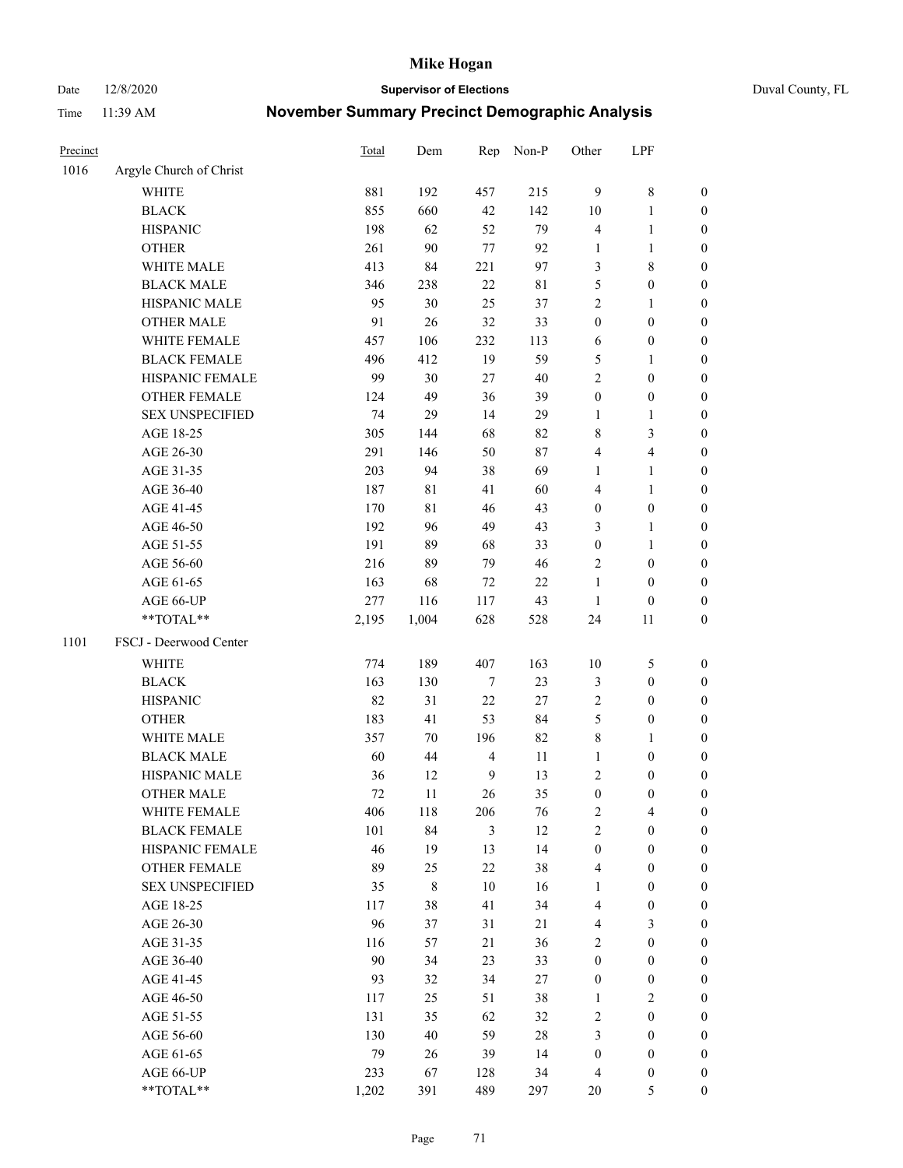Date 12/8/2020 **Supervisor of Elections** Duval County, FL

| Precinct |                         | Total  | Dem         | Rep                     | Non-P       | Other            | LPF              |                  |
|----------|-------------------------|--------|-------------|-------------------------|-------------|------------------|------------------|------------------|
| 1016     | Argyle Church of Christ |        |             |                         |             |                  |                  |                  |
|          | <b>WHITE</b>            | 881    | 192         | 457                     | 215         | $\overline{9}$   | $\,$ $\,$        | 0                |
|          | <b>BLACK</b>            | 855    | 660         | 42                      | 142         | 10               | $\mathbf{1}$     | 0                |
|          | <b>HISPANIC</b>         | 198    | 62          | 52                      | 79          | 4                | $\mathbf{1}$     | $\boldsymbol{0}$ |
|          | <b>OTHER</b>            | 261    | 90          | $77 \,$                 | 92          | 1                | $\mathbf{1}$     | $\boldsymbol{0}$ |
|          | WHITE MALE              | 413    | 84          | 221                     | 97          | 3                | $\,$ 8 $\,$      | $\boldsymbol{0}$ |
|          | <b>BLACK MALE</b>       | 346    | 238         | 22                      | $8\sqrt{1}$ | 5                | $\boldsymbol{0}$ | $\boldsymbol{0}$ |
|          | HISPANIC MALE           | 95     | 30          | 25                      | 37          | 2                | $\mathbf{1}$     | $\boldsymbol{0}$ |
|          | <b>OTHER MALE</b>       | 91     | 26          | 32                      | 33          | $\boldsymbol{0}$ | $\boldsymbol{0}$ | $\boldsymbol{0}$ |
|          | WHITE FEMALE            | 457    | 106         | 232                     | 113         | 6                | $\boldsymbol{0}$ | $\boldsymbol{0}$ |
|          | <b>BLACK FEMALE</b>     | 496    | 412         | 19                      | 59          | 5                | 1                | 0                |
|          | HISPANIC FEMALE         | 99     | 30          | 27                      | 40          | $\overline{c}$   | $\boldsymbol{0}$ | 0                |
|          | OTHER FEMALE            | 124    | 49          | 36                      | 39          | $\boldsymbol{0}$ | $\boldsymbol{0}$ | $\boldsymbol{0}$ |
|          | <b>SEX UNSPECIFIED</b>  | 74     | 29          | 14                      | 29          | $\mathbf{1}$     | $\mathbf{1}$     | $\boldsymbol{0}$ |
|          | AGE 18-25               | 305    | 144         | 68                      | 82          | 8                | $\mathfrak{Z}$   | $\boldsymbol{0}$ |
|          | AGE 26-30               | 291    | 146         | 50                      | 87          | 4                | $\overline{4}$   | $\boldsymbol{0}$ |
|          | AGE 31-35               | 203    | 94          | 38                      | 69          | 1                | $\mathbf{1}$     | $\boldsymbol{0}$ |
|          | AGE 36-40               | 187    | $8\sqrt{1}$ | 41                      | 60          | 4                | $\mathbf{1}$     | $\boldsymbol{0}$ |
|          | AGE 41-45               | 170    | 81          | 46                      | 43          | $\boldsymbol{0}$ | $\boldsymbol{0}$ | $\boldsymbol{0}$ |
|          | AGE 46-50               | 192    | 96          | 49                      | 43          | 3                | $\mathbf{1}$     | $\boldsymbol{0}$ |
|          | AGE 51-55               | 191    | 89          | 68                      | 33          | $\boldsymbol{0}$ | $\mathbf{1}$     | 0                |
|          | AGE 56-60               | 216    | 89          | 79                      | 46          | 2                | $\boldsymbol{0}$ | 0                |
|          | AGE 61-65               | 163    | 68          | $72\,$                  | 22          | $\mathbf{1}$     | $\boldsymbol{0}$ | 0                |
|          | AGE 66-UP               | 277    | 116         | 117                     | 43          | $\mathbf{1}$     | $\boldsymbol{0}$ | $\boldsymbol{0}$ |
|          | $**TOTAL**$             | 2,195  | 1,004       | 628                     | 528         | 24               | 11               | $\boldsymbol{0}$ |
| 1101     | FSCJ - Deerwood Center  |        |             |                         |             |                  |                  |                  |
|          | <b>WHITE</b>            | 774    | 189         | 407                     | 163         | 10               | 5                | $\boldsymbol{0}$ |
|          | <b>BLACK</b>            | 163    | 130         | 7                       | 23          | 3                | $\boldsymbol{0}$ | $\boldsymbol{0}$ |
|          | <b>HISPANIC</b>         | 82     | 31          | 22                      | $27\,$      | 2                | $\boldsymbol{0}$ | $\boldsymbol{0}$ |
|          | <b>OTHER</b>            | 183    | 41          | 53                      | 84          | 5                | $\boldsymbol{0}$ | $\boldsymbol{0}$ |
|          | WHITE MALE              | 357    | 70          | 196                     | 82          | 8                | $\mathbf{1}$     | $\boldsymbol{0}$ |
|          | <b>BLACK MALE</b>       | 60     | 44          | $\overline{\mathbf{4}}$ | $11\,$      | $\mathbf{1}$     | $\boldsymbol{0}$ | $\boldsymbol{0}$ |
|          | HISPANIC MALE           | 36     | 12          | $\mathbf{9}$            | 13          | 2                | $\boldsymbol{0}$ | 0                |
|          | <b>OTHER MALE</b>       | 72     | 11          | 26                      | 35          | $\boldsymbol{0}$ | $\boldsymbol{0}$ | $\boldsymbol{0}$ |
|          | WHITE FEMALE            | 406    | 118         | 206                     | 76          | 2                | 4                | 0                |
|          | <b>BLACK FEMALE</b>     | 101    | 84          | 3                       | 12          | $\mathbf{2}$     | $\boldsymbol{0}$ | $\overline{0}$   |
|          | HISPANIC FEMALE         | 46     | 19          | 13                      | 14          | $\boldsymbol{0}$ | $\boldsymbol{0}$ | $\overline{0}$   |
|          | OTHER FEMALE            | 89     | 25          | 22                      | 38          | 4                | $\boldsymbol{0}$ | $\overline{0}$   |
|          | <b>SEX UNSPECIFIED</b>  | 35     | $\,$ 8 $\,$ | 10                      | 16          | 1                | $\boldsymbol{0}$ | 0                |
|          | AGE 18-25               | 117    | 38          | 41                      | 34          | 4                | $\boldsymbol{0}$ | 0                |
|          | AGE 26-30               | 96     | 37          | 31                      | $21\,$      | 4                | 3                | 0                |
|          | AGE 31-35               | 116    | 57          | 21                      | 36          | $\overline{c}$   | $\boldsymbol{0}$ | 0                |
|          | AGE 36-40               | $90\,$ | 34          | 23                      | 33          | $\boldsymbol{0}$ | $\boldsymbol{0}$ | 0                |
|          | AGE 41-45               | 93     | 32          | 34                      | 27          | $\boldsymbol{0}$ | $\boldsymbol{0}$ | 0                |
|          | AGE 46-50               | 117    | 25          | 51                      | 38          | 1                | $\overline{c}$   | 0                |
|          | AGE 51-55               | 131    | 35          | 62                      | 32          | 2                | $\boldsymbol{0}$ | 0                |
|          | AGE 56-60               | 130    | 40          | 59                      | 28          | 3                | $\boldsymbol{0}$ | $\overline{0}$   |
|          | AGE 61-65               | 79     | 26          | 39                      | 14          | $\boldsymbol{0}$ | $\boldsymbol{0}$ | 0                |
|          | AGE 66-UP               | 233    | 67          | 128                     | 34          | 4                | $\boldsymbol{0}$ | 0                |
|          | **TOTAL**               | 1,202  | 391         | 489                     | 297         | 20               | $\mathfrak s$    | $\boldsymbol{0}$ |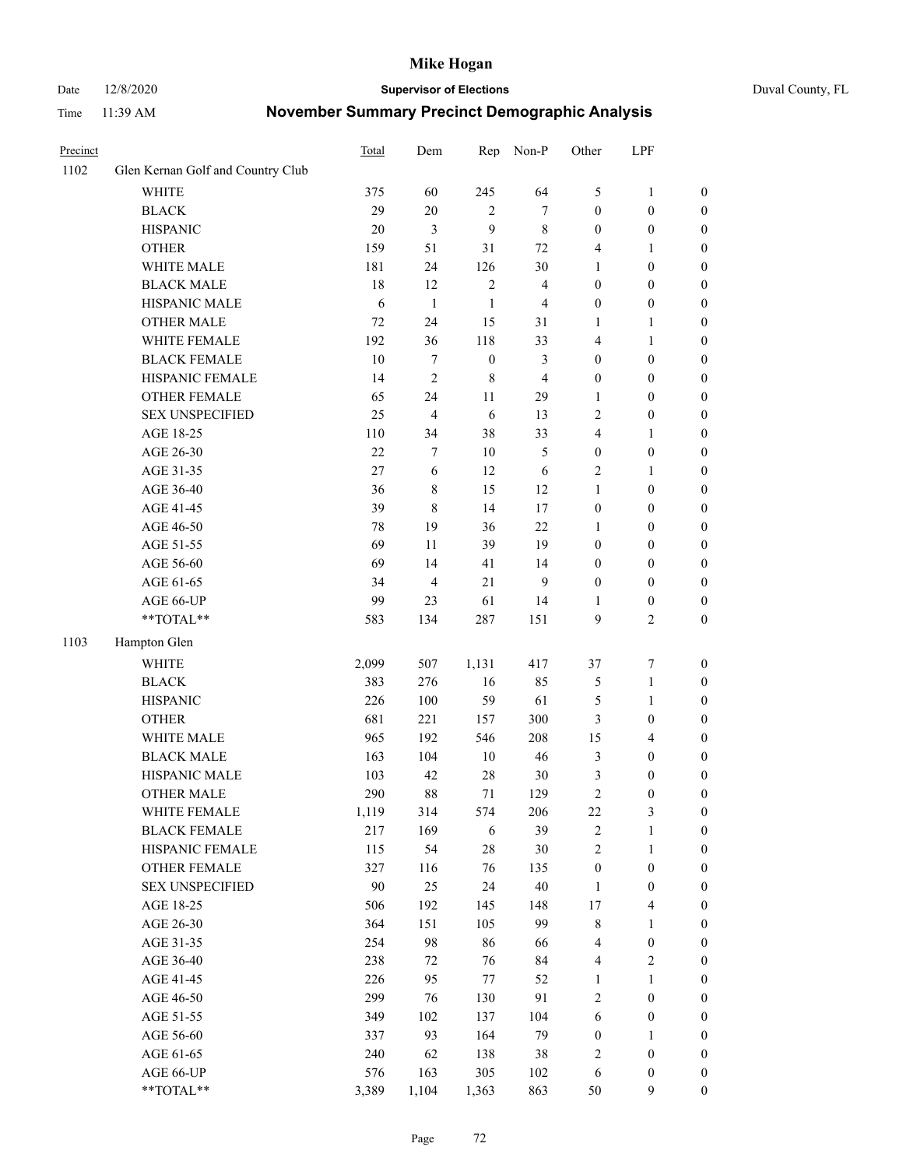#### Date 12/8/2020 **Supervisor of Elections** Duval County, FL

| Precinct |                                   | Total  | Dem            | Rep              | Non-P                   | Other            | LPF                     |                  |
|----------|-----------------------------------|--------|----------------|------------------|-------------------------|------------------|-------------------------|------------------|
| 1102     | Glen Kernan Golf and Country Club |        |                |                  |                         |                  |                         |                  |
|          | <b>WHITE</b>                      | 375    | 60             | 245              | 64                      | 5                | $\mathbf{1}$            | 0                |
|          | <b>BLACK</b>                      | 29     | $20\,$         | $\overline{2}$   | $\tau$                  | $\boldsymbol{0}$ | $\boldsymbol{0}$        | 0                |
|          | <b>HISPANIC</b>                   | 20     | 3              | 9                | $\,$ 8 $\,$             | $\boldsymbol{0}$ | $\boldsymbol{0}$        | $\boldsymbol{0}$ |
|          | <b>OTHER</b>                      | 159    | 51             | 31               | $72\,$                  | 4                | 1                       | $\boldsymbol{0}$ |
|          | WHITE MALE                        | 181    | 24             | 126              | $30\,$                  | 1                | $\boldsymbol{0}$        | $\boldsymbol{0}$ |
|          | <b>BLACK MALE</b>                 | 18     | 12             | $\sqrt{2}$       | $\overline{\mathbf{4}}$ | $\boldsymbol{0}$ | $\boldsymbol{0}$        | $\boldsymbol{0}$ |
|          | HISPANIC MALE                     | 6      | $\mathbf{1}$   | $\mathbf{1}$     | $\overline{4}$          | $\boldsymbol{0}$ | $\boldsymbol{0}$        | $\boldsymbol{0}$ |
|          | <b>OTHER MALE</b>                 | 72     | 24             | 15               | 31                      | $\mathbf{1}$     | $\mathbf{1}$            | $\boldsymbol{0}$ |
|          | WHITE FEMALE                      | 192    | 36             | 118              | 33                      | 4                | 1                       | $\boldsymbol{0}$ |
|          | <b>BLACK FEMALE</b>               | 10     | 7              | $\boldsymbol{0}$ | $\mathfrak{Z}$          | $\boldsymbol{0}$ | $\boldsymbol{0}$        | 0                |
|          | HISPANIC FEMALE                   | 14     | $\overline{2}$ | $\,8\,$          | $\overline{4}$          | $\boldsymbol{0}$ | $\boldsymbol{0}$        | 0                |
|          | <b>OTHER FEMALE</b>               | 65     | 24             | 11               | 29                      | $\mathbf{1}$     | $\boldsymbol{0}$        | $\boldsymbol{0}$ |
|          | <b>SEX UNSPECIFIED</b>            | 25     | $\overline{4}$ | 6                | 13                      | 2                | $\boldsymbol{0}$        | $\boldsymbol{0}$ |
|          | AGE 18-25                         | 110    | 34             | 38               | 33                      | 4                | 1                       | $\boldsymbol{0}$ |
|          | AGE 26-30                         | $22\,$ | 7              | 10               | $\mathfrak{S}$          | $\boldsymbol{0}$ | $\boldsymbol{0}$        | $\boldsymbol{0}$ |
|          | AGE 31-35                         | 27     | 6              | 12               | 6                       | $\overline{c}$   | $\mathbf{1}$            | $\boldsymbol{0}$ |
|          | AGE 36-40                         | 36     | 8              | 15               | 12                      | $\mathbf{1}$     | $\boldsymbol{0}$        | $\boldsymbol{0}$ |
|          | AGE 41-45                         | 39     | $\,$ 8 $\,$    | 14               | 17                      | $\boldsymbol{0}$ | $\boldsymbol{0}$        | $\boldsymbol{0}$ |
|          | AGE 46-50                         | 78     | 19             | 36               | 22                      | 1                | $\boldsymbol{0}$        | $\boldsymbol{0}$ |
|          | AGE 51-55                         | 69     | 11             | 39               | 19                      | $\boldsymbol{0}$ | $\boldsymbol{0}$        | $\boldsymbol{0}$ |
|          | AGE 56-60                         | 69     | 14             | 41               | 14                      | $\boldsymbol{0}$ | $\boldsymbol{0}$        | 0                |
|          | AGE 61-65                         | 34     | $\overline{4}$ | 21               | 9                       | $\boldsymbol{0}$ | $\boldsymbol{0}$        | 0                |
|          | AGE 66-UP                         | 99     | 23             | 61               | 14                      | 1                | $\boldsymbol{0}$        | $\boldsymbol{0}$ |
|          | **TOTAL**                         | 583    | 134            | 287              | 151                     | 9                | $\sqrt{2}$              | $\boldsymbol{0}$ |
| 1103     | Hampton Glen                      |        |                |                  |                         |                  |                         |                  |
|          | <b>WHITE</b>                      | 2,099  | 507            | 1,131            | 417                     | 37               | $\boldsymbol{7}$        | $\boldsymbol{0}$ |
|          | <b>BLACK</b>                      | 383    | 276            | 16               | 85                      | 5                | $\mathbf{1}$            | $\boldsymbol{0}$ |
|          | <b>HISPANIC</b>                   | 226    | 100            | 59               | 61                      | 5                | $\mathbf{1}$            | $\boldsymbol{0}$ |
|          | <b>OTHER</b>                      | 681    | 221            | 157              | 300                     | 3                | $\boldsymbol{0}$        | $\boldsymbol{0}$ |
|          | WHITE MALE                        | 965    | 192            | 546              | 208                     | 15               | $\overline{4}$          | $\boldsymbol{0}$ |
|          | <b>BLACK MALE</b>                 | 163    | 104            | $10\,$           | 46                      | 3                | $\boldsymbol{0}$        | $\boldsymbol{0}$ |
|          | HISPANIC MALE                     | 103    | 42             | 28               | $30\,$                  | 3                | $\boldsymbol{0}$        | $\boldsymbol{0}$ |
|          | OTHER MALE                        | 290    | 88             | 71               | 129                     | $\overline{c}$   | $\boldsymbol{0}$        | $\boldsymbol{0}$ |
|          | WHITE FEMALE                      | 1,119  | 314            | 574              | 206                     | 22               | 3                       | 0                |
|          | <b>BLACK FEMALE</b>               | 217    | 169            | 6                | 39                      | $\sqrt{2}$       | $\mathbf{1}$            | $\boldsymbol{0}$ |
|          | HISPANIC FEMALE                   | 115    | 54             | 28               | $30\,$                  | $\overline{c}$   | $\mathbf{1}$            | $\overline{0}$   |
|          | OTHER FEMALE                      | 327    | 116            | 76               | 135                     | $\boldsymbol{0}$ | $\boldsymbol{0}$        | $\overline{0}$   |
|          | <b>SEX UNSPECIFIED</b>            | 90     | 25             | 24               | $40\,$                  | $\mathbf{1}$     | $\boldsymbol{0}$        | 0                |
|          | AGE 18-25                         | 506    | 192            | 145              | 148                     | 17               | $\overline{\mathbf{4}}$ | 0                |
|          | AGE 26-30                         | 364    | 151            | 105              | 99                      | 8                | $\mathbf{1}$            | 0                |
|          | AGE 31-35                         | 254    | 98             | 86               | 66                      | 4                | $\boldsymbol{0}$        | 0                |
|          | AGE 36-40                         | 238    | 72             | 76               | 84                      | 4                | $\sqrt{2}$              | 0                |
|          | AGE 41-45                         | 226    | 95             | 77               | 52                      | $\mathbf{1}$     | $\mathbf{1}$            | 0                |
|          | AGE 46-50                         | 299    | 76             | 130              | 91                      | 2                | $\boldsymbol{0}$        | 0                |
|          | AGE 51-55                         | 349    | 102            | 137              | 104                     | 6                | $\boldsymbol{0}$        | 0                |
|          | AGE 56-60                         | 337    | 93             | 164              | 79                      | $\boldsymbol{0}$ | 1                       | $\boldsymbol{0}$ |
|          | AGE 61-65                         | 240    | 62             | 138              | 38                      | 2                | $\boldsymbol{0}$        | $\boldsymbol{0}$ |
|          | AGE 66-UP                         | 576    | 163            | 305              | 102                     | 6                | $\boldsymbol{0}$        | 0                |
|          | **TOTAL**                         | 3,389  | 1,104          | 1,363            | 863                     | 50               | $\mathbf{9}$            | $\boldsymbol{0}$ |
|          |                                   |        |                |                  |                         |                  |                         |                  |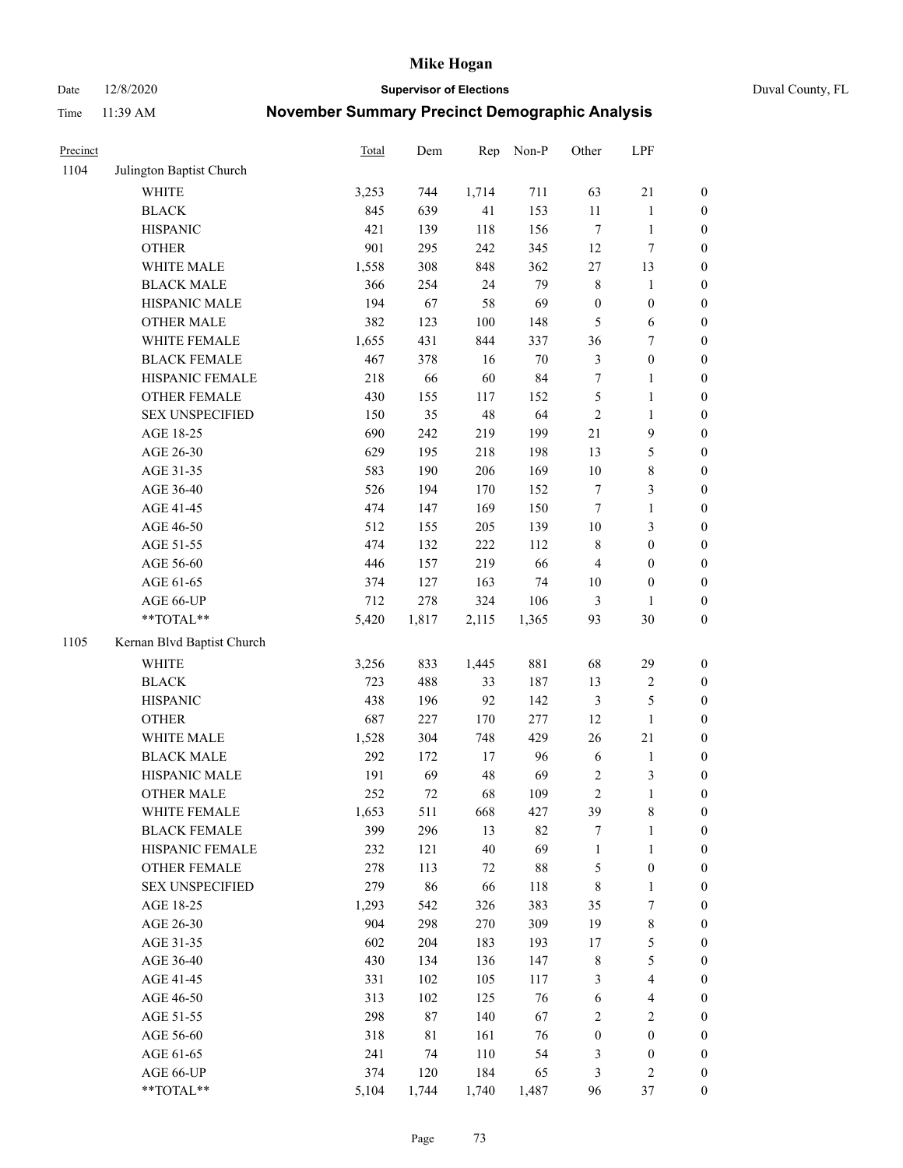Date 12/8/2020 **Supervisor of Elections** Duval County, FL

| Precinct |                            | Total | Dem    | Rep    | Non-P  | Other            | LPF                     |                  |
|----------|----------------------------|-------|--------|--------|--------|------------------|-------------------------|------------------|
| 1104     | Julington Baptist Church   |       |        |        |        |                  |                         |                  |
|          | <b>WHITE</b>               | 3,253 | 744    | 1,714  | 711    | 63               | $21\,$                  | 0                |
|          | <b>BLACK</b>               | 845   | 639    | 41     | 153    | $11\,$           | $\mathbf{1}$            | 0                |
|          | <b>HISPANIC</b>            | 421   | 139    | 118    | 156    | $\boldsymbol{7}$ | $\mathbf{1}$            | $\boldsymbol{0}$ |
|          | <b>OTHER</b>               | 901   | 295    | 242    | 345    | 12               | $\boldsymbol{7}$        | $\boldsymbol{0}$ |
|          | WHITE MALE                 | 1,558 | 308    | 848    | 362    | $27\,$           | 13                      | $\boldsymbol{0}$ |
|          | <b>BLACK MALE</b>          | 366   | 254    | 24     | 79     | 8                | 1                       | $\boldsymbol{0}$ |
|          | HISPANIC MALE              | 194   | 67     | 58     | 69     | $\boldsymbol{0}$ | $\boldsymbol{0}$        | $\boldsymbol{0}$ |
|          | <b>OTHER MALE</b>          | 382   | 123    | 100    | 148    | 5                | 6                       | $\boldsymbol{0}$ |
|          | WHITE FEMALE               | 1,655 | 431    | 844    | 337    | 36               | $\boldsymbol{7}$        | $\boldsymbol{0}$ |
|          | <b>BLACK FEMALE</b>        | 467   | 378    | 16     | $70\,$ | $\mathfrak{Z}$   | $\boldsymbol{0}$        | $\boldsymbol{0}$ |
|          | HISPANIC FEMALE            | 218   | 66     | 60     | 84     | 7                | $\mathbf{1}$            | $\boldsymbol{0}$ |
|          | OTHER FEMALE               | 430   | 155    | 117    | 152    | 5                | $\mathbf{1}$            | $\boldsymbol{0}$ |
|          | <b>SEX UNSPECIFIED</b>     | 150   | 35     | 48     | 64     | $\sqrt{2}$       | $\mathbf{1}$            | $\boldsymbol{0}$ |
|          | AGE 18-25                  | 690   | 242    | 219    | 199    | 21               | $\mathbf{9}$            | $\boldsymbol{0}$ |
|          | AGE 26-30                  | 629   | 195    | 218    | 198    | 13               | $\mathfrak{S}$          | $\boldsymbol{0}$ |
|          | AGE 31-35                  | 583   | 190    | 206    | 169    | $10\,$           | $\,8\,$                 | $\boldsymbol{0}$ |
|          | AGE 36-40                  | 526   | 194    | 170    | 152    | 7                | $\mathfrak{Z}$          | $\boldsymbol{0}$ |
|          | AGE 41-45                  | 474   | 147    | 169    | 150    | $\tau$           | $\mathbf{1}$            | $\boldsymbol{0}$ |
|          | AGE 46-50                  | 512   | 155    | 205    | 139    | $10\,$           | $\mathfrak{Z}$          | $\boldsymbol{0}$ |
|          | AGE 51-55                  | 474   | 132    | 222    | 112    | 8                | $\boldsymbol{0}$        | $\boldsymbol{0}$ |
|          | AGE 56-60                  | 446   | 157    | 219    | 66     | $\overline{4}$   | $\boldsymbol{0}$        | 0                |
|          | AGE 61-65                  | 374   | 127    | 163    | 74     | $10\,$           | $\boldsymbol{0}$        | $\boldsymbol{0}$ |
|          | AGE 66-UP                  | 712   | 278    | 324    | 106    | 3                | 1                       | $\boldsymbol{0}$ |
|          | **TOTAL**                  | 5,420 | 1,817  | 2,115  | 1,365  | 93               | 30                      | $\boldsymbol{0}$ |
| 1105     | Kernan Blvd Baptist Church |       |        |        |        |                  |                         |                  |
|          | <b>WHITE</b>               | 3,256 | 833    | 1,445  | 881    | 68               | 29                      | $\boldsymbol{0}$ |
|          | <b>BLACK</b>               | 723   | 488    | 33     | 187    | 13               | $\sqrt{2}$              | $\boldsymbol{0}$ |
|          | <b>HISPANIC</b>            | 438   | 196    | 92     | 142    | 3                | $\mathfrak{S}$          | $\boldsymbol{0}$ |
|          | <b>OTHER</b>               | 687   | 227    | 170    | 277    | 12               | $\mathbf{1}$            | $\boldsymbol{0}$ |
|          | WHITE MALE                 | 1,528 | 304    | 748    | 429    | 26               | $21\,$                  | $\boldsymbol{0}$ |
|          | <b>BLACK MALE</b>          | 292   | 172    | $17\,$ | 96     | $\sqrt{6}$       | $\mathbf{1}$            | $\boldsymbol{0}$ |
|          | HISPANIC MALE              | 191   | 69     | 48     | 69     | $\sqrt{2}$       | 3                       | 0                |
|          | <b>OTHER MALE</b>          | 252   | 72     | 68     | 109    | $\overline{c}$   | $\mathbf{1}$            | $\boldsymbol{0}$ |
|          | WHITE FEMALE               | 1,653 | 511    | 668    | 427    | 39               | 8                       | 0                |
|          | <b>BLACK FEMALE</b>        | 399   | 296    | 13     | 82     | 7                | $\mathbf{1}$            | $\boldsymbol{0}$ |
|          | HISPANIC FEMALE            | 232   | 121    | 40     | 69     | $\mathbf{1}$     | $\mathbf{1}$            | $\overline{0}$   |
|          | <b>OTHER FEMALE</b>        | 278   | 113    | 72     | $88\,$ | 5                | $\boldsymbol{0}$        | $\overline{0}$   |
|          | <b>SEX UNSPECIFIED</b>     | 279   | 86     | 66     | 118    | 8                | $\mathbf{1}$            | 0                |
|          | AGE 18-25                  | 1,293 | 542    | 326    | 383    | 35               | 7                       | $\theta$         |
|          | AGE 26-30                  | 904   | 298    | 270    | 309    | 19               | $\,$ 8 $\,$             | 0                |
|          | AGE 31-35                  | 602   | 204    | 183    | 193    | 17               | $\mathfrak s$           | 0                |
|          | AGE 36-40                  | 430   | 134    | 136    | 147    | $\,$ 8 $\,$      | $\mathfrak{S}$          | 0                |
|          | AGE 41-45                  | 331   | 102    | 105    | 117    | 3                | $\overline{\mathbf{4}}$ | 0                |
|          | AGE 46-50                  | 313   | 102    | 125    | 76     | 6                | $\overline{\mathbf{4}}$ | 0                |
|          | AGE 51-55                  | 298   | $87\,$ | 140    | 67     | 2                | $\sqrt{2}$              | 0                |
|          | AGE 56-60                  | 318   | 81     | 161    | 76     | $\boldsymbol{0}$ | $\boldsymbol{0}$        | $\boldsymbol{0}$ |
|          | AGE 61-65                  | 241   | 74     | 110    | 54     | 3                | $\boldsymbol{0}$        | $\overline{0}$   |
|          | AGE 66-UP                  | 374   | 120    | 184    | 65     | 3                | $\mathfrak{2}$          | 0                |
|          | **TOTAL**                  | 5,104 | 1,744  | 1,740  | 1,487  | 96               | 37                      | $\boldsymbol{0}$ |
|          |                            |       |        |        |        |                  |                         |                  |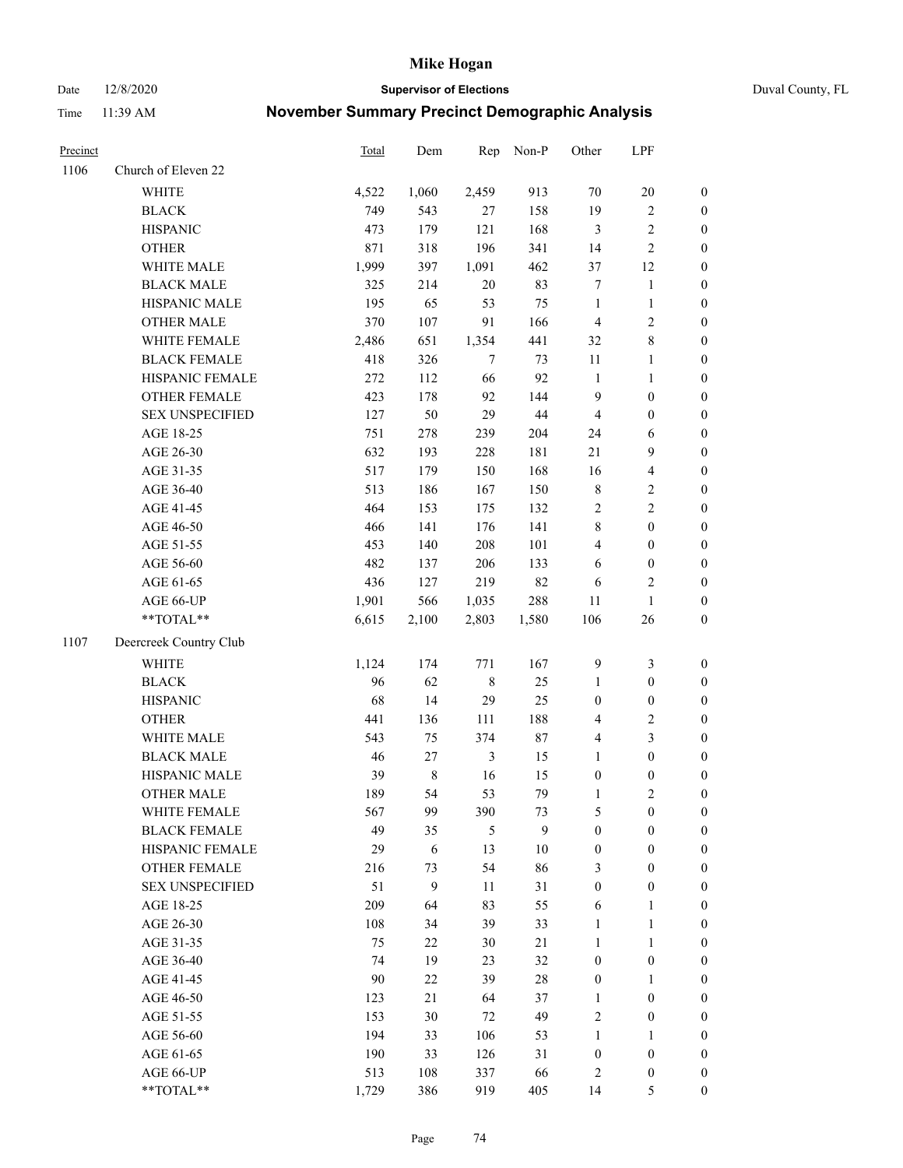Date 12/8/2020 **Supervisor of Elections** Duval County, FL

| Precinct |                        | <b>Total</b> | Dem   | Rep            | Non-P  | Other            | LPF                     |                  |
|----------|------------------------|--------------|-------|----------------|--------|------------------|-------------------------|------------------|
| 1106     | Church of Eleven 22    |              |       |                |        |                  |                         |                  |
|          | <b>WHITE</b>           | 4,522        | 1,060 | 2,459          | 913    | 70               | $20\,$                  | $\boldsymbol{0}$ |
|          | <b>BLACK</b>           | 749          | 543   | 27             | 158    | 19               | $\sqrt{2}$              | $\boldsymbol{0}$ |
|          | <b>HISPANIC</b>        | 473          | 179   | 121            | 168    | 3                | $\sqrt{2}$              | $\boldsymbol{0}$ |
|          | <b>OTHER</b>           | 871          | 318   | 196            | 341    | 14               | $\sqrt{2}$              | $\boldsymbol{0}$ |
|          | WHITE MALE             | 1,999        | 397   | 1,091          | 462    | 37               | 12                      | $\boldsymbol{0}$ |
|          | <b>BLACK MALE</b>      | 325          | 214   | $20\,$         | 83     | 7                | $\mathbf{1}$            | $\boldsymbol{0}$ |
|          | HISPANIC MALE          | 195          | 65    | 53             | 75     | $\mathbf{1}$     | $\mathbf{1}$            | $\boldsymbol{0}$ |
|          | <b>OTHER MALE</b>      | 370          | 107   | 91             | 166    | $\overline{4}$   | $\sqrt{2}$              | $\boldsymbol{0}$ |
|          | WHITE FEMALE           | 2,486        | 651   | 1,354          | 441    | 32               | $\,8\,$                 | $\boldsymbol{0}$ |
|          | <b>BLACK FEMALE</b>    | 418          | 326   | 7              | 73     | 11               | $\mathbf{1}$            | 0                |
|          | HISPANIC FEMALE        | 272          | 112   | 66             | 92     | $\mathbf{1}$     | $\mathbf{1}$            | 0                |
|          | OTHER FEMALE           | 423          | 178   | 92             | 144    | 9                | $\boldsymbol{0}$        | $\boldsymbol{0}$ |
|          | <b>SEX UNSPECIFIED</b> | 127          | 50    | 29             | 44     | $\overline{4}$   | $\boldsymbol{0}$        | $\boldsymbol{0}$ |
|          | AGE 18-25              | 751          | 278   | 239            | 204    | 24               | 6                       | $\boldsymbol{0}$ |
|          | AGE 26-30              | 632          | 193   | 228            | 181    | 21               | 9                       | $\boldsymbol{0}$ |
|          | AGE 31-35              | 517          | 179   | 150            | 168    | 16               | $\overline{\mathbf{4}}$ | $\boldsymbol{0}$ |
|          | AGE 36-40              | 513          | 186   | 167            | 150    | $\,$ 8 $\,$      | $\sqrt{2}$              | $\boldsymbol{0}$ |
|          | AGE 41-45              | 464          | 153   | 175            | 132    | $\sqrt{2}$       | $\overline{2}$          | $\boldsymbol{0}$ |
|          | AGE 46-50              | 466          | 141   | 176            | 141    | $\,$ $\,$        | $\boldsymbol{0}$        | $\boldsymbol{0}$ |
|          | AGE 51-55              | 453          | 140   | 208            | 101    | 4                | $\boldsymbol{0}$        | $\boldsymbol{0}$ |
|          | AGE 56-60              | 482          | 137   | 206            | 133    | 6                | $\boldsymbol{0}$        | 0                |
|          | AGE 61-65              | 436          | 127   | 219            | 82     | 6                | $\overline{c}$          | 0                |
|          | AGE 66-UP              | 1,901        | 566   | 1,035          | 288    | 11               | $\mathbf{1}$            | $\boldsymbol{0}$ |
|          | **TOTAL**              | 6,615        | 2,100 | 2,803          | 1,580  | 106              | $26\,$                  | $\boldsymbol{0}$ |
| 1107     | Deercreek Country Club |              |       |                |        |                  |                         |                  |
|          | <b>WHITE</b>           | 1,124        | 174   | 771            | 167    | 9                | $\mathfrak{Z}$          | $\boldsymbol{0}$ |
|          | <b>BLACK</b>           | 96           | 62    | $\,$ 8 $\,$    | 25     | $\mathbf{1}$     | $\boldsymbol{0}$        | $\boldsymbol{0}$ |
|          | <b>HISPANIC</b>        | 68           | 14    | 29             | 25     | $\boldsymbol{0}$ | $\boldsymbol{0}$        | $\boldsymbol{0}$ |
|          | <b>OTHER</b>           | 441          | 136   | 111            | 188    | 4                | $\sqrt{2}$              | $\boldsymbol{0}$ |
|          | WHITE MALE             | 543          | 75    | 374            | $87\,$ | $\overline{4}$   | $\mathfrak{Z}$          | $\boldsymbol{0}$ |
|          | <b>BLACK MALE</b>      | $46\,$       | 27    | $\mathfrak{Z}$ | 15     | $\mathbf{1}$     | $\boldsymbol{0}$        | $\boldsymbol{0}$ |
|          | HISPANIC MALE          | 39           | $8\,$ | 16             | 15     | $\boldsymbol{0}$ | $\boldsymbol{0}$        | $\boldsymbol{0}$ |
|          | OTHER MALE             | 189          | 54    | 53             | 79     | $\mathbf{1}$     | $\mathbf{2}$            | $\boldsymbol{0}$ |
|          | WHITE FEMALE           | 567          | 99    | 390            | 73     | 5                | $\boldsymbol{0}$        | 0                |
|          | <b>BLACK FEMALE</b>    | 49           | 35    | 5              | 9      | $\boldsymbol{0}$ | $\boldsymbol{0}$        | $\overline{0}$   |
|          | HISPANIC FEMALE        | 29           | 6     | 13             | $10\,$ | $\boldsymbol{0}$ | $\boldsymbol{0}$        | $\overline{0}$   |
|          | <b>OTHER FEMALE</b>    | 216          | 73    | 54             | 86     | 3                | $\boldsymbol{0}$        | $\overline{0}$   |
|          | <b>SEX UNSPECIFIED</b> | 51           | 9     | 11             | 31     | $\boldsymbol{0}$ | $\boldsymbol{0}$        | 0                |
|          | AGE 18-25              | 209          | 64    | 83             | 55     | 6                | $\mathbf{1}$            | 0                |
|          | AGE 26-30              | 108          | 34    | 39             | 33     | $\mathbf{1}$     | $\mathbf{1}$            | 0                |
|          | AGE 31-35              | 75           | 22    | 30             | 21     | $\mathbf{1}$     | $\mathbf{1}$            | 0                |
|          | AGE 36-40              | 74           | 19    | 23             | 32     | $\boldsymbol{0}$ | $\boldsymbol{0}$        | 0                |
|          | AGE 41-45              | 90           | 22    | 39             | $28\,$ | $\boldsymbol{0}$ | 1                       | 0                |
|          | AGE 46-50              | 123          | 21    | 64             | 37     | $\mathbf{1}$     | $\boldsymbol{0}$        | 0                |
|          | AGE 51-55              | 153          | 30    | 72             | 49     | 2                | $\boldsymbol{0}$        | 0                |
|          | AGE 56-60              | 194          | 33    | 106            | 53     | 1                | 1                       | 0                |
|          | AGE 61-65              | 190          | 33    | 126            | 31     | $\boldsymbol{0}$ | $\boldsymbol{0}$        | 0                |
|          | AGE 66-UP              | 513          | 108   | 337            | 66     | 2                | $\boldsymbol{0}$        | 0                |
|          | **TOTAL**              | 1,729        | 386   | 919            | 405    | 14               | 5                       | $\boldsymbol{0}$ |
|          |                        |              |       |                |        |                  |                         |                  |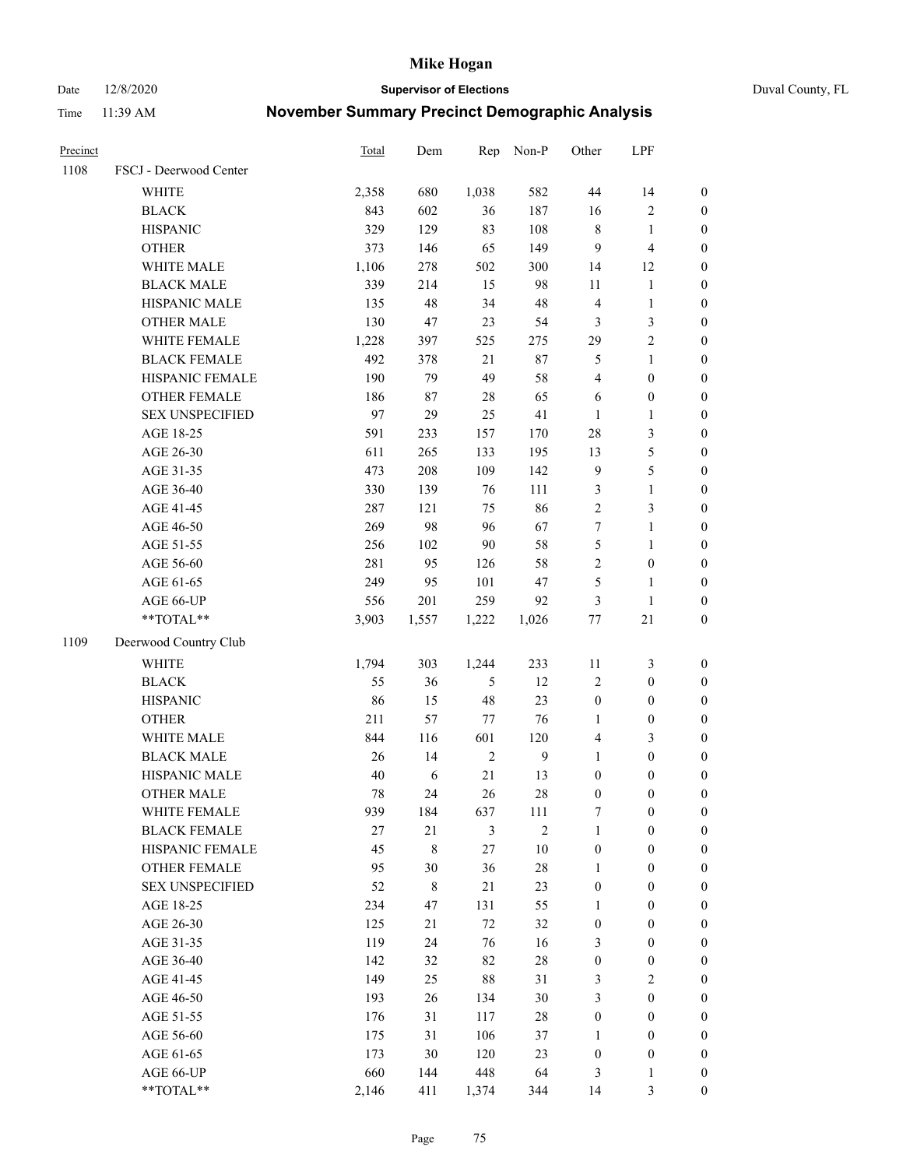Date 12/8/2020 **Supervisor of Elections** Duval County, FL

| Precinct |                        | <b>Total</b> | Dem          | Rep            | Non-P          | Other                 | LPF              |                  |
|----------|------------------------|--------------|--------------|----------------|----------------|-----------------------|------------------|------------------|
| 1108     | FSCJ - Deerwood Center |              |              |                |                |                       |                  |                  |
|          | <b>WHITE</b>           | 2,358        | 680          | 1,038          | 582            | 44                    | 14               | $\boldsymbol{0}$ |
|          | <b>BLACK</b>           | 843          | 602          | 36             | 187            | 16                    | $\sqrt{2}$       | $\boldsymbol{0}$ |
|          | <b>HISPANIC</b>        | 329          | 129          | 83             | 108            | 8                     | $\mathbf{1}$     | $\boldsymbol{0}$ |
|          | <b>OTHER</b>           | 373          | 146          | 65             | 149            | 9                     | $\overline{4}$   | $\boldsymbol{0}$ |
|          | WHITE MALE             | 1,106        | 278          | 502            | 300            | 14                    | 12               | $\boldsymbol{0}$ |
|          | <b>BLACK MALE</b>      | 339          | 214          | 15             | 98             | 11                    | $\mathbf{1}$     | $\boldsymbol{0}$ |
|          | HISPANIC MALE          | 135          | 48           | 34             | 48             | 4                     | $\mathbf{1}$     | $\boldsymbol{0}$ |
|          | <b>OTHER MALE</b>      | 130          | 47           | 23             | 54             | 3                     | $\mathfrak{Z}$   | $\boldsymbol{0}$ |
|          | WHITE FEMALE           | 1,228        | 397          | 525            | 275            | 29                    | $\overline{c}$   | $\boldsymbol{0}$ |
|          | <b>BLACK FEMALE</b>    | 492          | 378          | 21             | $87\,$         | 5                     | $\mathbf{1}$     | $\boldsymbol{0}$ |
|          | HISPANIC FEMALE        | 190          | 79           | 49             | 58             | 4                     | $\boldsymbol{0}$ | 0                |
|          | <b>OTHER FEMALE</b>    | 186          | $87\,$       | 28             | 65             | 6                     | $\boldsymbol{0}$ | $\boldsymbol{0}$ |
|          | <b>SEX UNSPECIFIED</b> | 97           | 29           | 25             | 41             | $\mathbf{1}$          | $\mathbf{1}$     | $\boldsymbol{0}$ |
|          | AGE 18-25              | 591          | 233          | 157            | 170            | $28\,$                | $\mathfrak{Z}$   | $\boldsymbol{0}$ |
|          | AGE 26-30              | 611          | 265          | 133            | 195            | 13                    | $\mathfrak s$    | $\boldsymbol{0}$ |
|          | AGE 31-35              | 473          | 208          | 109            | 142            | 9                     | 5                | $\boldsymbol{0}$ |
|          | AGE 36-40              | 330          | 139          | 76             | 111            | 3                     | $\mathbf{1}$     | $\boldsymbol{0}$ |
|          | AGE 41-45              | 287          | 121          | 75             | 86             | $\overline{2}$        | 3                | $\boldsymbol{0}$ |
|          | AGE 46-50              | 269          | 98           | 96             | 67             | 7                     | $\mathbf{1}$     | $\boldsymbol{0}$ |
|          | AGE 51-55              | 256          | 102          | $90\,$         | 58             | 5                     | $\mathbf{1}$     | $\boldsymbol{0}$ |
|          | AGE 56-60              | 281          | 95           | 126            | 58             | $\overline{c}$        | $\boldsymbol{0}$ | 0                |
|          | AGE 61-65              | 249          | 95           | 101            | 47             | 5                     | $\mathbf{1}$     | 0                |
|          | AGE 66-UP              | 556          | 201          | 259            | 92             | 3                     | $\mathbf{1}$     | $\boldsymbol{0}$ |
|          | $**TOTAL**$            | 3,903        | 1,557        | 1,222          | 1,026          | $77 \,$               | $21\,$           | $\boldsymbol{0}$ |
| 1109     | Deerwood Country Club  |              |              |                |                |                       |                  |                  |
|          | <b>WHITE</b>           | 1,794        | 303          | 1,244          | 233            | 11                    | $\mathfrak{Z}$   | $\boldsymbol{0}$ |
|          | <b>BLACK</b>           | 55           | 36           | $\mathfrak{S}$ | 12             | 2                     | $\boldsymbol{0}$ | $\boldsymbol{0}$ |
|          | <b>HISPANIC</b>        | 86           | 15           | 48             | 23             | $\boldsymbol{0}$      | $\boldsymbol{0}$ | $\boldsymbol{0}$ |
|          | <b>OTHER</b>           | 211          | 57           | 77             | 76             | 1                     | $\boldsymbol{0}$ | $\boldsymbol{0}$ |
|          | WHITE MALE             | 844          | 116          | 601            | 120            | 4                     | $\mathfrak{Z}$   | $\boldsymbol{0}$ |
|          | <b>BLACK MALE</b>      | 26           | 14           | $\sqrt{2}$     | $\mathbf{9}$   | $\mathbf{1}$          | $\boldsymbol{0}$ | $\boldsymbol{0}$ |
|          | HISPANIC MALE          | 40           | $\sqrt{6}$   | 21             | 13             | $\boldsymbol{0}$      | $\boldsymbol{0}$ | $\boldsymbol{0}$ |
|          | <b>OTHER MALE</b>      | 78           | 24           | 26             | $28\,$         | $\boldsymbol{0}$      | $\boldsymbol{0}$ | $\boldsymbol{0}$ |
|          | WHITE FEMALE           | 939          | 184          | 637            | 111            | 7                     | 0                | 0                |
|          | <b>BLACK FEMALE</b>    | 27           | $21\,$       | 3              | $\overline{2}$ | $\mathbf{1}$          | $\boldsymbol{0}$ | $\overline{0}$   |
|          | HISPANIC FEMALE        | 45           | $\,$ $\,$    | 27             | $10\,$         | $\boldsymbol{0}$      | $\boldsymbol{0}$ | $\overline{0}$   |
|          | <b>OTHER FEMALE</b>    | 95           | 30           | 36             | $28\,$         | $\mathbf{1}$          | $\boldsymbol{0}$ | $\overline{0}$   |
|          | <b>SEX UNSPECIFIED</b> | 52           | $\,8\,$      | 21             | 23             | $\boldsymbol{0}$      | $\boldsymbol{0}$ | 0                |
|          | AGE 18-25              | 234          | 47           | 131            | 55             | $\mathbf{1}$          | $\boldsymbol{0}$ | $\theta$         |
|          | AGE 26-30              | 125          | 21           | 72             | 32             | $\boldsymbol{0}$      | $\boldsymbol{0}$ | 0                |
|          | AGE 31-35              | 119          | 24           | 76             | 16             | 3                     | $\boldsymbol{0}$ | 0                |
|          | AGE 36-40              | 142          | 32           | 82             | $28\,$         | $\boldsymbol{0}$      | $\boldsymbol{0}$ | 0                |
|          | AGE 41-45              | 149          | 25           | 88             | 31             | 3                     | $\mathfrak{2}$   | 0                |
|          |                        | 193          |              |                | $30\,$         | 3                     | $\boldsymbol{0}$ | 0                |
|          | AGE 46-50<br>AGE 51-55 | 176          | 26           | 134<br>117     | $28\,$         |                       | $\boldsymbol{0}$ | 0                |
|          |                        | 175          | 31           | 106            |                | $\boldsymbol{0}$      | $\boldsymbol{0}$ | $\overline{0}$   |
|          | AGE 56-60              |              | 31<br>$30\,$ | 120            | 37<br>23       | 1                     | $\boldsymbol{0}$ | $\overline{0}$   |
|          | AGE 61-65<br>AGE 66-UP | 173<br>660   | 144          | 448            | 64             | $\boldsymbol{0}$<br>3 | $\mathbf{1}$     | 0                |
|          | **TOTAL**              |              |              |                |                |                       |                  | $\boldsymbol{0}$ |
|          |                        | 2,146        | 411          | 1,374          | 344            | 14                    | 3                |                  |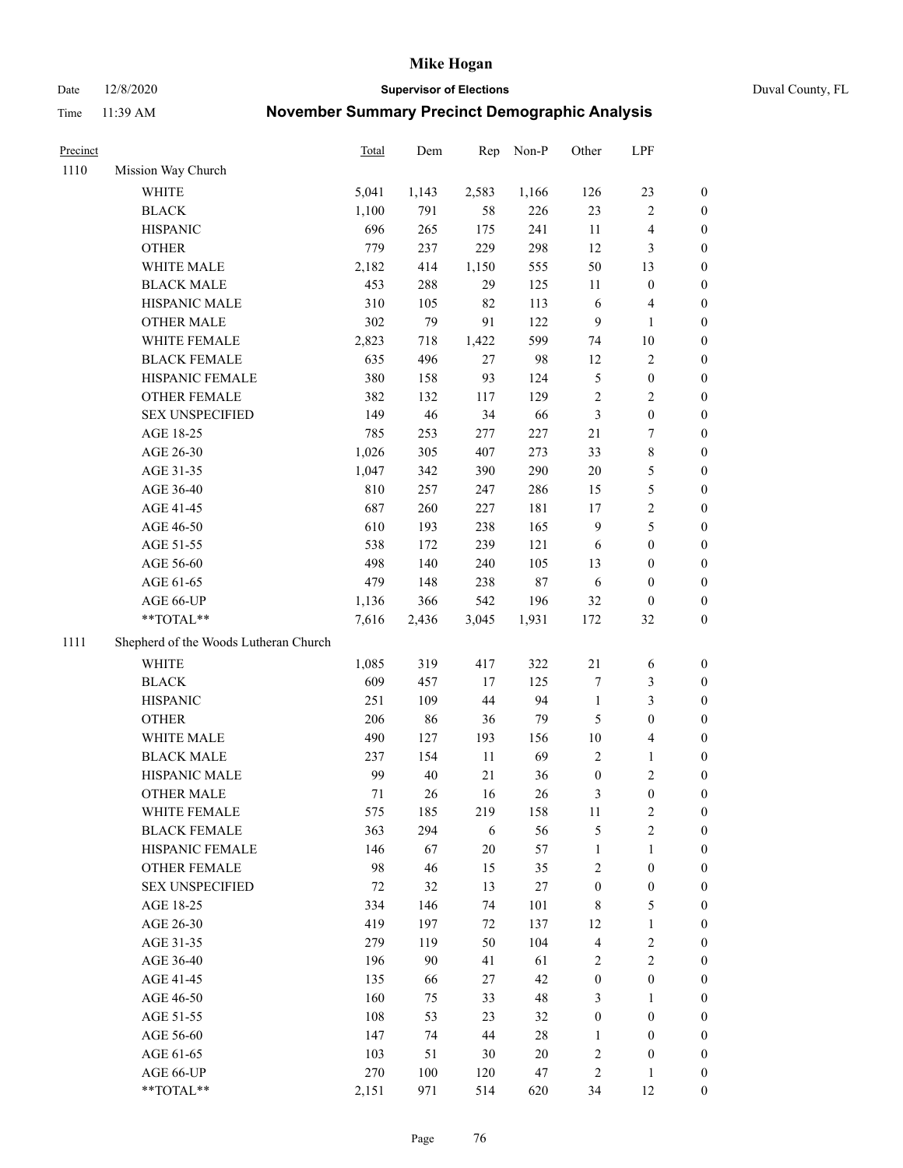Date 12/8/2020 **Supervisor of Elections** Duval County, FL

| Precinct |                                       | Total | Dem   | Rep    | Non-P  | Other            | LPF                     |                  |
|----------|---------------------------------------|-------|-------|--------|--------|------------------|-------------------------|------------------|
| 1110     | Mission Way Church                    |       |       |        |        |                  |                         |                  |
|          | WHITE                                 | 5,041 | 1,143 | 2,583  | 1,166  | 126              | 23                      | 0                |
|          | <b>BLACK</b>                          | 1,100 | 791   | 58     | 226    | 23               | $\sqrt{2}$              | 0                |
|          | <b>HISPANIC</b>                       | 696   | 265   | 175    | 241    | 11               | $\overline{\mathbf{4}}$ | 0                |
|          | <b>OTHER</b>                          | 779   | 237   | 229    | 298    | 12               | 3                       | $\boldsymbol{0}$ |
|          | WHITE MALE                            | 2,182 | 414   | 1,150  | 555    | 50               | 13                      | $\boldsymbol{0}$ |
|          | <b>BLACK MALE</b>                     | 453   | 288   | 29     | 125    | 11               | $\boldsymbol{0}$        | $\boldsymbol{0}$ |
|          | HISPANIC MALE                         | 310   | 105   | 82     | 113    | 6                | $\overline{\mathbf{4}}$ | $\boldsymbol{0}$ |
|          | <b>OTHER MALE</b>                     | 302   | 79    | 91     | 122    | $\overline{9}$   | $\mathbf{1}$            | $\boldsymbol{0}$ |
|          | WHITE FEMALE                          | 2,823 | 718   | 1,422  | 599    | 74               | $10\,$                  | $\boldsymbol{0}$ |
|          | <b>BLACK FEMALE</b>                   | 635   | 496   | 27     | 98     | 12               | $\sqrt{2}$              | 0                |
|          | HISPANIC FEMALE                       | 380   | 158   | 93     | 124    | 5                | $\boldsymbol{0}$        | 0                |
|          | OTHER FEMALE                          | 382   | 132   | 117    | 129    | $\sqrt{2}$       | $\sqrt{2}$              | 0                |
|          | <b>SEX UNSPECIFIED</b>                | 149   | 46    | 34     | 66     | 3                | $\boldsymbol{0}$        | $\boldsymbol{0}$ |
|          | AGE 18-25                             | 785   | 253   | 277    | 227    | 21               | $\boldsymbol{7}$        | $\boldsymbol{0}$ |
|          | AGE 26-30                             | 1,026 | 305   | 407    | 273    | 33               | $8\,$                   | $\boldsymbol{0}$ |
|          | AGE 31-35                             | 1,047 | 342   | 390    | 290    | $20\,$           | $\mathfrak{S}$          | $\boldsymbol{0}$ |
|          | AGE 36-40                             | 810   | 257   | 247    | 286    | 15               | $\mathfrak s$           | $\boldsymbol{0}$ |
|          | AGE 41-45                             | 687   | 260   | 227    | 181    | 17               | $\sqrt{2}$              | $\boldsymbol{0}$ |
|          | AGE 46-50                             | 610   | 193   | 238    | 165    | $\overline{9}$   | $\mathfrak s$           | $\boldsymbol{0}$ |
|          | AGE 51-55                             | 538   | 172   | 239    | 121    | 6                | $\boldsymbol{0}$        | 0                |
|          | AGE 56-60                             | 498   | 140   | 240    | 105    | 13               | $\boldsymbol{0}$        | 0                |
|          | AGE 61-65                             | 479   | 148   | 238    | $87\,$ | 6                | $\boldsymbol{0}$        | 0                |
|          | AGE 66-UP                             | 1,136 | 366   | 542    | 196    | 32               | $\boldsymbol{0}$        | $\boldsymbol{0}$ |
|          | **TOTAL**                             | 7,616 | 2,436 | 3,045  | 1,931  | 172              | $32\,$                  | $\boldsymbol{0}$ |
| 1111     | Shepherd of the Woods Lutheran Church |       |       |        |        |                  |                         |                  |
|          | <b>WHITE</b>                          | 1,085 | 319   | 417    | 322    | $21\,$           | 6                       | $\boldsymbol{0}$ |
|          | <b>BLACK</b>                          | 609   | 457   | $17$   | 125    | 7                | $\mathfrak{Z}$          | $\boldsymbol{0}$ |
|          | <b>HISPANIC</b>                       | 251   | 109   | 44     | 94     | $\mathbf{1}$     | 3                       | $\boldsymbol{0}$ |
|          | <b>OTHER</b>                          | 206   | 86    | 36     | 79     | 5                | $\boldsymbol{0}$        | $\boldsymbol{0}$ |
|          | WHITE MALE                            | 490   | 127   | 193    | 156    | $10\,$           | $\overline{\mathbf{4}}$ | $\boldsymbol{0}$ |
|          | <b>BLACK MALE</b>                     | 237   | 154   | $11\,$ | 69     | $\overline{2}$   | $\mathbf{1}$            | $\boldsymbol{0}$ |
|          | HISPANIC MALE                         | 99    | 40    | 21     | 36     | $\boldsymbol{0}$ | $\sqrt{2}$              | 0                |
|          | <b>OTHER MALE</b>                     | 71    | 26    | 16     | 26     | 3                | $\boldsymbol{0}$        | 0                |
|          | WHITE FEMALE                          | 575   | 185   | 219    | 158    | 11               | 2                       | 0                |
|          | <b>BLACK FEMALE</b>                   | 363   | 294   | 6      | 56     | 5                | $\sqrt{2}$              | 0                |
|          | HISPANIC FEMALE                       | 146   | 67    | 20     | 57     | $\mathbf{1}$     | 1                       | 0                |
|          | <b>OTHER FEMALE</b>                   | 98    | 46    | 15     | 35     | 2                | $\boldsymbol{0}$        | 0                |
|          | <b>SEX UNSPECIFIED</b>                | 72    | 32    | 13     | 27     | $\boldsymbol{0}$ | $\boldsymbol{0}$        | 0                |
|          | AGE 18-25                             | 334   | 146   | 74     | 101    | 8                | $\mathfrak{S}$          | 0                |
|          | AGE 26-30                             | 419   | 197   | 72     | 137    | 12               | $\mathbf{1}$            | 0                |
|          | AGE 31-35                             | 279   | 119   | 50     | 104    | 4                | $\mathbf{2}$            | 0                |
|          | AGE 36-40                             | 196   | 90    | 41     | 61     | 2                | $\sqrt{2}$              | 0                |
|          | AGE 41-45                             | 135   | 66    | 27     | 42     | $\boldsymbol{0}$ | $\boldsymbol{0}$        | 0                |
|          | AGE 46-50                             | 160   | 75    | 33     | 48     | 3                | $\mathbf{1}$            | 0                |
|          | AGE 51-55                             | 108   | 53    | 23     | 32     | $\boldsymbol{0}$ | $\boldsymbol{0}$        | 0                |
|          | AGE 56-60                             | 147   | 74    | 44     | 28     | 1                | $\boldsymbol{0}$        | 0                |
|          | AGE 61-65                             | 103   | 51    | 30     | $20\,$ | 2                | $\boldsymbol{0}$        | 0                |
|          | AGE 66-UP                             | 270   | 100   | 120    | 47     | 2                | $\mathbf{1}$            | 0                |
|          | **TOTAL**                             | 2,151 | 971   | 514    | 620    | 34               | 12                      | $\boldsymbol{0}$ |
|          |                                       |       |       |        |        |                  |                         |                  |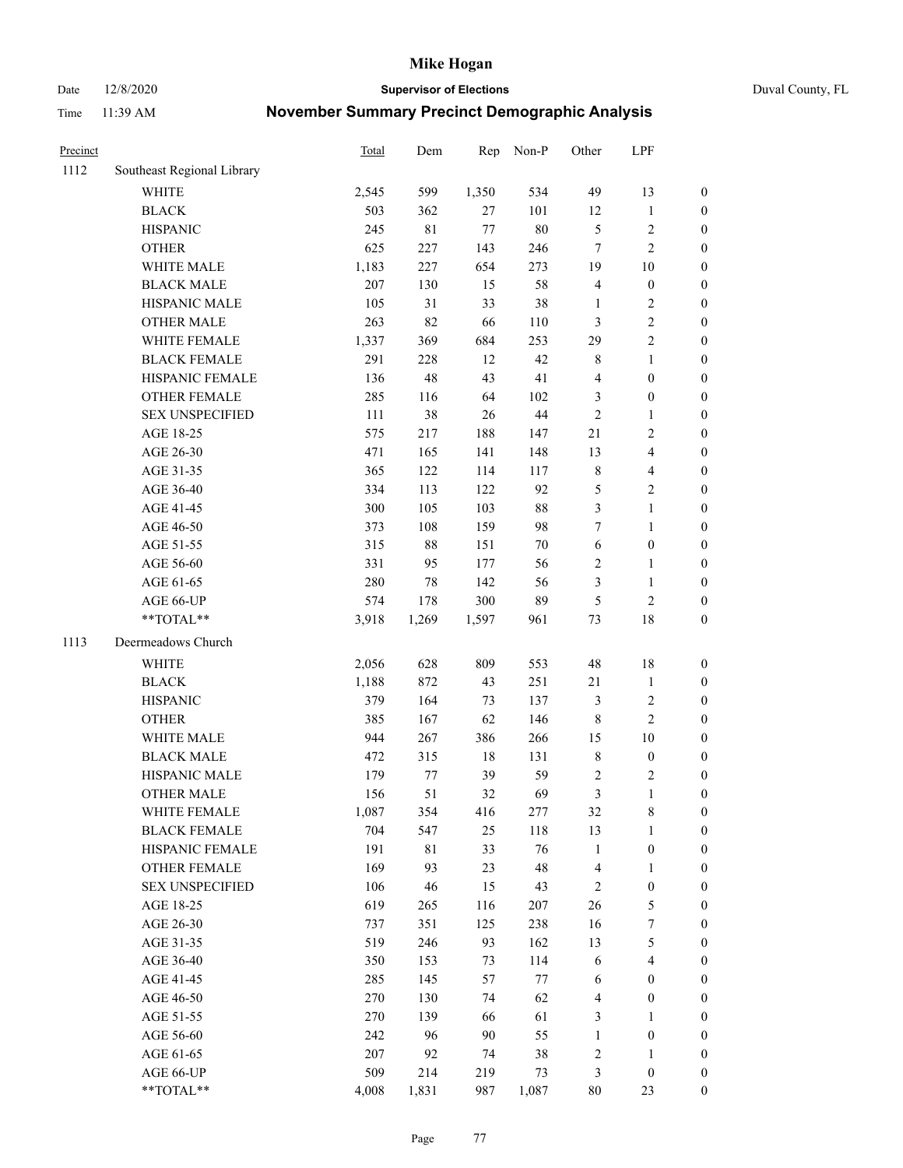Date 12/8/2020 **Supervisor of Elections** Duval County, FL

| Precinct |                            | Total | Dem         | Rep    | Non-P  | Other          | LPF              |                  |
|----------|----------------------------|-------|-------------|--------|--------|----------------|------------------|------------------|
| 1112     | Southeast Regional Library |       |             |        |        |                |                  |                  |
|          | <b>WHITE</b>               | 2,545 | 599         | 1,350  | 534    | 49             | 13               | 0                |
|          | <b>BLACK</b>               | 503   | 362         | 27     | 101    | 12             | $\mathbf{1}$     | 0                |
|          | <b>HISPANIC</b>            | 245   | $8\sqrt{1}$ | $77\,$ | $80\,$ | 5              | $\sqrt{2}$       | $\boldsymbol{0}$ |
|          | <b>OTHER</b>               | 625   | 227         | 143    | 246    | 7              | $\sqrt{2}$       | $\boldsymbol{0}$ |
|          | WHITE MALE                 | 1,183 | 227         | 654    | 273    | 19             | 10               | $\boldsymbol{0}$ |
|          | <b>BLACK MALE</b>          | 207   | 130         | 15     | 58     | 4              | $\boldsymbol{0}$ | $\boldsymbol{0}$ |
|          | HISPANIC MALE              | 105   | 31          | 33     | 38     | $\mathbf{1}$   | $\sqrt{2}$       | $\boldsymbol{0}$ |
|          | <b>OTHER MALE</b>          | 263   | 82          | 66     | 110    | 3              | $\sqrt{2}$       | $\boldsymbol{0}$ |
|          | WHITE FEMALE               | 1,337 | 369         | 684    | 253    | 29             | $\sqrt{2}$       | $\boldsymbol{0}$ |
|          | <b>BLACK FEMALE</b>        | 291   | 228         | 12     | 42     | 8              | $\mathbf{1}$     | $\boldsymbol{0}$ |
|          | HISPANIC FEMALE            | 136   | 48          | 43     | 41     | 4              | $\boldsymbol{0}$ | $\boldsymbol{0}$ |
|          | <b>OTHER FEMALE</b>        | 285   | 116         | 64     | 102    | 3              | $\boldsymbol{0}$ | $\boldsymbol{0}$ |
|          | <b>SEX UNSPECIFIED</b>     | 111   | 38          | 26     | $44\,$ | $\sqrt{2}$     | $\mathbf{1}$     | $\boldsymbol{0}$ |
|          | AGE 18-25                  | 575   | 217         | 188    | 147    | 21             | $\sqrt{2}$       | $\boldsymbol{0}$ |
|          | AGE 26-30                  | 471   | 165         | 141    | 148    | 13             | $\overline{4}$   | $\boldsymbol{0}$ |
|          | AGE 31-35                  | 365   | 122         | 114    | 117    | $\,$ $\,$      | $\overline{4}$   | $\boldsymbol{0}$ |
|          | AGE 36-40                  | 334   | 113         | 122    | 92     | 5              | $\sqrt{2}$       | $\boldsymbol{0}$ |
|          | AGE 41-45                  | 300   | 105         | 103    | $88\,$ | 3              | $\mathbf{1}$     | $\boldsymbol{0}$ |
|          | AGE 46-50                  | 373   | 108         | 159    | 98     | 7              | $\mathbf{1}$     | $\boldsymbol{0}$ |
|          | AGE 51-55                  | 315   | $88\,$      | 151    | $70\,$ | 6              | $\boldsymbol{0}$ | 0                |
|          | AGE 56-60                  | 331   | 95          | 177    | 56     | $\overline{c}$ | 1                | 0                |
|          | AGE 61-65                  | 280   | 78          | 142    | 56     | 3              | $\mathbf{1}$     | 0                |
|          | AGE 66-UP                  | 574   | 178         | 300    | 89     | 5              | $\sqrt{2}$       | $\boldsymbol{0}$ |
|          | $**TOTAL**$                | 3,918 | 1,269       | 1,597  | 961    | 73             | 18               | $\boldsymbol{0}$ |
| 1113     | Deermeadows Church         |       |             |        |        |                |                  |                  |
|          | <b>WHITE</b>               | 2,056 | 628         | 809    | 553    | 48             | 18               | $\boldsymbol{0}$ |
|          | <b>BLACK</b>               | 1,188 | 872         | 43     | 251    | $21\,$         | $\mathbf{1}$     | $\boldsymbol{0}$ |
|          | <b>HISPANIC</b>            | 379   | 164         | 73     | 137    | 3              | $\sqrt{2}$       | $\boldsymbol{0}$ |
|          | <b>OTHER</b>               | 385   | 167         | 62     | 146    | 8              | $\overline{2}$   | $\boldsymbol{0}$ |
|          | WHITE MALE                 | 944   | 267         | 386    | 266    | 15             | 10               | $\boldsymbol{0}$ |
|          | <b>BLACK MALE</b>          | 472   | 315         | $18\,$ | 131    | $\,$ $\,$      | $\boldsymbol{0}$ | $\boldsymbol{0}$ |
|          | HISPANIC MALE              | 179   | 77          | 39     | 59     | 2              | $\sqrt{2}$       | $\boldsymbol{0}$ |
|          | <b>OTHER MALE</b>          | 156   | 51          | 32     | 69     | 3              | $\mathbf{1}$     | $\boldsymbol{0}$ |
|          | WHITE FEMALE               | 1,087 | 354         | 416    | 277    | 32             | 8                | 0                |
|          | <b>BLACK FEMALE</b>        | 704   | 547         | 25     | 118    | 13             | $\mathbf{1}$     | $\boldsymbol{0}$ |
|          | HISPANIC FEMALE            | 191   | $8\sqrt{1}$ | 33     | 76     | $\mathbf{1}$   | $\boldsymbol{0}$ | $\overline{0}$   |
|          | <b>OTHER FEMALE</b>        | 169   | 93          | 23     | 48     | 4              | $\mathbf{1}$     | $\overline{0}$   |
|          | <b>SEX UNSPECIFIED</b>     | 106   | 46          | 15     | 43     | 2              | $\boldsymbol{0}$ | 0                |
|          | AGE 18-25                  | 619   | 265         | 116    | 207    | 26             | $\mathfrak s$    | 0                |
|          | AGE 26-30                  | 737   | 351         | 125    | 238    | 16             | 7                | 0                |
|          | AGE 31-35                  | 519   | 246         | 93     | 162    | 13             | $\mathfrak s$    | 0                |
|          | AGE 36-40                  | 350   | 153         | 73     | 114    | 6              | $\overline{4}$   | 0                |
|          | AGE 41-45                  | 285   | 145         | 57     | 77     | 6              | $\boldsymbol{0}$ | 0                |
|          | AGE 46-50                  | 270   | 130         | 74     | 62     | 4              | $\boldsymbol{0}$ | 0                |
|          | AGE 51-55                  | 270   | 139         | 66     | 61     | 3              | 1                | 0                |
|          | AGE 56-60                  | 242   | 96          | 90     | 55     | $\mathbf{1}$   | $\boldsymbol{0}$ | 0                |
|          | AGE 61-65                  | 207   | 92          | 74     | 38     | 2              | 1                | 0                |
|          | AGE 66-UP                  | 509   | 214         | 219    | 73     | 3              | $\boldsymbol{0}$ | 0                |
|          | **TOTAL**                  | 4,008 | 1,831       | 987    | 1,087  | 80             | 23               | $\boldsymbol{0}$ |
|          |                            |       |             |        |        |                |                  |                  |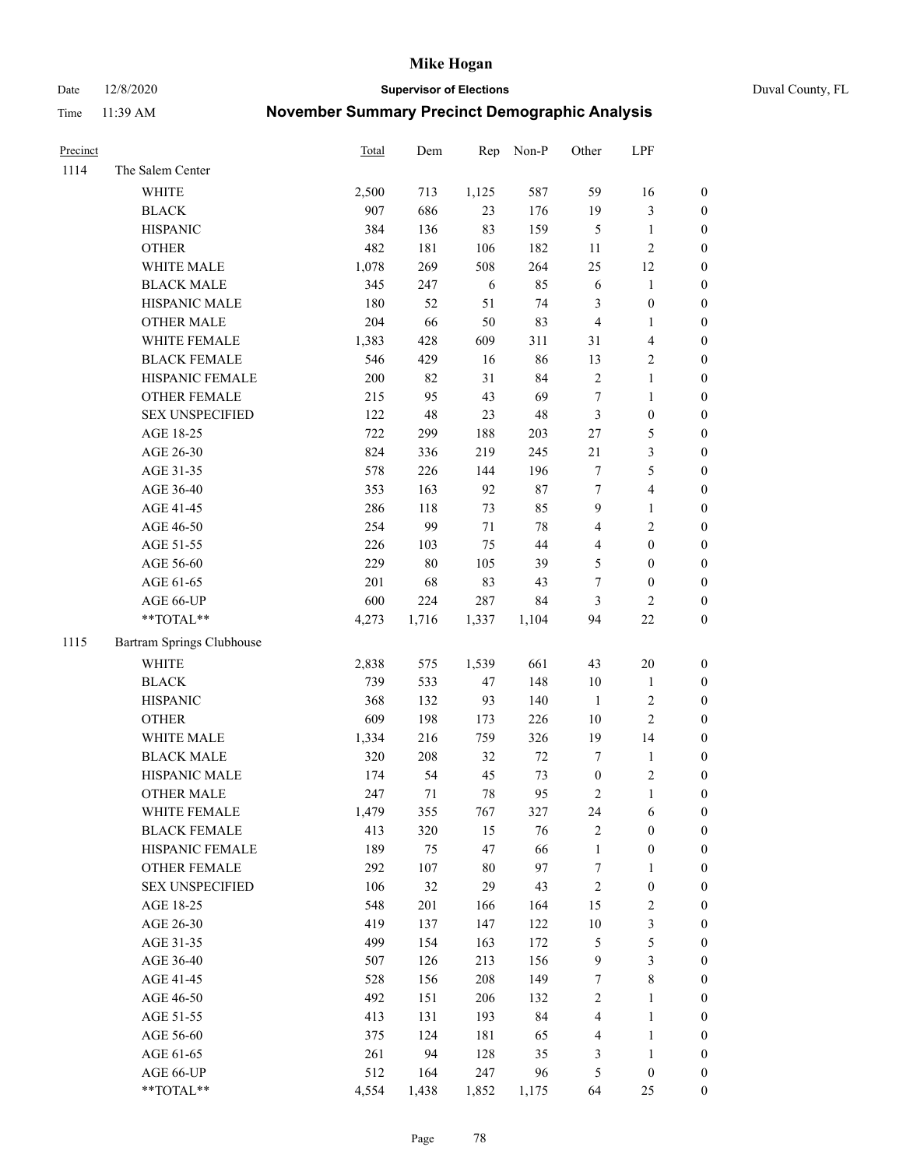Date 12/8/2020 **Supervisor of Elections** Duval County, FL

| Precinct |                                                            | Total | Dem   | Rep   | Non-P  | Other            | LPF              |                  |
|----------|------------------------------------------------------------|-------|-------|-------|--------|------------------|------------------|------------------|
| 1114     | The Salem Center                                           |       |       |       |        |                  |                  |                  |
|          | WHITE                                                      | 2,500 | 713   | 1,125 | 587    | 59               | 16               | 0                |
|          | <b>BLACK</b>                                               | 907   | 686   | 23    | 176    | 19               | $\mathfrak{Z}$   | 0                |
|          | <b>HISPANIC</b>                                            | 384   | 136   | 83    | 159    | 5                | $\mathbf{1}$     | $\boldsymbol{0}$ |
|          | <b>OTHER</b>                                               | 482   | 181   | 106   | 182    | 11               | $\sqrt{2}$       | $\boldsymbol{0}$ |
|          | WHITE MALE                                                 | 1,078 | 269   | 508   | 264    | 25               | 12               | $\boldsymbol{0}$ |
|          | <b>BLACK MALE</b>                                          | 345   | 247   | 6     | 85     | 6                | 1                | $\boldsymbol{0}$ |
|          | HISPANIC MALE                                              | 180   | 52    | 51    | 74     | 3                | $\boldsymbol{0}$ | $\boldsymbol{0}$ |
|          | <b>OTHER MALE</b>                                          | 204   | 66    | 50    | 83     | $\overline{4}$   | $\mathbf{1}$     | $\boldsymbol{0}$ |
|          | WHITE FEMALE                                               | 1,383 | 428   | 609   | 311    | 31               | $\overline{4}$   | $\boldsymbol{0}$ |
|          | <b>BLACK FEMALE</b>                                        | 546   | 429   | 16    | 86     | 13               | $\sqrt{2}$       | 0                |
|          | HISPANIC FEMALE                                            | 200   | 82    | 31    | 84     | $\mathbf{2}$     | $\mathbf{1}$     | 0                |
|          | OTHER FEMALE                                               | 215   | 95    | 43    | 69     | $\boldsymbol{7}$ | $\mathbf{1}$     | $\boldsymbol{0}$ |
|          | <b>SEX UNSPECIFIED</b>                                     | 122   | 48    | 23    | 48     | 3                | $\boldsymbol{0}$ | $\boldsymbol{0}$ |
|          | AGE 18-25                                                  | 722   | 299   | 188   | 203    | $27\,$           | $\mathfrak s$    | $\boldsymbol{0}$ |
|          | AGE 26-30                                                  | 824   | 336   | 219   | 245    | $21\,$           | $\mathfrak{Z}$   | $\boldsymbol{0}$ |
|          | AGE 31-35                                                  | 578   | 226   | 144   | 196    | 7                | 5                | $\boldsymbol{0}$ |
|          | AGE 36-40                                                  | 353   | 163   | 92    | $87\,$ | $\boldsymbol{7}$ | $\overline{4}$   | $\boldsymbol{0}$ |
|          | AGE 41-45                                                  | 286   | 118   | 73    | 85     | 9                | $\mathbf{1}$     | $\boldsymbol{0}$ |
|          | AGE 46-50                                                  | 254   | 99    | 71    | 78     | 4                | $\sqrt{2}$       | $\boldsymbol{0}$ |
|          | AGE 51-55                                                  | 226   | 103   | 75    | $44\,$ | 4                | $\boldsymbol{0}$ | $\boldsymbol{0}$ |
|          | AGE 56-60                                                  | 229   | 80    | 105   | 39     | 5                | $\boldsymbol{0}$ | 0                |
|          | AGE 61-65                                                  | 201   | 68    | 83    | 43     | $\boldsymbol{7}$ | $\boldsymbol{0}$ | 0                |
|          | AGE 66-UP                                                  | 600   | 224   | 287   | 84     | 3                | $\mathfrak{2}$   | $\boldsymbol{0}$ |
|          | $**TOTAL**$                                                | 4,273 | 1,716 | 1,337 | 1,104  | 94               | $22\,$           | $\boldsymbol{0}$ |
| 1115     | Bartram Springs Clubhouse                                  |       |       |       |        |                  |                  |                  |
|          | <b>WHITE</b>                                               | 2,838 | 575   | 1,539 | 661    | 43               | 20               | $\boldsymbol{0}$ |
|          | <b>BLACK</b>                                               | 739   | 533   | 47    | 148    | 10               | $\mathbf{1}$     | $\boldsymbol{0}$ |
|          | <b>HISPANIC</b>                                            | 368   | 132   | 93    | 140    | $\mathbf{1}$     | $\sqrt{2}$       | $\boldsymbol{0}$ |
|          | <b>OTHER</b>                                               | 609   | 198   | 173   | 226    | 10               | $\sqrt{2}$       | $\boldsymbol{0}$ |
|          | WHITE MALE                                                 | 1,334 | 216   | 759   | 326    | 19               | 14               | $\boldsymbol{0}$ |
|          | <b>BLACK MALE</b>                                          | 320   | 208   | 32    | $72\,$ | 7                | $\mathbf{1}$     | $\boldsymbol{0}$ |
|          | HISPANIC MALE                                              | 174   | 54    | 45    | 73     | $\boldsymbol{0}$ | $\sqrt{2}$       | 0                |
|          | <b>OTHER MALE</b>                                          | 247   | 71    | 78    | 95     | 2                | $\mathbf{1}$     | 0                |
|          | WHITE FEMALE                                               | 1,479 | 355   | 767   | 327    | 24               | 6                | 0                |
|          | <b>BLACK FEMALE</b>                                        | 413   | 320   | 15    | 76     | 2                | $\boldsymbol{0}$ | $\boldsymbol{0}$ |
|          | HISPANIC FEMALE                                            | 189   | 75    | 47    | 66     | 1                | $\boldsymbol{0}$ | $\overline{0}$   |
|          | OTHER FEMALE                                               | 292   | 107   | 80    | 97     | 7                | $\mathbf{1}$     | $\overline{0}$   |
|          | <b>SEX UNSPECIFIED</b>                                     | 106   | 32    | 29    | 43     | 2                | $\boldsymbol{0}$ | 0                |
|          | AGE 18-25                                                  | 548   | 201   | 166   | 164    | 15               | $\sqrt{2}$       | 0                |
|          | AGE 26-30                                                  | 419   | 137   | 147   | 122    | $10\,$           | 3                | 0                |
|          | AGE 31-35                                                  | 499   | 154   | 163   | 172    | 5                | 5                | 0                |
|          | AGE 36-40                                                  | 507   | 126   | 213   | 156    | 9                | $\mathfrak{Z}$   | 0                |
|          | AGE 41-45                                                  | 528   | 156   | 208   | 149    | 7                | $\,$ 8 $\,$      | 0                |
|          | AGE 46-50                                                  | 492   | 151   | 206   | 132    | 2                | $\mathbf{1}$     | 0                |
|          | AGE 51-55                                                  | 413   | 131   | 193   | 84     | 4                | $\mathbf{1}$     | 0                |
|          | AGE 56-60                                                  | 375   | 124   | 181   | 65     | 4                | $\mathbf{1}$     | 0                |
|          | AGE 61-65                                                  | 261   | 94    | 128   | 35     | 3                | $\mathbf{1}$     | $\boldsymbol{0}$ |
|          | AGE 66-UP                                                  | 512   | 164   | 247   | 96     | 5                | $\boldsymbol{0}$ | 0                |
|          | $\mathrm{*}\mathrm{*} \mathrm{TOTAL} \mathrm{*}\mathrm{*}$ | 4,554 | 1,438 | 1,852 | 1,175  | 64               | 25               | $\boldsymbol{0}$ |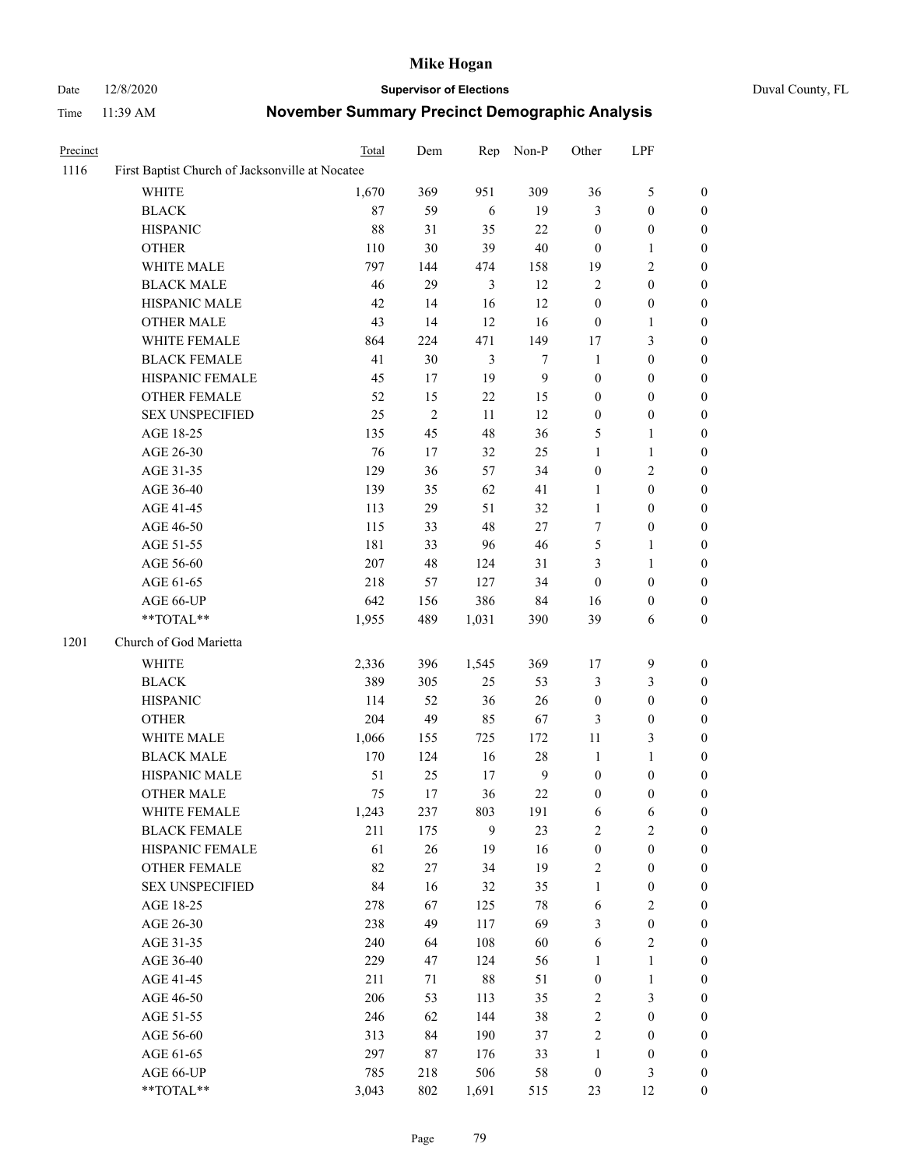# Date 12/8/2020 **Supervisor of Elections** Duval County, FL

| Precinct |                                                 | Total | Dem        | Rep            | Non-P          | Other            | LPF              |                  |
|----------|-------------------------------------------------|-------|------------|----------------|----------------|------------------|------------------|------------------|
| 1116     | First Baptist Church of Jacksonville at Nocatee |       |            |                |                |                  |                  |                  |
|          | <b>WHITE</b>                                    | 1,670 | 369        | 951            | 309            | 36               | $\mathfrak{S}$   | $\boldsymbol{0}$ |
|          | <b>BLACK</b>                                    | 87    | 59         | $\sqrt{6}$     | 19             | $\mathfrak{Z}$   | $\boldsymbol{0}$ | $\boldsymbol{0}$ |
|          | <b>HISPANIC</b>                                 | 88    | 31         | 35             | $22\,$         | $\boldsymbol{0}$ | $\boldsymbol{0}$ | $\boldsymbol{0}$ |
|          | <b>OTHER</b>                                    | 110   | 30         | 39             | $40\,$         | $\boldsymbol{0}$ | $\mathbf{1}$     | $\boldsymbol{0}$ |
|          | WHITE MALE                                      | 797   | 144        | 474            | 158            | 19               | $\mathfrak{2}$   | $\boldsymbol{0}$ |
|          | <b>BLACK MALE</b>                               | 46    | 29         | $\mathfrak{Z}$ | 12             | $\sqrt{2}$       | $\boldsymbol{0}$ | $\boldsymbol{0}$ |
|          | HISPANIC MALE                                   | 42    | 14         | 16             | 12             | $\boldsymbol{0}$ | $\boldsymbol{0}$ | 0                |
|          | <b>OTHER MALE</b>                               | 43    | 14         | 12             | 16             | $\boldsymbol{0}$ | 1                | 0                |
|          | WHITE FEMALE                                    | 864   | 224        | 471            | 149            | $17\,$           | $\mathfrak{Z}$   | $\boldsymbol{0}$ |
|          | <b>BLACK FEMALE</b>                             | 41    | $30\,$     | $\mathfrak{Z}$ | $\tau$         | $\mathbf{1}$     | $\boldsymbol{0}$ | $\boldsymbol{0}$ |
|          | HISPANIC FEMALE                                 | 45    | $17\,$     | 19             | 9              | $\boldsymbol{0}$ | $\boldsymbol{0}$ | $\boldsymbol{0}$ |
|          | OTHER FEMALE                                    | 52    | 15         | $22\,$         | 15             | $\boldsymbol{0}$ | $\boldsymbol{0}$ | $\boldsymbol{0}$ |
|          | <b>SEX UNSPECIFIED</b>                          | 25    | $\sqrt{2}$ | 11             | 12             | $\boldsymbol{0}$ | $\boldsymbol{0}$ | $\boldsymbol{0}$ |
|          | AGE 18-25                                       | 135   | 45         | 48             | 36             | 5                | $\mathbf{1}$     | $\boldsymbol{0}$ |
|          | AGE 26-30                                       | 76    | $17\,$     | 32             | 25             | $\mathbf{1}$     | $\mathbf{1}$     | $\boldsymbol{0}$ |
|          | AGE 31-35                                       | 129   | 36         | 57             | 34             | $\boldsymbol{0}$ | $\sqrt{2}$       | $\boldsymbol{0}$ |
|          | AGE 36-40                                       | 139   | 35         | 62             | 41             | 1                | $\boldsymbol{0}$ | 0                |
|          | AGE 41-45                                       | 113   | 29         | 51             | 32             | $\mathbf{1}$     | $\boldsymbol{0}$ | 0                |
|          | AGE 46-50                                       | 115   | 33         | 48             | $27\,$         | 7                | $\boldsymbol{0}$ | 0                |
|          | AGE 51-55                                       | 181   | 33         | 96             | $46\,$         | 5                | $\mathbf{1}$     | $\boldsymbol{0}$ |
|          | AGE 56-60                                       | 207   | 48         | 124            | 31             | 3                | $\mathbf{1}$     | $\boldsymbol{0}$ |
|          | AGE 61-65                                       | 218   | 57         | 127            | 34             | $\boldsymbol{0}$ | $\boldsymbol{0}$ | $\boldsymbol{0}$ |
|          | AGE 66-UP                                       | 642   | 156        | 386            | 84             | 16               | $\boldsymbol{0}$ | $\boldsymbol{0}$ |
|          | **TOTAL**                                       | 1,955 | 489        | 1,031          | 390            | 39               | 6                | $\boldsymbol{0}$ |
| 1201     | Church of God Marietta                          |       |            |                |                |                  |                  |                  |
|          | WHITE                                           | 2,336 | 396        | 1,545          | 369            | 17               | $\boldsymbol{9}$ | $\boldsymbol{0}$ |
|          | <b>BLACK</b>                                    | 389   | 305        | 25             | 53             | 3                | $\mathfrak{Z}$   | $\boldsymbol{0}$ |
|          | <b>HISPANIC</b>                                 | 114   | 52         | 36             | $26\,$         | $\boldsymbol{0}$ | $\boldsymbol{0}$ | $\boldsymbol{0}$ |
|          | <b>OTHER</b>                                    | 204   | 49         | 85             | 67             | 3                | $\boldsymbol{0}$ | 0                |
|          | WHITE MALE                                      | 1,066 | 155        | 725            | 172            | 11               | $\mathfrak{Z}$   | 0                |
|          | <b>BLACK MALE</b>                               | 170   | 124        | 16             | $28\,$         | $\mathbf{1}$     | $\mathbf{1}$     | 0                |
|          | HISPANIC MALE                                   | 51    | 25         | 17             | $\overline{9}$ | $\boldsymbol{0}$ | $\boldsymbol{0}$ | 0                |
|          | <b>OTHER MALE</b>                               | 75    | 17         | 36             | 22             | $\boldsymbol{0}$ | $\boldsymbol{0}$ | $\boldsymbol{0}$ |
|          | WHITE FEMALE                                    | 1,243 | 237        | 803            | 191            | 6                | 6                | $\boldsymbol{0}$ |
|          | <b>BLACK FEMALE</b>                             | 211   | 175        | 9              | 23             | $\sqrt{2}$       | $\sqrt{2}$       | $\overline{0}$   |
|          | HISPANIC FEMALE                                 | 61    | 26         | 19             | 16             | $\boldsymbol{0}$ | $\boldsymbol{0}$ | $\theta$         |
|          | <b>OTHER FEMALE</b>                             | 82    | $27\,$     | 34             | 19             | 2                | $\boldsymbol{0}$ | 0                |
|          | <b>SEX UNSPECIFIED</b>                          | 84    | 16         | 32             | 35             | $\mathbf{1}$     | $\boldsymbol{0}$ | 0                |
|          | AGE 18-25                                       | 278   | 67         | 125            | 78             | 6                | $\sqrt{2}$       | 0                |
|          | AGE 26-30                                       | 238   | 49         | 117            | 69             | 3                | $\boldsymbol{0}$ | 0                |
|          | AGE 31-35                                       | 240   | 64         | 108            | 60             | 6                | $\sqrt{2}$       | 0                |
|          | AGE 36-40                                       | 229   | 47         | 124            | 56             | $\mathbf{1}$     | $\mathbf{1}$     | 0                |
|          | AGE 41-45                                       | 211   | 71         | $88\,$         | 51             | $\boldsymbol{0}$ | $\mathbf{1}$     | $\boldsymbol{0}$ |
|          | AGE 46-50                                       | 206   | 53         | 113            | 35             | $\boldsymbol{2}$ | $\mathfrak{Z}$   | $\overline{0}$   |
|          | AGE 51-55                                       | 246   | 62         | 144            | 38             | $\sqrt{2}$       | $\boldsymbol{0}$ | $\boldsymbol{0}$ |
|          | AGE 56-60                                       | 313   | 84         | 190            | 37             | $\sqrt{2}$       | $\boldsymbol{0}$ | $\overline{0}$   |
|          | AGE 61-65                                       | 297   | 87         | 176            | 33             | $\mathbf{1}$     | $\boldsymbol{0}$ | 0                |
|          | AGE 66-UP                                       | 785   | 218        | 506            | 58             | $\boldsymbol{0}$ | $\mathfrak{Z}$   | 0                |
|          | **TOTAL**                                       | 3,043 | 802        | 1,691          | 515            | 23               | 12               | $\boldsymbol{0}$ |
|          |                                                 |       |            |                |                |                  |                  |                  |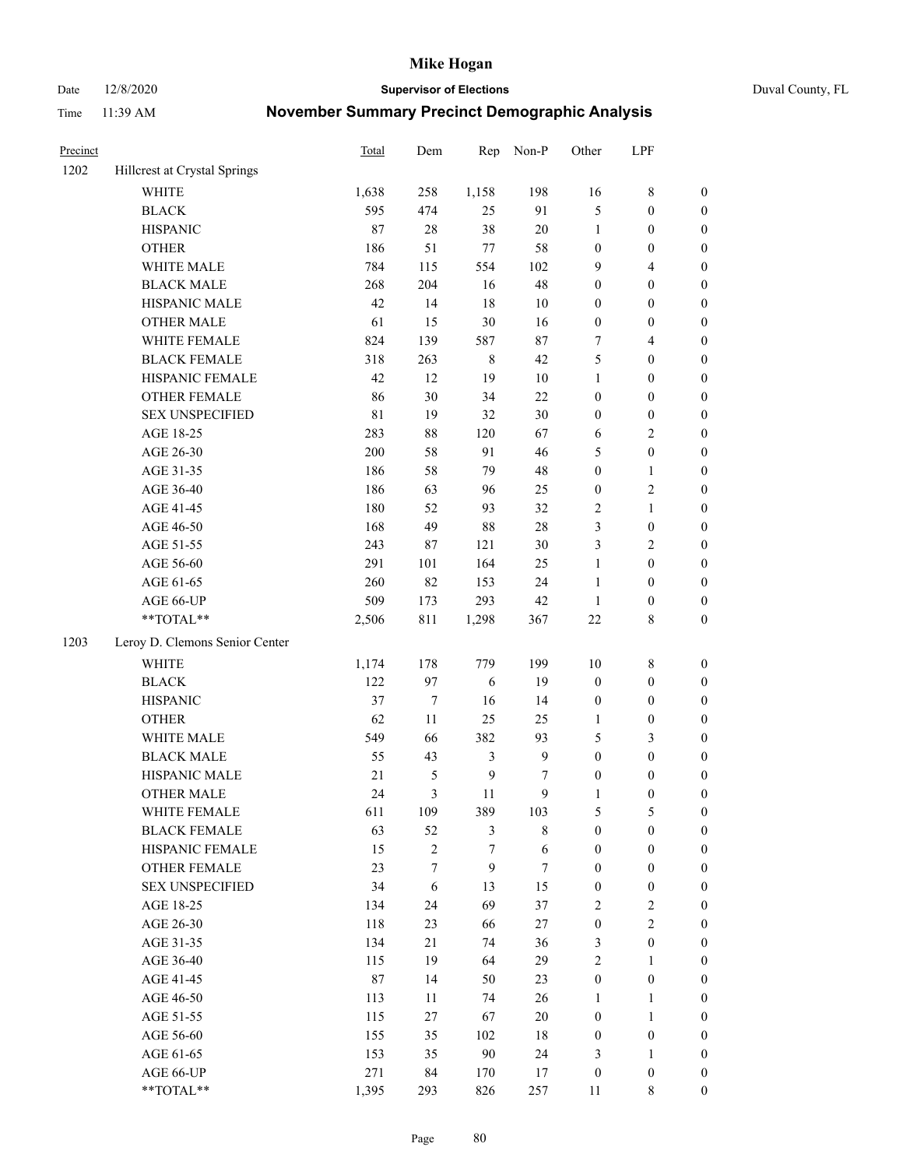Date 12/8/2020 **Supervisor of Elections** Duval County, FL

| Precinct |                                | Total | Dem              | Rep            | Non-P        | Other            | LPF              |                  |
|----------|--------------------------------|-------|------------------|----------------|--------------|------------------|------------------|------------------|
| 1202     | Hillcrest at Crystal Springs   |       |                  |                |              |                  |                  |                  |
|          | <b>WHITE</b>                   | 1,638 | 258              | 1,158          | 198          | 16               | $\,$ 8 $\,$      | 0                |
|          | <b>BLACK</b>                   | 595   | 474              | 25             | 91           | 5                | $\boldsymbol{0}$ | $\boldsymbol{0}$ |
|          | <b>HISPANIC</b>                | 87    | $28\,$           | 38             | $20\,$       | $\mathbf{1}$     | $\boldsymbol{0}$ | $\boldsymbol{0}$ |
|          | <b>OTHER</b>                   | 186   | 51               | $77\,$         | 58           | $\boldsymbol{0}$ | $\boldsymbol{0}$ | $\boldsymbol{0}$ |
|          | WHITE MALE                     | 784   | 115              | 554            | 102          | 9                | $\overline{4}$   | $\boldsymbol{0}$ |
|          | <b>BLACK MALE</b>              | 268   | 204              | 16             | 48           | 0                | $\boldsymbol{0}$ | $\boldsymbol{0}$ |
|          | HISPANIC MALE                  | 42    | 14               | 18             | $10\,$       | 0                | $\boldsymbol{0}$ | $\boldsymbol{0}$ |
|          | <b>OTHER MALE</b>              | 61    | 15               | 30             | 16           | $\boldsymbol{0}$ | $\boldsymbol{0}$ | $\boldsymbol{0}$ |
|          | WHITE FEMALE                   | 824   | 139              | 587            | $87\,$       | 7                | $\overline{4}$   | $\boldsymbol{0}$ |
|          | <b>BLACK FEMALE</b>            | 318   | 263              | $\,$ 8 $\,$    | 42           | 5                | $\boldsymbol{0}$ | $\boldsymbol{0}$ |
|          | HISPANIC FEMALE                | 42    | 12               | 19             | $10\,$       | $\mathbf{1}$     | $\boldsymbol{0}$ | 0                |
|          | <b>OTHER FEMALE</b>            | 86    | $30\,$           | 34             | 22           | $\boldsymbol{0}$ | $\boldsymbol{0}$ | $\boldsymbol{0}$ |
|          | <b>SEX UNSPECIFIED</b>         | 81    | 19               | 32             | $30\,$       | $\boldsymbol{0}$ | $\boldsymbol{0}$ | $\boldsymbol{0}$ |
|          | AGE 18-25                      | 283   | $88\,$           | 120            | 67           | 6                | $\sqrt{2}$       | $\boldsymbol{0}$ |
|          | AGE 26-30                      | 200   | 58               | 91             | 46           | 5                | $\boldsymbol{0}$ | $\boldsymbol{0}$ |
|          | AGE 31-35                      | 186   | 58               | 79             | 48           | $\boldsymbol{0}$ | $\mathbf{1}$     | $\boldsymbol{0}$ |
|          | AGE 36-40                      | 186   | 63               | 96             | 25           | $\boldsymbol{0}$ | $\sqrt{2}$       | $\boldsymbol{0}$ |
|          | AGE 41-45                      | 180   | 52               | 93             | 32           | 2                | $\mathbf{1}$     | $\boldsymbol{0}$ |
|          | AGE 46-50                      | 168   | 49               | $88\,$         | $28\,$       | 3                | $\boldsymbol{0}$ | $\boldsymbol{0}$ |
|          | AGE 51-55                      | 243   | 87               | 121            | $30\,$       | 3                | $\sqrt{2}$       | $\boldsymbol{0}$ |
|          | AGE 56-60                      | 291   | 101              | 164            | 25           | $\mathbf{1}$     | $\boldsymbol{0}$ | 0                |
|          | AGE 61-65                      | 260   | 82               | 153            | 24           | $\mathbf{1}$     | $\boldsymbol{0}$ | 0                |
|          | AGE 66-UP                      | 509   | 173              | 293            | 42           | $\mathbf{1}$     | $\boldsymbol{0}$ | $\boldsymbol{0}$ |
|          | **TOTAL**                      | 2,506 | 811              | 1,298          | 367          | $22\,$           | $\,$ 8 $\,$      | $\boldsymbol{0}$ |
| 1203     | Leroy D. Clemons Senior Center |       |                  |                |              |                  |                  |                  |
|          | <b>WHITE</b>                   | 1,174 | 178              | 779            | 199          | $10\,$           | $\,$ 8 $\,$      | $\boldsymbol{0}$ |
|          | <b>BLACK</b>                   | 122   | 97               | $\sqrt{6}$     | 19           | $\boldsymbol{0}$ | $\boldsymbol{0}$ | $\boldsymbol{0}$ |
|          | <b>HISPANIC</b>                | 37    | $\boldsymbol{7}$ | 16             | 14           | $\boldsymbol{0}$ | $\boldsymbol{0}$ | $\boldsymbol{0}$ |
|          | <b>OTHER</b>                   | 62    | 11               | 25             | 25           | $\mathbf{1}$     | $\boldsymbol{0}$ | $\boldsymbol{0}$ |
|          | WHITE MALE                     | 549   | 66               | 382            | 93           | 5                | 3                | $\boldsymbol{0}$ |
|          | <b>BLACK MALE</b>              | 55    | 43               | 3              | $\mathbf{9}$ | $\boldsymbol{0}$ | $\boldsymbol{0}$ | $\boldsymbol{0}$ |
|          | HISPANIC MALE                  | 21    | $\mathfrak{S}$   | $\overline{9}$ | 7            | $\boldsymbol{0}$ | $\boldsymbol{0}$ | $\boldsymbol{0}$ |
|          | <b>OTHER MALE</b>              | 24    | 3                | 11             | 9            | $\mathbf{1}$     | $\boldsymbol{0}$ | $\boldsymbol{0}$ |
|          | WHITE FEMALE                   | 611   | 109              | 389            | 103          | 5                | 5                | 0                |
|          | <b>BLACK FEMALE</b>            | 63    | 52               | 3              | $8\,$        | $\boldsymbol{0}$ | $\boldsymbol{0}$ | $\overline{0}$   |
|          | HISPANIC FEMALE                | 15    | $\sqrt{2}$       | 7              | $\sqrt{6}$   | $\boldsymbol{0}$ | $\boldsymbol{0}$ | $\overline{0}$   |
|          | <b>OTHER FEMALE</b>            | 23    | 7                | $\mathbf{9}$   | $\tau$       | $\boldsymbol{0}$ | $\boldsymbol{0}$ | $\overline{0}$   |
|          | <b>SEX UNSPECIFIED</b>         | 34    | 6                | 13             | 15           | $\boldsymbol{0}$ | $\boldsymbol{0}$ | 0                |
|          | AGE 18-25                      | 134   | 24               | 69             | 37           | 2                | $\sqrt{2}$       | 0                |
|          | AGE 26-30                      | 118   | 23               | 66             | $27\,$       | $\boldsymbol{0}$ | $\overline{c}$   | 0                |
|          | AGE 31-35                      | 134   | 21               | 74             | 36           | 3                | $\boldsymbol{0}$ | 0                |
|          | AGE 36-40                      | 115   | 19               | 64             | 29           | 2                | 1                | 0                |
|          | AGE 41-45                      | 87    | 14               | 50             | 23           | $\boldsymbol{0}$ | $\boldsymbol{0}$ | 0                |
|          | AGE 46-50                      | 113   | 11               | 74             | 26           | 1                | $\mathbf{1}$     | 0                |
|          | AGE 51-55                      | 115   | 27               | 67             | $20\,$       | $\boldsymbol{0}$ | $\mathbf{1}$     | 0                |
|          | AGE 56-60                      | 155   | 35               | 102            | 18           | $\boldsymbol{0}$ | $\boldsymbol{0}$ | $\overline{0}$   |
|          | AGE 61-65                      | 153   | 35               | 90             | 24           | 3                | 1                | $\overline{0}$   |
|          | AGE 66-UP                      | 271   | 84               | 170            | 17           | $\boldsymbol{0}$ | $\boldsymbol{0}$ | 0                |
|          | **TOTAL**                      | 1,395 | 293              | 826            | 257          | 11               | 8                | $\boldsymbol{0}$ |
|          |                                |       |                  |                |              |                  |                  |                  |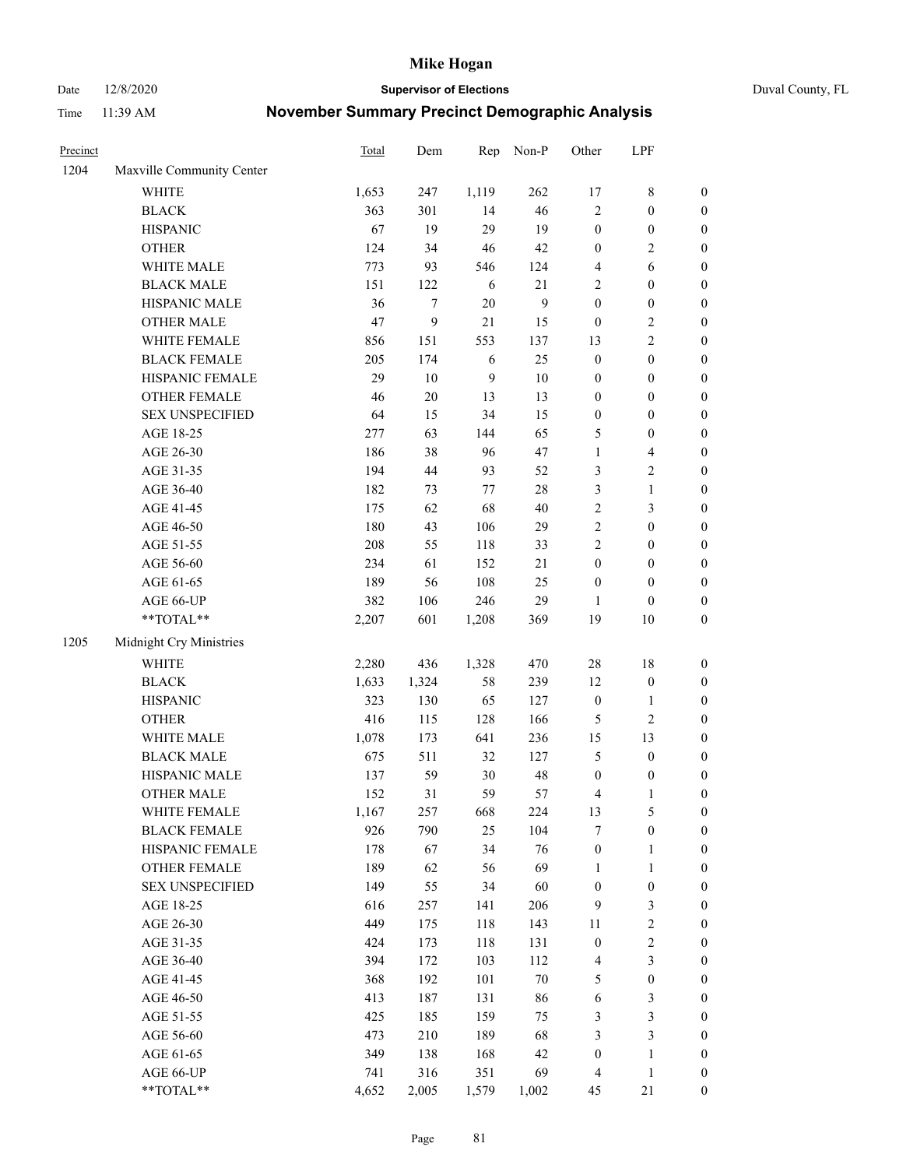Date 12/8/2020 **Supervisor of Elections** Duval County, FL

| Precinct |                                                           | Total                      | Dem                        | Rep                        | Non-P                   | Other                            | LPF                     |                  |
|----------|-----------------------------------------------------------|----------------------------|----------------------------|----------------------------|-------------------------|----------------------------------|-------------------------|------------------|
| 1204     | Maxville Community Center                                 |                            |                            |                            |                         |                                  |                         |                  |
|          | <b>WHITE</b>                                              | 1,653                      | 247                        | 1,119                      | 262                     | 17                               | $8\,$                   | 0                |
|          | <b>BLACK</b>                                              | 363                        | 301                        | 14                         | 46                      | $\overline{2}$                   | $\boldsymbol{0}$        | $\boldsymbol{0}$ |
|          | <b>HISPANIC</b>                                           | 67                         | 19                         | 29                         | 19                      | $\boldsymbol{0}$                 | $\boldsymbol{0}$        | $\boldsymbol{0}$ |
|          | <b>OTHER</b>                                              | 124                        | 34                         | 46                         | 42                      | $\boldsymbol{0}$                 | $\sqrt{2}$              | $\boldsymbol{0}$ |
|          | WHITE MALE                                                | 773                        | 93                         | 546                        | 124                     | 4                                | 6                       | $\boldsymbol{0}$ |
|          | <b>BLACK MALE</b>                                         | 151                        | 122                        | 6                          | 21                      | 2                                | $\boldsymbol{0}$        | $\boldsymbol{0}$ |
|          | HISPANIC MALE                                             | 36                         | $\tau$                     | 20                         | $\boldsymbol{9}$        | $\boldsymbol{0}$                 | $\boldsymbol{0}$        | $\boldsymbol{0}$ |
|          | <b>OTHER MALE</b>                                         | 47                         | 9                          | 21                         | 15                      | $\boldsymbol{0}$                 | $\sqrt{2}$              | $\boldsymbol{0}$ |
|          | WHITE FEMALE                                              | 856                        | 151                        | 553                        | 137                     | 13                               | $\overline{2}$          | $\boldsymbol{0}$ |
|          | <b>BLACK FEMALE</b>                                       | 205                        | 174                        | 6                          | 25                      | $\boldsymbol{0}$                 | $\boldsymbol{0}$        | $\boldsymbol{0}$ |
|          | HISPANIC FEMALE                                           | 29                         | 10                         | $\overline{9}$             | $10\,$                  | $\boldsymbol{0}$                 | $\boldsymbol{0}$        | $\boldsymbol{0}$ |
|          | OTHER FEMALE                                              | 46                         | $20\,$                     | 13                         | 13                      | $\boldsymbol{0}$                 | $\boldsymbol{0}$        | $\boldsymbol{0}$ |
|          | <b>SEX UNSPECIFIED</b>                                    | 64                         | 15                         | 34                         | 15                      | $\boldsymbol{0}$                 | $\boldsymbol{0}$        | $\boldsymbol{0}$ |
|          | AGE 18-25                                                 | 277                        | 63                         | 144                        | 65                      | 5                                | $\boldsymbol{0}$        | $\boldsymbol{0}$ |
|          | AGE 26-30                                                 | 186                        | 38                         | 96                         | 47                      | $\mathbf{1}$                     | $\overline{\mathbf{4}}$ | $\boldsymbol{0}$ |
|          | AGE 31-35                                                 | 194                        | 44                         | 93                         | 52                      | 3                                | $\sqrt{2}$              | $\boldsymbol{0}$ |
|          | AGE 36-40                                                 | 182                        | 73                         | 77                         | $28\,$                  | 3                                | $\mathbf{1}$            | $\boldsymbol{0}$ |
|          | AGE 41-45                                                 | 175                        | 62                         | 68                         | $40\,$                  | $\overline{c}$                   | 3                       | $\boldsymbol{0}$ |
|          | AGE 46-50                                                 | 180                        | 43                         | 106                        | 29                      | $\overline{2}$                   | $\boldsymbol{0}$        | $\boldsymbol{0}$ |
|          | AGE 51-55                                                 | 208                        | 55                         | 118                        | 33                      | $\overline{c}$                   | $\boldsymbol{0}$        | $\boldsymbol{0}$ |
|          | AGE 56-60                                                 | 234                        | 61                         | 152                        | 21                      | $\boldsymbol{0}$                 | $\boldsymbol{0}$        | 0                |
|          | AGE 61-65                                                 | 189                        | 56                         | 108                        | 25                      | $\boldsymbol{0}$                 | $\boldsymbol{0}$        | $\boldsymbol{0}$ |
|          | AGE 66-UP                                                 | 382                        | 106                        | 246                        | 29                      | 1                                | $\boldsymbol{0}$        | $\boldsymbol{0}$ |
|          | $\mathrm{*}\mathrm{*}\mathrm{TOTAL} \mathrm{*}\mathrm{*}$ | 2,207                      | 601                        | 1,208                      | 369                     | 19                               | $10\,$                  | $\boldsymbol{0}$ |
| 1205     | Midnight Cry Ministries                                   |                            |                            |                            |                         |                                  |                         |                  |
|          | <b>WHITE</b>                                              | 2,280                      | 436                        | 1,328                      | 470                     | $28\,$                           | $18\,$                  | $\boldsymbol{0}$ |
|          | <b>BLACK</b>                                              | 1,633                      | 1,324                      | 58                         | 239                     | 12                               | $\boldsymbol{0}$        | $\boldsymbol{0}$ |
|          | <b>HISPANIC</b>                                           | 323                        | 130                        | 65                         | 127                     | $\boldsymbol{0}$                 | $\mathbf{1}$            | $\boldsymbol{0}$ |
|          | <b>OTHER</b>                                              | 416                        | 115                        | 128                        | 166                     | 5                                | $\sqrt{2}$              | $\boldsymbol{0}$ |
|          | WHITE MALE                                                | 1,078                      | 173                        | 641                        | 236                     | 15                               | 13                      | $\boldsymbol{0}$ |
|          | <b>BLACK MALE</b>                                         | 675                        | 511                        | 32                         | 127                     | 5                                | $\boldsymbol{0}$        | $\boldsymbol{0}$ |
|          | HISPANIC MALE                                             | 137                        | 59                         | 30                         | 48                      | $\boldsymbol{0}$                 | $\boldsymbol{0}$        | 0                |
|          | OTHER MALE                                                | 152                        | 31                         | 59                         | 57                      | 4                                | $\mathbf{1}$            | $\boldsymbol{0}$ |
|          | WHITE FEMALE                                              | 1,167                      | 257                        | 668                        | 224                     | 13                               | 5                       | 0                |
|          | <b>BLACK FEMALE</b>                                       | 926                        | 790                        | 25                         | 104                     | 7                                | $\boldsymbol{0}$        | $\boldsymbol{0}$ |
|          | HISPANIC FEMALE                                           | 178                        | 67                         | 34                         | 76                      | $\boldsymbol{0}$                 | $\mathbf{1}$            | $\boldsymbol{0}$ |
|          | <b>OTHER FEMALE</b>                                       | 189                        | 62                         | 56                         | 69                      | $\mathbf{1}$                     | $\mathbf{1}$            | $\overline{0}$   |
|          | <b>SEX UNSPECIFIED</b>                                    | 149                        | 55                         | 34                         | 60                      | $\boldsymbol{0}$                 | $\boldsymbol{0}$        | 0                |
|          | AGE 18-25                                                 | 616                        | 257                        | 141                        | 206                     | 9                                | $\mathfrak{Z}$          | 0                |
|          | AGE 26-30                                                 | 449                        | 175                        | 118                        | 143                     | 11                               | $\sqrt{2}$              | 0                |
|          | AGE 31-35                                                 | 424                        | 173                        | 118                        | 131                     | $\boldsymbol{0}$                 | $\sqrt{2}$              | 0                |
|          | AGE 36-40                                                 | 394                        | 172                        | 103                        | 112                     | 4                                | $\mathfrak{Z}$          | 0                |
|          | AGE 41-45                                                 | 368                        | 192                        | 101                        | $70\,$                  | 5                                | $\boldsymbol{0}$        | 0                |
|          | AGE 46-50                                                 | 413                        | 187                        | 131                        | 86                      | 6                                | $\mathfrak{Z}$          | 0                |
|          | AGE 51-55                                                 | 425                        | 185                        | 159                        | 75                      | 3                                | $\mathfrak{Z}$          | $\boldsymbol{0}$ |
|          |                                                           |                            |                            |                            |                         |                                  |                         | $\boldsymbol{0}$ |
|          |                                                           |                            |                            |                            |                         |                                  | $\mathbf{1}$            | $\boldsymbol{0}$ |
|          |                                                           |                            |                            |                            |                         |                                  | $\mathbf{1}$            | $\boldsymbol{0}$ |
|          | **TOTAL**                                                 |                            |                            |                            |                         |                                  |                         | $\boldsymbol{0}$ |
|          | AGE 56-60<br>AGE 61-65<br>AGE 66-UP                       | 473<br>349<br>741<br>4,652 | 210<br>138<br>316<br>2,005 | 189<br>168<br>351<br>1,579 | 68<br>42<br>69<br>1,002 | 3<br>$\boldsymbol{0}$<br>4<br>45 | $\mathfrak{Z}$<br>21    |                  |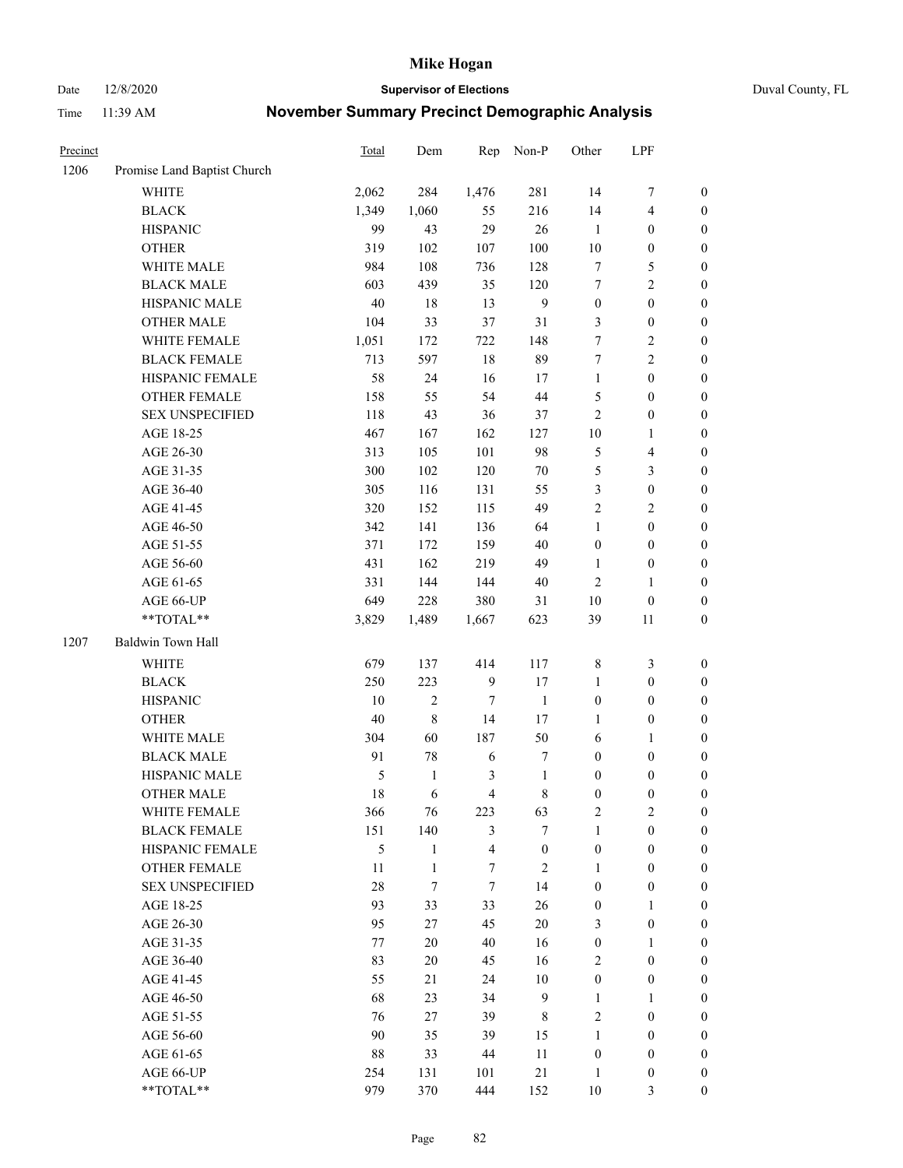Date 12/8/2020 **Supervisor of Elections** Duval County, FL

| Precinct |                             | <b>Total</b> | Dem          | Rep                     | Non-P            | Other            | LPF                     |                  |
|----------|-----------------------------|--------------|--------------|-------------------------|------------------|------------------|-------------------------|------------------|
| 1206     | Promise Land Baptist Church |              |              |                         |                  |                  |                         |                  |
|          | <b>WHITE</b>                | 2,062        | 284          | 1,476                   | 281              | 14               | $\boldsymbol{7}$        | 0                |
|          | <b>BLACK</b>                | 1,349        | 1,060        | 55                      | 216              | 14               | $\overline{\mathbf{4}}$ | $\boldsymbol{0}$ |
|          | <b>HISPANIC</b>             | 99           | 43           | 29                      | 26               | 1                | $\boldsymbol{0}$        | $\boldsymbol{0}$ |
|          | <b>OTHER</b>                | 319          | 102          | 107                     | 100              | 10               | $\boldsymbol{0}$        | $\boldsymbol{0}$ |
|          | WHITE MALE                  | 984          | 108          | 736                     | 128              | 7                | 5                       | $\boldsymbol{0}$ |
|          | <b>BLACK MALE</b>           | 603          | 439          | 35                      | 120              | 7                | $\sqrt{2}$              | $\boldsymbol{0}$ |
|          | HISPANIC MALE               | 40           | 18           | 13                      | $\overline{9}$   | $\boldsymbol{0}$ | $\boldsymbol{0}$        | $\boldsymbol{0}$ |
|          | <b>OTHER MALE</b>           | 104          | 33           | 37                      | 31               | 3                | $\boldsymbol{0}$        | $\boldsymbol{0}$ |
|          | WHITE FEMALE                | 1,051        | 172          | 722                     | 148              | 7                | $\sqrt{2}$              | $\boldsymbol{0}$ |
|          | <b>BLACK FEMALE</b>         | 713          | 597          | 18                      | 89               | 7                | $\sqrt{2}$              | $\boldsymbol{0}$ |
|          | HISPANIC FEMALE             | 58           | 24           | 16                      | 17               | $\mathbf{1}$     | $\boldsymbol{0}$        | $\boldsymbol{0}$ |
|          | OTHER FEMALE                | 158          | 55           | 54                      | 44               | 5                | $\boldsymbol{0}$        | $\boldsymbol{0}$ |
|          | <b>SEX UNSPECIFIED</b>      | 118          | 43           | 36                      | 37               | $\mathbf{2}$     | $\boldsymbol{0}$        | $\boldsymbol{0}$ |
|          | AGE 18-25                   | 467          | 167          | 162                     | 127              | $10\,$           | 1                       | $\boldsymbol{0}$ |
|          | AGE 26-30                   | 313          | 105          | 101                     | 98               | 5                | $\overline{\mathbf{4}}$ | $\boldsymbol{0}$ |
|          | AGE 31-35                   | 300          | 102          | 120                     | $70\,$           | 5                | $\mathfrak{Z}$          | $\boldsymbol{0}$ |
|          | AGE 36-40                   | 305          | 116          | 131                     | 55               | 3                | $\boldsymbol{0}$        | $\boldsymbol{0}$ |
|          | AGE 41-45                   | 320          | 152          | 115                     | 49               | $\overline{c}$   | $\overline{2}$          | $\boldsymbol{0}$ |
|          | AGE 46-50                   | 342          | 141          | 136                     | 64               | $\mathbf{1}$     | $\boldsymbol{0}$        | $\boldsymbol{0}$ |
|          | AGE 51-55                   | 371          | 172          | 159                     | 40               | $\boldsymbol{0}$ | $\boldsymbol{0}$        | $\boldsymbol{0}$ |
|          | AGE 56-60                   | 431          | 162          | 219                     | 49               | 1                | $\boldsymbol{0}$        | 0                |
|          | AGE 61-65                   | 331          | 144          | 144                     | $40\,$           | $\mathbf{2}$     | $\mathbf{1}$            | $\boldsymbol{0}$ |
|          | AGE 66-UP                   | 649          | 228          | 380                     | 31               | $10\,$           | $\boldsymbol{0}$        | $\boldsymbol{0}$ |
|          | **TOTAL**                   | 3,829        | 1,489        | 1,667                   | 623              | 39               | 11                      | $\boldsymbol{0}$ |
| 1207     | Baldwin Town Hall           |              |              |                         |                  |                  |                         |                  |
|          | <b>WHITE</b>                | 679          | 137          | 414                     | 117              | $\,$ 8 $\,$      | $\mathfrak{Z}$          | $\boldsymbol{0}$ |
|          | <b>BLACK</b>                | 250          | 223          | $\overline{9}$          | 17               | $\mathbf{1}$     | $\boldsymbol{0}$        | $\boldsymbol{0}$ |
|          | <b>HISPANIC</b>             | 10           | $\mathbf{2}$ | 7                       | $\mathbf{1}$     | $\boldsymbol{0}$ | $\boldsymbol{0}$        | $\boldsymbol{0}$ |
|          | <b>OTHER</b>                | 40           | $\,$ $\,$    | 14                      | 17               | $\mathbf{1}$     | $\boldsymbol{0}$        | $\boldsymbol{0}$ |
|          | WHITE MALE                  | 304          | 60           | 187                     | 50               | 6                | $\mathbf{1}$            | $\boldsymbol{0}$ |
|          | <b>BLACK MALE</b>           | 91           | $78\,$       | 6                       | $\boldsymbol{7}$ | $\boldsymbol{0}$ | $\boldsymbol{0}$        | $\boldsymbol{0}$ |
|          | HISPANIC MALE               | 5            | $\mathbf{1}$ | 3                       | $\mathbf{1}$     | $\boldsymbol{0}$ | $\boldsymbol{0}$        | $\boldsymbol{0}$ |
|          | OTHER MALE                  | 18           | 6            | $\overline{4}$          | $8\,$            | $\boldsymbol{0}$ | $\boldsymbol{0}$        | $\boldsymbol{0}$ |
|          | WHITE FEMALE                | 366          | 76           | 223                     | 63               | 2                | 2                       | 0                |
|          | <b>BLACK FEMALE</b>         | 151          | 140          | 3                       | $\tau$           | $\mathbf{1}$     | $\boldsymbol{0}$        | $\overline{0}$   |
|          | HISPANIC FEMALE             | 5            | $\mathbf{1}$ | $\overline{\mathbf{4}}$ | $\boldsymbol{0}$ | $\boldsymbol{0}$ | $\boldsymbol{0}$        | $\overline{0}$   |
|          | OTHER FEMALE                | 11           | $\mathbf{1}$ | 7                       | $\sqrt{2}$       | $\mathbf{1}$     | $\boldsymbol{0}$        | $\overline{0}$   |
|          | <b>SEX UNSPECIFIED</b>      | 28           | $\tau$       | $\tau$                  | 14               | $\boldsymbol{0}$ | $\boldsymbol{0}$        | 0                |
|          | AGE 18-25                   | 93           | 33           | 33                      | 26               | $\boldsymbol{0}$ | $\mathbf{1}$            | $\theta$         |
|          | AGE 26-30                   | 95           | 27           | 45                      | $20\,$           | 3                | $\boldsymbol{0}$        | 0                |
|          | AGE 31-35                   | 77           | $20\,$       | 40                      | 16               | $\boldsymbol{0}$ | $\mathbf{1}$            | 0                |
|          | AGE 36-40                   | 83           | $20\,$       | 45                      | 16               | 2                | $\boldsymbol{0}$        | 0                |
|          | AGE 41-45                   | 55           | 21           | 24                      | $10\,$           | $\boldsymbol{0}$ | $\boldsymbol{0}$        | 0                |
|          | AGE 46-50                   | 68           | 23           | 34                      | 9                | $\mathbf{1}$     | $\mathbf{1}$            | 0                |
|          | AGE 51-55                   | 76           | 27           | 39                      | 8                | 2                | $\boldsymbol{0}$        | $\overline{0}$   |
|          | AGE 56-60                   | 90           | 35           | 39                      | 15               | $\mathbf{1}$     | $\boldsymbol{0}$        | $\overline{0}$   |
|          | AGE 61-65                   | 88           | 33           | 44                      | 11               | $\boldsymbol{0}$ | $\boldsymbol{0}$        | $\overline{0}$   |
|          | AGE 66-UP                   | 254          | 131          | 101                     | $21\,$           | $\mathbf{1}$     | $\boldsymbol{0}$        | 0                |
|          | **TOTAL**                   | 979          | 370          | 444                     | 152              | $10\,$           | 3                       | $\boldsymbol{0}$ |
|          |                             |              |              |                         |                  |                  |                         |                  |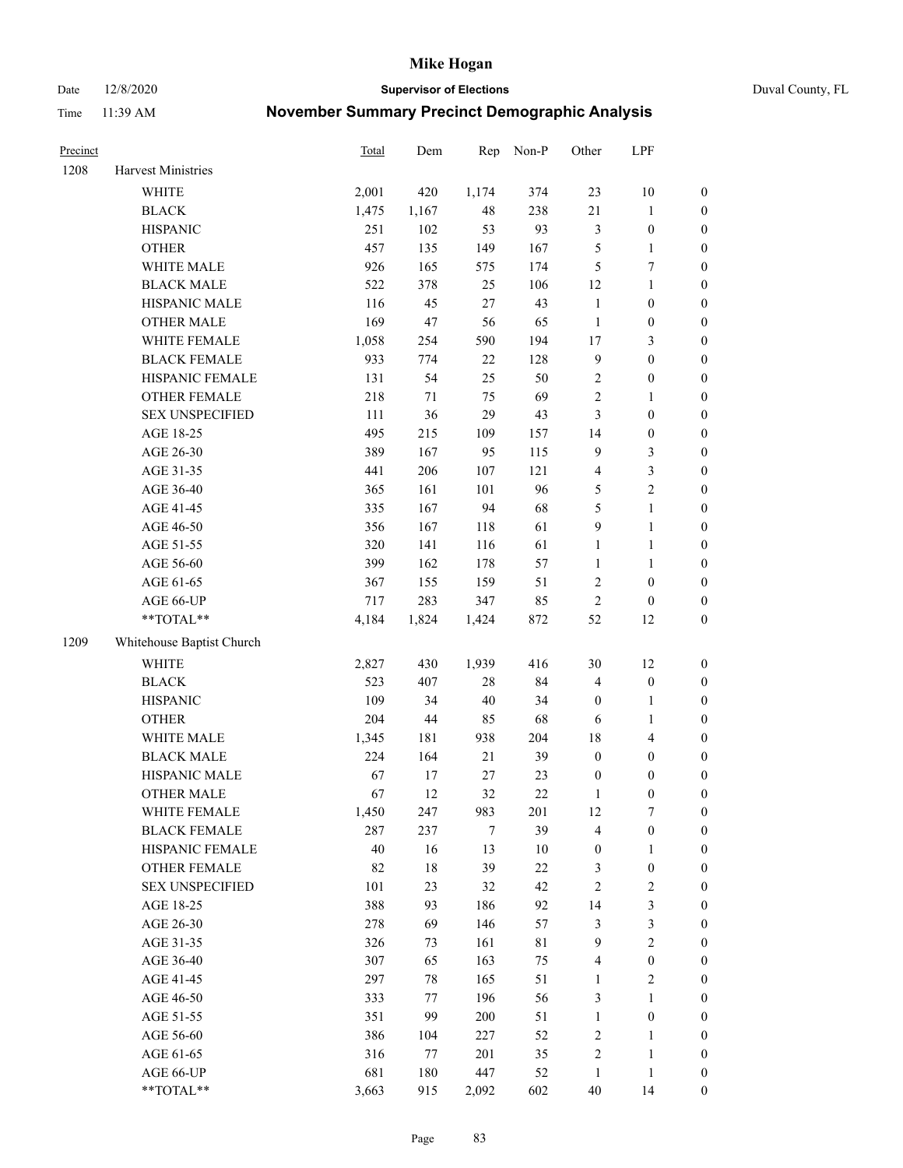Date 12/8/2020 **Supervisor of Elections** Duval County, FL

| Precinct |                           | <b>Total</b> | Dem    | Rep    | Non-P       | Other            | LPF              |                  |
|----------|---------------------------|--------------|--------|--------|-------------|------------------|------------------|------------------|
| 1208     | Harvest Ministries        |              |        |        |             |                  |                  |                  |
|          | <b>WHITE</b>              | 2,001        | 420    | 1,174  | 374         | 23               | 10               | 0                |
|          | <b>BLACK</b>              | 1,475        | 1,167  | 48     | 238         | $21\,$           | $\mathbf{1}$     | 0                |
|          | <b>HISPANIC</b>           | 251          | 102    | 53     | 93          | 3                | $\boldsymbol{0}$ | $\boldsymbol{0}$ |
|          | <b>OTHER</b>              | 457          | 135    | 149    | 167         | 5                | 1                | $\boldsymbol{0}$ |
|          | WHITE MALE                | 926          | 165    | 575    | 174         | 5                | $\boldsymbol{7}$ | $\boldsymbol{0}$ |
|          | <b>BLACK MALE</b>         | 522          | 378    | 25     | 106         | 12               | $\mathbf{1}$     | $\boldsymbol{0}$ |
|          | HISPANIC MALE             | 116          | 45     | $27\,$ | 43          | $\mathbf{1}$     | $\boldsymbol{0}$ | $\boldsymbol{0}$ |
|          | <b>OTHER MALE</b>         | 169          | 47     | 56     | 65          | $\mathbf{1}$     | $\boldsymbol{0}$ | $\boldsymbol{0}$ |
|          | WHITE FEMALE              | 1,058        | 254    | 590    | 194         | $17$             | $\mathfrak{Z}$   | $\boldsymbol{0}$ |
|          | <b>BLACK FEMALE</b>       | 933          | 774    | 22     | 128         | $\boldsymbol{9}$ | $\boldsymbol{0}$ | $\boldsymbol{0}$ |
|          | HISPANIC FEMALE           | 131          | 54     | 25     | 50          | $\sqrt{2}$       | $\boldsymbol{0}$ | $\boldsymbol{0}$ |
|          | OTHER FEMALE              | 218          | $71\,$ | 75     | 69          | $\overline{c}$   | $\mathbf{1}$     | $\boldsymbol{0}$ |
|          | <b>SEX UNSPECIFIED</b>    | 111          | 36     | 29     | 43          | 3                | $\boldsymbol{0}$ | $\boldsymbol{0}$ |
|          | AGE 18-25                 | 495          | 215    | 109    | 157         | 14               | $\boldsymbol{0}$ | $\boldsymbol{0}$ |
|          | AGE 26-30                 | 389          | 167    | 95     | 115         | 9                | $\mathfrak{Z}$   | $\boldsymbol{0}$ |
|          | AGE 31-35                 | 441          | 206    | 107    | 121         | 4                | $\mathfrak{Z}$   | $\boldsymbol{0}$ |
|          | AGE 36-40                 | 365          | 161    | 101    | 96          | 5                | $\sqrt{2}$       | $\boldsymbol{0}$ |
|          | AGE 41-45                 | 335          | 167    | 94     | 68          | 5                | $\mathbf{1}$     | $\boldsymbol{0}$ |
|          | AGE 46-50                 | 356          | 167    | 118    | 61          | $\boldsymbol{9}$ | $\mathbf{1}$     | $\boldsymbol{0}$ |
|          | AGE 51-55                 | 320          | 141    | 116    | 61          | $\mathbf{1}$     | $\mathbf{1}$     | 0                |
|          | AGE 56-60                 | 399          | 162    | 178    | 57          | $\mathbf{1}$     | 1                | 0                |
|          | AGE 61-65                 | 367          | 155    | 159    | 51          | 2                | $\boldsymbol{0}$ | 0                |
|          | AGE 66-UP                 | 717          | 283    | 347    | 85          | $\sqrt{2}$       | $\boldsymbol{0}$ | $\boldsymbol{0}$ |
|          | $**TOTAL**$               | 4,184        | 1,824  | 1,424  | 872         | 52               | 12               | $\boldsymbol{0}$ |
| 1209     | Whitehouse Baptist Church |              |        |        |             |                  |                  |                  |
|          | <b>WHITE</b>              | 2,827        | 430    | 1,939  | 416         | 30               | 12               | $\boldsymbol{0}$ |
|          | <b>BLACK</b>              | 523          | 407    | $28\,$ | 84          | 4                | $\boldsymbol{0}$ | $\boldsymbol{0}$ |
|          | <b>HISPANIC</b>           | 109          | 34     | $40\,$ | 34          | $\boldsymbol{0}$ | $\mathbf{1}$     | $\boldsymbol{0}$ |
|          | <b>OTHER</b>              | 204          | $44\,$ | 85     | 68          | 6                | $\mathbf{1}$     | $\boldsymbol{0}$ |
|          | WHITE MALE                | 1,345        | 181    | 938    | 204         | 18               | $\overline{4}$   | $\boldsymbol{0}$ |
|          | <b>BLACK MALE</b>         | 224          | 164    | 21     | 39          | $\boldsymbol{0}$ | $\boldsymbol{0}$ | $\boldsymbol{0}$ |
|          | HISPANIC MALE             | 67           | 17     | 27     | 23          | $\boldsymbol{0}$ | $\boldsymbol{0}$ | $\boldsymbol{0}$ |
|          | <b>OTHER MALE</b>         | 67           | 12     | 32     | 22          | $\mathbf{1}$     | $\boldsymbol{0}$ | $\boldsymbol{0}$ |
|          | WHITE FEMALE              | 1,450        | 247    | 983    | 201         | 12               | 7                | 0                |
|          | <b>BLACK FEMALE</b>       | 287          | 237    | 7      | 39          | 4                | $\boldsymbol{0}$ | $\overline{0}$   |
|          | HISPANIC FEMALE           | 40           | 16     | 13     | $10\,$      | $\boldsymbol{0}$ | $\mathbf{1}$     | $\overline{0}$   |
|          | <b>OTHER FEMALE</b>       | 82           | $18\,$ | 39     | $22\,$      | 3                | $\boldsymbol{0}$ | 0                |
|          | <b>SEX UNSPECIFIED</b>    | 101          | 23     | 32     | 42          | 2                | $\sqrt{2}$       | 0                |
|          | AGE 18-25                 | 388          | 93     | 186    | 92          | 14               | 3                | 0                |
|          | AGE 26-30                 | 278          | 69     | 146    | 57          | 3                | 3                | 0                |
|          | AGE 31-35                 | 326          | 73     | 161    | $8\sqrt{1}$ | 9                | $\sqrt{2}$       | 0                |
|          | AGE 36-40                 | 307          | 65     | 163    | 75          | 4                | $\boldsymbol{0}$ | 0                |
|          | AGE 41-45                 | 297          | 78     | 165    | 51          | $\mathbf{1}$     | $\mathfrak{2}$   | 0                |
|          | AGE 46-50                 | 333          | 77     | 196    | 56          | 3                | $\mathbf{1}$     | 0                |
|          | AGE 51-55                 | 351          | 99     | 200    | 51          | $\mathbf{1}$     | $\boldsymbol{0}$ | 0                |
|          | AGE 56-60                 | 386          | 104    | 227    | 52          | 2                | $\mathbf{1}$     | 0                |
|          | AGE 61-65                 | 316          | 77     | 201    | 35          | 2                | $\mathbf{1}$     | 0                |
|          | AGE 66-UP                 | 681          | 180    | 447    | 52          | $\mathbf{1}$     | $\mathbf{1}$     | 0                |
|          | **TOTAL**                 | 3,663        | 915    | 2,092  | 602         | $40\,$           | 14               | $\boldsymbol{0}$ |
|          |                           |              |        |        |             |                  |                  |                  |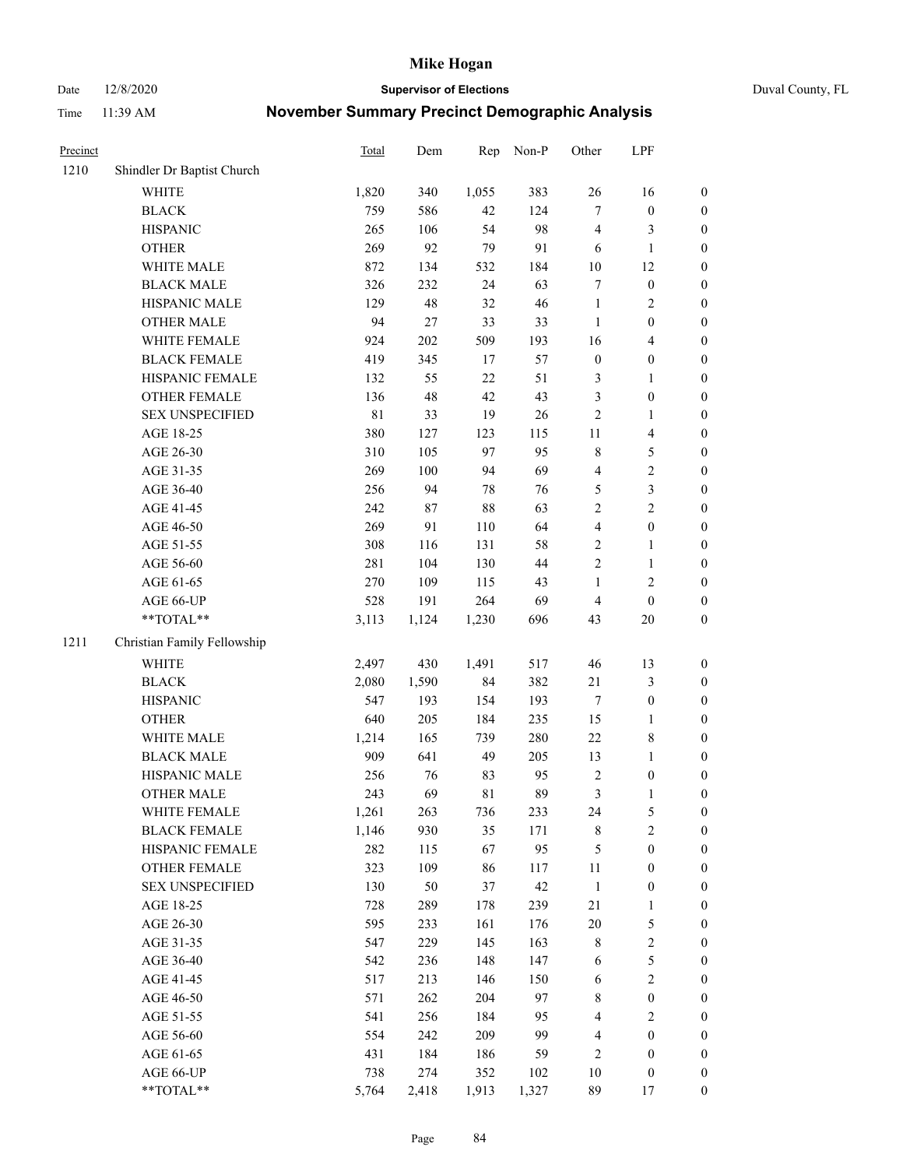Date 12/8/2020 **Supervisor of Elections** Duval County, FL

| Precinct |                             | <b>Total</b> | Dem    | Rep    | Non-P | Other            | LPF              |                  |
|----------|-----------------------------|--------------|--------|--------|-------|------------------|------------------|------------------|
| 1210     | Shindler Dr Baptist Church  |              |        |        |       |                  |                  |                  |
|          | <b>WHITE</b>                | 1,820        | 340    | 1,055  | 383   | 26               | 16               | 0                |
|          | <b>BLACK</b>                | 759          | 586    | 42     | 124   | $\tau$           | $\boldsymbol{0}$ | 0                |
|          | <b>HISPANIC</b>             | 265          | 106    | 54     | 98    | 4                | 3                | $\boldsymbol{0}$ |
|          | <b>OTHER</b>                | 269          | 92     | 79     | 91    | 6                | $\mathbf{1}$     | $\boldsymbol{0}$ |
|          | WHITE MALE                  | 872          | 134    | 532    | 184   | $10\,$           | 12               | $\boldsymbol{0}$ |
|          | <b>BLACK MALE</b>           | 326          | 232    | 24     | 63    | 7                | $\boldsymbol{0}$ | $\boldsymbol{0}$ |
|          | HISPANIC MALE               | 129          | 48     | 32     | 46    | $\mathbf{1}$     | $\sqrt{2}$       | $\boldsymbol{0}$ |
|          | <b>OTHER MALE</b>           | 94           | $27\,$ | 33     | 33    | $\mathbf{1}$     | $\boldsymbol{0}$ | $\boldsymbol{0}$ |
|          | WHITE FEMALE                | 924          | 202    | 509    | 193   | 16               | $\overline{4}$   | $\boldsymbol{0}$ |
|          | <b>BLACK FEMALE</b>         | 419          | 345    | 17     | 57    | $\boldsymbol{0}$ | $\boldsymbol{0}$ | $\boldsymbol{0}$ |
|          | HISPANIC FEMALE             | 132          | 55     | $22\,$ | 51    | 3                | $\mathbf{1}$     | $\boldsymbol{0}$ |
|          | <b>OTHER FEMALE</b>         | 136          | 48     | 42     | 43    | 3                | $\boldsymbol{0}$ | $\boldsymbol{0}$ |
|          | <b>SEX UNSPECIFIED</b>      | 81           | 33     | 19     | 26    | 2                | $\mathbf{1}$     | $\boldsymbol{0}$ |
|          | AGE 18-25                   | 380          | 127    | 123    | 115   | $11\,$           | $\overline{4}$   | $\boldsymbol{0}$ |
|          | AGE 26-30                   | 310          | 105    | 97     | 95    | 8                | $\mathfrak s$    | $\boldsymbol{0}$ |
|          | AGE 31-35                   | 269          | 100    | 94     | 69    | 4                | $\sqrt{2}$       | $\boldsymbol{0}$ |
|          | AGE 36-40                   | 256          | 94     | 78     | 76    | 5                | 3                | $\boldsymbol{0}$ |
|          | AGE 41-45                   | 242          | $87\,$ | 88     | 63    | $\overline{c}$   | $\overline{c}$   | $\boldsymbol{0}$ |
|          | AGE 46-50                   | 269          | 91     | 110    | 64    | 4                | $\boldsymbol{0}$ | $\boldsymbol{0}$ |
|          | AGE 51-55                   | 308          | 116    | 131    | 58    | $\overline{c}$   | $\mathbf{1}$     | $\boldsymbol{0}$ |
|          | AGE 56-60                   | 281          | 104    | 130    | 44    | $\overline{c}$   | 1                | 0                |
|          | AGE 61-65                   | 270          | 109    | 115    | 43    | $\mathbf{1}$     | $\sqrt{2}$       | $\boldsymbol{0}$ |
|          | AGE 66-UP                   | 528          | 191    | 264    | 69    | 4                | $\boldsymbol{0}$ | $\boldsymbol{0}$ |
|          | $**TOTAL**$                 | 3,113        | 1,124  | 1,230  | 696   | 43               | 20               | $\boldsymbol{0}$ |
| 1211     | Christian Family Fellowship |              |        |        |       |                  |                  |                  |
|          | <b>WHITE</b>                | 2,497        | 430    | 1,491  | 517   | 46               | 13               | $\boldsymbol{0}$ |
|          | <b>BLACK</b>                | 2,080        | 1,590  | 84     | 382   | 21               | $\mathfrak{Z}$   | $\boldsymbol{0}$ |
|          | <b>HISPANIC</b>             | 547          | 193    | 154    | 193   | $\boldsymbol{7}$ | $\boldsymbol{0}$ | $\boldsymbol{0}$ |
|          | <b>OTHER</b>                | 640          | 205    | 184    | 235   | 15               | $\mathbf{1}$     | $\boldsymbol{0}$ |
|          | WHITE MALE                  | 1,214        | 165    | 739    | 280   | $22\,$           | $\,$ 8 $\,$      | $\boldsymbol{0}$ |
|          | <b>BLACK MALE</b>           | 909          | 641    | 49     | 205   | 13               | $\mathbf{1}$     | $\boldsymbol{0}$ |
|          | HISPANIC MALE               | 256          | 76     | 83     | 95    | $\sqrt{2}$       | $\boldsymbol{0}$ | $\boldsymbol{0}$ |
|          | <b>OTHER MALE</b>           | 243          | 69     | 81     | 89    | 3                | $\mathbf{1}$     | $\boldsymbol{0}$ |
|          | WHITE FEMALE                | 1,261        | 263    | 736    | 233   | 24               | 5                | 0                |
|          | <b>BLACK FEMALE</b>         | 1,146        | 930    | 35     | 171   | 8                | $\sqrt{2}$       | $\overline{0}$   |
|          | HISPANIC FEMALE             | 282          | 115    | 67     | 95    | 5                | $\boldsymbol{0}$ | $\overline{0}$   |
|          | <b>OTHER FEMALE</b>         | 323          | 109    | 86     | 117   | $11\,$           | $\boldsymbol{0}$ | $\overline{0}$   |
|          | <b>SEX UNSPECIFIED</b>      | 130          | 50     | 37     | 42    | $\mathbf{1}$     | $\boldsymbol{0}$ | 0                |
|          | AGE 18-25                   | 728          | 289    | 178    | 239   | 21               | $\mathbf{1}$     | 0                |
|          | AGE 26-30                   | 595          | 233    | 161    | 176   | $20\,$           | $\mathfrak s$    | 0                |
|          | AGE 31-35                   | 547          | 229    | 145    | 163   | 8                | $\sqrt{2}$       | 0                |
|          | AGE 36-40                   | 542          | 236    | 148    | 147   | 6                | 5                | 0                |
|          | AGE 41-45                   | 517          | 213    | 146    | 150   | 6                | $\sqrt{2}$       | 0                |
|          | AGE 46-50                   | 571          | 262    | 204    | 97    | 8                | $\boldsymbol{0}$ | 0                |
|          | AGE 51-55                   | 541          | 256    | 184    | 95    | 4                | $\mathfrak{2}$   | 0                |
|          | AGE 56-60                   | 554          | 242    | 209    | 99    | 4                | $\boldsymbol{0}$ | $\boldsymbol{0}$ |
|          | AGE 61-65                   | 431          | 184    | 186    | 59    | 2                | $\boldsymbol{0}$ | $\boldsymbol{0}$ |
|          | AGE 66-UP                   | 738          | 274    | 352    | 102   | 10               | $\boldsymbol{0}$ | 0                |
|          | **TOTAL**                   | 5,764        | 2,418  | 1,913  | 1,327 | 89               | 17               | $\boldsymbol{0}$ |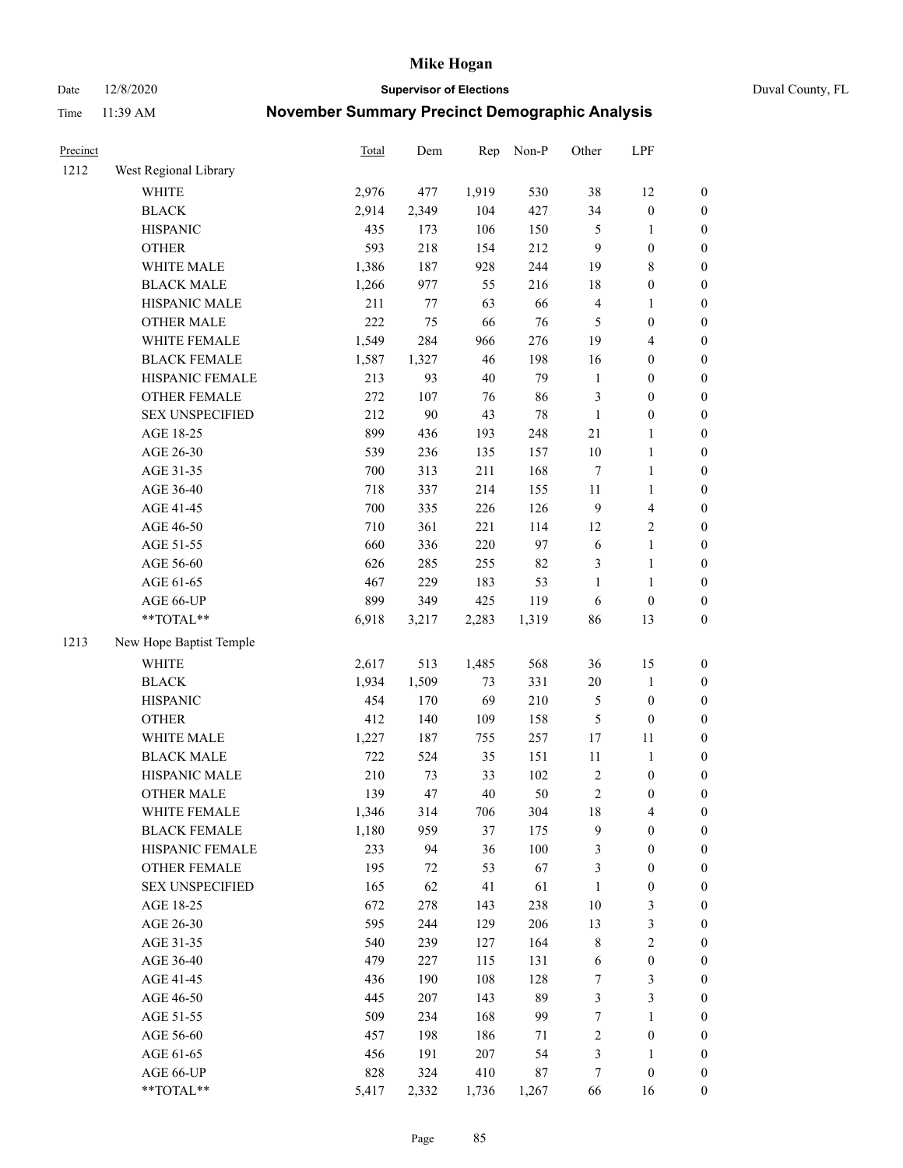Date 12/8/2020 **Supervisor of Elections** Duval County, FL

| Precinct |                         | <b>Total</b> | Dem   | Rep    | Non-P  | Other          | LPF              |                  |
|----------|-------------------------|--------------|-------|--------|--------|----------------|------------------|------------------|
| 1212     | West Regional Library   |              |       |        |        |                |                  |                  |
|          | <b>WHITE</b>            | 2,976        | 477   | 1,919  | 530    | 38             | 12               | 0                |
|          | <b>BLACK</b>            | 2,914        | 2,349 | 104    | 427    | 34             | $\boldsymbol{0}$ | $\boldsymbol{0}$ |
|          | <b>HISPANIC</b>         | 435          | 173   | 106    | 150    | 5              | 1                | $\boldsymbol{0}$ |
|          | <b>OTHER</b>            | 593          | 218   | 154    | 212    | 9              | $\boldsymbol{0}$ | $\boldsymbol{0}$ |
|          | WHITE MALE              | 1,386        | 187   | 928    | 244    | 19             | $\,$ 8 $\,$      | $\boldsymbol{0}$ |
|          | <b>BLACK MALE</b>       | 1,266        | 977   | 55     | 216    | 18             | $\boldsymbol{0}$ | $\boldsymbol{0}$ |
|          | HISPANIC MALE           | 211          | 77    | 63     | 66     | 4              | $\mathbf{1}$     | $\boldsymbol{0}$ |
|          | <b>OTHER MALE</b>       | 222          | 75    | 66     | 76     | 5              | $\boldsymbol{0}$ | $\boldsymbol{0}$ |
|          | WHITE FEMALE            | 1,549        | 284   | 966    | 276    | 19             | $\overline{4}$   | $\boldsymbol{0}$ |
|          | <b>BLACK FEMALE</b>     | 1,587        | 1,327 | 46     | 198    | 16             | $\boldsymbol{0}$ | $\boldsymbol{0}$ |
|          | HISPANIC FEMALE         | 213          | 93    | $40\,$ | 79     | $\mathbf{1}$   | $\boldsymbol{0}$ | 0                |
|          | <b>OTHER FEMALE</b>     | 272          | 107   | 76     | 86     | 3              | $\boldsymbol{0}$ | $\boldsymbol{0}$ |
|          | <b>SEX UNSPECIFIED</b>  | 212          | 90    | 43     | $78\,$ | $\mathbf{1}$   | $\boldsymbol{0}$ | $\boldsymbol{0}$ |
|          | AGE 18-25               | 899          | 436   | 193    | 248    | 21             | 1                | $\boldsymbol{0}$ |
|          | AGE 26-30               | 539          | 236   | 135    | 157    | 10             | $\mathbf{1}$     | $\boldsymbol{0}$ |
|          | AGE 31-35               | 700          | 313   | 211    | 168    | 7              | $\mathbf{1}$     | $\boldsymbol{0}$ |
|          | AGE 36-40               | 718          | 337   | 214    | 155    | $11\,$         | $\mathbf{1}$     | $\boldsymbol{0}$ |
|          | AGE 41-45               | 700          | 335   | 226    | 126    | 9              | $\overline{4}$   | $\boldsymbol{0}$ |
|          | AGE 46-50               | 710          | 361   | 221    | 114    | 12             | $\sqrt{2}$       | $\boldsymbol{0}$ |
|          | AGE 51-55               | 660          | 336   | 220    | 97     | 6              | $\mathbf{1}$     | $\boldsymbol{0}$ |
|          | AGE 56-60               | 626          | 285   | 255    | 82     | 3              | $\mathbf{1}$     | 0                |
|          | AGE 61-65               | 467          | 229   | 183    | 53     | 1              | $\mathbf{1}$     | 0                |
|          | AGE 66-UP               | 899          | 349   | 425    | 119    | 6              | $\boldsymbol{0}$ | $\boldsymbol{0}$ |
|          | **TOTAL**               | 6,918        | 3,217 | 2,283  | 1,319  | 86             | 13               | $\boldsymbol{0}$ |
| 1213     | New Hope Baptist Temple |              |       |        |        |                |                  |                  |
|          | <b>WHITE</b>            | 2,617        | 513   | 1,485  | 568    | 36             | 15               | $\boldsymbol{0}$ |
|          | <b>BLACK</b>            | 1,934        | 1,509 | 73     | 331    | $20\,$         | $\mathbf{1}$     | $\boldsymbol{0}$ |
|          | <b>HISPANIC</b>         | 454          | 170   | 69     | 210    | 5              | $\boldsymbol{0}$ | $\boldsymbol{0}$ |
|          | <b>OTHER</b>            | 412          | 140   | 109    | 158    | 5              | $\boldsymbol{0}$ | $\boldsymbol{0}$ |
|          | WHITE MALE              | 1,227        | 187   | 755    | 257    | 17             | $11\,$           | $\boldsymbol{0}$ |
|          | <b>BLACK MALE</b>       | 722          | 524   | 35     | 151    | $11\,$         | $\mathbf{1}$     | $\boldsymbol{0}$ |
|          | HISPANIC MALE           | 210          | 73    | 33     | 102    | $\sqrt{2}$     | $\boldsymbol{0}$ | $\boldsymbol{0}$ |
|          | <b>OTHER MALE</b>       | 139          | 47    | 40     | 50     | $\overline{c}$ | $\boldsymbol{0}$ | $\boldsymbol{0}$ |
|          | WHITE FEMALE            | 1,346        | 314   | 706    | 304    | 18             | 4                | 0                |
|          | <b>BLACK FEMALE</b>     | 1,180        | 959   | 37     | 175    | 9              | $\boldsymbol{0}$ | $\boldsymbol{0}$ |
|          | HISPANIC FEMALE         | 233          | 94    | 36     | 100    | 3              | $\boldsymbol{0}$ | $\overline{0}$   |
|          | <b>OTHER FEMALE</b>     | 195          | 72    | 53     | 67     | 3              | $\boldsymbol{0}$ | $\overline{0}$   |
|          | <b>SEX UNSPECIFIED</b>  | 165          | 62    | 41     | 61     | $\mathbf{1}$   | $\boldsymbol{0}$ | 0                |
|          | AGE 18-25               | 672          | 278   | 143    | 238    | 10             | $\mathfrak{Z}$   | 0                |
|          | AGE 26-30               | 595          | 244   | 129    | 206    | 13             | 3                | 0                |
|          | AGE 31-35               | 540          | 239   | 127    | 164    | 8              | $\sqrt{2}$       | 0                |
|          | AGE 36-40               | 479          | 227   | 115    | 131    | 6              | $\boldsymbol{0}$ | 0                |
|          | AGE 41-45               | 436          | 190   | 108    | 128    | 7              | 3                | 0                |
|          | AGE 46-50               | 445          | 207   | 143    | 89     | 3              | $\mathfrak{Z}$   | 0                |
|          | AGE 51-55               | 509          | 234   | 168    | 99     | 7              | $\mathbf{1}$     | 0                |
|          | AGE 56-60               | 457          | 198   | 186    | 71     | 2              | $\boldsymbol{0}$ | $\boldsymbol{0}$ |
|          | AGE 61-65               | 456          | 191   | 207    | 54     | 3              | 1                | $\boldsymbol{0}$ |
|          | AGE 66-UP               | 828          | 324   | 410    | $87\,$ | 7              | $\boldsymbol{0}$ | 0                |
|          | **TOTAL**               | 5,417        | 2,332 | 1,736  | 1,267  | 66             | 16               | $\boldsymbol{0}$ |
|          |                         |              |       |        |        |                |                  |                  |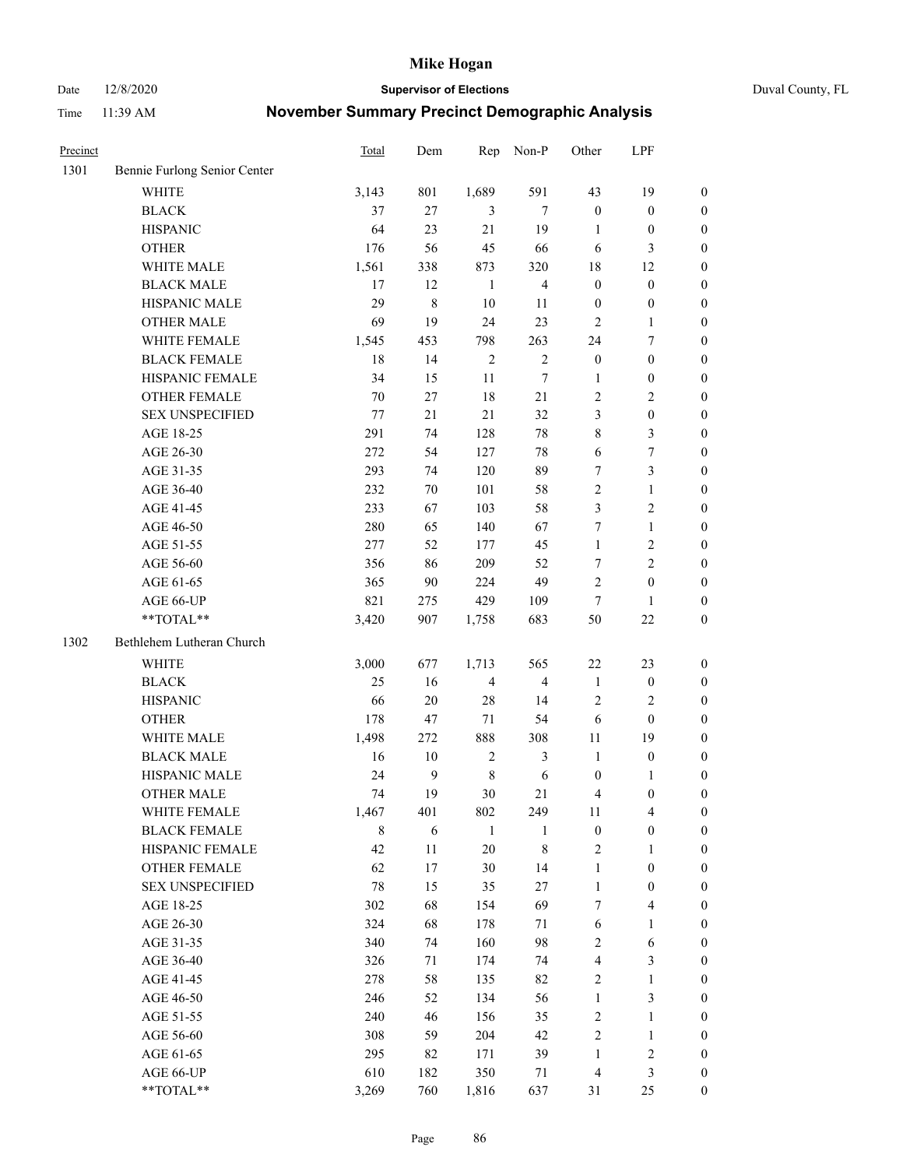Date 12/8/2020 **Supervisor of Elections** Duval County, FL

| Precinct |                              | <b>Total</b> | Dem          | Rep            | Non-P                   | Other            | LPF                     |                  |
|----------|------------------------------|--------------|--------------|----------------|-------------------------|------------------|-------------------------|------------------|
| 1301     | Bennie Furlong Senior Center |              |              |                |                         |                  |                         |                  |
|          | <b>WHITE</b>                 | 3,143        | 801          | 1,689          | 591                     | 43               | 19                      | $\boldsymbol{0}$ |
|          | <b>BLACK</b>                 | 37           | 27           | 3              | $\tau$                  | $\boldsymbol{0}$ | $\boldsymbol{0}$        | 0                |
|          | <b>HISPANIC</b>              | 64           | 23           | 21             | 19                      | $\mathbf{1}$     | $\boldsymbol{0}$        | $\boldsymbol{0}$ |
|          | <b>OTHER</b>                 | 176          | 56           | 45             | 66                      | 6                | 3                       | $\boldsymbol{0}$ |
|          | WHITE MALE                   | 1,561        | 338          | 873            | 320                     | 18               | 12                      | $\boldsymbol{0}$ |
|          | <b>BLACK MALE</b>            | 17           | 12           | $\mathbf{1}$   | $\overline{4}$          | $\boldsymbol{0}$ | $\boldsymbol{0}$        | $\boldsymbol{0}$ |
|          | HISPANIC MALE                | 29           | $\,$ $\,$    | 10             | 11                      | $\boldsymbol{0}$ | $\boldsymbol{0}$        | $\boldsymbol{0}$ |
|          | <b>OTHER MALE</b>            | 69           | 19           | 24             | 23                      | $\mathfrak{2}$   | $\mathbf{1}$            | $\boldsymbol{0}$ |
|          | WHITE FEMALE                 | 1,545        | 453          | 798            | 263                     | 24               | $\boldsymbol{7}$        | $\boldsymbol{0}$ |
|          | <b>BLACK FEMALE</b>          | 18           | 14           | $\sqrt{2}$     | $\sqrt{2}$              | $\boldsymbol{0}$ | $\boldsymbol{0}$        | $\boldsymbol{0}$ |
|          | HISPANIC FEMALE              | 34           | 15           | 11             | $\tau$                  | 1                | $\boldsymbol{0}$        | 0                |
|          | <b>OTHER FEMALE</b>          | 70           | 27           | 18             | 21                      | 2                | $\sqrt{2}$              | $\boldsymbol{0}$ |
|          | <b>SEX UNSPECIFIED</b>       | 77           | 21           | 21             | 32                      | 3                | $\boldsymbol{0}$        | $\boldsymbol{0}$ |
|          | AGE 18-25                    | 291          | 74           | 128            | $78\,$                  | 8                | $\mathfrak{Z}$          | $\boldsymbol{0}$ |
|          | AGE 26-30                    | 272          | 54           | 127            | 78                      | 6                | $\boldsymbol{7}$        | $\boldsymbol{0}$ |
|          | AGE 31-35                    | 293          | 74           | 120            | 89                      | 7                | $\mathfrak{Z}$          | $\boldsymbol{0}$ |
|          | AGE 36-40                    | 232          | 70           | 101            | 58                      | 2                | $\mathbf{1}$            | $\boldsymbol{0}$ |
|          | AGE 41-45                    | 233          | 67           | 103            | 58                      | 3                | $\mathfrak{2}$          | $\boldsymbol{0}$ |
|          | AGE 46-50                    | 280          | 65           | 140            | 67                      | 7                | $\mathbf{1}$            | $\boldsymbol{0}$ |
|          | AGE 51-55                    | 277          | 52           | 177            | 45                      | $\mathbf{1}$     | $\sqrt{2}$              | $\boldsymbol{0}$ |
|          | AGE 56-60                    | 356          | 86           | 209            | 52                      | 7                | $\overline{2}$          | 0                |
|          | AGE 61-65                    | 365          | 90           | 224            | 49                      | 2                | $\boldsymbol{0}$        | $\boldsymbol{0}$ |
|          | AGE 66-UP                    | 821          | 275          | 429            | 109                     | $\tau$           | $\mathbf{1}$            | $\boldsymbol{0}$ |
|          | **TOTAL**                    | 3,420        | 907          | 1,758          | 683                     | 50               | $22\,$                  | $\boldsymbol{0}$ |
| 1302     | Bethlehem Lutheran Church    |              |              |                |                         |                  |                         |                  |
|          | <b>WHITE</b>                 | 3,000        | 677          | 1,713          | 565                     | 22               | 23                      | $\boldsymbol{0}$ |
|          | <b>BLACK</b>                 | 25           | 16           | $\overline{4}$ | $\overline{\mathbf{4}}$ | $\mathbf{1}$     | $\boldsymbol{0}$        | $\boldsymbol{0}$ |
|          | <b>HISPANIC</b>              | 66           | 20           | 28             | 14                      | 2                | $\mathfrak{2}$          | $\boldsymbol{0}$ |
|          | <b>OTHER</b>                 | 178          | 47           | $71\,$         | 54                      | 6                | $\boldsymbol{0}$        | $\boldsymbol{0}$ |
|          | WHITE MALE                   | 1,498        | 272          | 888            | 308                     | $11\,$           | 19                      | $\boldsymbol{0}$ |
|          | <b>BLACK MALE</b>            | 16           | $10\,$       | $\sqrt{2}$     | $\mathfrak{Z}$          | $\mathbf{1}$     | $\boldsymbol{0}$        | $\boldsymbol{0}$ |
|          | HISPANIC MALE                | 24           | $\mathbf{9}$ | $\,$ 8 $\,$    | $\sqrt{6}$              | $\boldsymbol{0}$ | 1                       | 0                |
|          | <b>OTHER MALE</b>            | 74           | 19           | 30             | 21                      | 4                | $\boldsymbol{0}$        | $\boldsymbol{0}$ |
|          | WHITE FEMALE                 | 1,467        | 401          | 802            | 249                     | 11               | 4                       | 0                |
|          | <b>BLACK FEMALE</b>          | 8            | 6            | $\mathbf{1}$   | 1                       | $\boldsymbol{0}$ | $\boldsymbol{0}$        | $\overline{0}$   |
|          | HISPANIC FEMALE              | 42           | 11           | 20             | 8                       | 2                | 1                       | $\overline{0}$   |
|          | OTHER FEMALE                 | 62           | 17           | 30             | 14                      | $\mathbf{1}$     | $\boldsymbol{0}$        | 0                |
|          | <b>SEX UNSPECIFIED</b>       | 78           | 15           | 35             | $27\,$                  | $\mathbf{1}$     | $\boldsymbol{0}$        | 0                |
|          | AGE 18-25                    | 302          | 68           | 154            | 69                      | 7                | $\overline{\mathbf{4}}$ | 0                |
|          | AGE 26-30                    | 324          | 68           | 178            | 71                      | 6                | $\mathbf{1}$            | 0                |
|          | AGE 31-35                    | 340          | 74           | 160            | 98                      | $\overline{c}$   | 6                       | 0                |
|          | AGE 36-40                    | 326          | 71           | 174            | 74                      | 4                | $\mathfrak{Z}$          | 0                |
|          | AGE 41-45                    | 278          | 58           | 135            | 82                      | 2                | $\mathbf{1}$            | 0                |
|          | AGE 46-50                    | 246          | 52           | 134            | 56                      | $\mathbf{1}$     | $\mathfrak{Z}$          | 0                |
|          | AGE 51-55                    | 240          | 46           | 156            | 35                      | 2                | $\mathbf{1}$            | 0                |
|          | AGE 56-60                    | 308          | 59           | 204            | 42                      | 2                | $\mathbf{1}$            | 0                |
|          | AGE 61-65                    | 295          | 82           | 171            | 39                      | $\mathbf{1}$     | $\sqrt{2}$              | 0                |
|          | AGE 66-UP                    | 610          | 182          | 350            | 71                      | 4                | $\mathfrak{Z}$          | 0                |
|          | **TOTAL**                    | 3,269        | 760          | 1,816          | 637                     | 31               | 25                      | $\boldsymbol{0}$ |
|          |                              |              |              |                |                         |                  |                         |                  |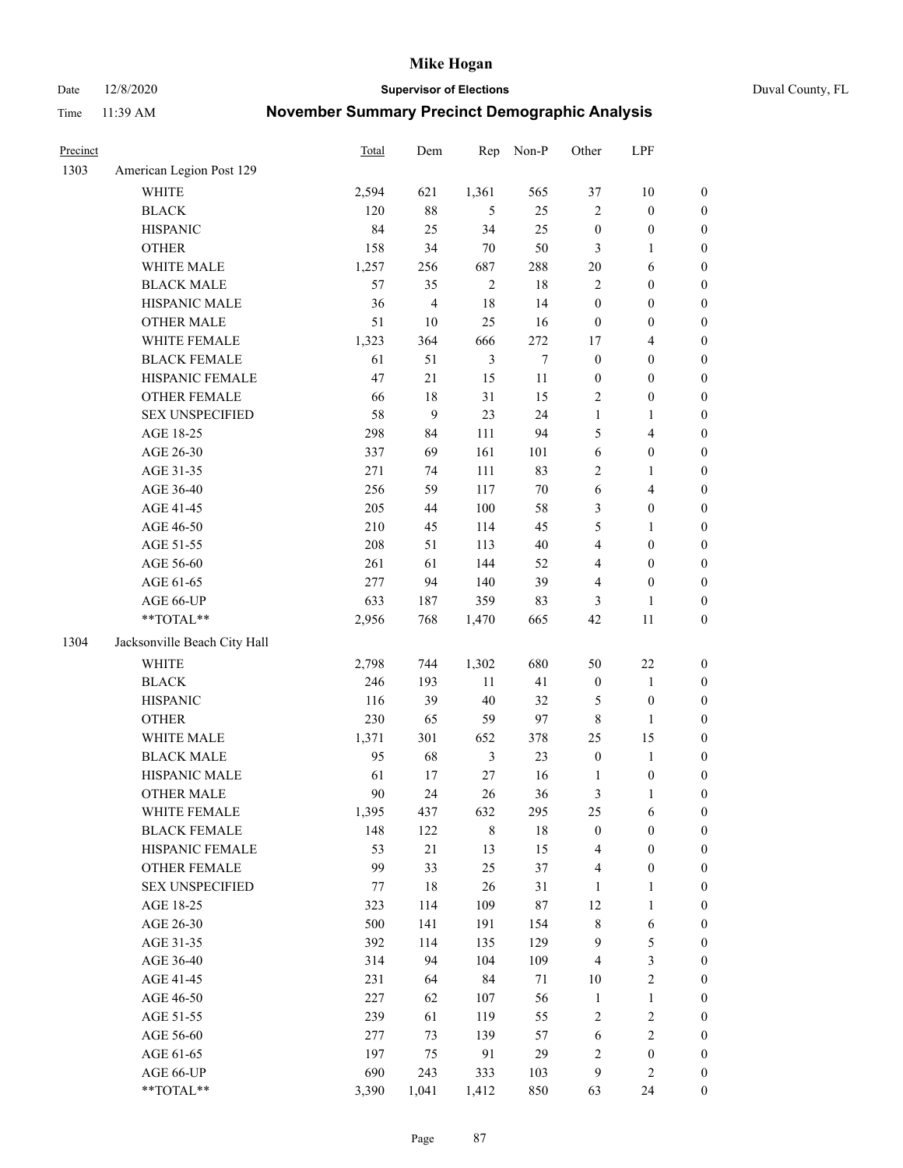Date 12/8/2020 **Supervisor of Elections** Duval County, FL

| Precinct |                              | <b>Total</b> | Dem            | Rep            | Non-P  | Other            | LPF              |                  |
|----------|------------------------------|--------------|----------------|----------------|--------|------------------|------------------|------------------|
| 1303     | American Legion Post 129     |              |                |                |        |                  |                  |                  |
|          | <b>WHITE</b>                 | 2,594        | 621            | 1,361          | 565    | 37               | 10               | 0                |
|          | <b>BLACK</b>                 | 120          | $88\,$         | 5              | 25     | 2                | $\boldsymbol{0}$ | $\boldsymbol{0}$ |
|          | <b>HISPANIC</b>              | 84           | 25             | 34             | 25     | $\boldsymbol{0}$ | $\boldsymbol{0}$ | $\boldsymbol{0}$ |
|          | <b>OTHER</b>                 | 158          | 34             | $70\,$         | 50     | 3                | 1                | $\boldsymbol{0}$ |
|          | WHITE MALE                   | 1,257        | 256            | 687            | 288    | $20\,$           | 6                | $\boldsymbol{0}$ |
|          | <b>BLACK MALE</b>            | 57           | 35             | $\sqrt{2}$     | 18     | 2                | $\boldsymbol{0}$ | $\boldsymbol{0}$ |
|          | HISPANIC MALE                | 36           | $\overline{4}$ | 18             | 14     | $\boldsymbol{0}$ | $\boldsymbol{0}$ | $\boldsymbol{0}$ |
|          | <b>OTHER MALE</b>            | 51           | $10\,$         | 25             | 16     | $\boldsymbol{0}$ | $\boldsymbol{0}$ | $\boldsymbol{0}$ |
|          | WHITE FEMALE                 | 1,323        | 364            | 666            | 272    | 17               | $\overline{4}$   | $\boldsymbol{0}$ |
|          | <b>BLACK FEMALE</b>          | 61           | 51             | $\mathfrak{Z}$ | $\tau$ | $\boldsymbol{0}$ | $\boldsymbol{0}$ | $\boldsymbol{0}$ |
|          | HISPANIC FEMALE              | 47           | 21             | 15             | $11\,$ | $\boldsymbol{0}$ | $\boldsymbol{0}$ | $\boldsymbol{0}$ |
|          | <b>OTHER FEMALE</b>          | 66           | 18             | 31             | 15     | $\overline{c}$   | $\boldsymbol{0}$ | $\boldsymbol{0}$ |
|          | <b>SEX UNSPECIFIED</b>       | 58           | 9              | 23             | 24     | $\mathbf{1}$     | $\mathbf{1}$     | $\boldsymbol{0}$ |
|          | AGE 18-25                    | 298          | 84             | 111            | 94     | 5                | $\overline{4}$   | $\boldsymbol{0}$ |
|          | AGE 26-30                    | 337          | 69             | 161            | 101    | 6                | $\boldsymbol{0}$ | $\boldsymbol{0}$ |
|          | AGE 31-35                    | 271          | 74             | 111            | 83     | $\overline{c}$   | $\mathbf{1}$     | $\boldsymbol{0}$ |
|          | AGE 36-40                    | 256          | 59             | 117            | $70\,$ | 6                | $\overline{4}$   | $\boldsymbol{0}$ |
|          | AGE 41-45                    | 205          | $44\,$         | $100\,$        | 58     | 3                | $\boldsymbol{0}$ | $\boldsymbol{0}$ |
|          | AGE 46-50                    | 210          | 45             | 114            | 45     | 5                | $\mathbf{1}$     | $\boldsymbol{0}$ |
|          | AGE 51-55                    | 208          | 51             | 113            | $40\,$ | 4                | $\boldsymbol{0}$ | $\boldsymbol{0}$ |
|          | AGE 56-60                    | 261          | 61             | 144            | 52     | 4                | $\boldsymbol{0}$ | 0                |
|          | AGE 61-65                    | 277          | 94             | 140            | 39     | 4                | $\boldsymbol{0}$ | $\boldsymbol{0}$ |
|          | AGE 66-UP                    | 633          | 187            | 359            | 83     | 3                | $\mathbf{1}$     | $\boldsymbol{0}$ |
|          | $**TOTAL**$                  | 2,956        | 768            | 1,470          | 665    | $42\,$           | $11\,$           | $\boldsymbol{0}$ |
| 1304     | Jacksonville Beach City Hall |              |                |                |        |                  |                  |                  |
|          | <b>WHITE</b>                 | 2,798        | 744            | 1,302          | 680    | 50               | $22\,$           | $\boldsymbol{0}$ |
|          | <b>BLACK</b>                 | 246          | 193            | $11\,$         | 41     | $\boldsymbol{0}$ | $\mathbf{1}$     | $\boldsymbol{0}$ |
|          | <b>HISPANIC</b>              | 116          | 39             | 40             | 32     | 5                | $\boldsymbol{0}$ | $\boldsymbol{0}$ |
|          | <b>OTHER</b>                 | 230          | 65             | 59             | 97     | 8                | $\mathbf{1}$     | $\boldsymbol{0}$ |
|          | WHITE MALE                   | 1,371        | 301            | 652            | 378    | 25               | 15               | $\boldsymbol{0}$ |
|          | <b>BLACK MALE</b>            | 95           | 68             | $\mathfrak{Z}$ | 23     | $\boldsymbol{0}$ | $\mathbf{1}$     | $\boldsymbol{0}$ |
|          | HISPANIC MALE                | 61           | 17             | $27\,$         | 16     | 1                | $\boldsymbol{0}$ | 0                |
|          | <b>OTHER MALE</b>            | 90           | 24             | 26             | 36     | 3                | $\mathbf{1}$     | $\boldsymbol{0}$ |
|          | WHITE FEMALE                 | 1,395        | 437            | 632            | 295    | 25               | 6                | 0                |
|          | <b>BLACK FEMALE</b>          | 148          | 122            | 8              | 18     | $\boldsymbol{0}$ | $\boldsymbol{0}$ | $\overline{0}$   |
|          | HISPANIC FEMALE              | 53           | 21             | 13             | 15     | 4                | $\boldsymbol{0}$ | $\overline{0}$   |
|          | <b>OTHER FEMALE</b>          | 99           | 33             | 25             | 37     | 4                | $\boldsymbol{0}$ | $\overline{0}$   |
|          | <b>SEX UNSPECIFIED</b>       | 77           | 18             | 26             | 31     | $\mathbf{1}$     | $\mathbf{1}$     | 0                |
|          | AGE 18-25                    | 323          | 114            | 109            | 87     | 12               | $\mathbf{1}$     | 0                |
|          | AGE 26-30                    | 500          | 141            | 191            | 154    | 8                | 6                | 0                |
|          | AGE 31-35                    | 392          | 114            | 135            | 129    | 9                | 5                | 0                |
|          | AGE 36-40                    | 314          | 94             | 104            | 109    | 4                | $\mathfrak{Z}$   | 0                |
|          | AGE 41-45                    | 231          | 64             | 84             | $71\,$ | $10\,$           | $\sqrt{2}$       | 0                |
|          | AGE 46-50                    | 227          | 62             | 107            | 56     | $\mathbf{1}$     | $\mathbf{1}$     | 0                |
|          | AGE 51-55                    | 239          | 61             | 119            | 55     | 2                | $\sqrt{2}$       | 0                |
|          | AGE 56-60                    | 277          | 73             | 139            | 57     | 6                | $\sqrt{2}$       | $\overline{0}$   |
|          | AGE 61-65                    | 197          | 75             | 91             | 29     | 2                | $\boldsymbol{0}$ | $\boldsymbol{0}$ |
|          | AGE 66-UP                    | 690          | 243            | 333            | 103    | 9                | $\mathfrak{2}$   | $\boldsymbol{0}$ |
|          | **TOTAL**                    | 3,390        | 1,041          | 1,412          | 850    | 63               | 24               | $\boldsymbol{0}$ |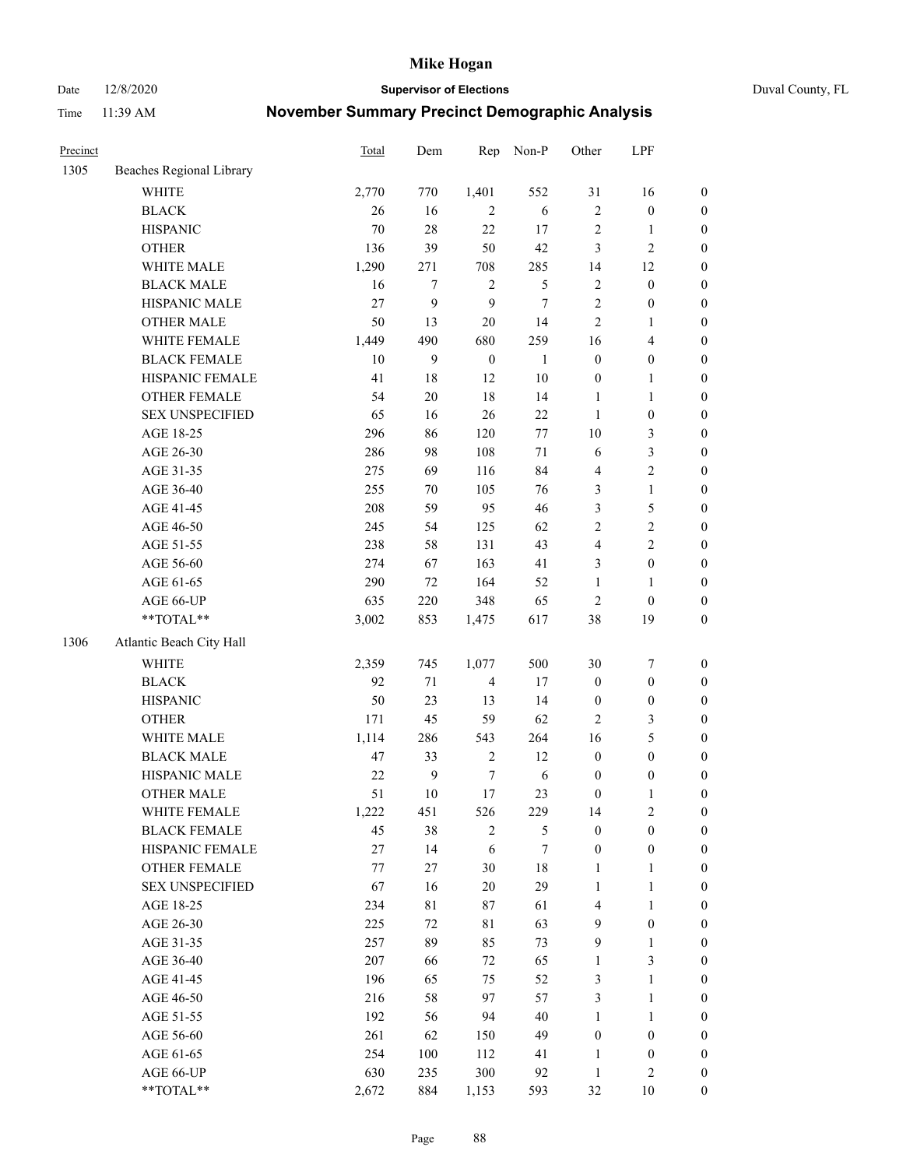Date 12/8/2020 **Supervisor of Elections** Duval County, FL

| Precinct |                          | <b>Total</b> | Dem              | Rep              | Non-P        | Other            | LPF              |                  |
|----------|--------------------------|--------------|------------------|------------------|--------------|------------------|------------------|------------------|
| 1305     | Beaches Regional Library |              |                  |                  |              |                  |                  |                  |
|          | <b>WHITE</b>             | 2,770        | 770              | 1,401            | 552          | 31               | 16               | 0                |
|          | <b>BLACK</b>             | 26           | 16               | $\mathfrak{2}$   | 6            | 2                | $\boldsymbol{0}$ | $\boldsymbol{0}$ |
|          | <b>HISPANIC</b>          | 70           | 28               | 22               | 17           | $\sqrt{2}$       | $\mathbf{1}$     | $\boldsymbol{0}$ |
|          | <b>OTHER</b>             | 136          | 39               | 50               | 42           | 3                | $\sqrt{2}$       | $\boldsymbol{0}$ |
|          | WHITE MALE               | 1,290        | 271              | 708              | 285          | 14               | 12               | $\boldsymbol{0}$ |
|          | <b>BLACK MALE</b>        | 16           | $\tau$           | $\sqrt{2}$       | 5            | $\overline{c}$   | $\boldsymbol{0}$ | $\boldsymbol{0}$ |
|          | HISPANIC MALE            | 27           | 9                | 9                | $\tau$       | $\overline{c}$   | $\boldsymbol{0}$ | $\boldsymbol{0}$ |
|          | <b>OTHER MALE</b>        | 50           | 13               | $20\,$           | 14           | 2                | $\mathbf{1}$     | $\boldsymbol{0}$ |
|          | WHITE FEMALE             | 1,449        | 490              | 680              | 259          | 16               | $\overline{4}$   | $\boldsymbol{0}$ |
|          | <b>BLACK FEMALE</b>      | $10\,$       | 9                | $\boldsymbol{0}$ | $\mathbf{1}$ | $\boldsymbol{0}$ | $\boldsymbol{0}$ | 0                |
|          | HISPANIC FEMALE          | 41           | 18               | 12               | $10\,$       | $\boldsymbol{0}$ | $\mathbf{1}$     | 0                |
|          | <b>OTHER FEMALE</b>      | 54           | $20\,$           | 18               | 14           | $\mathbf{1}$     | $\mathbf{1}$     | $\boldsymbol{0}$ |
|          | <b>SEX UNSPECIFIED</b>   | 65           | 16               | 26               | 22           | $\mathbf{1}$     | $\boldsymbol{0}$ | $\boldsymbol{0}$ |
|          | AGE 18-25                | 296          | 86               | 120              | $77\,$       | $10\,$           | $\mathfrak{Z}$   | $\boldsymbol{0}$ |
|          | AGE 26-30                | 286          | 98               | 108              | $71\,$       | 6                | $\mathfrak{Z}$   | $\boldsymbol{0}$ |
|          | AGE 31-35                | 275          | 69               | 116              | 84           | 4                | $\sqrt{2}$       | $\boldsymbol{0}$ |
|          | AGE 36-40                | 255          | $70\,$           | 105              | 76           | 3                | $\mathbf{1}$     | $\boldsymbol{0}$ |
|          | AGE 41-45                | 208          | 59               | 95               | 46           | 3                | 5                | $\boldsymbol{0}$ |
|          | AGE 46-50                | 245          | 54               | 125              | 62           | $\overline{c}$   | $\sqrt{2}$       | $\boldsymbol{0}$ |
|          | AGE 51-55                | 238          | 58               | 131              | 43           | 4                | $\sqrt{2}$       | $\boldsymbol{0}$ |
|          | AGE 56-60                | 274          | 67               | 163              | 41           | 3                | $\boldsymbol{0}$ | 0                |
|          | AGE 61-65                | 290          | 72               | 164              | 52           | $\mathbf{1}$     | $\mathbf{1}$     | $\boldsymbol{0}$ |
|          | AGE 66-UP                | 635          | 220              | 348              | 65           | $\mathbf{2}$     | $\boldsymbol{0}$ | $\boldsymbol{0}$ |
|          | $**TOTAL**$              | 3,002        | 853              | 1,475            | 617          | 38               | 19               | $\boldsymbol{0}$ |
| 1306     | Atlantic Beach City Hall |              |                  |                  |              |                  |                  |                  |
|          | <b>WHITE</b>             | 2,359        | 745              | 1,077            | 500          | 30               | $\boldsymbol{7}$ | $\boldsymbol{0}$ |
|          | <b>BLACK</b>             | 92           | $71\,$           | $\overline{4}$   | 17           | $\boldsymbol{0}$ | $\boldsymbol{0}$ | $\boldsymbol{0}$ |
|          | <b>HISPANIC</b>          | 50           | 23               | 13               | 14           | $\boldsymbol{0}$ | $\boldsymbol{0}$ | $\boldsymbol{0}$ |
|          | <b>OTHER</b>             | 171          | 45               | 59               | 62           | 2                | 3                | $\boldsymbol{0}$ |
|          | WHITE MALE               | 1,114        | 286              | 543              | 264          | 16               | $\mathfrak s$    | $\boldsymbol{0}$ |
|          | <b>BLACK MALE</b>        | 47           | 33               | $\sqrt{2}$       | 12           | $\boldsymbol{0}$ | $\boldsymbol{0}$ | $\boldsymbol{0}$ |
|          | HISPANIC MALE            | $22\,$       | $\boldsymbol{9}$ | $\boldsymbol{7}$ | $\sqrt{6}$   | $\boldsymbol{0}$ | $\boldsymbol{0}$ | $\boldsymbol{0}$ |
|          | <b>OTHER MALE</b>        | 51           | $10\,$           | $17\,$           | 23           | $\boldsymbol{0}$ | $\mathbf{1}$     | $\boldsymbol{0}$ |
|          | WHITE FEMALE             | 1,222        | 451              | 526              | 229          | 14               | $\overline{c}$   | 0                |
|          | <b>BLACK FEMALE</b>      | 45           | 38               | $\overline{2}$   | 5            | $\boldsymbol{0}$ | $\boldsymbol{0}$ | $\overline{0}$   |
|          | HISPANIC FEMALE          | 27           | 14               | 6                | 7            | $\boldsymbol{0}$ | $\boldsymbol{0}$ | $\overline{0}$   |
|          | <b>OTHER FEMALE</b>      | 77           | $27\,$           | 30               | 18           | 1                | $\mathbf{1}$     | 0                |
|          | <b>SEX UNSPECIFIED</b>   | 67           | 16               | 20               | 29           | $\mathbf{1}$     | $\mathbf{1}$     | 0                |
|          | AGE 18-25                | 234          | 81               | 87               | 61           | 4                | $\mathbf{1}$     | 0                |
|          | AGE 26-30                | 225          | 72               | 81               | 63           | 9                | $\boldsymbol{0}$ | 0                |
|          | AGE 31-35                | 257          | 89               | 85               | 73           | 9                | $\mathbf{1}$     | 0                |
|          | AGE 36-40                | 207          | 66               | 72               | 65           | $\mathbf{1}$     | $\mathfrak{Z}$   | 0                |
|          | AGE 41-45                | 196          | 65               | 75               | 52           | 3                | $\mathbf{1}$     | 0                |
|          | AGE 46-50                | 216          | 58               | 97               | 57           | 3                | $\mathbf{1}$     | 0                |
|          | AGE 51-55                | 192          | 56               | 94               | 40           | 1                | $\mathbf{1}$     | 0                |
|          | AGE 56-60                | 261          | 62               | 150              | 49           | $\boldsymbol{0}$ | $\boldsymbol{0}$ | 0                |
|          | AGE 61-65                | 254          | 100              | 112              | 41           | 1                | $\boldsymbol{0}$ | 0                |
|          | AGE 66-UP                | 630          | 235              | 300              | 92           | $\mathbf{1}$     | $\mathfrak{2}$   | 0                |
|          | **TOTAL**                | 2,672        | 884              | 1,153            | 593          | 32               | 10               | $\boldsymbol{0}$ |
|          |                          |              |                  |                  |              |                  |                  |                  |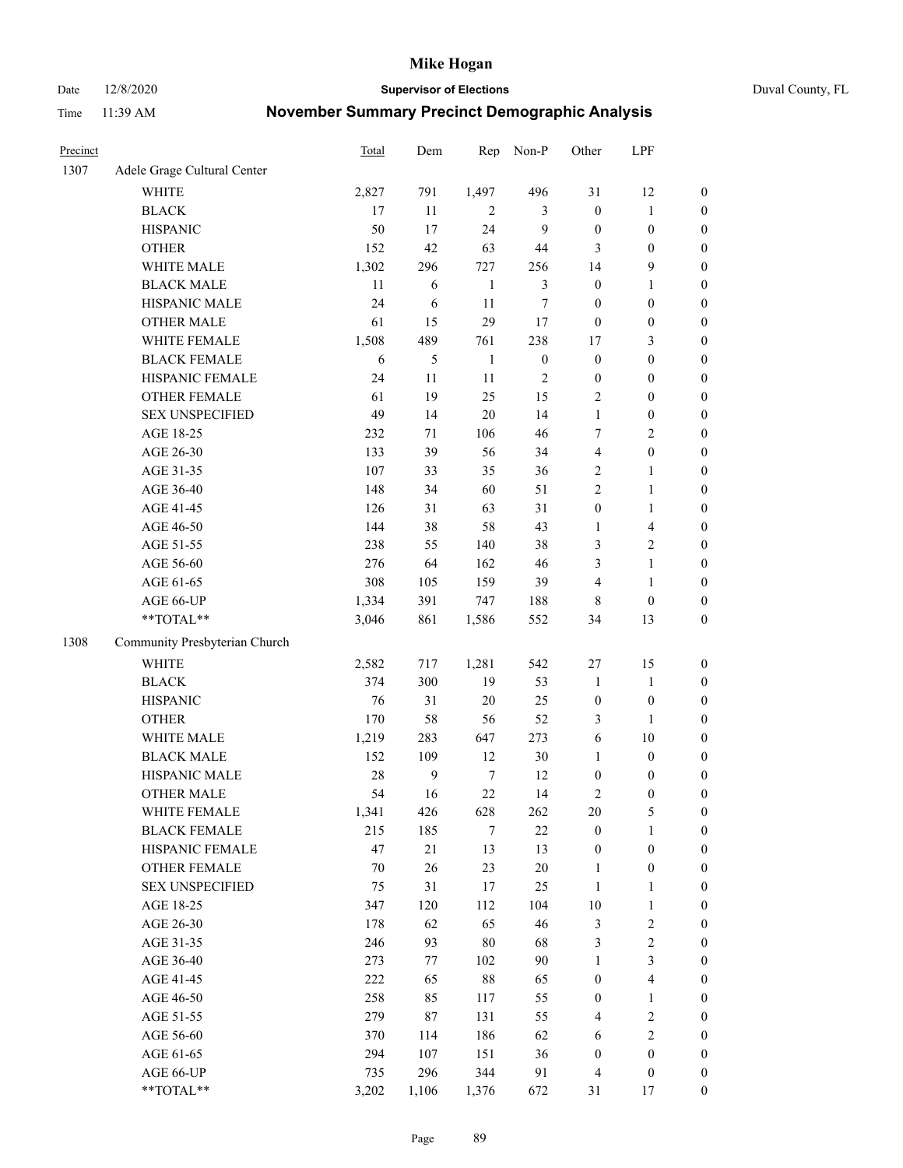Date 12/8/2020 **Supervisor of Elections** Duval County, FL

| Precinct |                               | <b>Total</b> | Dem            | Rep          | Non-P            | Other            | LPF              |                  |
|----------|-------------------------------|--------------|----------------|--------------|------------------|------------------|------------------|------------------|
| 1307     | Adele Grage Cultural Center   |              |                |              |                  |                  |                  |                  |
|          | <b>WHITE</b>                  | 2,827        | 791            | 1,497        | 496              | 31               | 12               | 0                |
|          | <b>BLACK</b>                  | 17           | 11             | 2            | 3                | $\boldsymbol{0}$ | $\mathbf{1}$     | $\boldsymbol{0}$ |
|          | <b>HISPANIC</b>               | 50           | 17             | 24           | 9                | $\boldsymbol{0}$ | $\boldsymbol{0}$ | $\boldsymbol{0}$ |
|          | <b>OTHER</b>                  | 152          | 42             | 63           | 44               | 3                | $\boldsymbol{0}$ | $\boldsymbol{0}$ |
|          | WHITE MALE                    | 1,302        | 296            | 727          | 256              | 14               | 9                | $\boldsymbol{0}$ |
|          | <b>BLACK MALE</b>             | 11           | 6              | $\mathbf{1}$ | 3                | $\boldsymbol{0}$ | $\mathbf{1}$     | $\boldsymbol{0}$ |
|          | HISPANIC MALE                 | 24           | 6              | 11           | 7                | $\boldsymbol{0}$ | $\boldsymbol{0}$ | $\boldsymbol{0}$ |
|          | <b>OTHER MALE</b>             | 61           | 15             | 29           | 17               | $\boldsymbol{0}$ | $\boldsymbol{0}$ | $\boldsymbol{0}$ |
|          | WHITE FEMALE                  | 1,508        | 489            | 761          | 238              | 17               | $\mathfrak{Z}$   | $\boldsymbol{0}$ |
|          | <b>BLACK FEMALE</b>           | 6            | 5              | $\mathbf{1}$ | $\boldsymbol{0}$ | $\boldsymbol{0}$ | $\boldsymbol{0}$ | $\boldsymbol{0}$ |
|          | HISPANIC FEMALE               | 24           | 11             | 11           | $\sqrt{2}$       | $\boldsymbol{0}$ | $\boldsymbol{0}$ | 0                |
|          | <b>OTHER FEMALE</b>           | 61           | 19             | 25           | 15               | 2                | $\boldsymbol{0}$ | $\boldsymbol{0}$ |
|          | <b>SEX UNSPECIFIED</b>        | 49           | 14             | 20           | 14               | $\mathbf{1}$     | $\boldsymbol{0}$ | $\boldsymbol{0}$ |
|          | AGE 18-25                     | 232          | $71\,$         | 106          | 46               | 7                | $\sqrt{2}$       | $\boldsymbol{0}$ |
|          | AGE 26-30                     | 133          | 39             | 56           | 34               | 4                | $\boldsymbol{0}$ | $\boldsymbol{0}$ |
|          | AGE 31-35                     | 107          | 33             | 35           | 36               | 2                | $\mathbf{1}$     | $\boldsymbol{0}$ |
|          | AGE 36-40                     | 148          | 34             | 60           | 51               | $\overline{c}$   | $\mathbf{1}$     | $\boldsymbol{0}$ |
|          | AGE 41-45                     | 126          | 31             | 63           | 31               | $\boldsymbol{0}$ | $\mathbf{1}$     | $\boldsymbol{0}$ |
|          | AGE 46-50                     | 144          | 38             | 58           | 43               | $\mathbf{1}$     | $\overline{4}$   | $\boldsymbol{0}$ |
|          | AGE 51-55                     | 238          | 55             | 140          | 38               | 3                | $\sqrt{2}$       | $\boldsymbol{0}$ |
|          | AGE 56-60                     | 276          | 64             | 162          | 46               | 3                | $\mathbf{1}$     | 0                |
|          | AGE 61-65                     | 308          | 105            | 159          | 39               | 4                | $\mathbf{1}$     | $\boldsymbol{0}$ |
|          | AGE 66-UP                     | 1,334        | 391            | 747          | 188              | 8                | $\boldsymbol{0}$ | $\boldsymbol{0}$ |
|          | $**TOTAL**$                   | 3,046        | 861            | 1,586        | 552              | 34               | 13               | $\boldsymbol{0}$ |
| 1308     | Community Presbyterian Church |              |                |              |                  |                  |                  |                  |
|          | <b>WHITE</b>                  | 2,582        | 717            | 1,281        | 542              | $27\,$           | 15               | $\boldsymbol{0}$ |
|          | <b>BLACK</b>                  | 374          | 300            | 19           | 53               | $\mathbf{1}$     | $\mathbf{1}$     | $\boldsymbol{0}$ |
|          | <b>HISPANIC</b>               | 76           | 31             | 20           | 25               | $\boldsymbol{0}$ | $\boldsymbol{0}$ | $\boldsymbol{0}$ |
|          | <b>OTHER</b>                  | 170          | 58             | 56           | 52               | 3                | $\mathbf{1}$     | $\boldsymbol{0}$ |
|          | WHITE MALE                    | 1,219        | 283            | 647          | 273              | 6                | 10               | $\boldsymbol{0}$ |
|          | <b>BLACK MALE</b>             | 152          | 109            | 12           | 30               | $\mathbf{1}$     | $\boldsymbol{0}$ | $\boldsymbol{0}$ |
|          | HISPANIC MALE                 | 28           | $\overline{9}$ | $\tau$       | 12               | $\boldsymbol{0}$ | $\boldsymbol{0}$ | $\boldsymbol{0}$ |
|          | <b>OTHER MALE</b>             | 54           | 16             | 22           | 14               | 2                | $\boldsymbol{0}$ | $\boldsymbol{0}$ |
|          | WHITE FEMALE                  | 1,341        | 426            | 628          | 262              | 20               | 5                | 0                |
|          | <b>BLACK FEMALE</b>           | 215          | 185            | 7            | 22               | $\boldsymbol{0}$ | $\mathbf{1}$     | $\overline{0}$   |
|          | HISPANIC FEMALE               | 47           | 21             | 13           | 13               | $\boldsymbol{0}$ | $\boldsymbol{0}$ | $\overline{0}$   |
|          | <b>OTHER FEMALE</b>           | $70\,$       | 26             | 23           | $20\,$           | $\mathbf{1}$     | $\boldsymbol{0}$ | 0                |
|          | <b>SEX UNSPECIFIED</b>        | 75           | 31             | 17           | 25               | $\mathbf{1}$     | $\mathbf{1}$     | 0                |
|          | AGE 18-25                     | 347          | 120            | 112          | 104              | $10\,$           | $\mathbf{1}$     | 0                |
|          | AGE 26-30                     | 178          | 62             | 65           | 46               | 3                | $\sqrt{2}$       | 0                |
|          | AGE 31-35                     | 246          | 93             | $80\,$       | 68               | 3                | $\sqrt{2}$       | 0                |
|          | AGE 36-40                     | 273          | 77             | 102          | 90               | $\mathbf{1}$     | $\mathfrak{Z}$   | 0                |
|          | AGE 41-45                     | 222          | 65             | $88\,$       | 65               | $\boldsymbol{0}$ | $\overline{4}$   | 0                |
|          | AGE 46-50                     | 258          | 85             | 117          | 55               | $\boldsymbol{0}$ | $\mathbf{1}$     | 0                |
|          | AGE 51-55                     | 279          | 87             | 131          | 55               | 4                | $\sqrt{2}$       | 0                |
|          | AGE 56-60                     | 370          | 114            | 186          | 62               | 6                | $\sqrt{2}$       | 0                |
|          | AGE 61-65                     | 294          | 107            | 151          | 36               | $\boldsymbol{0}$ | $\boldsymbol{0}$ | $\overline{0}$   |
|          | AGE 66-UP                     | 735          | 296            | 344          | 91               | 4                | $\boldsymbol{0}$ | 0                |
|          | **TOTAL**                     | 3,202        | 1,106          | 1,376        | 672              | 31               | 17               | $\boldsymbol{0}$ |
|          |                               |              |                |              |                  |                  |                  |                  |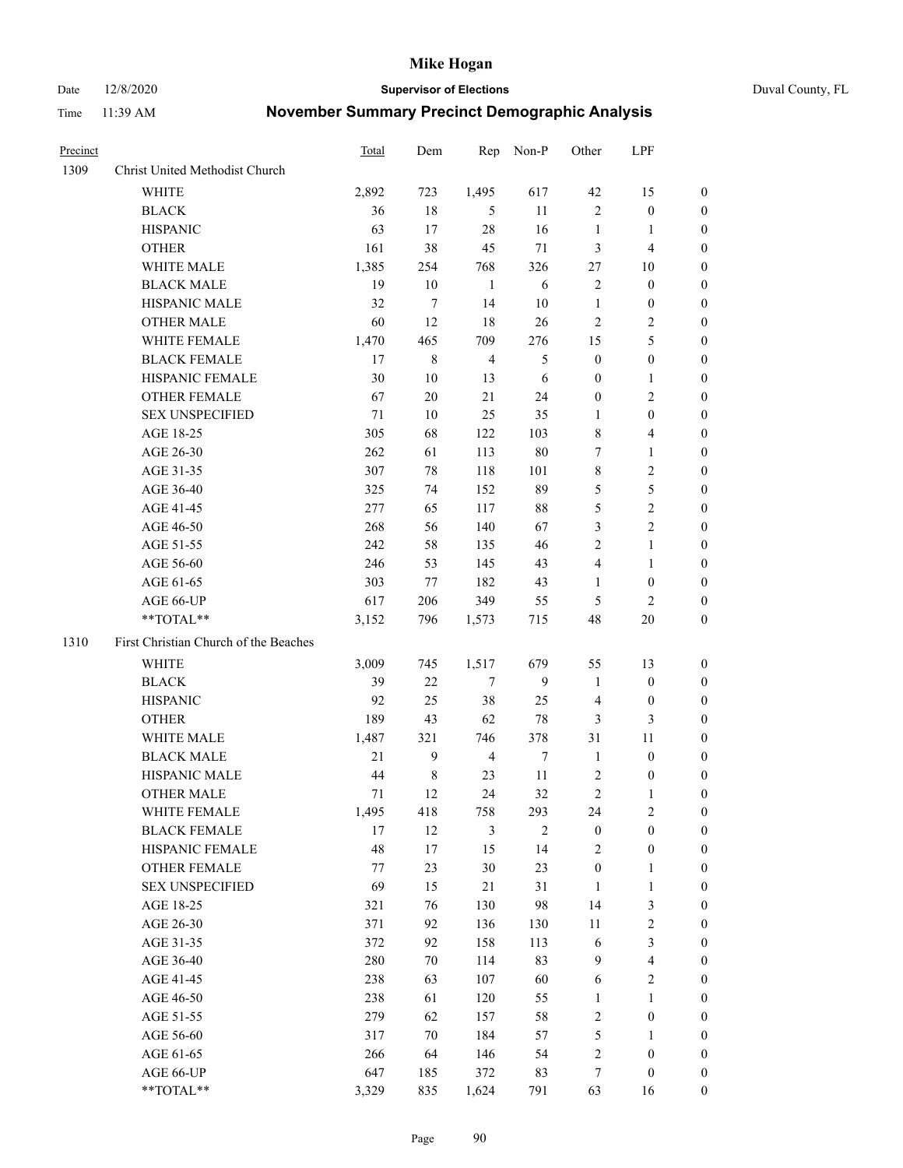Date 12/8/2020 **Supervisor of Elections** Duval County, FL

| Precinct |                                       | <b>Total</b> | Dem         | Rep            | Non-P          | Other                   | LPF                     |                  |
|----------|---------------------------------------|--------------|-------------|----------------|----------------|-------------------------|-------------------------|------------------|
| 1309     | Christ United Methodist Church        |              |             |                |                |                         |                         |                  |
|          | <b>WHITE</b>                          | 2,892        | 723         | 1,495          | 617            | $42\,$                  | 15                      | 0                |
|          | <b>BLACK</b>                          | 36           | 18          | 5              | 11             | $\mathfrak{2}$          | $\boldsymbol{0}$        | 0                |
|          | <b>HISPANIC</b>                       | 63           | 17          | 28             | 16             | $\mathbf{1}$            | $\mathbf{1}$            | 0                |
|          | <b>OTHER</b>                          | 161          | 38          | 45             | 71             | 3                       | $\overline{\mathbf{4}}$ | $\boldsymbol{0}$ |
|          | WHITE MALE                            | 1,385        | 254         | 768            | 326            | 27                      | 10                      | $\boldsymbol{0}$ |
|          | <b>BLACK MALE</b>                     | 19           | 10          | 1              | 6              | $\sqrt{2}$              | $\boldsymbol{0}$        | $\boldsymbol{0}$ |
|          | HISPANIC MALE                         | 32           | 7           | 14             | 10             | $\mathbf{1}$            | $\boldsymbol{0}$        | $\boldsymbol{0}$ |
|          | <b>OTHER MALE</b>                     | 60           | 12          | 18             | 26             | $\mathfrak{2}$          | $\overline{2}$          | $\boldsymbol{0}$ |
|          | WHITE FEMALE                          | 1,470        | 465         | 709            | 276            | 15                      | $\mathfrak s$           | 0                |
|          | <b>BLACK FEMALE</b>                   | 17           | $\,$ 8 $\,$ | $\overline{4}$ | 5              | $\boldsymbol{0}$        | $\boldsymbol{0}$        | 0                |
|          | HISPANIC FEMALE                       | 30           | 10          | 13             | 6              | 0                       | $\mathbf{1}$            | 0                |
|          | OTHER FEMALE                          | 67           | 20          | 21             | 24             | $\boldsymbol{0}$        | $\sqrt{2}$              | 0                |
|          | <b>SEX UNSPECIFIED</b>                | 71           | 10          | 25             | 35             | $\mathbf{1}$            | $\boldsymbol{0}$        | $\boldsymbol{0}$ |
|          | AGE 18-25                             | 305          | 68          | 122            | 103            | 8                       | $\overline{\mathbf{4}}$ | $\boldsymbol{0}$ |
|          | AGE 26-30                             | 262          | 61          | 113            | $80\,$         | 7                       | $\mathbf{1}$            | $\boldsymbol{0}$ |
|          | AGE 31-35                             | 307          | $78\,$      | 118            | 101            | $\,$ $\,$               | $\sqrt{2}$              | $\boldsymbol{0}$ |
|          | AGE 36-40                             | 325          | 74          | 152            | 89             | 5                       | $\mathfrak s$           | $\boldsymbol{0}$ |
|          | AGE 41-45                             | 277          | 65          | 117            | 88             | 5                       | $\overline{2}$          | $\overline{0}$   |
|          | AGE 46-50                             | 268          | 56          | 140            | 67             | 3                       | $\overline{2}$          | $\boldsymbol{0}$ |
|          | AGE 51-55                             | 242          | 58          | 135            | 46             | 2                       | $\mathbf{1}$            | 0                |
|          | AGE 56-60                             | 246          | 53          | 145            | 43             | $\overline{\mathbf{4}}$ | $\mathbf{1}$            | 0                |
|          | AGE 61-65                             | 303          | 77          | 182            | 43             | $\mathbf{1}$            | $\boldsymbol{0}$        | 0                |
|          | AGE 66-UP                             | 617          | 206         | 349            | 55             | 5                       | 2                       | 0                |
|          | **TOTAL**                             | 3,152        | 796         | 1,573          | 715            | 48                      | 20                      | $\boldsymbol{0}$ |
| 1310     | First Christian Church of the Beaches |              |             |                |                |                         |                         |                  |
|          | <b>WHITE</b>                          | 3,009        | 745         | 1,517          | 679            | 55                      | 13                      | $\boldsymbol{0}$ |
|          | <b>BLACK</b>                          | 39           | $22\,$      | $\tau$         | 9              | $\mathbf{1}$            | $\boldsymbol{0}$        | $\boldsymbol{0}$ |
|          | <b>HISPANIC</b>                       | 92           | 25          | 38             | 25             | $\overline{4}$          | $\boldsymbol{0}$        | 0                |
|          | <b>OTHER</b>                          | 189          | 43          | 62             | $78\,$         | 3                       | $\mathfrak{Z}$          | $\boldsymbol{0}$ |
|          | WHITE MALE                            | 1,487        | 321         | 746            | 378            | 31                      | $11\,$                  | $\boldsymbol{0}$ |
|          | <b>BLACK MALE</b>                     | 21           | 9           | $\overline{4}$ | $\tau$         | $\mathbf{1}$            | $\boldsymbol{0}$        | $\boldsymbol{0}$ |
|          | HISPANIC MALE                         | 44           | $\,$ 8 $\,$ | 23             | 11             | $\overline{c}$          | $\boldsymbol{0}$        | 0                |
|          | <b>OTHER MALE</b>                     | 71           | 12          | 24             | 32             | 2                       | 1                       | 0                |
|          | WHITE FEMALE                          | 1,495        | 418         | 758            | 293            | 24                      | 2                       | 0                |
|          | <b>BLACK FEMALE</b>                   | 17           | 12          | $\mathfrak{Z}$ | $\overline{2}$ | $\boldsymbol{0}$        | $\boldsymbol{0}$        | $\boldsymbol{0}$ |
|          | HISPANIC FEMALE                       | 48           | 17          | 15             | 14             | 2                       | $\boldsymbol{0}$        | $\overline{0}$   |
|          | OTHER FEMALE                          | 77           | 23          | 30             | 23             | $\boldsymbol{0}$        | $\mathbf{1}$            | $\overline{0}$   |
|          | <b>SEX UNSPECIFIED</b>                | 69           | 15          | 21             | 31             | $\mathbf{1}$            | $\mathbf{1}$            | 0                |
|          | AGE 18-25                             | 321          | 76          | 130            | 98             | 14                      | $\mathfrak{Z}$          | 0                |
|          | AGE 26-30                             | 371          | 92          | 136            | 130            | $11\,$                  | $\sqrt{2}$              | 0                |
|          | AGE 31-35                             | 372          | 92          | 158            | 113            | 6                       | $\mathfrak{Z}$          | 0                |
|          | AGE 36-40                             | 280          | 70          | 114            | 83             | 9                       | $\overline{\mathbf{4}}$ | 0                |
|          | AGE 41-45                             | 238          | 63          | 107            | 60             | 6                       | $\overline{2}$          | 0                |
|          | AGE 46-50                             | 238          | 61          | 120            | 55             | $\mathbf{1}$            | $\mathbf{1}$            | 0                |
|          | AGE 51-55                             | 279          | 62          | 157            | 58             | 2                       | $\boldsymbol{0}$        | 0                |
|          | AGE 56-60                             | 317          | 70          | 184            | 57             | 5                       | 1                       | $\boldsymbol{0}$ |
|          | AGE 61-65                             | 266          | 64          | 146            | 54             | 2                       | $\boldsymbol{0}$        | $\overline{0}$   |
|          | AGE 66-UP                             | 647          | 185         | 372            | 83             | 7                       | $\boldsymbol{0}$        | 0                |
|          | **TOTAL**                             | 3,329        | 835         | 1,624          | 791            | 63                      | 16                      | $\boldsymbol{0}$ |
|          |                                       |              |             |                |                |                         |                         |                  |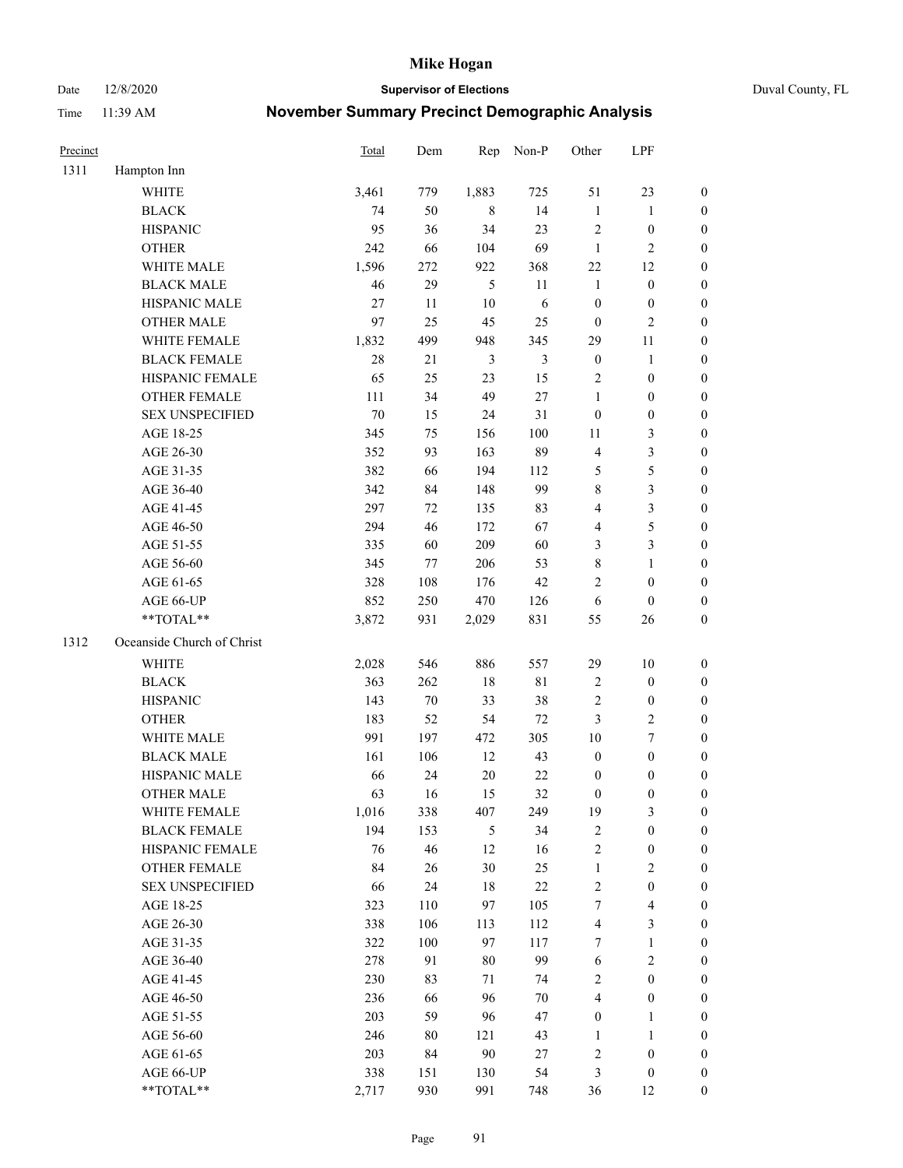Date 12/8/2020 **Supervisor of Elections** Duval County, FL

| Precinct |                            | <b>Total</b> | Dem     | Rep            | Non-P          | Other            | LPF              |                  |
|----------|----------------------------|--------------|---------|----------------|----------------|------------------|------------------|------------------|
| 1311     | Hampton Inn                |              |         |                |                |                  |                  |                  |
|          | <b>WHITE</b>               | 3,461        | 779     | 1,883          | 725            | 51               | 23               | 0                |
|          | <b>BLACK</b>               | 74           | 50      | 8              | 14             | $\mathbf{1}$     | $\mathbf{1}$     | 0                |
|          | <b>HISPANIC</b>            | 95           | 36      | 34             | 23             | $\sqrt{2}$       | $\boldsymbol{0}$ | $\boldsymbol{0}$ |
|          | <b>OTHER</b>               | 242          | 66      | 104            | 69             | $\mathbf{1}$     | $\mathfrak{2}$   | $\boldsymbol{0}$ |
|          | WHITE MALE                 | 1,596        | 272     | 922            | 368            | $22\,$           | 12               | $\boldsymbol{0}$ |
|          | <b>BLACK MALE</b>          | 46           | 29      | 5              | 11             | $\mathbf{1}$     | $\boldsymbol{0}$ | $\boldsymbol{0}$ |
|          | HISPANIC MALE              | 27           | 11      | 10             | 6              | $\boldsymbol{0}$ | $\boldsymbol{0}$ | $\boldsymbol{0}$ |
|          | <b>OTHER MALE</b>          | 97           | 25      | 45             | 25             | $\boldsymbol{0}$ | $\mathfrak{2}$   | $\boldsymbol{0}$ |
|          | WHITE FEMALE               | 1,832        | 499     | 948            | 345            | 29               | $11\,$           | $\boldsymbol{0}$ |
|          | <b>BLACK FEMALE</b>        | 28           | 21      | $\mathfrak{Z}$ | $\mathfrak{Z}$ | $\boldsymbol{0}$ | $\mathbf{1}$     | 0                |
|          | HISPANIC FEMALE            | 65           | 25      | 23             | 15             | 2                | $\boldsymbol{0}$ | 0                |
|          | <b>OTHER FEMALE</b>        | 111          | 34      | 49             | $27\,$         | $\mathbf{1}$     | $\boldsymbol{0}$ | $\boldsymbol{0}$ |
|          | <b>SEX UNSPECIFIED</b>     | 70           | 15      | 24             | 31             | $\boldsymbol{0}$ | $\boldsymbol{0}$ | $\boldsymbol{0}$ |
|          | AGE 18-25                  | 345          | 75      | 156            | 100            | 11               | $\mathfrak{Z}$   | $\boldsymbol{0}$ |
|          | AGE 26-30                  | 352          | 93      | 163            | 89             | 4                | $\mathfrak{Z}$   | $\boldsymbol{0}$ |
|          | AGE 31-35                  | 382          | 66      | 194            | 112            | 5                | 5                | $\boldsymbol{0}$ |
|          | AGE 36-40                  | 342          | 84      | 148            | 99             | 8                | $\mathfrak{Z}$   | $\boldsymbol{0}$ |
|          | AGE 41-45                  | 297          | 72      | 135            | 83             | 4                | 3                | $\boldsymbol{0}$ |
|          | AGE 46-50                  | 294          | 46      | 172            | 67             | 4                | 5                | $\boldsymbol{0}$ |
|          | AGE 51-55                  | 335          | 60      | 209            | 60             | 3                | $\mathfrak{Z}$   | $\boldsymbol{0}$ |
|          | AGE 56-60                  | 345          | 77      | 206            | 53             | 8                | $\mathbf{1}$     | 0                |
|          | AGE 61-65                  | 328          | 108     | 176            | $42\,$         | 2                | $\boldsymbol{0}$ | 0                |
|          | AGE 66-UP                  | 852          | 250     | 470            | 126            | 6                | $\boldsymbol{0}$ | $\boldsymbol{0}$ |
|          | **TOTAL**                  | 3,872        | 931     | 2,029          | 831            | 55               | 26               | $\boldsymbol{0}$ |
| 1312     | Oceanside Church of Christ |              |         |                |                |                  |                  |                  |
|          | <b>WHITE</b>               | 2,028        | 546     | 886            | 557            | 29               | 10               | $\boldsymbol{0}$ |
|          | <b>BLACK</b>               | 363          | 262     | 18             | $8\sqrt{1}$    | 2                | $\boldsymbol{0}$ | $\boldsymbol{0}$ |
|          | <b>HISPANIC</b>            | 143          | $70\,$  | 33             | 38             | 2                | $\boldsymbol{0}$ | $\boldsymbol{0}$ |
|          | <b>OTHER</b>               | 183          | 52      | 54             | 72             | 3                | $\sqrt{2}$       | $\boldsymbol{0}$ |
|          | WHITE MALE                 | 991          | 197     | 472            | 305            | $10\,$           | $\tau$           | $\boldsymbol{0}$ |
|          | <b>BLACK MALE</b>          | 161          | 106     | 12             | 43             | $\boldsymbol{0}$ | $\boldsymbol{0}$ | $\boldsymbol{0}$ |
|          | HISPANIC MALE              | 66           | 24      | $20\,$         | 22             | $\boldsymbol{0}$ | $\boldsymbol{0}$ | 0                |
|          | <b>OTHER MALE</b>          | 63           | 16      | 15             | 32             | $\boldsymbol{0}$ | $\boldsymbol{0}$ | $\boldsymbol{0}$ |
|          | WHITE FEMALE               | 1,016        | 338     | 407            | 249            | 19               | 3                | 0                |
|          | <b>BLACK FEMALE</b>        | 194          | 153     | 5              | 34             | 2                | $\boldsymbol{0}$ | $\overline{0}$   |
|          | HISPANIC FEMALE            | 76           | 46      | 12             | 16             | $\overline{c}$   | $\boldsymbol{0}$ | 0                |
|          | <b>OTHER FEMALE</b>        | 84           | $26\,$  | 30             | 25             | $\mathbf{1}$     | $\sqrt{2}$       | 0                |
|          | <b>SEX UNSPECIFIED</b>     | 66           | 24      | $18\,$         | $22\,$         | 2                | $\boldsymbol{0}$ | 0                |
|          | AGE 18-25                  | 323          | 110     | 97             | 105            | 7                | $\overline{4}$   | 0                |
|          | AGE 26-30                  | 338          | 106     | 113            | 112            | 4                | 3                | 0                |
|          | AGE 31-35                  | 322          | $100\,$ | 97             | 117            | 7                | $\mathbf{1}$     | 0                |
|          | AGE 36-40                  | 278          | 91      | 80             | 99             | 6                | $\sqrt{2}$       | 0                |
|          | AGE 41-45                  | 230          | 83      | 71             | 74             | $\overline{c}$   | $\boldsymbol{0}$ | 0                |
|          | AGE 46-50                  | 236          | 66      | 96             | $70\,$         | 4                | $\boldsymbol{0}$ | 0                |
|          | AGE 51-55                  | 203          | 59      | 96             | 47             | $\boldsymbol{0}$ | $\mathbf{1}$     | 0                |
|          | AGE 56-60                  | 246          | 80      | 121            | 43             | 1                | $\mathbf{1}$     | 0                |
|          | AGE 61-65                  | 203          | 84      | $90\,$         | 27             | 2                | $\boldsymbol{0}$ | 0                |
|          | AGE 66-UP                  | 338          | 151     | 130            | 54             | 3                | $\boldsymbol{0}$ | 0                |
|          | **TOTAL**                  | 2,717        | 930     | 991            | 748            | 36               | 12               | $\boldsymbol{0}$ |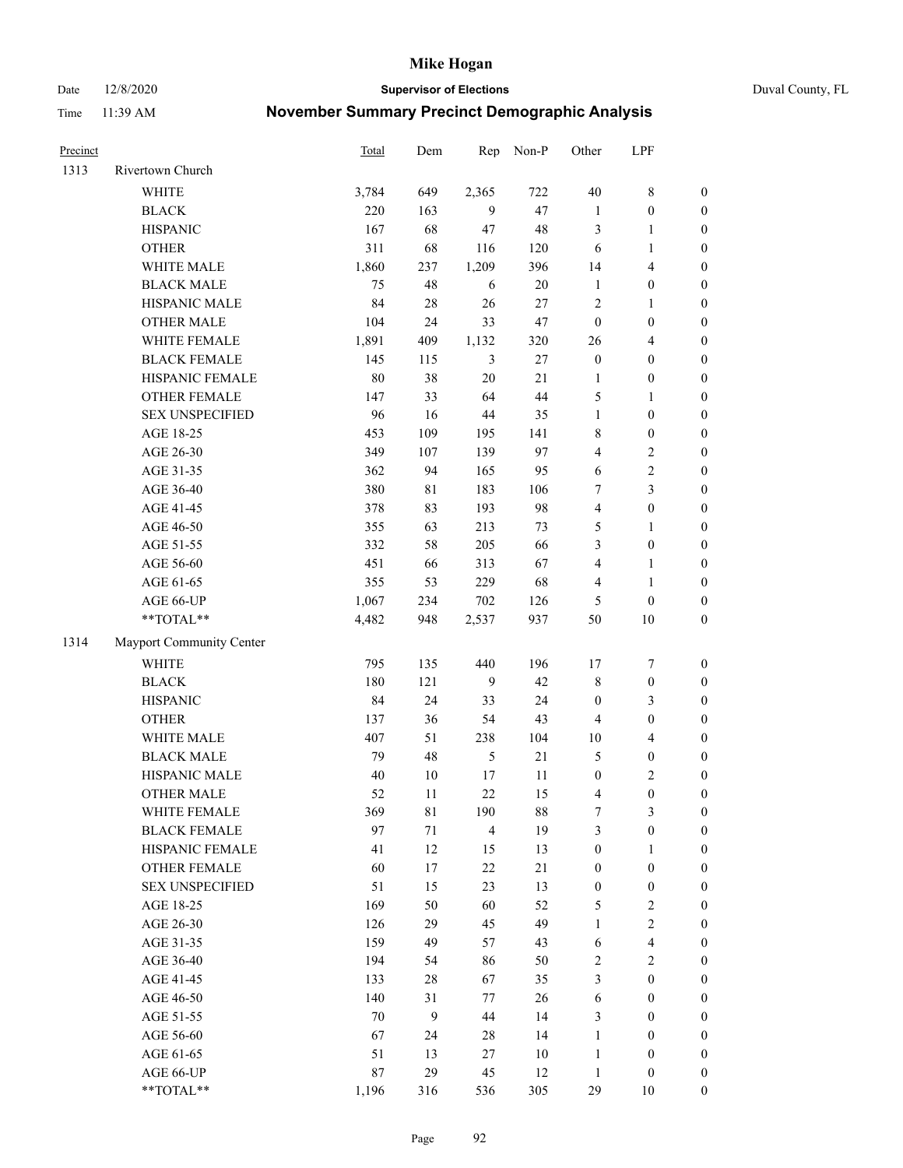Date 12/8/2020 **Supervisor of Elections** Duval County, FL

| Precinct |                          | <b>Total</b> | Dem         | Rep            | Non-P  | Other                   | LPF              |                  |
|----------|--------------------------|--------------|-------------|----------------|--------|-------------------------|------------------|------------------|
| 1313     | Rivertown Church         |              |             |                |        |                         |                  |                  |
|          | <b>WHITE</b>             | 3,784        | 649         | 2,365          | 722    | 40                      | $\,$ $\,$        | 0                |
|          | <b>BLACK</b>             | 220          | 163         | 9              | 47     | $\mathbf{1}$            | $\boldsymbol{0}$ | $\boldsymbol{0}$ |
|          | <b>HISPANIC</b>          | 167          | 68          | 47             | 48     | 3                       | $\mathbf{1}$     | $\boldsymbol{0}$ |
|          | <b>OTHER</b>             | 311          | 68          | 116            | 120    | 6                       | $\mathbf{1}$     | $\boldsymbol{0}$ |
|          | WHITE MALE               | 1,860        | 237         | 1,209          | 396    | 14                      | $\overline{4}$   | $\boldsymbol{0}$ |
|          | <b>BLACK MALE</b>        | 75           | 48          | 6              | $20\,$ | $\mathbf{1}$            | $\boldsymbol{0}$ | $\boldsymbol{0}$ |
|          | HISPANIC MALE            | 84           | $28\,$      | 26             | $27\,$ | 2                       | $\mathbf{1}$     | $\boldsymbol{0}$ |
|          | <b>OTHER MALE</b>        | 104          | 24          | 33             | 47     | $\boldsymbol{0}$        | $\boldsymbol{0}$ | $\boldsymbol{0}$ |
|          | WHITE FEMALE             | 1,891        | 409         | 1,132          | 320    | 26                      | $\overline{4}$   | $\boldsymbol{0}$ |
|          | <b>BLACK FEMALE</b>      | 145          | 115         | $\mathfrak{Z}$ | $27\,$ | $\boldsymbol{0}$        | $\boldsymbol{0}$ | $\boldsymbol{0}$ |
|          | HISPANIC FEMALE          | $80\,$       | 38          | $20\,$         | 21     | 1                       | $\boldsymbol{0}$ | $\boldsymbol{0}$ |
|          | <b>OTHER FEMALE</b>      | 147          | 33          | 64             | 44     | 5                       | 1                | $\boldsymbol{0}$ |
|          | <b>SEX UNSPECIFIED</b>   | 96           | 16          | 44             | 35     | $\mathbf{1}$            | $\boldsymbol{0}$ | $\boldsymbol{0}$ |
|          | AGE 18-25                | 453          | 109         | 195            | 141    | 8                       | $\boldsymbol{0}$ | $\boldsymbol{0}$ |
|          | AGE 26-30                | 349          | 107         | 139            | 97     | 4                       | $\sqrt{2}$       | $\boldsymbol{0}$ |
|          | AGE 31-35                | 362          | 94          | 165            | 95     | 6                       | $\sqrt{2}$       | $\boldsymbol{0}$ |
|          | AGE 36-40                | 380          | $8\sqrt{1}$ | 183            | 106    | 7                       | 3                | $\boldsymbol{0}$ |
|          | AGE 41-45                | 378          | 83          | 193            | 98     | 4                       | $\boldsymbol{0}$ | $\boldsymbol{0}$ |
|          | AGE 46-50                | 355          | 63          | 213            | 73     | 5                       | $\mathbf{1}$     | $\boldsymbol{0}$ |
|          | AGE 51-55                | 332          | 58          | 205            | 66     | 3                       | $\boldsymbol{0}$ | $\boldsymbol{0}$ |
|          | AGE 56-60                | 451          | 66          | 313            | 67     | 4                       | 1                | 0                |
|          | AGE 61-65                | 355          | 53          | 229            | 68     | 4                       | $\mathbf{1}$     | $\boldsymbol{0}$ |
|          | AGE 66-UP                | 1,067        | 234         | 702            | 126    | 5                       | $\boldsymbol{0}$ | $\boldsymbol{0}$ |
|          | $**TOTAL**$              | 4,482        | 948         | 2,537          | 937    | 50                      | 10               | $\boldsymbol{0}$ |
| 1314     | Mayport Community Center |              |             |                |        |                         |                  |                  |
|          | <b>WHITE</b>             | 795          | 135         | 440            | 196    | $17$                    | $\boldsymbol{7}$ | $\boldsymbol{0}$ |
|          | <b>BLACK</b>             | 180          | 121         | 9              | 42     | 8                       | $\boldsymbol{0}$ | $\boldsymbol{0}$ |
|          | <b>HISPANIC</b>          | 84           | 24          | 33             | 24     | $\boldsymbol{0}$        | 3                | $\boldsymbol{0}$ |
|          | <b>OTHER</b>             | 137          | 36          | 54             | 43     | 4                       | $\boldsymbol{0}$ | $\boldsymbol{0}$ |
|          | WHITE MALE               | 407          | 51          | 238            | 104    | $10\,$                  | $\overline{4}$   | $\boldsymbol{0}$ |
|          | <b>BLACK MALE</b>        | 79           | 48          | $\mathfrak{H}$ | 21     | 5                       | $\boldsymbol{0}$ | $\boldsymbol{0}$ |
|          | HISPANIC MALE            | 40           | $10\,$      | $17\,$         | $11\,$ | $\boldsymbol{0}$        | $\sqrt{2}$       | $\boldsymbol{0}$ |
|          | <b>OTHER MALE</b>        | 52           | 11          | 22             | 15     | 4                       | $\boldsymbol{0}$ | $\boldsymbol{0}$ |
|          | WHITE FEMALE             | 369          | 81          | 190            | 88     | 7                       | 3                | 0                |
|          | <b>BLACK FEMALE</b>      | 97           | 71          | $\overline{4}$ | 19     | 3                       | $\boldsymbol{0}$ | $\overline{0}$   |
|          | HISPANIC FEMALE          | 41           | 12          | 15             | 13     | $\boldsymbol{0}$        | $\mathbf{1}$     | 0                |
|          | OTHER FEMALE             | 60           | 17          | 22             | $21\,$ | 0                       | $\boldsymbol{0}$ | 0                |
|          | <b>SEX UNSPECIFIED</b>   | 51           | 15          | 23             | 13     | $\boldsymbol{0}$        | $\boldsymbol{0}$ | 0                |
|          | AGE 18-25                | 169          | 50          | 60             | 52     | 5                       | $\sqrt{2}$       | 0                |
|          | AGE 26-30                | 126          | 29          | 45             | 49     | $\mathbf{1}$            | $\sqrt{2}$       | 0                |
|          | AGE 31-35                | 159          | 49          | 57             | 43     | 6                       | $\overline{4}$   | 0                |
|          | AGE 36-40                | 194          | 54          | 86             | 50     | $\overline{\mathbf{c}}$ | $\sqrt{2}$       | 0                |
|          | AGE 41-45                | 133          | $28\,$      | 67             | 35     | 3                       | $\boldsymbol{0}$ | 0                |
|          | AGE 46-50                | 140          | 31          | 77             | 26     | 6                       | $\boldsymbol{0}$ | 0                |
|          | AGE 51-55                | 70           | 9           | 44             | 14     | 3                       | $\boldsymbol{0}$ | 0                |
|          | AGE 56-60                | 67           | 24          | 28             | 14     | 1                       | $\boldsymbol{0}$ | 0                |
|          | AGE 61-65                | 51           | 13          | 27             | 10     | 1                       | $\boldsymbol{0}$ | 0                |
|          | AGE 66-UP                | $87\,$       | 29          | 45             | 12     | $\mathbf{1}$            | $\boldsymbol{0}$ | 0                |
|          | **TOTAL**                | 1,196        | 316         | 536            | 305    | 29                      | 10               | $\boldsymbol{0}$ |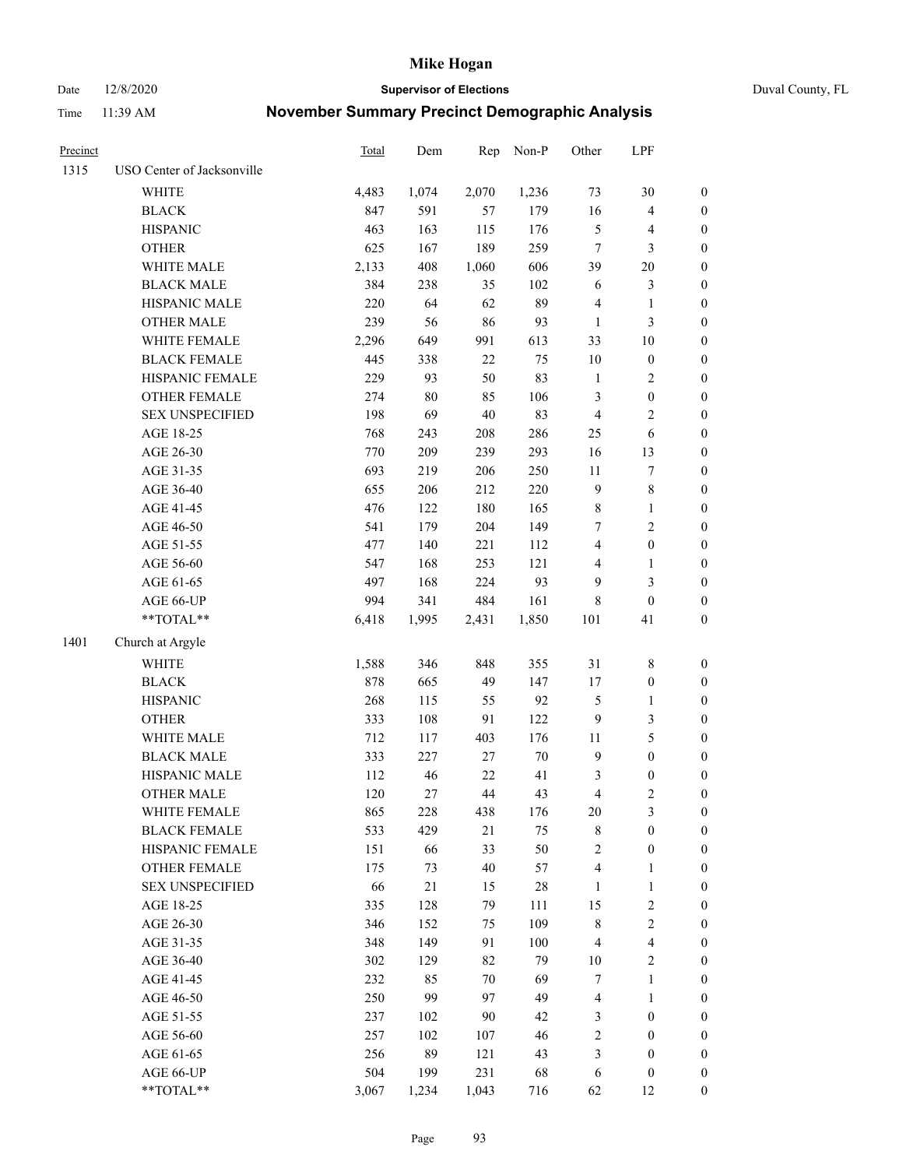Date 12/8/2020 **Supervisor of Elections** Duval County, FL

| Precinct |                            | Total | Dem    | Rep    | Non-P  | Other          | LPF              |                  |
|----------|----------------------------|-------|--------|--------|--------|----------------|------------------|------------------|
| 1315     | USO Center of Jacksonville |       |        |        |        |                |                  |                  |
|          | <b>WHITE</b>               | 4,483 | 1,074  | 2,070  | 1,236  | 73             | 30               | 0                |
|          | <b>BLACK</b>               | 847   | 591    | 57     | 179    | 16             | $\overline{4}$   | $\boldsymbol{0}$ |
|          | <b>HISPANIC</b>            | 463   | 163    | 115    | 176    | 5              | $\overline{4}$   | $\boldsymbol{0}$ |
|          | <b>OTHER</b>               | 625   | 167    | 189    | 259    | 7              | 3                | $\boldsymbol{0}$ |
|          | WHITE MALE                 | 2,133 | 408    | 1,060  | 606    | 39             | 20               | $\boldsymbol{0}$ |
|          | <b>BLACK MALE</b>          | 384   | 238    | 35     | 102    | 6              | $\mathfrak{Z}$   | $\boldsymbol{0}$ |
|          | HISPANIC MALE              | 220   | 64     | 62     | 89     | 4              | $\mathbf{1}$     | $\boldsymbol{0}$ |
|          | <b>OTHER MALE</b>          | 239   | 56     | 86     | 93     | $\mathbf{1}$   | $\mathfrak{Z}$   | $\boldsymbol{0}$ |
|          | WHITE FEMALE               | 2,296 | 649    | 991    | 613    | 33             | $10\,$           | $\boldsymbol{0}$ |
|          | <b>BLACK FEMALE</b>        | 445   | 338    | $22\,$ | 75     | $10\,$         | $\boldsymbol{0}$ | 0                |
|          | HISPANIC FEMALE            | 229   | 93     | 50     | 83     | $\mathbf{1}$   | $\overline{c}$   | 0                |
|          | OTHER FEMALE               | 274   | $80\,$ | 85     | 106    | 3              | $\boldsymbol{0}$ | $\boldsymbol{0}$ |
|          | <b>SEX UNSPECIFIED</b>     | 198   | 69     | 40     | 83     | 4              | $\sqrt{2}$       | $\boldsymbol{0}$ |
|          | AGE 18-25                  | 768   | 243    | 208    | 286    | $25\,$         | 6                | $\boldsymbol{0}$ |
|          | AGE 26-30                  | 770   | 209    | 239    | 293    | 16             | 13               | $\boldsymbol{0}$ |
|          | AGE 31-35                  | 693   | 219    | 206    | 250    | $11\,$         | $\sqrt{ }$       | $\boldsymbol{0}$ |
|          | AGE 36-40                  | 655   | 206    | 212    | 220    | 9              | $\,$ $\,$        | $\boldsymbol{0}$ |
|          | AGE 41-45                  | 476   | 122    | 180    | 165    | 8              | $\mathbf{1}$     | $\boldsymbol{0}$ |
|          | AGE 46-50                  | 541   | 179    | 204    | 149    | 7              | $\sqrt{2}$       | $\boldsymbol{0}$ |
|          | AGE 51-55                  | 477   | 140    | 221    | 112    | 4              | $\boldsymbol{0}$ | $\boldsymbol{0}$ |
|          | AGE 56-60                  | 547   | 168    | 253    | 121    | 4              | $\mathbf{1}$     | 0                |
|          | AGE 61-65                  | 497   | 168    | 224    | 93     | 9              | $\mathfrak{Z}$   | $\boldsymbol{0}$ |
|          | AGE 66-UP                  | 994   | 341    | 484    | 161    | 8              | $\boldsymbol{0}$ | $\boldsymbol{0}$ |
|          | $**TOTAL**$                | 6,418 | 1,995  | 2,431  | 1,850  | 101            | 41               | $\boldsymbol{0}$ |
| 1401     | Church at Argyle           |       |        |        |        |                |                  |                  |
|          | <b>WHITE</b>               | 1,588 | 346    | 848    | 355    | 31             | $\,$ $\,$        | $\boldsymbol{0}$ |
|          | <b>BLACK</b>               | 878   | 665    | 49     | 147    | 17             | $\boldsymbol{0}$ | $\boldsymbol{0}$ |
|          | <b>HISPANIC</b>            | 268   | 115    | 55     | 92     | 5              | $\mathbf{1}$     | $\boldsymbol{0}$ |
|          | <b>OTHER</b>               | 333   | 108    | 91     | 122    | 9              | $\mathfrak{Z}$   | $\boldsymbol{0}$ |
|          | WHITE MALE                 | 712   | 117    | 403    | 176    | $11\,$         | $\mathfrak s$    | $\boldsymbol{0}$ |
|          | <b>BLACK MALE</b>          | 333   | 227    | $27\,$ | $70\,$ | $\mathbf{9}$   | $\boldsymbol{0}$ | $\boldsymbol{0}$ |
|          | HISPANIC MALE              | 112   | 46     | $22\,$ | 41     | 3              | $\boldsymbol{0}$ | $\boldsymbol{0}$ |
|          | <b>OTHER MALE</b>          | 120   | 27     | 44     | 43     | 4              | $\mathfrak{2}$   | $\boldsymbol{0}$ |
|          | WHITE FEMALE               | 865   | 228    | 438    | 176    | 20             | 3                | 0                |
|          | <b>BLACK FEMALE</b>        | 533   | 429    | 21     | 75     | 8              | $\boldsymbol{0}$ | $\overline{0}$   |
|          | HISPANIC FEMALE            | 151   | 66     | 33     | 50     | $\overline{c}$ | $\boldsymbol{0}$ | $\overline{0}$   |
|          | <b>OTHER FEMALE</b>        | 175   | 73     | 40     | 57     | 4              | $\mathbf{1}$     | 0                |
|          | <b>SEX UNSPECIFIED</b>     | 66    | 21     | 15     | $28\,$ | $\mathbf{1}$   | $\mathbf{1}$     | 0                |
|          | AGE 18-25                  | 335   | 128    | 79     | 111    | 15             | $\sqrt{2}$       | 0                |
|          | AGE 26-30                  | 346   | 152    | 75     | 109    | 8              | $\sqrt{2}$       | 0                |
|          | AGE 31-35                  | 348   | 149    | 91     | 100    | 4              | $\overline{4}$   | 0                |
|          | AGE 36-40                  | 302   | 129    | 82     | 79     | $10\,$         | $\sqrt{2}$       | 0                |
|          | AGE 41-45                  | 232   | 85     | 70     | 69     | 7              | $\mathbf{1}$     | 0                |
|          | AGE 46-50                  | 250   | 99     | 97     | 49     | 4              | $\mathbf{1}$     | 0                |
|          | AGE 51-55                  | 237   | 102    | 90     | 42     | 3              | $\boldsymbol{0}$ | 0                |
|          | AGE 56-60                  | 257   | 102    | 107    | 46     | $\overline{c}$ | $\boldsymbol{0}$ | 0                |
|          | AGE 61-65                  | 256   | 89     | 121    | 43     | 3              | $\boldsymbol{0}$ | 0                |
|          | AGE 66-UP                  | 504   | 199    | 231    | 68     | 6              | $\boldsymbol{0}$ | 0                |
|          | **TOTAL**                  | 3,067 | 1,234  | 1,043  | 716    | 62             | 12               | $\boldsymbol{0}$ |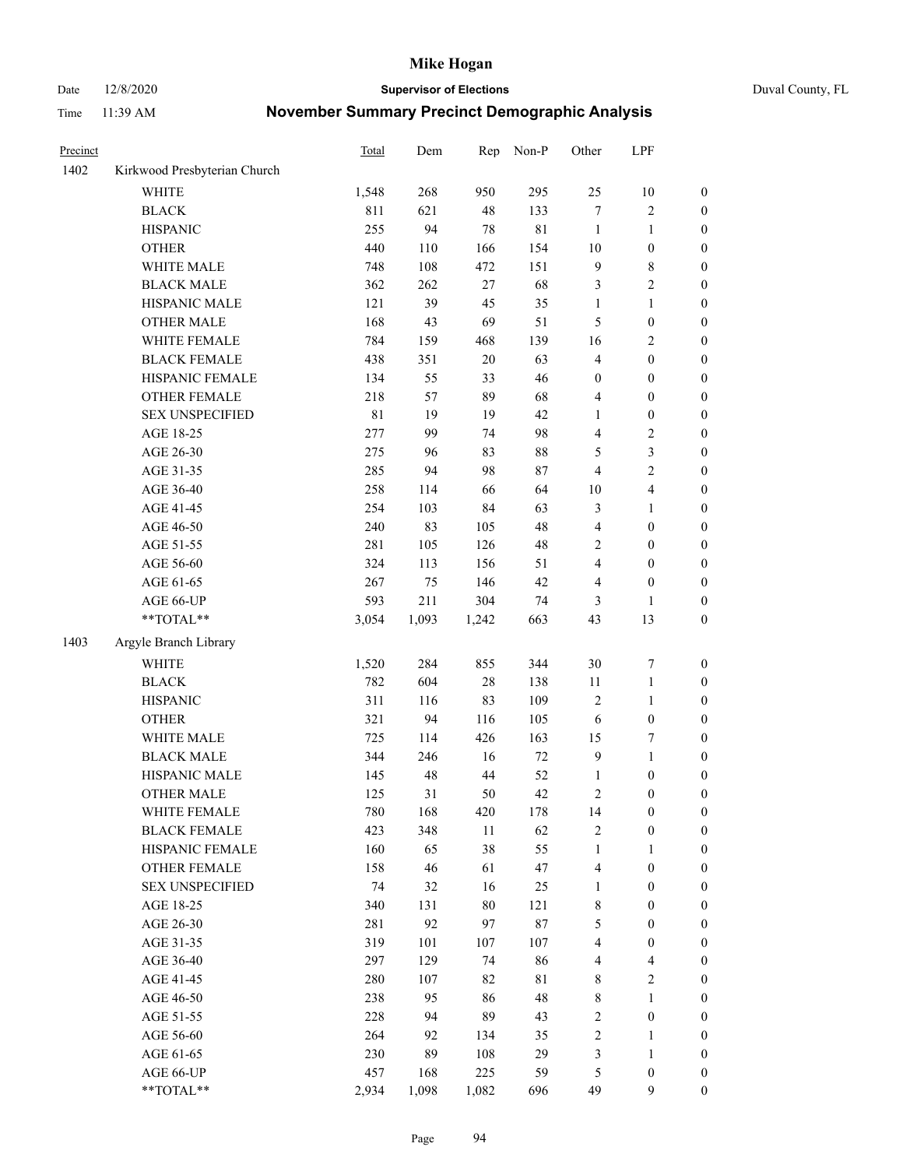Date 12/8/2020 **Supervisor of Elections** Duval County, FL

| Precinct |                              | <b>Total</b> | Dem   | Rep    | Non-P       | Other                   | LPF              |                  |
|----------|------------------------------|--------------|-------|--------|-------------|-------------------------|------------------|------------------|
| 1402     | Kirkwood Presbyterian Church |              |       |        |             |                         |                  |                  |
|          | <b>WHITE</b>                 | 1,548        | 268   | 950    | 295         | 25                      | 10               | 0                |
|          | <b>BLACK</b>                 | 811          | 621   | 48     | 133         | $\boldsymbol{7}$        | $\sqrt{2}$       | 0                |
|          | <b>HISPANIC</b>              | 255          | 94    | 78     | $8\sqrt{1}$ | $\mathbf{1}$            | $\mathbf{1}$     | $\boldsymbol{0}$ |
|          | <b>OTHER</b>                 | 440          | 110   | 166    | 154         | $10\,$                  | $\boldsymbol{0}$ | $\boldsymbol{0}$ |
|          | WHITE MALE                   | 748          | 108   | 472    | 151         | 9                       | $\,$ 8 $\,$      | $\boldsymbol{0}$ |
|          | <b>BLACK MALE</b>            | 362          | 262   | 27     | 68          | 3                       | $\sqrt{2}$       | $\boldsymbol{0}$ |
|          | HISPANIC MALE                | 121          | 39    | 45     | 35          | 1                       | $\mathbf{1}$     | $\boldsymbol{0}$ |
|          | <b>OTHER MALE</b>            | 168          | 43    | 69     | 51          | 5                       | $\boldsymbol{0}$ | $\boldsymbol{0}$ |
|          | WHITE FEMALE                 | 784          | 159   | 468    | 139         | 16                      | $\sqrt{2}$       | $\boldsymbol{0}$ |
|          | <b>BLACK FEMALE</b>          | 438          | 351   | $20\,$ | 63          | $\overline{\mathbf{4}}$ | $\boldsymbol{0}$ | $\boldsymbol{0}$ |
|          | HISPANIC FEMALE              | 134          | 55    | 33     | 46          | $\boldsymbol{0}$        | $\boldsymbol{0}$ | $\boldsymbol{0}$ |
|          | <b>OTHER FEMALE</b>          | 218          | 57    | 89     | 68          | 4                       | $\boldsymbol{0}$ | $\boldsymbol{0}$ |
|          | <b>SEX UNSPECIFIED</b>       | $8\sqrt{1}$  | 19    | 19     | 42          | $\mathbf{1}$            | $\boldsymbol{0}$ | $\boldsymbol{0}$ |
|          | AGE 18-25                    | 277          | 99    | 74     | 98          | 4                       | $\sqrt{2}$       | $\boldsymbol{0}$ |
|          | AGE 26-30                    | 275          | 96    | 83     | 88          | 5                       | 3                | $\boldsymbol{0}$ |
|          | AGE 31-35                    | 285          | 94    | 98     | 87          | 4                       | $\sqrt{2}$       | $\boldsymbol{0}$ |
|          | AGE 36-40                    | 258          | 114   | 66     | 64          | $10\,$                  | $\overline{4}$   | $\boldsymbol{0}$ |
|          | AGE 41-45                    | 254          | 103   | 84     | 63          | 3                       | $\mathbf{1}$     | $\boldsymbol{0}$ |
|          | AGE 46-50                    | 240          | 83    | 105    | 48          | 4                       | $\boldsymbol{0}$ | $\boldsymbol{0}$ |
|          | AGE 51-55                    | 281          | 105   | 126    | 48          | $\mathbf{2}$            | $\boldsymbol{0}$ | $\boldsymbol{0}$ |
|          | AGE 56-60                    | 324          | 113   | 156    | 51          | 4                       | $\boldsymbol{0}$ | $\boldsymbol{0}$ |
|          | AGE 61-65                    | 267          | 75    | 146    | 42          | 4                       | $\boldsymbol{0}$ | $\boldsymbol{0}$ |
|          | AGE 66-UP                    | 593          | 211   | 304    | 74          | 3                       | 1                | $\boldsymbol{0}$ |
|          | $**TOTAL**$                  | 3,054        | 1,093 | 1,242  | 663         | 43                      | 13               | $\boldsymbol{0}$ |
| 1403     | Argyle Branch Library        |              |       |        |             |                         |                  |                  |
|          | <b>WHITE</b>                 | 1,520        | 284   | 855    | 344         | 30                      | $\boldsymbol{7}$ | $\boldsymbol{0}$ |
|          | <b>BLACK</b>                 | 782          | 604   | 28     | 138         | $11\,$                  | $\mathbf{1}$     | $\boldsymbol{0}$ |
|          | <b>HISPANIC</b>              | 311          | 116   | 83     | 109         | 2                       | $\mathbf{1}$     | $\boldsymbol{0}$ |
|          | <b>OTHER</b>                 | 321          | 94    | 116    | 105         | 6                       | $\boldsymbol{0}$ | $\boldsymbol{0}$ |
|          | WHITE MALE                   | 725          | 114   | 426    | 163         | 15                      | $\boldsymbol{7}$ | $\boldsymbol{0}$ |
|          | <b>BLACK MALE</b>            | 344          | 246   | 16     | $72\,$      | 9                       | $\mathbf{1}$     | $\boldsymbol{0}$ |
|          | HISPANIC MALE                | 145          | 48    | 44     | 52          | 1                       | $\boldsymbol{0}$ | 0                |
|          | <b>OTHER MALE</b>            | 125          | 31    | 50     | 42          | 2                       | $\boldsymbol{0}$ | $\boldsymbol{0}$ |
|          | WHITE FEMALE                 | 780          | 168   | 420    | 178         | 14                      | 0                | 0                |
|          | <b>BLACK FEMALE</b>          | 423          | 348   | 11     | 62          | 2                       | $\boldsymbol{0}$ | $\boldsymbol{0}$ |
|          | HISPANIC FEMALE              | 160          | 65    | 38     | 55          | 1                       | 1                | $\overline{0}$   |
|          | OTHER FEMALE                 | 158          | 46    | 61     | 47          | 4                       | $\boldsymbol{0}$ | $\overline{0}$   |
|          | <b>SEX UNSPECIFIED</b>       | 74           | 32    | 16     | 25          | 1                       | $\boldsymbol{0}$ | 0                |
|          | AGE 18-25                    | 340          | 131   | $80\,$ | 121         | 8                       | $\boldsymbol{0}$ | $\theta$         |
|          | AGE 26-30                    | 281          | 92    | 97     | 87          | 5                       | $\boldsymbol{0}$ | 0                |
|          | AGE 31-35                    | 319          | 101   | 107    | 107         | 4                       | $\boldsymbol{0}$ | 0                |
|          | AGE 36-40                    | 297          | 129   | 74     | 86          | 4                       | $\overline{4}$   | 0                |
|          | AGE 41-45                    | 280          | 107   | 82     | 81          | 8                       | $\sqrt{2}$       | 0                |
|          | AGE 46-50                    | 238          | 95    | 86     | 48          | 8                       | $\mathbf{1}$     | 0                |
|          | AGE 51-55                    | 228          | 94    | 89     | 43          | 2                       | $\boldsymbol{0}$ | 0                |
|          | AGE 56-60                    | 264          | 92    | 134    | 35          | 2                       | 1                | $\boldsymbol{0}$ |
|          | AGE 61-65                    | 230          | 89    | 108    | 29          | 3                       | $\mathbf{1}$     | $\boldsymbol{0}$ |
|          | AGE 66-UP                    | 457          | 168   | 225    | 59          | 5                       | $\boldsymbol{0}$ | 0                |
|          | **TOTAL**                    | 2,934        | 1,098 | 1,082  | 696         | 49                      | 9                | $\boldsymbol{0}$ |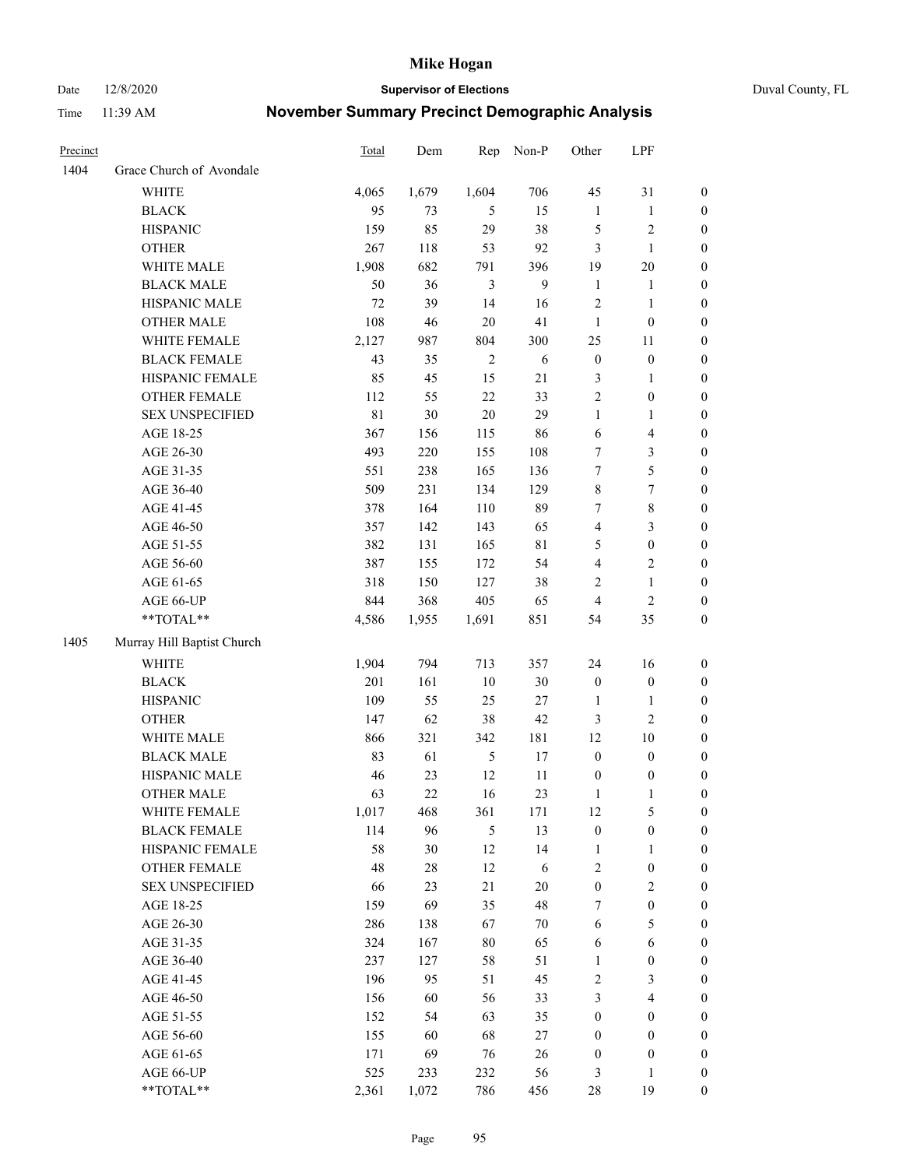Date 12/8/2020 **Supervisor of Elections** Duval County, FL

| Precinct |                            | <b>Total</b> | Dem     | Rep            | Non-P       | Other             | LPF                   |                  |
|----------|----------------------------|--------------|---------|----------------|-------------|-------------------|-----------------------|------------------|
| 1404     | Grace Church of Avondale   |              |         |                |             |                   |                       |                  |
|          | <b>WHITE</b>               | 4,065        | 1,679   | 1,604          | 706         | 45                | 31                    | 0                |
|          | <b>BLACK</b>               | 95           | 73      | 5              | 15          | $\mathbf{1}$      | $\mathbf{1}$          | $\boldsymbol{0}$ |
|          | <b>HISPANIC</b>            | 159          | 85      | 29             | 38          | 5                 | $\sqrt{2}$            | $\boldsymbol{0}$ |
|          | <b>OTHER</b>               | 267          | $118\,$ | 53             | 92          | 3                 | $\mathbf{1}$          | $\boldsymbol{0}$ |
|          | WHITE MALE                 | 1,908        | 682     | 791            | 396         | 19                | 20                    | $\boldsymbol{0}$ |
|          | <b>BLACK MALE</b>          | 50           | 36      | 3              | 9           | $\mathbf{1}$      | 1                     | $\boldsymbol{0}$ |
|          | HISPANIC MALE              | 72           | 39      | 14             | 16          | 2                 | $\mathbf{1}$          | $\boldsymbol{0}$ |
|          | <b>OTHER MALE</b>          | 108          | 46      | $20\,$         | 41          | $\mathbf{1}$      | $\boldsymbol{0}$      | $\boldsymbol{0}$ |
|          | WHITE FEMALE               | 2,127        | 987     | 804            | 300         | 25                | 11                    | $\boldsymbol{0}$ |
|          | <b>BLACK FEMALE</b>        | 43           | 35      | $\overline{c}$ | 6           | $\boldsymbol{0}$  | $\boldsymbol{0}$      | 0                |
|          | HISPANIC FEMALE            | 85           | 45      | 15             | 21          | 3                 | $\mathbf{1}$          | 0                |
|          | OTHER FEMALE               | 112          | 55      | 22             | 33          | $\overline{2}$    | $\boldsymbol{0}$      | $\boldsymbol{0}$ |
|          | <b>SEX UNSPECIFIED</b>     | 81           | $30\,$  | $20\,$         | 29          | $\mathbf{1}$      | $\mathbf{1}$          | $\boldsymbol{0}$ |
|          | AGE 18-25                  | 367          | 156     | 115            | 86          | 6                 | $\overline{4}$        | $\boldsymbol{0}$ |
|          | AGE 26-30                  | 493          | 220     | 155            | 108         | 7                 | $\mathfrak{Z}$        | $\boldsymbol{0}$ |
|          | AGE 31-35                  | 551          | 238     | 165            | 136         | $\boldsymbol{7}$  | 5                     | $\boldsymbol{0}$ |
|          | AGE 36-40                  | 509          | 231     | 134            | 129         | 8                 | 7                     | $\boldsymbol{0}$ |
|          | AGE 41-45                  | 378          | 164     | 110            | 89          | $\tau$            | $\,$ 8 $\,$           | $\boldsymbol{0}$ |
|          | AGE 46-50                  | 357          | 142     | 143            | 65          | 4                 | $\mathfrak{Z}$        | $\boldsymbol{0}$ |
|          | AGE 51-55                  | 382          | 131     | 165            | $8\sqrt{1}$ | 5                 | $\boldsymbol{0}$      | $\boldsymbol{0}$ |
|          | AGE 56-60                  | 387          | 155     | 172            | 54          | 4                 | $\sqrt{2}$            | 0                |
|          | AGE 61-65                  | 318          | 150     | 127            | 38          | 2                 | $\mathbf{1}$          | 0                |
|          | AGE 66-UP                  | 844          | 368     | 405            | 65          | $\overline{4}$    | $\mathbf{2}$          | $\boldsymbol{0}$ |
|          | $**TOTAL**$                | 4,586        | 1,955   | 1,691          | 851         | 54                | 35                    | $\boldsymbol{0}$ |
| 1405     | Murray Hill Baptist Church |              |         |                |             |                   |                       |                  |
|          | <b>WHITE</b>               | 1,904        | 794     | 713            | 357         | 24                | 16                    | $\boldsymbol{0}$ |
|          | <b>BLACK</b>               | 201          | 161     | 10             | $30\,$      | $\boldsymbol{0}$  | $\boldsymbol{0}$      | $\boldsymbol{0}$ |
|          | <b>HISPANIC</b>            | 109          | 55      | 25             | $27\,$      | $\mathbf{1}$      | $\mathbf{1}$          | $\boldsymbol{0}$ |
|          | <b>OTHER</b>               | 147          | 62      | 38             | 42          | 3                 | $\mathfrak{2}$        | $\boldsymbol{0}$ |
|          | WHITE MALE                 | 866          | 321     | 342            | 181         | 12                | 10                    | $\boldsymbol{0}$ |
|          | <b>BLACK MALE</b>          | 83           | 61      | $\sqrt{5}$     | 17          | $\boldsymbol{0}$  | $\boldsymbol{0}$      | $\boldsymbol{0}$ |
|          | HISPANIC MALE              | 46           | 23      | 12             | 11          | $\boldsymbol{0}$  | $\boldsymbol{0}$      | 0                |
|          | <b>OTHER MALE</b>          | 63           | 22      | 16             | 23          | $\mathbf{1}$      | $\mathbf{1}$          | $\boldsymbol{0}$ |
|          | WHITE FEMALE               | 1,017        | 468     | 361            | 171         | 12                | 5                     | 0                |
|          | <b>BLACK FEMALE</b>        | 114          | 96      | $\mathfrak{S}$ | 13          | $\boldsymbol{0}$  | $\boldsymbol{0}$      | $\overline{0}$   |
|          | HISPANIC FEMALE            | 58           | $30\,$  | 12             | 14          | $\mathbf{1}$      | $\mathbf{1}$          | $\overline{0}$   |
|          | <b>OTHER FEMALE</b>        | 48           | $28\,$  | 12             | 6           | 2                 | $\boldsymbol{0}$      | 0                |
|          | <b>SEX UNSPECIFIED</b>     | 66           | 23      | 21             | $20\,$      | $\boldsymbol{0}$  | $\mathfrak{2}$        | 0                |
|          | AGE 18-25                  | 159          | 69      | 35             | 48          | $\tau$            | $\boldsymbol{0}$      | 0                |
|          | AGE 26-30                  | 286          | 138     | 67             | $70\,$      | 6                 | $\mathfrak s$         | 0                |
|          | AGE 31-35                  | 324          | 167     | $80\,$         | 65          | 6                 | 6                     | 0                |
|          |                            | 237          | 127     | 58             | 51          |                   |                       |                  |
|          | AGE 36-40<br>AGE 41-45     | 196          | 95      | 51             | 45          | $\mathbf{1}$<br>2 | $\boldsymbol{0}$<br>3 | 0<br>0           |
|          |                            |              |         |                |             |                   |                       |                  |
|          | AGE 46-50                  | 156          | 60      | 56             | 33          | 3                 | $\overline{4}$        | 0                |
|          | AGE 51-55                  | 152          | 54      | 63             | 35          | $\boldsymbol{0}$  | $\boldsymbol{0}$      | 0                |
|          | AGE 56-60                  | 155          | 60      | 68             | 27          | $\boldsymbol{0}$  | $\boldsymbol{0}$      | 0                |
|          | AGE 61-65                  | 171          | 69      | 76             | 26          | $\boldsymbol{0}$  | $\boldsymbol{0}$      | 0                |
|          | AGE 66-UP                  | 525          | 233     | 232            | 56          | 3                 | $\mathbf{1}$          | 0                |
|          | **TOTAL**                  | 2,361        | 1,072   | 786            | 456         | 28                | 19                    | $\boldsymbol{0}$ |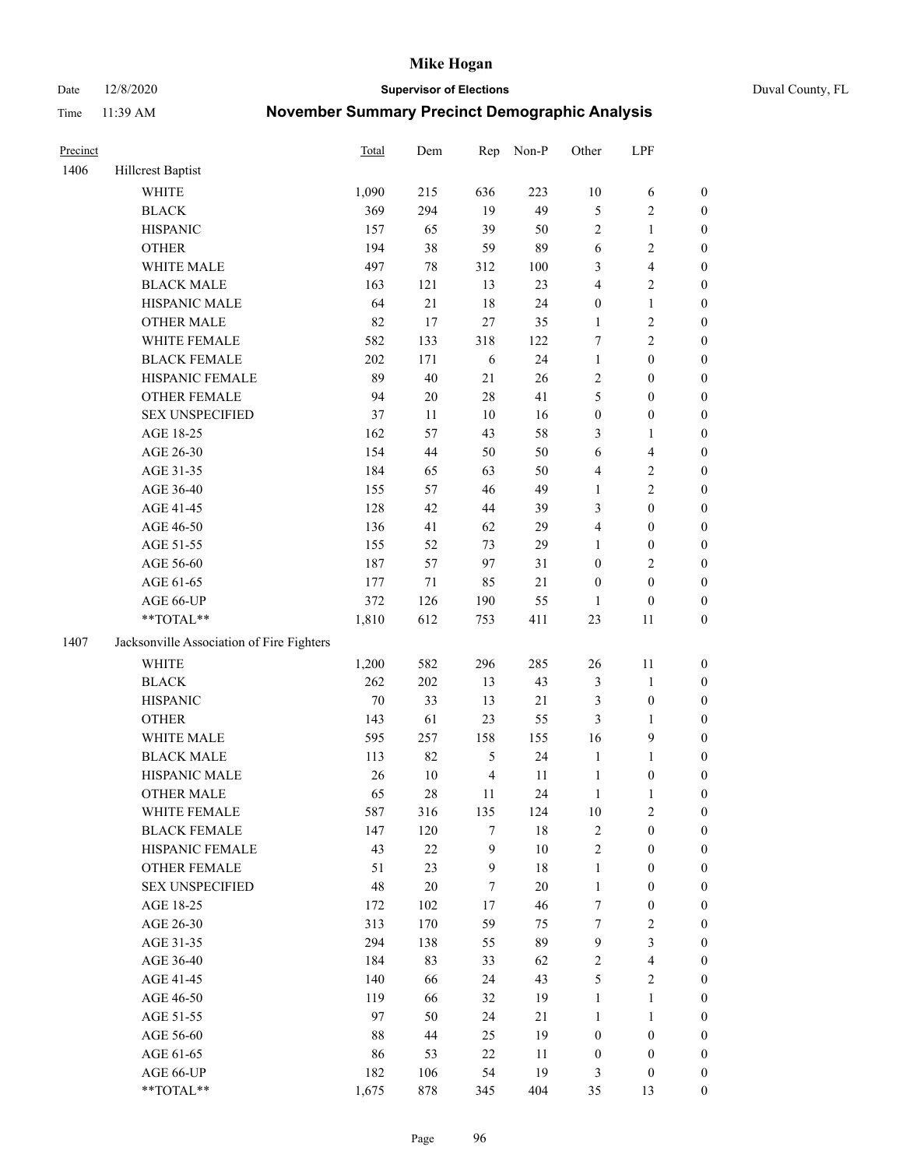Date 12/8/2020 **Supervisor of Elections** Duval County, FL

| Precinct |                                           | Total  | Dem    | Rep            | Non-P  | Other            | LPF                     |                  |
|----------|-------------------------------------------|--------|--------|----------------|--------|------------------|-------------------------|------------------|
| 1406     | <b>Hillcrest Baptist</b>                  |        |        |                |        |                  |                         |                  |
|          | <b>WHITE</b>                              | 1,090  | 215    | 636            | 223    | $10\,$           | 6                       | 0                |
|          | <b>BLACK</b>                              | 369    | 294    | 19             | 49     | 5                | $\sqrt{2}$              | $\boldsymbol{0}$ |
|          | <b>HISPANIC</b>                           | 157    | 65     | 39             | 50     | 2                | $\mathbf{1}$            | $\boldsymbol{0}$ |
|          | <b>OTHER</b>                              | 194    | 38     | 59             | 89     | 6                | $\sqrt{2}$              | $\boldsymbol{0}$ |
|          | WHITE MALE                                | 497    | $78\,$ | 312            | 100    | 3                | $\overline{\mathbf{4}}$ | $\boldsymbol{0}$ |
|          | <b>BLACK MALE</b>                         | 163    | 121    | 13             | 23     | 4                | $\sqrt{2}$              | $\boldsymbol{0}$ |
|          | HISPANIC MALE                             | 64     | 21     | 18             | 24     | $\boldsymbol{0}$ | $\mathbf{1}$            | $\boldsymbol{0}$ |
|          | <b>OTHER MALE</b>                         | 82     | 17     | 27             | 35     | $\mathbf{1}$     | $\sqrt{2}$              | $\boldsymbol{0}$ |
|          | WHITE FEMALE                              | 582    | 133    | 318            | 122    | 7                | $\overline{2}$          | $\boldsymbol{0}$ |
|          | <b>BLACK FEMALE</b>                       | 202    | 171    | 6              | 24     | $\mathbf{1}$     | $\boldsymbol{0}$        | $\boldsymbol{0}$ |
|          | HISPANIC FEMALE                           | 89     | 40     | 21             | 26     | $\overline{c}$   | $\boldsymbol{0}$        | 0                |
|          | OTHER FEMALE                              | 94     | $20\,$ | 28             | 41     | 5                | $\boldsymbol{0}$        | $\boldsymbol{0}$ |
|          | <b>SEX UNSPECIFIED</b>                    | 37     | 11     | $10\,$         | 16     | $\boldsymbol{0}$ | $\boldsymbol{0}$        | $\boldsymbol{0}$ |
|          | AGE 18-25                                 | 162    | 57     | 43             | 58     | 3                | 1                       | $\boldsymbol{0}$ |
|          | AGE 26-30                                 | 154    | 44     | 50             | 50     | 6                | $\overline{\mathbf{4}}$ | $\boldsymbol{0}$ |
|          | AGE 31-35                                 | 184    | 65     | 63             | 50     | 4                | $\sqrt{2}$              | $\boldsymbol{0}$ |
|          | AGE 36-40                                 | 155    | 57     | 46             | 49     | $\mathbf{1}$     | $\sqrt{2}$              | $\boldsymbol{0}$ |
|          | AGE 41-45                                 | 128    | 42     | 44             | 39     | 3                | $\boldsymbol{0}$        | $\boldsymbol{0}$ |
|          | AGE 46-50                                 | 136    | 41     | 62             | 29     | 4                | $\boldsymbol{0}$        | $\boldsymbol{0}$ |
|          | AGE 51-55                                 | 155    | 52     | 73             | 29     | $\mathbf{1}$     | $\boldsymbol{0}$        | $\boldsymbol{0}$ |
|          | AGE 56-60                                 | 187    | 57     | 97             | 31     | $\boldsymbol{0}$ | $\sqrt{2}$              | 0                |
|          | AGE 61-65                                 | 177    | 71     | 85             | 21     | $\boldsymbol{0}$ | $\boldsymbol{0}$        | 0                |
|          | AGE 66-UP                                 | 372    | 126    | 190            | 55     | $\mathbf{1}$     | $\boldsymbol{0}$        | $\boldsymbol{0}$ |
|          | **TOTAL**                                 | 1,810  | 612    | 753            | 411    | 23               | 11                      | $\boldsymbol{0}$ |
| 1407     | Jacksonville Association of Fire Fighters |        |        |                |        |                  |                         |                  |
|          | WHITE                                     | 1,200  | 582    | 296            | 285    | 26               | 11                      | $\boldsymbol{0}$ |
|          | <b>BLACK</b>                              | 262    | 202    | 13             | 43     | 3                | $\mathbf{1}$            | $\boldsymbol{0}$ |
|          | <b>HISPANIC</b>                           | $70\,$ | 33     | 13             | $21\,$ | 3                | $\boldsymbol{0}$        | $\boldsymbol{0}$ |
|          | <b>OTHER</b>                              | 143    | 61     | 23             | 55     | 3                | $\mathbf{1}$            | $\boldsymbol{0}$ |
|          | WHITE MALE                                | 595    | 257    | 158            | 155    | 16               | $\mathbf{9}$            | $\boldsymbol{0}$ |
|          | <b>BLACK MALE</b>                         | 113    | 82     | $\mathfrak s$  | 24     | $\mathbf{1}$     | $\mathbf{1}$            | $\boldsymbol{0}$ |
|          | HISPANIC MALE                             | 26     | $10\,$ | $\overline{4}$ | 11     | $\mathbf{1}$     | $\boldsymbol{0}$        | $\boldsymbol{0}$ |
|          | OTHER MALE                                | 65     | $28\,$ | 11             | 24     | $\mathbf{1}$     | $\mathbf{1}$            | $\boldsymbol{0}$ |
|          | WHITE FEMALE                              | 587    | 316    | 135            | 124    | 10               | 2                       | 0                |
|          | <b>BLACK FEMALE</b>                       | 147    | 120    | 7              | 18     | 2                | $\boldsymbol{0}$        | $\overline{0}$   |
|          | HISPANIC FEMALE                           | 43     | 22     | 9              | $10\,$ | $\overline{c}$   | $\boldsymbol{0}$        | $\overline{0}$   |
|          | <b>OTHER FEMALE</b>                       | 51     | 23     | $\mathbf{9}$   | 18     | $\mathbf{1}$     | $\boldsymbol{0}$        | $\overline{0}$   |
|          | <b>SEX UNSPECIFIED</b>                    | 48     | $20\,$ | 7              | $20\,$ | $\mathbf{1}$     | $\boldsymbol{0}$        | 0                |
|          | AGE 18-25                                 | 172    | 102    | 17             | 46     | 7                | $\boldsymbol{0}$        | 0                |
|          | AGE 26-30                                 | 313    | 170    | 59             | 75     | $\tau$           | $\sqrt{2}$              | 0                |
|          | AGE 31-35                                 | 294    | 138    | 55             | 89     | $\mathbf{9}$     | $\mathfrak{Z}$          | 0                |
|          | AGE 36-40                                 | 184    | 83     | 33             | 62     | 2                | $\overline{\mathbf{4}}$ | 0                |
|          | AGE 41-45                                 | 140    | 66     | 24             | 43     | 5                | $\overline{2}$          | 0                |
|          | AGE 46-50                                 | 119    | 66     | 32             | 19     | $\mathbf{1}$     | $\mathbf{1}$            | 0                |
|          | AGE 51-55                                 | 97     | 50     | 24             | 21     | $\mathbf{1}$     | $\mathbf{1}$            | 0                |
|          | AGE 56-60                                 | 88     | 44     | 25             | 19     | $\boldsymbol{0}$ | $\boldsymbol{0}$        | 0                |
|          | AGE 61-65                                 | 86     | 53     | 22             | 11     | $\boldsymbol{0}$ | $\boldsymbol{0}$        | $\overline{0}$   |
|          | AGE 66-UP                                 | 182    | 106    | 54             | 19     | 3                | $\boldsymbol{0}$        | 0                |
|          | **TOTAL**                                 | 1,675  | 878    | 345            | 404    | 35               | 13                      | $\boldsymbol{0}$ |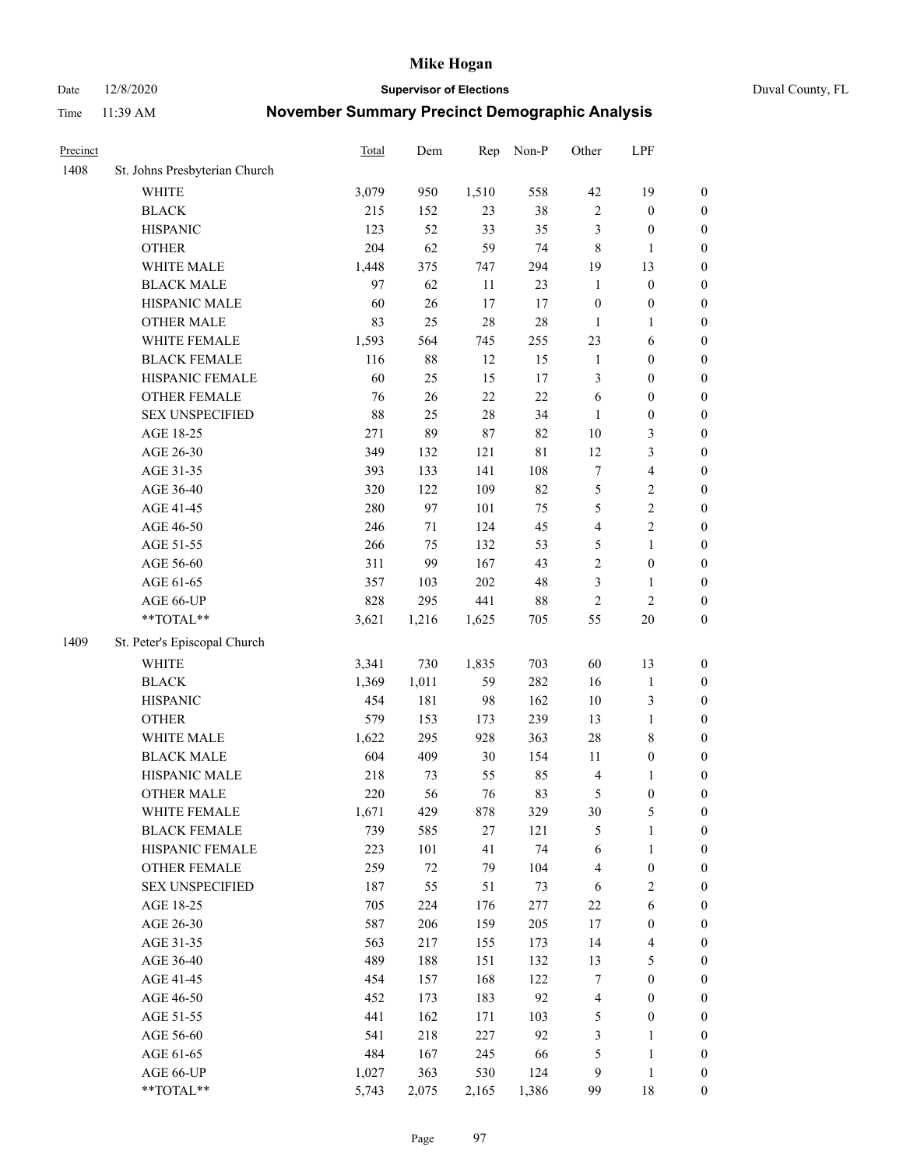Date 12/8/2020 **Supervisor of Elections** Duval County, FL

| Precinct |                               | <b>Total</b> | Dem    | Rep    | Non-P       | Other                   | LPF              |                  |
|----------|-------------------------------|--------------|--------|--------|-------------|-------------------------|------------------|------------------|
| 1408     | St. Johns Presbyterian Church |              |        |        |             |                         |                  |                  |
|          | WHITE                         | 3,079        | 950    | 1,510  | 558         | 42                      | 19               | 0                |
|          | <b>BLACK</b>                  | 215          | 152    | 23     | 38          | $\sqrt{2}$              | $\boldsymbol{0}$ | 0                |
|          | <b>HISPANIC</b>               | 123          | 52     | 33     | 35          | 3                       | $\boldsymbol{0}$ | $\boldsymbol{0}$ |
|          | <b>OTHER</b>                  | 204          | 62     | 59     | 74          | 8                       | $\mathbf{1}$     | $\boldsymbol{0}$ |
|          | WHITE MALE                    | 1,448        | 375    | 747    | 294         | 19                      | 13               | $\boldsymbol{0}$ |
|          | <b>BLACK MALE</b>             | 97           | 62     | 11     | 23          | $\mathbf{1}$            | $\boldsymbol{0}$ | $\boldsymbol{0}$ |
|          | HISPANIC MALE                 | 60           | $26\,$ | 17     | 17          | $\boldsymbol{0}$        | $\boldsymbol{0}$ | $\boldsymbol{0}$ |
|          | <b>OTHER MALE</b>             | 83           | 25     | 28     | $28\,$      | $\mathbf{1}$            | $\mathbf{1}$     | $\boldsymbol{0}$ |
|          | WHITE FEMALE                  | 1,593        | 564    | 745    | 255         | 23                      | 6                | $\boldsymbol{0}$ |
|          | <b>BLACK FEMALE</b>           | 116          | $88\,$ | 12     | 15          | $\mathbf{1}$            | $\boldsymbol{0}$ | $\boldsymbol{0}$ |
|          | HISPANIC FEMALE               | 60           | 25     | 15     | 17          | 3                       | $\boldsymbol{0}$ | 0                |
|          | <b>OTHER FEMALE</b>           | 76           | 26     | 22     | 22          | 6                       | $\boldsymbol{0}$ | $\boldsymbol{0}$ |
|          | <b>SEX UNSPECIFIED</b>        | 88           | 25     | $28\,$ | 34          | $\mathbf{1}$            | $\boldsymbol{0}$ | $\boldsymbol{0}$ |
|          | AGE 18-25                     | 271          | 89     | 87     | 82          | $10\,$                  | $\mathfrak{Z}$   | $\boldsymbol{0}$ |
|          | AGE 26-30                     | 349          | 132    | 121    | $8\sqrt{1}$ | 12                      | $\mathfrak{Z}$   | $\boldsymbol{0}$ |
|          | AGE 31-35                     | 393          | 133    | 141    | 108         | $\boldsymbol{7}$        | $\overline{4}$   | $\boldsymbol{0}$ |
|          | AGE 36-40                     | 320          | 122    | 109    | 82          | 5                       | $\sqrt{2}$       | $\boldsymbol{0}$ |
|          | AGE 41-45                     | 280          | 97     | 101    | 75          | 5                       | $\sqrt{2}$       | $\boldsymbol{0}$ |
|          | AGE 46-50                     | 246          | 71     | 124    | 45          | $\overline{\mathbf{4}}$ | $\sqrt{2}$       | $\boldsymbol{0}$ |
|          | AGE 51-55                     | 266          | 75     | 132    | 53          | 5                       | $\mathbf{1}$     | $\boldsymbol{0}$ |
|          | AGE 56-60                     | 311          | 99     | 167    | 43          | $\overline{c}$          | $\boldsymbol{0}$ | 0                |
|          | AGE 61-65                     | 357          | 103    | 202    | 48          | 3                       | $\mathbf{1}$     | 0                |
|          | AGE 66-UP                     | 828          | 295    | 441    | $88\,$      | $\sqrt{2}$              | $\sqrt{2}$       | $\boldsymbol{0}$ |
|          | $**TOTAL**$                   | 3,621        | 1,216  | 1,625  | 705         | 55                      | $20\,$           | $\boldsymbol{0}$ |
| 1409     | St. Peter's Episcopal Church  |              |        |        |             |                         |                  |                  |
|          | <b>WHITE</b>                  | 3,341        | 730    | 1,835  | 703         | 60                      | 13               | $\boldsymbol{0}$ |
|          | <b>BLACK</b>                  | 1,369        | 1,011  | 59     | 282         | 16                      | $\mathbf{1}$     | $\boldsymbol{0}$ |
|          | <b>HISPANIC</b>               | 454          | 181    | 98     | 162         | $10\,$                  | $\mathfrak{Z}$   | $\boldsymbol{0}$ |
|          | <b>OTHER</b>                  | 579          | 153    | 173    | 239         | 13                      | $\mathbf{1}$     | $\boldsymbol{0}$ |
|          | WHITE MALE                    | 1,622        | 295    | 928    | 363         | 28                      | $\,$ 8 $\,$      | $\boldsymbol{0}$ |
|          | <b>BLACK MALE</b>             | 604          | 409    | 30     | 154         | 11                      | $\boldsymbol{0}$ | $\boldsymbol{0}$ |
|          | HISPANIC MALE                 | 218          | 73     | 55     | 85          | 4                       | 1                | $\boldsymbol{0}$ |
|          | <b>OTHER MALE</b>             | 220          | 56     | 76     | 83          | 5                       | $\boldsymbol{0}$ | $\boldsymbol{0}$ |
|          | WHITE FEMALE                  | 1,671        | 429    | 878    | 329         | 30                      | 5                | 0                |
|          | <b>BLACK FEMALE</b>           | 739          | 585    | 27     | 121         | 5                       | $\mathbf{1}$     | $\boldsymbol{0}$ |
|          | HISPANIC FEMALE               | 223          | 101    | 41     | 74          | 6                       | $\mathbf{1}$     | $\overline{0}$   |
|          | <b>OTHER FEMALE</b>           | 259          | $72\,$ | 79     | 104         | 4                       | $\boldsymbol{0}$ | 0                |
|          | <b>SEX UNSPECIFIED</b>        | 187          | 55     | 51     | 73          | 6                       | $\mathfrak{2}$   | 0                |
|          | AGE 18-25                     | 705          | 224    | 176    | 277         | 22                      | 6                | 0                |
|          | AGE 26-30                     | 587          | 206    | 159    | 205         | 17                      | $\boldsymbol{0}$ | 0                |
|          | AGE 31-35                     | 563          | 217    | 155    | 173         | 14                      | $\overline{4}$   | 0                |
|          | AGE 36-40                     | 489          | 188    | 151    | 132         | 13                      | $\mathfrak s$    | 0                |
|          | AGE 41-45                     | 454          | 157    | 168    | 122         | 7                       | $\boldsymbol{0}$ | 0                |
|          | AGE 46-50                     | 452          | 173    | 183    | 92          | 4                       | $\boldsymbol{0}$ | 0                |
|          | AGE 51-55                     | 441          | 162    | 171    | 103         | 5                       | $\boldsymbol{0}$ | 0                |
|          | AGE 56-60                     | 541          | 218    | 227    | 92          | 3                       | 1                | $\boldsymbol{0}$ |
|          | AGE 61-65                     | 484          | 167    | 245    | 66          | 5                       | $\mathbf{1}$     | $\boldsymbol{0}$ |
|          | AGE 66-UP                     | 1,027        | 363    | 530    | 124         | 9                       | $\mathbf{1}$     | 0                |
|          | **TOTAL**                     | 5,743        | 2,075  | 2,165  | 1,386       | 99                      | 18               | $\boldsymbol{0}$ |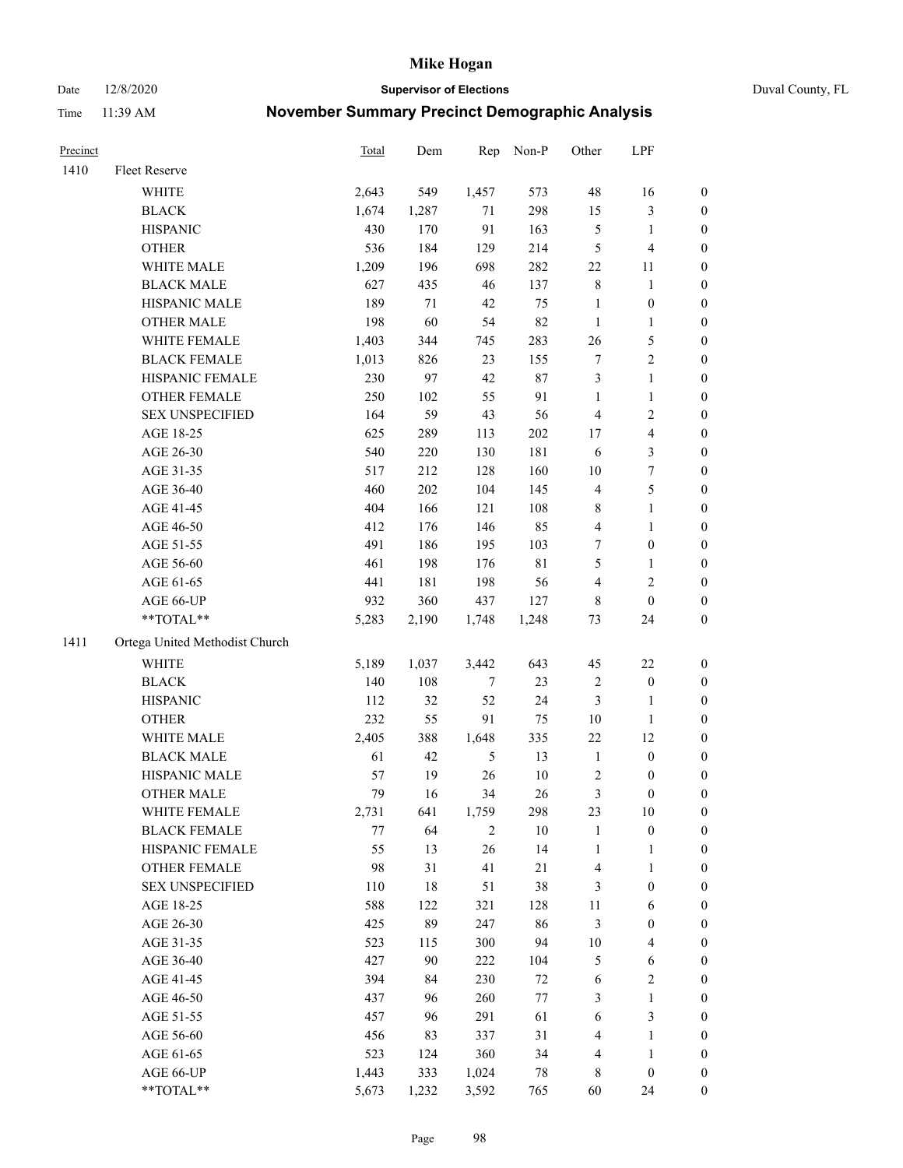Date 12/8/2020 **Supervisor of Elections** Duval County, FL

| Precinct |                                | Total | Dem   | Rep            | Non-P       | Other                   | LPF              |                  |
|----------|--------------------------------|-------|-------|----------------|-------------|-------------------------|------------------|------------------|
| 1410     | Fleet Reserve                  |       |       |                |             |                         |                  |                  |
|          | <b>WHITE</b>                   | 2,643 | 549   | 1,457          | 573         | 48                      | 16               | 0                |
|          | <b>BLACK</b>                   | 1,674 | 1,287 | 71             | 298         | 15                      | $\mathfrak{Z}$   | 0                |
|          | <b>HISPANIC</b>                | 430   | 170   | 91             | 163         | 5                       | $\mathbf{1}$     | $\boldsymbol{0}$ |
|          | <b>OTHER</b>                   | 536   | 184   | 129            | 214         | 5                       | $\overline{4}$   | $\boldsymbol{0}$ |
|          | WHITE MALE                     | 1,209 | 196   | 698            | 282         | $22\,$                  | 11               | $\boldsymbol{0}$ |
|          | <b>BLACK MALE</b>              | 627   | 435   | 46             | 137         | 8                       | 1                | $\boldsymbol{0}$ |
|          | HISPANIC MALE                  | 189   | 71    | 42             | 75          | $\mathbf{1}$            | $\boldsymbol{0}$ | $\boldsymbol{0}$ |
|          | <b>OTHER MALE</b>              | 198   | 60    | 54             | 82          | $\mathbf{1}$            | $\mathbf{1}$     | $\boldsymbol{0}$ |
|          | WHITE FEMALE                   | 1,403 | 344   | 745            | 283         | 26                      | $\mathfrak s$    | $\boldsymbol{0}$ |
|          | <b>BLACK FEMALE</b>            | 1,013 | 826   | 23             | 155         | 7                       | $\sqrt{2}$       | 0                |
|          | HISPANIC FEMALE                | 230   | 97    | 42             | 87          | 3                       | $\mathbf{1}$     | 0                |
|          | OTHER FEMALE                   | 250   | 102   | 55             | 91          | $\mathbf{1}$            | $\mathbf{1}$     | 0                |
|          | <b>SEX UNSPECIFIED</b>         | 164   | 59    | 43             | 56          | $\overline{4}$          | $\sqrt{2}$       | $\boldsymbol{0}$ |
|          | AGE 18-25                      | 625   | 289   | 113            | $202\,$     | 17                      | $\overline{4}$   | $\boldsymbol{0}$ |
|          | AGE 26-30                      | 540   | 220   | 130            | 181         | 6                       | $\mathfrak{Z}$   | $\boldsymbol{0}$ |
|          | AGE 31-35                      | 517   | 212   | 128            | 160         | 10                      | $\boldsymbol{7}$ | $\boldsymbol{0}$ |
|          | AGE 36-40                      | 460   | 202   | 104            | 145         | 4                       | 5                | $\boldsymbol{0}$ |
|          | AGE 41-45                      | 404   | 166   | 121            | 108         | 8                       | $\mathbf{1}$     | $\boldsymbol{0}$ |
|          | AGE 46-50                      | 412   | 176   | 146            | 85          | 4                       | $\mathbf{1}$     | $\boldsymbol{0}$ |
|          | AGE 51-55                      | 491   | 186   | 195            | 103         | 7                       | $\boldsymbol{0}$ | 0                |
|          | AGE 56-60                      | 461   | 198   | 176            | $8\sqrt{1}$ | 5                       | 1                | 0                |
|          | AGE 61-65                      | 441   | 181   | 198            | 56          | 4                       | $\sqrt{2}$       | 0                |
|          | AGE 66-UP                      | 932   | 360   | 437            | 127         | 8                       | $\boldsymbol{0}$ | $\boldsymbol{0}$ |
|          | $**TOTAL**$                    | 5,283 | 2,190 | 1,748          | 1,248       | 73                      | 24               | $\boldsymbol{0}$ |
| 1411     | Ortega United Methodist Church |       |       |                |             |                         |                  |                  |
|          | <b>WHITE</b>                   | 5,189 | 1,037 | 3,442          | 643         | 45                      | $22\,$           | $\boldsymbol{0}$ |
|          | <b>BLACK</b>                   | 140   | 108   | 7              | 23          | $\overline{\mathbf{c}}$ | $\boldsymbol{0}$ | $\boldsymbol{0}$ |
|          | <b>HISPANIC</b>                | 112   | 32    | 52             | 24          | 3                       | $\mathbf{1}$     | $\boldsymbol{0}$ |
|          | <b>OTHER</b>                   | 232   | 55    | 91             | 75          | 10                      | $\mathbf{1}$     | $\boldsymbol{0}$ |
|          | WHITE MALE                     | 2,405 | 388   | 1,648          | 335         | 22                      | 12               | $\boldsymbol{0}$ |
|          | <b>BLACK MALE</b>              | 61    | 42    | $\mathfrak{S}$ | 13          | $\mathbf{1}$            | $\boldsymbol{0}$ | $\boldsymbol{0}$ |
|          | HISPANIC MALE                  | 57    | 19    | 26             | $10\,$      | 2                       | $\boldsymbol{0}$ | 0                |
|          | <b>OTHER MALE</b>              | 79    | 16    | 34             | 26          | 3                       | $\boldsymbol{0}$ | $\boldsymbol{0}$ |
|          | WHITE FEMALE                   | 2,731 | 641   | 1,759          | 298         | 23                      | 10               | 0                |
|          | <b>BLACK FEMALE</b>            | 77    | 64    | 2              | 10          | $\mathbf{1}$            | $\boldsymbol{0}$ | $\boldsymbol{0}$ |
|          | HISPANIC FEMALE                | 55    | 13    | 26             | 14          | $\mathbf{1}$            | $\mathbf{1}$     | $\boldsymbol{0}$ |
|          | OTHER FEMALE                   | 98    | 31    | 41             | 21          | 4                       | $\mathbf{1}$     | $\overline{0}$   |
|          | <b>SEX UNSPECIFIED</b>         | 110   | 18    | 51             | 38          | 3                       | $\boldsymbol{0}$ | 0                |
|          | AGE 18-25                      | 588   | 122   | 321            | 128         | 11                      | 6                | 0                |
|          | AGE 26-30                      | 425   | 89    | 247            | 86          | 3                       | $\boldsymbol{0}$ | 0                |
|          | AGE 31-35                      | 523   | 115   | 300            | 94          | $10\,$                  | $\overline{4}$   | 0                |
|          | AGE 36-40                      | 427   | 90    | 222            | 104         | 5                       | 6                | 0                |
|          | AGE 41-45                      | 394   | 84    | 230            | $72\,$      | 6                       | $\sqrt{2}$       | 0                |
|          | AGE 46-50                      | 437   | 96    | 260            | $77 \,$     | 3                       | $\mathbf{1}$     | 0                |
|          | AGE 51-55                      | 457   | 96    | 291            | 61          | 6                       | 3                | 0                |
|          | AGE 56-60                      | 456   | 83    | 337            | 31          | 4                       | $\mathbf{1}$     | 0                |
|          | AGE 61-65                      | 523   | 124   | 360            | 34          | 4                       | $\mathbf{1}$     | 0                |
|          | AGE 66-UP                      | 1,443 | 333   | 1,024          | 78          | 8                       | $\boldsymbol{0}$ | 0                |
|          | **TOTAL**                      | 5,673 | 1,232 | 3,592          | 765         | 60                      | 24               | $\boldsymbol{0}$ |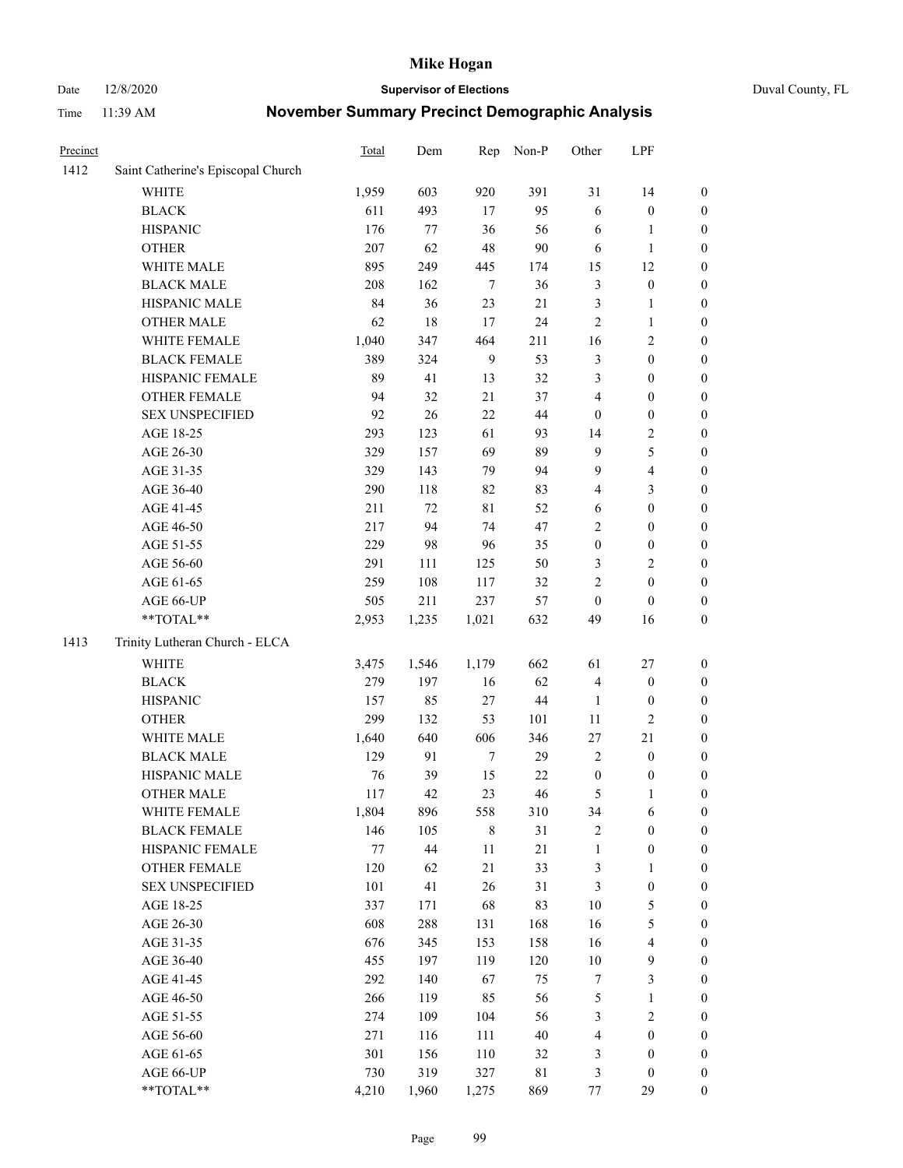### Date 12/8/2020 **Supervisor of Elections** Duval County, FL

| Precinct |                                    | <b>Total</b> | Dem    | Rep          | Non-P       | Other            | LPF              |                  |
|----------|------------------------------------|--------------|--------|--------------|-------------|------------------|------------------|------------------|
| 1412     | Saint Catherine's Episcopal Church |              |        |              |             |                  |                  |                  |
|          | <b>WHITE</b>                       | 1,959        | 603    | 920          | 391         | 31               | 14               | 0                |
|          | <b>BLACK</b>                       | 611          | 493    | 17           | 95          | 6                | $\boldsymbol{0}$ | 0                |
|          | <b>HISPANIC</b>                    | 176          | 77     | 36           | 56          | 6                | $\mathbf{1}$     | $\boldsymbol{0}$ |
|          | <b>OTHER</b>                       | 207          | 62     | 48           | 90          | 6                | $\mathbf{1}$     | $\boldsymbol{0}$ |
|          | WHITE MALE                         | 895          | 249    | 445          | 174         | 15               | 12               | $\boldsymbol{0}$ |
|          | <b>BLACK MALE</b>                  | 208          | 162    | $\tau$       | 36          | 3                | $\boldsymbol{0}$ | $\boldsymbol{0}$ |
|          | HISPANIC MALE                      | 84           | 36     | 23           | 21          | 3                | $\mathbf{1}$     | $\boldsymbol{0}$ |
|          | <b>OTHER MALE</b>                  | 62           | 18     | 17           | 24          | 2                | $\mathbf{1}$     | $\boldsymbol{0}$ |
|          | WHITE FEMALE                       | 1,040        | 347    | 464          | 211         | 16               | $\sqrt{2}$       | $\boldsymbol{0}$ |
|          | <b>BLACK FEMALE</b>                | 389          | 324    | $\mathbf{9}$ | 53          | 3                | $\boldsymbol{0}$ | $\boldsymbol{0}$ |
|          | HISPANIC FEMALE                    | 89           | 41     | 13           | 32          | 3                | $\boldsymbol{0}$ | $\boldsymbol{0}$ |
|          | <b>OTHER FEMALE</b>                | 94           | 32     | 21           | 37          | 4                | $\boldsymbol{0}$ | $\boldsymbol{0}$ |
|          | <b>SEX UNSPECIFIED</b>             | 92           | 26     | 22           | 44          | $\boldsymbol{0}$ | $\boldsymbol{0}$ | $\boldsymbol{0}$ |
|          | AGE 18-25                          | 293          | 123    | 61           | 93          | 14               | $\sqrt{2}$       | $\boldsymbol{0}$ |
|          | AGE 26-30                          | 329          | 157    | 69           | 89          | 9                | $\mathfrak s$    | $\boldsymbol{0}$ |
|          | AGE 31-35                          | 329          | 143    | 79           | 94          | 9                | $\overline{4}$   | $\boldsymbol{0}$ |
|          | AGE 36-40                          | 290          | 118    | 82           | 83          | 4                | 3                | $\boldsymbol{0}$ |
|          | AGE 41-45                          | 211          | 72     | 81           | 52          | 6                | $\boldsymbol{0}$ | $\boldsymbol{0}$ |
|          | AGE 46-50                          | 217          | 94     | 74           | 47          | $\overline{2}$   | $\boldsymbol{0}$ | $\boldsymbol{0}$ |
|          | AGE 51-55                          | 229          | 98     | 96           | 35          | $\boldsymbol{0}$ | $\boldsymbol{0}$ | $\boldsymbol{0}$ |
|          | AGE 56-60                          | 291          | 111    | 125          | 50          | 3                | $\mathfrak{2}$   | 0                |
|          | AGE 61-65                          | 259          | 108    | 117          | 32          | 2                | $\boldsymbol{0}$ | $\boldsymbol{0}$ |
|          | AGE 66-UP                          | 505          | 211    | 237          | 57          | $\boldsymbol{0}$ | $\boldsymbol{0}$ | $\boldsymbol{0}$ |
|          | **TOTAL**                          | 2,953        | 1,235  | 1,021        | 632         | 49               | 16               | $\boldsymbol{0}$ |
| 1413     | Trinity Lutheran Church - ELCA     |              |        |              |             |                  |                  |                  |
|          | <b>WHITE</b>                       | 3,475        | 1,546  | 1,179        | 662         | 61               | $27\,$           | $\boldsymbol{0}$ |
|          | <b>BLACK</b>                       | 279          | 197    | 16           | 62          | 4                | $\boldsymbol{0}$ | $\boldsymbol{0}$ |
|          | <b>HISPANIC</b>                    | 157          | 85     | 27           | $44\,$      | $\mathbf{1}$     | $\boldsymbol{0}$ | $\boldsymbol{0}$ |
|          | <b>OTHER</b>                       | 299          | 132    | 53           | 101         | $11\,$           | $\mathfrak{2}$   | $\boldsymbol{0}$ |
|          | WHITE MALE                         | 1,640        | 640    | 606          | 346         | 27               | 21               | $\boldsymbol{0}$ |
|          | <b>BLACK MALE</b>                  | 129          | 91     | $\tau$       | 29          | $\overline{2}$   | $\boldsymbol{0}$ | $\boldsymbol{0}$ |
|          | HISPANIC MALE                      | 76           | 39     | 15           | $22\,$      | $\boldsymbol{0}$ | $\boldsymbol{0}$ | 0                |
|          | <b>OTHER MALE</b>                  | 117          | 42     | 23           | 46          | 5                | $\mathbf{1}$     | $\boldsymbol{0}$ |
|          | WHITE FEMALE                       | 1,804        | 896    | 558          | 310         | 34               | 6                | 0                |
|          | <b>BLACK FEMALE</b>                | 146          | 105    | 8            | 31          | 2                | $\boldsymbol{0}$ | $\overline{0}$   |
|          | HISPANIC FEMALE                    | $77 \,$      | $44\,$ | $11\,$       | 21          | $\mathbf{1}$     | $\boldsymbol{0}$ | $\overline{0}$   |
|          | <b>OTHER FEMALE</b>                | 120          | 62     | 21           | 33          | 3                | $\mathbf{1}$     | $\overline{0}$   |
|          | <b>SEX UNSPECIFIED</b>             | 101          | 41     | 26           | 31          | 3                | $\boldsymbol{0}$ | 0                |
|          | AGE 18-25                          | 337          | 171    | 68           | 83          | $10\,$           | $\mathfrak s$    | 0                |
|          | AGE 26-30                          | 608          | 288    | 131          | 168         | 16               | $\mathfrak s$    | 0                |
|          | AGE 31-35                          | 676          | 345    | 153          | 158         | 16               | $\overline{4}$   | 0                |
|          | AGE 36-40                          | 455          | 197    | 119          | 120         | $10\,$           | $\boldsymbol{9}$ | 0                |
|          | AGE 41-45                          | 292          | 140    | 67           | 75          | 7                | $\mathfrak{Z}$   | 0                |
|          | AGE 46-50                          | 266          | 119    | 85           | 56          | 5                | $\mathbf{1}$     | 0                |
|          | AGE 51-55                          | 274          | 109    | 104          | 56          | 3                | $\sqrt{2}$       | 0                |
|          | AGE 56-60                          | 271          | 116    | 111          | $40\,$      | 4                | $\boldsymbol{0}$ | 0                |
|          | AGE 61-65                          | 301          | 156    | 110          | 32          | 3                | $\boldsymbol{0}$ | $\overline{0}$   |
|          | AGE 66-UP                          | 730          | 319    | 327          | $8\sqrt{1}$ | 3                | $\boldsymbol{0}$ | 0                |
|          | **TOTAL**                          | 4,210        | 1,960  | 1,275        | 869         | $77 \,$          | 29               | $\boldsymbol{0}$ |
|          |                                    |              |        |              |             |                  |                  |                  |